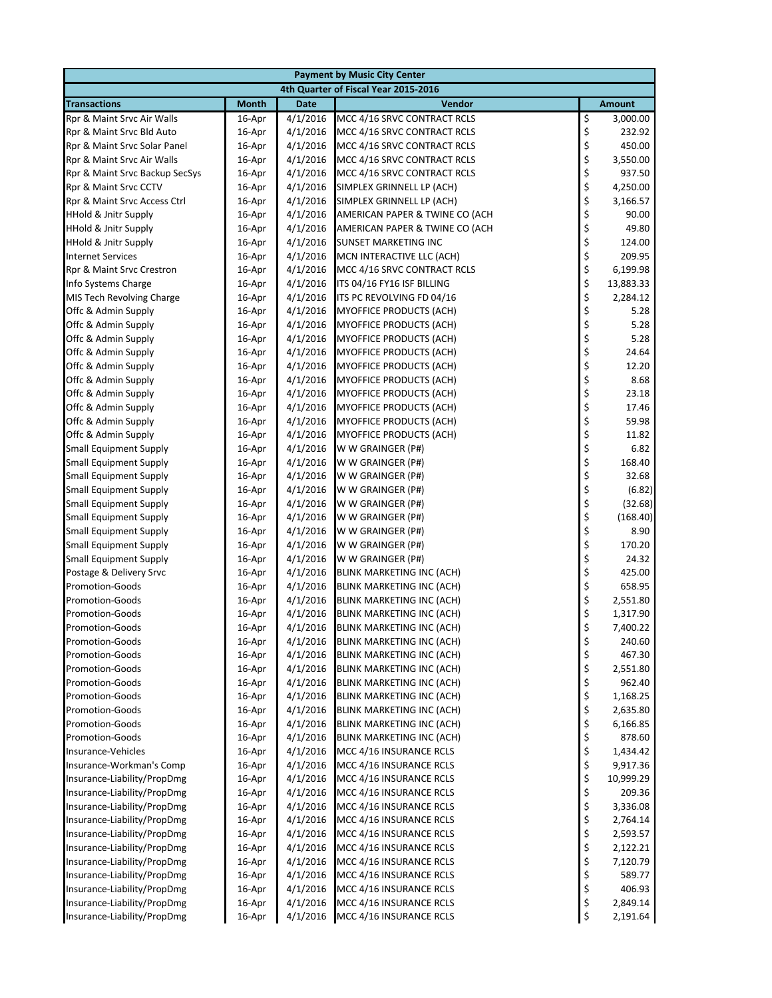| <b>Payment by Music City Center</b>              |                                      |                      |                                                               |            |                    |  |  |
|--------------------------------------------------|--------------------------------------|----------------------|---------------------------------------------------------------|------------|--------------------|--|--|
|                                                  | 4th Quarter of Fiscal Year 2015-2016 |                      |                                                               |            |                    |  |  |
| <b>Transactions</b>                              | <b>Month</b>                         | <b>Date</b>          | Vendor                                                        |            | <b>Amount</b>      |  |  |
| Rpr & Maint Srvc Air Walls                       | 16-Apr                               | 4/1/2016             | MCC 4/16 SRVC CONTRACT RCLS                                   | \$         | 3,000.00           |  |  |
| Rpr & Maint Srvc Bld Auto                        | 16-Apr                               | 4/1/2016             | MCC 4/16 SRVC CONTRACT RCLS                                   | \$         | 232.92             |  |  |
| Rpr & Maint Srvc Solar Panel                     | 16-Apr                               | 4/1/2016             | MCC 4/16 SRVC CONTRACT RCLS                                   | \$         | 450.00             |  |  |
| Rpr & Maint Srvc Air Walls                       | 16-Apr                               | 4/1/2016             | MCC 4/16 SRVC CONTRACT RCLS                                   | \$         | 3,550.00           |  |  |
| Rpr & Maint Srvc Backup SecSys                   | 16-Apr                               | 4/1/2016             | MCC 4/16 SRVC CONTRACT RCLS                                   | \$         | 937.50             |  |  |
| Rpr & Maint Srvc CCTV                            | 16-Apr                               | 4/1/2016             | SIMPLEX GRINNELL LP (ACH)                                     | \$         | 4,250.00           |  |  |
| Rpr & Maint Srvc Access Ctrl                     | 16-Apr                               | 4/1/2016             | SIMPLEX GRINNELL LP (ACH)                                     | \$         | 3,166.57           |  |  |
| <b>HHold &amp; Jnitr Supply</b>                  | 16-Apr                               | 4/1/2016             | AMERICAN PAPER & TWINE CO (ACH                                | \$         | 90.00              |  |  |
| <b>HHold &amp; Jnitr Supply</b>                  | 16-Apr                               | 4/1/2016             | AMERICAN PAPER & TWINE CO (ACH                                | \$         | 49.80              |  |  |
| HHold & Jnitr Supply                             | 16-Apr                               | 4/1/2016             | <b>SUNSET MARKETING INC</b>                                   | \$         | 124.00             |  |  |
| <b>Internet Services</b>                         | 16-Apr                               | 4/1/2016             | MCN INTERACTIVE LLC (ACH)                                     | \$         | 209.95             |  |  |
| Rpr & Maint Srvc Crestron                        | 16-Apr                               | 4/1/2016             | MCC 4/16 SRVC CONTRACT RCLS                                   | \$<br>\$   | 6,199.98           |  |  |
| Info Systems Charge                              | 16-Apr                               | 4/1/2016             | ITS 04/16 FY16 ISF BILLING                                    |            | 13,883.33          |  |  |
| MIS Tech Revolving Charge                        | 16-Apr                               | 4/1/2016             | ITS PC REVOLVING FD 04/16                                     | \$         | 2,284.12           |  |  |
| Offc & Admin Supply                              | 16-Apr                               | 4/1/2016             | MYOFFICE PRODUCTS (ACH)                                       | \$         | 5.28               |  |  |
| Offc & Admin Supply                              | 16-Apr                               | 4/1/2016             | <b>MYOFFICE PRODUCTS (ACH)</b>                                | \$<br>\$   | 5.28               |  |  |
| Offc & Admin Supply                              | 16-Apr                               | 4/1/2016             | <b>MYOFFICE PRODUCTS (ACH)</b>                                |            | 5.28               |  |  |
| Offc & Admin Supply                              | 16-Apr                               | 4/1/2016             | MYOFFICE PRODUCTS (ACH)                                       | \$<br>\$   | 24.64              |  |  |
| Offc & Admin Supply                              | 16-Apr                               | 4/1/2016             | MYOFFICE PRODUCTS (ACH)                                       |            | 12.20              |  |  |
| Offc & Admin Supply                              | 16-Apr                               | 4/1/2016             | MYOFFICE PRODUCTS (ACH)                                       | \$         | 8.68               |  |  |
| Offc & Admin Supply                              | 16-Apr                               | 4/1/2016             | <b>MYOFFICE PRODUCTS (ACH)</b>                                | \$         | 23.18              |  |  |
| Offc & Admin Supply                              | 16-Apr                               | 4/1/2016             | <b>MYOFFICE PRODUCTS (ACH)</b>                                | \$         | 17.46              |  |  |
| Offc & Admin Supply                              | 16-Apr                               | 4/1/2016             | <b>MYOFFICE PRODUCTS (ACH)</b>                                | \$         | 59.98              |  |  |
| Offc & Admin Supply                              | 16-Apr                               | 4/1/2016             | MYOFFICE PRODUCTS (ACH)                                       | \$\$\$\$   | 11.82              |  |  |
| <b>Small Equipment Supply</b>                    | 16-Apr                               | 4/1/2016             | W W GRAINGER (P#)                                             |            | 6.82               |  |  |
| <b>Small Equipment Supply</b>                    | 16-Apr                               | 4/1/2016             | W W GRAINGER (P#)                                             |            | 168.40             |  |  |
| <b>Small Equipment Supply</b>                    | 16-Apr                               | 4/1/2016             | W W GRAINGER (P#)                                             |            | 32.68              |  |  |
| <b>Small Equipment Supply</b>                    | 16-Apr                               | 4/1/2016             | W W GRAINGER (P#)                                             | \$         | (6.82)             |  |  |
| <b>Small Equipment Supply</b>                    | 16-Apr                               | 4/1/2016             | W W GRAINGER (P#)                                             | \$<br>\$   | (32.68)            |  |  |
| <b>Small Equipment Supply</b>                    | 16-Apr                               | 4/1/2016             | W W GRAINGER (P#)                                             |            | (168.40)           |  |  |
| <b>Small Equipment Supply</b>                    | 16-Apr                               | 4/1/2016             | W W GRAINGER (P#)                                             | \$         | 8.90               |  |  |
| <b>Small Equipment Supply</b>                    | 16-Apr                               | 4/1/2016             | W W GRAINGER (P#)                                             | \$<br>\$   | 170.20             |  |  |
| <b>Small Equipment Supply</b>                    | 16-Apr                               | 4/1/2016             | W W GRAINGER (P#)                                             |            | 24.32              |  |  |
| Postage & Delivery Srvc                          | 16-Apr                               | 4/1/2016             | BLINK MARKETING INC (ACH)                                     | \$         | 425.00             |  |  |
| <b>Promotion-Goods</b>                           | 16-Apr                               | 4/1/2016             | BLINK MARKETING INC (ACH)                                     | \$         | 658.95             |  |  |
| <b>Promotion-Goods</b>                           | 16-Apr                               | 4/1/2016             | <b>BLINK MARKETING INC (ACH)</b>                              | \$         | 2,551.80           |  |  |
| <b>Promotion-Goods</b>                           | 16-Apr                               | 4/1/2016             | <b>BLINK MARKETING INC (ACH)</b>                              | \$<br>\$   | 1,317.90           |  |  |
| <b>Promotion-Goods</b>                           | 16-Apr                               | 4/1/2016<br>4/1/2016 | <b>BLINK MARKETING INC (ACH)</b>                              |            | 7,400.22<br>240.60 |  |  |
| <b>Promotion-Goods</b>                           | 16-Apr                               | 4/1/2016             | <b>BLINK MARKETING INC (ACH)</b>                              | \$         |                    |  |  |
| <b>Promotion-Goods</b>                           | 16-Apr                               | 4/1/2016             | BLINK MARKETING INC (ACH)<br><b>BLINK MARKETING INC (ACH)</b> | \$         | 467.30             |  |  |
| <b>Promotion-Goods</b><br><b>Promotion-Goods</b> | 16-Apr<br>16-Apr                     | 4/1/2016             | <b>BLINK MARKETING INC (ACH)</b>                              |            | 2,551.80<br>962.40 |  |  |
| <b>Promotion-Goods</b>                           | 16-Apr                               | 4/1/2016             | BLINK MARKETING INC (ACH)                                     | \$\$\$\$\$ | 1,168.25           |  |  |
| <b>Promotion-Goods</b>                           | 16-Apr                               | 4/1/2016             | <b>BLINK MARKETING INC (ACH)</b>                              |            | 2,635.80           |  |  |
| <b>Promotion-Goods</b>                           | 16-Apr                               | 4/1/2016             | BLINK MARKETING INC (ACH)                                     |            | 6,166.85           |  |  |
| <b>Promotion-Goods</b>                           | 16-Apr                               | 4/1/2016             | <b>BLINK MARKETING INC (ACH)</b>                              |            | 878.60             |  |  |
| Insurance-Vehicles                               | 16-Apr                               | 4/1/2016             | MCC 4/16 INSURANCE RCLS                                       | \$<br>\$   | 1,434.42           |  |  |
| Insurance-Workman's Comp                         | 16-Apr                               | 4/1/2016             | MCC 4/16 INSURANCE RCLS                                       |            | 9,917.36           |  |  |
| Insurance-Liability/PropDmg                      | 16-Apr                               | 4/1/2016             | MCC 4/16 INSURANCE RCLS                                       | \$\$\$     | 10,999.29          |  |  |
| Insurance-Liability/PropDmg                      | 16-Apr                               | 4/1/2016             | MCC 4/16 INSURANCE RCLS                                       |            | 209.36             |  |  |
| Insurance-Liability/PropDmg                      | 16-Apr                               | 4/1/2016             | MCC 4/16 INSURANCE RCLS                                       |            | 3,336.08           |  |  |
| Insurance-Liability/PropDmg                      | 16-Apr                               | 4/1/2016             | MCC 4/16 INSURANCE RCLS                                       |            | 2,764.14           |  |  |
| Insurance-Liability/PropDmg                      | 16-Apr                               | 4/1/2016             | MCC 4/16 INSURANCE RCLS                                       | \$\$\$\$\$ | 2,593.57           |  |  |
| Insurance-Liability/PropDmg                      | 16-Apr                               | 4/1/2016             | MCC 4/16 INSURANCE RCLS                                       |            | 2,122.21           |  |  |
| Insurance-Liability/PropDmg                      | 16-Apr                               | 4/1/2016             | MCC 4/16 INSURANCE RCLS                                       |            | 7,120.79           |  |  |
| Insurance-Liability/PropDmg                      | 16-Apr                               | 4/1/2016             | MCC 4/16 INSURANCE RCLS                                       |            | 589.77             |  |  |
| Insurance-Liability/PropDmg                      | 16-Apr                               | 4/1/2016             | MCC 4/16 INSURANCE RCLS                                       | \$         | 406.93             |  |  |
| Insurance-Liability/PropDmg                      | 16-Apr                               | 4/1/2016             | MCC 4/16 INSURANCE RCLS                                       | \$         | 2,849.14           |  |  |
| Insurance-Liability/PropDmg                      | 16-Apr                               | 4/1/2016             | MCC 4/16 INSURANCE RCLS                                       | \$         | 2,191.64           |  |  |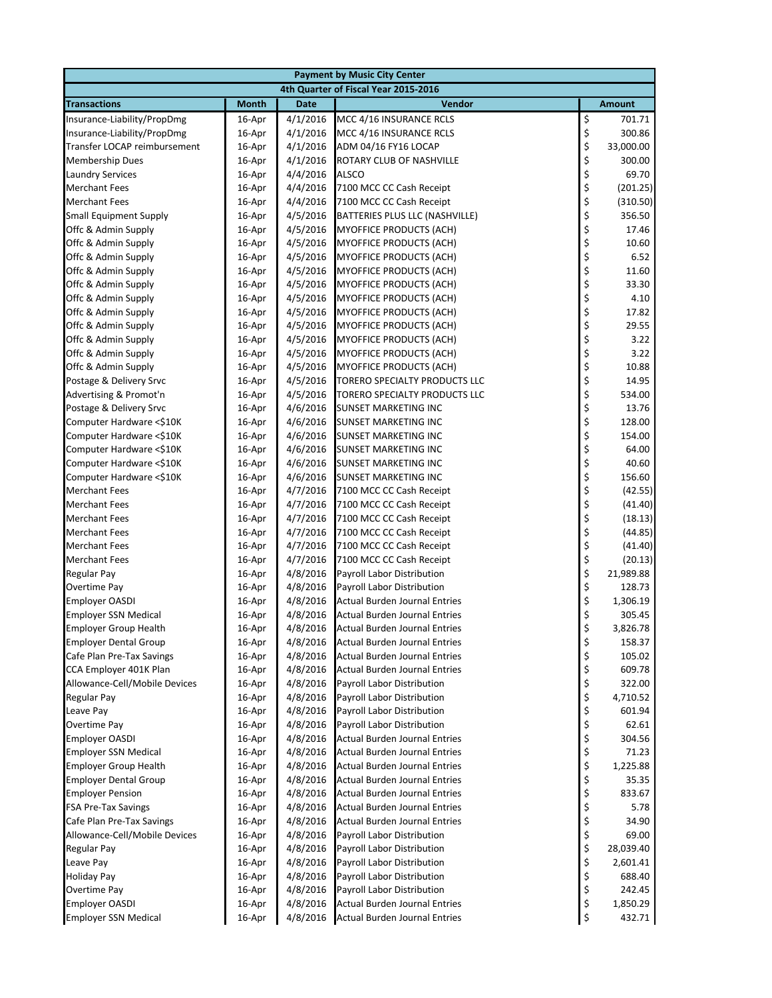|                                                            |                  |                      | <b>Payment by Music City Center</b>                                          |          |                 |
|------------------------------------------------------------|------------------|----------------------|------------------------------------------------------------------------------|----------|-----------------|
|                                                            |                  |                      | 4th Quarter of Fiscal Year 2015-2016                                         |          |                 |
| <b>Transactions</b>                                        | <b>Month</b>     | <b>Date</b>          | Vendor                                                                       |          | <b>Amount</b>   |
| Insurance-Liability/PropDmg                                | 16-Apr           | 4/1/2016             | MCC 4/16 INSURANCE RCLS                                                      | \$       | 701.71          |
| Insurance-Liability/PropDmg                                | 16-Apr           | 4/1/2016             | MCC 4/16 INSURANCE RCLS                                                      | \$       | 300.86          |
| Transfer LOCAP reimbursement                               | 16-Apr           | 4/1/2016             | ADM 04/16 FY16 LOCAP                                                         | \$       | 33,000.00       |
| <b>Membership Dues</b>                                     | 16-Apr           | 4/1/2016             | ROTARY CLUB OF NASHVILLE                                                     | \$       | 300.00          |
| <b>Laundry Services</b>                                    | 16-Apr           | 4/4/2016             | <b>ALSCO</b>                                                                 | \$       | 69.70           |
| <b>Merchant Fees</b>                                       | 16-Apr           | 4/4/2016             | 7100 MCC CC Cash Receipt                                                     | \$       | (201.25)        |
| <b>Merchant Fees</b>                                       | 16-Apr           | 4/4/2016             | 7100 MCC CC Cash Receipt                                                     | \$       | (310.50)        |
| <b>Small Equipment Supply</b>                              | 16-Apr           | 4/5/2016             | BATTERIES PLUS LLC (NASHVILLE)                                               | \$       | 356.50          |
| Offc & Admin Supply                                        | 16-Apr           | 4/5/2016             | <b>MYOFFICE PRODUCTS (ACH)</b>                                               | \$       | 17.46           |
| Offc & Admin Supply                                        | 16-Apr           | 4/5/2016             | <b>MYOFFICE PRODUCTS (ACH)</b>                                               | \$       | 10.60           |
| Offc & Admin Supply                                        | 16-Apr           | 4/5/2016             | <b>MYOFFICE PRODUCTS (ACH)</b>                                               | \$       | 6.52            |
| Offc & Admin Supply                                        | 16-Apr           | 4/5/2016             | <b>MYOFFICE PRODUCTS (ACH)</b>                                               | \$       | 11.60           |
| Offc & Admin Supply                                        | 16-Apr           | 4/5/2016             | <b>MYOFFICE PRODUCTS (ACH)</b>                                               | \$       | 33.30           |
| Offc & Admin Supply                                        | 16-Apr           | 4/5/2016             | MYOFFICE PRODUCTS (ACH)                                                      | \$       | 4.10            |
| Offc & Admin Supply                                        | 16-Apr           | 4/5/2016             | <b>MYOFFICE PRODUCTS (ACH)</b>                                               | \$       | 17.82           |
| Offc & Admin Supply                                        | 16-Apr           | 4/5/2016             | <b>MYOFFICE PRODUCTS (ACH)</b>                                               | \$       | 29.55           |
| Offc & Admin Supply                                        | 16-Apr           | 4/5/2016             | <b>MYOFFICE PRODUCTS (ACH)</b>                                               | \$       | 3.22            |
| Offc & Admin Supply                                        | 16-Apr           | 4/5/2016             | <b>MYOFFICE PRODUCTS (ACH)</b>                                               | \$<br>\$ | 3.22            |
| Offc & Admin Supply                                        | 16-Apr           | 4/5/2016             | <b>MYOFFICE PRODUCTS (ACH)</b>                                               |          | 10.88           |
| Postage & Delivery Srvc                                    | 16-Apr           | 4/5/2016             | TORERO SPECIALTY PRODUCTS LLC                                                | \$       | 14.95           |
| Advertising & Promot'n                                     | 16-Apr           | 4/5/2016             | TORERO SPECIALTY PRODUCTS LLC                                                | \$       | 534.00          |
| Postage & Delivery Srvc                                    | 16-Apr           | 4/6/2016             | <b>SUNSET MARKETING INC</b>                                                  | \$       | 13.76           |
| Computer Hardware <\$10K                                   | 16-Apr           | 4/6/2016             | <b>SUNSET MARKETING INC</b>                                                  | \$       | 128.00          |
| Computer Hardware <\$10K                                   | 16-Apr           | 4/6/2016             | <b>SUNSET MARKETING INC</b>                                                  | \$       | 154.00          |
| Computer Hardware <\$10K                                   | 16-Apr           | 4/6/2016             | <b>SUNSET MARKETING INC</b>                                                  | \$       | 64.00           |
| Computer Hardware <\$10K                                   | 16-Apr           | 4/6/2016             | <b>SUNSET MARKETING INC</b>                                                  | \$       | 40.60           |
| Computer Hardware <\$10K                                   | 16-Apr           | 4/6/2016             | <b>SUNSET MARKETING INC</b>                                                  | \$       | 156.60          |
| <b>Merchant Fees</b>                                       | 16-Apr           | 4/7/2016             | 7100 MCC CC Cash Receipt                                                     | \$       | (42.55)         |
| <b>Merchant Fees</b>                                       | 16-Apr           | 4/7/2016             | 7100 MCC CC Cash Receipt                                                     | \$       | (41.40)         |
| <b>Merchant Fees</b>                                       | 16-Apr           | 4/7/2016             | 7100 MCC CC Cash Receipt                                                     | \$       | (18.13)         |
| <b>Merchant Fees</b>                                       | 16-Apr           | 4/7/2016             | 7100 MCC CC Cash Receipt                                                     | \$       | (44.85)         |
| <b>Merchant Fees</b>                                       | 16-Apr           | 4/7/2016             | 7100 MCC CC Cash Receipt                                                     | \$       | (41.40)         |
| <b>Merchant Fees</b>                                       | 16-Apr           | 4/7/2016             | 7100 MCC CC Cash Receipt                                                     | \$       | (20.13)         |
| <b>Regular Pay</b>                                         | 16-Apr           | 4/8/2016             | <b>Payroll Labor Distribution</b>                                            | \$       | 21,989.88       |
| Overtime Pay                                               | 16-Apr           | 4/8/2016             | <b>Payroll Labor Distribution</b>                                            | \$       | 128.73          |
| <b>Employer OASDI</b>                                      | 16-Apr           | 4/8/2016             | Actual Burden Journal Entries                                                | \$       | 1,306.19        |
| <b>Employer SSN Medical</b>                                | 16-Apr           | 4/8/2016             | <b>Actual Burden Journal Entries</b>                                         | \$       | 305.45          |
| <b>Employer Group Health</b>                               | 16-Apr           | 4/8/2016             | <b>Actual Burden Journal Entries</b>                                         | \$       | 3,826.78        |
| <b>Employer Dental Group</b>                               | 16-Apr           | 4/8/2016             | <b>Actual Burden Journal Entries</b>                                         | \$       | 158.37          |
| Cafe Plan Pre-Tax Savings                                  | 16-Apr           | 4/8/2016             | <b>Actual Burden Journal Entries</b>                                         | \$       | 105.02          |
| CCA Employer 401K Plan                                     | 16-Apr           | 4/8/2016             | <b>Actual Burden Journal Entries</b>                                         | \$       | 609.78          |
| Allowance-Cell/Mobile Devices                              | 16-Apr           | 4/8/2016             | Payroll Labor Distribution                                                   | \$       | 322.00          |
| Regular Pay                                                | 16-Apr           | 4/8/2016             | Payroll Labor Distribution                                                   | \$       | 4,710.52        |
| Leave Pay                                                  | 16-Apr           | 4/8/2016             | Payroll Labor Distribution                                                   | \$       | 601.94<br>62.61 |
| Overtime Pay                                               | 16-Apr           | 4/8/2016             | Payroll Labor Distribution                                                   | \$       |                 |
| <b>Employer OASDI</b>                                      | 16-Apr           | 4/8/2016             | Actual Burden Journal Entries                                                | \$       | 304.56          |
| <b>Employer SSN Medical</b>                                | 16-Apr           | 4/8/2016             | <b>Actual Burden Journal Entries</b><br><b>Actual Burden Journal Entries</b> | \$       | 71.23           |
| <b>Employer Group Health</b>                               | 16-Apr           | 4/8/2016             | <b>Actual Burden Journal Entries</b>                                         | \$       | 1,225.88        |
| <b>Employer Dental Group</b>                               | 16-Apr           | 4/8/2016<br>4/8/2016 |                                                                              | \$<br>\$ | 35.35<br>833.67 |
| <b>Employer Pension</b><br><b>FSA Pre-Tax Savings</b>      | 16-Apr<br>16-Apr | 4/8/2016             | <b>Actual Burden Journal Entries</b><br>Actual Burden Journal Entries        | \$       | 5.78            |
|                                                            |                  |                      |                                                                              | \$       | 34.90           |
| Cafe Plan Pre-Tax Savings<br>Allowance-Cell/Mobile Devices | 16-Apr           | 4/8/2016<br>4/8/2016 | Actual Burden Journal Entries<br>Payroll Labor Distribution                  | \$       | 69.00           |
| Regular Pay                                                | 16-Apr<br>16-Apr | 4/8/2016             | Payroll Labor Distribution                                                   | \$       | 28,039.40       |
| Leave Pay                                                  | 16-Apr           | 4/8/2016             | Payroll Labor Distribution                                                   | \$       | 2,601.41        |
| <b>Holiday Pay</b>                                         | 16-Apr           | 4/8/2016             | Payroll Labor Distribution                                                   | \$       | 688.40          |
| Overtime Pay                                               | 16-Apr           | 4/8/2016             | Payroll Labor Distribution                                                   | \$       | 242.45          |
| <b>Employer OASDI</b>                                      | 16-Apr           | 4/8/2016             | <b>Actual Burden Journal Entries</b>                                         | \$       | 1,850.29        |
| <b>Employer SSN Medical</b>                                | 16-Apr           | 4/8/2016             | <b>Actual Burden Journal Entries</b>                                         | \$       | 432.71          |
|                                                            |                  |                      |                                                                              |          |                 |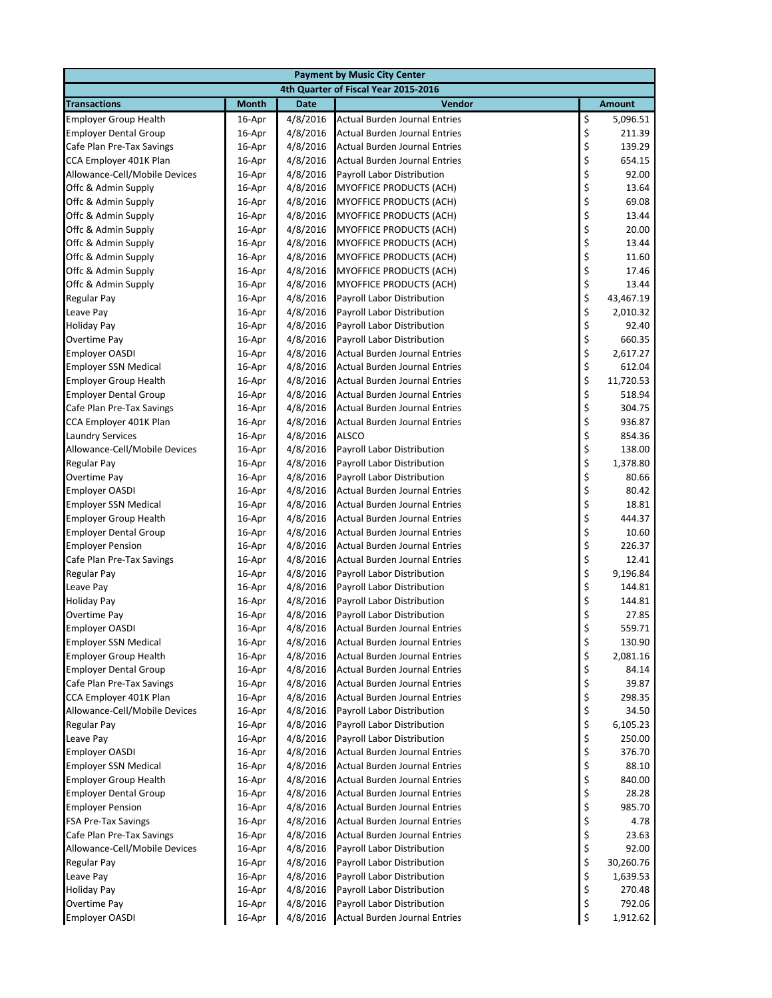|                                                         |                  |                      | <b>Payment by Music City Center</b>                         |          |                   |  |
|---------------------------------------------------------|------------------|----------------------|-------------------------------------------------------------|----------|-------------------|--|
| 4th Quarter of Fiscal Year 2015-2016                    |                  |                      |                                                             |          |                   |  |
| <b>Transactions</b>                                     | <b>Month</b>     | <b>Date</b>          | Vendor                                                      |          | <b>Amount</b>     |  |
| <b>Employer Group Health</b>                            | 16-Apr           | 4/8/2016             | <b>Actual Burden Journal Entries</b>                        | \$       | 5,096.51          |  |
| <b>Employer Dental Group</b>                            | 16-Apr           | 4/8/2016             | <b>Actual Burden Journal Entries</b>                        | \$       | 211.39            |  |
| Cafe Plan Pre-Tax Savings                               | 16-Apr           | 4/8/2016             | <b>Actual Burden Journal Entries</b>                        | \$       | 139.29            |  |
| CCA Employer 401K Plan                                  | 16-Apr           | 4/8/2016             | <b>Actual Burden Journal Entries</b>                        | \$       | 654.15            |  |
| Allowance-Cell/Mobile Devices                           | 16-Apr           | 4/8/2016             | Payroll Labor Distribution                                  | \$       | 92.00             |  |
| Offc & Admin Supply                                     | 16-Apr           | 4/8/2016             | <b>MYOFFICE PRODUCTS (ACH)</b>                              | \$       | 13.64             |  |
| Offc & Admin Supply                                     | 16-Apr           | 4/8/2016             | <b>MYOFFICE PRODUCTS (ACH)</b>                              | \$       | 69.08             |  |
| Offc & Admin Supply                                     | 16-Apr           | 4/8/2016             | <b>MYOFFICE PRODUCTS (ACH)</b>                              | \$       | 13.44             |  |
| Offc & Admin Supply                                     | 16-Apr           | 4/8/2016             | <b>MYOFFICE PRODUCTS (ACH)</b>                              | \$       | 20.00             |  |
| Offc & Admin Supply                                     | 16-Apr           | 4/8/2016             | <b>MYOFFICE PRODUCTS (ACH)</b>                              | \$       | 13.44             |  |
| Offc & Admin Supply                                     | 16-Apr           | 4/8/2016             | <b>MYOFFICE PRODUCTS (ACH)</b>                              | \$       | 11.60             |  |
| Offc & Admin Supply                                     | 16-Apr           | 4/8/2016             | <b>MYOFFICE PRODUCTS (ACH)</b>                              | \$       | 17.46             |  |
| Offc & Admin Supply                                     | 16-Apr           | 4/8/2016             | MYOFFICE PRODUCTS (ACH)                                     | \$       | 13.44             |  |
| <b>Regular Pay</b>                                      | 16-Apr           | 4/8/2016             | Payroll Labor Distribution                                  | \$       | 43,467.19         |  |
| Leave Pay                                               | 16-Apr           | 4/8/2016             | Payroll Labor Distribution                                  | \$       | 2,010.32          |  |
| <b>Holiday Pay</b>                                      | 16-Apr           | 4/8/2016             | Payroll Labor Distribution                                  | \$       | 92.40             |  |
| <b>Overtime Pay</b>                                     | 16-Apr           | 4/8/2016             | Payroll Labor Distribution                                  | \$       | 660.35            |  |
| <b>Employer OASDI</b>                                   | 16-Apr           | 4/8/2016             | Actual Burden Journal Entries                               | \$       | 2,617.27          |  |
| <b>Employer SSN Medical</b>                             | 16-Apr           | 4/8/2016             | Actual Burden Journal Entries                               | \$       | 612.04            |  |
| <b>Employer Group Health</b>                            | 16-Apr           | 4/8/2016             | <b>Actual Burden Journal Entries</b>                        | \$       | 11,720.53         |  |
| <b>Employer Dental Group</b>                            | 16-Apr           | 4/8/2016             | <b>Actual Burden Journal Entries</b>                        | \$       | 518.94            |  |
| Cafe Plan Pre-Tax Savings                               | 16-Apr           | 4/8/2016             | <b>Actual Burden Journal Entries</b>                        | \$       | 304.75            |  |
| CCA Employer 401K Plan                                  | 16-Apr           | 4/8/2016             | <b>Actual Burden Journal Entries</b>                        | \$       | 936.87            |  |
| <b>Laundry Services</b>                                 | 16-Apr           | 4/8/2016             | <b>ALSCO</b>                                                | \$       | 854.36            |  |
| Allowance-Cell/Mobile Devices                           | 16-Apr           | 4/8/2016             | Payroll Labor Distribution                                  | \$       | 138.00            |  |
| <b>Regular Pay</b>                                      | 16-Apr           | 4/8/2016             | Payroll Labor Distribution                                  | \$       | 1,378.80          |  |
| <b>Overtime Pay</b>                                     | 16-Apr           | 4/8/2016             | Payroll Labor Distribution                                  | \$       | 80.66             |  |
| <b>Employer OASDI</b>                                   | 16-Apr           | 4/8/2016             | <b>Actual Burden Journal Entries</b>                        | \$       | 80.42             |  |
| <b>Employer SSN Medical</b>                             | 16-Apr           | 4/8/2016             | Actual Burden Journal Entries                               | \$       | 18.81             |  |
| <b>Employer Group Health</b>                            | 16-Apr           | 4/8/2016             | Actual Burden Journal Entries                               | \$       | 444.37            |  |
| <b>Employer Dental Group</b>                            | 16-Apr           | 4/8/2016             | <b>Actual Burden Journal Entries</b>                        | \$       | 10.60             |  |
| <b>Employer Pension</b>                                 | 16-Apr           | 4/8/2016             | Actual Burden Journal Entries                               | \$       | 226.37            |  |
| Cafe Plan Pre-Tax Savings                               | 16-Apr           | 4/8/2016             | <b>Actual Burden Journal Entries</b>                        | \$       | 12.41             |  |
| <b>Regular Pay</b>                                      | 16-Apr           | 4/8/2016             | Payroll Labor Distribution                                  | \$       | 9,196.84          |  |
| Leave Pay                                               | 16-Apr           | 4/8/2016             | Payroll Labor Distribution                                  | \$       | 144.81            |  |
| <b>Holiday Pay</b>                                      | 16-Apr           | 4/8/2016             | Payroll Labor Distribution                                  | \$       | 144.81            |  |
| Overtime Pay                                            | 16-Apr           | 4/8/2016             | Payroll Labor Distribution                                  | \$       | 27.85             |  |
| <b>Employer OASDI</b>                                   | 16-Apr           | 4/8/2016             | <b>Actual Burden Journal Entries</b>                        | \$       | 559.71            |  |
| <b>Employer SSN Medical</b>                             | 16-Apr           | 4/8/2016             | <b>Actual Burden Journal Entries</b>                        | \$       | 130.90            |  |
| <b>Employer Group Health</b>                            | 16-Apr           | 4/8/2016<br>4/8/2016 | Actual Burden Journal Entries                               | \$       | 2,081.16<br>84.14 |  |
| <b>Employer Dental Group</b>                            | 16-Apr           |                      | <b>Actual Burden Journal Entries</b>                        | \$       | 39.87             |  |
| Cafe Plan Pre-Tax Savings                               | 16-Apr           | 4/8/2016             | <b>Actual Burden Journal Entries</b>                        | \$       |                   |  |
| CCA Employer 401K Plan<br>Allowance-Cell/Mobile Devices | 16-Apr<br>16-Apr | 4/8/2016<br>4/8/2016 | Actual Burden Journal Entries<br>Payroll Labor Distribution | \$<br>\$ | 298.35<br>34.50   |  |
| Regular Pay                                             | 16-Apr           | 4/8/2016             | Payroll Labor Distribution                                  | \$       | 6,105.23          |  |
| Leave Pay                                               | 16-Apr           | 4/8/2016             | Payroll Labor Distribution                                  | \$       | 250.00            |  |
| <b>Employer OASDI</b>                                   | 16-Apr           | 4/8/2016             | <b>Actual Burden Journal Entries</b>                        | \$       | 376.70            |  |
| <b>Employer SSN Medical</b>                             | 16-Apr           | 4/8/2016             | <b>Actual Burden Journal Entries</b>                        | \$       | 88.10             |  |
| <b>Employer Group Health</b>                            | 16-Apr           | 4/8/2016             | <b>Actual Burden Journal Entries</b>                        | \$       | 840.00            |  |
| <b>Employer Dental Group</b>                            | 16-Apr           | 4/8/2016             | <b>Actual Burden Journal Entries</b>                        | \$       | 28.28             |  |
| <b>Employer Pension</b>                                 | 16-Apr           | 4/8/2016             | Actual Burden Journal Entries                               | \$       | 985.70            |  |
| <b>FSA Pre-Tax Savings</b>                              | 16-Apr           | 4/8/2016             | Actual Burden Journal Entries                               | \$       | 4.78              |  |
| Cafe Plan Pre-Tax Savings                               | 16-Apr           | 4/8/2016             | Actual Burden Journal Entries                               | \$       | 23.63             |  |
| Allowance-Cell/Mobile Devices                           | 16-Apr           | 4/8/2016             | Payroll Labor Distribution                                  | \$       | 92.00             |  |
| Regular Pay                                             | 16-Apr           | 4/8/2016             | Payroll Labor Distribution                                  | \$       | 30,260.76         |  |
| Leave Pay                                               | 16-Apr           | 4/8/2016             | Payroll Labor Distribution                                  | \$       | 1,639.53          |  |
| <b>Holiday Pay</b>                                      | 16-Apr           | 4/8/2016             | Payroll Labor Distribution                                  | \$       | 270.48            |  |
| Overtime Pay                                            | 16-Apr           | 4/8/2016             | Payroll Labor Distribution                                  | \$       | 792.06            |  |
| <b>Employer OASDI</b>                                   | 16-Apr           | 4/8/2016             | <b>Actual Burden Journal Entries</b>                        | \$       | 1,912.62          |  |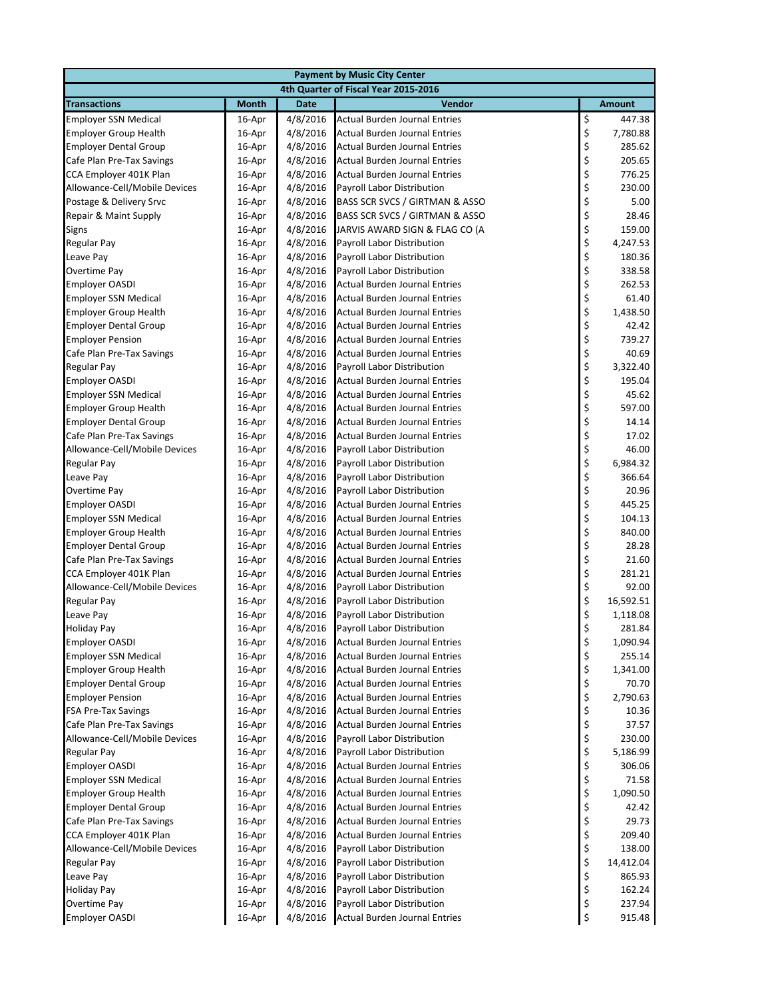| <b>Payment by Music City Center</b>  |              |             |                                           |                                                         |               |  |  |
|--------------------------------------|--------------|-------------|-------------------------------------------|---------------------------------------------------------|---------------|--|--|
| 4th Quarter of Fiscal Year 2015-2016 |              |             |                                           |                                                         |               |  |  |
| <b>Transactions</b>                  | <b>Month</b> | <b>Date</b> | Vendor                                    |                                                         | <b>Amount</b> |  |  |
| <b>Employer SSN Medical</b>          | 16-Apr       | 4/8/2016    | <b>Actual Burden Journal Entries</b>      | \$                                                      | 447.38        |  |  |
| <b>Employer Group Health</b>         | 16-Apr       | 4/8/2016    | <b>Actual Burden Journal Entries</b>      | \$                                                      | 7,780.88      |  |  |
| <b>Employer Dental Group</b>         | 16-Apr       | 4/8/2016    | Actual Burden Journal Entries             | \$                                                      | 285.62        |  |  |
| Cafe Plan Pre-Tax Savings            | 16-Apr       | 4/8/2016    | Actual Burden Journal Entries             | \$                                                      | 205.65        |  |  |
| CCA Employer 401K Plan               | 16-Apr       | 4/8/2016    | Actual Burden Journal Entries             | \$                                                      | 776.25        |  |  |
| Allowance-Cell/Mobile Devices        | 16-Apr       | 4/8/2016    | Payroll Labor Distribution                | \$                                                      | 230.00        |  |  |
| Postage & Delivery Srvc              | 16-Apr       | 4/8/2016    | <b>BASS SCR SVCS / GIRTMAN &amp; ASSO</b> | \$                                                      | 5.00          |  |  |
| Repair & Maint Supply                | 16-Apr       | 4/8/2016    | BASS SCR SVCS / GIRTMAN & ASSO            | \$                                                      | 28.46         |  |  |
| Signs                                | 16-Apr       | 4/8/2016    | JARVIS AWARD SIGN & FLAG CO (A            | \$                                                      | 159.00        |  |  |
| Regular Pay                          | 16-Apr       | 4/8/2016    | <b>Payroll Labor Distribution</b>         | \$<br>\$                                                | 4,247.53      |  |  |
| Leave Pay                            | 16-Apr       | 4/8/2016    | Payroll Labor Distribution                |                                                         | 180.36        |  |  |
| Overtime Pay                         | 16-Apr       | 4/8/2016    | Payroll Labor Distribution                | \$                                                      | 338.58        |  |  |
| <b>Employer OASDI</b>                | 16-Apr       | 4/8/2016    | Actual Burden Journal Entries             |                                                         | 262.53        |  |  |
| <b>Employer SSN Medical</b>          | 16-Apr       | 4/8/2016    | Actual Burden Journal Entries             | \$<br>\$                                                | 61.40         |  |  |
| <b>Employer Group Health</b>         | 16-Apr       | 4/8/2016    | <b>Actual Burden Journal Entries</b>      | \$                                                      | 1,438.50      |  |  |
| <b>Employer Dental Group</b>         | 16-Apr       | 4/8/2016    | <b>Actual Burden Journal Entries</b>      | \$                                                      | 42.42         |  |  |
| <b>Employer Pension</b>              | 16-Apr       | 4/8/2016    | <b>Actual Burden Journal Entries</b>      | \$                                                      | 739.27        |  |  |
| Cafe Plan Pre-Tax Savings            | 16-Apr       | 4/8/2016    | <b>Actual Burden Journal Entries</b>      | \$<br>\$                                                | 40.69         |  |  |
| <b>Regular Pay</b>                   | 16-Apr       | 4/8/2016    | <b>Payroll Labor Distribution</b>         |                                                         | 3,322.40      |  |  |
| <b>Employer OASDI</b>                | 16-Apr       | 4/8/2016    | <b>Actual Burden Journal Entries</b>      | \$                                                      | 195.04        |  |  |
| <b>Employer SSN Medical</b>          | 16-Apr       | 4/8/2016    | <b>Actual Burden Journal Entries</b>      | \$<br>\$                                                | 45.62         |  |  |
| <b>Employer Group Health</b>         | 16-Apr       | 4/8/2016    | <b>Actual Burden Journal Entries</b>      |                                                         | 597.00        |  |  |
| <b>Employer Dental Group</b>         | 16-Apr       | 4/8/2016    | <b>Actual Burden Journal Entries</b>      | \$                                                      | 14.14         |  |  |
| Cafe Plan Pre-Tax Savings            | 16-Apr       | 4/8/2016    | Actual Burden Journal Entries             | \$<br>\$                                                | 17.02         |  |  |
| Allowance-Cell/Mobile Devices        | 16-Apr       | 4/8/2016    | Payroll Labor Distribution                |                                                         | 46.00         |  |  |
| <b>Regular Pay</b>                   | 16-Apr       | 4/8/2016    | Payroll Labor Distribution                | \$                                                      | 6,984.32      |  |  |
| Leave Pay                            | 16-Apr       | 4/8/2016    | Payroll Labor Distribution                | \$                                                      | 366.64        |  |  |
| Overtime Pay                         | 16-Apr       | 4/8/2016    | Payroll Labor Distribution                | \$<br>\$                                                | 20.96         |  |  |
| <b>Employer OASDI</b>                | 16-Apr       | 4/8/2016    | Actual Burden Journal Entries             |                                                         | 445.25        |  |  |
| <b>Employer SSN Medical</b>          | 16-Apr       | 4/8/2016    | Actual Burden Journal Entries             | \$                                                      | 104.13        |  |  |
| <b>Employer Group Health</b>         | 16-Apr       | 4/8/2016    | <b>Actual Burden Journal Entries</b>      | \$                                                      | 840.00        |  |  |
| <b>Employer Dental Group</b>         | 16-Apr       | 4/8/2016    | Actual Burden Journal Entries             | \$                                                      | 28.28         |  |  |
| Cafe Plan Pre-Tax Savings            | 16-Apr       | 4/8/2016    | <b>Actual Burden Journal Entries</b>      | \$<br>\$                                                | 21.60         |  |  |
| CCA Employer 401K Plan               | 16-Apr       | 4/8/2016    | <b>Actual Burden Journal Entries</b>      |                                                         | 281.21        |  |  |
| Allowance-Cell/Mobile Devices        | 16-Apr       | 4/8/2016    | Payroll Labor Distribution                | \$<br>\$                                                | 92.00         |  |  |
| <b>Regular Pay</b>                   | 16-Apr       | 4/8/2016    | Payroll Labor Distribution                |                                                         | 16,592.51     |  |  |
| Leave Pay                            | 16-Apr       | 4/8/2016    | <b>Payroll Labor Distribution</b>         | \$                                                      | 1,118.08      |  |  |
| <b>Holiday Pay</b>                   | 16-Apr       | 4/8/2016    | Payroll Labor Distribution                | \$                                                      | 281.84        |  |  |
| <b>Employer OASDI</b>                | 16-Apr       | 4/8/2016    | <b>Actual Burden Journal Entries</b>      | \$                                                      | 1,090.94      |  |  |
| <b>Employer SSN Medical</b>          | 16-Apr       | 4/8/2016    | <b>Actual Burden Journal Entries</b>      | \$                                                      | 255.14        |  |  |
| <b>Employer Group Health</b>         | 16-Apr       | 4/8/2016    | <b>Actual Burden Journal Entries</b>      | \$                                                      | 1,341.00      |  |  |
| <b>Employer Dental Group</b>         | 16-Apr       | 4/8/2016    | <b>Actual Burden Journal Entries</b>      | \$                                                      | 70.70         |  |  |
| <b>Employer Pension</b>              | 16-Apr       | 4/8/2016    | Actual Burden Journal Entries             | \$                                                      | 2,790.63      |  |  |
| <b>FSA Pre-Tax Savings</b>           | 16-Apr       | 4/8/2016    | Actual Burden Journal Entries             | \$                                                      | 10.36         |  |  |
| Cafe Plan Pre-Tax Savings            | 16-Apr       | 4/8/2016    | <b>Actual Burden Journal Entries</b>      | \$                                                      | 37.57         |  |  |
| Allowance-Cell/Mobile Devices        | 16-Apr       | 4/8/2016    | Payroll Labor Distribution                | \$                                                      | 230.00        |  |  |
| <b>Regular Pay</b>                   | 16-Apr       | 4/8/2016    | Payroll Labor Distribution                | \$                                                      | 5,186.99      |  |  |
| <b>Employer OASDI</b>                | 16-Apr       | 4/8/2016    | Actual Burden Journal Entries             | \$                                                      | 306.06        |  |  |
| <b>Employer SSN Medical</b>          | 16-Apr       | 4/8/2016    | Actual Burden Journal Entries             | \$<br>\$                                                | 71.58         |  |  |
| <b>Employer Group Health</b>         | 16-Apr       | 4/8/2016    | <b>Actual Burden Journal Entries</b>      |                                                         | 1,090.50      |  |  |
| <b>Employer Dental Group</b>         | 16-Apr       | 4/8/2016    | Actual Burden Journal Entries             | \$                                                      | 42.42         |  |  |
| Cafe Plan Pre-Tax Savings            | 16-Apr       | 4/8/2016    | Actual Burden Journal Entries             | \$                                                      | 29.73         |  |  |
| CCA Employer 401K Plan               | 16-Apr       | 4/8/2016    | Actual Burden Journal Entries             | \$                                                      | 209.40        |  |  |
| Allowance-Cell/Mobile Devices        | 16-Apr       | 4/8/2016    | Payroll Labor Distribution                | $\begin{array}{c} \texttt{S} \\ \texttt{S} \end{array}$ | 138.00        |  |  |
| <b>Regular Pay</b>                   | 16-Apr       | 4/8/2016    | Payroll Labor Distribution                |                                                         | 14,412.04     |  |  |
| Leave Pay                            | 16-Apr       | 4/8/2016    | Payroll Labor Distribution                | \$                                                      | 865.93        |  |  |
| <b>Holiday Pay</b>                   | 16-Apr       | 4/8/2016    | Payroll Labor Distribution                | \$                                                      | 162.24        |  |  |
| Overtime Pay                         | 16-Apr       | 4/8/2016    | Payroll Labor Distribution                | \$                                                      | 237.94        |  |  |
| <b>Employer OASDI</b>                | 16-Apr       | 4/8/2016    | <b>Actual Burden Journal Entries</b>      | \$                                                      | 915.48        |  |  |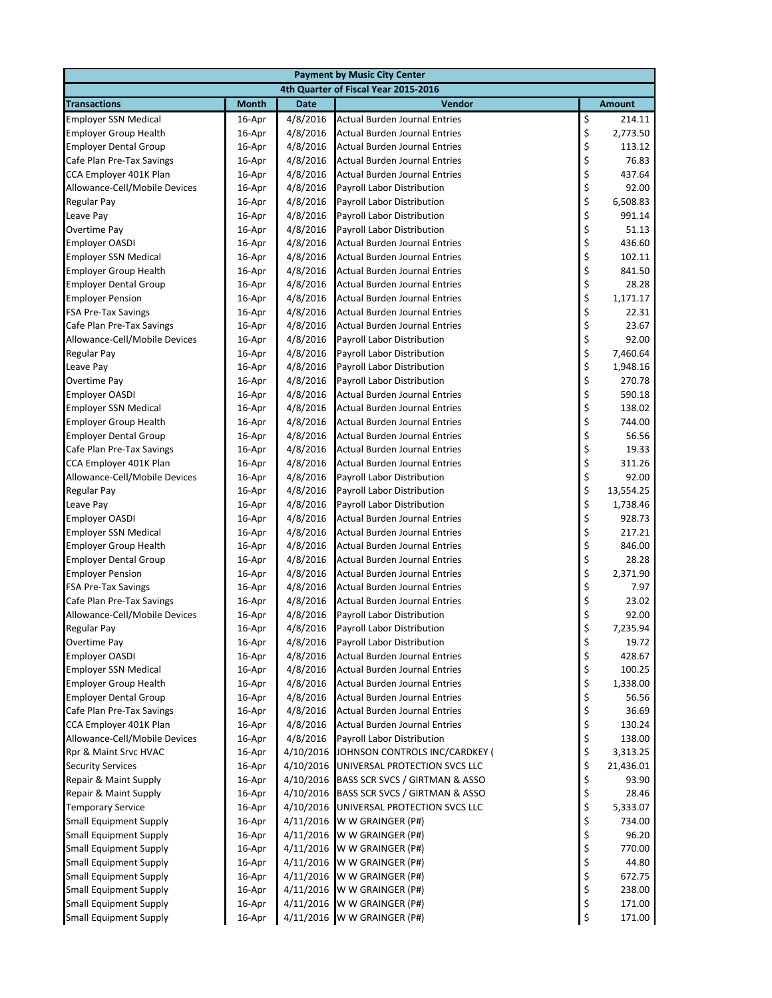| <b>Payment by Music City Center</b>                         |                  |                      |                                                                       |          |                  |  |  |
|-------------------------------------------------------------|------------------|----------------------|-----------------------------------------------------------------------|----------|------------------|--|--|
|                                                             |                  |                      | 4th Quarter of Fiscal Year 2015-2016                                  |          |                  |  |  |
| <b>Transactions</b>                                         | <b>Month</b>     | <b>Date</b>          | Vendor                                                                |          | <b>Amount</b>    |  |  |
| <b>Employer SSN Medical</b>                                 | 16-Apr           | 4/8/2016             | <b>Actual Burden Journal Entries</b>                                  | \$       | 214.11           |  |  |
| <b>Employer Group Health</b>                                | 16-Apr           | 4/8/2016             | Actual Burden Journal Entries                                         | \$       | 2,773.50         |  |  |
| <b>Employer Dental Group</b>                                | 16-Apr           | 4/8/2016             | Actual Burden Journal Entries                                         | \$       | 113.12           |  |  |
| Cafe Plan Pre-Tax Savings                                   | 16-Apr           | 4/8/2016             | Actual Burden Journal Entries                                         | \$       | 76.83            |  |  |
| CCA Employer 401K Plan                                      | 16-Apr           | 4/8/2016             | <b>Actual Burden Journal Entries</b>                                  | \$       | 437.64           |  |  |
| Allowance-Cell/Mobile Devices                               | 16-Apr           | 4/8/2016             | Payroll Labor Distribution                                            | \$       | 92.00            |  |  |
| Regular Pay                                                 | 16-Apr           | 4/8/2016             | Payroll Labor Distribution                                            | \$       | 6,508.83         |  |  |
| Leave Pay                                                   | 16-Apr           | 4/8/2016             | Payroll Labor Distribution                                            | \$       | 991.14           |  |  |
| Overtime Pay                                                | 16-Apr           | 4/8/2016             | Payroll Labor Distribution                                            | \$       | 51.13            |  |  |
| <b>Employer OASDI</b>                                       | 16-Apr           | 4/8/2016             | <b>Actual Burden Journal Entries</b>                                  | \$       | 436.60           |  |  |
| <b>Employer SSN Medical</b>                                 | 16-Apr           | 4/8/2016             | Actual Burden Journal Entries                                         | \$       | 102.11           |  |  |
| <b>Employer Group Health</b>                                | 16-Apr           | 4/8/2016             | Actual Burden Journal Entries                                         | \$       | 841.50           |  |  |
| <b>Employer Dental Group</b>                                | 16-Apr           | 4/8/2016             | Actual Burden Journal Entries                                         | \$<br>\$ | 28.28            |  |  |
| <b>Employer Pension</b>                                     | 16-Apr           | 4/8/2016             | Actual Burden Journal Entries                                         |          | 1,171.17         |  |  |
| <b>FSA Pre-Tax Savings</b>                                  | 16-Apr           | 4/8/2016             | <b>Actual Burden Journal Entries</b>                                  | \$       | 22.31            |  |  |
| Cafe Plan Pre-Tax Savings                                   | 16-Apr           | 4/8/2016             | <b>Actual Burden Journal Entries</b>                                  | \$       | 23.67            |  |  |
| Allowance-Cell/Mobile Devices                               | 16-Apr           | 4/8/2016             | Payroll Labor Distribution                                            | \$<br>\$ | 92.00            |  |  |
| <b>Regular Pay</b>                                          | 16-Apr           | 4/8/2016             | Payroll Labor Distribution                                            |          | 7,460.64         |  |  |
| Leave Pay                                                   | 16-Apr           | 4/8/2016             | Payroll Labor Distribution                                            | \$       | 1,948.16         |  |  |
| Overtime Pay                                                | 16-Apr           | 4/8/2016             | Payroll Labor Distribution                                            | \$       | 270.78           |  |  |
| <b>Employer OASDI</b>                                       | 16-Apr           | 4/8/2016             | Actual Burden Journal Entries                                         | \$       | 590.18           |  |  |
| <b>Employer SSN Medical</b>                                 | 16-Apr           | 4/8/2016             | Actual Burden Journal Entries                                         | \$       | 138.02           |  |  |
| <b>Employer Group Health</b>                                | 16-Apr           | 4/8/2016             | Actual Burden Journal Entries                                         | \$       | 744.00           |  |  |
| <b>Employer Dental Group</b>                                | 16-Apr           | 4/8/2016             | Actual Burden Journal Entries                                         | \$<br>\$ | 56.56            |  |  |
| Cafe Plan Pre-Tax Savings                                   | 16-Apr           | 4/8/2016             | <b>Actual Burden Journal Entries</b>                                  |          | 19.33            |  |  |
| CCA Employer 401K Plan                                      | 16-Apr           | 4/8/2016             | <b>Actual Burden Journal Entries</b>                                  | \$       | 311.26           |  |  |
| Allowance-Cell/Mobile Devices                               | 16-Apr           | 4/8/2016             | Payroll Labor Distribution                                            | \$\$\$   | 92.00            |  |  |
| <b>Regular Pay</b>                                          | 16-Apr           | 4/8/2016             | Payroll Labor Distribution                                            |          | 13,554.25        |  |  |
| Leave Pay                                                   | 16-Apr           | 4/8/2016             | Payroll Labor Distribution                                            |          | 1,738.46         |  |  |
| <b>Employer OASDI</b>                                       | 16-Apr           | 4/8/2016             | Actual Burden Journal Entries                                         | \$       | 928.73           |  |  |
| <b>Employer SSN Medical</b>                                 | 16-Apr           | 4/8/2016             | Actual Burden Journal Entries                                         | \$       | 217.21           |  |  |
| <b>Employer Group Health</b>                                | 16-Apr           | 4/8/2016             | Actual Burden Journal Entries                                         | \$       | 846.00           |  |  |
| <b>Employer Dental Group</b>                                | 16-Apr           | 4/8/2016             | <b>Actual Burden Journal Entries</b>                                  | \$       | 28.28            |  |  |
| <b>Employer Pension</b>                                     | 16-Apr           | 4/8/2016             | Actual Burden Journal Entries                                         | \$       | 2,371.90         |  |  |
| <b>FSA Pre-Tax Savings</b>                                  | 16-Apr           | 4/8/2016             | Actual Burden Journal Entries                                         | \$<br>\$ | 7.97             |  |  |
| Cafe Plan Pre-Tax Savings                                   | 16-Apr           | 4/8/2016             | <b>Actual Burden Journal Entries</b>                                  |          | 23.02            |  |  |
| Allowance-Cell/Mobile Devices                               | 16-Apr           | 4/8/2016             | Payroll Labor Distribution                                            | \$       | 92.00            |  |  |
| Regular Pay                                                 | 16-Apr           | 4/8/2016             | Payroll Labor Distribution                                            | \$       | 7,235.94         |  |  |
| <b>Overtime Pay</b>                                         | 16-Apr           | 4/8/2016             | Payroll Labor Distribution                                            | \$       | 19.72            |  |  |
| <b>Employer OASDI</b>                                       | 16-Apr           | 4/8/2016<br>4/8/2016 | <b>Actual Burden Journal Entries</b>                                  | \$       | 428.67<br>100.25 |  |  |
| <b>Employer SSN Medical</b><br><b>Employer Group Health</b> | 16-Apr<br>16-Apr | 4/8/2016             | Actual Burden Journal Entries<br><b>Actual Burden Journal Entries</b> | \$<br>\$ | 1,338.00         |  |  |
| <b>Employer Dental Group</b>                                | 16-Apr           | 4/8/2016             | Actual Burden Journal Entries                                         | \$       | 56.56            |  |  |
| Cafe Plan Pre-Tax Savings                                   | 16-Apr           | 4/8/2016             | Actual Burden Journal Entries                                         | \$       | 36.69            |  |  |
| CCA Employer 401K Plan                                      | 16-Apr           | 4/8/2016             | Actual Burden Journal Entries                                         | \$       | 130.24           |  |  |
| Allowance-Cell/Mobile Devices                               | 16-Apr           | 4/8/2016             | Payroll Labor Distribution                                            | \$       | 138.00           |  |  |
| Rpr & Maint Srvc HVAC                                       | 16-Apr           | 4/10/2016            | JOHNSON CONTROLS INC/CARDKEY (                                        | \$       | 3,313.25         |  |  |
| <b>Security Services</b>                                    | 16-Apr           | 4/10/2016            | UNIVERSAL PROTECTION SVCS LLC                                         | \$       | 21,436.01        |  |  |
| Repair & Maint Supply                                       | 16-Apr           | 4/10/2016            | BASS SCR SVCS / GIRTMAN & ASSO                                        | \$       | 93.90            |  |  |
| Repair & Maint Supply                                       | 16-Apr           | 4/10/2016            | BASS SCR SVCS / GIRTMAN & ASSO                                        | \$       | 28.46            |  |  |
| <b>Temporary Service</b>                                    | 16-Apr           | 4/10/2016            | UNIVERSAL PROTECTION SVCS LLC                                         | \$       | 5,333.07         |  |  |
| <b>Small Equipment Supply</b>                               | 16-Apr           | 4/11/2016            | W W GRAINGER (P#)                                                     | \$       | 734.00           |  |  |
| <b>Small Equipment Supply</b>                               | 16-Apr           | 4/11/2016            | W W GRAINGER (P#)                                                     | \$       | 96.20            |  |  |
| <b>Small Equipment Supply</b>                               | 16-Apr           | 4/11/2016            | W W GRAINGER (P#)                                                     | \$       | 770.00           |  |  |
| <b>Small Equipment Supply</b>                               | 16-Apr           | 4/11/2016            | W W GRAINGER (P#)                                                     | \$       | 44.80            |  |  |
| <b>Small Equipment Supply</b>                               | 16-Apr           | 4/11/2016            | W W GRAINGER (P#)                                                     | \$       | 672.75           |  |  |
| <b>Small Equipment Supply</b>                               | 16-Apr           | 4/11/2016            | W W GRAINGER (P#)                                                     | \$       | 238.00           |  |  |
| <b>Small Equipment Supply</b>                               | 16-Apr           | 4/11/2016            | W W GRAINGER (P#)                                                     | \$       | 171.00           |  |  |
| <b>Small Equipment Supply</b>                               | 16-Apr           | 4/11/2016            | W W GRAINGER (P#)                                                     | \$       | 171.00           |  |  |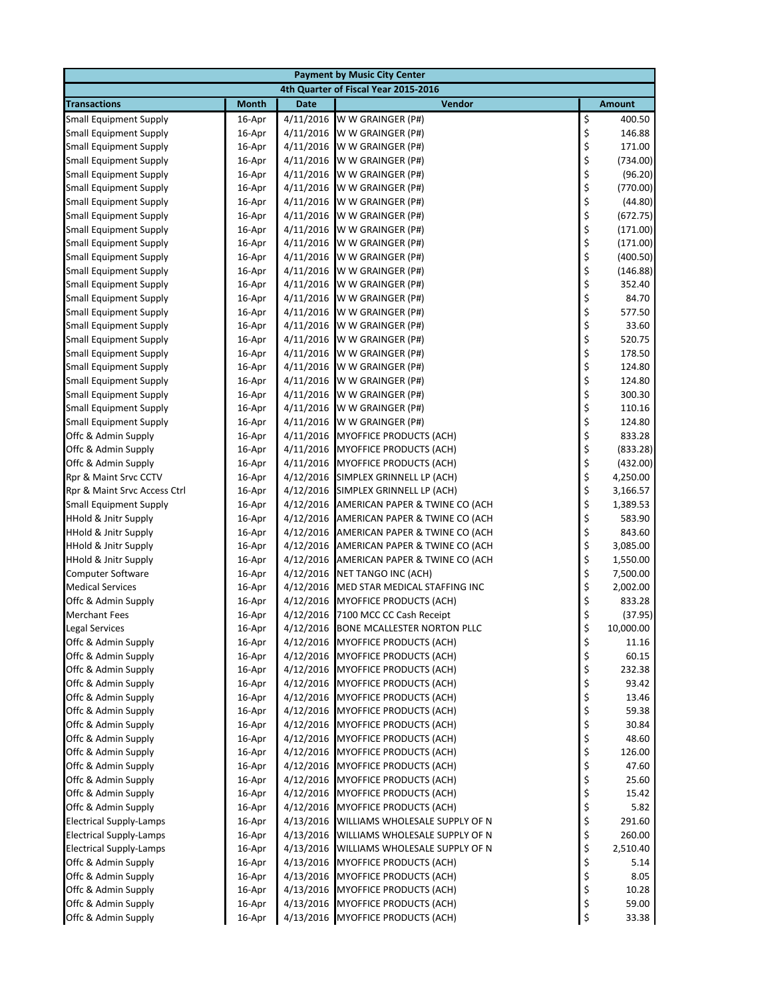|                                            | <b>Payment by Music City Center</b> |             |                                                                        |          |                 |  |  |  |
|--------------------------------------------|-------------------------------------|-------------|------------------------------------------------------------------------|----------|-----------------|--|--|--|
| 4th Quarter of Fiscal Year 2015-2016       |                                     |             |                                                                        |          |                 |  |  |  |
| <b>Transactions</b>                        | <b>Month</b>                        | <b>Date</b> | Vendor                                                                 |          | <b>Amount</b>   |  |  |  |
| <b>Small Equipment Supply</b>              | 16-Apr                              | 4/11/2016   | W W GRAINGER (P#)                                                      | \$       | 400.50          |  |  |  |
| <b>Small Equipment Supply</b>              | 16-Apr                              | 4/11/2016   | W W GRAINGER (P#)                                                      | \$       | 146.88          |  |  |  |
| <b>Small Equipment Supply</b>              | 16-Apr                              | 4/11/2016   | W W GRAINGER (P#)                                                      | \$       | 171.00          |  |  |  |
| <b>Small Equipment Supply</b>              | 16-Apr                              | 4/11/2016   | W W GRAINGER (P#)                                                      | \$       | (734.00)        |  |  |  |
| <b>Small Equipment Supply</b>              | 16-Apr                              | 4/11/2016   | W W GRAINGER (P#)                                                      | \$       | (96.20)         |  |  |  |
| <b>Small Equipment Supply</b>              | 16-Apr                              |             | 4/11/2016 W W GRAINGER (P#)                                            | \$       | (770.00)        |  |  |  |
| <b>Small Equipment Supply</b>              | 16-Apr                              |             | 4/11/2016 W W GRAINGER (P#)                                            | \$       | (44.80)         |  |  |  |
| <b>Small Equipment Supply</b>              | 16-Apr                              | 4/11/2016   | W W GRAINGER (P#)                                                      | \$       | (672.75)        |  |  |  |
| <b>Small Equipment Supply</b>              | 16-Apr                              | 4/11/2016   | W W GRAINGER (P#)                                                      | \$       | (171.00)        |  |  |  |
| <b>Small Equipment Supply</b>              | 16-Apr                              | 4/11/2016   | W W GRAINGER (P#)                                                      | \$       | (171.00)        |  |  |  |
| <b>Small Equipment Supply</b>              | 16-Apr                              |             | 4/11/2016 W W GRAINGER (P#)                                            | \$       | (400.50)        |  |  |  |
| <b>Small Equipment Supply</b>              | 16-Apr                              |             | 4/11/2016 W W GRAINGER (P#)                                            | \$       | (146.88)        |  |  |  |
| <b>Small Equipment Supply</b>              | 16-Apr                              | 4/11/2016   | W W GRAINGER (P#)                                                      | \$       | 352.40          |  |  |  |
| <b>Small Equipment Supply</b>              | 16-Apr                              | 4/11/2016   | W W GRAINGER (P#)                                                      | \$       | 84.70           |  |  |  |
| <b>Small Equipment Supply</b>              | 16-Apr                              | 4/11/2016   | W W GRAINGER (P#)                                                      | \$       | 577.50          |  |  |  |
| <b>Small Equipment Supply</b>              | 16-Apr                              |             | 4/11/2016 W W GRAINGER (P#)                                            | \$       | 33.60           |  |  |  |
| <b>Small Equipment Supply</b>              | 16-Apr                              |             | 4/11/2016 W W GRAINGER (P#)                                            | \$       | 520.75          |  |  |  |
| <b>Small Equipment Supply</b>              | 16-Apr                              |             | 4/11/2016 W W GRAINGER (P#)                                            | \$       | 178.50          |  |  |  |
| <b>Small Equipment Supply</b>              | 16-Apr                              | 4/11/2016   | W W GRAINGER (P#)                                                      | \$       | 124.80          |  |  |  |
| <b>Small Equipment Supply</b>              | 16-Apr                              | 4/11/2016   | W W GRAINGER (P#)                                                      | \$       | 124.80          |  |  |  |
| <b>Small Equipment Supply</b>              | 16-Apr                              | 4/11/2016   | W W GRAINGER (P#)                                                      | \$       | 300.30          |  |  |  |
| <b>Small Equipment Supply</b>              | 16-Apr                              |             | 4/11/2016 W W GRAINGER (P#)                                            | \$       | 110.16          |  |  |  |
| <b>Small Equipment Supply</b>              | 16-Apr                              |             | 4/11/2016 W W GRAINGER (P#)                                            | \$       | 124.80          |  |  |  |
| Offc & Admin Supply                        | 16-Apr                              | 4/11/2016   | <b>MYOFFICE PRODUCTS (ACH)</b>                                         | \$       | 833.28          |  |  |  |
| Offc & Admin Supply                        | 16-Apr                              | 4/11/2016   | <b>MYOFFICE PRODUCTS (ACH)</b>                                         | \$       | (833.28)        |  |  |  |
| Offc & Admin Supply                        | 16-Apr                              | 4/11/2016   | <b>MYOFFICE PRODUCTS (ACH)</b>                                         | \$       | (432.00)        |  |  |  |
| Rpr & Maint Srvc CCTV                      | 16-Apr                              |             | 4/12/2016 SIMPLEX GRINNELL LP (ACH)                                    | \$       | 4,250.00        |  |  |  |
| Rpr & Maint Srvc Access Ctrl               | 16-Apr                              |             | 4/12/2016 SIMPLEX GRINNELL LP (ACH)                                    | \$       | 3,166.57        |  |  |  |
| <b>Small Equipment Supply</b>              | 16-Apr                              | 4/12/2016   | AMERICAN PAPER & TWINE CO (ACH                                         | \$       | 1,389.53        |  |  |  |
| <b>HHold &amp; Jnitr Supply</b>            | 16-Apr                              | 4/12/2016   | AMERICAN PAPER & TWINE CO (ACH                                         | \$       | 583.90          |  |  |  |
| <b>HHold &amp; Jnitr Supply</b>            | 16-Apr                              | 4/12/2016   | AMERICAN PAPER & TWINE CO (ACH                                         | \$       | 843.60          |  |  |  |
| <b>HHold &amp; Jnitr Supply</b>            | 16-Apr                              | 4/12/2016   | AMERICAN PAPER & TWINE CO (ACH                                         | \$       | 3,085.00        |  |  |  |
| <b>HHold &amp; Jnitr Supply</b>            | 16-Apr                              |             | 4/12/2016 AMERICAN PAPER & TWINE CO (ACH                               | \$       | 1,550.00        |  |  |  |
| Computer Software                          | 16-Apr                              | 4/12/2016   | NET TANGO INC (ACH)                                                    | \$       | 7,500.00        |  |  |  |
| <b>Medical Services</b>                    | 16-Apr                              | 4/12/2016   | MED STAR MEDICAL STAFFING INC                                          | \$       | 2,002.00        |  |  |  |
| Offc & Admin Supply                        | 16-Apr                              | 4/12/2016   | <b>MYOFFICE PRODUCTS (ACH)</b>                                         | \$       | 833.28          |  |  |  |
| <b>Merchant Fees</b>                       | 16-Apr                              | 4/12/2016   | 7100 MCC CC Cash Receipt                                               | \$       | (37.95)         |  |  |  |
| <b>Legal Services</b>                      | 16-Apr                              |             | 4/12/2016 BONE MCALLESTER NORTON PLLC                                  | \$       | 10,000.00       |  |  |  |
| Offc & Admin Supply<br>Offc & Admin Supply | 16-Apr                              | 4/12/2016   | <b>MYOFFICE PRODUCTS (ACH)</b><br><b>MYOFFICE PRODUCTS (ACH)</b>       | \$       | 11.16           |  |  |  |
| Offc & Admin Supply                        | 16-Apr                              | 4/12/2016   |                                                                        | \$       | 60.15<br>232.38 |  |  |  |
|                                            | 16-Apr                              |             | 4/12/2016 MYOFFICE PRODUCTS (ACH)<br><b>MYOFFICE PRODUCTS (ACH)</b>    | \$<br>\$ | 93.42           |  |  |  |
| Offc & Admin Supply                        | 16-Apr                              | 4/12/2016   |                                                                        | \$       |                 |  |  |  |
| Offc & Admin Supply<br>Offc & Admin Supply | 16-Apr<br>16-Apr                    |             | 4/12/2016 MYOFFICE PRODUCTS (ACH)<br>4/12/2016 MYOFFICE PRODUCTS (ACH) | \$       | 13.46<br>59.38  |  |  |  |
| Offc & Admin Supply                        | 16-Apr                              |             | 4/12/2016 MYOFFICE PRODUCTS (ACH)                                      | \$       | 30.84           |  |  |  |
| Offc & Admin Supply                        | 16-Apr                              |             | 4/12/2016 MYOFFICE PRODUCTS (ACH)                                      | \$       | 48.60           |  |  |  |
| Offc & Admin Supply                        | 16-Apr                              | 4/12/2016   | <b>MYOFFICE PRODUCTS (ACH)</b>                                         | \$       | 126.00          |  |  |  |
| Offc & Admin Supply                        | 16-Apr                              | 4/12/2016   | MYOFFICE PRODUCTS (ACH)                                                | \$       | 47.60           |  |  |  |
| Offc & Admin Supply                        | 16-Apr                              | 4/12/2016   | <b>MYOFFICE PRODUCTS (ACH)</b>                                         | \$       | 25.60           |  |  |  |
| Offc & Admin Supply                        | 16-Apr                              |             | 4/12/2016 MYOFFICE PRODUCTS (ACH)                                      | \$       | 15.42           |  |  |  |
| Offc & Admin Supply                        | 16-Apr                              | 4/12/2016   | MYOFFICE PRODUCTS (ACH)                                                | \$       | 5.82            |  |  |  |
| <b>Electrical Supply-Lamps</b>             | 16-Apr                              | 4/13/2016   | WILLIAMS WHOLESALE SUPPLY OF N                                         | \$       | 291.60          |  |  |  |
| <b>Electrical Supply-Lamps</b>             | 16-Apr                              | 4/13/2016   | WILLIAMS WHOLESALE SUPPLY OF N                                         | \$       | 260.00          |  |  |  |
| <b>Electrical Supply-Lamps</b>             | 16-Apr                              | 4/13/2016   | WILLIAMS WHOLESALE SUPPLY OF N                                         | \$       | 2,510.40        |  |  |  |
| Offc & Admin Supply                        | 16-Apr                              |             | 4/13/2016 MYOFFICE PRODUCTS (ACH)                                      | \$       | 5.14            |  |  |  |
| Offc & Admin Supply                        | 16-Apr                              |             | 4/13/2016 MYOFFICE PRODUCTS (ACH)                                      | \$       | 8.05            |  |  |  |
| Offc & Admin Supply                        | 16-Apr                              |             | 4/13/2016 MYOFFICE PRODUCTS (ACH)                                      | \$       | 10.28           |  |  |  |
| Offc & Admin Supply                        | 16-Apr                              |             | 4/13/2016 MYOFFICE PRODUCTS (ACH)                                      | \$       | 59.00           |  |  |  |
| Offc & Admin Supply                        | 16-Apr                              |             | 4/13/2016 MYOFFICE PRODUCTS (ACH)                                      | \$       | 33.38           |  |  |  |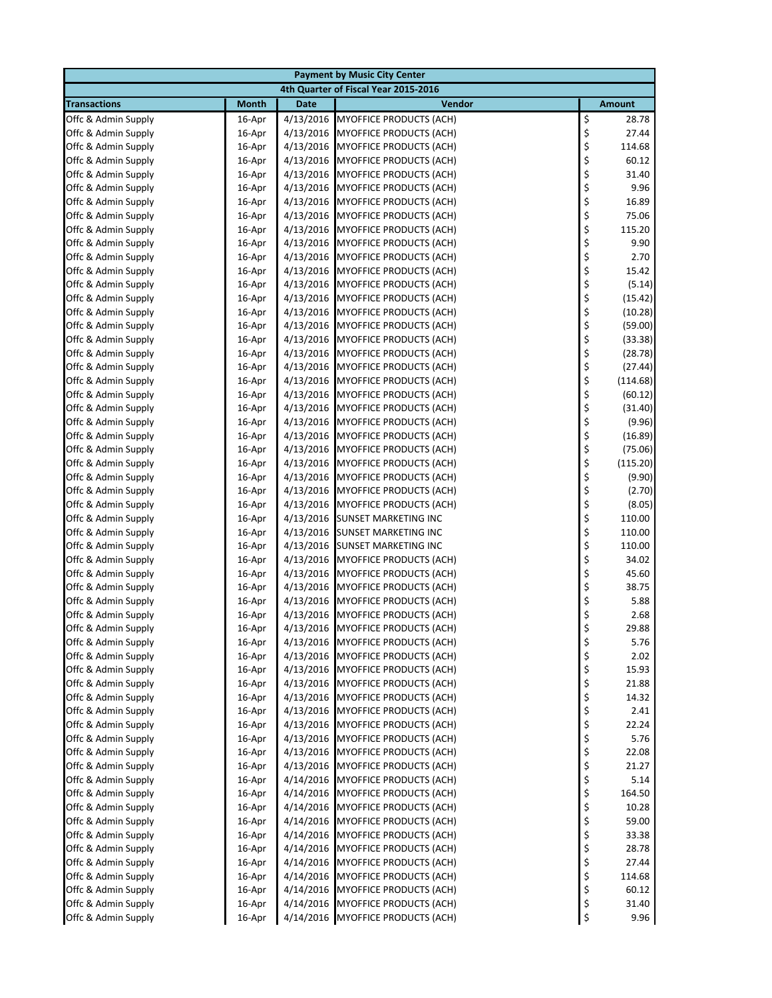| <b>Payment by Music City Center</b>        |                  |             |                                                                        |          |                    |  |  |  |
|--------------------------------------------|------------------|-------------|------------------------------------------------------------------------|----------|--------------------|--|--|--|
| 4th Quarter of Fiscal Year 2015-2016       |                  |             |                                                                        |          |                    |  |  |  |
| <b>Transactions</b>                        | <b>Month</b>     | <b>Date</b> | Vendor                                                                 |          | <b>Amount</b>      |  |  |  |
| Offc & Admin Supply                        | 16-Apr           | 4/13/2016   | <b>MYOFFICE PRODUCTS (ACH)</b>                                         | \$       | 28.78              |  |  |  |
| Offc & Admin Supply                        | 16-Apr           | 4/13/2016   | <b>MYOFFICE PRODUCTS (ACH)</b>                                         | \$       | 27.44              |  |  |  |
| Offc & Admin Supply                        | 16-Apr           | 4/13/2016   | <b>MYOFFICE PRODUCTS (ACH)</b>                                         | \$       | 114.68             |  |  |  |
| Offc & Admin Supply                        | 16-Apr           | 4/13/2016   | <b>MYOFFICE PRODUCTS (ACH)</b>                                         | \$       | 60.12              |  |  |  |
| Offc & Admin Supply                        | 16-Apr           | 4/13/2016   | <b>MYOFFICE PRODUCTS (ACH)</b>                                         | \$       | 31.40              |  |  |  |
| Offc & Admin Supply                        | 16-Apr           | 4/13/2016   | MYOFFICE PRODUCTS (ACH)                                                | \$       | 9.96               |  |  |  |
| Offc & Admin Supply                        | 16-Apr           | 4/13/2016   | <b>MYOFFICE PRODUCTS (ACH)</b>                                         | \$       | 16.89              |  |  |  |
| Offc & Admin Supply                        | 16-Apr           | 4/13/2016   | <b>MYOFFICE PRODUCTS (ACH)</b>                                         | \$       | 75.06              |  |  |  |
| Offc & Admin Supply                        | 16-Apr           | 4/13/2016   | MYOFFICE PRODUCTS (ACH)                                                | \$       | 115.20             |  |  |  |
| Offc & Admin Supply                        | 16-Apr           | 4/13/2016   | <b>MYOFFICE PRODUCTS (ACH)</b>                                         | \$       | 9.90               |  |  |  |
| Offc & Admin Supply                        | 16-Apr           | 4/13/2016   | <b>MYOFFICE PRODUCTS (ACH)</b>                                         | \$       | 2.70               |  |  |  |
| Offc & Admin Supply                        | 16-Apr           | 4/13/2016   | <b>MYOFFICE PRODUCTS (ACH)</b>                                         | \$       | 15.42              |  |  |  |
| Offc & Admin Supply                        | 16-Apr           |             | 4/13/2016 MYOFFICE PRODUCTS (ACH)                                      | \$<br>\$ | (5.14)             |  |  |  |
| Offc & Admin Supply                        | 16-Apr           | 4/13/2016   | <b>MYOFFICE PRODUCTS (ACH)</b>                                         | \$       | (15.42)            |  |  |  |
| Offc & Admin Supply<br>Offc & Admin Supply | 16-Apr<br>16-Apr | 4/13/2016   | <b>MYOFFICE PRODUCTS (ACH)</b><br>4/13/2016 MYOFFICE PRODUCTS (ACH)    | \$       | (10.28)<br>(59.00) |  |  |  |
| Offc & Admin Supply                        | 16-Apr           | 4/13/2016   | <b>MYOFFICE PRODUCTS (ACH)</b>                                         | \$       | (33.38)            |  |  |  |
| Offc & Admin Supply                        | 16-Apr           |             | 4/13/2016 MYOFFICE PRODUCTS (ACH)                                      | \$       | (28.78)            |  |  |  |
| Offc & Admin Supply                        | 16-Apr           | 4/13/2016   | <b>MYOFFICE PRODUCTS (ACH)</b>                                         | \$       | (27.44)            |  |  |  |
| Offc & Admin Supply                        | 16-Apr           | 4/13/2016   | <b>MYOFFICE PRODUCTS (ACH)</b>                                         | \$       | (114.68)           |  |  |  |
| Offc & Admin Supply                        | 16-Apr           | 4/13/2016   | <b>MYOFFICE PRODUCTS (ACH)</b>                                         | \$       | (60.12)            |  |  |  |
| Offc & Admin Supply                        | 16-Apr           | 4/13/2016   | <b>MYOFFICE PRODUCTS (ACH)</b>                                         | \$       | (31.40)            |  |  |  |
| Offc & Admin Supply                        | 16-Apr           | 4/13/2016   | <b>MYOFFICE PRODUCTS (ACH)</b>                                         | \$       | (9.96)             |  |  |  |
| Offc & Admin Supply                        | 16-Apr           | 4/13/2016   | <b>MYOFFICE PRODUCTS (ACH)</b>                                         | \$       | (16.89)            |  |  |  |
| Offc & Admin Supply                        | 16-Apr           | 4/13/2016   | <b>MYOFFICE PRODUCTS (ACH)</b>                                         | \$       | (75.06)            |  |  |  |
| Offc & Admin Supply                        | 16-Apr           | 4/13/2016   | <b>MYOFFICE PRODUCTS (ACH)</b>                                         | \$       | (115.20)           |  |  |  |
| Offc & Admin Supply                        | 16-Apr           |             | 4/13/2016 MYOFFICE PRODUCTS (ACH)                                      | \$       | (9.90)             |  |  |  |
| Offc & Admin Supply                        | 16-Apr           |             | 4/13/2016 MYOFFICE PRODUCTS (ACH)                                      | \$       | (2.70)             |  |  |  |
| Offc & Admin Supply                        | 16-Apr           |             | 4/13/2016 MYOFFICE PRODUCTS (ACH)                                      | \$       | (8.05)             |  |  |  |
| Offc & Admin Supply                        | 16-Apr           | 4/13/2016   | <b>SUNSET MARKETING INC</b>                                            | \$       | 110.00             |  |  |  |
| Offc & Admin Supply                        | 16-Apr           | 4/13/2016   | <b>SUNSET MARKETING INC</b>                                            | \$       | 110.00             |  |  |  |
| Offc & Admin Supply                        | 16-Apr           | 4/13/2016   | <b>SUNSET MARKETING INC</b>                                            | \$       | 110.00             |  |  |  |
| Offc & Admin Supply                        | 16-Apr           | 4/13/2016   | <b>MYOFFICE PRODUCTS (ACH)</b>                                         | \$       | 34.02              |  |  |  |
| Offc & Admin Supply                        | 16-Apr           | 4/13/2016   | <b>MYOFFICE PRODUCTS (ACH)</b>                                         | \$       | 45.60              |  |  |  |
| Offc & Admin Supply                        | 16-Apr           | 4/13/2016   | MYOFFICE PRODUCTS (ACH)                                                | \$       | 38.75              |  |  |  |
| Offc & Admin Supply                        | 16-Apr           | 4/13/2016   | <b>MYOFFICE PRODUCTS (ACH)</b>                                         | \$       | 5.88               |  |  |  |
| Offc & Admin Supply                        | 16-Apr           | 4/13/2016   | <b>MYOFFICE PRODUCTS (ACH)</b>                                         | \$       | 2.68               |  |  |  |
| Offc & Admin Supply                        | 16-Apr           |             | 4/13/2016 MYOFFICE PRODUCTS (ACH)                                      | \$       | 29.88              |  |  |  |
| Offc & Admin Supply                        | 16-Apr           | 4/13/2016   | <b>MYOFFICE PRODUCTS (ACH)</b>                                         | \$       | 5.76               |  |  |  |
| Offc & Admin Supply                        | 16-Apr           | 4/13/2016   | <b>MYOFFICE PRODUCTS (ACH)</b>                                         | \$       | 2.02               |  |  |  |
| Offc & Admin Supply                        | 16-Apr           |             | 4/13/2016 MYOFFICE PRODUCTS (ACH)                                      | \$       | 15.93              |  |  |  |
| Offc & Admin Supply                        | 16-Apr           | 4/13/2016   | <b>MYOFFICE PRODUCTS (ACH)</b>                                         | \$       | 21.88              |  |  |  |
| Offc & Admin Supply                        | 16-Apr           | 4/13/2016   | <b>MYOFFICE PRODUCTS (ACH)</b>                                         | \$       | 14.32              |  |  |  |
| Offc & Admin Supply                        | 16-Apr           |             | 4/13/2016 MYOFFICE PRODUCTS (ACH)                                      | \$       | 2.41               |  |  |  |
| Offc & Admin Supply                        | 16-Apr           | 4/13/2016   | <b>MYOFFICE PRODUCTS (ACH)</b>                                         | \$       | 22.24              |  |  |  |
| Offc & Admin Supply                        | 16-Apr           | 4/13/2016   | <b>MYOFFICE PRODUCTS (ACH)</b>                                         | \$       | 5.76               |  |  |  |
| Offc & Admin Supply                        | 16-Apr           | 4/13/2016   | MYOFFICE PRODUCTS (ACH)                                                | \$       | 22.08              |  |  |  |
| Offc & Admin Supply                        | 16-Apr           | 4/13/2016   | MYOFFICE PRODUCTS (ACH)                                                | \$       | 21.27              |  |  |  |
| Offc & Admin Supply                        | 16-Apr           | 4/14/2016   | MYOFFICE PRODUCTS (ACH)                                                | \$       | 5.14               |  |  |  |
| Offc & Admin Supply                        | 16-Apr           |             | 4/14/2016 MYOFFICE PRODUCTS (ACH)                                      | \$       | 164.50             |  |  |  |
| Offc & Admin Supply                        | 16-Apr           | 4/14/2016   | <b>MYOFFICE PRODUCTS (ACH)</b>                                         | \$       | 10.28              |  |  |  |
| Offc & Admin Supply                        | 16-Apr           |             | 4/14/2016 MYOFFICE PRODUCTS (ACH)                                      | \$       | 59.00              |  |  |  |
| Offc & Admin Supply                        | 16-Apr           | 4/14/2016   | MYOFFICE PRODUCTS (ACH)                                                | \$       | 33.38              |  |  |  |
| Offc & Admin Supply                        | 16-Apr           | 4/14/2016   | <b>MYOFFICE PRODUCTS (ACH)</b>                                         | \$       | 28.78              |  |  |  |
| Offc & Admin Supply<br>Offc & Admin Supply | 16-Apr<br>16-Apr |             | 4/14/2016 MYOFFICE PRODUCTS (ACH)<br>4/14/2016 MYOFFICE PRODUCTS (ACH) | \$<br>\$ | 27.44<br>114.68    |  |  |  |
|                                            |                  |             |                                                                        |          |                    |  |  |  |
| Offc & Admin Supply<br>Offc & Admin Supply | 16-Apr<br>16-Apr |             | 4/14/2016 MYOFFICE PRODUCTS (ACH)<br>4/14/2016 MYOFFICE PRODUCTS (ACH) | \$<br>\$ | 60.12<br>31.40     |  |  |  |
| Offc & Admin Supply                        | 16-Apr           |             | 4/14/2016 MYOFFICE PRODUCTS (ACH)                                      | \$       | 9.96               |  |  |  |
|                                            |                  |             |                                                                        |          |                    |  |  |  |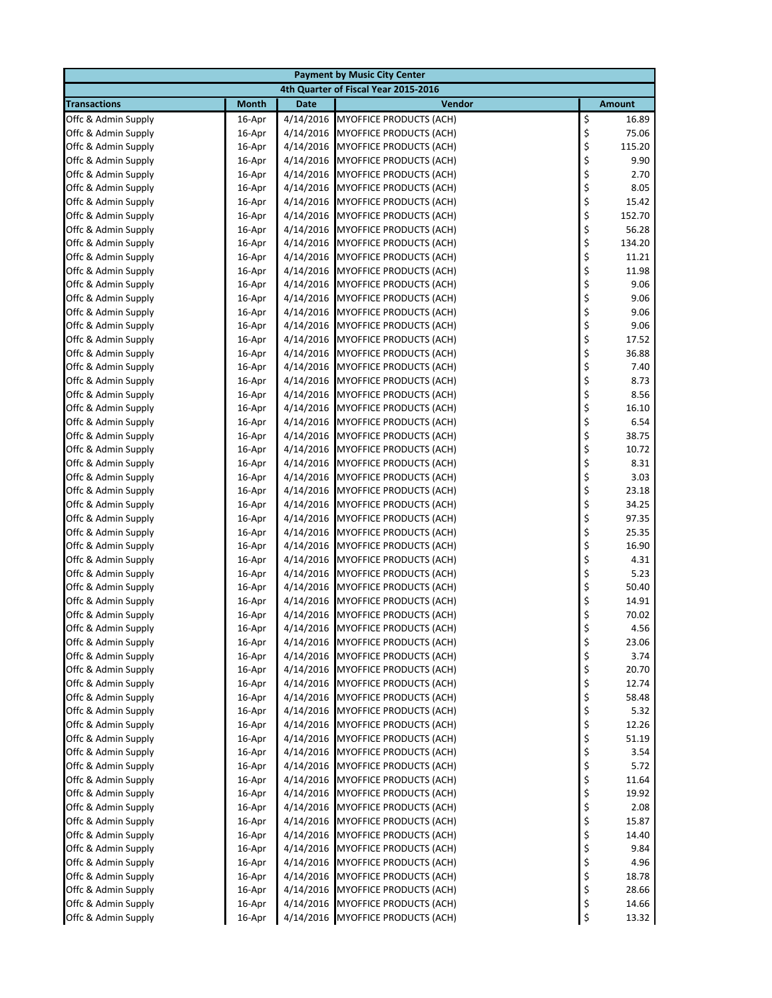| <b>Payment by Music City Center</b>        |                  |           |                                                                        |          |               |  |  |
|--------------------------------------------|------------------|-----------|------------------------------------------------------------------------|----------|---------------|--|--|
| 4th Quarter of Fiscal Year 2015-2016       |                  |           |                                                                        |          |               |  |  |
| <b>Transactions</b>                        | <b>Month</b>     | Date      | Vendor                                                                 |          | <b>Amount</b> |  |  |
| Offc & Admin Supply                        | 16-Apr           | 4/14/2016 | <b>MYOFFICE PRODUCTS (ACH)</b>                                         | \$       | 16.89         |  |  |
| Offc & Admin Supply                        | 16-Apr           | 4/14/2016 | MYOFFICE PRODUCTS (ACH)                                                | \$       | 75.06         |  |  |
| Offc & Admin Supply                        | 16-Apr           | 4/14/2016 | <b>MYOFFICE PRODUCTS (ACH)</b>                                         | \$       | 115.20        |  |  |
| Offc & Admin Supply                        | 16-Apr           | 4/14/2016 | <b>MYOFFICE PRODUCTS (ACH)</b>                                         | \$       | 9.90          |  |  |
| Offc & Admin Supply                        | 16-Apr           |           | 4/14/2016 MYOFFICE PRODUCTS (ACH)                                      | \$       | 2.70          |  |  |
| Offc & Admin Supply                        | 16-Apr           | 4/14/2016 | <b>MYOFFICE PRODUCTS (ACH)</b>                                         | \$       | 8.05          |  |  |
| Offc & Admin Supply                        | 16-Apr           | 4/14/2016 | <b>MYOFFICE PRODUCTS (ACH)</b>                                         | \$       | 15.42         |  |  |
| Offc & Admin Supply                        | 16-Apr           | 4/14/2016 | <b>MYOFFICE PRODUCTS (ACH)</b>                                         | \$       | 152.70        |  |  |
| Offc & Admin Supply                        | 16-Apr           | 4/14/2016 | <b>MYOFFICE PRODUCTS (ACH)</b>                                         | \$       | 56.28         |  |  |
| Offc & Admin Supply                        | 16-Apr           | 4/14/2016 | <b>MYOFFICE PRODUCTS (ACH)</b>                                         | \$       | 134.20        |  |  |
| Offc & Admin Supply                        | 16-Apr           |           | 4/14/2016 MYOFFICE PRODUCTS (ACH)                                      | \$       | 11.21         |  |  |
| Offc & Admin Supply                        | 16-Apr           |           | 4/14/2016 MYOFFICE PRODUCTS (ACH)                                      | \$       | 11.98         |  |  |
| Offc & Admin Supply                        | 16-Apr           | 4/14/2016 | MYOFFICE PRODUCTS (ACH)                                                | \$       | 9.06          |  |  |
| Offc & Admin Supply                        | 16-Apr           | 4/14/2016 | MYOFFICE PRODUCTS (ACH)                                                | \$       | 9.06          |  |  |
| Offc & Admin Supply                        | 16-Apr           | 4/14/2016 | <b>MYOFFICE PRODUCTS (ACH)</b>                                         | \$       | 9.06          |  |  |
| Offc & Admin Supply<br>Offc & Admin Supply | 16-Apr<br>16-Apr |           | 4/14/2016 MYOFFICE PRODUCTS (ACH)<br>4/14/2016 MYOFFICE PRODUCTS (ACH) | \$<br>\$ | 9.06<br>17.52 |  |  |
| Offc & Admin Supply                        | 16-Apr           |           | 4/14/2016 MYOFFICE PRODUCTS (ACH)                                      | \$       | 36.88         |  |  |
| Offc & Admin Supply                        | 16-Apr           | 4/14/2016 | <b>MYOFFICE PRODUCTS (ACH)</b>                                         | \$       | 7.40          |  |  |
| Offc & Admin Supply                        | 16-Apr           | 4/14/2016 | <b>MYOFFICE PRODUCTS (ACH)</b>                                         | \$       | 8.73          |  |  |
| Offc & Admin Supply                        | 16-Apr           | 4/14/2016 | <b>MYOFFICE PRODUCTS (ACH)</b>                                         | \$       | 8.56          |  |  |
| Offc & Admin Supply                        | 16-Apr           |           | 4/14/2016 MYOFFICE PRODUCTS (ACH)                                      | \$       | 16.10         |  |  |
| Offc & Admin Supply                        | 16-Apr           | 4/14/2016 | MYOFFICE PRODUCTS (ACH)                                                | \$       | 6.54          |  |  |
| Offc & Admin Supply                        | 16-Apr           |           | 4/14/2016 MYOFFICE PRODUCTS (ACH)                                      | \$       | 38.75         |  |  |
| Offc & Admin Supply                        | 16-Apr           | 4/14/2016 | <b>MYOFFICE PRODUCTS (ACH)</b>                                         | \$       | 10.72         |  |  |
| Offc & Admin Supply                        | 16-Apr           | 4/14/2016 | <b>MYOFFICE PRODUCTS (ACH)</b>                                         | \$       | 8.31          |  |  |
| Offc & Admin Supply                        | 16-Apr           |           | 4/14/2016 MYOFFICE PRODUCTS (ACH)                                      | \$       | 3.03          |  |  |
| Offc & Admin Supply                        | 16-Apr           |           | 4/14/2016 MYOFFICE PRODUCTS (ACH)                                      | \$       | 23.18         |  |  |
| Offc & Admin Supply                        | 16-Apr           |           | 4/14/2016 MYOFFICE PRODUCTS (ACH)                                      | \$       | 34.25         |  |  |
| Offc & Admin Supply                        | 16-Apr           | 4/14/2016 | <b>MYOFFICE PRODUCTS (ACH)</b>                                         | \$       | 97.35         |  |  |
| Offc & Admin Supply                        | 16-Apr           | 4/14/2016 | <b>MYOFFICE PRODUCTS (ACH)</b>                                         | \$       | 25.35         |  |  |
| Offc & Admin Supply                        | 16-Apr           | 4/14/2016 | <b>MYOFFICE PRODUCTS (ACH)</b>                                         | \$       | 16.90         |  |  |
| Offc & Admin Supply                        | 16-Apr           | 4/14/2016 | MYOFFICE PRODUCTS (ACH)                                                | \$       | 4.31          |  |  |
| Offc & Admin Supply                        | 16-Apr           | 4/14/2016 | <b>MYOFFICE PRODUCTS (ACH)</b>                                         | \$       | 5.23          |  |  |
| Offc & Admin Supply                        | 16-Apr           |           | 4/14/2016 MYOFFICE PRODUCTS (ACH)                                      | \$       | 50.40         |  |  |
| Offc & Admin Supply                        | 16-Apr           | 4/14/2016 | <b>MYOFFICE PRODUCTS (ACH)</b>                                         | \$       | 14.91         |  |  |
| Offc & Admin Supply                        | 16-Apr           | 4/14/2016 | <b>MYOFFICE PRODUCTS (ACH)</b>                                         | \$       | 70.02         |  |  |
| Offc & Admin Supply                        | 16-Apr           |           | 4/14/2016 MYOFFICE PRODUCTS (ACH)                                      | \$       | 4.56          |  |  |
| Offc & Admin Supply                        | 16-Apr           |           | 4/14/2016 MYOFFICE PRODUCTS (ACH)                                      | \$       | 23.06         |  |  |
| Offc & Admin Supply                        | 16-Apr           | 4/14/2016 | MYOFFICE PRODUCTS (ACH)                                                | \$       | 3.74          |  |  |
| Offc & Admin Supply                        | 16-Apr           |           | 4/14/2016 MYOFFICE PRODUCTS (ACH)                                      | \$       | 20.70         |  |  |
| Offc & Admin Supply                        | 16-Apr           |           | 4/14/2016 MYOFFICE PRODUCTS (ACH)                                      | \$       | 12.74         |  |  |
| Offc & Admin Supply                        | 16-Apr           |           | 4/14/2016 MYOFFICE PRODUCTS (ACH)                                      | \$       | 58.48         |  |  |
| Offc & Admin Supply                        | 16-Apr           |           | 4/14/2016 MYOFFICE PRODUCTS (ACH)                                      | \$       | 5.32          |  |  |
| Offc & Admin Supply                        | 16-Apr           |           | 4/14/2016 MYOFFICE PRODUCTS (ACH)                                      | \$       | 12.26         |  |  |
| Offc & Admin Supply                        | 16-Apr           |           | 4/14/2016 MYOFFICE PRODUCTS (ACH)                                      | \$       | 51.19         |  |  |
| Offc & Admin Supply                        | 16-Apr           | 4/14/2016 | <b>MYOFFICE PRODUCTS (ACH)</b>                                         | \$       | 3.54          |  |  |
| Offc & Admin Supply                        | 16-Apr           | 4/14/2016 | <b>MYOFFICE PRODUCTS (ACH)</b>                                         | \$       | 5.72          |  |  |
| Offc & Admin Supply                        | 16-Apr           | 4/14/2016 | MYOFFICE PRODUCTS (ACH)                                                | \$       | 11.64         |  |  |
| Offc & Admin Supply                        | 16-Apr           |           | 4/14/2016 MYOFFICE PRODUCTS (ACH)                                      | \$       | 19.92         |  |  |
| Offc & Admin Supply                        | 16-Apr           |           | 4/14/2016 MYOFFICE PRODUCTS (ACH)                                      | \$       | 2.08          |  |  |
| Offc & Admin Supply                        | 16-Apr           |           | 4/14/2016 MYOFFICE PRODUCTS (ACH)                                      | \$       | 15.87         |  |  |
| Offc & Admin Supply                        | 16-Apr           |           | 4/14/2016 MYOFFICE PRODUCTS (ACH)                                      | \$<br>\$ | 14.40         |  |  |
| Offc & Admin Supply<br>Offc & Admin Supply | 16-Apr           |           | 4/14/2016 MYOFFICE PRODUCTS (ACH)<br>4/14/2016 MYOFFICE PRODUCTS (ACH) | \$       | 9.84<br>4.96  |  |  |
| Offc & Admin Supply                        | 16-Apr<br>16-Apr |           | 4/14/2016 MYOFFICE PRODUCTS (ACH)                                      | \$       | 18.78         |  |  |
| Offc & Admin Supply                        | 16-Apr           |           | 4/14/2016 MYOFFICE PRODUCTS (ACH)                                      | \$       | 28.66         |  |  |
| Offc & Admin Supply                        | 16-Apr           |           | 4/14/2016 MYOFFICE PRODUCTS (ACH)                                      | \$       | 14.66         |  |  |
| Offc & Admin Supply                        | $16$ -Apr        |           | 4/14/2016 MYOFFICE PRODUCTS (ACH)                                      | \$       | 13.32         |  |  |
|                                            |                  |           |                                                                        |          |               |  |  |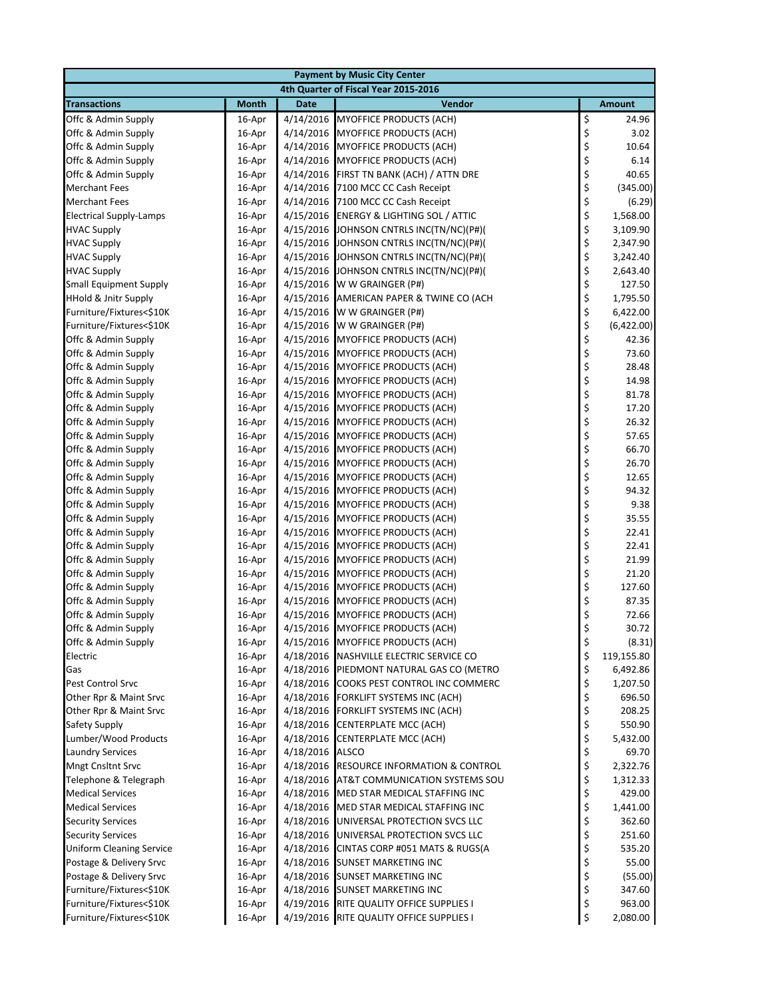|                                                  | <b>Payment by Music City Center</b> |             |                                                                              |          |                  |  |  |  |
|--------------------------------------------------|-------------------------------------|-------------|------------------------------------------------------------------------------|----------|------------------|--|--|--|
| 4th Quarter of Fiscal Year 2015-2016             |                                     |             |                                                                              |          |                  |  |  |  |
| <b>Transactions</b>                              | <b>Month</b>                        | <b>Date</b> | Vendor                                                                       |          | <b>Amount</b>    |  |  |  |
| Offc & Admin Supply                              | 16-Apr                              | 4/14/2016   | MYOFFICE PRODUCTS (ACH)                                                      | \$       | 24.96            |  |  |  |
| Offc & Admin Supply                              | 16-Apr                              | 4/14/2016   | <b>MYOFFICE PRODUCTS (ACH)</b>                                               | \$       | 3.02             |  |  |  |
| Offc & Admin Supply                              | 16-Apr                              | 4/14/2016   | <b>MYOFFICE PRODUCTS (ACH)</b>                                               | \$       | 10.64            |  |  |  |
| Offc & Admin Supply                              | 16-Apr                              | 4/14/2016   | <b>MYOFFICE PRODUCTS (ACH)</b>                                               | \$       | 6.14             |  |  |  |
| Offc & Admin Supply                              | 16-Apr                              | 4/14/2016   | FIRST TN BANK (ACH) / ATTN DRE                                               | \$       | 40.65            |  |  |  |
| <b>Merchant Fees</b>                             | 16-Apr                              | 4/14/2016   | 7100 MCC CC Cash Receipt                                                     | \$       | (345.00)         |  |  |  |
| <b>Merchant Fees</b>                             | 16-Apr                              | 4/14/2016   | 7100 MCC CC Cash Receipt                                                     | \$       | (6.29)           |  |  |  |
| <b>Electrical Supply-Lamps</b>                   | 16-Apr                              | 4/15/2016   | <b>ENERGY &amp; LIGHTING SOL / ATTIC</b>                                     | \$       | 1,568.00         |  |  |  |
| <b>HVAC Supply</b>                               | 16-Apr                              | 4/15/2016   | JOHNSON CNTRLS INC(TN/NC)(P#)(                                               | \$       | 3,109.90         |  |  |  |
| <b>HVAC Supply</b>                               | 16-Apr                              | 4/15/2016   | JOHNSON CNTRLS INC(TN/NC)(P#)(                                               | \$       | 2,347.90         |  |  |  |
| <b>HVAC Supply</b>                               | 16-Apr                              | 4/15/2016   | JOHNSON CNTRLS INC(TN/NC)(P#)(                                               | \$       | 3,242.40         |  |  |  |
| <b>HVAC Supply</b>                               | 16-Apr                              | 4/15/2016   | JOHNSON CNTRLS INC(TN/NC)(P#)(                                               | \$       | 2,643.40         |  |  |  |
| <b>Small Equipment Supply</b>                    | 16-Apr                              | 4/15/2016   | W W GRAINGER (P#)                                                            | \$       | 127.50           |  |  |  |
| <b>HHold &amp; Jnitr Supply</b>                  | 16-Apr                              | 4/15/2016   | AMERICAN PAPER & TWINE CO (ACH                                               | \$       | 1,795.50         |  |  |  |
| Furniture/Fixtures<\$10K                         | 16-Apr                              | 4/15/2016   | W W GRAINGER (P#)                                                            | \$       | 6,422.00         |  |  |  |
| Furniture/Fixtures<\$10K                         | 16-Apr                              | 4/15/2016   | W W GRAINGER (P#)                                                            | \$       | (6,422.00)       |  |  |  |
| Offc & Admin Supply                              | 16-Apr                              | 4/15/2016   | <b>MYOFFICE PRODUCTS (ACH)</b>                                               | \$       | 42.36            |  |  |  |
| Offc & Admin Supply                              | 16-Apr                              | 4/15/2016   | <b>MYOFFICE PRODUCTS (ACH)</b>                                               | \$       | 73.60            |  |  |  |
| Offc & Admin Supply                              | 16-Apr                              | 4/15/2016   | <b>MYOFFICE PRODUCTS (ACH)</b>                                               | \$       | 28.48            |  |  |  |
| Offc & Admin Supply                              | 16-Apr                              | 4/15/2016   | <b>MYOFFICE PRODUCTS (ACH)</b>                                               | \$       | 14.98            |  |  |  |
| Offc & Admin Supply                              | 16-Apr                              | 4/15/2016   | <b>MYOFFICE PRODUCTS (ACH)</b>                                               | \$       | 81.78            |  |  |  |
| Offc & Admin Supply                              | 16-Apr                              | 4/15/2016   | <b>MYOFFICE PRODUCTS (ACH)</b>                                               | \$       | 17.20            |  |  |  |
| Offc & Admin Supply                              | 16-Apr                              |             | 4/15/2016 MYOFFICE PRODUCTS (ACH)                                            | \$       | 26.32            |  |  |  |
| Offc & Admin Supply                              | 16-Apr                              | 4/15/2016   | MYOFFICE PRODUCTS (ACH)                                                      | \$       | 57.65            |  |  |  |
| Offc & Admin Supply                              | 16-Apr                              | 4/15/2016   | <b>MYOFFICE PRODUCTS (ACH)</b>                                               | \$       | 66.70            |  |  |  |
| Offc & Admin Supply                              | 16-Apr                              | 4/15/2016   | <b>MYOFFICE PRODUCTS (ACH)</b>                                               | \$       | 26.70            |  |  |  |
| Offc & Admin Supply                              | 16-Apr                              | 4/15/2016   | <b>MYOFFICE PRODUCTS (ACH)</b>                                               | \$       | 12.65            |  |  |  |
| Offc & Admin Supply                              | 16-Apr                              | 4/15/2016   | <b>MYOFFICE PRODUCTS (ACH)</b>                                               | \$       | 94.32            |  |  |  |
| Offc & Admin Supply                              | 16-Apr                              | 4/15/2016   | <b>MYOFFICE PRODUCTS (ACH)</b>                                               | \$       | 9.38             |  |  |  |
| Offc & Admin Supply                              | 16-Apr                              | 4/15/2016   | <b>MYOFFICE PRODUCTS (ACH)</b>                                               | \$       | 35.55            |  |  |  |
| Offc & Admin Supply                              | 16-Apr                              | 4/15/2016   | <b>MYOFFICE PRODUCTS (ACH)</b>                                               | \$       | 22.41            |  |  |  |
| Offc & Admin Supply                              | 16-Apr                              | 4/15/2016   | <b>MYOFFICE PRODUCTS (ACH)</b>                                               | \$       | 22.41            |  |  |  |
| Offc & Admin Supply                              | 16-Apr                              | 4/15/2016   | <b>MYOFFICE PRODUCTS (ACH)</b>                                               | \$       | 21.99            |  |  |  |
| Offc & Admin Supply                              | 16-Apr                              | 4/15/2016   | <b>MYOFFICE PRODUCTS (ACH)</b>                                               | \$       | 21.20            |  |  |  |
| Offc & Admin Supply                              | 16-Apr                              | 4/15/2016   | MYOFFICE PRODUCTS (ACH)                                                      | \$       | 127.60           |  |  |  |
| Offc & Admin Supply                              | 16-Apr                              | 4/15/2016   | <b>MYOFFICE PRODUCTS (ACH)</b>                                               | \$       | 87.35            |  |  |  |
| Offc & Admin Supply                              | 16-Apr                              | 4/15/2016   | MYOFFICE PRODUCTS (ACH)                                                      | \$       | 72.66            |  |  |  |
| Offc & Admin Supply                              | 16-Apr                              |             | 4/15/2016 MYOFFICE PRODUCTS (ACH)                                            | \$       | 30.72            |  |  |  |
| Offc & Admin Supply                              | 16-Apr                              |             | 4/15/2016 MYOFFICE PRODUCTS (ACH)                                            | \$       | (8.31)           |  |  |  |
| Electric                                         | 16-Apr                              |             | 4/18/2016 NASHVILLE ELECTRIC SERVICE CO                                      | \$       | 119,155.80       |  |  |  |
| Gas                                              | 16-Apr                              |             | 4/18/2016 PIEDMONT NATURAL GAS CO (METRO                                     | \$       | 6,492.86         |  |  |  |
| Pest Control Srvc                                | 16-Apr                              | 4/18/2016   | COOKS PEST CONTROL INC COMMERC                                               | \$       | 1,207.50         |  |  |  |
| Other Rpr & Maint Srvc<br>Other Rpr & Maint Srvc | 16-Apr                              |             | 4/18/2016 FORKLIFT SYSTEMS INC (ACH)<br>4/18/2016 FORKLIFT SYSTEMS INC (ACH) | \$<br>\$ | 696.50           |  |  |  |
| Safety Supply                                    | 16-Apr<br>16-Apr                    |             | 4/18/2016 CENTERPLATE MCC (ACH)                                              | \$       | 208.25<br>550.90 |  |  |  |
| Lumber/Wood Products                             | 16-Apr                              | 4/18/2016   | <b>CENTERPLATE MCC (ACH)</b>                                                 | \$       | 5,432.00         |  |  |  |
| <b>Laundry Services</b>                          | 16-Apr                              | 4/18/2016   | <b>ALSCO</b>                                                                 | \$       | 69.70            |  |  |  |
| <b>Mngt Cnsltnt Srvc</b>                         | 16-Apr                              | 4/18/2016   | <b>RESOURCE INFORMATION &amp; CONTROL</b>                                    | \$       | 2,322.76         |  |  |  |
| Telephone & Telegraph                            | 16-Apr                              | 4/18/2016   | AT&T COMMUNICATION SYSTEMS SOU                                               | \$       | 1,312.33         |  |  |  |
| <b>Medical Services</b>                          | 16-Apr                              | 4/18/2016   | MED STAR MEDICAL STAFFING INC                                                | \$       | 429.00           |  |  |  |
| <b>Medical Services</b>                          | 16-Apr                              |             | 4/18/2016 MED STAR MEDICAL STAFFING INC                                      | \$       | 1,441.00         |  |  |  |
| <b>Security Services</b>                         | 16-Apr                              | 4/18/2016   | UNIVERSAL PROTECTION SVCS LLC                                                | \$       | 362.60           |  |  |  |
| <b>Security Services</b>                         | 16-Apr                              | 4/18/2016   | UNIVERSAL PROTECTION SVCS LLC                                                | \$       | 251.60           |  |  |  |
| <b>Uniform Cleaning Service</b>                  | 16-Apr                              | 4/18/2016   | CINTAS CORP #051 MATS & RUGS(A                                               | \$       | 535.20           |  |  |  |
| Postage & Delivery Srvc                          | 16-Apr                              |             | 4/18/2016 SUNSET MARKETING INC                                               | \$       | 55.00            |  |  |  |
| Postage & Delivery Srvc                          | 16-Apr                              |             | 4/18/2016 SUNSET MARKETING INC                                               | \$       | (55.00)          |  |  |  |
| Furniture/Fixtures<\$10K                         | 16-Apr                              |             | 4/18/2016 SUNSET MARKETING INC                                               | \$       | 347.60           |  |  |  |
| Furniture/Fixtures<\$10K                         | 16-Apr                              |             | 4/19/2016 RITE QUALITY OFFICE SUPPLIES I                                     | \$       | 963.00           |  |  |  |
| Furniture/Fixtures<\$10K                         | 16-Apr                              |             | 4/19/2016 RITE QUALITY OFFICE SUPPLIES I                                     | \$       | 2,080.00         |  |  |  |
|                                                  |                                     |             |                                                                              |          |                  |  |  |  |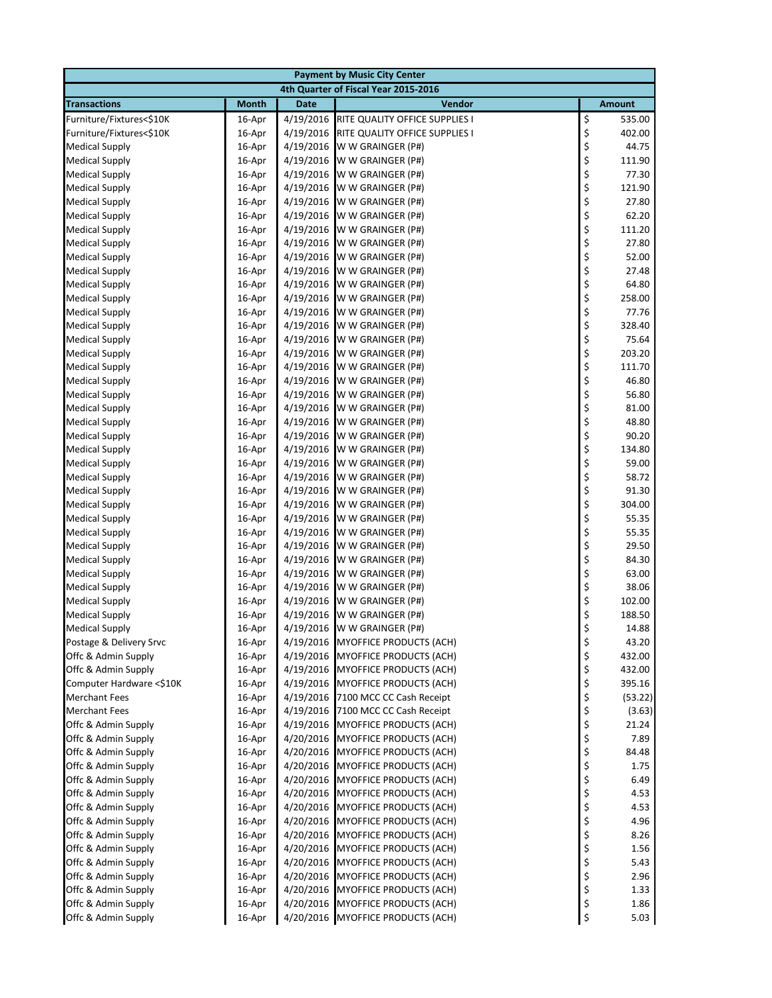| <b>Payment by Music City Center</b>         |                  |                        |                                                     |          |                 |  |  |
|---------------------------------------------|------------------|------------------------|-----------------------------------------------------|----------|-----------------|--|--|
| 4th Quarter of Fiscal Year 2015-2016        |                  |                        |                                                     |          |                 |  |  |
| <b>Transactions</b>                         | <b>Month</b>     | <b>Date</b>            | <b>Vendor</b>                                       |          | <b>Amount</b>   |  |  |
| Furniture/Fixtures<\$10K                    | 16-Apr           | 4/19/2016              | RITE QUALITY OFFICE SUPPLIES I                      | \$       | 535.00          |  |  |
| Furniture/Fixtures<\$10K                    | 16-Apr           | 4/19/2016              | RITE QUALITY OFFICE SUPPLIES I                      | \$       | 402.00          |  |  |
| <b>Medical Supply</b>                       | 16-Apr           | 4/19/2016              | W W GRAINGER (P#)                                   | \$       | 44.75           |  |  |
| <b>Medical Supply</b>                       | 16-Apr           | 4/19/2016              | W W GRAINGER (P#)                                   | \$       | 111.90          |  |  |
| <b>Medical Supply</b>                       | 16-Apr           | 4/19/2016              | W W GRAINGER (P#)                                   | \$       | 77.30           |  |  |
| <b>Medical Supply</b>                       | 16-Apr           | 4/19/2016              | W W GRAINGER (P#)                                   | \$       | 121.90          |  |  |
| <b>Medical Supply</b>                       | 16-Apr           | 4/19/2016              | W W GRAINGER (P#)                                   | \$       | 27.80           |  |  |
| <b>Medical Supply</b>                       | 16-Apr           | 4/19/2016              | W W GRAINGER (P#)                                   | \$       | 62.20           |  |  |
| <b>Medical Supply</b>                       | 16-Apr           | 4/19/2016              | W W GRAINGER (P#)                                   | \$       | 111.20          |  |  |
| <b>Medical Supply</b>                       | 16-Apr           | 4/19/2016              | W W GRAINGER (P#)                                   | \$       | 27.80           |  |  |
| <b>Medical Supply</b>                       | 16-Apr           | 4/19/2016              | W W GRAINGER (P#)                                   | \$       | 52.00           |  |  |
| <b>Medical Supply</b>                       | 16-Apr           | 4/19/2016              | W W GRAINGER (P#)                                   | \$       | 27.48           |  |  |
| <b>Medical Supply</b>                       | 16-Apr           | 4/19/2016              | W W GRAINGER (P#)                                   | \$       | 64.80           |  |  |
| <b>Medical Supply</b>                       | 16-Apr           | 4/19/2016              | W W GRAINGER (P#)                                   | \$       | 258.00          |  |  |
| <b>Medical Supply</b>                       | 16-Apr           | 4/19/2016              | W W GRAINGER (P#)                                   | \$       | 77.76           |  |  |
| <b>Medical Supply</b>                       | 16-Apr           | 4/19/2016              | W W GRAINGER (P#)                                   | \$       | 328.40          |  |  |
| <b>Medical Supply</b>                       | 16-Apr           | 4/19/2016              | W W GRAINGER (P#)                                   | \$       | 75.64           |  |  |
| <b>Medical Supply</b>                       | 16-Apr           | 4/19/2016              | W W GRAINGER (P#)                                   | \$       | 203.20          |  |  |
| <b>Medical Supply</b>                       | 16-Apr           | 4/19/2016              | W W GRAINGER (P#)                                   | \$       | 111.70          |  |  |
| <b>Medical Supply</b>                       | 16-Apr           | 4/19/2016              | W W GRAINGER (P#)                                   | \$       | 46.80           |  |  |
| <b>Medical Supply</b>                       | 16-Apr           | 4/19/2016              | W W GRAINGER (P#)                                   | \$       | 56.80           |  |  |
| <b>Medical Supply</b>                       | 16-Apr           | 4/19/2016              | W W GRAINGER (P#)                                   | \$       | 81.00           |  |  |
| <b>Medical Supply</b>                       | 16-Apr           | 4/19/2016              | W W GRAINGER (P#)                                   | \$       | 48.80           |  |  |
| <b>Medical Supply</b>                       | 16-Apr           | 4/19/2016              | W W GRAINGER (P#)                                   | \$       | 90.20           |  |  |
| <b>Medical Supply</b>                       | 16-Apr           | 4/19/2016              | W W GRAINGER (P#)                                   | \$       | 134.80          |  |  |
| <b>Medical Supply</b>                       | 16-Apr           | 4/19/2016              | W W GRAINGER (P#)                                   | \$       | 59.00           |  |  |
| <b>Medical Supply</b>                       | 16-Apr           | 4/19/2016              | W W GRAINGER (P#)                                   | \$       | 58.72           |  |  |
| <b>Medical Supply</b>                       | 16-Apr           | 4/19/2016              | W W GRAINGER (P#)                                   | \$       | 91.30           |  |  |
| <b>Medical Supply</b>                       | 16-Apr           | 4/19/2016              | W W GRAINGER (P#)                                   | \$       | 304.00          |  |  |
| <b>Medical Supply</b>                       | 16-Apr           | 4/19/2016              | W W GRAINGER (P#)                                   | \$       | 55.35           |  |  |
| <b>Medical Supply</b>                       | 16-Apr           | 4/19/2016              | W W GRAINGER (P#)                                   | \$       | 55.35           |  |  |
| <b>Medical Supply</b>                       | 16-Apr           | 4/19/2016              | W W GRAINGER (P#)                                   | \$       | 29.50           |  |  |
| <b>Medical Supply</b>                       | 16-Apr           | 4/19/2016              | W W GRAINGER (P#)                                   | \$       | 84.30           |  |  |
| <b>Medical Supply</b>                       | 16-Apr           | 4/19/2016              | W W GRAINGER (P#)                                   | \$       | 63.00           |  |  |
| <b>Medical Supply</b>                       | 16-Apr           | 4/19/2016              | W W GRAINGER (P#)                                   | \$       | 38.06           |  |  |
| <b>Medical Supply</b>                       | 16-Apr           | 4/19/2016              | W W GRAINGER (P#)                                   | \$       | 102.00          |  |  |
| <b>Medical Supply</b>                       | 16-Apr           | 4/19/2016              | W W GRAINGER (P#)                                   | \$       | 188.50          |  |  |
| <b>Medical Supply</b>                       | 16-Apr           | 4/19/2016              | W W GRAINGER (P#)                                   | \$       | 14.88           |  |  |
| Postage & Delivery Srvc                     | 16-Apr           |                        | 4/19/2016 MYOFFICE PRODUCTS (ACH)                   | \$       | 43.20           |  |  |
| Offc & Admin Supply                         | 16-Apr           |                        | 4/19/2016 MYOFFICE PRODUCTS (ACH)                   | \$       | 432.00          |  |  |
| Offc & Admin Supply                         | 16-Apr           |                        | 4/19/2016 MYOFFICE PRODUCTS (ACH)                   | \$       | 432.00          |  |  |
| Computer Hardware <\$10K                    | 16-Apr           | 4/19/2016              | <b>MYOFFICE PRODUCTS (ACH)</b>                      | \$       | 395.16          |  |  |
| <b>Merchant Fees</b>                        | 16-Apr           | 4/19/2016              | 7100 MCC CC Cash Receipt                            | \$<br>\$ | (53.22)         |  |  |
| <b>Merchant Fees</b><br>Offc & Admin Supply | 16-Apr<br>16-Apr | 4/19/2016<br>4/19/2016 | 7100 MCC CC Cash Receipt<br>MYOFFICE PRODUCTS (ACH) | \$       | (3.63)<br>21.24 |  |  |
| Offc & Admin Supply                         | 16-Apr           | 4/20/2016              | <b>MYOFFICE PRODUCTS (ACH)</b>                      | \$       | 7.89            |  |  |
| Offc & Admin Supply                         | 16-Apr           | 4/20/2016              | <b>MYOFFICE PRODUCTS (ACH)</b>                      | \$       | 84.48           |  |  |
| Offc & Admin Supply                         | 16-Apr           | 4/20/2016              | <b>MYOFFICE PRODUCTS (ACH)</b>                      | \$       | 1.75            |  |  |
| Offc & Admin Supply                         | 16-Apr           | 4/20/2016              | <b>MYOFFICE PRODUCTS (ACH)</b>                      | \$       | 6.49            |  |  |
| Offc & Admin Supply                         | 16-Apr           | 4/20/2016              | <b>MYOFFICE PRODUCTS (ACH)</b>                      | \$       | 4.53            |  |  |
| Offc & Admin Supply                         | 16-Apr           |                        | 4/20/2016 MYOFFICE PRODUCTS (ACH)                   | \$       | 4.53            |  |  |
| Offc & Admin Supply                         | 16-Apr           | 4/20/2016              | <b>MYOFFICE PRODUCTS (ACH)</b>                      | \$       | 4.96            |  |  |
| Offc & Admin Supply                         | 16-Apr           | 4/20/2016              | <b>MYOFFICE PRODUCTS (ACH)</b>                      | \$       | 8.26            |  |  |
| Offc & Admin Supply                         | 16-Apr           | 4/20/2016              | <b>MYOFFICE PRODUCTS (ACH)</b>                      | \$       | 1.56            |  |  |
| Offc & Admin Supply                         | 16-Apr           | 4/20/2016              | <b>MYOFFICE PRODUCTS (ACH)</b>                      | \$       | 5.43            |  |  |
| Offc & Admin Supply                         | 16-Apr           |                        | 4/20/2016 MYOFFICE PRODUCTS (ACH)                   | \$       | 2.96            |  |  |
| Offc & Admin Supply                         | 16-Apr           |                        | 4/20/2016 MYOFFICE PRODUCTS (ACH)                   | \$       | 1.33            |  |  |
| Offc & Admin Supply                         | 16-Apr           | 4/20/2016              | MYOFFICE PRODUCTS (ACH)                             | \$       | 1.86            |  |  |
| Offc & Admin Supply                         | 16-Apr           |                        | 4/20/2016 MYOFFICE PRODUCTS (ACH)                   | \$       | 5.03            |  |  |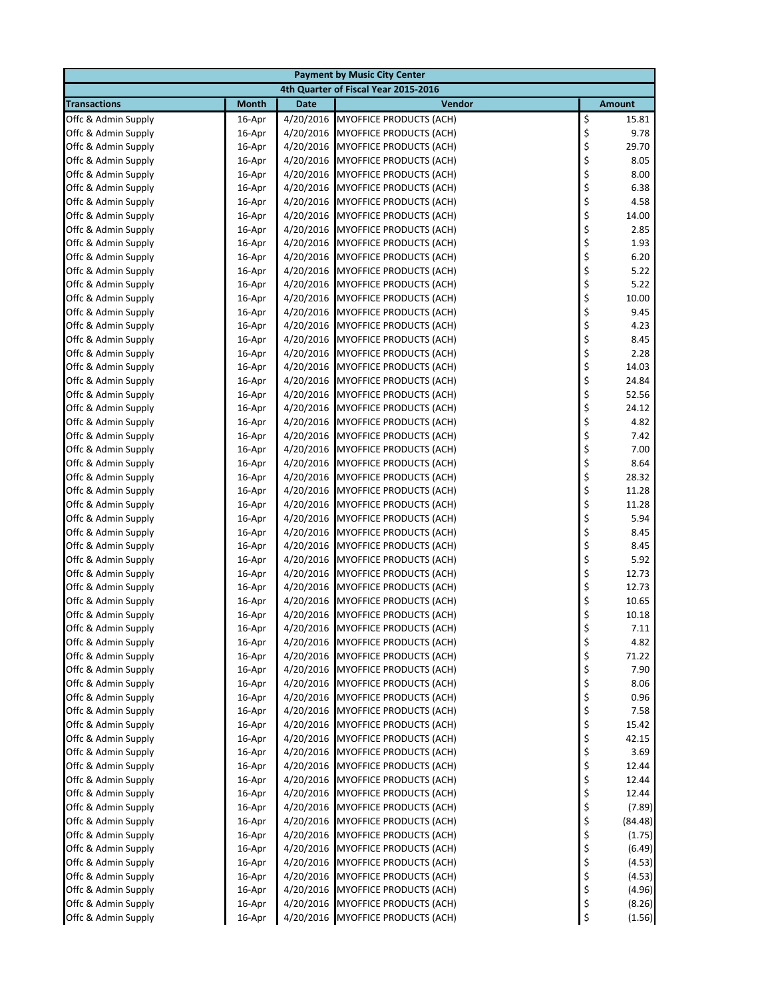| <b>Payment by Music City Center</b>        |                  |                        |                                                                     |          |                 |  |  |  |
|--------------------------------------------|------------------|------------------------|---------------------------------------------------------------------|----------|-----------------|--|--|--|
| 4th Quarter of Fiscal Year 2015-2016       |                  |                        |                                                                     |          |                 |  |  |  |
| <b>Transactions</b>                        | <b>Month</b>     | <b>Date</b>            | Vendor                                                              |          | <b>Amount</b>   |  |  |  |
| Offc & Admin Supply                        | 16-Apr           | 4/20/2016              | <b>MYOFFICE PRODUCTS (ACH)</b>                                      | \$       | 15.81           |  |  |  |
| Offc & Admin Supply                        | 16-Apr           | 4/20/2016              | <b>MYOFFICE PRODUCTS (ACH)</b>                                      | \$       | 9.78            |  |  |  |
| Offc & Admin Supply                        | 16-Apr           | 4/20/2016              | <b>MYOFFICE PRODUCTS (ACH)</b>                                      | \$       | 29.70           |  |  |  |
| Offc & Admin Supply                        | 16-Apr           | 4/20/2016              | <b>MYOFFICE PRODUCTS (ACH)</b>                                      | \$       | 8.05            |  |  |  |
| Offc & Admin Supply                        | 16-Apr           | 4/20/2016              | <b>MYOFFICE PRODUCTS (ACH)</b>                                      | \$       | 8.00            |  |  |  |
| Offc & Admin Supply                        | 16-Apr           |                        | 4/20/2016 MYOFFICE PRODUCTS (ACH)                                   | \$       | 6.38            |  |  |  |
| Offc & Admin Supply                        | 16-Apr           | 4/20/2016              | <b>MYOFFICE PRODUCTS (ACH)</b>                                      | \$       | 4.58            |  |  |  |
| Offc & Admin Supply                        | 16-Apr           | 4/20/2016              | <b>MYOFFICE PRODUCTS (ACH)</b>                                      | \$       | 14.00           |  |  |  |
| Offc & Admin Supply                        | 16-Apr           | 4/20/2016              | <b>MYOFFICE PRODUCTS (ACH)</b>                                      | \$       | 2.85            |  |  |  |
| Offc & Admin Supply                        | 16-Apr           | 4/20/2016              | <b>MYOFFICE PRODUCTS (ACH)</b>                                      | \$       | 1.93            |  |  |  |
| Offc & Admin Supply                        | 16-Apr           | 4/20/2016              | <b>MYOFFICE PRODUCTS (ACH)</b>                                      | \$       | 6.20            |  |  |  |
| Offc & Admin Supply                        | 16-Apr           |                        | 4/20/2016 MYOFFICE PRODUCTS (ACH)                                   | \$       | 5.22            |  |  |  |
| Offc & Admin Supply                        | 16-Apr           | 4/20/2016              | <b>MYOFFICE PRODUCTS (ACH)</b>                                      | \$<br>\$ | 5.22<br>10.00   |  |  |  |
| Offc & Admin Supply                        | 16-Apr           | 4/20/2016              | <b>MYOFFICE PRODUCTS (ACH)</b>                                      | \$       | 9.45            |  |  |  |
| Offc & Admin Supply                        | 16-Apr           | 4/20/2016              | <b>MYOFFICE PRODUCTS (ACH)</b><br>4/20/2016 MYOFFICE PRODUCTS (ACH) | \$       | 4.23            |  |  |  |
| Offc & Admin Supply<br>Offc & Admin Supply | 16-Apr<br>16-Apr | 4/20/2016              | <b>MYOFFICE PRODUCTS (ACH)</b>                                      | \$       | 8.45            |  |  |  |
| Offc & Admin Supply                        | 16-Apr           | 4/20/2016              | <b>MYOFFICE PRODUCTS (ACH)</b>                                      | \$       | 2.28            |  |  |  |
| Offc & Admin Supply                        | 16-Apr           | 4/20/2016              | <b>MYOFFICE PRODUCTS (ACH)</b>                                      | \$       | 14.03           |  |  |  |
| Offc & Admin Supply                        | 16-Apr           | 4/20/2016              | <b>MYOFFICE PRODUCTS (ACH)</b>                                      | \$       | 24.84           |  |  |  |
| Offc & Admin Supply                        | 16-Apr           | 4/20/2016              | <b>MYOFFICE PRODUCTS (ACH)</b>                                      | \$       | 52.56           |  |  |  |
| Offc & Admin Supply                        | 16-Apr           |                        | 4/20/2016 MYOFFICE PRODUCTS (ACH)                                   | \$       | 24.12           |  |  |  |
| Offc & Admin Supply                        | 16-Apr           |                        | 4/20/2016 MYOFFICE PRODUCTS (ACH)                                   | \$       | 4.82            |  |  |  |
| Offc & Admin Supply                        | 16-Apr           | 4/20/2016              | <b>MYOFFICE PRODUCTS (ACH)</b>                                      | \$       | 7.42            |  |  |  |
| Offc & Admin Supply                        | 16-Apr           | 4/20/2016              | <b>MYOFFICE PRODUCTS (ACH)</b>                                      | \$       | 7.00            |  |  |  |
| Offc & Admin Supply                        | 16-Apr           | 4/20/2016              | <b>MYOFFICE PRODUCTS (ACH)</b>                                      | \$       | 8.64            |  |  |  |
| Offc & Admin Supply                        | 16-Apr           |                        | 4/20/2016 MYOFFICE PRODUCTS (ACH)                                   | \$       | 28.32           |  |  |  |
| Offc & Admin Supply                        | 16-Apr           | 4/20/2016              | <b>MYOFFICE PRODUCTS (ACH)</b>                                      | \$       | 11.28           |  |  |  |
| Offc & Admin Supply                        | 16-Apr           | 4/20/2016              | <b>MYOFFICE PRODUCTS (ACH)</b>                                      | \$       | 11.28           |  |  |  |
| Offc & Admin Supply                        | 16-Apr           | 4/20/2016              | <b>MYOFFICE PRODUCTS (ACH)</b>                                      | \$       | 5.94            |  |  |  |
| Offc & Admin Supply                        | 16-Apr           | 4/20/2016              | <b>MYOFFICE PRODUCTS (ACH)</b>                                      | \$       | 8.45            |  |  |  |
| Offc & Admin Supply                        | 16-Apr           | 4/20/2016              | <b>MYOFFICE PRODUCTS (ACH)</b>                                      | \$       | 8.45            |  |  |  |
| Offc & Admin Supply                        | 16-Apr           | 4/20/2016              | <b>MYOFFICE PRODUCTS (ACH)</b>                                      | \$       | 5.92            |  |  |  |
| Offc & Admin Supply                        | 16-Apr           | 4/20/2016              | <b>MYOFFICE PRODUCTS (ACH)</b>                                      | \$       | 12.73           |  |  |  |
| Offc & Admin Supply                        | 16-Apr           | 4/20/2016              | <b>MYOFFICE PRODUCTS (ACH)</b>                                      | \$       | 12.73           |  |  |  |
| Offc & Admin Supply                        | 16-Apr           | 4/20/2016              | <b>MYOFFICE PRODUCTS (ACH)</b>                                      | \$       | 10.65           |  |  |  |
| Offc & Admin Supply                        | 16-Apr           | 4/20/2016              | <b>MYOFFICE PRODUCTS (ACH)</b>                                      | \$       | 10.18           |  |  |  |
| Offc & Admin Supply                        | 16-Apr           |                        | 4/20/2016 MYOFFICE PRODUCTS (ACH)                                   | \$       | 7.11            |  |  |  |
| Offc & Admin Supply                        | 16-Apr           | 4/20/2016              | <b>MYOFFICE PRODUCTS (ACH)</b>                                      | \$       | 4.82            |  |  |  |
| Offc & Admin Supply                        | 16-Apr           | 4/20/2016              | <b>MYOFFICE PRODUCTS (ACH)</b>                                      | \$       | 71.22           |  |  |  |
| Offc & Admin Supply                        | 16-Apr           |                        | 4/20/2016 MYOFFICE PRODUCTS (ACH)                                   | \$       | 7.90            |  |  |  |
| Offc & Admin Supply                        | 16-Apr           | 4/20/2016              | <b>MYOFFICE PRODUCTS (ACH)</b>                                      | \$       | 8.06            |  |  |  |
| Offc & Admin Supply                        | 16-Apr           | 4/20/2016              | <b>MYOFFICE PRODUCTS (ACH)</b>                                      | \$       | 0.96            |  |  |  |
| Offc & Admin Supply                        | 16-Apr           | 4/20/2016              | <b>MYOFFICE PRODUCTS (ACH)</b>                                      | \$       | 7.58            |  |  |  |
| Offc & Admin Supply                        | 16-Apr           | 4/20/2016              | <b>MYOFFICE PRODUCTS (ACH)</b>                                      | \$       | 15.42           |  |  |  |
| Offc & Admin Supply                        | 16-Apr           | 4/20/2016              | <b>MYOFFICE PRODUCTS (ACH)</b>                                      | \$       | 42.15           |  |  |  |
| Offc & Admin Supply                        | 16-Apr           | 4/20/2016<br>4/20/2016 | <b>MYOFFICE PRODUCTS (ACH)</b>                                      | \$<br>\$ | 3.69            |  |  |  |
| Offc & Admin Supply                        | 16-Apr           |                        | MYOFFICE PRODUCTS (ACH)<br>MYOFFICE PRODUCTS (ACH)                  |          | 12.44           |  |  |  |
| Offc & Admin Supply<br>Offc & Admin Supply | 16-Apr           | 4/20/2016              | <b>MYOFFICE PRODUCTS (ACH)</b>                                      | \$       | 12.44           |  |  |  |
| Offc & Admin Supply                        | 16-Apr<br>16-Apr | 4/20/2016<br>4/20/2016 | <b>MYOFFICE PRODUCTS (ACH)</b>                                      | \$<br>\$ | 12.44<br>(7.89) |  |  |  |
| Offc & Admin Supply                        | 16-Apr           | 4/20/2016              | <b>MYOFFICE PRODUCTS (ACH)</b>                                      | \$       | (84.48)         |  |  |  |
| Offc & Admin Supply                        | 16-Apr           | 4/20/2016              | MYOFFICE PRODUCTS (ACH)                                             | \$       | (1.75)          |  |  |  |
| Offc & Admin Supply                        | 16-Apr           | 4/20/2016              | <b>MYOFFICE PRODUCTS (ACH)</b>                                      | \$       | (6.49)          |  |  |  |
| Offc & Admin Supply                        | 16-Apr           | 4/20/2016              | <b>MYOFFICE PRODUCTS (ACH)</b>                                      | \$       | (4.53)          |  |  |  |
| Offc & Admin Supply                        | 16-Apr           |                        | 4/20/2016 MYOFFICE PRODUCTS (ACH)                                   | \$       | (4.53)          |  |  |  |
| Offc & Admin Supply                        | 16-Apr           | 4/20/2016              | <b>MYOFFICE PRODUCTS (ACH)</b>                                      | \$       | (4.96)          |  |  |  |
| Offc & Admin Supply                        | 16-Apr           | 4/20/2016              | <b>MYOFFICE PRODUCTS (ACH)</b>                                      | \$       | (8.26)          |  |  |  |
| Offc & Admin Supply                        | 16-Apr           |                        | 4/20/2016 MYOFFICE PRODUCTS (ACH)                                   | \$       | (1.56)          |  |  |  |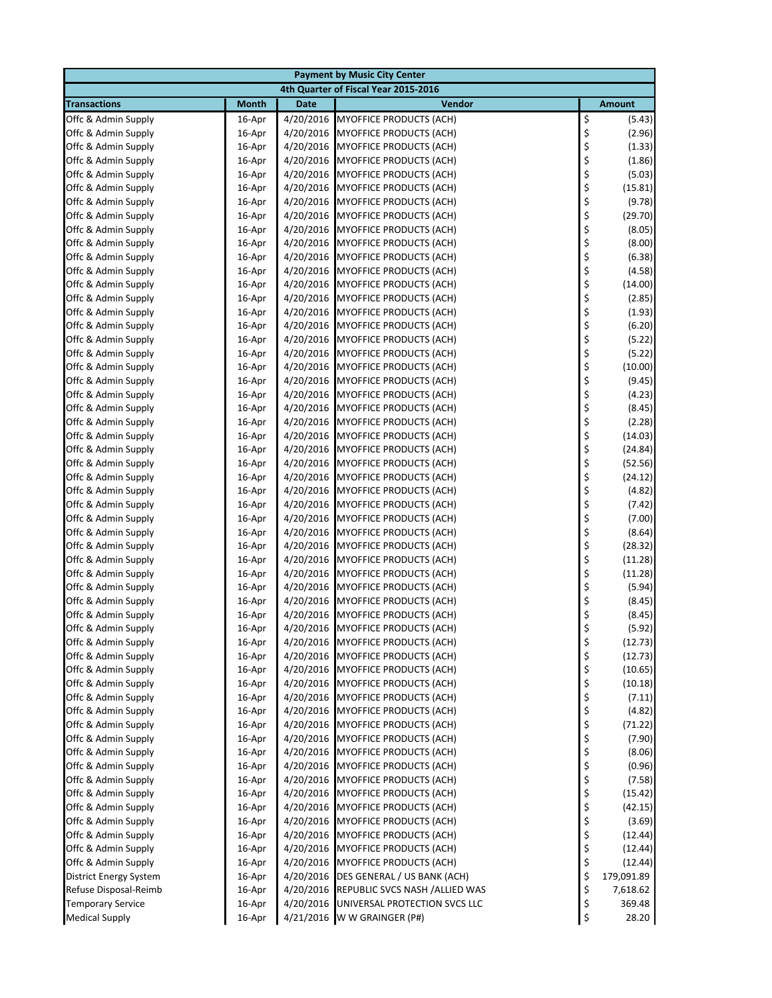| <b>Payment by Music City Center</b>               |                  |                        |                                                                  |          |                    |  |  |  |
|---------------------------------------------------|------------------|------------------------|------------------------------------------------------------------|----------|--------------------|--|--|--|
| 4th Quarter of Fiscal Year 2015-2016              |                  |                        |                                                                  |          |                    |  |  |  |
| <b>Transactions</b>                               | <b>Month</b>     | <b>Date</b>            | Vendor                                                           |          | <b>Amount</b>      |  |  |  |
| Offc & Admin Supply                               | 16-Apr           | 4/20/2016              | <b>MYOFFICE PRODUCTS (ACH)</b>                                   | \$       | (5.43)             |  |  |  |
| Offc & Admin Supply                               | 16-Apr           | 4/20/2016              | <b>MYOFFICE PRODUCTS (ACH)</b>                                   | \$       | (2.96)             |  |  |  |
| Offc & Admin Supply                               | 16-Apr           | 4/20/2016              | <b>MYOFFICE PRODUCTS (ACH)</b>                                   | \$       | (1.33)             |  |  |  |
| Offc & Admin Supply                               | 16-Apr           | 4/20/2016              | <b>MYOFFICE PRODUCTS (ACH)</b>                                   | \$       | (1.86)             |  |  |  |
| Offc & Admin Supply                               | 16-Apr           | 4/20/2016              | <b>MYOFFICE PRODUCTS (ACH)</b>                                   | \$       | (5.03)             |  |  |  |
| Offc & Admin Supply                               | 16-Apr           | 4/20/2016              | MYOFFICE PRODUCTS (ACH)                                          | \$       | (15.81)            |  |  |  |
| Offc & Admin Supply                               | 16-Apr           | 4/20/2016              | <b>MYOFFICE PRODUCTS (ACH)</b>                                   | \$       | (9.78)             |  |  |  |
| Offc & Admin Supply                               | 16-Apr           | 4/20/2016              | <b>MYOFFICE PRODUCTS (ACH)</b>                                   | \$       | (29.70)            |  |  |  |
| Offc & Admin Supply                               | 16-Apr           | 4/20/2016              | <b>MYOFFICE PRODUCTS (ACH)</b>                                   | \$       | (8.05)             |  |  |  |
| Offc & Admin Supply                               | 16-Apr           | 4/20/2016              | <b>MYOFFICE PRODUCTS (ACH)</b>                                   | \$       | (8.00)             |  |  |  |
| Offc & Admin Supply                               | 16-Apr           | 4/20/2016              | <b>MYOFFICE PRODUCTS (ACH)</b>                                   | \$       | (6.38)             |  |  |  |
| Offc & Admin Supply                               | 16-Apr           | 4/20/2016              | <b>MYOFFICE PRODUCTS (ACH)</b>                                   | \$       | (4.58)             |  |  |  |
| Offc & Admin Supply                               | 16-Apr           | 4/20/2016              | <b>MYOFFICE PRODUCTS (ACH)</b>                                   | \$       | (14.00)            |  |  |  |
| Offc & Admin Supply                               | 16-Apr           | 4/20/2016              | MYOFFICE PRODUCTS (ACH)                                          | \$       | (2.85)             |  |  |  |
| Offc & Admin Supply                               | 16-Apr           | 4/20/2016              | <b>MYOFFICE PRODUCTS (ACH)</b>                                   | \$       | (1.93)             |  |  |  |
| Offc & Admin Supply                               | 16-Apr           | 4/20/2016              | <b>MYOFFICE PRODUCTS (ACH)</b>                                   | \$       | (6.20)             |  |  |  |
| Offc & Admin Supply                               | 16-Apr<br>16-Apr | 4/20/2016              | <b>MYOFFICE PRODUCTS (ACH)</b><br><b>MYOFFICE PRODUCTS (ACH)</b> | \$       | (5.22)<br>(5.22)   |  |  |  |
| Offc & Admin Supply<br>Offc & Admin Supply        | 16-Apr           | 4/20/2016<br>4/20/2016 | <b>MYOFFICE PRODUCTS (ACH)</b>                                   | \$<br>\$ | (10.00)            |  |  |  |
| Offc & Admin Supply                               | 16-Apr           | 4/20/2016              | <b>MYOFFICE PRODUCTS (ACH)</b>                                   | \$       | (9.45)             |  |  |  |
| Offc & Admin Supply                               | 16-Apr           | 4/20/2016              | <b>MYOFFICE PRODUCTS (ACH)</b>                                   | \$       | (4.23)             |  |  |  |
| Offc & Admin Supply                               | 16-Apr           | 4/20/2016              | <b>MYOFFICE PRODUCTS (ACH)</b>                                   | \$       | (8.45)             |  |  |  |
| Offc & Admin Supply                               | 16-Apr           | 4/20/2016              | <b>MYOFFICE PRODUCTS (ACH)</b>                                   | \$       | (2.28)             |  |  |  |
| Offc & Admin Supply                               | 16-Apr           | 4/20/2016              | MYOFFICE PRODUCTS (ACH)                                          | \$       | (14.03)            |  |  |  |
| Offc & Admin Supply                               | 16-Apr           | 4/20/2016              | <b>MYOFFICE PRODUCTS (ACH)</b>                                   | \$       | (24.84)            |  |  |  |
| Offc & Admin Supply                               | 16-Apr           | 4/20/2016              | <b>MYOFFICE PRODUCTS (ACH)</b>                                   | \$       | (52.56)            |  |  |  |
| Offc & Admin Supply                               | 16-Apr           | 4/20/2016              | <b>MYOFFICE PRODUCTS (ACH)</b>                                   | \$       | (24.12)            |  |  |  |
| Offc & Admin Supply                               | 16-Apr           | 4/20/2016              | <b>MYOFFICE PRODUCTS (ACH)</b>                                   | \$       | (4.82)             |  |  |  |
| Offc & Admin Supply                               | 16-Apr           | 4/20/2016              | <b>MYOFFICE PRODUCTS (ACH)</b>                                   | \$       | (7.42)             |  |  |  |
| Offc & Admin Supply                               | 16-Apr           | 4/20/2016              | <b>MYOFFICE PRODUCTS (ACH)</b>                                   | \$       | (7.00)             |  |  |  |
| Offc & Admin Supply                               | 16-Apr           | 4/20/2016              | MYOFFICE PRODUCTS (ACH)                                          | \$       | (8.64)             |  |  |  |
| Offc & Admin Supply                               | 16-Apr           | 4/20/2016              | <b>MYOFFICE PRODUCTS (ACH)</b>                                   | \$       | (28.32)            |  |  |  |
| Offc & Admin Supply                               | 16-Apr           | 4/20/2016              | <b>MYOFFICE PRODUCTS (ACH)</b>                                   | \$       | (11.28)            |  |  |  |
| Offc & Admin Supply                               | 16-Apr           | 4/20/2016              | <b>MYOFFICE PRODUCTS (ACH)</b>                                   | \$       | (11.28)            |  |  |  |
| Offc & Admin Supply                               | 16-Apr           | 4/20/2016              | MYOFFICE PRODUCTS (ACH)                                          | \$       | (5.94)             |  |  |  |
| Offc & Admin Supply                               | 16-Apr           | 4/20/2016              | <b>MYOFFICE PRODUCTS (ACH)</b>                                   | \$       | (8.45)             |  |  |  |
| Offc & Admin Supply                               | 16-Apr           | 4/20/2016              | <b>MYOFFICE PRODUCTS (ACH)</b>                                   | \$       | (8.45)             |  |  |  |
| Offc & Admin Supply                               | 16-Apr           |                        | 4/20/2016 MYOFFICE PRODUCTS (ACH)                                | \$       | (5.92)             |  |  |  |
| Offc & Admin Supply                               | 16-Apr           | 4/20/2016              | <b>MYOFFICE PRODUCTS (ACH)</b>                                   | \$       | (12.73)            |  |  |  |
| Offc & Admin Supply                               | 16-Apr           | 4/20/2016              | MYOFFICE PRODUCTS (ACH)                                          | \$       | (12.73)            |  |  |  |
| Offc & Admin Supply                               | 16-Apr           |                        | 4/20/2016 MYOFFICE PRODUCTS (ACH)                                | \$       | (10.65)            |  |  |  |
| Offc & Admin Supply                               | 16-Apr           | 4/20/2016              | <b>MYOFFICE PRODUCTS (ACH)</b>                                   | \$       | (10.18)            |  |  |  |
| Offc & Admin Supply                               | 16-Apr           |                        | 4/20/2016 MYOFFICE PRODUCTS (ACH)                                | \$       | (7.11)             |  |  |  |
| Offc & Admin Supply                               | 16-Apr           |                        | 4/20/2016 MYOFFICE PRODUCTS (ACH)                                | \$       | (4.82)             |  |  |  |
| Offc & Admin Supply                               | 16-Apr           | 4/20/2016              | <b>MYOFFICE PRODUCTS (ACH)</b>                                   | \$       | (71.22)            |  |  |  |
| Offc & Admin Supply                               | 16-Apr           |                        | 4/20/2016 MYOFFICE PRODUCTS (ACH)                                | \$       | (7.90)             |  |  |  |
| Offc & Admin Supply                               | 16-Apr           | 4/20/2016              | MYOFFICE PRODUCTS (ACH)                                          | \$       | (8.06)             |  |  |  |
| Offc & Admin Supply                               | 16-Apr           | 4/20/2016              | MYOFFICE PRODUCTS (ACH)                                          | \$       | (0.96)             |  |  |  |
| Offc & Admin Supply                               | 16-Apr           | 4/20/2016              | MYOFFICE PRODUCTS (ACH)                                          | \$       | (7.58)             |  |  |  |
| Offc & Admin Supply                               | 16-Apr           |                        | 4/20/2016 MYOFFICE PRODUCTS (ACH)                                | \$       | (15.42)            |  |  |  |
| Offc & Admin Supply                               | 16-Apr           | 4/20/2016              | <b>MYOFFICE PRODUCTS (ACH)</b>                                   | \$       | (42.15)            |  |  |  |
| Offc & Admin Supply                               | 16-Apr           | 4/20/2016              | <b>MYOFFICE PRODUCTS (ACH)</b>                                   | \$       | (3.69)             |  |  |  |
| Offc & Admin Supply                               | 16-Apr           | 4/20/2016              | MYOFFICE PRODUCTS (ACH)                                          | \$       | (12.44)            |  |  |  |
| Offc & Admin Supply                               | 16-Apr           | 4/20/2016              | MYOFFICE PRODUCTS (ACH)                                          | \$       | (12.44)            |  |  |  |
| Offc & Admin Supply                               | 16-Apr           |                        | 4/20/2016 MYOFFICE PRODUCTS (ACH)                                | \$       | (12.44)            |  |  |  |
| <b>District Energy System</b>                     | 16-Apr           | 4/20/2016              | DES GENERAL / US BANK (ACH)                                      | \$       | 179,091.89         |  |  |  |
| Refuse Disposal-Reimb<br><b>Temporary Service</b> | 16-Apr<br>16-Apr | 4/20/2016<br>4/20/2016 | REPUBLIC SVCS NASH / ALLIED WAS<br>UNIVERSAL PROTECTION SVCS LLC | \$<br>\$ | 7,618.62<br>369.48 |  |  |  |
| <b>Medical Supply</b>                             | 16-Apr           |                        | 4/21/2016 W W GRAINGER (P#)                                      | \$       | 28.20              |  |  |  |
|                                                   |                  |                        |                                                                  |          |                    |  |  |  |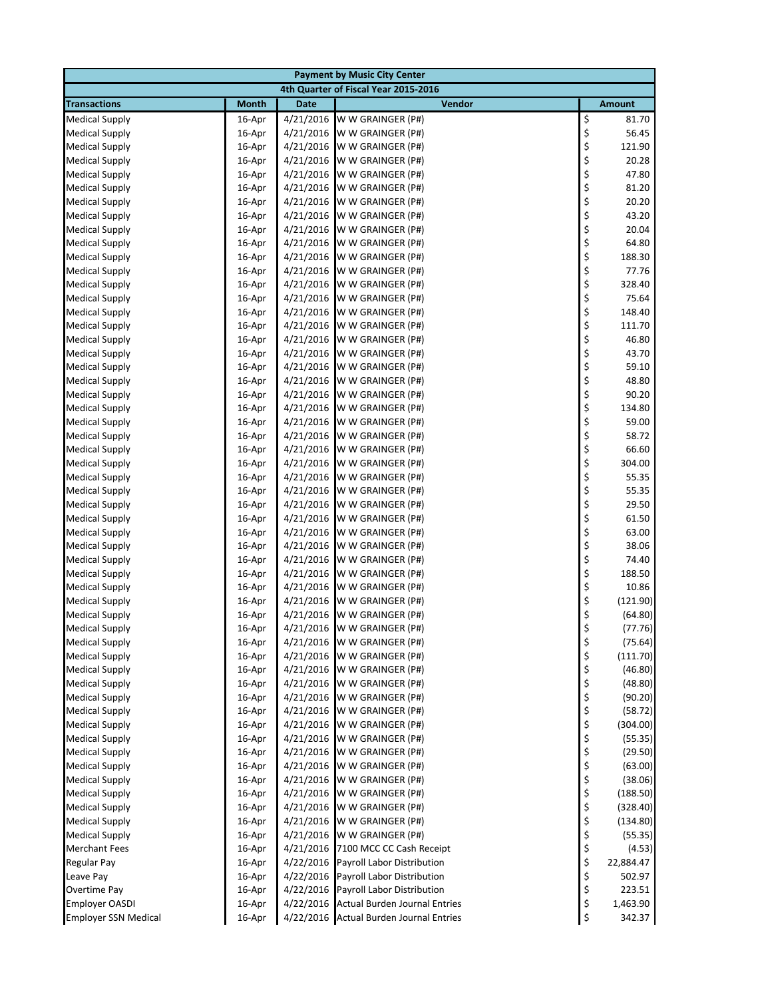| <b>Payment by Music City Center</b>            |                  |                        |                                         |          |                    |  |  |
|------------------------------------------------|------------------|------------------------|-----------------------------------------|----------|--------------------|--|--|
|                                                |                  |                        | 4th Quarter of Fiscal Year 2015-2016    |          |                    |  |  |
| <b>Transactions</b>                            | <b>Month</b>     | Date                   | Vendor                                  |          | <b>Amount</b>      |  |  |
| <b>Medical Supply</b>                          | 16-Apr           | 4/21/2016              | W W GRAINGER (P#)                       | \$       | 81.70              |  |  |
| <b>Medical Supply</b>                          | 16-Apr           | 4/21/2016              | W W GRAINGER (P#)                       | \$       | 56.45              |  |  |
| <b>Medical Supply</b>                          | 16-Apr           | 4/21/2016              | W W GRAINGER (P#)                       | \$       | 121.90             |  |  |
| <b>Medical Supply</b>                          | 16-Apr           | 4/21/2016              | W W GRAINGER (P#)                       | \$       | 20.28              |  |  |
| <b>Medical Supply</b>                          | 16-Apr           | 4/21/2016              | W W GRAINGER (P#)                       | \$       | 47.80              |  |  |
| <b>Medical Supply</b>                          | 16-Apr           | 4/21/2016              | W W GRAINGER (P#)                       | \$       | 81.20              |  |  |
| <b>Medical Supply</b>                          | 16-Apr           | 4/21/2016              | W W GRAINGER (P#)                       | \$       | 20.20              |  |  |
| <b>Medical Supply</b>                          | 16-Apr           | 4/21/2016              | W W GRAINGER (P#)                       | \$       | 43.20              |  |  |
| <b>Medical Supply</b>                          | 16-Apr           | 4/21/2016              | W W GRAINGER (P#)                       | \$       | 20.04              |  |  |
| <b>Medical Supply</b>                          | 16-Apr           | 4/21/2016              | W W GRAINGER (P#)                       | \$       | 64.80              |  |  |
| <b>Medical Supply</b>                          | 16-Apr           | 4/21/2016              | W W GRAINGER (P#)                       | \$       | 188.30             |  |  |
| <b>Medical Supply</b>                          | 16-Apr           | 4/21/2016              | W W GRAINGER (P#)                       | \$       | 77.76              |  |  |
| <b>Medical Supply</b>                          | 16-Apr           | 4/21/2016              | W W GRAINGER (P#)                       | \$       | 328.40             |  |  |
| <b>Medical Supply</b>                          | 16-Apr           | 4/21/2016              | W W GRAINGER (P#)                       | \$       | 75.64              |  |  |
| <b>Medical Supply</b>                          | 16-Apr           | 4/21/2016              | W W GRAINGER (P#)                       | \$       | 148.40             |  |  |
| <b>Medical Supply</b>                          | 16-Apr           | 4/21/2016              | W W GRAINGER (P#)                       | \$       | 111.70             |  |  |
| <b>Medical Supply</b>                          | 16-Apr           | 4/21/2016              | W W GRAINGER (P#)                       | \$       | 46.80              |  |  |
| <b>Medical Supply</b>                          | 16-Apr           | 4/21/2016              | W W GRAINGER (P#)                       | \$       | 43.70              |  |  |
| <b>Medical Supply</b>                          | 16-Apr           | 4/21/2016              | W W GRAINGER (P#)                       | \$       | 59.10              |  |  |
| <b>Medical Supply</b>                          | 16-Apr           | 4/21/2016              | W W GRAINGER (P#)                       | \$       | 48.80              |  |  |
| <b>Medical Supply</b>                          | 16-Apr           | 4/21/2016              | W W GRAINGER (P#)                       | \$       | 90.20              |  |  |
| <b>Medical Supply</b>                          | 16-Apr           | 4/21/2016              | W W GRAINGER (P#)                       | \$       | 134.80             |  |  |
| <b>Medical Supply</b>                          | 16-Apr           | 4/21/2016              | W W GRAINGER (P#)                       | \$       | 59.00              |  |  |
| <b>Medical Supply</b>                          | 16-Apr           | 4/21/2016              | W W GRAINGER (P#)                       | \$       | 58.72              |  |  |
| <b>Medical Supply</b>                          | 16-Apr           | 4/21/2016              | W W GRAINGER (P#)                       | \$       | 66.60              |  |  |
| <b>Medical Supply</b>                          | 16-Apr           | 4/21/2016              | W W GRAINGER (P#)                       | \$       | 304.00             |  |  |
| <b>Medical Supply</b>                          | 16-Apr           | 4/21/2016              | W W GRAINGER (P#)                       | \$       | 55.35              |  |  |
| <b>Medical Supply</b>                          | 16-Apr           | 4/21/2016              | W W GRAINGER (P#)                       | \$       | 55.35              |  |  |
| <b>Medical Supply</b>                          | 16-Apr           | 4/21/2016              | W W GRAINGER (P#)                       | \$       | 29.50              |  |  |
| <b>Medical Supply</b>                          | 16-Apr           | 4/21/2016              | W W GRAINGER (P#)                       | \$       | 61.50              |  |  |
| <b>Medical Supply</b>                          | 16-Apr           | 4/21/2016              | W W GRAINGER (P#)                       | \$       | 63.00              |  |  |
| <b>Medical Supply</b>                          | 16-Apr           | 4/21/2016              | W W GRAINGER (P#)                       | \$       | 38.06              |  |  |
| <b>Medical Supply</b>                          | 16-Apr           | 4/21/2016              | W W GRAINGER (P#)                       | \$       | 74.40              |  |  |
| <b>Medical Supply</b>                          | 16-Apr           | 4/21/2016              | W W GRAINGER (P#)                       | \$       | 188.50             |  |  |
| <b>Medical Supply</b>                          | 16-Apr           | 4/21/2016              | W W GRAINGER (P#)                       | \$       | 10.86              |  |  |
| <b>Medical Supply</b>                          | 16-Apr           | 4/21/2016              | W W GRAINGER (P#)                       | \$       | (121.90)           |  |  |
| <b>Medical Supply</b>                          | 16-Apr           | 4/21/2016              | W W GRAINGER (P#)                       | \$       | (64.80)            |  |  |
| <b>Medical Supply</b>                          | 16-Apr           | 4/21/2016              | W W GRAINGER (P#)                       | \$       | (77.76)            |  |  |
| <b>Medical Supply</b>                          | 16-Apr           | 4/21/2016              | W W GRAINGER (P#)                       | \$       | (75.64)            |  |  |
| <b>Medical Supply</b>                          | 16-Apr           | 4/21/2016              | W W GRAINGER (P#)                       | \$       | (111.70)           |  |  |
| <b>Medical Supply</b>                          | 16-Apr           | 4/21/2016              | W W GRAINGER (P#)                       | \$       | (46.80)            |  |  |
| <b>Medical Supply</b>                          | 16-Apr           | 4/21/2016              | W W GRAINGER (P#)                       | \$       | (48.80)            |  |  |
| <b>Medical Supply</b><br><b>Medical Supply</b> | 16-Apr           | 4/21/2016<br>4/21/2016 | W W GRAINGER (P#)                       | \$       | (90.20)<br>(58.72) |  |  |
| <b>Medical Supply</b>                          | 16-Apr<br>16-Apr | 4/21/2016              | W W GRAINGER (P#)<br>W W GRAINGER (P#)  | \$<br>\$ | (304.00)           |  |  |
| <b>Medical Supply</b>                          | 16-Apr           | 4/21/2016              | W W GRAINGER (P#)                       | \$       | (55.35)            |  |  |
| <b>Medical Supply</b>                          | 16-Apr           | 4/21/2016              | W W GRAINGER (P#)                       | \$       | (29.50)            |  |  |
| <b>Medical Supply</b>                          | 16-Apr           | 4/21/2016              | W W GRAINGER (P#)                       | \$       | (63.00)            |  |  |
| <b>Medical Supply</b>                          | 16-Apr           | 4/21/2016              | W W GRAINGER (P#)                       |          | (38.06)            |  |  |
| <b>Medical Supply</b>                          | 16-Apr           | 4/21/2016              | W W GRAINGER (P#)                       | \$<br>\$ | (188.50)           |  |  |
| <b>Medical Supply</b>                          | 16-Apr           | 4/21/2016              | W W GRAINGER (P#)                       | \$       | (328.40)           |  |  |
| <b>Medical Supply</b>                          | 16-Apr           | 4/21/2016              | W W GRAINGER (P#)                       | \$       | (134.80)           |  |  |
| <b>Medical Supply</b>                          | 16-Apr           | 4/21/2016              | W W GRAINGER (P#)                       | \$       | (55.35)            |  |  |
| <b>Merchant Fees</b>                           | 16-Apr           | 4/21/2016              | 7100 MCC CC Cash Receipt                |          | (4.53)             |  |  |
| Regular Pay                                    | 16-Apr           | 4/22/2016              | Payroll Labor Distribution              | \$<br>\$ | 22,884.47          |  |  |
| Leave Pay                                      | 16-Apr           | 4/22/2016              | Payroll Labor Distribution              | \$       | 502.97             |  |  |
| <b>Overtime Pay</b>                            | 16-Apr           | 4/22/2016              | Payroll Labor Distribution              | \$       | 223.51             |  |  |
| <b>Employer OASDI</b>                          | 16-Apr           | 4/22/2016              | <b>Actual Burden Journal Entries</b>    | \$       | 1,463.90           |  |  |
| <b>Employer SSN Medical</b>                    | 16-Apr           |                        | 4/22/2016 Actual Burden Journal Entries | \$       | 342.37             |  |  |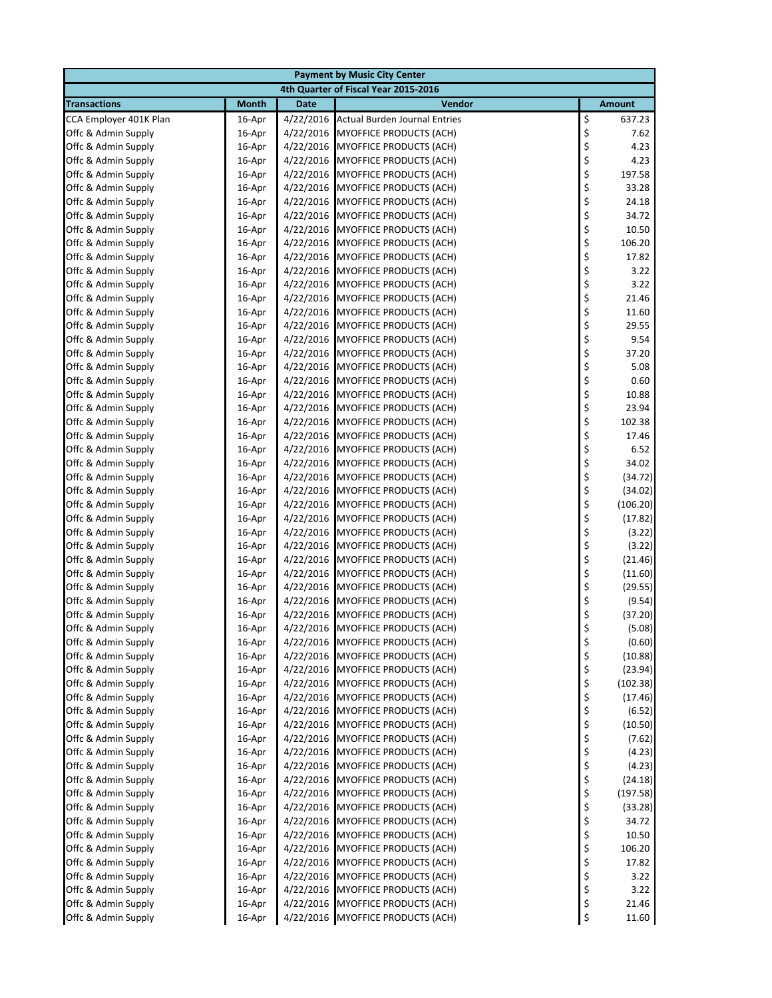|                                            | <b>Payment by Music City Center</b> |                        |                                                                     |          |                  |  |  |  |
|--------------------------------------------|-------------------------------------|------------------------|---------------------------------------------------------------------|----------|------------------|--|--|--|
|                                            |                                     |                        | 4th Quarter of Fiscal Year 2015-2016                                |          |                  |  |  |  |
| <b>Transactions</b>                        | <b>Month</b>                        | <b>Date</b>            | Vendor                                                              |          | <b>Amount</b>    |  |  |  |
| CCA Employer 401K Plan                     | 16-Apr                              | 4/22/2016              | <b>Actual Burden Journal Entries</b>                                | \$       | 637.23           |  |  |  |
| Offc & Admin Supply                        | 16-Apr                              | 4/22/2016              | <b>MYOFFICE PRODUCTS (ACH)</b>                                      | \$       | 7.62             |  |  |  |
| Offc & Admin Supply                        | 16-Apr                              | 4/22/2016              | MYOFFICE PRODUCTS (ACH)                                             | \$       | 4.23             |  |  |  |
| Offc & Admin Supply                        | 16-Apr                              | 4/22/2016              | <b>MYOFFICE PRODUCTS (ACH)</b>                                      | \$       | 4.23             |  |  |  |
| Offc & Admin Supply                        | 16-Apr                              | 4/22/2016              | <b>MYOFFICE PRODUCTS (ACH)</b>                                      | \$       | 197.58           |  |  |  |
| Offc & Admin Supply                        | 16-Apr                              | 4/22/2016              | MYOFFICE PRODUCTS (ACH)                                             | \$       | 33.28            |  |  |  |
| Offc & Admin Supply                        | 16-Apr                              | 4/22/2016              | <b>MYOFFICE PRODUCTS (ACH)</b>                                      | \$       | 24.18            |  |  |  |
| Offc & Admin Supply                        | 16-Apr                              | 4/22/2016              | <b>MYOFFICE PRODUCTS (ACH)</b>                                      | \$       | 34.72            |  |  |  |
| Offc & Admin Supply                        | 16-Apr                              | 4/22/2016              | <b>MYOFFICE PRODUCTS (ACH)</b>                                      | \$       | 10.50            |  |  |  |
| Offc & Admin Supply                        | 16-Apr                              | 4/22/2016              | <b>MYOFFICE PRODUCTS (ACH)</b>                                      | \$       | 106.20           |  |  |  |
| Offc & Admin Supply                        | 16-Apr                              | 4/22/2016              | <b>MYOFFICE PRODUCTS (ACH)</b>                                      | \$       | 17.82            |  |  |  |
| Offc & Admin Supply                        | 16-Apr                              | 4/22/2016              | <b>MYOFFICE PRODUCTS (ACH)</b>                                      | \$       | 3.22             |  |  |  |
| Offc & Admin Supply                        | 16-Apr                              | 4/22/2016              | <b>MYOFFICE PRODUCTS (ACH)</b>                                      | \$<br>\$ | 3.22<br>21.46    |  |  |  |
| Offc & Admin Supply                        | 16-Apr                              | 4/22/2016              | MYOFFICE PRODUCTS (ACH)                                             | \$       | 11.60            |  |  |  |
| Offc & Admin Supply<br>Offc & Admin Supply | 16-Apr<br>16-Apr                    | 4/22/2016              | <b>MYOFFICE PRODUCTS (ACH)</b><br>4/22/2016 MYOFFICE PRODUCTS (ACH) | \$       | 29.55            |  |  |  |
| Offc & Admin Supply                        | 16-Apr                              | 4/22/2016              | <b>MYOFFICE PRODUCTS (ACH)</b>                                      | \$       | 9.54             |  |  |  |
| Offc & Admin Supply                        | 16-Apr                              |                        | 4/22/2016 MYOFFICE PRODUCTS (ACH)                                   | \$       | 37.20            |  |  |  |
| Offc & Admin Supply                        | 16-Apr                              | 4/22/2016              | <b>MYOFFICE PRODUCTS (ACH)</b>                                      | \$       | 5.08             |  |  |  |
| Offc & Admin Supply                        | 16-Apr                              | 4/22/2016              | <b>MYOFFICE PRODUCTS (ACH)</b>                                      | \$       | 0.60             |  |  |  |
| Offc & Admin Supply                        | 16-Apr                              | 4/22/2016              | <b>MYOFFICE PRODUCTS (ACH)</b>                                      | \$       | 10.88            |  |  |  |
| Offc & Admin Supply                        | 16-Apr                              | 4/22/2016              | <b>MYOFFICE PRODUCTS (ACH)</b>                                      | \$       | 23.94            |  |  |  |
| Offc & Admin Supply                        | 16-Apr                              | 4/22/2016              | <b>MYOFFICE PRODUCTS (ACH)</b>                                      | \$       | 102.38           |  |  |  |
| Offc & Admin Supply                        | 16-Apr                              | 4/22/2016              | MYOFFICE PRODUCTS (ACH)                                             | \$       | 17.46            |  |  |  |
| Offc & Admin Supply                        | 16-Apr                              | 4/22/2016              | <b>MYOFFICE PRODUCTS (ACH)</b>                                      | \$       | 6.52             |  |  |  |
| Offc & Admin Supply                        | 16-Apr                              | 4/22/2016              | <b>MYOFFICE PRODUCTS (ACH)</b>                                      | \$       | 34.02            |  |  |  |
| Offc & Admin Supply                        | 16-Apr                              |                        | 4/22/2016 MYOFFICE PRODUCTS (ACH)                                   | \$       | (34.72)          |  |  |  |
| Offc & Admin Supply                        | 16-Apr                              | 4/22/2016              | <b>MYOFFICE PRODUCTS (ACH)</b>                                      | \$       | (34.02)          |  |  |  |
| Offc & Admin Supply                        | 16-Apr                              | 4/22/2016              | <b>MYOFFICE PRODUCTS (ACH)</b>                                      | \$       | (106.20)         |  |  |  |
| Offc & Admin Supply                        | 16-Apr                              | 4/22/2016              | <b>MYOFFICE PRODUCTS (ACH)</b>                                      | \$       | (17.82)          |  |  |  |
| Offc & Admin Supply                        | 16-Apr                              | 4/22/2016              | MYOFFICE PRODUCTS (ACH)                                             | \$       | (3.22)           |  |  |  |
| Offc & Admin Supply                        | 16-Apr                              | 4/22/2016              | <b>MYOFFICE PRODUCTS (ACH)</b>                                      | \$       | (3.22)           |  |  |  |
| Offc & Admin Supply                        | 16-Apr                              | 4/22/2016              | <b>MYOFFICE PRODUCTS (ACH)</b>                                      | \$       | (21.46)          |  |  |  |
| Offc & Admin Supply                        | 16-Apr                              | 4/22/2016              | <b>MYOFFICE PRODUCTS (ACH)</b>                                      | \$       | (11.60)          |  |  |  |
| Offc & Admin Supply                        | 16-Apr                              | 4/22/2016              | MYOFFICE PRODUCTS (ACH)                                             | \$       | (29.55)          |  |  |  |
| Offc & Admin Supply                        | 16-Apr                              | 4/22/2016              | <b>MYOFFICE PRODUCTS (ACH)</b>                                      | \$       | (9.54)           |  |  |  |
| Offc & Admin Supply                        | 16-Apr                              | 4/22/2016              | <b>MYOFFICE PRODUCTS (ACH)</b>                                      | \$       | (37.20)          |  |  |  |
| Offc & Admin Supply                        | 16-Apr                              |                        | 4/22/2016 MYOFFICE PRODUCTS (ACH)                                   | \$       | (5.08)           |  |  |  |
| Offc & Admin Supply                        | 16-Apr                              | 4/22/2016              | MYOFFICE PRODUCTS (ACH)                                             | \$       | (0.60)           |  |  |  |
| Offc & Admin Supply                        | 16-Apr                              | 4/22/2016              | <b>MYOFFICE PRODUCTS (ACH)</b>                                      | \$       | (10.88)          |  |  |  |
| Offc & Admin Supply                        | 16-Apr                              |                        | 4/22/2016 MYOFFICE PRODUCTS (ACH)                                   | \$       | (23.94)          |  |  |  |
| Offc & Admin Supply                        | 16-Apr                              | 4/22/2016              | <b>MYOFFICE PRODUCTS (ACH)</b>                                      | \$       | (102.38)         |  |  |  |
| Offc & Admin Supply                        | 16-Apr                              | 4/22/2016              | <b>MYOFFICE PRODUCTS (ACH)</b>                                      | \$       | (17.46)          |  |  |  |
| Offc & Admin Supply                        | 16-Apr                              |                        | 4/22/2016 MYOFFICE PRODUCTS (ACH)                                   | \$       | (6.52)           |  |  |  |
| Offc & Admin Supply                        | 16-Apr                              | 4/22/2016              | <b>MYOFFICE PRODUCTS (ACH)</b>                                      | \$       | (10.50)          |  |  |  |
| Offc & Admin Supply                        | 16-Apr                              | 4/22/2016              | <b>MYOFFICE PRODUCTS (ACH)</b>                                      | \$       | (7.62)           |  |  |  |
| Offc & Admin Supply                        | 16-Apr                              | 4/22/2016              | MYOFFICE PRODUCTS (ACH)                                             | \$       | (4.23)           |  |  |  |
| Offc & Admin Supply                        | 16-Apr                              | 4/22/2016              | MYOFFICE PRODUCTS (ACH)                                             | \$       | (4.23)           |  |  |  |
| Offc & Admin Supply                        | 16-Apr                              | 4/22/2016              | MYOFFICE PRODUCTS (ACH)                                             | \$       | (24.18)          |  |  |  |
| Offc & Admin Supply                        | 16-Apr                              |                        | 4/22/2016 MYOFFICE PRODUCTS (ACH)                                   | \$       | (197.58)         |  |  |  |
| Offc & Admin Supply<br>Offc & Admin Supply | 16-Apr<br>16-Apr                    | 4/22/2016<br>4/22/2016 | <b>MYOFFICE PRODUCTS (ACH)</b><br><b>MYOFFICE PRODUCTS (ACH)</b>    | \$<br>\$ | (33.28)<br>34.72 |  |  |  |
| Offc & Admin Supply                        | 16-Apr                              | 4/22/2016              | MYOFFICE PRODUCTS (ACH)                                             | \$       | 10.50            |  |  |  |
| Offc & Admin Supply                        | 16-Apr                              | 4/22/2016              | <b>MYOFFICE PRODUCTS (ACH)</b>                                      | \$       | 106.20           |  |  |  |
| Offc & Admin Supply                        | 16-Apr                              |                        | 4/22/2016 MYOFFICE PRODUCTS (ACH)                                   | \$       | 17.82            |  |  |  |
| Offc & Admin Supply                        | 16-Apr                              |                        | 4/22/2016 MYOFFICE PRODUCTS (ACH)                                   | \$       | 3.22             |  |  |  |
| Offc & Admin Supply                        | 16-Apr                              |                        | 4/22/2016 MYOFFICE PRODUCTS (ACH)                                   | \$       | 3.22             |  |  |  |
| Offc & Admin Supply                        | 16-Apr                              | 4/22/2016              | MYOFFICE PRODUCTS (ACH)                                             | \$       | 21.46            |  |  |  |
| Offc & Admin Supply                        | 16-Apr                              |                        | 4/22/2016 MYOFFICE PRODUCTS (ACH)                                   | \$       | 11.60            |  |  |  |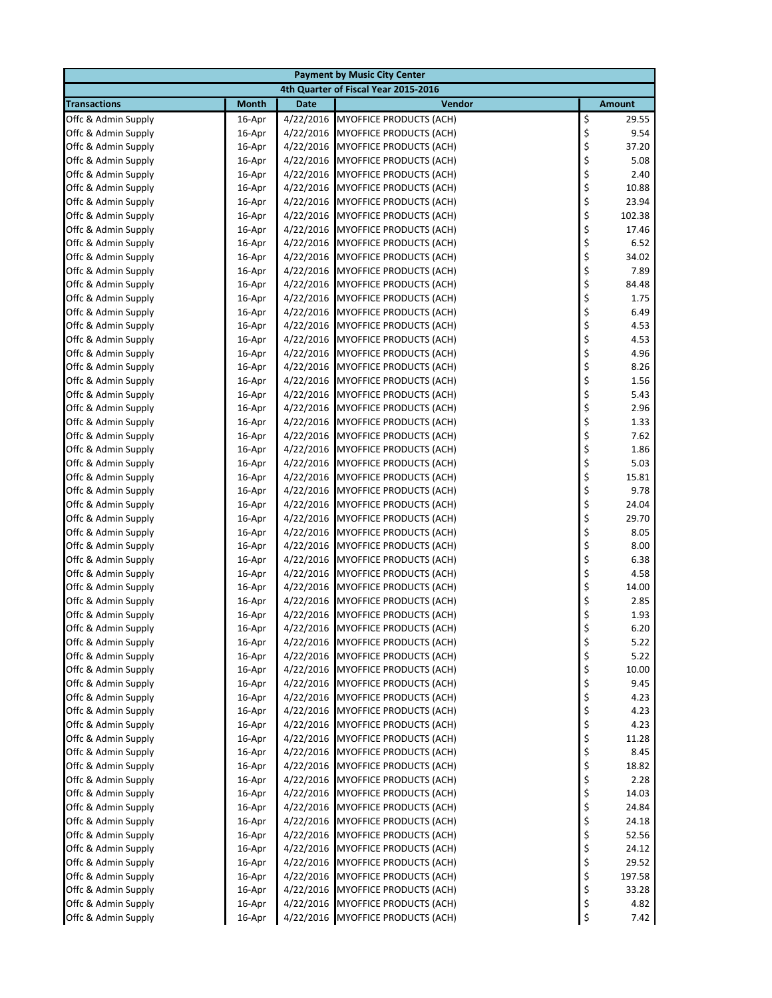| <b>Payment by Music City Center</b>        |                  |                        |                                                                  |          |                |  |  |
|--------------------------------------------|------------------|------------------------|------------------------------------------------------------------|----------|----------------|--|--|
|                                            |                  |                        | 4th Quarter of Fiscal Year 2015-2016                             |          |                |  |  |
| <b>Transactions</b>                        | <b>Month</b>     | <b>Date</b>            | Vendor                                                           |          | <b>Amount</b>  |  |  |
| Offc & Admin Supply                        | 16-Apr           | 4/22/2016              | <b>MYOFFICE PRODUCTS (ACH)</b>                                   | \$       | 29.55          |  |  |
| Offc & Admin Supply                        | 16-Apr           | 4/22/2016              | <b>MYOFFICE PRODUCTS (ACH)</b>                                   | \$       | 9.54           |  |  |
| Offc & Admin Supply                        | 16-Apr           | 4/22/2016              | <b>MYOFFICE PRODUCTS (ACH)</b>                                   | \$       | 37.20          |  |  |
| Offc & Admin Supply                        | 16-Apr           | 4/22/2016              | <b>MYOFFICE PRODUCTS (ACH)</b>                                   | \$       | 5.08           |  |  |
| Offc & Admin Supply                        | 16-Apr           | 4/22/2016              | <b>MYOFFICE PRODUCTS (ACH)</b>                                   | \$       | 2.40           |  |  |
| Offc & Admin Supply                        | 16-Apr           | 4/22/2016              | <b>MYOFFICE PRODUCTS (ACH)</b>                                   | \$       | 10.88          |  |  |
| Offc & Admin Supply                        | 16-Apr           | 4/22/2016              | <b>MYOFFICE PRODUCTS (ACH)</b>                                   | \$       | 23.94          |  |  |
| Offc & Admin Supply                        | 16-Apr           | 4/22/2016              | <b>MYOFFICE PRODUCTS (ACH)</b>                                   | \$       | 102.38         |  |  |
| Offc & Admin Supply                        | 16-Apr           | 4/22/2016              | MYOFFICE PRODUCTS (ACH)                                          | \$       | 17.46          |  |  |
| Offc & Admin Supply                        | 16-Apr           | 4/22/2016              | <b>MYOFFICE PRODUCTS (ACH)</b>                                   | \$       | 6.52           |  |  |
| Offc & Admin Supply                        | 16-Apr           | 4/22/2016              | <b>MYOFFICE PRODUCTS (ACH)</b>                                   | \$       | 34.02          |  |  |
| Offc & Admin Supply                        | 16-Apr           | 4/22/2016              | <b>MYOFFICE PRODUCTS (ACH)</b>                                   | \$       | 7.89           |  |  |
| Offc & Admin Supply                        | 16-Apr           | 4/22/2016              | <b>MYOFFICE PRODUCTS (ACH)</b>                                   | \$       | 84.48          |  |  |
| Offc & Admin Supply                        | 16-Apr           | 4/22/2016              | <b>MYOFFICE PRODUCTS (ACH)</b>                                   | \$       | 1.75           |  |  |
| Offc & Admin Supply                        | 16-Apr           | 4/22/2016              | <b>MYOFFICE PRODUCTS (ACH)</b>                                   | \$       | 6.49           |  |  |
| Offc & Admin Supply<br>Offc & Admin Supply | 16-Apr<br>16-Apr | 4/22/2016<br>4/22/2016 | <b>MYOFFICE PRODUCTS (ACH)</b><br><b>MYOFFICE PRODUCTS (ACH)</b> | \$<br>\$ | 4.53<br>4.53   |  |  |
| Offc & Admin Supply                        | 16-Apr           | 4/22/2016              | <b>MYOFFICE PRODUCTS (ACH)</b>                                   | \$       | 4.96           |  |  |
| Offc & Admin Supply                        | 16-Apr           | 4/22/2016              | <b>MYOFFICE PRODUCTS (ACH)</b>                                   | \$       | 8.26           |  |  |
| Offc & Admin Supply                        | 16-Apr           | 4/22/2016              | <b>MYOFFICE PRODUCTS (ACH)</b>                                   | \$       | 1.56           |  |  |
| Offc & Admin Supply                        | 16-Apr           | 4/22/2016              | <b>MYOFFICE PRODUCTS (ACH)</b>                                   | \$       | 5.43           |  |  |
| Offc & Admin Supply                        | 16-Apr           | 4/22/2016              | <b>MYOFFICE PRODUCTS (ACH)</b>                                   | \$       | 2.96           |  |  |
| Offc & Admin Supply                        | 16-Apr           | 4/22/2016              | <b>MYOFFICE PRODUCTS (ACH)</b>                                   | \$       | 1.33           |  |  |
| Offc & Admin Supply                        | 16-Apr           | 4/22/2016              | MYOFFICE PRODUCTS (ACH)                                          | \$       | 7.62           |  |  |
| Offc & Admin Supply                        | 16-Apr           | 4/22/2016              | <b>MYOFFICE PRODUCTS (ACH)</b>                                   | \$       | 1.86           |  |  |
| Offc & Admin Supply                        | 16-Apr           | 4/22/2016              | <b>MYOFFICE PRODUCTS (ACH)</b>                                   | \$       | 5.03           |  |  |
| Offc & Admin Supply                        | 16-Apr           | 4/22/2016              | <b>MYOFFICE PRODUCTS (ACH)</b>                                   | \$       | 15.81          |  |  |
| Offc & Admin Supply                        | 16-Apr           | 4/22/2016              | <b>MYOFFICE PRODUCTS (ACH)</b>                                   | \$       | 9.78           |  |  |
| Offc & Admin Supply                        | 16-Apr           | 4/22/2016              | <b>MYOFFICE PRODUCTS (ACH)</b>                                   | \$       | 24.04          |  |  |
| Offc & Admin Supply                        | 16-Apr           | 4/22/2016              | <b>MYOFFICE PRODUCTS (ACH)</b>                                   | \$       | 29.70          |  |  |
| Offc & Admin Supply                        | 16-Apr           | 4/22/2016              | MYOFFICE PRODUCTS (ACH)                                          | \$       | 8.05           |  |  |
| Offc & Admin Supply                        | 16-Apr           | 4/22/2016              | <b>MYOFFICE PRODUCTS (ACH)</b>                                   | \$       | 8.00           |  |  |
| Offc & Admin Supply                        | 16-Apr           | 4/22/2016              | <b>MYOFFICE PRODUCTS (ACH)</b>                                   | \$       | 6.38           |  |  |
| Offc & Admin Supply                        | 16-Apr           | 4/22/2016              | <b>MYOFFICE PRODUCTS (ACH)</b>                                   | \$       | 4.58           |  |  |
| Offc & Admin Supply                        | 16-Apr           | 4/22/2016              | <b>MYOFFICE PRODUCTS (ACH)</b>                                   | \$       | 14.00          |  |  |
| Offc & Admin Supply                        | 16-Apr           | 4/22/2016              | <b>MYOFFICE PRODUCTS (ACH)</b>                                   | \$       | 2.85           |  |  |
| Offc & Admin Supply                        | 16-Apr           | 4/22/2016              | <b>MYOFFICE PRODUCTS (ACH)</b>                                   | \$       | 1.93           |  |  |
| Offc & Admin Supply                        | 16-Apr           |                        | 4/22/2016 MYOFFICE PRODUCTS (ACH)                                | \$       | 6.20           |  |  |
| Offc & Admin Supply                        | 16-Apr           | 4/22/2016              | <b>MYOFFICE PRODUCTS (ACH)</b>                                   | \$       | 5.22           |  |  |
| Offc & Admin Supply                        | 16-Apr           | 4/22/2016              | <b>MYOFFICE PRODUCTS (ACH)</b>                                   | \$       | 5.22           |  |  |
| Offc & Admin Supply                        | 16-Apr           | 4/22/2016              | <b>MYOFFICE PRODUCTS (ACH)</b>                                   | \$       | 10.00          |  |  |
| Offc & Admin Supply                        | 16-Apr           | 4/22/2016              | MYOFFICE PRODUCTS (ACH)                                          | \$       | 9.45           |  |  |
| Offc & Admin Supply                        | 16-Apr           | 4/22/2016              | <b>MYOFFICE PRODUCTS (ACH)</b>                                   | \$       | 4.23           |  |  |
| Offc & Admin Supply                        | 16-Apr           | 4/22/2016              | MYOFFICE PRODUCTS (ACH)                                          | \$       | 4.23           |  |  |
| Offc & Admin Supply                        | 16-Apr           | 4/22/2016              | MYOFFICE PRODUCTS (ACH)                                          | \$       | 4.23           |  |  |
| Offc & Admin Supply                        | 16-Apr           | 4/22/2016              | MYOFFICE PRODUCTS (ACH)                                          | \$       | 11.28          |  |  |
| Offc & Admin Supply                        | 16-Apr           | 4/22/2016              | MYOFFICE PRODUCTS (ACH)                                          | \$       | 8.45           |  |  |
| Offc & Admin Supply                        | 16-Apr           | 4/22/2016              | MYOFFICE PRODUCTS (ACH)                                          | \$       | 18.82          |  |  |
| Offc & Admin Supply                        | 16-Apr           | 4/22/2016              | MYOFFICE PRODUCTS (ACH)                                          | \$       | 2.28           |  |  |
| Offc & Admin Supply                        | 16-Apr           | 4/22/2016              | <b>MYOFFICE PRODUCTS (ACH)</b>                                   | \$       | 14.03          |  |  |
| Offc & Admin Supply                        | 16-Apr           | 4/22/2016              | <b>MYOFFICE PRODUCTS (ACH)</b>                                   | \$       | 24.84          |  |  |
| Offc & Admin Supply                        | 16-Apr           | 4/22/2016              | <b>MYOFFICE PRODUCTS (ACH)</b>                                   | \$       | 24.18          |  |  |
| Offc & Admin Supply                        | 16-Apr           | 4/22/2016              | MYOFFICE PRODUCTS (ACH)                                          | \$       | 52.56          |  |  |
| Offc & Admin Supply<br>Offc & Admin Supply | 16-Apr           | 4/22/2016<br>4/22/2016 | <b>MYOFFICE PRODUCTS (ACH)</b><br><b>MYOFFICE PRODUCTS (ACH)</b> | \$<br>\$ | 24.12<br>29.52 |  |  |
| Offc & Admin Supply                        | 16-Apr<br>16-Apr |                        | 4/22/2016 MYOFFICE PRODUCTS (ACH)                                | \$       | 197.58         |  |  |
| Offc & Admin Supply                        | 16-Apr           | 4/22/2016              | <b>MYOFFICE PRODUCTS (ACH)</b>                                   | \$       | 33.28          |  |  |
| Offc & Admin Supply                        | 16-Apr           | 4/22/2016              | <b>MYOFFICE PRODUCTS (ACH)</b>                                   | \$       | 4.82           |  |  |
| Offc & Admin Supply                        | 16-Apr           |                        | 4/22/2016 MYOFFICE PRODUCTS (ACH)                                | \$       | 7.42           |  |  |
|                                            |                  |                        |                                                                  |          |                |  |  |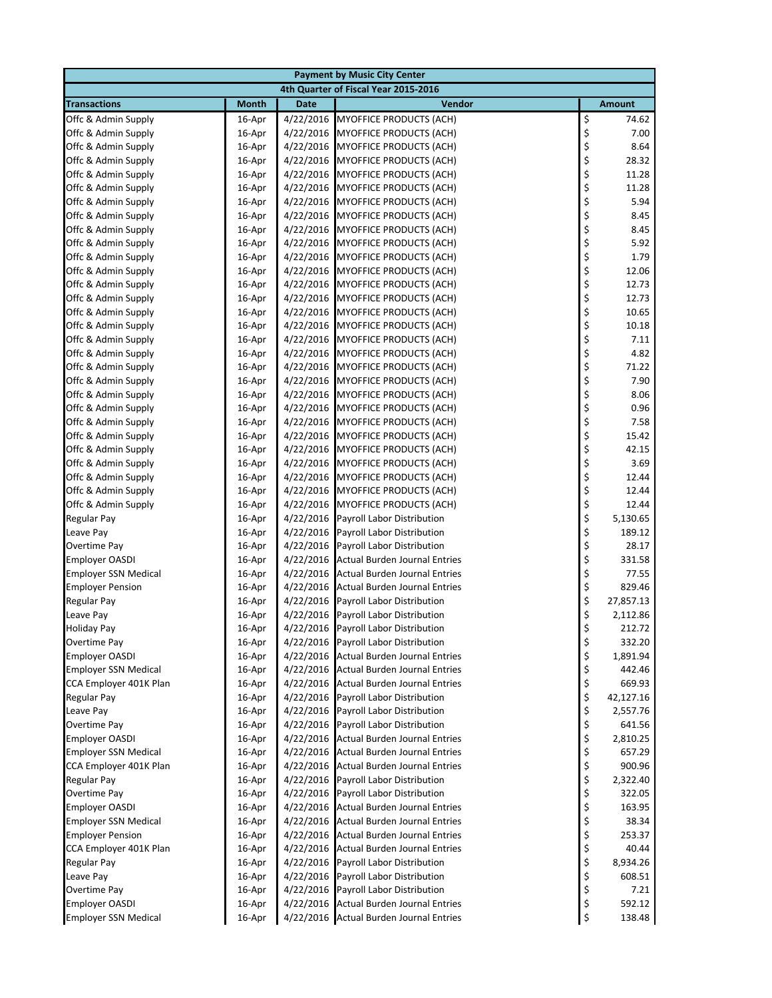| <b>Payment by Music City Center</b>                   |                  |                        |                                                          |          |                  |  |  |
|-------------------------------------------------------|------------------|------------------------|----------------------------------------------------------|----------|------------------|--|--|
|                                                       |                  |                        | 4th Quarter of Fiscal Year 2015-2016                     |          |                  |  |  |
| <b>Transactions</b>                                   | <b>Month</b>     | <b>Date</b>            | Vendor                                                   |          | <b>Amount</b>    |  |  |
| Offc & Admin Supply                                   | 16-Apr           | 4/22/2016              | <b>MYOFFICE PRODUCTS (ACH)</b>                           | \$       | 74.62            |  |  |
| Offc & Admin Supply                                   | 16-Apr           | 4/22/2016              | MYOFFICE PRODUCTS (ACH)                                  | \$       | 7.00             |  |  |
| Offc & Admin Supply                                   | 16-Apr           | 4/22/2016              | <b>MYOFFICE PRODUCTS (ACH)</b>                           | \$       | 8.64             |  |  |
| Offc & Admin Supply                                   | 16-Apr           | 4/22/2016              | <b>MYOFFICE PRODUCTS (ACH)</b>                           | \$       | 28.32            |  |  |
| Offc & Admin Supply                                   | 16-Apr           | 4/22/2016              | <b>MYOFFICE PRODUCTS (ACH)</b>                           | \$       | 11.28            |  |  |
| Offc & Admin Supply                                   | 16-Apr           | 4/22/2016              | <b>MYOFFICE PRODUCTS (ACH)</b>                           | \$       | 11.28            |  |  |
| Offc & Admin Supply                                   | 16-Apr           | 4/22/2016              | <b>MYOFFICE PRODUCTS (ACH)</b>                           | \$       | 5.94             |  |  |
| Offc & Admin Supply                                   | 16-Apr           | 4/22/2016              | MYOFFICE PRODUCTS (ACH)                                  | \$       | 8.45             |  |  |
| Offc & Admin Supply                                   | 16-Apr           | 4/22/2016              | <b>MYOFFICE PRODUCTS (ACH)</b>                           | \$       | 8.45             |  |  |
| Offc & Admin Supply                                   | 16-Apr           | 4/22/2016              | MYOFFICE PRODUCTS (ACH)                                  | \$       | 5.92             |  |  |
| Offc & Admin Supply                                   | 16-Apr           | 4/22/2016              | <b>MYOFFICE PRODUCTS (ACH)</b>                           | \$       | 1.79             |  |  |
| Offc & Admin Supply                                   | 16-Apr           | 4/22/2016              | <b>MYOFFICE PRODUCTS (ACH)</b>                           | \$       | 12.06            |  |  |
| Offc & Admin Supply                                   | 16-Apr           | 4/22/2016              | <b>MYOFFICE PRODUCTS (ACH)</b>                           | \$       | 12.73            |  |  |
| Offc & Admin Supply                                   | 16-Apr           | 4/22/2016              | <b>MYOFFICE PRODUCTS (ACH)</b>                           | \$       | 12.73            |  |  |
| Offc & Admin Supply                                   | 16-Apr           | 4/22/2016              | <b>MYOFFICE PRODUCTS (ACH)</b>                           | \$       | 10.65            |  |  |
| Offc & Admin Supply                                   | 16-Apr           | 4/22/2016              | <b>MYOFFICE PRODUCTS (ACH)</b>                           | \$       | 10.18            |  |  |
| Offc & Admin Supply                                   | 16-Apr           | 4/22/2016              | <b>MYOFFICE PRODUCTS (ACH)</b>                           | \$       | 7.11             |  |  |
| Offc & Admin Supply                                   | 16-Apr           | 4/22/2016              | <b>MYOFFICE PRODUCTS (ACH)</b>                           | \$       | 4.82             |  |  |
| Offc & Admin Supply                                   | 16-Apr           | 4/22/2016              | <b>MYOFFICE PRODUCTS (ACH)</b>                           | \$       | 71.22            |  |  |
| Offc & Admin Supply                                   | 16-Apr           | 4/22/2016              | <b>MYOFFICE PRODUCTS (ACH)</b>                           | \$       | 7.90             |  |  |
| Offc & Admin Supply                                   | 16-Apr           | 4/22/2016              | <b>MYOFFICE PRODUCTS (ACH)</b>                           | \$       | 8.06             |  |  |
| Offc & Admin Supply                                   | 16-Apr           | 4/22/2016              | MYOFFICE PRODUCTS (ACH)                                  | \$       | 0.96             |  |  |
| Offc & Admin Supply                                   | 16-Apr           | 4/22/2016              | MYOFFICE PRODUCTS (ACH)                                  | \$       | 7.58             |  |  |
| Offc & Admin Supply                                   | 16-Apr           | 4/22/2016              | <b>MYOFFICE PRODUCTS (ACH)</b>                           | \$       | 15.42            |  |  |
| Offc & Admin Supply                                   | 16-Apr           | 4/22/2016              | <b>MYOFFICE PRODUCTS (ACH)</b>                           | \$       | 42.15            |  |  |
| Offc & Admin Supply                                   | 16-Apr           | 4/22/2016              | <b>MYOFFICE PRODUCTS (ACH)</b>                           | \$       | 3.69             |  |  |
| Offc & Admin Supply                                   | 16-Apr           | 4/22/2016              | <b>MYOFFICE PRODUCTS (ACH)</b>                           | \$       | 12.44            |  |  |
| Offc & Admin Supply                                   | 16-Apr           | 4/22/2016              | <b>MYOFFICE PRODUCTS (ACH)</b>                           | \$       | 12.44            |  |  |
| Offc & Admin Supply                                   | 16-Apr           | 4/22/2016              | <b>MYOFFICE PRODUCTS (ACH)</b>                           | \$       | 12.44            |  |  |
| <b>Regular Pay</b>                                    | 16-Apr           | 4/22/2016              | Payroll Labor Distribution                               | \$       | 5,130.65         |  |  |
| Leave Pay                                             | 16-Apr           | 4/22/2016              | Payroll Labor Distribution                               | \$       | 189.12           |  |  |
| Overtime Pay                                          | 16-Apr           | 4/22/2016              | Payroll Labor Distribution                               | \$       | 28.17            |  |  |
| <b>Employer OASDI</b>                                 | 16-Apr           | 4/22/2016              | <b>Actual Burden Journal Entries</b>                     | \$       | 331.58           |  |  |
| <b>Employer SSN Medical</b>                           | 16-Apr           | 4/22/2016              | <b>Actual Burden Journal Entries</b>                     | \$       | 77.55            |  |  |
| <b>Employer Pension</b>                               | 16-Apr           | 4/22/2016              | <b>Actual Burden Journal Entries</b>                     | \$       | 829.46           |  |  |
| <b>Regular Pay</b>                                    | 16-Apr           | 4/22/2016              | Payroll Labor Distribution                               | \$       | 27,857.13        |  |  |
| Leave Pay                                             | 16-Apr           | 4/22/2016              | Payroll Labor Distribution                               | \$       | 2,112.86         |  |  |
| <b>Holiday Pay</b>                                    | 16-Apr           |                        | 4/22/2016 Payroll Labor Distribution                     | \$       | 212.72           |  |  |
| Overtime Pay                                          | 16-Apr           | 4/22/2016              | 4/22/2016 Payroll Labor Distribution                     | \$       | 332.20           |  |  |
| <b>Employer OASDI</b>                                 | 16-Apr           |                        | <b>Actual Burden Journal Entries</b>                     | \$       | 1,891.94         |  |  |
| <b>Employer SSN Medical</b><br>CCA Employer 401K Plan | 16-Apr<br>16-Apr | 4/22/2016<br>4/22/2016 | <b>Actual Burden Journal Entries</b>                     | \$<br>\$ | 442.46<br>669.93 |  |  |
|                                                       |                  |                        | <b>Actual Burden Journal Entries</b>                     | \$       | 42,127.16        |  |  |
| Regular Pay<br>Leave Pay                              | 16-Apr<br>16-Apr | 4/22/2016<br>4/22/2016 | Payroll Labor Distribution<br>Payroll Labor Distribution | \$       | 2,557.76         |  |  |
| Overtime Pay                                          | 16-Apr           | 4/22/2016              | Payroll Labor Distribution                               | \$       | 641.56           |  |  |
| <b>Employer OASDI</b>                                 | 16-Apr           | 4/22/2016              | <b>Actual Burden Journal Entries</b>                     | \$       | 2,810.25         |  |  |
| <b>Employer SSN Medical</b>                           | 16-Apr           | 4/22/2016              | <b>Actual Burden Journal Entries</b>                     | \$       | 657.29           |  |  |
| CCA Employer 401K Plan                                | 16-Apr           | 4/22/2016              | <b>Actual Burden Journal Entries</b>                     | \$       | 900.96           |  |  |
| Regular Pay                                           | 16-Apr           | 4/22/2016              | Payroll Labor Distribution                               | \$       | 2,322.40         |  |  |
| Overtime Pay                                          | 16-Apr           | 4/22/2016              | Payroll Labor Distribution                               | \$       | 322.05           |  |  |
| <b>Employer OASDI</b>                                 | 16-Apr           | 4/22/2016              | <b>Actual Burden Journal Entries</b>                     | \$       | 163.95           |  |  |
| <b>Employer SSN Medical</b>                           | 16-Apr           | 4/22/2016              | <b>Actual Burden Journal Entries</b>                     | \$       | 38.34            |  |  |
| <b>Employer Pension</b>                               | 16-Apr           | 4/22/2016              | <b>Actual Burden Journal Entries</b>                     | \$       | 253.37           |  |  |
| CCA Employer 401K Plan                                | 16-Apr           | 4/22/2016              | <b>Actual Burden Journal Entries</b>                     | \$       | 40.44            |  |  |
| Regular Pay                                           | 16-Apr           | 4/22/2016              | Payroll Labor Distribution                               | \$       | 8,934.26         |  |  |
| Leave Pay                                             | 16-Apr           | 4/22/2016              | Payroll Labor Distribution                               | \$       | 608.51           |  |  |
| Overtime Pay                                          | 16-Apr           | 4/22/2016              | Payroll Labor Distribution                               | \$       | 7.21             |  |  |
| <b>Employer OASDI</b>                                 | 16-Apr           | 4/22/2016              | <b>Actual Burden Journal Entries</b>                     | \$       | 592.12           |  |  |
| <b>Employer SSN Medical</b>                           | 16-Apr           |                        | 4/22/2016 Actual Burden Journal Entries                  | \$       | 138.48           |  |  |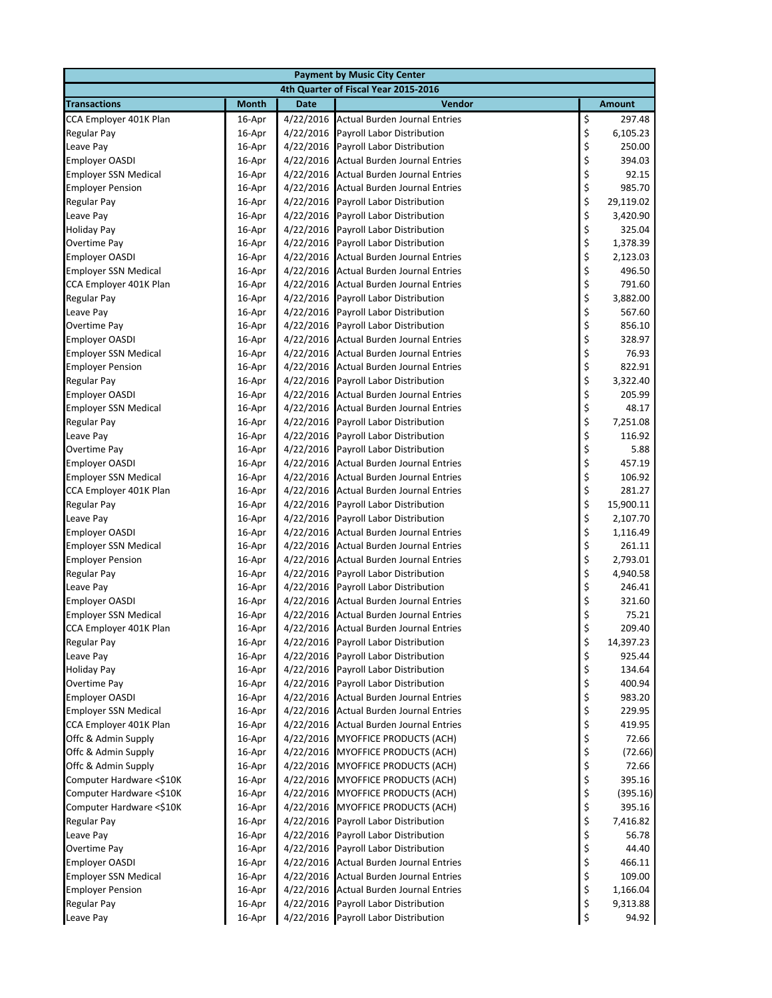| <b>Payment by Music City Center</b>  |              |             |                                         |                                                         |               |  |  |
|--------------------------------------|--------------|-------------|-----------------------------------------|---------------------------------------------------------|---------------|--|--|
| 4th Quarter of Fiscal Year 2015-2016 |              |             |                                         |                                                         |               |  |  |
| <b>Transactions</b>                  | <b>Month</b> | <b>Date</b> | Vendor                                  |                                                         | <b>Amount</b> |  |  |
| CCA Employer 401K Plan               | 16-Apr       | 4/22/2016   | <b>Actual Burden Journal Entries</b>    | \$                                                      | 297.48        |  |  |
| <b>Regular Pay</b>                   | 16-Apr       | 4/22/2016   | Payroll Labor Distribution              | \$                                                      | 6,105.23      |  |  |
| Leave Pay                            | 16-Apr       | 4/22/2016   | Payroll Labor Distribution              | \$                                                      | 250.00        |  |  |
| <b>Employer OASDI</b>                | 16-Apr       | 4/22/2016   | Actual Burden Journal Entries           | \$                                                      | 394.03        |  |  |
| <b>Employer SSN Medical</b>          | 16-Apr       | 4/22/2016   | <b>Actual Burden Journal Entries</b>    | \$<br>\$                                                | 92.15         |  |  |
| <b>Employer Pension</b>              | 16-Apr       | 4/22/2016   | <b>Actual Burden Journal Entries</b>    |                                                         | 985.70        |  |  |
| Regular Pay                          | 16-Apr       | 4/22/2016   | Payroll Labor Distribution              | \$<br>\$                                                | 29,119.02     |  |  |
| Leave Pay                            | 16-Apr       | 4/22/2016   | Payroll Labor Distribution              |                                                         | 3,420.90      |  |  |
| <b>Holiday Pay</b>                   | 16-Apr       | 4/22/2016   | Payroll Labor Distribution              | \$                                                      | 325.04        |  |  |
| Overtime Pay                         | 16-Apr       | 4/22/2016   | Payroll Labor Distribution              |                                                         | 1,378.39      |  |  |
| <b>Employer OASDI</b>                | 16-Apr       | 4/22/2016   | <b>Actual Burden Journal Entries</b>    | \$\$\$\$\$                                              | 2,123.03      |  |  |
| <b>Employer SSN Medical</b>          | 16-Apr       | 4/22/2016   | <b>Actual Burden Journal Entries</b>    |                                                         | 496.50        |  |  |
| CCA Employer 401K Plan               | 16-Apr       | 4/22/2016   | Actual Burden Journal Entries           |                                                         | 791.60        |  |  |
| <b>Regular Pay</b>                   | 16-Apr       | 4/22/2016   | Payroll Labor Distribution              |                                                         | 3,882.00      |  |  |
| Leave Pay                            | 16-Apr       | 4/22/2016   | Payroll Labor Distribution              | \$                                                      | 567.60        |  |  |
| Overtime Pay                         | 16-Apr       | 4/22/2016   | Payroll Labor Distribution              | \$                                                      | 856.10        |  |  |
| <b>Employer OASDI</b>                | 16-Apr       | 4/22/2016   | <b>Actual Burden Journal Entries</b>    | \$                                                      | 328.97        |  |  |
| <b>Employer SSN Medical</b>          | 16-Apr       | 4/22/2016   | <b>Actual Burden Journal Entries</b>    | \$<br>\$                                                | 76.93         |  |  |
| <b>Employer Pension</b>              | 16-Apr       | 4/22/2016   | <b>Actual Burden Journal Entries</b>    |                                                         | 822.91        |  |  |
| <b>Regular Pay</b>                   | 16-Apr       | 4/22/2016   | Payroll Labor Distribution              | \$                                                      | 3,322.40      |  |  |
| <b>Employer OASDI</b>                | 16-Apr       | 4/22/2016   | <b>Actual Burden Journal Entries</b>    |                                                         | 205.99        |  |  |
| <b>Employer SSN Medical</b>          | 16-Apr       | 4/22/2016   | <b>Actual Burden Journal Entries</b>    | \$\$\$                                                  | 48.17         |  |  |
| <b>Regular Pay</b>                   | 16-Apr       | 4/22/2016   | Payroll Labor Distribution              |                                                         | 7,251.08      |  |  |
| Leave Pay                            | 16-Apr       | 4/22/2016   | Payroll Labor Distribution              | \$<br>\$                                                | 116.92        |  |  |
| Overtime Pay                         | 16-Apr       | 4/22/2016   | Payroll Labor Distribution              |                                                         | 5.88          |  |  |
| <b>Employer OASDI</b>                | 16-Apr       | 4/22/2016   | Actual Burden Journal Entries           | \$                                                      | 457.19        |  |  |
| <b>Employer SSN Medical</b>          | 16-Apr       | 4/22/2016   | <b>Actual Burden Journal Entries</b>    | \$<br>\$                                                | 106.92        |  |  |
| CCA Employer 401K Plan               | 16-Apr       | 4/22/2016   | <b>Actual Burden Journal Entries</b>    |                                                         | 281.27        |  |  |
| Regular Pay                          | 16-Apr       | 4/22/2016   | Payroll Labor Distribution              | \$<br>\$                                                | 15,900.11     |  |  |
| Leave Pay                            | 16-Apr       | 4/22/2016   | Payroll Labor Distribution              |                                                         | 2,107.70      |  |  |
| <b>Employer OASDI</b>                | 16-Apr       | 4/22/2016   | <b>Actual Burden Journal Entries</b>    | \$                                                      | 1,116.49      |  |  |
| <b>Employer SSN Medical</b>          | 16-Apr       | 4/22/2016   | Actual Burden Journal Entries           | $\begin{array}{c} \texttt{S} \\ \texttt{S} \end{array}$ | 261.11        |  |  |
| <b>Employer Pension</b>              | 16-Apr       | 4/22/2016   | <b>Actual Burden Journal Entries</b>    |                                                         | 2,793.01      |  |  |
| <b>Regular Pay</b>                   | 16-Apr       | 4/22/2016   | Payroll Labor Distribution              | \$                                                      | 4,940.58      |  |  |
| Leave Pay                            | 16-Apr       | 4/22/2016   | Payroll Labor Distribution              | \$                                                      | 246.41        |  |  |
| <b>Employer OASDI</b>                | 16-Apr       | 4/22/2016   | <b>Actual Burden Journal Entries</b>    | \$                                                      | 321.60        |  |  |
| <b>Employer SSN Medical</b>          | 16-Apr       | 4/22/2016   | <b>Actual Burden Journal Entries</b>    | \$                                                      | 75.21         |  |  |
| CCA Employer 401K Plan               | 16-Apr       |             | 4/22/2016 Actual Burden Journal Entries | \$                                                      | 209.40        |  |  |
| <b>Regular Pay</b>                   | 16-Apr       | 4/22/2016   | Payroll Labor Distribution              | \$                                                      | 14,397.23     |  |  |
| Leave Pay                            | 16-Apr       | 4/22/2016   | Payroll Labor Distribution              | \$                                                      | 925.44        |  |  |
| <b>Holiday Pay</b>                   | 16-Apr       | 4/22/2016   | Payroll Labor Distribution              | \$                                                      | 134.64        |  |  |
| Overtime Pay                         | 16-Apr       | 4/22/2016   | Payroll Labor Distribution              | \$                                                      | 400.94        |  |  |
| <b>Employer OASDI</b>                | 16-Apr       | 4/22/2016   | Actual Burden Journal Entries           | \$                                                      | 983.20        |  |  |
| <b>Employer SSN Medical</b>          | 16-Apr       | 4/22/2016   | <b>Actual Burden Journal Entries</b>    | \$                                                      | 229.95        |  |  |
| CCA Employer 401K Plan               | 16-Apr       | 4/22/2016   | <b>Actual Burden Journal Entries</b>    | \$                                                      | 419.95        |  |  |
| Offc & Admin Supply                  | 16-Apr       | 4/22/2016   | <b>MYOFFICE PRODUCTS (ACH)</b>          | \$                                                      | 72.66         |  |  |
| Offc & Admin Supply                  | 16-Apr       | 4/22/2016   | MYOFFICE PRODUCTS (ACH)                 | \$                                                      | (72.66)       |  |  |
| Offc & Admin Supply                  | 16-Apr       | 4/22/2016   | MYOFFICE PRODUCTS (ACH)                 | \$                                                      | 72.66         |  |  |
| Computer Hardware <\$10K             | 16-Apr       | 4/22/2016   | MYOFFICE PRODUCTS (ACH)                 | \$                                                      | 395.16        |  |  |
| Computer Hardware <\$10K             | 16-Apr       | 4/22/2016   | MYOFFICE PRODUCTS (ACH)                 | \$                                                      | (395.16)      |  |  |
| Computer Hardware <\$10K             | 16-Apr       | 4/22/2016   | MYOFFICE PRODUCTS (ACH)                 | \$                                                      | 395.16        |  |  |
| <b>Regular Pay</b>                   | 16-Apr       | 4/22/2016   | Payroll Labor Distribution              | \$                                                      | 7,416.82      |  |  |
| Leave Pay                            | 16-Apr       | 4/22/2016   | Payroll Labor Distribution              | \$                                                      | 56.78         |  |  |
| Overtime Pay                         | 16-Apr       | 4/22/2016   | Payroll Labor Distribution              | \$                                                      | 44.40         |  |  |
| <b>Employer OASDI</b>                | 16-Apr       | 4/22/2016   | <b>Actual Burden Journal Entries</b>    | \$                                                      | 466.11        |  |  |
| <b>Employer SSN Medical</b>          | 16-Apr       | 4/22/2016   | <b>Actual Burden Journal Entries</b>    | \$                                                      | 109.00        |  |  |
| <b>Employer Pension</b>              | 16-Apr       | 4/22/2016   | Actual Burden Journal Entries           | \$                                                      | 1,166.04      |  |  |
| Regular Pay                          | 16-Apr       | 4/22/2016   | Payroll Labor Distribution              | \$                                                      | 9,313.88      |  |  |
| Leave Pay                            | 16-Apr       | 4/22/2016   | Payroll Labor Distribution              | \$                                                      | 94.92         |  |  |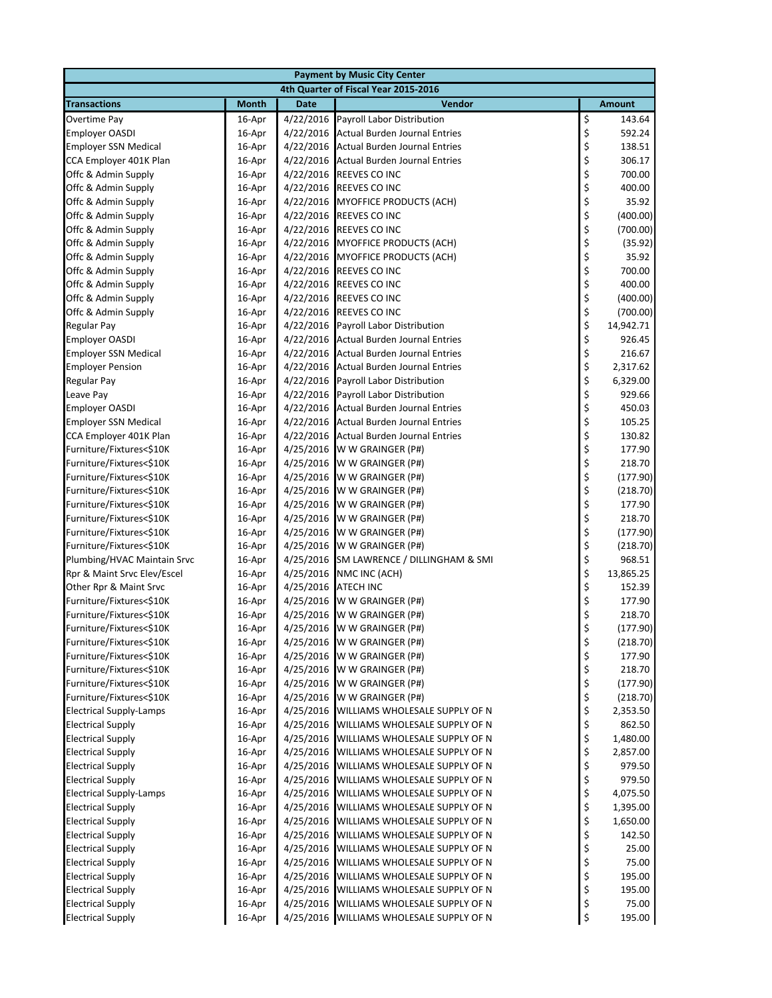| <b>Payment by Music City Center</b>                        |                  |                        |                                                                  |          |                      |  |  |
|------------------------------------------------------------|------------------|------------------------|------------------------------------------------------------------|----------|----------------------|--|--|
| 4th Quarter of Fiscal Year 2015-2016                       |                  |                        |                                                                  |          |                      |  |  |
| <b>Transactions</b>                                        | <b>Month</b>     | <b>Date</b>            | Vendor                                                           |          | <b>Amount</b>        |  |  |
| Overtime Pay                                               | 16-Apr           | 4/22/2016              | Payroll Labor Distribution                                       | \$       | 143.64               |  |  |
| <b>Employer OASDI</b>                                      | 16-Apr           | 4/22/2016              | <b>Actual Burden Journal Entries</b>                             | \$       | 592.24               |  |  |
| <b>Employer SSN Medical</b>                                | 16-Apr           | 4/22/2016              | <b>Actual Burden Journal Entries</b>                             | \$       | 138.51               |  |  |
| CCA Employer 401K Plan                                     | 16-Apr           | 4/22/2016              | <b>Actual Burden Journal Entries</b>                             | \$       | 306.17               |  |  |
| Offc & Admin Supply                                        | 16-Apr           |                        | 4/22/2016 REEVES CO INC                                          | \$       | 700.00               |  |  |
| Offc & Admin Supply                                        | 16-Apr           |                        | 4/22/2016 REEVES CO INC                                          | \$       | 400.00               |  |  |
| Offc & Admin Supply                                        | 16-Apr           |                        | 4/22/2016 MYOFFICE PRODUCTS (ACH)                                | \$       | 35.92                |  |  |
| Offc & Admin Supply                                        | 16-Apr           | 4/22/2016              | <b>REEVES CO INC</b>                                             | \$       | (400.00)             |  |  |
| Offc & Admin Supply                                        | 16-Apr           | 4/22/2016              | REEVES CO INC                                                    | \$       | (700.00)             |  |  |
| Offc & Admin Supply                                        | 16-Apr           |                        | 4/22/2016 MYOFFICE PRODUCTS (ACH)                                | \$       | (35.92)              |  |  |
| Offc & Admin Supply                                        | 16-Apr           |                        | 4/22/2016 MYOFFICE PRODUCTS (ACH)                                | \$       | 35.92                |  |  |
| Offc & Admin Supply                                        | 16-Apr           |                        | 4/22/2016 REEVES CO INC                                          | \$       | 700.00               |  |  |
| Offc & Admin Supply                                        | 16-Apr           | 4/22/2016              | REEVES CO INC                                                    | \$       | 400.00               |  |  |
| Offc & Admin Supply                                        | 16-Apr           | 4/22/2016              | REEVES CO INC                                                    | \$       | (400.00)             |  |  |
| Offc & Admin Supply                                        | 16-Apr           | 4/22/2016              | <b>REEVES CO INC</b>                                             | \$       | (700.00)             |  |  |
| <b>Regular Pay</b>                                         | 16-Apr           | 4/22/2016              | Payroll Labor Distribution                                       | \$       | 14,942.71            |  |  |
| <b>Employer OASDI</b>                                      | 16-Apr           | 4/22/2016              | <b>Actual Burden Journal Entries</b>                             | \$       | 926.45               |  |  |
| <b>Employer SSN Medical</b>                                | 16-Apr           | 4/22/2016              | <b>Actual Burden Journal Entries</b>                             | \$       | 216.67               |  |  |
| <b>Employer Pension</b>                                    | 16-Apr           | 4/22/2016              | <b>Actual Burden Journal Entries</b>                             | \$       | 2,317.62             |  |  |
| <b>Regular Pay</b>                                         | 16-Apr           | 4/22/2016              | Payroll Labor Distribution                                       | \$       | 6,329.00             |  |  |
| Leave Pay                                                  | 16-Apr           | 4/22/2016              | Payroll Labor Distribution                                       | \$       | 929.66               |  |  |
| <b>Employer OASDI</b>                                      | 16-Apr           | 4/22/2016              | <b>Actual Burden Journal Entries</b>                             | \$       | 450.03               |  |  |
| <b>Employer SSN Medical</b>                                | 16-Apr           | 4/22/2016              | <b>Actual Burden Journal Entries</b>                             | \$       | 105.25               |  |  |
| CCA Employer 401K Plan                                     | 16-Apr           | 4/22/2016              | <b>Actual Burden Journal Entries</b>                             | \$       | 130.82               |  |  |
| Furniture/Fixtures<\$10K                                   | 16-Apr           | 4/25/2016              | W W GRAINGER (P#)                                                | \$       | 177.90               |  |  |
| Furniture/Fixtures<\$10K                                   | 16-Apr           | 4/25/2016              | W W GRAINGER (P#)                                                | \$       | 218.70               |  |  |
| Furniture/Fixtures<\$10K                                   | 16-Apr           | 4/25/2016              | W W GRAINGER (P#)                                                | \$       | (177.90)             |  |  |
| Furniture/Fixtures<\$10K                                   | 16-Apr           | 4/25/2016              | W W GRAINGER (P#)                                                | \$       | (218.70)             |  |  |
| Furniture/Fixtures<\$10K                                   | 16-Apr           | 4/25/2016              | W W GRAINGER (P#)                                                | \$       | 177.90               |  |  |
| Furniture/Fixtures<\$10K                                   | 16-Apr           | 4/25/2016              | W W GRAINGER (P#)                                                | \$       | 218.70               |  |  |
| Furniture/Fixtures<\$10K                                   | 16-Apr           | 4/25/2016              | W W GRAINGER (P#)                                                | \$       | (177.90)             |  |  |
| Furniture/Fixtures<\$10K                                   | 16-Apr           | 4/25/2016              | W W GRAINGER (P#)                                                | \$       | (218.70)             |  |  |
| Plumbing/HVAC Maintain Srvc                                | 16-Apr           | 4/25/2016              | SM LAWRENCE / DILLINGHAM & SMI                                   | \$       | 968.51               |  |  |
| Rpr & Maint Srvc Elev/Escel                                | 16-Apr           | 4/25/2016              | NMC INC (ACH)                                                    | \$       | 13,865.25            |  |  |
| Other Rpr & Maint Srvc                                     | 16-Apr           | 4/25/2016              | <b>ATECH INC</b>                                                 | \$       | 152.39               |  |  |
| Furniture/Fixtures<\$10K                                   | 16-Apr           | 4/25/2016              | W W GRAINGER (P#)                                                | \$       | 177.90               |  |  |
| Furniture/Fixtures<\$10K                                   | 16-Apr           | 4/25/2016              | W W GRAINGER (P#)                                                | \$       | 218.70               |  |  |
| Furniture/Fixtures<\$10K                                   | 16-Apr           |                        | 4/25/2016 W W GRAINGER (P#)                                      | \$       | (177.90)             |  |  |
| Furniture/Fixtures<\$10K                                   | 16-Apr           | 4/25/2016              | W W GRAINGER (P#)                                                | \$       | (218.70)             |  |  |
| Furniture/Fixtures<\$10K                                   | 16-Apr           | 4/25/2016              | W W GRAINGER (P#)                                                | \$       | 177.90               |  |  |
| Furniture/Fixtures<\$10K                                   | 16-Apr           | 4/25/2016              | W W GRAINGER (P#)                                                | \$       | 218.70               |  |  |
| Furniture/Fixtures<\$10K                                   | 16-Apr           | 4/25/2016              | W W GRAINGER (P#)                                                | \$       | (177.90)             |  |  |
| Furniture/Fixtures<\$10K                                   | 16-Apr           | 4/25/2016              | W W GRAINGER (P#)                                                | \$       | (218.70)             |  |  |
| <b>Electrical Supply-Lamps</b>                             | 16-Apr           | 4/25/2016              | WILLIAMS WHOLESALE SUPPLY OF N                                   | \$       | 2,353.50             |  |  |
| <b>Electrical Supply</b>                                   | 16-Apr           | 4/25/2016              | WILLIAMS WHOLESALE SUPPLY OF N                                   | \$       | 862.50               |  |  |
| <b>Electrical Supply</b>                                   | 16-Apr           | 4/25/2016              | WILLIAMS WHOLESALE SUPPLY OF N                                   | \$       | 1,480.00             |  |  |
| <b>Electrical Supply</b>                                   | 16-Apr           | 4/25/2016              | WILLIAMS WHOLESALE SUPPLY OF N                                   | \$<br>\$ | 2,857.00             |  |  |
| <b>Electrical Supply</b>                                   | 16-Apr           | 4/25/2016              | WILLIAMS WHOLESALE SUPPLY OF N                                   |          | 979.50               |  |  |
| <b>Electrical Supply</b>                                   | 16-Apr           | 4/25/2016              | WILLIAMS WHOLESALE SUPPLY OF N                                   | \$       | 979.50               |  |  |
| <b>Electrical Supply-Lamps</b><br><b>Electrical Supply</b> | 16-Apr<br>16-Apr | 4/25/2016<br>4/25/2016 | WILLIAMS WHOLESALE SUPPLY OF N<br>WILLIAMS WHOLESALE SUPPLY OF N | \$       | 4,075.50<br>1,395.00 |  |  |
| <b>Electrical Supply</b>                                   | 16-Apr           | 4/25/2016              | WILLIAMS WHOLESALE SUPPLY OF N                                   | \$<br>\$ | 1,650.00             |  |  |
| <b>Electrical Supply</b>                                   | 16-Apr           | 4/25/2016              | WILLIAMS WHOLESALE SUPPLY OF N                                   | \$       | 142.50               |  |  |
| <b>Electrical Supply</b>                                   | 16-Apr           | 4/25/2016              | WILLIAMS WHOLESALE SUPPLY OF N                                   | \$       | 25.00                |  |  |
| <b>Electrical Supply</b>                                   | 16-Apr           | 4/25/2016              | WILLIAMS WHOLESALE SUPPLY OF N                                   | \$       | 75.00                |  |  |
| <b>Electrical Supply</b>                                   | 16-Apr           | 4/25/2016              | WILLIAMS WHOLESALE SUPPLY OF N                                   | \$       | 195.00               |  |  |
| <b>Electrical Supply</b>                                   | 16-Apr           | 4/25/2016              | WILLIAMS WHOLESALE SUPPLY OF N                                   | \$       | 195.00               |  |  |
| <b>Electrical Supply</b>                                   | 16-Apr           | 4/25/2016              | WILLIAMS WHOLESALE SUPPLY OF N                                   | \$       | 75.00                |  |  |
| <b>Electrical Supply</b>                                   | 16-Apr           | 4/25/2016              | WILLIAMS WHOLESALE SUPPLY OF N                                   | \$       | 195.00               |  |  |
|                                                            |                  |                        |                                                                  |          |                      |  |  |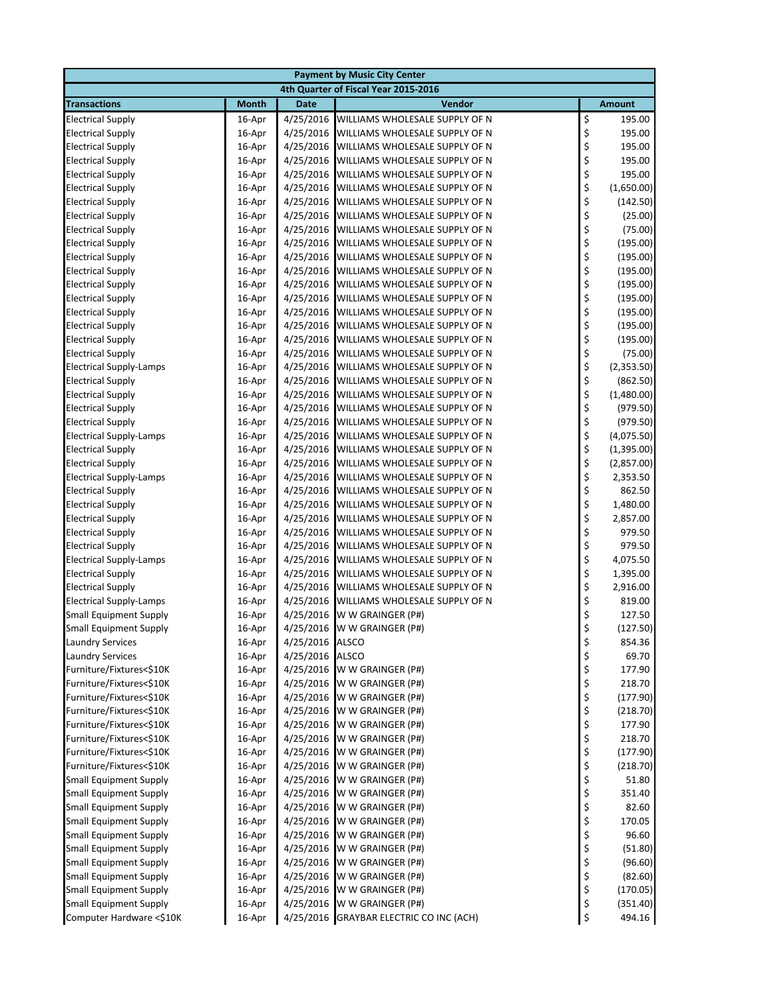| <b>Payment by Music City Center</b>                            |                  |                 |                                                  |          |                      |  |  |
|----------------------------------------------------------------|------------------|-----------------|--------------------------------------------------|----------|----------------------|--|--|
|                                                                |                  |                 | 4th Quarter of Fiscal Year 2015-2016             |          |                      |  |  |
| <b>Transactions</b>                                            | <b>Month</b>     | <b>Date</b>     | Vendor                                           |          | <b>Amount</b>        |  |  |
| <b>Electrical Supply</b>                                       | 16-Apr           | 4/25/2016       | WILLIAMS WHOLESALE SUPPLY OF N                   | \$       | 195.00               |  |  |
| <b>Electrical Supply</b>                                       | 16-Apr           | 4/25/2016       | WILLIAMS WHOLESALE SUPPLY OF N                   | \$       | 195.00               |  |  |
| <b>Electrical Supply</b>                                       | 16-Apr           | 4/25/2016       | WILLIAMS WHOLESALE SUPPLY OF N                   | \$       | 195.00               |  |  |
| <b>Electrical Supply</b>                                       | 16-Apr           | 4/25/2016       | WILLIAMS WHOLESALE SUPPLY OF N                   | \$       | 195.00               |  |  |
| <b>Electrical Supply</b>                                       | 16-Apr           | 4/25/2016       | WILLIAMS WHOLESALE SUPPLY OF N                   | \$       | 195.00               |  |  |
| <b>Electrical Supply</b>                                       | 16-Apr           | 4/25/2016       | WILLIAMS WHOLESALE SUPPLY OF N                   | \$       | (1,650.00)           |  |  |
| <b>Electrical Supply</b>                                       | 16-Apr           |                 | 4/25/2016 WILLIAMS WHOLESALE SUPPLY OF N         | \$       | (142.50)             |  |  |
| <b>Electrical Supply</b>                                       | 16-Apr           | 4/25/2016       | WILLIAMS WHOLESALE SUPPLY OF N                   | \$       | (25.00)              |  |  |
| <b>Electrical Supply</b>                                       | 16-Apr           | 4/25/2016       | WILLIAMS WHOLESALE SUPPLY OF N                   | \$       | (75.00)              |  |  |
| <b>Electrical Supply</b>                                       | 16-Apr           | 4/25/2016       | WILLIAMS WHOLESALE SUPPLY OF N                   | \$       | (195.00)             |  |  |
| <b>Electrical Supply</b>                                       | 16-Apr           | 4/25/2016       | WILLIAMS WHOLESALE SUPPLY OF N                   | \$       | (195.00)             |  |  |
| <b>Electrical Supply</b>                                       | 16-Apr           | 4/25/2016       | WILLIAMS WHOLESALE SUPPLY OF N                   | \$       | (195.00)             |  |  |
| <b>Electrical Supply</b>                                       | 16-Apr           | 4/25/2016       | WILLIAMS WHOLESALE SUPPLY OF N                   | \$       | (195.00)             |  |  |
| <b>Electrical Supply</b>                                       | 16-Apr           | 4/25/2016       | WILLIAMS WHOLESALE SUPPLY OF N                   | \$       | (195.00)             |  |  |
| <b>Electrical Supply</b>                                       | 16-Apr           | 4/25/2016       | WILLIAMS WHOLESALE SUPPLY OF N                   | \$       | (195.00)             |  |  |
| <b>Electrical Supply</b>                                       | 16-Apr           | 4/25/2016       | WILLIAMS WHOLESALE SUPPLY OF N                   | \$       | (195.00)             |  |  |
| <b>Electrical Supply</b>                                       | 16-Apr           | 4/25/2016       | WILLIAMS WHOLESALE SUPPLY OF N                   | \$       | (195.00)             |  |  |
| <b>Electrical Supply</b>                                       | 16-Apr           |                 | 4/25/2016 WILLIAMS WHOLESALE SUPPLY OF N         | \$       | (75.00)              |  |  |
| <b>Electrical Supply-Lamps</b>                                 | 16-Apr           | 4/25/2016       | WILLIAMS WHOLESALE SUPPLY OF N                   | \$       | (2,353.50)           |  |  |
| <b>Electrical Supply</b>                                       | 16-Apr           | 4/25/2016       | WILLIAMS WHOLESALE SUPPLY OF N                   | \$       | (862.50)             |  |  |
| <b>Electrical Supply</b>                                       | 16-Apr           | 4/25/2016       | WILLIAMS WHOLESALE SUPPLY OF N                   | \$       | (1,480.00)           |  |  |
| <b>Electrical Supply</b>                                       | 16-Apr           | 4/25/2016       | WILLIAMS WHOLESALE SUPPLY OF N                   | \$       | (979.50)             |  |  |
| <b>Electrical Supply</b>                                       | 16-Apr           | 4/25/2016       | WILLIAMS WHOLESALE SUPPLY OF N                   | \$       | (979.50)             |  |  |
| <b>Electrical Supply-Lamps</b>                                 | 16-Apr           | 4/25/2016       | WILLIAMS WHOLESALE SUPPLY OF N                   | \$       | (4,075.50)           |  |  |
| <b>Electrical Supply</b>                                       | 16-Apr           | 4/25/2016       | WILLIAMS WHOLESALE SUPPLY OF N                   | \$       | (1,395.00)           |  |  |
| <b>Electrical Supply</b>                                       | 16-Apr           | 4/25/2016       | WILLIAMS WHOLESALE SUPPLY OF N                   | \$       | (2,857.00)           |  |  |
| <b>Electrical Supply-Lamps</b>                                 | 16-Apr           | 4/25/2016       | WILLIAMS WHOLESALE SUPPLY OF N                   | \$       | 2,353.50             |  |  |
| <b>Electrical Supply</b>                                       | 16-Apr           | 4/25/2016       | WILLIAMS WHOLESALE SUPPLY OF N                   | \$       | 862.50               |  |  |
| <b>Electrical Supply</b>                                       | 16-Apr           |                 | 4/25/2016 WILLIAMS WHOLESALE SUPPLY OF N         | \$       | 1,480.00             |  |  |
| <b>Electrical Supply</b>                                       | 16-Apr           | 4/25/2016       | WILLIAMS WHOLESALE SUPPLY OF N                   | \$       | 2,857.00             |  |  |
| <b>Electrical Supply</b>                                       | 16-Apr           | 4/25/2016       | WILLIAMS WHOLESALE SUPPLY OF N                   | \$       | 979.50               |  |  |
| <b>Electrical Supply</b>                                       | 16-Apr           | 4/25/2016       | WILLIAMS WHOLESALE SUPPLY OF N                   | \$       | 979.50               |  |  |
| <b>Electrical Supply-Lamps</b>                                 | 16-Apr           | 4/25/2016       | WILLIAMS WHOLESALE SUPPLY OF N                   | \$       | 4,075.50             |  |  |
| <b>Electrical Supply</b>                                       | 16-Apr           | 4/25/2016       | WILLIAMS WHOLESALE SUPPLY OF N                   | \$       | 1,395.00             |  |  |
| <b>Electrical Supply</b>                                       | 16-Apr           | 4/25/2016       | WILLIAMS WHOLESALE SUPPLY OF N                   | \$       | 2,916.00             |  |  |
| <b>Electrical Supply-Lamps</b>                                 | 16-Apr           | 4/25/2016       | WILLIAMS WHOLESALE SUPPLY OF N                   | \$       | 819.00               |  |  |
| <b>Small Equipment Supply</b>                                  | 16-Apr           | 4/25/2016       | W W GRAINGER (P#)                                | \$       | 127.50               |  |  |
| <b>Small Equipment Supply</b>                                  | 16-Apr           |                 | 4/25/2016 W W GRAINGER (P#)                      | Ś        | (127.50)             |  |  |
| <b>Laundry Services</b>                                        | 16-Apr           | 4/25/2016 ALSCO |                                                  | \$       | 854.36               |  |  |
| <b>Laundry Services</b>                                        | 16-Apr           | 4/25/2016       | <b>ALSCO</b>                                     | \$       | 69.70                |  |  |
| Furniture/Fixtures<\$10K                                       | 16-Apr           | 4/25/2016       | W W GRAINGER (P#)                                | \$       | 177.90               |  |  |
| Furniture/Fixtures<\$10K                                       | 16-Apr           | 4/25/2016       | W W GRAINGER (P#)                                | \$       | 218.70               |  |  |
| Furniture/Fixtures<\$10K                                       | 16-Apr           | 4/25/2016       | W W GRAINGER (P#)                                | \$       | (177.90)             |  |  |
| Furniture/Fixtures<\$10K                                       | 16-Apr           | 4/25/2016       | W W GRAINGER (P#)                                | \$       | (218.70)             |  |  |
| Furniture/Fixtures<\$10K                                       | 16-Apr           | 4/25/2016       | W W GRAINGER (P#)                                | \$       | 177.90               |  |  |
| Furniture/Fixtures<\$10K                                       | 16-Apr           | 4/25/2016       | W W GRAINGER (P#)                                | \$       | 218.70               |  |  |
| Furniture/Fixtures<\$10K                                       | 16-Apr           | 4/25/2016       | W W GRAINGER (P#)                                | \$       | (177.90)             |  |  |
| Furniture/Fixtures<\$10K                                       | 16-Apr           | 4/25/2016       | W W GRAINGER (P#)                                | \$       | (218.70)             |  |  |
| <b>Small Equipment Supply</b>                                  | 16-Apr           | 4/25/2016       | W W GRAINGER (P#)                                | \$       | 51.80                |  |  |
| <b>Small Equipment Supply</b>                                  | 16-Apr           | 4/25/2016       | W W GRAINGER (P#)                                | \$       | 351.40               |  |  |
| <b>Small Equipment Supply</b>                                  | 16-Apr           | 4/25/2016       | W W GRAINGER (P#)                                | \$       | 82.60                |  |  |
| <b>Small Equipment Supply</b>                                  | 16-Apr           | 4/25/2016       | W W GRAINGER (P#)                                | \$<br>\$ | 170.05               |  |  |
| <b>Small Equipment Supply</b>                                  | 16-Apr           | 4/25/2016       | W W GRAINGER (P#)                                |          | 96.60                |  |  |
| <b>Small Equipment Supply</b>                                  | 16-Apr           | 4/25/2016       | W W GRAINGER (P#)                                | \$<br>\$ | (51.80)              |  |  |
| <b>Small Equipment Supply</b>                                  | 16-Apr           | 4/25/2016       | W W GRAINGER (P#)                                |          | (96.60)              |  |  |
| <b>Small Equipment Supply</b><br><b>Small Equipment Supply</b> | 16-Apr           | 4/25/2016       | W W GRAINGER (P#)                                | \$       | (82.60)              |  |  |
| <b>Small Equipment Supply</b>                                  | 16-Apr<br>16-Apr | 4/25/2016       | 4/25/2016 W W GRAINGER (P#)<br>W W GRAINGER (P#) | \$       | (170.05)<br>(351.40) |  |  |
| Computer Hardware <\$10K                                       | 16-Apr           |                 | 4/25/2016 GRAYBAR ELECTRIC CO INC (ACH)          | \$<br>\$ | 494.16               |  |  |
|                                                                |                  |                 |                                                  |          |                      |  |  |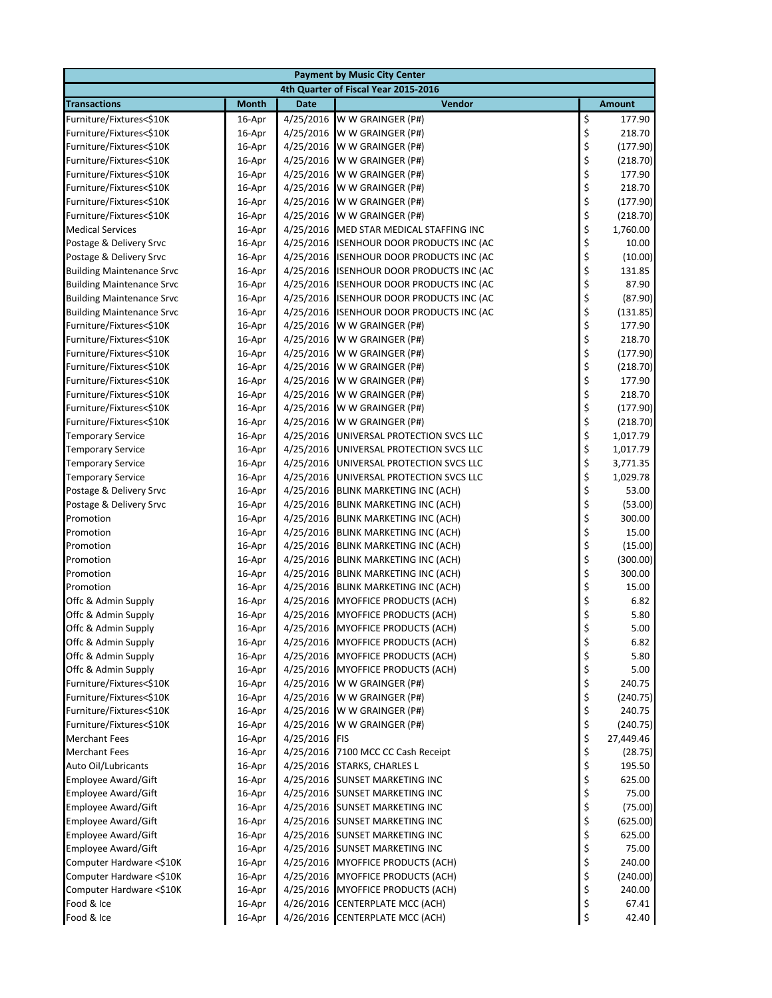| <b>Payment by Music City Center</b>        |                  |             |                                                        |                |               |  |  |
|--------------------------------------------|------------------|-------------|--------------------------------------------------------|----------------|---------------|--|--|
| 4th Quarter of Fiscal Year 2015-2016       |                  |             |                                                        |                |               |  |  |
| <b>Transactions</b>                        | <b>Month</b>     | <b>Date</b> | <b>Vendor</b>                                          |                | <b>Amount</b> |  |  |
| Furniture/Fixtures<\$10K                   | 16-Apr           | 4/25/2016   | W W GRAINGER (P#)                                      | \$             | 177.90        |  |  |
| Furniture/Fixtures<\$10K                   | 16-Apr           | 4/25/2016   | W W GRAINGER (P#)                                      |                | 218.70        |  |  |
| Furniture/Fixtures<\$10K                   | 16-Apr           | 4/25/2016   | W W GRAINGER (P#)                                      | \$\$\$\$\$     | (177.90)      |  |  |
| Furniture/Fixtures<\$10K                   | 16-Apr           | 4/25/2016   | W W GRAINGER (P#)                                      |                | (218.70)      |  |  |
| Furniture/Fixtures<\$10K                   | 16-Apr           | 4/25/2016   | W W GRAINGER (P#)                                      |                | 177.90        |  |  |
| Furniture/Fixtures<\$10K                   | 16-Apr           | 4/25/2016   | W W GRAINGER (P#)                                      |                | 218.70        |  |  |
| Furniture/Fixtures<\$10K                   | 16-Apr           | 4/25/2016   | W W GRAINGER (P#)                                      | \$<br>\$       | (177.90)      |  |  |
| Furniture/Fixtures<\$10K                   | 16-Apr           | 4/25/2016   | W W GRAINGER (P#)                                      |                | (218.70)      |  |  |
| <b>Medical Services</b>                    | 16-Apr           | 4/25/2016   | MED STAR MEDICAL STAFFING INC                          | \$             | 1,760.00      |  |  |
| Postage & Delivery Srvc                    | 16-Apr           | 4/25/2016   | <b>ISENHOUR DOOR PRODUCTS INC (AC</b>                  | \$             | 10.00         |  |  |
| Postage & Delivery Srvc                    | 16-Apr           |             | 4/25/2016 ISENHOUR DOOR PRODUCTS INC (AC               | \$<br>\$       | (10.00)       |  |  |
| <b>Building Maintenance Srvc</b>           | 16-Apr           | 4/25/2016   | <b>ISENHOUR DOOR PRODUCTS INC (AC</b>                  |                | 131.85        |  |  |
| <b>Building Maintenance Srvc</b>           | 16-Apr           | 4/25/2016   | <b>ISENHOUR DOOR PRODUCTS INC (AC</b>                  | \$<br>\$       | 87.90         |  |  |
| <b>Building Maintenance Srvc</b>           | 16-Apr           | 4/25/2016   | ISENHOUR DOOR PRODUCTS INC (AC                         |                | (87.90)       |  |  |
| <b>Building Maintenance Srvc</b>           | 16-Apr           | 4/25/2016   | ISENHOUR DOOR PRODUCTS INC (AC                         | \$<br>\$<br>\$ | (131.85)      |  |  |
| Furniture/Fixtures<\$10K                   | 16-Apr           | 4/25/2016   | W W GRAINGER (P#)                                      |                | 177.90        |  |  |
| Furniture/Fixtures<\$10K                   | 16-Apr           | 4/25/2016   | W W GRAINGER (P#)                                      |                | 218.70        |  |  |
| Furniture/Fixtures<\$10K                   | 16-Apr           | 4/25/2016   | W W GRAINGER (P#)                                      | \$<br>\$       | (177.90)      |  |  |
| Furniture/Fixtures<\$10K                   | 16-Apr           | 4/25/2016   | W W GRAINGER (P#)                                      |                | (218.70)      |  |  |
| Furniture/Fixtures<\$10K                   | 16-Apr           | 4/25/2016   | W W GRAINGER (P#)                                      |                | 177.90        |  |  |
| Furniture/Fixtures<\$10K                   | 16-Apr           | 4/25/2016   | W W GRAINGER (P#)                                      | \$\$\$\$       | 218.70        |  |  |
| Furniture/Fixtures<\$10K                   | 16-Apr           |             | 4/25/2016 W W GRAINGER (P#)                            |                | (177.90)      |  |  |
| Furniture/Fixtures<\$10K                   | 16-Apr           | 4/25/2016   | W W GRAINGER (P#)                                      |                | (218.70)      |  |  |
| <b>Temporary Service</b>                   | 16-Apr           | 4/25/2016   | UNIVERSAL PROTECTION SVCS LLC                          |                | 1,017.79      |  |  |
| <b>Temporary Service</b>                   | 16-Apr           | 4/25/2016   | UNIVERSAL PROTECTION SVCS LLC                          |                | 1,017.79      |  |  |
| <b>Temporary Service</b>                   | 16-Apr           | 4/25/2016   | UNIVERSAL PROTECTION SVCS LLC                          | \$\$\$\$       | 3,771.35      |  |  |
| <b>Temporary Service</b>                   | 16-Apr           | 4/25/2016   | UNIVERSAL PROTECTION SVCS LLC                          |                | 1,029.78      |  |  |
| Postage & Delivery Srvc                    | 16-Apr           | 4/25/2016   | <b>BLINK MARKETING INC (ACH)</b>                       | \$             | 53.00         |  |  |
| Postage & Delivery Srvc                    | 16-Apr           | 4/25/2016   | <b>BLINK MARKETING INC (ACH)</b>                       | \$\$\$         | (53.00)       |  |  |
| Promotion                                  | 16-Apr           | 4/25/2016   | <b>BLINK MARKETING INC (ACH)</b>                       |                | 300.00        |  |  |
| Promotion                                  | 16-Apr           | 4/25/2016   | <b>BLINK MARKETING INC (ACH)</b>                       |                | 15.00         |  |  |
| Promotion                                  | 16-Apr           | 4/25/2016   | <b>BLINK MARKETING INC (ACH)</b>                       |                | (15.00)       |  |  |
| Promotion                                  | 16-Apr           |             | 4/25/2016 BLINK MARKETING INC (ACH)                    |                | (300.00)      |  |  |
| Promotion                                  | 16-Apr           |             | 4/25/2016 BLINK MARKETING INC (ACH)                    | \$\$\$\$\$     | 300.00        |  |  |
| Promotion                                  | 16-Apr           | 4/25/2016   | <b>BLINK MARKETING INC (ACH)</b>                       |                | 15.00         |  |  |
| Offc & Admin Supply                        | 16-Apr           | 4/25/2016   | <b>MYOFFICE PRODUCTS (ACH)</b>                         |                | 6.82          |  |  |
| Offc & Admin Supply                        | 16-Apr           | 4/25/2016   | <b>MYOFFICE PRODUCTS (ACH)</b>                         | \$             | 5.80          |  |  |
| Offc & Admin Supply                        | 16-Apr           |             | 4/25/2016 MYOFFICE PRODUCTS (ACH)                      | \$             | 5.00          |  |  |
| Offc & Admin Supply                        | 16-Apr           |             | 4/25/2016 MYOFFICE PRODUCTS (ACH)                      | \$             | 6.82          |  |  |
| Offc & Admin Supply<br>Offc & Admin Supply | 16-Apr           |             | 4/25/2016 MYOFFICE PRODUCTS (ACH)                      | \$             | 5.80<br>5.00  |  |  |
| Furniture/Fixtures<\$10K                   | 16-Apr           |             | 4/25/2016 MYOFFICE PRODUCTS (ACH)<br>W W GRAINGER (P#) | \$<br>\$       | 240.75        |  |  |
| Furniture/Fixtures<\$10K                   | 16-Apr<br>16-Apr | 4/25/2016   | 4/25/2016 W W GRAINGER (P#)                            |                | (240.75)      |  |  |
| Furniture/Fixtures<\$10K                   | 16-Apr           | 4/25/2016   | W W GRAINGER (P#)                                      | $\frac{1}{2}$  | 240.75        |  |  |
| Furniture/Fixtures<\$10K                   | 16-Apr           | 4/25/2016   | W W GRAINGER (P#)                                      |                | (240.75)      |  |  |
| <b>Merchant Fees</b>                       | 16-Apr           | 4/25/2016   | FIS                                                    | \$\$\$         | 27,449.46     |  |  |
| <b>Merchant Fees</b>                       | 16-Apr           |             | 4/25/2016 7100 MCC CC Cash Receipt                     |                | (28.75)       |  |  |
| Auto Oil/Lubricants                        | 16-Apr           |             | 4/25/2016 STARKS, CHARLES L                            | \$             | 195.50        |  |  |
| <b>Employee Award/Gift</b>                 | 16-Apr           |             | 4/25/2016 SUNSET MARKETING INC                         |                | 625.00        |  |  |
| <b>Employee Award/Gift</b>                 | 16-Apr           |             | 4/25/2016 SUNSET MARKETING INC                         | \$<br>\$       | 75.00         |  |  |
| Employee Award/Gift                        | 16-Apr           |             | 4/25/2016 SUNSET MARKETING INC                         | \$             | (75.00)       |  |  |
| Employee Award/Gift                        | 16-Apr           |             | 4/25/2016 SUNSET MARKETING INC                         | \$             | (625.00)      |  |  |
| Employee Award/Gift                        | 16-Apr           |             | 4/25/2016 SUNSET MARKETING INC                         | \$             | 625.00        |  |  |
| <b>Employee Award/Gift</b>                 | 16-Apr           |             | 4/25/2016 SUNSET MARKETING INC                         |                | 75.00         |  |  |
| Computer Hardware <\$10K                   | 16-Apr           |             | 4/25/2016 MYOFFICE PRODUCTS (ACH)                      | $\frac{1}{2}$  | 240.00        |  |  |
| Computer Hardware <\$10K                   | 16-Apr           |             | 4/25/2016 MYOFFICE PRODUCTS (ACH)                      | \$             | (240.00)      |  |  |
| Computer Hardware <\$10K                   | 16-Apr           |             | 4/25/2016 MYOFFICE PRODUCTS (ACH)                      | \$             | 240.00        |  |  |
| Food & Ice                                 | 16-Apr           | 4/26/2016   | CENTERPLATE MCC (ACH)                                  | \$             | 67.41         |  |  |
| Food & Ice                                 | 16-Apr           |             | 4/26/2016 CENTERPLATE MCC (ACH)                        | \$             | 42.40         |  |  |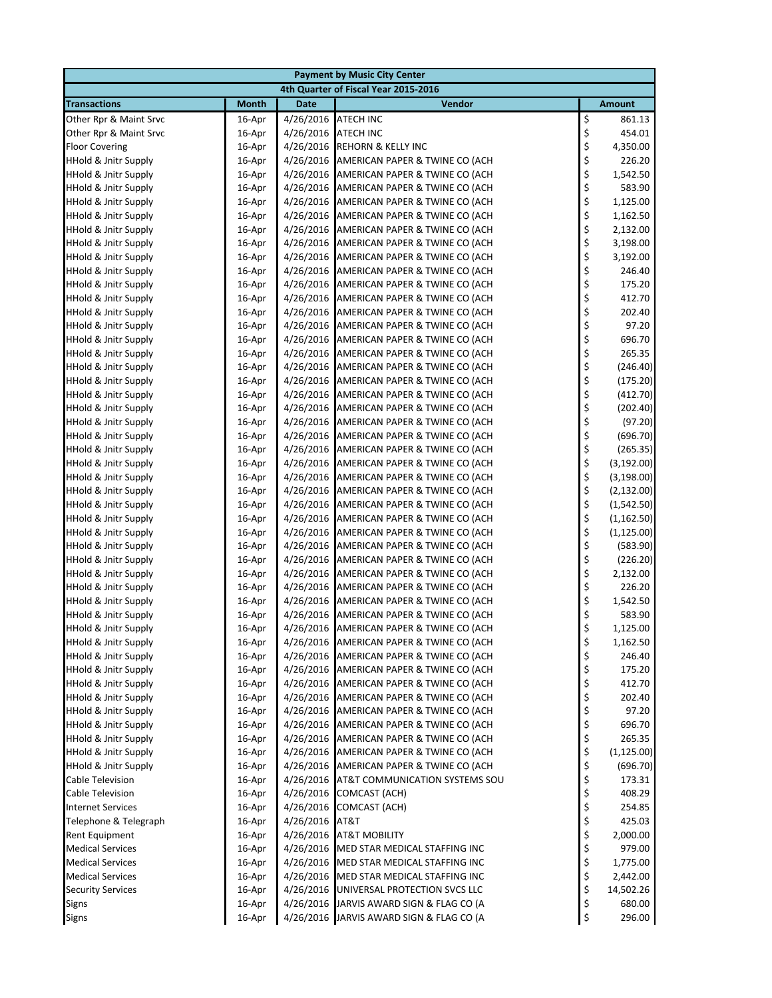|                                 | <b>Payment by Music City Center</b> |             |                                          |          |               |  |  |  |
|---------------------------------|-------------------------------------|-------------|------------------------------------------|----------|---------------|--|--|--|
|                                 |                                     |             | 4th Quarter of Fiscal Year 2015-2016     |          |               |  |  |  |
| <b>Transactions</b>             | <b>Month</b>                        | <b>Date</b> | Vendor                                   |          | <b>Amount</b> |  |  |  |
| Other Rpr & Maint Srvc          | 16-Apr                              | 4/26/2016   | <b>ATECH INC</b>                         | \$       | 861.13        |  |  |  |
| Other Rpr & Maint Srvc          | 16-Apr                              | 4/26/2016   | <b>ATECH INC</b>                         | \$       | 454.01        |  |  |  |
| <b>Floor Covering</b>           | 16-Apr                              | 4/26/2016   | <b>REHORN &amp; KELLY INC</b>            | \$       | 4,350.00      |  |  |  |
| <b>HHold &amp; Jnitr Supply</b> | 16-Apr                              | 4/26/2016   | AMERICAN PAPER & TWINE CO (ACH           | \$       | 226.20        |  |  |  |
| <b>HHold &amp; Jnitr Supply</b> | 16-Apr                              | 4/26/2016   | AMERICAN PAPER & TWINE CO (ACH           | \$       | 1,542.50      |  |  |  |
| <b>HHold &amp; Jnitr Supply</b> | 16-Apr                              | 4/26/2016   | AMERICAN PAPER & TWINE CO (ACH           | \$       | 583.90        |  |  |  |
| <b>HHold &amp; Jnitr Supply</b> | 16-Apr                              | 4/26/2016   | AMERICAN PAPER & TWINE CO (ACH           | \$       | 1,125.00      |  |  |  |
| <b>HHold &amp; Jnitr Supply</b> | 16-Apr                              | 4/26/2016   | AMERICAN PAPER & TWINE CO (ACH           | \$       | 1,162.50      |  |  |  |
| <b>HHold &amp; Jnitr Supply</b> | 16-Apr                              | 4/26/2016   | AMERICAN PAPER & TWINE CO (ACH           | \$       | 2,132.00      |  |  |  |
| <b>HHold &amp; Jnitr Supply</b> | 16-Apr                              | 4/26/2016   | AMERICAN PAPER & TWINE CO (ACH           | \$       | 3,198.00      |  |  |  |
| <b>HHold &amp; Jnitr Supply</b> | 16-Apr                              | 4/26/2016   | AMERICAN PAPER & TWINE CO (ACH           | \$       | 3,192.00      |  |  |  |
| <b>HHold &amp; Jnitr Supply</b> | 16-Apr                              | 4/26/2016   | AMERICAN PAPER & TWINE CO (ACH           | \$       | 246.40        |  |  |  |
| <b>HHold &amp; Jnitr Supply</b> | 16-Apr                              | 4/26/2016   | AMERICAN PAPER & TWINE CO (ACH           | \$       | 175.20        |  |  |  |
| <b>HHold &amp; Jnitr Supply</b> | 16-Apr                              | 4/26/2016   | AMERICAN PAPER & TWINE CO (ACH           | \$       | 412.70        |  |  |  |
| <b>HHold &amp; Jnitr Supply</b> | 16-Apr                              | 4/26/2016   | AMERICAN PAPER & TWINE CO (ACH           | \$       | 202.40        |  |  |  |
| <b>HHold &amp; Jnitr Supply</b> | 16-Apr                              | 4/26/2016   | AMERICAN PAPER & TWINE CO (ACH           | \$       | 97.20         |  |  |  |
| <b>HHold &amp; Jnitr Supply</b> | 16-Apr                              | 4/26/2016   | AMERICAN PAPER & TWINE CO (ACH           | \$       | 696.70        |  |  |  |
| <b>HHold &amp; Jnitr Supply</b> | 16-Apr                              | 4/26/2016   | AMERICAN PAPER & TWINE CO (ACH           | \$       | 265.35        |  |  |  |
| <b>HHold &amp; Jnitr Supply</b> | 16-Apr                              | 4/26/2016   | AMERICAN PAPER & TWINE CO (ACH           | \$       | (246.40)      |  |  |  |
| <b>HHold &amp; Jnitr Supply</b> | 16-Apr                              | 4/26/2016   | AMERICAN PAPER & TWINE CO (ACH           | \$       | (175.20)      |  |  |  |
| <b>HHold &amp; Jnitr Supply</b> | 16-Apr                              | 4/26/2016   | AMERICAN PAPER & TWINE CO (ACH           | \$       | (412.70)      |  |  |  |
| <b>HHold &amp; Jnitr Supply</b> | 16-Apr                              | 4/26/2016   | AMERICAN PAPER & TWINE CO (ACH           | \$       | (202.40)      |  |  |  |
| <b>HHold &amp; Jnitr Supply</b> | 16-Apr                              | 4/26/2016   | AMERICAN PAPER & TWINE CO (ACH           | \$       | (97.20)       |  |  |  |
| <b>HHold &amp; Jnitr Supply</b> | 16-Apr                              | 4/26/2016   | AMERICAN PAPER & TWINE CO (ACH           | \$       | (696.70)      |  |  |  |
| <b>HHold &amp; Jnitr Supply</b> | 16-Apr                              | 4/26/2016   | AMERICAN PAPER & TWINE CO (ACH           | \$       | (265.35)      |  |  |  |
| <b>HHold &amp; Jnitr Supply</b> | 16-Apr                              | 4/26/2016   | AMERICAN PAPER & TWINE CO (ACH           | \$       | (3, 192.00)   |  |  |  |
| <b>HHold &amp; Jnitr Supply</b> | 16-Apr                              | 4/26/2016   | AMERICAN PAPER & TWINE CO (ACH           | \$       | (3, 198.00)   |  |  |  |
| <b>HHold &amp; Jnitr Supply</b> | 16-Apr                              | 4/26/2016   | AMERICAN PAPER & TWINE CO (ACH           | \$       | (2, 132.00)   |  |  |  |
| <b>HHold &amp; Jnitr Supply</b> | 16-Apr                              | 4/26/2016   | AMERICAN PAPER & TWINE CO (ACH           | \$<br>\$ | (1,542.50)    |  |  |  |
| <b>HHold &amp; Jnitr Supply</b> | 16-Apr                              | 4/26/2016   | AMERICAN PAPER & TWINE CO (ACH           |          | (1, 162.50)   |  |  |  |
| <b>HHold &amp; Jnitr Supply</b> | 16-Apr                              | 4/26/2016   | AMERICAN PAPER & TWINE CO (ACH           | \$       | (1, 125.00)   |  |  |  |
| <b>HHold &amp; Jnitr Supply</b> | 16-Apr                              | 4/26/2016   | AMERICAN PAPER & TWINE CO (ACH           | \$       | (583.90)      |  |  |  |
| <b>HHold &amp; Jnitr Supply</b> | 16-Apr                              | 4/26/2016   | AMERICAN PAPER & TWINE CO (ACH           | \$       | (226.20)      |  |  |  |
| <b>HHold &amp; Jnitr Supply</b> | 16-Apr                              | 4/26/2016   | AMERICAN PAPER & TWINE CO (ACH           | \$       | 2,132.00      |  |  |  |
| <b>HHold &amp; Jnitr Supply</b> | 16-Apr                              | 4/26/2016   | AMERICAN PAPER & TWINE CO (ACH           | \$       | 226.20        |  |  |  |
| <b>HHold &amp; Jnitr Supply</b> | 16-Apr                              | 4/26/2016   | AMERICAN PAPER & TWINE CO (ACH           | \$       | 1,542.50      |  |  |  |
| <b>HHold &amp; Jnitr Supply</b> | 16-Apr                              | 4/26/2016   | AMERICAN PAPER & TWINE CO (ACH           | \$       | 583.90        |  |  |  |
| <b>HHold &amp; Jnitr Supply</b> | 16-Apr                              | 4/26/2016   | AMERICAN PAPER & TWINE CO (ACH           | \$       | 1,125.00      |  |  |  |
| <b>HHold &amp; Jnitr Supply</b> | 16-Apr                              | 4/26/2016   | AMERICAN PAPER & TWINE CO (ACH           | \$       | 1,162.50      |  |  |  |
| <b>HHold &amp; Jnitr Supply</b> | 16-Apr                              | 4/26/2016   | AMERICAN PAPER & TWINE CO (ACH           | \$       | 246.40        |  |  |  |
| <b>HHold &amp; Jnitr Supply</b> | 16-Apr                              | 4/26/2016   | AMERICAN PAPER & TWINE CO (ACH           | \$       | 175.20        |  |  |  |
| <b>HHold &amp; Jnitr Supply</b> | 16-Apr                              | 4/26/2016   | AMERICAN PAPER & TWINE CO (ACH           | \$       | 412.70        |  |  |  |
| <b>HHold &amp; Jnitr Supply</b> | 16-Apr                              | 4/26/2016   | AMERICAN PAPER & TWINE CO (ACH           | \$       | 202.40        |  |  |  |
| HHold & Jnitr Supply            | 16-Apr                              | 4/26/2016   | AMERICAN PAPER & TWINE CO (ACH           | \$       | 97.20         |  |  |  |
| <b>HHold &amp; Jnitr Supply</b> | 16-Apr                              | 4/26/2016   | AMERICAN PAPER & TWINE CO (ACH           | \$       | 696.70        |  |  |  |
| <b>HHold &amp; Jnitr Supply</b> | 16-Apr                              | 4/26/2016   | AMERICAN PAPER & TWINE CO (ACH           | \$       | 265.35        |  |  |  |
| <b>HHold &amp; Jnitr Supply</b> | 16-Apr                              | 4/26/2016   | AMERICAN PAPER & TWINE CO (ACH           | \$       | (1, 125.00)   |  |  |  |
| <b>HHold &amp; Jnitr Supply</b> | 16-Apr                              | 4/26/2016   | AMERICAN PAPER & TWINE CO (ACH           | \$       | (696.70)      |  |  |  |
| Cable Television                | 16-Apr                              | 4/26/2016   | AT&T COMMUNICATION SYSTEMS SOU           | \$       | 173.31        |  |  |  |
| Cable Television                | 16-Apr                              | 4/26/2016   | <b>COMCAST (ACH)</b>                     | \$       | 408.29        |  |  |  |
| <b>Internet Services</b>        | 16-Apr                              | 4/26/2016   | COMCAST (ACH)                            | \$       | 254.85        |  |  |  |
| Telephone & Telegraph           | 16-Apr                              | 4/26/2016   | AT&T                                     | \$       | 425.03        |  |  |  |
| Rent Equipment                  | 16-Apr                              | 4/26/2016   | <b>AT&amp;T MOBILITY</b>                 | \$       | 2,000.00      |  |  |  |
| <b>Medical Services</b>         | 16-Apr                              | 4/26/2016   | MED STAR MEDICAL STAFFING INC            | \$       | 979.00        |  |  |  |
| <b>Medical Services</b>         | 16-Apr                              | 4/26/2016   | MED STAR MEDICAL STAFFING INC            | \$       | 1,775.00      |  |  |  |
| <b>Medical Services</b>         | 16-Apr                              | 4/26/2016   | MED STAR MEDICAL STAFFING INC            | \$       | 2,442.00      |  |  |  |
| <b>Security Services</b>        | 16-Apr                              | 4/26/2016   | UNIVERSAL PROTECTION SVCS LLC            | \$       | 14,502.26     |  |  |  |
| <b>Signs</b>                    | 16-Apr                              | 4/26/2016   | JARVIS AWARD SIGN & FLAG CO (A           | \$       | 680.00        |  |  |  |
| Signs                           | 16-Apr                              |             | 4/26/2016 JARVIS AWARD SIGN & FLAG CO (A | \$       | 296.00        |  |  |  |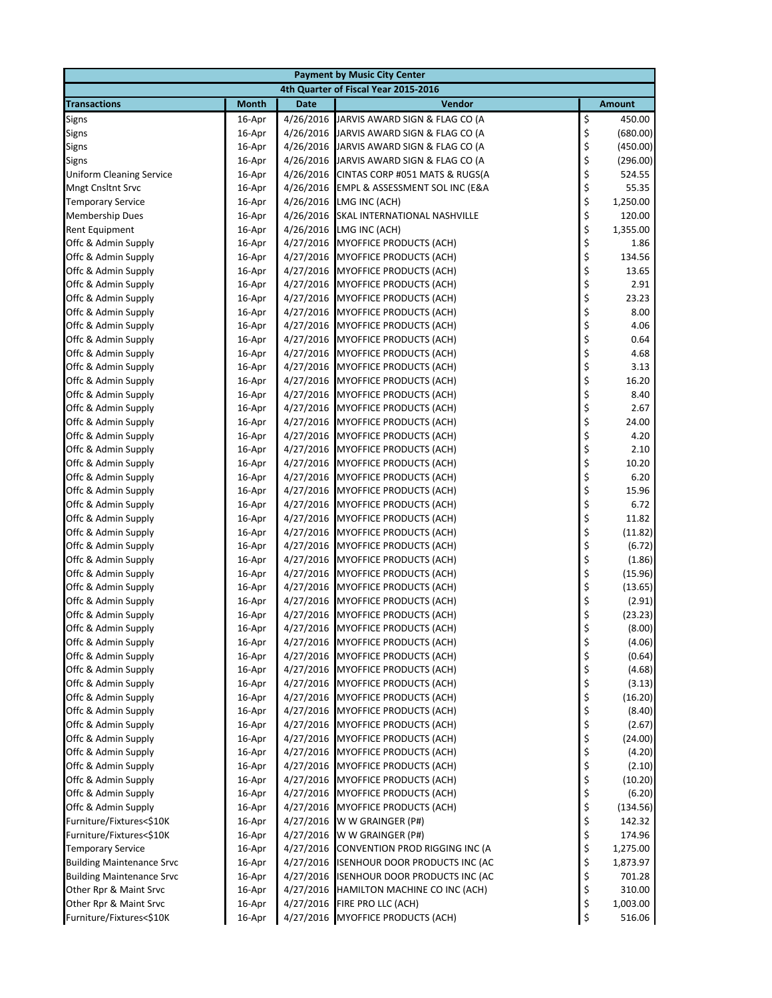| <b>Payment by Music City Center</b>        |                  |             |                                                                        |          |                  |  |  |  |
|--------------------------------------------|------------------|-------------|------------------------------------------------------------------------|----------|------------------|--|--|--|
| 4th Quarter of Fiscal Year 2015-2016       |                  |             |                                                                        |          |                  |  |  |  |
| <b>Transactions</b>                        | <b>Month</b>     | <b>Date</b> | <b>Vendor</b>                                                          |          | <b>Amount</b>    |  |  |  |
| Signs                                      | 16-Apr           | 4/26/2016   | JARVIS AWARD SIGN & FLAG CO (A                                         | \$       | 450.00           |  |  |  |
| Signs                                      | 16-Apr           | 4/26/2016   | JARVIS AWARD SIGN & FLAG CO (A                                         | \$       | (680.00)         |  |  |  |
| <b>Signs</b>                               | 16-Apr           | 4/26/2016   | JARVIS AWARD SIGN & FLAG CO (A                                         | \$       | (450.00)         |  |  |  |
| <b>Signs</b>                               | 16-Apr           | 4/26/2016   | JARVIS AWARD SIGN & FLAG CO (A                                         | \$       | (296.00)         |  |  |  |
| <b>Uniform Cleaning Service</b>            | 16-Apr           | 4/26/2016   | CINTAS CORP #051 MATS & RUGS(A                                         | \$       | 524.55           |  |  |  |
| <b>Mngt Cnsltnt Srvc</b>                   | 16-Apr           | 4/26/2016   | EMPL & ASSESSMENT SOL INC (E&A                                         | \$       | 55.35            |  |  |  |
| <b>Temporary Service</b>                   | 16-Apr           | 4/26/2016   | LMG INC (ACH)                                                          | \$       | 1,250.00         |  |  |  |
| <b>Membership Dues</b>                     | 16-Apr           | 4/26/2016   | SKAL INTERNATIONAL NASHVILLE                                           | \$       | 120.00           |  |  |  |
| <b>Rent Equipment</b>                      | 16-Apr           | 4/26/2016   | LMG INC (ACH)                                                          | \$       | 1,355.00         |  |  |  |
| Offc & Admin Supply                        | 16-Apr           | 4/27/2016   | <b>MYOFFICE PRODUCTS (ACH)</b>                                         | \$       | 1.86             |  |  |  |
| Offc & Admin Supply                        | 16-Apr           |             | 4/27/2016 MYOFFICE PRODUCTS (ACH)                                      | \$       | 134.56           |  |  |  |
| Offc & Admin Supply                        | 16-Apr           |             | 4/27/2016 MYOFFICE PRODUCTS (ACH)                                      | \$       | 13.65            |  |  |  |
| Offc & Admin Supply                        | 16-Apr           |             | 4/27/2016 MYOFFICE PRODUCTS (ACH)                                      | \$       | 2.91             |  |  |  |
| Offc & Admin Supply                        | 16-Apr           | 4/27/2016   | <b>MYOFFICE PRODUCTS (ACH)</b>                                         | \$       | 23.23            |  |  |  |
| Offc & Admin Supply                        | 16-Apr           | 4/27/2016   | <b>MYOFFICE PRODUCTS (ACH)</b>                                         | \$       | 8.00             |  |  |  |
| Offc & Admin Supply                        | 16-Apr           |             | 4/27/2016 MYOFFICE PRODUCTS (ACH)                                      | \$       | 4.06             |  |  |  |
| Offc & Admin Supply                        | 16-Apr           | 4/27/2016   | <b>MYOFFICE PRODUCTS (ACH)</b>                                         | \$       | 0.64             |  |  |  |
| Offc & Admin Supply                        | 16-Apr           |             | 4/27/2016 MYOFFICE PRODUCTS (ACH)                                      | \$       | 4.68             |  |  |  |
| Offc & Admin Supply                        | 16-Apr           | 4/27/2016   | <b>MYOFFICE PRODUCTS (ACH)</b>                                         | \$       | 3.13             |  |  |  |
| Offc & Admin Supply                        | 16-Apr           | 4/27/2016   | <b>MYOFFICE PRODUCTS (ACH)</b>                                         | \$       | 16.20            |  |  |  |
| Offc & Admin Supply                        | 16-Apr           |             | 4/27/2016 MYOFFICE PRODUCTS (ACH)                                      | \$       | 8.40             |  |  |  |
| Offc & Admin Supply                        | 16-Apr           |             | 4/27/2016 MYOFFICE PRODUCTS (ACH)                                      | \$       | 2.67             |  |  |  |
| Offc & Admin Supply                        | 16-Apr           |             | 4/27/2016 MYOFFICE PRODUCTS (ACH)                                      | \$       | 24.00            |  |  |  |
| Offc & Admin Supply                        | 16-Apr           |             | 4/27/2016 MYOFFICE PRODUCTS (ACH)                                      | \$       | 4.20             |  |  |  |
| Offc & Admin Supply                        | 16-Apr           | 4/27/2016   | <b>MYOFFICE PRODUCTS (ACH)</b>                                         | \$       | 2.10             |  |  |  |
| Offc & Admin Supply                        | 16-Apr           | 4/27/2016   | <b>MYOFFICE PRODUCTS (ACH)</b>                                         | \$       | 10.20            |  |  |  |
| Offc & Admin Supply                        | 16-Apr           |             | 4/27/2016 MYOFFICE PRODUCTS (ACH)                                      | \$       | 6.20             |  |  |  |
| Offc & Admin Supply                        | 16-Apr           |             | 4/27/2016 MYOFFICE PRODUCTS (ACH)                                      | \$       | 15.96            |  |  |  |
| Offc & Admin Supply                        | 16-Apr           |             | 4/27/2016 MYOFFICE PRODUCTS (ACH)                                      | \$       | 6.72             |  |  |  |
| Offc & Admin Supply                        | 16-Apr           | 4/27/2016   | <b>MYOFFICE PRODUCTS (ACH)</b>                                         | \$       | 11.82            |  |  |  |
| Offc & Admin Supply                        | 16-Apr           | 4/27/2016   | <b>MYOFFICE PRODUCTS (ACH)</b>                                         | \$       | (11.82)          |  |  |  |
| Offc & Admin Supply                        | 16-Apr           | 4/27/2016   | <b>MYOFFICE PRODUCTS (ACH)</b>                                         | \$       | (6.72)           |  |  |  |
| Offc & Admin Supply                        | 16-Apr           | 4/27/2016   | <b>MYOFFICE PRODUCTS (ACH)</b>                                         | \$       | (1.86)           |  |  |  |
| Offc & Admin Supply                        | 16-Apr           | 4/27/2016   | <b>MYOFFICE PRODUCTS (ACH)</b>                                         | \$       | (15.96)          |  |  |  |
| Offc & Admin Supply                        | 16-Apr           |             | 4/27/2016 MYOFFICE PRODUCTS (ACH)                                      | \$       | (13.65)          |  |  |  |
| Offc & Admin Supply                        | 16-Apr           | 4/27/2016   | <b>MYOFFICE PRODUCTS (ACH)</b>                                         | \$       | (2.91)           |  |  |  |
| Offc & Admin Supply                        | 16-Apr           | 4/27/2016   | <b>MYOFFICE PRODUCTS (ACH)</b>                                         | \$       | (23.23)          |  |  |  |
| Offc & Admin Supply                        | 16-Apr           |             | 4/27/2016 MYOFFICE PRODUCTS (ACH)<br>4/27/2016 MYOFFICE PRODUCTS (ACH) | \$       | (8.00)           |  |  |  |
| Offc & Admin Supply                        | 16-Apr           |             |                                                                        | \$       | (4.06)<br>(0.64) |  |  |  |
| Offc & Admin Supply<br>Offc & Admin Supply | 16-Apr           |             | 4/27/2016 MYOFFICE PRODUCTS (ACH)                                      | \$       |                  |  |  |  |
| Offc & Admin Supply                        | 16-Apr<br>16-Apr |             | 4/27/2016 MYOFFICE PRODUCTS (ACH)<br>4/27/2016 MYOFFICE PRODUCTS (ACH) | \$<br>\$ | (4.68)<br>(3.13) |  |  |  |
| Offc & Admin Supply                        | 16-Apr           |             | 4/27/2016 MYOFFICE PRODUCTS (ACH)                                      | \$       | (16.20)          |  |  |  |
| Offc & Admin Supply                        | 16-Apr           |             | 4/27/2016 MYOFFICE PRODUCTS (ACH)                                      | \$       | (8.40)           |  |  |  |
| Offc & Admin Supply                        | 16-Apr           |             | 4/27/2016 MYOFFICE PRODUCTS (ACH)                                      | \$       | (2.67)           |  |  |  |
| Offc & Admin Supply                        | 16-Apr           |             | 4/27/2016 MYOFFICE PRODUCTS (ACH)                                      | \$       | (24.00)          |  |  |  |
| Offc & Admin Supply                        | 16-Apr           | 4/27/2016   | MYOFFICE PRODUCTS (ACH)                                                | \$       | (4.20)           |  |  |  |
| Offc & Admin Supply                        | 16-Apr           | 4/27/2016   | MYOFFICE PRODUCTS (ACH)                                                | \$       | (2.10)           |  |  |  |
| Offc & Admin Supply                        | 16-Apr           | 4/27/2016   | MYOFFICE PRODUCTS (ACH)                                                | \$       | (10.20)          |  |  |  |
| Offc & Admin Supply                        | 16-Apr           |             | 4/27/2016 MYOFFICE PRODUCTS (ACH)                                      | \$       | (6.20)           |  |  |  |
| Offc & Admin Supply                        | 16-Apr           |             | 4/27/2016 MYOFFICE PRODUCTS (ACH)                                      | \$       | (134.56)         |  |  |  |
| Furniture/Fixtures<\$10K                   | 16-Apr           | 4/27/2016   | W W GRAINGER (P#)                                                      | \$       | 142.32           |  |  |  |
| Furniture/Fixtures<\$10K                   | 16-Apr           | 4/27/2016   | W W GRAINGER (P#)                                                      | \$       | 174.96           |  |  |  |
| <b>Temporary Service</b>                   | 16-Apr           | 4/27/2016   | CONVENTION PROD RIGGING INC (A                                         | \$       | 1,275.00         |  |  |  |
| <b>Building Maintenance Srvc</b>           | 16-Apr           |             | 4/27/2016 ISENHOUR DOOR PRODUCTS INC (AC                               | \$       | 1,873.97         |  |  |  |
| <b>Building Maintenance Srvc</b>           | 16-Apr           | 4/27/2016   | ISENHOUR DOOR PRODUCTS INC (AC                                         | \$       | 701.28           |  |  |  |
| Other Rpr & Maint Srvc                     | 16-Apr           |             | 4/27/2016 HAMILTON MACHINE CO INC (ACH)                                | \$       | 310.00           |  |  |  |
| Other Rpr & Maint Srvc                     | 16-Apr           | 4/27/2016   | FIRE PRO LLC (ACH)                                                     | \$       | 1,003.00         |  |  |  |
| Furniture/Fixtures<\$10K                   | 16-Apr           |             | 4/27/2016 MYOFFICE PRODUCTS (ACH)                                      | \$       | 516.06           |  |  |  |
|                                            |                  |             |                                                                        |          |                  |  |  |  |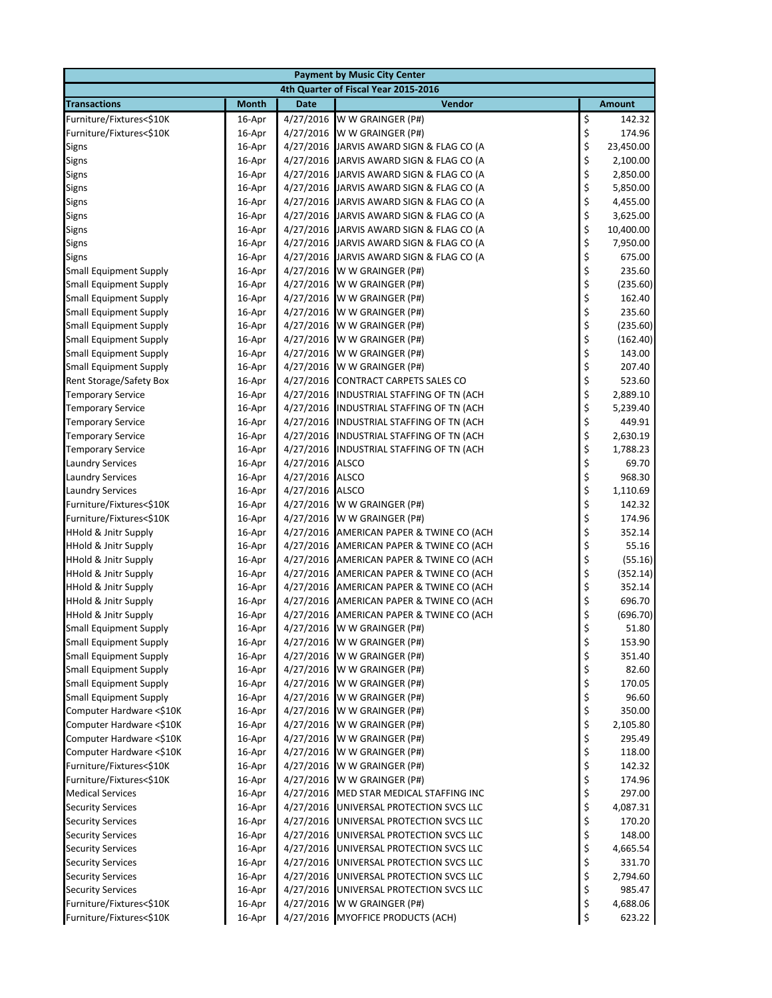| <b>Payment by Music City Center</b>                            |                  |                        |                                          |          |                 |  |  |
|----------------------------------------------------------------|------------------|------------------------|------------------------------------------|----------|-----------------|--|--|
| 4th Quarter of Fiscal Year 2015-2016                           |                  |                        |                                          |          |                 |  |  |
| <b>Transactions</b>                                            | <b>Month</b>     | <b>Date</b>            | <b>Vendor</b>                            |          | <b>Amount</b>   |  |  |
| Furniture/Fixtures<\$10K                                       | 16-Apr           | 4/27/2016              | W W GRAINGER (P#)                        | \$       | 142.32          |  |  |
| Furniture/Fixtures<\$10K                                       | 16-Apr           | 4/27/2016              | W W GRAINGER (P#)                        | \$       | 174.96          |  |  |
| Signs                                                          | 16-Apr           | 4/27/2016              | JARVIS AWARD SIGN & FLAG CO (A           | \$       | 23,450.00       |  |  |
| Signs                                                          | 16-Apr           | 4/27/2016              | JARVIS AWARD SIGN & FLAG CO (A           | \$       | 2,100.00        |  |  |
| Signs                                                          | 16-Apr           | 4/27/2016              | JARVIS AWARD SIGN & FLAG CO (A           | \$       | 2,850.00        |  |  |
| Signs                                                          | 16-Apr           |                        | 4/27/2016 JARVIS AWARD SIGN & FLAG CO (A | \$       | 5,850.00        |  |  |
| Signs                                                          | 16-Apr           | 4/27/2016              | JARVIS AWARD SIGN & FLAG CO (A           | \$       | 4,455.00        |  |  |
| <b>Signs</b>                                                   | 16-Apr           | 4/27/2016              | JARVIS AWARD SIGN & FLAG CO (A           | \$       | 3,625.00        |  |  |
| <b>Signs</b>                                                   | 16-Apr           | 4/27/2016              | JARVIS AWARD SIGN & FLAG CO (A           | \$       | 10,400.00       |  |  |
| Signs                                                          | 16-Apr           | 4/27/2016              | JARVIS AWARD SIGN & FLAG CO (A           | \$       | 7,950.00        |  |  |
| <b>Signs</b>                                                   | 16-Apr           | 4/27/2016              | JARVIS AWARD SIGN & FLAG CO (A           | \$       | 675.00          |  |  |
| <b>Small Equipment Supply</b>                                  | 16-Apr           | 4/27/2016              | W W GRAINGER (P#)                        | \$       | 235.60          |  |  |
| <b>Small Equipment Supply</b>                                  | 16-Apr           | 4/27/2016              | W W GRAINGER (P#)                        | \$       | (235.60)        |  |  |
| <b>Small Equipment Supply</b>                                  | 16-Apr           | 4/27/2016              | W W GRAINGER (P#)                        | \$       | 162.40          |  |  |
| <b>Small Equipment Supply</b>                                  | 16-Apr           | 4/27/2016              | W W GRAINGER (P#)                        | \$       | 235.60          |  |  |
| <b>Small Equipment Supply</b>                                  | 16-Apr           | 4/27/2016              | W W GRAINGER (P#)                        | \$       | (235.60)        |  |  |
| <b>Small Equipment Supply</b>                                  | 16-Apr           | 4/27/2016              | W W GRAINGER (P#)                        | \$       | (162.40)        |  |  |
| <b>Small Equipment Supply</b>                                  | 16-Apr           | 4/27/2016              | W W GRAINGER (P#)                        | \$       | 143.00          |  |  |
| <b>Small Equipment Supply</b>                                  | 16-Apr           | 4/27/2016              | W W GRAINGER (P#)                        | \$       | 207.40          |  |  |
| <b>Rent Storage/Safety Box</b>                                 | 16-Apr           | 4/27/2016              | CONTRACT CARPETS SALES CO                | \$       | 523.60          |  |  |
| <b>Temporary Service</b>                                       | 16-Apr           | 4/27/2016              | INDUSTRIAL STAFFING OF TN (ACH           | \$       | 2,889.10        |  |  |
| <b>Temporary Service</b>                                       | 16-Apr           | 4/27/2016              | INDUSTRIAL STAFFING OF TN (ACH           | \$       | 5,239.40        |  |  |
| <b>Temporary Service</b>                                       | 16-Apr           | 4/27/2016              | INDUSTRIAL STAFFING OF TN (ACH           | \$       | 449.91          |  |  |
| <b>Temporary Service</b>                                       | 16-Apr           | 4/27/2016              | INDUSTRIAL STAFFING OF TN (ACH           | \$       | 2,630.19        |  |  |
| <b>Temporary Service</b>                                       | 16-Apr           | 4/27/2016              | INDUSTRIAL STAFFING OF TN (ACH           | \$       | 1,788.23        |  |  |
| <b>Laundry Services</b>                                        | 16-Apr           | 4/27/2016              | <b>ALSCO</b>                             | \$       | 69.70           |  |  |
| <b>Laundry Services</b>                                        | 16-Apr           | 4/27/2016              | <b>ALSCO</b>                             | \$       | 968.30          |  |  |
| <b>Laundry Services</b>                                        | 16-Apr           | 4/27/2016              | <b>ALSCO</b>                             | \$       | 1,110.69        |  |  |
| Furniture/Fixtures<\$10K                                       | 16-Apr           | 4/27/2016              | W W GRAINGER (P#)                        | \$       | 142.32          |  |  |
| Furniture/Fixtures<\$10K                                       | 16-Apr           | 4/27/2016              | W W GRAINGER (P#)                        | \$       | 174.96          |  |  |
| HHold & Jnitr Supply                                           | 16-Apr           | 4/27/2016              | AMERICAN PAPER & TWINE CO (ACH           | \$       | 352.14          |  |  |
| <b>HHold &amp; Jnitr Supply</b>                                | 16-Apr           | 4/27/2016              | AMERICAN PAPER & TWINE CO (ACH           | \$       | 55.16           |  |  |
| <b>HHold &amp; Jnitr Supply</b>                                | 16-Apr           | 4/27/2016              | AMERICAN PAPER & TWINE CO (ACH           | \$       | (55.16)         |  |  |
| <b>HHold &amp; Jnitr Supply</b>                                | 16-Apr           | 4/27/2016              | AMERICAN PAPER & TWINE CO (ACH           | \$       | (352.14)        |  |  |
| <b>HHold &amp; Jnitr Supply</b>                                | 16-Apr           | 4/27/2016              | AMERICAN PAPER & TWINE CO (ACH           | \$       | 352.14          |  |  |
| <b>HHold &amp; Jnitr Supply</b>                                | 16-Apr           | 4/27/2016              | AMERICAN PAPER & TWINE CO (ACH           | \$       | 696.70          |  |  |
| <b>HHold &amp; Jnitr Supply</b>                                | 16-Apr           | 4/27/2016              | AMERICAN PAPER & TWINE CO (ACH           | \$       | (696.70)        |  |  |
| <b>Small Equipment Supply</b>                                  | 16-Apr           |                        | 4/27/2016 W W GRAINGER (P#)              | \$       | 51.80           |  |  |
| <b>Small Equipment Supply</b><br><b>Small Equipment Supply</b> | 16-Apr           | 4/27/2016              | W W GRAINGER (P#)                        | \$       | 153.90          |  |  |
|                                                                | 16-Apr           | 4/27/2016              | W W GRAINGER (P#)                        | \$       | 351.40          |  |  |
| <b>Small Equipment Supply</b>                                  | 16-Apr           | 4/27/2016<br>4/27/2016 | W W GRAINGER (P#)<br>W W GRAINGER (P#)   | \$<br>\$ | 82.60<br>170.05 |  |  |
| <b>Small Equipment Supply</b>                                  | 16-Apr           | 4/27/2016              | W W GRAINGER (P#)                        |          |                 |  |  |
| <b>Small Equipment Supply</b><br>Computer Hardware <\$10K      | 16-Apr<br>16-Apr | 4/27/2016              | W W GRAINGER (P#)                        | \$<br>\$ | 96.60<br>350.00 |  |  |
| Computer Hardware <\$10K                                       | 16-Apr           | 4/27/2016              | W W GRAINGER (P#)                        | \$       | 2,105.80        |  |  |
| Computer Hardware <\$10K                                       | 16-Apr           | 4/27/2016              | W W GRAINGER (P#)                        | \$       | 295.49          |  |  |
| Computer Hardware <\$10K                                       | 16-Apr           | 4/27/2016              | W W GRAINGER (P#)                        | \$       | 118.00          |  |  |
| Furniture/Fixtures<\$10K                                       | 16-Apr           | 4/27/2016              | W W GRAINGER (P#)                        | \$       | 142.32          |  |  |
| Furniture/Fixtures<\$10K                                       | 16-Apr           | 4/27/2016              | W W GRAINGER (P#)                        | \$       | 174.96          |  |  |
| <b>Medical Services</b>                                        | 16-Apr           | 4/27/2016              | MED STAR MEDICAL STAFFING INC            | \$       | 297.00          |  |  |
| <b>Security Services</b>                                       | 16-Apr           | 4/27/2016              | UNIVERSAL PROTECTION SVCS LLC            | \$       | 4,087.31        |  |  |
| <b>Security Services</b>                                       | 16-Apr           | 4/27/2016              | UNIVERSAL PROTECTION SVCS LLC            | \$       | 170.20          |  |  |
| <b>Security Services</b>                                       | 16-Apr           | 4/27/2016              | UNIVERSAL PROTECTION SVCS LLC            | \$       | 148.00          |  |  |
| <b>Security Services</b>                                       | 16-Apr           | 4/27/2016              | UNIVERSAL PROTECTION SVCS LLC            | \$       | 4,665.54        |  |  |
| <b>Security Services</b>                                       | 16-Apr           | 4/27/2016              | UNIVERSAL PROTECTION SVCS LLC            | \$       | 331.70          |  |  |
| <b>Security Services</b>                                       | 16-Apr           | 4/27/2016              | UNIVERSAL PROTECTION SVCS LLC            | \$       | 2,794.60        |  |  |
| <b>Security Services</b>                                       | 16-Apr           | 4/27/2016              | UNIVERSAL PROTECTION SVCS LLC            | \$       | 985.47          |  |  |
| Furniture/Fixtures<\$10K                                       | 16-Apr           | 4/27/2016              | W W GRAINGER (P#)                        | \$       | 4,688.06        |  |  |
| Furniture/Fixtures<\$10K                                       | 16-Apr           |                        | 4/27/2016 MYOFFICE PRODUCTS (ACH)        | \$       | 623.22          |  |  |
|                                                                |                  |                        |                                          |          |                 |  |  |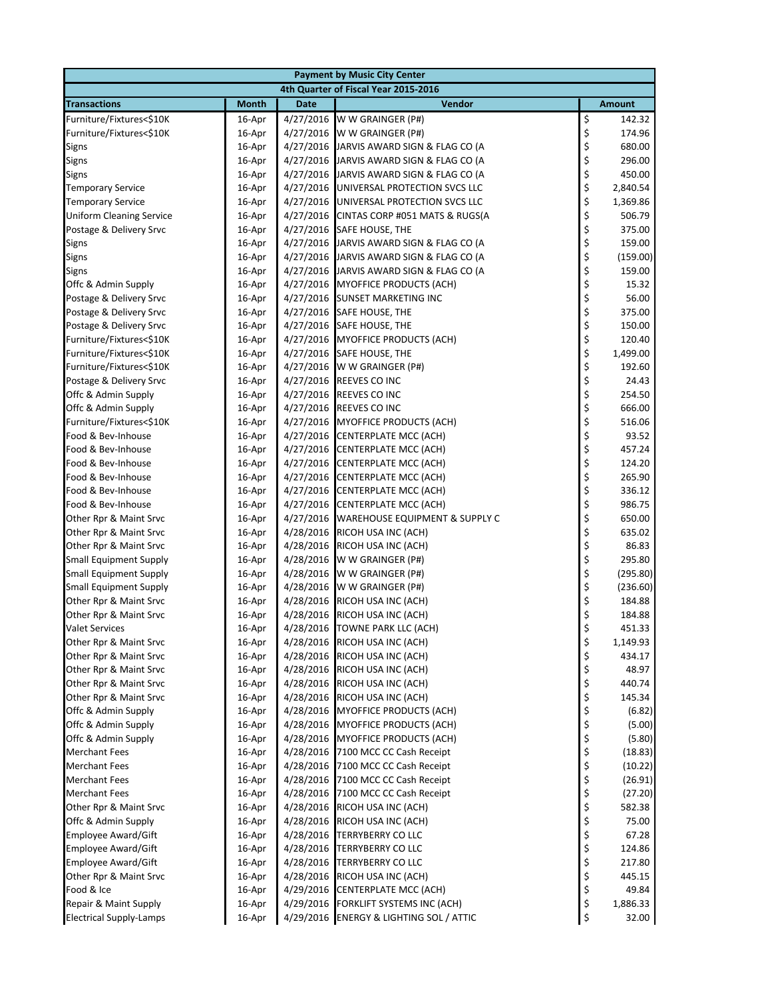|                                                  | <b>Payment by Music City Center</b> |                        |                                            |          |                  |  |  |  |
|--------------------------------------------------|-------------------------------------|------------------------|--------------------------------------------|----------|------------------|--|--|--|
| 4th Quarter of Fiscal Year 2015-2016             |                                     |                        |                                            |          |                  |  |  |  |
| <b>Transactions</b>                              | <b>Month</b>                        | <b>Date</b>            | <b>Vendor</b>                              |          | <b>Amount</b>    |  |  |  |
| Furniture/Fixtures<\$10K                         | 16-Apr                              | 4/27/2016              | W W GRAINGER (P#)                          | \$       | 142.32           |  |  |  |
| Furniture/Fixtures<\$10K                         | 16-Apr                              | 4/27/2016              | W W GRAINGER (P#)                          | \$       | 174.96           |  |  |  |
| Signs                                            | 16-Apr                              | 4/27/2016              | JARVIS AWARD SIGN & FLAG CO (A             | \$       | 680.00           |  |  |  |
| Signs                                            | 16-Apr                              | 4/27/2016              | JARVIS AWARD SIGN & FLAG CO (A             | \$       | 296.00           |  |  |  |
| Signs                                            | 16-Apr                              | 4/27/2016              | JARVIS AWARD SIGN & FLAG CO (A             | \$       | 450.00           |  |  |  |
| <b>Temporary Service</b>                         | 16-Apr                              | 4/27/2016              | UNIVERSAL PROTECTION SVCS LLC              | \$       | 2,840.54         |  |  |  |
| <b>Temporary Service</b>                         | 16-Apr                              | 4/27/2016              | UNIVERSAL PROTECTION SVCS LLC              | \$       | 1,369.86         |  |  |  |
| <b>Uniform Cleaning Service</b>                  | 16-Apr                              | 4/27/2016              | CINTAS CORP #051 MATS & RUGS(A             | \$       | 506.79           |  |  |  |
| Postage & Delivery Srvc                          | 16-Apr                              | 4/27/2016              | SAFE HOUSE, THE                            | \$       | 375.00           |  |  |  |
| Signs                                            | 16-Apr                              | 4/27/2016              | JARVIS AWARD SIGN & FLAG CO (A             | \$       | 159.00           |  |  |  |
| Signs                                            | 16-Apr                              | 4/27/2016              | JARVIS AWARD SIGN & FLAG CO (A             | \$       | (159.00)         |  |  |  |
| Signs                                            | 16-Apr                              | 4/27/2016              | JARVIS AWARD SIGN & FLAG CO (A             | \$       | 159.00           |  |  |  |
| Offc & Admin Supply                              | 16-Apr                              | 4/27/2016              | <b>MYOFFICE PRODUCTS (ACH)</b>             | \$       | 15.32            |  |  |  |
| Postage & Delivery Srvc                          | 16-Apr                              | 4/27/2016              | <b>SUNSET MARKETING INC</b>                | \$       | 56.00            |  |  |  |
| Postage & Delivery Srvc                          | 16-Apr                              | 4/27/2016              | <b>SAFE HOUSE, THE</b>                     | \$       | 375.00           |  |  |  |
| Postage & Delivery Srvc                          | 16-Apr                              | 4/27/2016              | SAFE HOUSE, THE                            | \$       | 150.00           |  |  |  |
| Furniture/Fixtures<\$10K                         | 16-Apr                              | 4/27/2016              | MYOFFICE PRODUCTS (ACH)                    | \$       | 120.40           |  |  |  |
| Furniture/Fixtures<\$10K                         | 16-Apr                              | 4/27/2016              | <b>SAFE HOUSE, THE</b>                     | \$       | 1,499.00         |  |  |  |
| Furniture/Fixtures<\$10K                         | 16-Apr                              | 4/27/2016              | W W GRAINGER (P#)                          | \$       | 192.60           |  |  |  |
| Postage & Delivery Srvc                          | 16-Apr                              | 4/27/2016              | REEVES CO INC                              | \$       | 24.43            |  |  |  |
| Offc & Admin Supply                              | 16-Apr                              | 4/27/2016              | REEVES CO INC                              | \$       | 254.50           |  |  |  |
| Offc & Admin Supply                              | 16-Apr                              | 4/27/2016              | <b>REEVES CO INC</b>                       | \$       | 666.00           |  |  |  |
| Furniture/Fixtures<\$10K                         | 16-Apr                              | 4/27/2016              | MYOFFICE PRODUCTS (ACH)                    | \$       | 516.06           |  |  |  |
| Food & Bev-Inhouse                               | 16-Apr                              | 4/27/2016              | <b>CENTERPLATE MCC (ACH)</b>               | \$       | 93.52            |  |  |  |
| Food & Bev-Inhouse                               | 16-Apr                              | 4/27/2016              | <b>CENTERPLATE MCC (ACH)</b>               | \$       | 457.24           |  |  |  |
| Food & Bev-Inhouse                               | 16-Apr                              | 4/27/2016              | CENTERPLATE MCC (ACH)                      | \$       | 124.20           |  |  |  |
| Food & Bev-Inhouse                               | 16-Apr                              | 4/27/2016              | <b>CENTERPLATE MCC (ACH)</b>               | \$       | 265.90           |  |  |  |
| Food & Bev-Inhouse                               | 16-Apr                              | 4/27/2016              | CENTERPLATE MCC (ACH)                      | \$       | 336.12           |  |  |  |
| Food & Bev-Inhouse                               | 16-Apr                              | 4/27/2016              | <b>CENTERPLATE MCC (ACH)</b>               | \$       | 986.75           |  |  |  |
| Other Rpr & Maint Srvc                           | 16-Apr                              | 4/27/2016              | WAREHOUSE EQUIPMENT & SUPPLY C             | \$       | 650.00           |  |  |  |
| Other Rpr & Maint Srvc                           | 16-Apr                              | 4/28/2016              | RICOH USA INC (ACH)                        | \$       | 635.02           |  |  |  |
| Other Rpr & Maint Srvc                           | 16-Apr                              | 4/28/2016              | RICOH USA INC (ACH)                        | \$       | 86.83            |  |  |  |
| <b>Small Equipment Supply</b>                    | 16-Apr                              | 4/28/2016              | W W GRAINGER (P#)                          | \$       | 295.80           |  |  |  |
| <b>Small Equipment Supply</b>                    | 16-Apr                              | 4/28/2016              | W W GRAINGER (P#)                          | \$       | (295.80)         |  |  |  |
| <b>Small Equipment Supply</b>                    | 16-Apr                              | 4/28/2016              | W W GRAINGER (P#)                          | \$       | (236.60)         |  |  |  |
| Other Rpr & Maint Srvc                           | 16-Apr                              | 4/28/2016              | RICOH USA INC (ACH)                        | \$       | 184.88           |  |  |  |
| Other Rpr & Maint Srvc                           | 16-Apr                              | 4/28/2016              | RICOH USA INC (ACH)                        | \$       | 184.88           |  |  |  |
| <b>Valet Services</b>                            | 16-Apr                              | 4/28/2016              | <b>TOWNE PARK LLC (ACH)</b>                | \$       | 451.33           |  |  |  |
| Other Rpr & Maint Srvc                           | 16-Apr                              | 4/28/2016              | RICOH USA INC (ACH)                        | \$       | 1,149.93         |  |  |  |
| Other Rpr & Maint Srvc                           | 16-Apr                              | 4/28/2016              | RICOH USA INC (ACH)<br>RICOH USA INC (ACH) | \$       | 434.17<br>48.97  |  |  |  |
| Other Rpr & Maint Srvc                           | 16-Apr                              | 4/28/2016<br>4/28/2016 |                                            | \$       |                  |  |  |  |
| Other Rpr & Maint Srvc<br>Other Rpr & Maint Srvc | 16-Apr                              | 4/28/2016              | RICOH USA INC (ACH)<br>RICOH USA INC (ACH) | \$<br>\$ | 440.74<br>145.34 |  |  |  |
| Offc & Admin Supply                              | 16-Apr<br>16-Apr                    | 4/28/2016              | <b>MYOFFICE PRODUCTS (ACH)</b>             | \$       | (6.82)           |  |  |  |
| Offc & Admin Supply                              | 16-Apr                              | 4/28/2016              | <b>MYOFFICE PRODUCTS (ACH)</b>             | \$       | (5.00)           |  |  |  |
| Offc & Admin Supply                              | 16-Apr                              | 4/28/2016              | <b>MYOFFICE PRODUCTS (ACH)</b>             | \$       | (5.80)           |  |  |  |
| <b>Merchant Fees</b>                             | 16-Apr                              | 4/28/2016              | 7100 MCC CC Cash Receipt                   | \$       | (18.83)          |  |  |  |
| <b>Merchant Fees</b>                             | 16-Apr                              | 4/28/2016              | 7100 MCC CC Cash Receipt                   | \$       | (10.22)          |  |  |  |
| <b>Merchant Fees</b>                             | 16-Apr                              | 4/28/2016              | 7100 MCC CC Cash Receipt                   | \$       | (26.91)          |  |  |  |
| <b>Merchant Fees</b>                             | 16-Apr                              | 4/28/2016              | 7100 MCC CC Cash Receipt                   | \$       | (27.20)          |  |  |  |
| Other Rpr & Maint Srvc                           | 16-Apr                              | 4/28/2016              | RICOH USA INC (ACH)                        | \$       | 582.38           |  |  |  |
| Offc & Admin Supply                              | 16-Apr                              | 4/28/2016              | RICOH USA INC (ACH)                        | \$       | 75.00            |  |  |  |
| Employee Award/Gift                              | 16-Apr                              | 4/28/2016              | <b>TERRYBERRY CO LLC</b>                   | \$       | 67.28            |  |  |  |
| <b>Employee Award/Gift</b>                       | 16-Apr                              | 4/28/2016              | <b>TERRYBERRY CO LLC</b>                   | \$       | 124.86           |  |  |  |
| <b>Employee Award/Gift</b>                       | 16-Apr                              | 4/28/2016              | <b>TERRYBERRY CO LLC</b>                   | \$       | 217.80           |  |  |  |
| Other Rpr & Maint Srvc                           | 16-Apr                              | 4/28/2016              | RICOH USA INC (ACH)                        | \$       | 445.15           |  |  |  |
| Food & Ice                                       | 16-Apr                              | 4/29/2016              | <b>CENTERPLATE MCC (ACH)</b>               | \$       | 49.84            |  |  |  |
| Repair & Maint Supply                            | 16-Apr                              | 4/29/2016              | FORKLIFT SYSTEMS INC (ACH)                 | \$       | 1,886.33         |  |  |  |
| <b>Electrical Supply-Lamps</b>                   | 16-Apr                              |                        | 4/29/2016 ENERGY & LIGHTING SOL / ATTIC    | \$       | 32.00            |  |  |  |
|                                                  |                                     |                        |                                            |          |                  |  |  |  |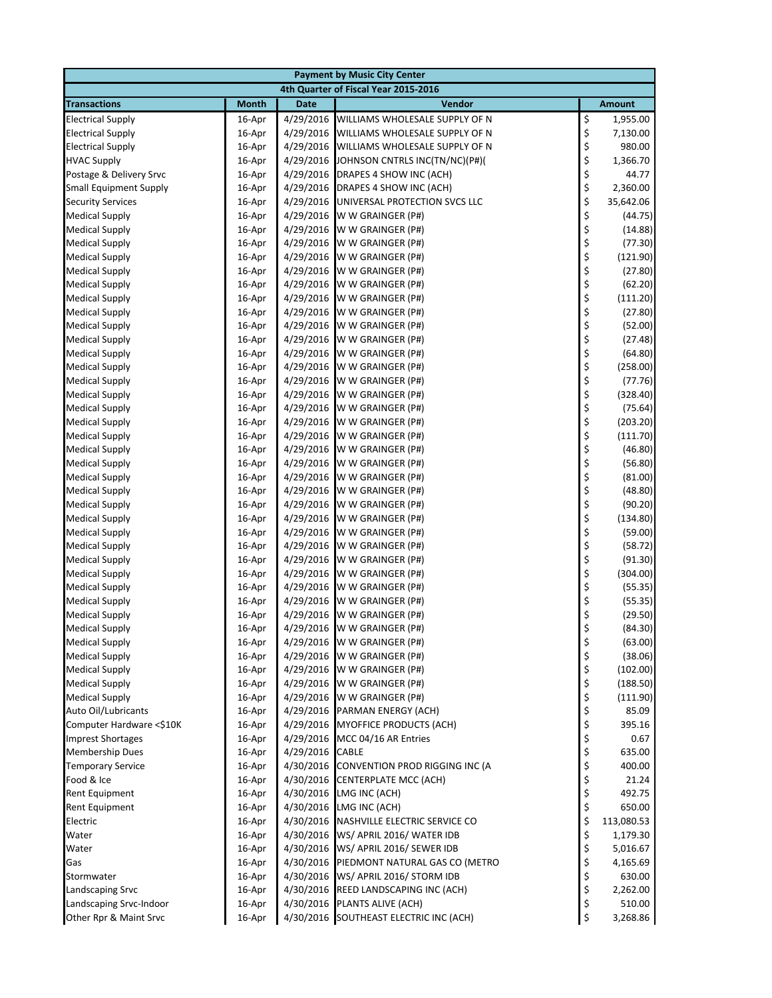| <b>Payment by Music City Center</b> |                  |             |                                                                    |          |                        |  |
|-------------------------------------|------------------|-------------|--------------------------------------------------------------------|----------|------------------------|--|
|                                     |                  |             | 4th Quarter of Fiscal Year 2015-2016                               |          |                        |  |
| <b>Transactions</b>                 | <b>Month</b>     | <b>Date</b> | Vendor                                                             |          | <b>Amount</b>          |  |
| <b>Electrical Supply</b>            | 16-Apr           | 4/29/2016   | WILLIAMS WHOLESALE SUPPLY OF N                                     | \$       | 1,955.00               |  |
| <b>Electrical Supply</b>            | 16-Apr           | 4/29/2016   | WILLIAMS WHOLESALE SUPPLY OF N                                     | \$       | 7,130.00               |  |
| <b>Electrical Supply</b>            | 16-Apr           | 4/29/2016   | WILLIAMS WHOLESALE SUPPLY OF N                                     | \$       | 980.00                 |  |
| <b>HVAC Supply</b>                  | 16-Apr           | 4/29/2016   | JOHNSON CNTRLS INC(TN/NC)(P#)(                                     | \$       | 1,366.70               |  |
| Postage & Delivery Srvc             | 16-Apr           | 4/29/2016   | DRAPES 4 SHOW INC (ACH)                                            |          | 44.77                  |  |
| <b>Small Equipment Supply</b>       | 16-Apr           |             | 4/29/2016 DRAPES 4 SHOW INC (ACH)                                  |          | 2,360.00               |  |
| <b>Security Services</b>            | 16-Apr           | 4/29/2016   | UNIVERSAL PROTECTION SVCS LLC                                      |          | 35,642.06              |  |
| <b>Medical Supply</b>               | 16-Apr           | 4/29/2016   | W W GRAINGER (P#)                                                  |          | (44.75)                |  |
| <b>Medical Supply</b>               | 16-Apr           | 4/29/2016   | W W GRAINGER (P#)                                                  |          | (14.88)                |  |
| <b>Medical Supply</b>               | 16-Apr           | 4/29/2016   | W W GRAINGER (P#)                                                  |          | (77.30)                |  |
| <b>Medical Supply</b>               | 16-Apr           |             | 4/29/2016 W W GRAINGER (P#)                                        |          | (121.90)               |  |
| <b>Medical Supply</b>               | 16-Apr           |             | 4/29/2016 W W GRAINGER (P#)                                        |          | (27.80)                |  |
| <b>Medical Supply</b>               | 16-Apr           | 4/29/2016   | W W GRAINGER (P#)                                                  |          | (62.20)                |  |
| <b>Medical Supply</b>               | 16-Apr           | 4/29/2016   | W W GRAINGER (P#)                                                  |          | (111.20)               |  |
| <b>Medical Supply</b>               | 16-Apr           | 4/29/2016   | W W GRAINGER (P#)                                                  |          | (27.80)                |  |
| <b>Medical Supply</b>               | 16-Apr           | 4/29/2016   | W W GRAINGER (P#)                                                  |          | (52.00)                |  |
| <b>Medical Supply</b>               | 16-Apr           |             | 4/29/2016 W W GRAINGER (P#)                                        |          | (27.48)                |  |
| <b>Medical Supply</b>               | 16-Apr           |             | 4/29/2016 W W GRAINGER (P#)                                        |          | (64.80)                |  |
| <b>Medical Supply</b>               | 16-Apr           | 4/29/2016   | W W GRAINGER (P#)                                                  |          | (258.00)               |  |
| <b>Medical Supply</b>               | 16-Apr           | 4/29/2016   | W W GRAINGER (P#)                                                  |          | (77.76)                |  |
| <b>Medical Supply</b>               | 16-Apr           | 4/29/2016   | W W GRAINGER (P#)                                                  |          | (328.40)               |  |
| <b>Medical Supply</b>               | 16-Apr           |             | 4/29/2016 W W GRAINGER (P#)                                        |          | (75.64)                |  |
| <b>Medical Supply</b>               | 16-Apr           |             | 4/29/2016 W W GRAINGER (P#)                                        |          | (203.20)               |  |
| <b>Medical Supply</b>               | 16-Apr           | 4/29/2016   | W W GRAINGER (P#)                                                  |          | (111.70)               |  |
| <b>Medical Supply</b>               | 16-Apr           | 4/29/2016   | W W GRAINGER (P#)                                                  |          | (46.80)                |  |
| <b>Medical Supply</b>               | 16-Apr           | 4/29/2016   | W W GRAINGER (P#)                                                  |          | (56.80)                |  |
| <b>Medical Supply</b>               | 16-Apr           |             | 4/29/2016 W W GRAINGER (P#)                                        |          | (81.00)                |  |
| <b>Medical Supply</b>               | 16-Apr           |             | 4/29/2016 W W GRAINGER (P#)                                        |          | (48.80)                |  |
| <b>Medical Supply</b>               | 16-Apr           |             | 4/29/2016 W W GRAINGER (P#)                                        |          | (90.20)                |  |
| <b>Medical Supply</b>               | 16-Apr           | 4/29/2016   | W W GRAINGER (P#)                                                  |          | (134.80)               |  |
| <b>Medical Supply</b>               | 16-Apr           | 4/29/2016   | W W GRAINGER (P#)                                                  |          | (59.00)                |  |
| <b>Medical Supply</b>               | 16-Apr           | 4/29/2016   | W W GRAINGER (P#)                                                  |          | (58.72)                |  |
| <b>Medical Supply</b>               | 16-Apr           | 4/29/2016   | W W GRAINGER (P#)                                                  |          | (91.30)                |  |
| <b>Medical Supply</b>               | 16-Apr           |             | 4/29/2016 W W GRAINGER (P#)                                        | \$\$\$\$ | (304.00)               |  |
| <b>Medical Supply</b>               | 16-Apr           | 4/29/2016   | W W GRAINGER (P#)                                                  |          | (55.35)                |  |
| <b>Medical Supply</b>               | 16-Apr           | 4/29/2016   | W W GRAINGER (P#)                                                  | \$       | (55.35)                |  |
| <b>Medical Supply</b>               | 16-Apr           | 4/29/2016   | W W GRAINGER (P#)                                                  | \$       | (29.50)                |  |
| <b>Medical Supply</b>               | 16-Apr           |             | 4/29/2016 W W GRAINGER (P#)                                        | \$       | (84.30)                |  |
| <b>Medical Supply</b>               | 16-Apr           |             | 4/29/2016 W W GRAINGER (P#)                                        | \$       | (63.00)                |  |
| <b>Medical Supply</b>               | 16-Apr           |             | 4/29/2016 W W GRAINGER (P#)                                        | \$       | (38.06)                |  |
| <b>Medical Supply</b>               | 16-Apr           |             | 4/29/2016 W W GRAINGER (P#)                                        | \$<br>\$ | (102.00)               |  |
| <b>Medical Supply</b>               | 16-Apr           |             | 4/29/2016 W W GRAINGER (P#)                                        |          | (188.50)               |  |
| <b>Medical Supply</b>               | 16-Apr           |             | 4/29/2016 W W GRAINGER (P#)                                        | \$\$\$   | (111.90)               |  |
| Auto Oil/Lubricants                 | 16-Apr           |             | 4/29/2016 PARMAN ENERGY (ACH)                                      |          | 85.09                  |  |
| Computer Hardware <\$10K            | 16-Apr           |             | 4/29/2016 MYOFFICE PRODUCTS (ACH)                                  |          | 395.16                 |  |
| <b>Imprest Shortages</b>            | 16-Apr           |             | 4/29/2016 MCC 04/16 AR Entries                                     | \$       | 0.67                   |  |
| <b>Membership Dues</b>              | 16-Apr           | 4/29/2016   | CABLE                                                              | \$       | 635.00                 |  |
| <b>Temporary Service</b>            | 16-Apr           | 4/30/2016   | CONVENTION PROD RIGGING INC (A                                     | \$       | 400.00                 |  |
| Food & Ice                          | 16-Apr           | 4/30/2016   | <b>CENTERPLATE MCC (ACH)</b>                                       | \$       | 21.24                  |  |
| Rent Equipment                      | 16-Apr           |             | 4/30/2016 LMG INC (ACH)                                            | \$<br>\$ | 492.75                 |  |
| Rent Equipment                      | 16-Apr           |             | 4/30/2016 LMG INC (ACH)<br>4/30/2016 NASHVILLE ELECTRIC SERVICE CO |          | 650.00                 |  |
| Electric<br>Water                   | 16-Apr<br>16-Apr |             | 4/30/2016 WS/ APRIL 2016/ WATER IDB                                | \$<br>\$ | 113,080.53<br>1,179.30 |  |
| Water                               | 16-Apr           |             | 4/30/2016 WS/ APRIL 2016/ SEWER IDB                                | \$       | 5,016.67               |  |
|                                     | 16-Apr           |             | 4/30/2016 PIEDMONT NATURAL GAS CO (METRO                           | \$       | 4,165.69               |  |
| Gas<br>Stormwater                   | 16-Apr           |             | 4/30/2016 WS/ APRIL 2016/ STORM IDB                                | \$       | 630.00                 |  |
| Landscaping Srvc                    | 16-Apr           |             | 4/30/2016 REED LANDSCAPING INC (ACH)                               | \$       | 2,262.00               |  |
| Landscaping Srvc-Indoor             | 16-Apr           |             | 4/30/2016 PLANTS ALIVE (ACH)                                       | \$       | 510.00                 |  |
| Other Rpr & Maint Srvc              | 16-Apr           |             | 4/30/2016 SOUTHEAST ELECTRIC INC (ACH)                             | \$       | 3,268.86               |  |
|                                     |                  |             |                                                                    |          |                        |  |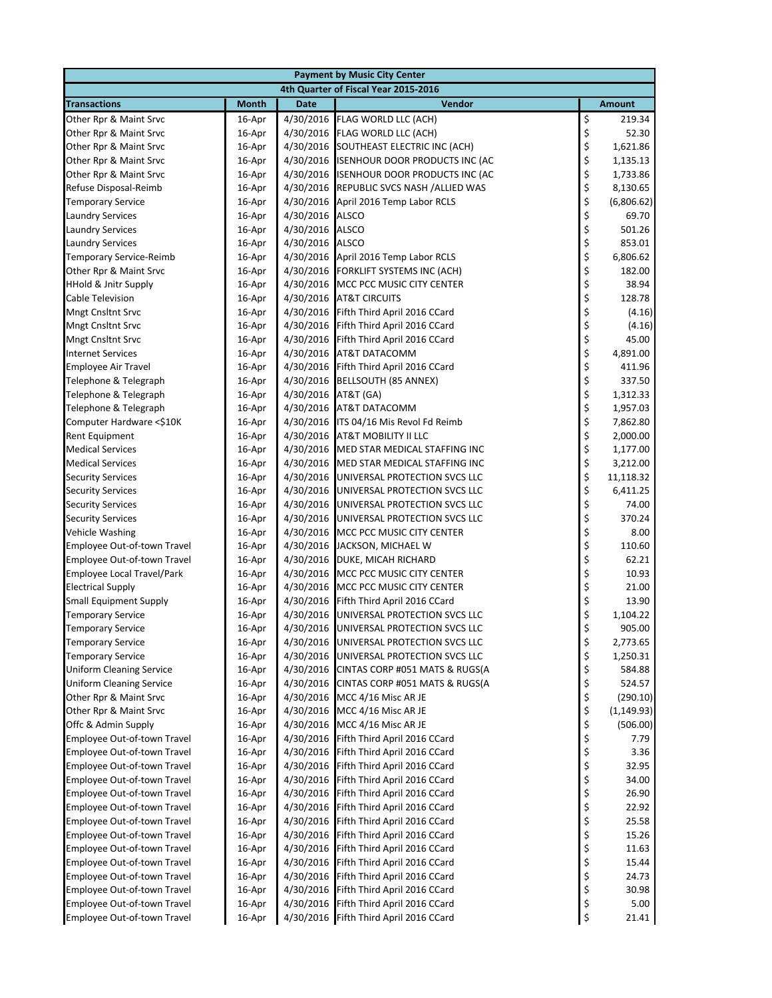| <b>Payment by Music City Center</b>                |                  |                        |                                                     |          |                  |  |  |
|----------------------------------------------------|------------------|------------------------|-----------------------------------------------------|----------|------------------|--|--|
|                                                    |                  |                        | 4th Quarter of Fiscal Year 2015-2016                |          |                  |  |  |
| <b>Transactions</b>                                | <b>Month</b>     | <b>Date</b>            | <b>Vendor</b>                                       |          | <b>Amount</b>    |  |  |
| Other Rpr & Maint Srvc                             | 16-Apr           |                        | 4/30/2016 FLAG WORLD LLC (ACH)                      | \$       | 219.34           |  |  |
| Other Rpr & Maint Srvc                             | 16-Apr           | 4/30/2016              | FLAG WORLD LLC (ACH)                                | \$       | 52.30            |  |  |
| Other Rpr & Maint Srvc                             | 16-Apr           | 4/30/2016              | SOUTHEAST ELECTRIC INC (ACH)                        | \$       | 1,621.86         |  |  |
| Other Rpr & Maint Srvc                             | 16-Apr           | 4/30/2016              | <b>ISENHOUR DOOR PRODUCTS INC (AC</b>               | \$       | 1,135.13         |  |  |
| Other Rpr & Maint Srvc                             | 16-Apr           | 4/30/2016              | <b>ISENHOUR DOOR PRODUCTS INC (AC</b>               | \$       | 1,733.86         |  |  |
| Refuse Disposal-Reimb                              | 16-Apr           | 4/30/2016              | REPUBLIC SVCS NASH / ALLIED WAS                     | \$       | 8,130.65         |  |  |
| <b>Temporary Service</b>                           | 16-Apr           | 4/30/2016              | April 2016 Temp Labor RCLS                          | \$       | (6,806.62)       |  |  |
| <b>Laundry Services</b>                            | 16-Apr           | 4/30/2016              | <b>ALSCO</b>                                        | \$       | 69.70            |  |  |
| <b>Laundry Services</b>                            | 16-Apr           | 4/30/2016              | <b>ALSCO</b>                                        | \$       | 501.26           |  |  |
| <b>Laundry Services</b>                            | 16-Apr           | 4/30/2016              | <b>ALSCO</b>                                        | \$       | 853.01           |  |  |
| Temporary Service-Reimb                            | 16-Apr           |                        | 4/30/2016 April 2016 Temp Labor RCLS                | \$       | 6,806.62         |  |  |
| Other Rpr & Maint Srvc                             | 16-Apr           |                        | 4/30/2016 FORKLIFT SYSTEMS INC (ACH)                | \$       | 182.00           |  |  |
| <b>HHold &amp; Jnitr Supply</b>                    | 16-Apr           |                        | 4/30/2016 MCC PCC MUSIC CITY CENTER                 | \$       | 38.94            |  |  |
| Cable Television                                   | 16-Apr           | 4/30/2016              | <b>AT&amp;T CIRCUITS</b>                            | \$       | 128.78           |  |  |
| <b>Mngt Cnsltnt Srvc</b>                           | 16-Apr           | 4/30/2016              | Fifth Third April 2016 CCard                        | \$       | (4.16)           |  |  |
| <b>Mngt Cnsltnt Srvc</b>                           | 16-Apr           | 4/30/2016              | Fifth Third April 2016 CCard                        | \$       | (4.16)           |  |  |
| <b>Mngt Cnsltnt Srvc</b>                           | 16-Apr           | 4/30/2016              | Fifth Third April 2016 CCard                        | \$       | 45.00            |  |  |
| <b>Internet Services</b>                           | 16-Apr           | 4/30/2016              | AT&T DATACOMM                                       | \$       | 4,891.00         |  |  |
| <b>Employee Air Travel</b>                         | 16-Apr           | 4/30/2016              | Fifth Third April 2016 CCard                        | \$       | 411.96           |  |  |
| Telephone & Telegraph                              | 16-Apr           | 4/30/2016              | <b>BELLSOUTH (85 ANNEX)</b>                         | \$       | 337.50           |  |  |
| Telephone & Telegraph                              | 16-Apr           | 4/30/2016              | AT&T (GA)                                           | \$       | 1,312.33         |  |  |
| Telephone & Telegraph                              | 16-Apr           | 4/30/2016              | <b>AT&amp;T DATACOMM</b>                            | \$       | 1,957.03         |  |  |
| Computer Hardware <\$10K                           | 16-Apr           |                        | 4/30/2016 ITS 04/16 Mis Revol Fd Reimb              | \$       | 7,862.80         |  |  |
| Rent Equipment                                     | 16-Apr           | 4/30/2016              | AT&T MOBILITY II LLC                                | \$       | 2,000.00         |  |  |
| <b>Medical Services</b>                            | 16-Apr           | 4/30/2016              | MED STAR MEDICAL STAFFING INC                       | \$       | 1,177.00         |  |  |
| <b>Medical Services</b>                            | 16-Apr           | 4/30/2016              | MED STAR MEDICAL STAFFING INC                       | \$       | 3,212.00         |  |  |
| <b>Security Services</b>                           | 16-Apr           | 4/30/2016              | UNIVERSAL PROTECTION SVCS LLC                       | \$       | 11,118.32        |  |  |
| <b>Security Services</b>                           | 16-Apr           | 4/30/2016              | UNIVERSAL PROTECTION SVCS LLC                       | \$       | 6,411.25         |  |  |
| <b>Security Services</b>                           | 16-Apr           | 4/30/2016              | UNIVERSAL PROTECTION SVCS LLC                       | \$       | 74.00            |  |  |
| <b>Security Services</b>                           | 16-Apr           | 4/30/2016              | UNIVERSAL PROTECTION SVCS LLC                       | \$       | 370.24           |  |  |
| <b>Vehicle Washing</b>                             | 16-Apr           | 4/30/2016              | MCC PCC MUSIC CITY CENTER                           | \$       | 8.00             |  |  |
| Employee Out-of-town Travel                        | 16-Apr           | 4/30/2016              | JACKSON, MICHAEL W                                  | \$       | 110.60           |  |  |
| Employee Out-of-town Travel                        | 16-Apr           |                        | 4/30/2016 DUKE, MICAH RICHARD                       | \$       | 62.21            |  |  |
| <b>Employee Local Travel/Park</b>                  | 16-Apr           |                        | 4/30/2016 MCC PCC MUSIC CITY CENTER                 | \$       | 10.93            |  |  |
| <b>Electrical Supply</b>                           | 16-Apr           | 4/30/2016              | MCC PCC MUSIC CITY CENTER                           | \$       | 21.00            |  |  |
| <b>Small Equipment Supply</b>                      | 16-Apr           | 4/30/2016              | Fifth Third April 2016 CCard                        | \$       | 13.90            |  |  |
| <b>Temporary Service</b>                           | 16-Apr           | 4/30/2016              | UNIVERSAL PROTECTION SVCS LLC                       | \$       | 1,104.22         |  |  |
| <b>Temporary Service</b>                           | 16-Apr           |                        | 4/30/2016 UNIVERSAL PROTECTION SVCS LLC             | \$       | 905.00           |  |  |
| <b>Temporary Service</b>                           | 16-Apr           | 4/30/2016              | UNIVERSAL PROTECTION SVCS LLC                       | \$       | 2,773.65         |  |  |
| <b>Temporary Service</b>                           | 16-Apr           | 4/30/2016              | UNIVERSAL PROTECTION SVCS LLC                       | \$       | 1,250.31         |  |  |
| <b>Uniform Cleaning Service</b>                    | 16-Apr           | 4/30/2016              | CINTAS CORP #051 MATS & RUGS(A                      | \$       | 584.88           |  |  |
| <b>Uniform Cleaning Service</b>                    | 16-Apr           | 4/30/2016              | CINTAS CORP #051 MATS & RUGS(A                      | \$       | 524.57           |  |  |
| Other Rpr & Maint Srvc<br>Other Rpr & Maint Srvc   | 16-Apr           | 4/30/2016<br>4/30/2016 | MCC 4/16 Misc AR JE                                 | \$       | (290.10)         |  |  |
|                                                    | 16-Apr           | 4/30/2016              | MCC 4/16 Misc AR JE                                 | \$<br>\$ | (1, 149.93)      |  |  |
| Offc & Admin Supply<br>Employee Out-of-town Travel | 16-Apr<br>16-Apr | 4/30/2016              | MCC 4/16 Misc AR JE<br>Fifth Third April 2016 CCard |          | (506.00)<br>7.79 |  |  |
| Employee Out-of-town Travel                        | 16-Apr           | 4/30/2016              | Fifth Third April 2016 CCard                        | \$<br>\$ | 3.36             |  |  |
| Employee Out-of-town Travel                        | 16-Apr           | 4/30/2016              | Fifth Third April 2016 CCard                        | \$       | 32.95            |  |  |
| Employee Out-of-town Travel                        | 16-Apr           | 4/30/2016              | Fifth Third April 2016 CCard                        | \$       | 34.00            |  |  |
| Employee Out-of-town Travel                        | 16-Apr           | 4/30/2016              | Fifth Third April 2016 CCard                        | \$       | 26.90            |  |  |
| Employee Out-of-town Travel                        | 16-Apr           | 4/30/2016              | Fifth Third April 2016 CCard                        | \$       | 22.92            |  |  |
| Employee Out-of-town Travel                        | 16-Apr           | 4/30/2016              | Fifth Third April 2016 CCard                        | \$       | 25.58            |  |  |
| Employee Out-of-town Travel                        | 16-Apr           | 4/30/2016              | Fifth Third April 2016 CCard                        | \$       | 15.26            |  |  |
| Employee Out-of-town Travel                        | 16-Apr           | 4/30/2016              | Fifth Third April 2016 CCard                        | \$       | 11.63            |  |  |
| Employee Out-of-town Travel                        | 16-Apr           | 4/30/2016              | Fifth Third April 2016 CCard                        | \$       | 15.44            |  |  |
| Employee Out-of-town Travel                        | 16-Apr           | 4/30/2016              | Fifth Third April 2016 CCard                        | \$       | 24.73            |  |  |
| Employee Out-of-town Travel                        | 16-Apr           | 4/30/2016              | Fifth Third April 2016 CCard                        | \$       | 30.98            |  |  |
| Employee Out-of-town Travel                        | 16-Apr           | 4/30/2016              | Fifth Third April 2016 CCard                        | \$       | 5.00             |  |  |
| Employee Out-of-town Travel                        | 16-Apr           | 4/30/2016              | Fifth Third April 2016 CCard                        | \$       | 21.41            |  |  |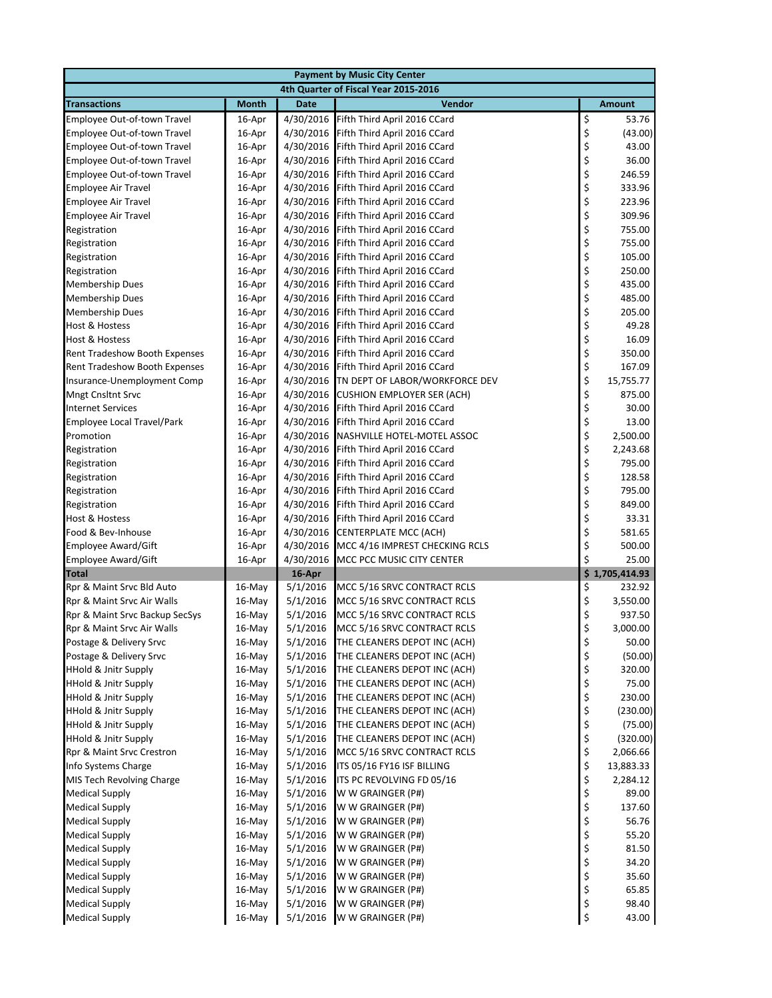| <b>Payment by Music City Center</b>                        |                  |                      |                                                              |                |                 |  |
|------------------------------------------------------------|------------------|----------------------|--------------------------------------------------------------|----------------|-----------------|--|
|                                                            |                  |                      | 4th Quarter of Fiscal Year 2015-2016                         |                |                 |  |
| <b>Transactions</b>                                        | <b>Month</b>     | <b>Date</b>          | Vendor                                                       |                | <b>Amount</b>   |  |
| Employee Out-of-town Travel                                | 16-Apr           |                      | 4/30/2016 Fifth Third April 2016 CCard                       | \$             | 53.76           |  |
| Employee Out-of-town Travel                                | 16-Apr           | 4/30/2016            | Fifth Third April 2016 CCard                                 |                | (43.00)         |  |
| Employee Out-of-town Travel                                | 16-Apr           | 4/30/2016            | Fifth Third April 2016 CCard                                 | \$<br>\$       | 43.00           |  |
| Employee Out-of-town Travel                                | 16-Apr           | 4/30/2016            | Fifth Third April 2016 CCard                                 | \$             | 36.00           |  |
| Employee Out-of-town Travel                                | 16-Apr           |                      | 4/30/2016 Fifth Third April 2016 CCard                       |                | 246.59          |  |
| Employee Air Travel                                        | 16-Apr           |                      | 4/30/2016 Fifth Third April 2016 CCard                       | \$\$\$         | 333.96          |  |
| <b>Employee Air Travel</b>                                 | 16-Apr           | 4/30/2016            | Fifth Third April 2016 CCard                                 |                | 223.96          |  |
| <b>Employee Air Travel</b>                                 | 16-Apr           | 4/30/2016            | Fifth Third April 2016 CCard                                 |                | 309.96          |  |
| Registration                                               | 16-Apr           | 4/30/2016            | Fifth Third April 2016 CCard                                 | \$<br>\$<br>\$ | 755.00          |  |
| Registration                                               | 16-Apr           | 4/30/2016            | Fifth Third April 2016 CCard                                 |                | 755.00          |  |
| Registration                                               | 16-Apr           |                      | 4/30/2016 Fifth Third April 2016 CCard                       | \$<br>\$       | 105.00          |  |
| Registration                                               | 16-Apr           |                      | 4/30/2016 Fifth Third April 2016 CCard                       |                | 250.00          |  |
| <b>Membership Dues</b>                                     | 16-Apr           | 4/30/2016            | Fifth Third April 2016 CCard                                 | \$<br>\$       | 435.00          |  |
| <b>Membership Dues</b>                                     | 16-Apr           | 4/30/2016            | Fifth Third April 2016 CCard                                 |                | 485.00          |  |
| <b>Membership Dues</b>                                     | 16-Apr           | 4/30/2016            | Fifth Third April 2016 CCard                                 | \$             | 205.00          |  |
| Host & Hostess                                             | 16-Apr           | 4/30/2016            | Fifth Third April 2016 CCard                                 | \$<br>\$       | 49.28           |  |
| <b>Host &amp; Hostess</b>                                  | 16-Apr           |                      | 4/30/2016 Fifth Third April 2016 CCard                       |                | 16.09           |  |
| Rent Tradeshow Booth Expenses                              | 16-Apr           |                      | 4/30/2016 Fifth Third April 2016 CCard                       | \$             | 350.00          |  |
| <b>Rent Tradeshow Booth Expenses</b>                       | 16-Apr           | 4/30/2016            | Fifth Third April 2016 CCard                                 | \$<br>\$       | 167.09          |  |
| Insurance-Unemployment Comp                                | 16-Apr           | 4/30/2016            | TN DEPT OF LABOR/WORKFORCE DEV                               |                | 15,755.77       |  |
| <b>Mngt Cnsltnt Srvc</b>                                   | 16-Apr           | 4/30/2016            | <b>CUSHION EMPLOYER SER (ACH)</b>                            | \$             | 875.00          |  |
| <b>Internet Services</b>                                   | 16-Apr           |                      | 4/30/2016 Fifth Third April 2016 CCard                       | \$             | 30.00           |  |
| Employee Local Travel/Park                                 | 16-Apr           |                      | 4/30/2016 Fifth Third April 2016 CCard                       | \$             | 13.00           |  |
| Promotion                                                  | 16-Apr           |                      | 4/30/2016 NASHVILLE HOTEL-MOTEL ASSOC                        | \$             | 2,500.00        |  |
| Registration                                               | 16-Apr           | 4/30/2016            | Fifth Third April 2016 CCard                                 | \$<br>\$       | 2,243.68        |  |
| Registration                                               | 16-Apr           | 4/30/2016            | Fifth Third April 2016 CCard                                 |                | 795.00          |  |
| Registration                                               | 16-Apr           | 4/30/2016            | Fifth Third April 2016 CCard                                 | \$<br>\$       | 128.58          |  |
| Registration                                               | 16-Apr           |                      | 4/30/2016 Fifth Third April 2016 CCard                       |                | 795.00          |  |
| Registration                                               | 16-Apr           | 4/30/2016            | Fifth Third April 2016 CCard                                 | \$             | 849.00          |  |
| Host & Hostess                                             | 16-Apr           | 4/30/2016            | Fifth Third April 2016 CCard                                 | \$             | 33.31           |  |
| Food & Bev-Inhouse                                         | 16-Apr           | 4/30/2016            | <b>CENTERPLATE MCC (ACH)</b>                                 | \$             | 581.65          |  |
| Employee Award/Gift                                        | 16-Apr           | 4/30/2016            | MCC 4/16 IMPREST CHECKING RCLS                               | \$             | 500.00          |  |
| <b>Employee Award/Gift</b>                                 | 16-Apr           | 4/30/2016            | MCC PCC MUSIC CITY CENTER                                    | \$             | 25.00           |  |
| <b>Total</b>                                               |                  | 16-Apr               |                                                              |                | \$1,705,414.93  |  |
| Rpr & Maint Srvc Bld Auto                                  | $16$ -May        | 5/1/2016             | MCC 5/16 SRVC CONTRACT RCLS                                  | \$             | 232.92          |  |
| Rpr & Maint Srvc Air Walls                                 | $16$ -May        | 5/1/2016             | MCC 5/16 SRVC CONTRACT RCLS                                  | \$             | 3,550.00        |  |
| Rpr & Maint Srvc Backup SecSys                             | 16-May           | 5/1/2016             | MCC 5/16 SRVC CONTRACT RCLS                                  | \$<br>\$       | 937.50          |  |
| Rpr & Maint Srvc Air Walls                                 | $16$ -May        | 5/1/2016             | MCC 5/16 SRVC CONTRACT RCLS                                  |                | 3,000.00        |  |
| Postage & Delivery Srvc                                    | 16-May           | 5/1/2016             | THE CLEANERS DEPOT INC (ACH)                                 | \$             | 50.00           |  |
| Postage & Delivery Srvc<br><b>HHold &amp; Jnitr Supply</b> | 16-May           | 5/1/2016             | THE CLEANERS DEPOT INC (ACH)                                 | \$             | (50.00)         |  |
| HHold & Jnitr Supply                                       | 16-May<br>16-May | 5/1/2016<br>5/1/2016 | THE CLEANERS DEPOT INC (ACH)<br>THE CLEANERS DEPOT INC (ACH) | \$<br>\$       | 320.00<br>75.00 |  |
| <b>HHold &amp; Jnitr Supply</b>                            | 16-May           | 5/1/2016             | THE CLEANERS DEPOT INC (ACH)                                 |                | 230.00          |  |
| <b>HHold &amp; Jnitr Supply</b>                            | 16-May           | 5/1/2016             | THE CLEANERS DEPOT INC (ACH)                                 | \$<br>\$       | (230.00)        |  |
| HHold & Jnitr Supply                                       | 16-May           | 5/1/2016             | THE CLEANERS DEPOT INC (ACH)                                 | \$             | (75.00)         |  |
| <b>HHold &amp; Jnitr Supply</b>                            | 16-May           | 5/1/2016             | THE CLEANERS DEPOT INC (ACH)                                 | \$             | (320.00)        |  |
| Rpr & Maint Srvc Crestron                                  | $16$ -May        | 5/1/2016             | MCC 5/16 SRVC CONTRACT RCLS                                  | \$             | 2,066.66        |  |
| Info Systems Charge                                        | 16-May           | 5/1/2016             | ITS 05/16 FY16 ISF BILLING                                   | \$             | 13,883.33       |  |
| MIS Tech Revolving Charge                                  | 16-May           | 5/1/2016             | ITS PC REVOLVING FD 05/16                                    | \$             | 2,284.12        |  |
| <b>Medical Supply</b>                                      | 16-May           | 5/1/2016             | W W GRAINGER (P#)                                            | \$             | 89.00           |  |
| <b>Medical Supply</b>                                      | 16-May           | 5/1/2016             | W W GRAINGER (P#)                                            | \$             | 137.60          |  |
| <b>Medical Supply</b>                                      | 16-May           | 5/1/2016             | W W GRAINGER (P#)                                            | \$             | 56.76           |  |
| <b>Medical Supply</b>                                      | 16-May           | 5/1/2016             | W W GRAINGER (P#)                                            | \$             | 55.20           |  |
| <b>Medical Supply</b>                                      | 16-May           | 5/1/2016             | W W GRAINGER (P#)                                            | \$             | 81.50           |  |
| <b>Medical Supply</b>                                      | 16-May           | 5/1/2016             | W W GRAINGER (P#)                                            | \$             | 34.20           |  |
| <b>Medical Supply</b>                                      | 16-May           | 5/1/2016             | W W GRAINGER (P#)                                            | \$             | 35.60           |  |
| <b>Medical Supply</b>                                      | 16-May           | 5/1/2016             | W W GRAINGER (P#)                                            | \$             | 65.85           |  |
| <b>Medical Supply</b>                                      | 16-May           | 5/1/2016             | W W GRAINGER (P#)                                            | \$             | 98.40           |  |
| <b>Medical Supply</b>                                      | 16-May           | 5/1/2016             | W W GRAINGER (P#)                                            | \$             | 43.00           |  |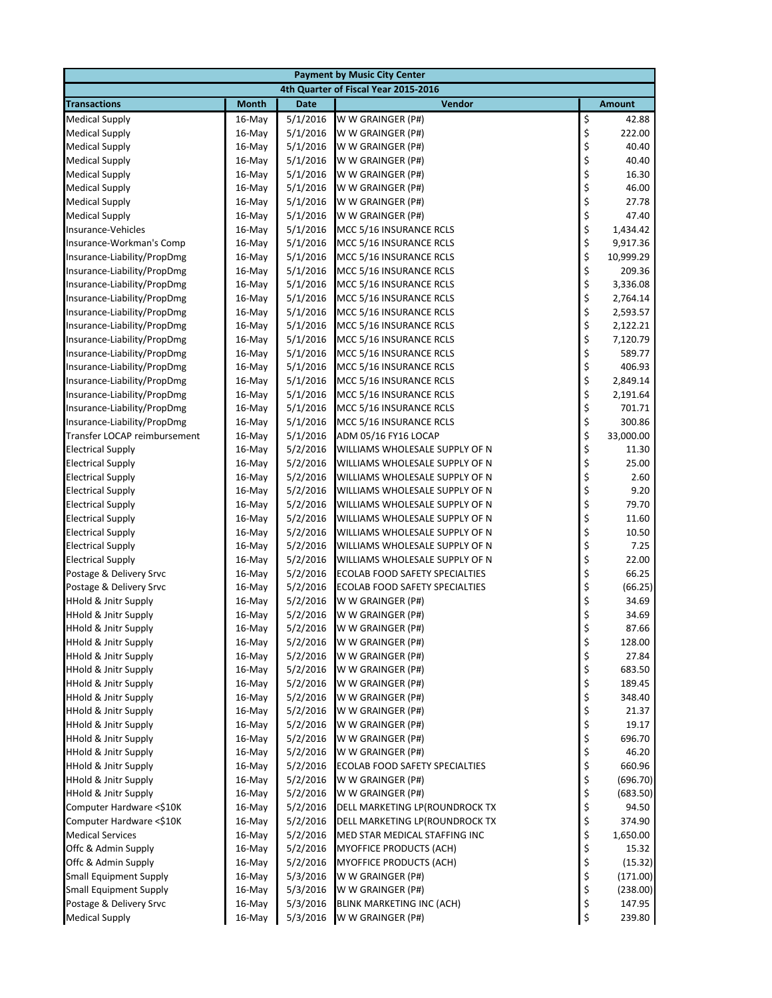| <b>Payment by Music City Center</b>                                |                  |                      |                                        |            |                 |  |
|--------------------------------------------------------------------|------------------|----------------------|----------------------------------------|------------|-----------------|--|
|                                                                    |                  |                      | 4th Quarter of Fiscal Year 2015-2016   |            |                 |  |
| <b>Transactions</b>                                                | <b>Month</b>     | <b>Date</b>          | Vendor                                 |            | <b>Amount</b>   |  |
| <b>Medical Supply</b>                                              | $16$ -May        | 5/1/2016             | W W GRAINGER (P#)                      | \$         | 42.88           |  |
| <b>Medical Supply</b>                                              | 16-May           | 5/1/2016             | W W GRAINGER (P#)                      | \$         | 222.00          |  |
| <b>Medical Supply</b>                                              | $16$ -May        | 5/1/2016             | W W GRAINGER (P#)                      | \$         | 40.40           |  |
| <b>Medical Supply</b>                                              | $16$ -May        | 5/1/2016             | W W GRAINGER (P#)                      | \$         | 40.40           |  |
| <b>Medical Supply</b>                                              | 16-May           | 5/1/2016             | W W GRAINGER (P#)                      | \$         | 16.30           |  |
| <b>Medical Supply</b>                                              | 16-May           | 5/1/2016             | W W GRAINGER (P#)                      | \$         | 46.00           |  |
| <b>Medical Supply</b>                                              | $16$ -May        | 5/1/2016             | W W GRAINGER (P#)                      | \$         | 27.78           |  |
| <b>Medical Supply</b>                                              | $16$ -May        | 5/1/2016             | W W GRAINGER (P#)                      | \$         | 47.40           |  |
| Insurance-Vehicles                                                 | 16-May           | 5/1/2016             | MCC 5/16 INSURANCE RCLS                |            | 1,434.42        |  |
| Insurance-Workman's Comp                                           | $16$ -May        | 5/1/2016             | MCC 5/16 INSURANCE RCLS                | \$\$\$\$   | 9,917.36        |  |
| Insurance-Liability/PropDmg                                        | 16-May           | 5/1/2016             | MCC 5/16 INSURANCE RCLS                |            | 10,999.29       |  |
| Insurance-Liability/PropDmg                                        | 16-May           | 5/1/2016             | MCC 5/16 INSURANCE RCLS                |            | 209.36          |  |
| Insurance-Liability/PropDmg                                        | 16-May           | 5/1/2016             | MCC 5/16 INSURANCE RCLS                |            | 3,336.08        |  |
| Insurance-Liability/PropDmg                                        | 16-May           | 5/1/2016             | MCC 5/16 INSURANCE RCLS                |            | 2,764.14        |  |
| Insurance-Liability/PropDmg                                        | $16$ -May        | 5/1/2016             | MCC 5/16 INSURANCE RCLS                | \$\$\$\$\$ | 2,593.57        |  |
| Insurance-Liability/PropDmg                                        | 16-May           | 5/1/2016             | MCC 5/16 INSURANCE RCLS                |            | 2,122.21        |  |
| Insurance-Liability/PropDmg                                        | 16-May           | 5/1/2016             | MCC 5/16 INSURANCE RCLS                |            | 7,120.79        |  |
| Insurance-Liability/PropDmg                                        | $16$ -May        | 5/1/2016             | MCC 5/16 INSURANCE RCLS                | \$         | 589.77          |  |
| Insurance-Liability/PropDmg                                        | 16-May           | 5/1/2016             | MCC 5/16 INSURANCE RCLS                |            | 406.93          |  |
| Insurance-Liability/PropDmg                                        | 16-May           | 5/1/2016             | MCC 5/16 INSURANCE RCLS                |            | 2,849.14        |  |
| Insurance-Liability/PropDmg                                        | 16-May           | 5/1/2016             | MCC 5/16 INSURANCE RCLS                | \$\$\$\$   | 2,191.64        |  |
| Insurance-Liability/PropDmg                                        | 16-May           | 5/1/2016             | MCC 5/16 INSURANCE RCLS                |            | 701.71          |  |
| Insurance-Liability/PropDmg                                        | 16-May           | 5/1/2016             | MCC 5/16 INSURANCE RCLS                | \$\$\$     | 300.86          |  |
| Transfer LOCAP reimbursement                                       | $16$ -May        | 5/1/2016             | ADM 05/16 FY16 LOCAP                   |            | 33,000.00       |  |
| <b>Electrical Supply</b>                                           | $16$ -May        | 5/2/2016             | WILLIAMS WHOLESALE SUPPLY OF N         |            | 11.30           |  |
| <b>Electrical Supply</b>                                           | $16$ -May        | 5/2/2016             | WILLIAMS WHOLESALE SUPPLY OF N         | \$         | 25.00           |  |
| <b>Electrical Supply</b>                                           | 16-May           | 5/2/2016             | WILLIAMS WHOLESALE SUPPLY OF N         | \$<br>\$   | 2.60            |  |
| <b>Electrical Supply</b>                                           | 16-May           | 5/2/2016             | WILLIAMS WHOLESALE SUPPLY OF N         |            | 9.20            |  |
| <b>Electrical Supply</b>                                           | $16$ -May        | 5/2/2016             | WILLIAMS WHOLESALE SUPPLY OF N         | \$         | 79.70           |  |
| <b>Electrical Supply</b>                                           | 16-May           | 5/2/2016             | WILLIAMS WHOLESALE SUPPLY OF N         | \$         | 11.60           |  |
| <b>Electrical Supply</b>                                           | 16-May           | 5/2/2016             | WILLIAMS WHOLESALE SUPPLY OF N         | \$         | 10.50           |  |
| <b>Electrical Supply</b>                                           | $16$ -May        | 5/2/2016             | WILLIAMS WHOLESALE SUPPLY OF N         | \$         | 7.25            |  |
| <b>Electrical Supply</b>                                           | 16-May           | 5/2/2016             | WILLIAMS WHOLESALE SUPPLY OF N         | \$         | 22.00           |  |
| Postage & Delivery Srvc                                            | 16-May           | 5/2/2016             | ECOLAB FOOD SAFETY SPECIALTIES         | \$         | 66.25           |  |
| Postage & Delivery Srvc                                            | $16$ -May        | 5/2/2016             | ECOLAB FOOD SAFETY SPECIALTIES         | \$         | (66.25)         |  |
| <b>HHold &amp; Jnitr Supply</b>                                    | 16-May           | 5/2/2016             | W W GRAINGER (P#)                      | \$         | 34.69           |  |
| <b>HHold &amp; Jnitr Supply</b>                                    | 16-May           | 5/2/2016             | W W GRAINGER (P#)                      | \$         | 34.69           |  |
| <b>HHold &amp; Jnitr Supply</b>                                    | 16-May           | 5/2/2016             | W W GRAINGER (P#)                      | \$         | 87.66           |  |
| <b>HHold &amp; Jnitr Supply</b>                                    | 16-May           | 5/2/2016             | W W GRAINGER (P#)                      | \$         | 128.00          |  |
| <b>HHold &amp; Jnitr Supply</b>                                    | 16-May           | 5/2/2016             | W W GRAINGER (P#)                      | \$         | 27.84           |  |
| HHold & Jnitr Supply                                               | 16-May           | 5/2/2016             | W W GRAINGER (P#)                      | \$<br>\$   | 683.50          |  |
| <b>HHold &amp; Jnitr Supply</b><br><b>HHold &amp; Jnitr Supply</b> | 16-May           | 5/2/2016<br>5/2/2016 | W W GRAINGER (P#)                      |            | 189.45          |  |
| <b>HHold &amp; Jnitr Supply</b>                                    | 16-May           | 5/2/2016             | W W GRAINGER (P#)<br>W W GRAINGER (P#) | \$<br>\$   | 348.40<br>21.37 |  |
| <b>HHold &amp; Jnitr Supply</b>                                    | 16-May<br>16-May | 5/2/2016             | W W GRAINGER (P#)                      | \$         | 19.17           |  |
| <b>HHold &amp; Jnitr Supply</b>                                    | 16-May           | 5/2/2016             | W W GRAINGER (P#)                      | \$         | 696.70          |  |
| <b>HHold &amp; Jnitr Supply</b>                                    | 16-May           | 5/2/2016             | W W GRAINGER (P#)                      | \$         | 46.20           |  |
| <b>HHold &amp; Jnitr Supply</b>                                    | 16-May           | 5/2/2016             | ECOLAB FOOD SAFETY SPECIALTIES         | \$         | 660.96          |  |
| <b>HHold &amp; Jnitr Supply</b>                                    | 16-May           | 5/2/2016             | W W GRAINGER (P#)                      |            | (696.70)        |  |
| <b>HHold &amp; Jnitr Supply</b>                                    | 16-May           | 5/2/2016             | W W GRAINGER (P#)                      | \$<br>\$   | (683.50)        |  |
| Computer Hardware <\$10K                                           | 16-May           | 5/2/2016             | DELL MARKETING LP(ROUNDROCK TX         | \$         | 94.50           |  |
| Computer Hardware <\$10K                                           | 16-May           | 5/2/2016             | DELL MARKETING LP(ROUNDROCK TX         | \$         | 374.90          |  |
| <b>Medical Services</b>                                            | 16-May           | 5/2/2016             | MED STAR MEDICAL STAFFING INC          | \$         | 1,650.00        |  |
| Offc & Admin Supply                                                | 16-May           | 5/2/2016             | MYOFFICE PRODUCTS (ACH)                | \$         | 15.32           |  |
| Offc & Admin Supply                                                | 16-May           | 5/2/2016             | MYOFFICE PRODUCTS (ACH)                | \$         | (15.32)         |  |
| <b>Small Equipment Supply</b>                                      | 16-May           | 5/3/2016             | W W GRAINGER (P#)                      | \$         | (171.00)        |  |
| <b>Small Equipment Supply</b>                                      | 16-May           | 5/3/2016             | W W GRAINGER (P#)                      | \$         | (238.00)        |  |
| Postage & Delivery Srvc                                            | 16-May           | 5/3/2016             | BLINK MARKETING INC (ACH)              | \$         | 147.95          |  |
| <b>Medical Supply</b>                                              | 16-May           | 5/3/2016             | W W GRAINGER (P#)                      | \$         | 239.80          |  |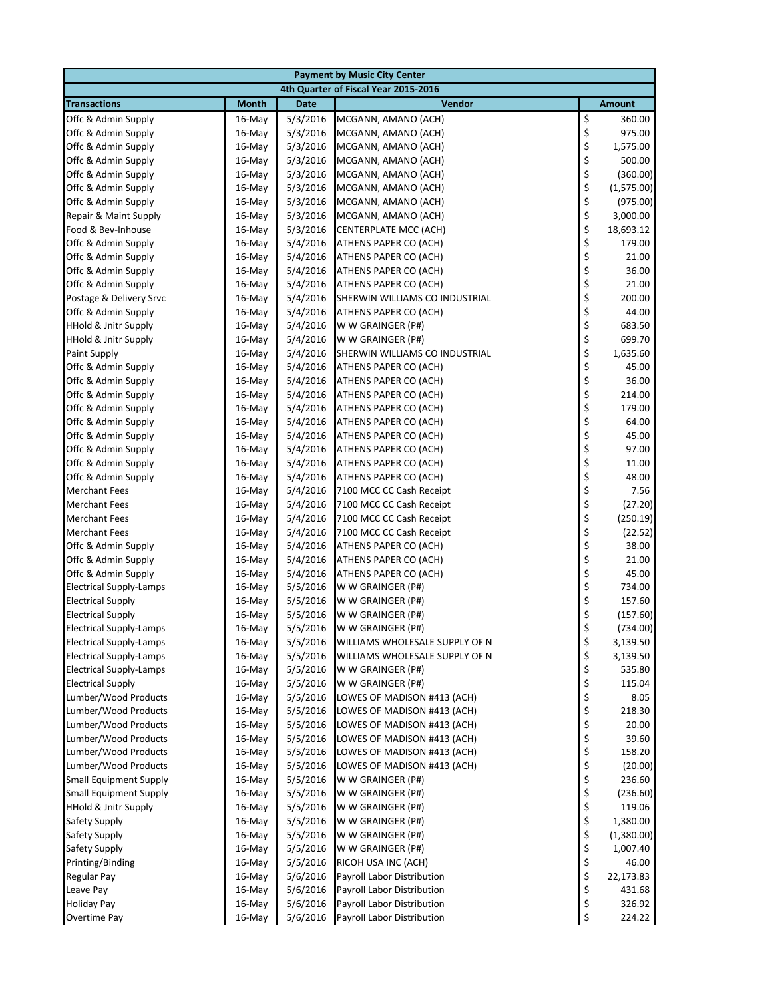| <b>Payment by Music City Center</b>          |                  |                      |                                                            |            |                 |  |  |
|----------------------------------------------|------------------|----------------------|------------------------------------------------------------|------------|-----------------|--|--|
|                                              |                  |                      | 4th Quarter of Fiscal Year 2015-2016                       |            |                 |  |  |
| <b>Transactions</b>                          | <b>Month</b>     | <b>Date</b>          | Vendor                                                     |            | <b>Amount</b>   |  |  |
| Offc & Admin Supply                          | $16$ -May        | 5/3/2016             | MCGANN, AMANO (ACH)                                        | \$         | 360.00          |  |  |
| Offc & Admin Supply                          | 16-May           | 5/3/2016             | MCGANN, AMANO (ACH)                                        | \$         | 975.00          |  |  |
| Offc & Admin Supply                          | 16-May           | 5/3/2016             | MCGANN, AMANO (ACH)                                        | \$         | 1,575.00        |  |  |
| Offc & Admin Supply                          | 16-May           | 5/3/2016             | MCGANN, AMANO (ACH)                                        | \$         | 500.00          |  |  |
| Offc & Admin Supply                          | 16-May           | 5/3/2016             | MCGANN, AMANO (ACH)                                        | \$         | (360.00)        |  |  |
| Offc & Admin Supply                          | 16-May           | 5/3/2016             | MCGANN, AMANO (ACH)                                        | \$         | (1,575.00)      |  |  |
| Offc & Admin Supply                          | 16-May           | 5/3/2016             | MCGANN, AMANO (ACH)                                        | \$         | (975.00)        |  |  |
| Repair & Maint Supply                        | 16-May           | 5/3/2016             | MCGANN, AMANO (ACH)                                        | \$\$\$\$\$ | 3,000.00        |  |  |
| Food & Bev-Inhouse                           | 16-May           | 5/3/2016             | <b>CENTERPLATE MCC (ACH)</b>                               |            | 18,693.12       |  |  |
| Offc & Admin Supply                          | $16$ -May        | 5/4/2016             | ATHENS PAPER CO (ACH)                                      |            | 179.00          |  |  |
| Offc & Admin Supply                          | 16-May           | 5/4/2016             | ATHENS PAPER CO (ACH)                                      |            | 21.00           |  |  |
| Offc & Admin Supply                          | 16-May           | 5/4/2016             | ATHENS PAPER CO (ACH)                                      |            | 36.00           |  |  |
| Offc & Admin Supply                          | 16-May           | 5/4/2016             | ATHENS PAPER CO (ACH)                                      | \$<br>\$   | 21.00           |  |  |
| Postage & Delivery Srvc                      | 16-May           | 5/4/2016             | SHERWIN WILLIAMS CO INDUSTRIAL                             |            | 200.00          |  |  |
| Offc & Admin Supply                          | 16-May           | 5/4/2016             | ATHENS PAPER CO (ACH)                                      | \$         | 44.00           |  |  |
| HHold & Jnitr Supply                         | 16-May           | 5/4/2016             | W W GRAINGER (P#)                                          | \$<br>\$   | 683.50          |  |  |
| <b>HHold &amp; Jnitr Supply</b>              | 16-May           | 5/4/2016             | W W GRAINGER (P#)                                          |            | 699.70          |  |  |
| Paint Supply                                 | 16-May           | 5/4/2016             | SHERWIN WILLIAMS CO INDUSTRIAL                             | \$         | 1,635.60        |  |  |
| Offc & Admin Supply                          | $16$ -May        | 5/4/2016             | ATHENS PAPER CO (ACH)                                      | \$         | 45.00           |  |  |
| Offc & Admin Supply                          | 16-May           | 5/4/2016             | ATHENS PAPER CO (ACH)                                      | \$         | 36.00           |  |  |
| Offc & Admin Supply                          | $16$ -May        | 5/4/2016             | ATHENS PAPER CO (ACH)                                      | \$<br>\$   | 214.00          |  |  |
| Offc & Admin Supply                          | 16-May           | 5/4/2016             | ATHENS PAPER CO (ACH)                                      |            | 179.00          |  |  |
| Offc & Admin Supply                          | 16-May           | 5/4/2016             | ATHENS PAPER CO (ACH)                                      | \$         | 64.00           |  |  |
| Offc & Admin Supply                          | 16-May           | 5/4/2016             | ATHENS PAPER CO (ACH)                                      | \$\$\$     | 45.00           |  |  |
| Offc & Admin Supply                          | 16-May           | 5/4/2016             | ATHENS PAPER CO (ACH)                                      |            | 97.00           |  |  |
| Offc & Admin Supply                          | 16-May           | 5/4/2016             | ATHENS PAPER CO (ACH)                                      |            | 11.00           |  |  |
| Offc & Admin Supply                          | 16-May           | 5/4/2016             | ATHENS PAPER CO (ACH)                                      | \$         | 48.00           |  |  |
| <b>Merchant Fees</b>                         | 16-May           | 5/4/2016             | 7100 MCC CC Cash Receipt                                   | \$         | 7.56            |  |  |
| <b>Merchant Fees</b>                         | 16-May           | 5/4/2016             | 7100 MCC CC Cash Receipt                                   | \$         | (27.20)         |  |  |
| <b>Merchant Fees</b>                         | 16-May           | 5/4/2016             | 7100 MCC CC Cash Receipt                                   | \$         | (250.19)        |  |  |
| <b>Merchant Fees</b>                         | 16-May           | 5/4/2016             | 7100 MCC CC Cash Receipt                                   | \$         | (22.52)         |  |  |
| Offc & Admin Supply                          | 16-May           | 5/4/2016             | ATHENS PAPER CO (ACH)                                      | \$         | 38.00           |  |  |
| Offc & Admin Supply                          | 16-May           | 5/4/2016             | ATHENS PAPER CO (ACH)                                      | \$         | 21.00           |  |  |
| Offc & Admin Supply                          | 16-May           | 5/4/2016             | ATHENS PAPER CO (ACH)                                      | \$         | 45.00           |  |  |
| <b>Electrical Supply-Lamps</b>               | 16-May           | 5/5/2016             | W W GRAINGER (P#)                                          | \$         | 734.00          |  |  |
| <b>Electrical Supply</b>                     | 16-May           | 5/5/2016             | W W GRAINGER (P#)                                          | \$         | 157.60          |  |  |
| <b>Electrical Supply</b>                     | 16-May           | 5/5/2016             | W W GRAINGER (P#)                                          | \$         | (157.60)        |  |  |
| <b>Electrical Supply-Lamps</b>               | 16-May           | 5/5/2016             | W W GRAINGER (P#)                                          | \$         | (734.00)        |  |  |
| <b>Electrical Supply-Lamps</b>               | 16-May           | 5/5/2016             | WILLIAMS WHOLESALE SUPPLY OF N                             | \$         | 3,139.50        |  |  |
| <b>Electrical Supply-Lamps</b>               | 16-May           | 5/5/2016             | WILLIAMS WHOLESALE SUPPLY OF N                             | \$         | 3,139.50        |  |  |
| <b>Electrical Supply-Lamps</b>               | 16-May           | 5/5/2016             | W W GRAINGER (P#)                                          | \$         | 535.80          |  |  |
| <b>Electrical Supply</b>                     | 16-May           | 5/5/2016             | W W GRAINGER (P#)                                          | \$         | 115.04          |  |  |
| Lumber/Wood Products                         | 16-May           | 5/5/2016             | LOWES OF MADISON #413 (ACH)                                | \$         | 8.05            |  |  |
| Lumber/Wood Products<br>Lumber/Wood Products | 16-May<br>16-May | 5/5/2016<br>5/5/2016 | LOWES OF MADISON #413 (ACH)<br>LOWES OF MADISON #413 (ACH) | \$<br>\$   | 218.30<br>20.00 |  |  |
| Lumber/Wood Products                         |                  | 5/5/2016             | LOWES OF MADISON #413 (ACH)                                | \$         | 39.60           |  |  |
| Lumber/Wood Products                         | 16-May<br>16-May | 5/5/2016             | LOWES OF MADISON #413 (ACH)                                | \$         | 158.20          |  |  |
| Lumber/Wood Products                         | 16-May           | 5/5/2016             | LOWES OF MADISON #413 (ACH)                                | \$         | (20.00)         |  |  |
| <b>Small Equipment Supply</b>                |                  | 5/5/2016             | W W GRAINGER (P#)                                          |            | 236.60          |  |  |
| <b>Small Equipment Supply</b>                | 16-May<br>16-May | 5/5/2016             | W W GRAINGER (P#)                                          |            | (236.60)        |  |  |
| <b>HHold &amp; Jnitr Supply</b>              | 16-May           | 5/5/2016             | W W GRAINGER (P#)                                          | \$\$\$     | 119.06          |  |  |
| Safety Supply                                | 16-May           | 5/5/2016             | W W GRAINGER (P#)                                          |            | 1,380.00        |  |  |
| Safety Supply                                | 16-May           | 5/5/2016             | W W GRAINGER (P#)                                          | \$\$\$     | (1,380.00)      |  |  |
| Safety Supply                                | $16$ -May        | 5/5/2016             | W W GRAINGER (P#)                                          |            | 1,007.40        |  |  |
| Printing/Binding                             | 16-May           | 5/5/2016             | RICOH USA INC (ACH)                                        |            | 46.00           |  |  |
| Regular Pay                                  | 16-May           | 5/6/2016             | Payroll Labor Distribution                                 | \$<br>\$   | 22,173.83       |  |  |
| Leave Pay                                    | 16-May           | 5/6/2016             | Payroll Labor Distribution                                 | \$         | 431.68          |  |  |
| <b>Holiday Pay</b>                           | 16-May           | 5/6/2016             | Payroll Labor Distribution                                 | \$         | 326.92          |  |  |
| Overtime Pay                                 | 16-May           | 5/6/2016             | Payroll Labor Distribution                                 | \$         | 224.22          |  |  |
|                                              |                  |                      |                                                            |            |                 |  |  |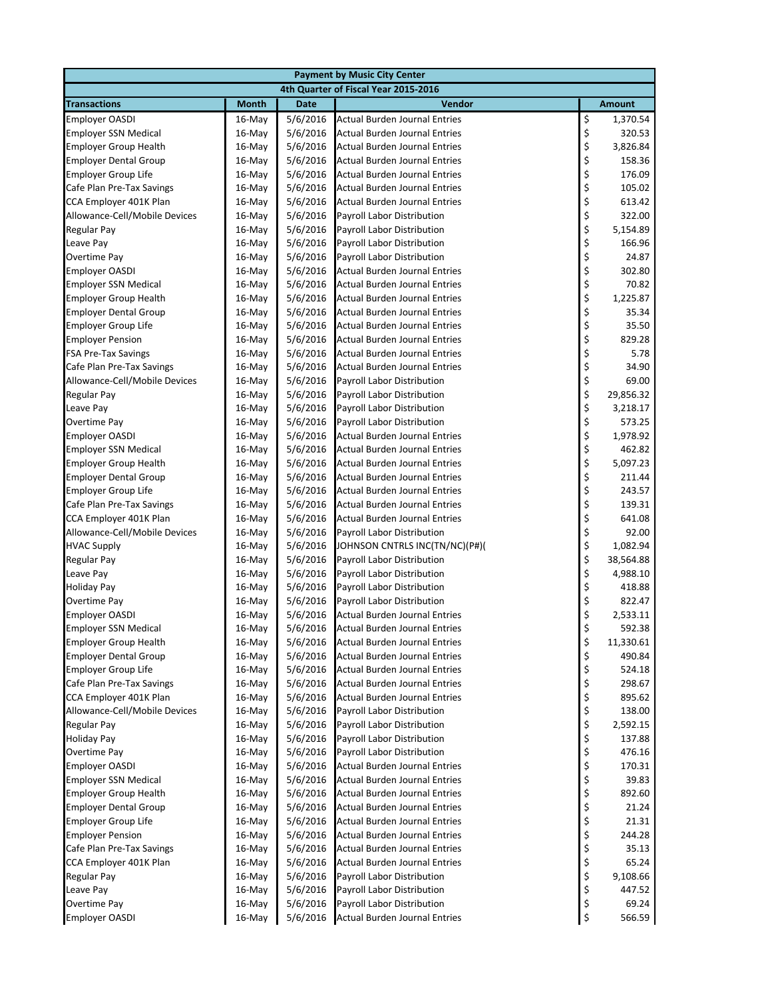| <b>Payment by Music City Center</b>                 |                  |                      |                                                                       |          |                 |  |
|-----------------------------------------------------|------------------|----------------------|-----------------------------------------------------------------------|----------|-----------------|--|
|                                                     |                  |                      | 4th Quarter of Fiscal Year 2015-2016                                  |          |                 |  |
| <b>Transactions</b>                                 | <b>Month</b>     | <b>Date</b>          | Vendor                                                                |          | <b>Amount</b>   |  |
| <b>Employer OASDI</b>                               | 16-May           | 5/6/2016             | <b>Actual Burden Journal Entries</b>                                  | \$       | 1,370.54        |  |
| <b>Employer SSN Medical</b>                         | 16-May           | 5/6/2016             | <b>Actual Burden Journal Entries</b>                                  | \$       | 320.53          |  |
| <b>Employer Group Health</b>                        | 16-May           | 5/6/2016             | <b>Actual Burden Journal Entries</b>                                  | \$       | 3,826.84        |  |
| <b>Employer Dental Group</b>                        | $16$ -May        | 5/6/2016             | Actual Burden Journal Entries                                         | \$       | 158.36          |  |
| <b>Employer Group Life</b>                          | 16-May           | 5/6/2016             | <b>Actual Burden Journal Entries</b>                                  | \$       | 176.09          |  |
| Cafe Plan Pre-Tax Savings                           | 16-May           | 5/6/2016             | <b>Actual Burden Journal Entries</b>                                  | \$       | 105.02          |  |
| CCA Employer 401K Plan                              | $16$ -May        | 5/6/2016             | Actual Burden Journal Entries                                         | \$       | 613.42          |  |
| Allowance-Cell/Mobile Devices                       | $16$ -May        | 5/6/2016             | <b>Payroll Labor Distribution</b>                                     | \$       | 322.00          |  |
| <b>Regular Pay</b>                                  | 16-May           | 5/6/2016             | Payroll Labor Distribution                                            | \$       | 5,154.89        |  |
| Leave Pay                                           | $16$ -May        | 5/6/2016             | <b>Payroll Labor Distribution</b>                                     | \$       | 166.96          |  |
| Overtime Pay                                        | 16-May           | 5/6/2016             | Payroll Labor Distribution                                            | \$       | 24.87           |  |
| <b>Employer OASDI</b>                               | $16$ -May        | 5/6/2016             | Actual Burden Journal Entries                                         | \$       | 302.80          |  |
| <b>Employer SSN Medical</b>                         | $16$ -May        | 5/6/2016             | <b>Actual Burden Journal Entries</b>                                  |          | 70.82           |  |
| <b>Employer Group Health</b>                        | 16-May           | 5/6/2016             | Actual Burden Journal Entries                                         | \$<br>\$ | 1,225.87        |  |
| <b>Employer Dental Group</b>                        | $16$ -May        | 5/6/2016             | <b>Actual Burden Journal Entries</b>                                  | \$       | 35.34           |  |
| <b>Employer Group Life</b>                          | 16-May           | 5/6/2016             | <b>Actual Burden Journal Entries</b>                                  | \$<br>\$ | 35.50           |  |
| <b>Employer Pension</b>                             | 16-May           | 5/6/2016             | <b>Actual Burden Journal Entries</b>                                  |          | 829.28          |  |
| <b>FSA Pre-Tax Savings</b>                          | $16$ -May        | 5/6/2016             | <b>Actual Burden Journal Entries</b>                                  |          | 5.78            |  |
| Cafe Plan Pre-Tax Savings                           | $16$ -May        | 5/6/2016             | Actual Burden Journal Entries                                         | \$\$\$   | 34.90           |  |
| Allowance-Cell/Mobile Devices                       | 16-May           | 5/6/2016             | <b>Payroll Labor Distribution</b>                                     |          | 69.00           |  |
| Regular Pay                                         | 16-May           | 5/6/2016             | Payroll Labor Distribution                                            | \$<br>\$ | 29,856.32       |  |
| Leave Pay                                           | 16-May           | 5/6/2016             | Payroll Labor Distribution                                            |          | 3,218.17        |  |
| Overtime Pay                                        | 16-May           | 5/6/2016             | Payroll Labor Distribution                                            | \$       | 573.25          |  |
| <b>Employer OASDI</b>                               | 16-May           | 5/6/2016             | Actual Burden Journal Entries                                         | \$<br>\$ | 1,978.92        |  |
| <b>Employer SSN Medical</b>                         | $16$ -May        | 5/6/2016             | Actual Burden Journal Entries                                         |          | 462.82          |  |
| <b>Employer Group Health</b>                        | $16$ -May        | 5/6/2016             | <b>Actual Burden Journal Entries</b>                                  | \$       | 5,097.23        |  |
| <b>Employer Dental Group</b>                        | 16-May           | 5/6/2016             | <b>Actual Burden Journal Entries</b>                                  | \$       | 211.44          |  |
| <b>Employer Group Life</b>                          | 16-May           | 5/6/2016             | <b>Actual Burden Journal Entries</b>                                  | \$       | 243.57          |  |
| Cafe Plan Pre-Tax Savings                           | $16$ -May        | 5/6/2016             | Actual Burden Journal Entries                                         | \$       | 139.31          |  |
| CCA Employer 401K Plan                              | $16$ -May        | 5/6/2016             | Actual Burden Journal Entries                                         | \$       | 641.08          |  |
| Allowance-Cell/Mobile Devices                       | 16-May           | 5/6/2016             | Payroll Labor Distribution                                            | \$       | 92.00           |  |
| <b>HVAC Supply</b>                                  | $16$ -May        | 5/6/2016             | JOHNSON CNTRLS INC(TN/NC)(P#)(                                        | \$       | 1,082.94        |  |
| <b>Regular Pay</b>                                  | $16$ -May        | 5/6/2016             | Payroll Labor Distribution                                            | \$       | 38,564.88       |  |
| Leave Pay                                           | 16-May           | 5/6/2016             | Payroll Labor Distribution                                            | \$       | 4,988.10        |  |
| <b>Holiday Pay</b>                                  | 16-May           | 5/6/2016             | Payroll Labor Distribution                                            | \$<br>\$ | 418.88          |  |
| Overtime Pay                                        | $16$ -May        | 5/6/2016             | <b>Payroll Labor Distribution</b>                                     |          | 822.47          |  |
| <b>Employer OASDI</b>                               | 16-May           | 5/6/2016             | <b>Actual Burden Journal Entries</b>                                  | \$       | 2,533.11        |  |
| <b>Employer SSN Medical</b>                         | $16$ -May        | 5/6/2016             | <b>Actual Burden Journal Entries</b>                                  | \$       | 592.38          |  |
| <b>Employer Group Health</b>                        | 16-May           | 5/6/2016             | <b>Actual Burden Journal Entries</b>                                  | \$<br>\$ | 11,330.61       |  |
| <b>Employer Dental Group</b>                        | 16-May           | 5/6/2016             | <b>Actual Burden Journal Entries</b>                                  |          | 490.84          |  |
| <b>Employer Group Life</b>                          | 16-May           | 5/6/2016             | <b>Actual Burden Journal Entries</b>                                  | \$       | 524.18          |  |
| Cafe Plan Pre-Tax Savings                           | 16-May           | 5/6/2016             | <b>Actual Burden Journal Entries</b>                                  | \$       | 298.67          |  |
| CCA Employer 401K Plan                              | 16-May           | 5/6/2016             | Actual Burden Journal Entries                                         | \$       | 895.62          |  |
| Allowance-Cell/Mobile Devices                       | 16-May           | 5/6/2016             | Payroll Labor Distribution                                            | \$       | 138.00          |  |
| <b>Regular Pay</b>                                  | 16-May           | 5/6/2016             | Payroll Labor Distribution                                            | \$       | 2,592.15        |  |
| <b>Holiday Pay</b>                                  | 16-May           | 5/6/2016             | Payroll Labor Distribution                                            | \$       | 137.88          |  |
| Overtime Pay                                        | 16-May           | 5/6/2016             | Payroll Labor Distribution                                            | \$       | 476.16          |  |
| <b>Employer OASDI</b>                               | 16-May           | 5/6/2016             | Actual Burden Journal Entries                                         | \$       | 170.31          |  |
| <b>Employer SSN Medical</b>                         | 16-May           | 5/6/2016             | Actual Burden Journal Entries                                         | \$       | 39.83           |  |
| <b>Employer Group Health</b>                        | 16-May           | 5/6/2016             | <b>Actual Burden Journal Entries</b>                                  | \$       | 892.60          |  |
| <b>Employer Dental Group</b>                        | 16-May           | 5/6/2016             | <b>Actual Burden Journal Entries</b>                                  | \$       | 21.24           |  |
| <b>Employer Group Life</b>                          | 16-May           | 5/6/2016             | <b>Actual Burden Journal Entries</b>                                  | \$       | 21.31<br>244.28 |  |
| <b>Employer Pension</b>                             | 16-May           | 5/6/2016             | <b>Actual Burden Journal Entries</b>                                  | \$<br>\$ |                 |  |
| Cafe Plan Pre-Tax Savings<br>CCA Employer 401K Plan | 16-May           | 5/6/2016<br>5/6/2016 | Actual Burden Journal Entries<br><b>Actual Burden Journal Entries</b> |          | 35.13<br>65.24  |  |
| <b>Regular Pay</b>                                  | 16-May<br>16-May | 5/6/2016             | Payroll Labor Distribution                                            | \$<br>\$ | 9,108.66        |  |
|                                                     |                  |                      |                                                                       | \$       | 447.52          |  |
| Leave Pay<br>Overtime Pay                           | 16-May<br>16-May | 5/6/2016<br>5/6/2016 | Payroll Labor Distribution<br>Payroll Labor Distribution              | \$       | 69.24           |  |
| <b>Employer OASDI</b>                               | 16-May           | 5/6/2016             | <b>Actual Burden Journal Entries</b>                                  | \$       | 566.59          |  |
|                                                     |                  |                      |                                                                       |          |                 |  |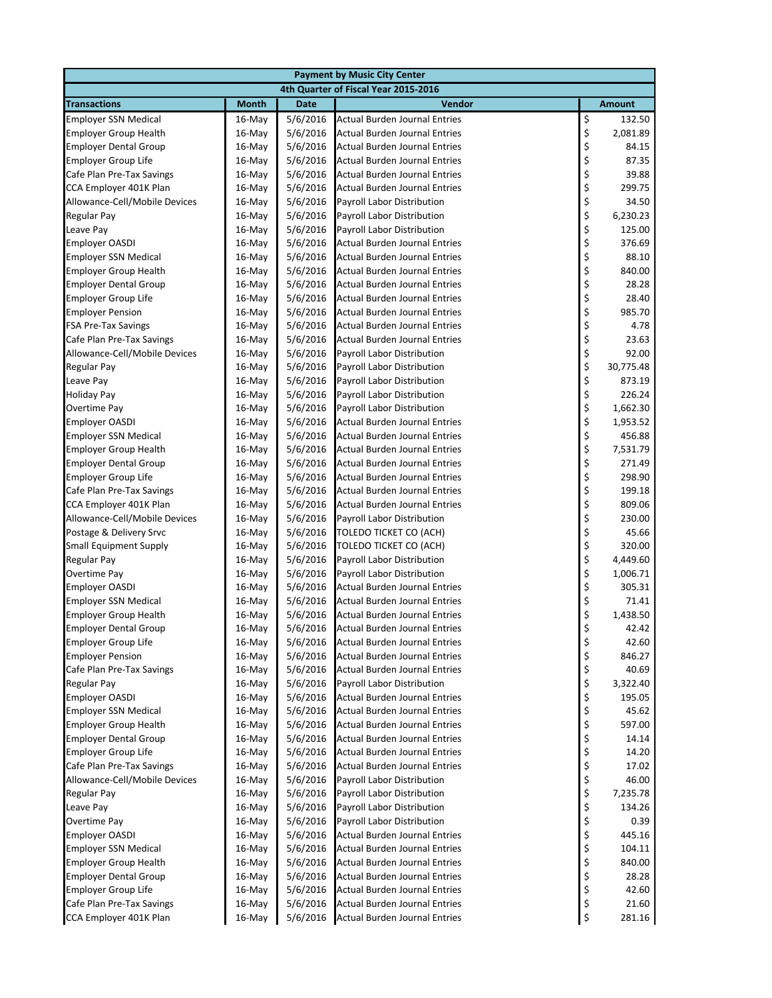| 4th Quarter of Fiscal Year 2015-2016<br><b>Transactions</b><br><b>Month</b><br><b>Date</b><br>Vendor<br><b>Amount</b><br>\$<br>5/6/2016<br><b>Actual Burden Journal Entries</b><br><b>Employer SSN Medical</b><br>$16$ -May<br>132.50<br>\$<br>5/6/2016<br>2,081.89<br><b>Employer Group Health</b><br>$16$ -May<br>Actual Burden Journal Entries<br>\$<br>5/6/2016<br>84.15<br><b>Employer Dental Group</b><br>16-May<br>Actual Burden Journal Entries<br>\$<br>87.35<br><b>Employer Group Life</b><br>5/6/2016<br>Actual Burden Journal Entries<br>$16$ -May<br>\$<br>5/6/2016<br>Cafe Plan Pre-Tax Savings<br>16-May<br>Actual Burden Journal Entries<br>39.88<br>\$<br>5/6/2016<br>299.75<br>CCA Employer 401K Plan<br>16-May<br>Actual Burden Journal Entries<br>\$<br>5/6/2016<br>Payroll Labor Distribution<br>34.50<br>Allowance-Cell/Mobile Devices<br>$16$ -May<br>\$<br>5/6/2016<br>6,230.23<br>Regular Pay<br>$16$ -May<br>Payroll Labor Distribution<br>\$<br>Leave Pay<br>16-May<br>5/6/2016<br>Payroll Labor Distribution<br>125.00<br>\$<br>\$<br>5/6/2016<br>376.69<br><b>Actual Burden Journal Entries</b><br>16-May<br>5/6/2016<br>88.10<br><b>Employer SSN Medical</b><br>16-May<br>Actual Burden Journal Entries<br>\$<br>5/6/2016<br>840.00<br><b>Employer Group Health</b><br>$16$ -May<br>Actual Burden Journal Entries<br>\$<br>\$<br>5/6/2016<br>28.28<br><b>Employer Dental Group</b><br>$16$ -May<br>Actual Burden Journal Entries<br>5/6/2016<br>28.40<br><b>Employer Group Life</b><br>16-May<br>Actual Burden Journal Entries<br>\$<br>5/6/2016<br>985.70<br><b>Employer Pension</b><br>$16$ -May<br>Actual Burden Journal Entries<br>\$<br>5/6/2016<br><b>FSA Pre-Tax Savings</b><br>$16$ -May<br>Actual Burden Journal Entries<br>4.78<br>\$<br>5/6/2016<br>Cafe Plan Pre-Tax Savings<br>16-May<br><b>Actual Burden Journal Entries</b><br>23.63<br>\$<br>\$<br>5/6/2016<br>Payroll Labor Distribution<br>92.00<br>Allowance-Cell/Mobile Devices<br>16-May<br>5/6/2016<br>30,775.48<br><b>Regular Pay</b><br>$16$ -May<br>Payroll Labor Distribution<br>\$<br>5/6/2016<br>Leave Pay<br>$16$ -May<br>Payroll Labor Distribution<br>873.19<br>\$<br>\$<br>226.24<br>5/6/2016<br>Payroll Labor Distribution<br>$16$ -May<br>Overtime Pay<br>5/6/2016<br>1,662.30<br>16-May<br>Payroll Labor Distribution<br>\$<br><b>Employer OASDI</b><br>$16$ -May<br>5/6/2016<br>Actual Burden Journal Entries<br>1,953.52<br>\$<br>\$<br>5/6/2016<br><b>Actual Burden Journal Entries</b><br>456.88<br><b>Employer SSN Medical</b><br>$16$ -May<br>5/6/2016<br>7,531.79<br><b>Employer Group Health</b><br>16-May<br>Actual Burden Journal Entries<br>\$<br>271.49<br><b>Employer Dental Group</b><br>$16$ -May<br>5/6/2016<br>Actual Burden Journal Entries<br>\$<br>5/6/2016<br>298.90<br><b>Employer Group Life</b><br>16-May<br>Actual Burden Journal Entries<br>\$<br>5/6/2016<br>199.18<br>Cafe Plan Pre-Tax Savings<br>16-May<br>Actual Burden Journal Entries<br>\$<br>5/6/2016<br>809.06<br>CCA Employer 401K Plan<br>Actual Burden Journal Entries<br>$16$ -May<br>\$<br>5/6/2016<br>230.00<br>Allowance-Cell/Mobile Devices<br>Payroll Labor Distribution<br>16-May<br>\$<br>45.66<br>Postage & Delivery Srvc<br>16-May<br>5/6/2016<br>TOLEDO TICKET CO (ACH)<br>\$<br>\$<br><b>Small Equipment Supply</b><br>$16$ -May<br>5/6/2016<br>TOLEDO TICKET CO (ACH)<br>320.00<br>5/6/2016<br>4,449.60<br>Regular Pay<br>16-May<br>Payroll Labor Distribution<br>\$<br>5/6/2016<br>1,006.71<br>Overtime Pay<br>16-May<br>Payroll Labor Distribution<br>\$<br>\$<br>5/6/2016<br>305.31<br><b>Employer OASDI</b><br>Actual Burden Journal Entries<br>$16$ -May<br>5/6/2016<br>71.41<br><b>Employer SSN Medical</b><br>$16$ -May<br>Actual Burden Journal Entries<br>\$<br><b>Actual Burden Journal Entries</b><br><b>Employer Group Health</b><br>16-May<br>5/6/2016<br>1,438.50<br>\$<br>5/6/2016<br><b>Employer Dental Group</b><br>16-May<br>Actual Burden Journal Entries<br>42.42<br>\$<br><b>Employer Group Life</b><br>16-May<br>5/6/2016<br>Actual Burden Journal Entries<br>42.60<br>\$<br>5/6/2016<br>846.27<br><b>Employer Pension</b><br>16-May<br>Actual Burden Journal Entries<br>\$<br>5/6/2016<br>40.69<br>Cafe Plan Pre-Tax Savings<br>16-May<br>Actual Burden Journal Entries<br>\$<br>5/6/2016<br>3,322.40<br><b>Regular Pay</b><br>16-May<br>Payroll Labor Distribution<br>\$<br><b>Employer OASDI</b><br>5/6/2016<br>Actual Burden Journal Entries<br>195.05<br>16-May<br>\$<br>5/6/2016<br><b>Employer SSN Medical</b><br>16-May<br>Actual Burden Journal Entries<br>45.62<br>\$<br>5/6/2016<br><b>Employer Group Health</b><br>16-May<br><b>Actual Burden Journal Entries</b><br>597.00<br>\$<br>5/6/2016<br>14.14<br><b>Employer Dental Group</b><br>Actual Burden Journal Entries<br>16-May<br>\$<br><b>Employer Group Life</b><br>5/6/2016<br><b>Actual Burden Journal Entries</b><br>14.20<br>$16$ -May<br>\$<br>Cafe Plan Pre-Tax Savings<br>5/6/2016<br>Actual Burden Journal Entries<br>17.02<br>16-May<br>\$<br>\$<br>5/6/2016<br>Payroll Labor Distribution<br>Allowance-Cell/Mobile Devices<br>16-May<br>46.00<br>5/6/2016<br><b>Regular Pay</b><br>16-May<br>Payroll Labor Distribution<br>7,235.78<br>\$<br>Leave Pay<br>16-May<br>5/6/2016<br>Payroll Labor Distribution<br>134.26<br>\$<br>5/6/2016<br>Overtime Pay<br>16-May<br>Payroll Labor Distribution<br>0.39<br>\$<br>5/6/2016<br>445.16<br><b>Employer OASDI</b><br>16-May<br>Actual Burden Journal Entries<br>\$<br><b>Employer SSN Medical</b><br>5/6/2016<br>Actual Burden Journal Entries<br>104.11<br>16-May<br>\$<br><b>Employer Group Health</b><br>16-May<br>5/6/2016<br>Actual Burden Journal Entries<br>840.00<br>\$<br>28.28<br><b>Employer Dental Group</b><br>16-May<br>5/6/2016<br>Actual Burden Journal Entries<br>\$<br><b>Employer Group Life</b><br>5/6/2016<br>Actual Burden Journal Entries<br>42.60<br>16-May<br>\$<br>Cafe Plan Pre-Tax Savings<br>16-May<br>5/6/2016<br>Actual Burden Journal Entries<br>21.60<br>\$<br>CCA Employer 401K Plan<br><b>Actual Burden Journal Entries</b><br>16-May<br>5/6/2016<br>281.16 | <b>Payment by Music City Center</b> |  |  |  |  |  |  |  |
|----------------------------------------------------------------------------------------------------------------------------------------------------------------------------------------------------------------------------------------------------------------------------------------------------------------------------------------------------------------------------------------------------------------------------------------------------------------------------------------------------------------------------------------------------------------------------------------------------------------------------------------------------------------------------------------------------------------------------------------------------------------------------------------------------------------------------------------------------------------------------------------------------------------------------------------------------------------------------------------------------------------------------------------------------------------------------------------------------------------------------------------------------------------------------------------------------------------------------------------------------------------------------------------------------------------------------------------------------------------------------------------------------------------------------------------------------------------------------------------------------------------------------------------------------------------------------------------------------------------------------------------------------------------------------------------------------------------------------------------------------------------------------------------------------------------------------------------------------------------------------------------------------------------------------------------------------------------------------------------------------------------------------------------------------------------------------------------------------------------------------------------------------------------------------------------------------------------------------------------------------------------------------------------------------------------------------------------------------------------------------------------------------------------------------------------------------------------------------------------------------------------------------------------------------------------------------------------------------------------------------------------------------------------------------------------------------------------------------------------------------------------------------------------------------------------------------------------------------------------------------------------------------------------------------------------------------------------------------------------------------------------------------------------------------------------------------------------------------------------------------------------------------------------------------------------------------------------------------------------------------------------------------------------------------------------------------------------------------------------------------------------------------------------------------------------------------------------------------------------------------------------------------------------------------------------------------------------------------------------------------------------------------------------------------------------------------------------------------------------------------------------------------------------------------------------------------------------------------------------------------------------------------------------------------------------------------------------------------------------------------------------------------------------------------------------------------------------------------------------------------------------------------------------------------------------------------------------------------------------------------------------------------------------------------------------------------------------------------------------------------------------------------------------------------------------------------------------------------------------------------------------------------------------------------------------------------------------------------------------------------------------------------------------------------------------------------------------------------------------------------------------------------------------------------------------------------------------------------------------------------------------------------------------------------------------------------------------------------------------------------------------------------------------------------------------------------------------------------------------------------------------------------------------------------------------------------------------------------------------------------------------------------------------------------------------------------------------------------------------------------------------------------------------------------------------------------------------------------------------------------------------------------------------------------------------------------------------------------------------------------------------------------------------------------------------------------------------------------------------------------------------------------------------------------------------------------------------------------------------------------------------------------------------------------------------------------------------------------------------------------------------------------------------------------------------------------------------------------------------------------------------------------------------|-------------------------------------|--|--|--|--|--|--|--|
|                                                                                                                                                                                                                                                                                                                                                                                                                                                                                                                                                                                                                                                                                                                                                                                                                                                                                                                                                                                                                                                                                                                                                                                                                                                                                                                                                                                                                                                                                                                                                                                                                                                                                                                                                                                                                                                                                                                                                                                                                                                                                                                                                                                                                                                                                                                                                                                                                                                                                                                                                                                                                                                                                                                                                                                                                                                                                                                                                                                                                                                                                                                                                                                                                                                                                                                                                                                                                                                                                                                                                                                                                                                                                                                                                                                                                                                                                                                                                                                                                                                                                                                                                                                                                                                                                                                                                                                                                                                                                                                                                                                                                                                                                                                                                                                                                                                                                                                                                                                                                                                                                                                                                                                                                                                                                                                                                                                                                                                                                                                                                                                                                                                                                                                                                                                                                                                                                                                                                                                                                                                                                                                                                                |                                     |  |  |  |  |  |  |  |
|                                                                                                                                                                                                                                                                                                                                                                                                                                                                                                                                                                                                                                                                                                                                                                                                                                                                                                                                                                                                                                                                                                                                                                                                                                                                                                                                                                                                                                                                                                                                                                                                                                                                                                                                                                                                                                                                                                                                                                                                                                                                                                                                                                                                                                                                                                                                                                                                                                                                                                                                                                                                                                                                                                                                                                                                                                                                                                                                                                                                                                                                                                                                                                                                                                                                                                                                                                                                                                                                                                                                                                                                                                                                                                                                                                                                                                                                                                                                                                                                                                                                                                                                                                                                                                                                                                                                                                                                                                                                                                                                                                                                                                                                                                                                                                                                                                                                                                                                                                                                                                                                                                                                                                                                                                                                                                                                                                                                                                                                                                                                                                                                                                                                                                                                                                                                                                                                                                                                                                                                                                                                                                                                                                |                                     |  |  |  |  |  |  |  |
|                                                                                                                                                                                                                                                                                                                                                                                                                                                                                                                                                                                                                                                                                                                                                                                                                                                                                                                                                                                                                                                                                                                                                                                                                                                                                                                                                                                                                                                                                                                                                                                                                                                                                                                                                                                                                                                                                                                                                                                                                                                                                                                                                                                                                                                                                                                                                                                                                                                                                                                                                                                                                                                                                                                                                                                                                                                                                                                                                                                                                                                                                                                                                                                                                                                                                                                                                                                                                                                                                                                                                                                                                                                                                                                                                                                                                                                                                                                                                                                                                                                                                                                                                                                                                                                                                                                                                                                                                                                                                                                                                                                                                                                                                                                                                                                                                                                                                                                                                                                                                                                                                                                                                                                                                                                                                                                                                                                                                                                                                                                                                                                                                                                                                                                                                                                                                                                                                                                                                                                                                                                                                                                                                                |                                     |  |  |  |  |  |  |  |
|                                                                                                                                                                                                                                                                                                                                                                                                                                                                                                                                                                                                                                                                                                                                                                                                                                                                                                                                                                                                                                                                                                                                                                                                                                                                                                                                                                                                                                                                                                                                                                                                                                                                                                                                                                                                                                                                                                                                                                                                                                                                                                                                                                                                                                                                                                                                                                                                                                                                                                                                                                                                                                                                                                                                                                                                                                                                                                                                                                                                                                                                                                                                                                                                                                                                                                                                                                                                                                                                                                                                                                                                                                                                                                                                                                                                                                                                                                                                                                                                                                                                                                                                                                                                                                                                                                                                                                                                                                                                                                                                                                                                                                                                                                                                                                                                                                                                                                                                                                                                                                                                                                                                                                                                                                                                                                                                                                                                                                                                                                                                                                                                                                                                                                                                                                                                                                                                                                                                                                                                                                                                                                                                                                |                                     |  |  |  |  |  |  |  |
|                                                                                                                                                                                                                                                                                                                                                                                                                                                                                                                                                                                                                                                                                                                                                                                                                                                                                                                                                                                                                                                                                                                                                                                                                                                                                                                                                                                                                                                                                                                                                                                                                                                                                                                                                                                                                                                                                                                                                                                                                                                                                                                                                                                                                                                                                                                                                                                                                                                                                                                                                                                                                                                                                                                                                                                                                                                                                                                                                                                                                                                                                                                                                                                                                                                                                                                                                                                                                                                                                                                                                                                                                                                                                                                                                                                                                                                                                                                                                                                                                                                                                                                                                                                                                                                                                                                                                                                                                                                                                                                                                                                                                                                                                                                                                                                                                                                                                                                                                                                                                                                                                                                                                                                                                                                                                                                                                                                                                                                                                                                                                                                                                                                                                                                                                                                                                                                                                                                                                                                                                                                                                                                                                                |                                     |  |  |  |  |  |  |  |
|                                                                                                                                                                                                                                                                                                                                                                                                                                                                                                                                                                                                                                                                                                                                                                                                                                                                                                                                                                                                                                                                                                                                                                                                                                                                                                                                                                                                                                                                                                                                                                                                                                                                                                                                                                                                                                                                                                                                                                                                                                                                                                                                                                                                                                                                                                                                                                                                                                                                                                                                                                                                                                                                                                                                                                                                                                                                                                                                                                                                                                                                                                                                                                                                                                                                                                                                                                                                                                                                                                                                                                                                                                                                                                                                                                                                                                                                                                                                                                                                                                                                                                                                                                                                                                                                                                                                                                                                                                                                                                                                                                                                                                                                                                                                                                                                                                                                                                                                                                                                                                                                                                                                                                                                                                                                                                                                                                                                                                                                                                                                                                                                                                                                                                                                                                                                                                                                                                                                                                                                                                                                                                                                                                |                                     |  |  |  |  |  |  |  |
|                                                                                                                                                                                                                                                                                                                                                                                                                                                                                                                                                                                                                                                                                                                                                                                                                                                                                                                                                                                                                                                                                                                                                                                                                                                                                                                                                                                                                                                                                                                                                                                                                                                                                                                                                                                                                                                                                                                                                                                                                                                                                                                                                                                                                                                                                                                                                                                                                                                                                                                                                                                                                                                                                                                                                                                                                                                                                                                                                                                                                                                                                                                                                                                                                                                                                                                                                                                                                                                                                                                                                                                                                                                                                                                                                                                                                                                                                                                                                                                                                                                                                                                                                                                                                                                                                                                                                                                                                                                                                                                                                                                                                                                                                                                                                                                                                                                                                                                                                                                                                                                                                                                                                                                                                                                                                                                                                                                                                                                                                                                                                                                                                                                                                                                                                                                                                                                                                                                                                                                                                                                                                                                                                                |                                     |  |  |  |  |  |  |  |
|                                                                                                                                                                                                                                                                                                                                                                                                                                                                                                                                                                                                                                                                                                                                                                                                                                                                                                                                                                                                                                                                                                                                                                                                                                                                                                                                                                                                                                                                                                                                                                                                                                                                                                                                                                                                                                                                                                                                                                                                                                                                                                                                                                                                                                                                                                                                                                                                                                                                                                                                                                                                                                                                                                                                                                                                                                                                                                                                                                                                                                                                                                                                                                                                                                                                                                                                                                                                                                                                                                                                                                                                                                                                                                                                                                                                                                                                                                                                                                                                                                                                                                                                                                                                                                                                                                                                                                                                                                                                                                                                                                                                                                                                                                                                                                                                                                                                                                                                                                                                                                                                                                                                                                                                                                                                                                                                                                                                                                                                                                                                                                                                                                                                                                                                                                                                                                                                                                                                                                                                                                                                                                                                                                |                                     |  |  |  |  |  |  |  |
|                                                                                                                                                                                                                                                                                                                                                                                                                                                                                                                                                                                                                                                                                                                                                                                                                                                                                                                                                                                                                                                                                                                                                                                                                                                                                                                                                                                                                                                                                                                                                                                                                                                                                                                                                                                                                                                                                                                                                                                                                                                                                                                                                                                                                                                                                                                                                                                                                                                                                                                                                                                                                                                                                                                                                                                                                                                                                                                                                                                                                                                                                                                                                                                                                                                                                                                                                                                                                                                                                                                                                                                                                                                                                                                                                                                                                                                                                                                                                                                                                                                                                                                                                                                                                                                                                                                                                                                                                                                                                                                                                                                                                                                                                                                                                                                                                                                                                                                                                                                                                                                                                                                                                                                                                                                                                                                                                                                                                                                                                                                                                                                                                                                                                                                                                                                                                                                                                                                                                                                                                                                                                                                                                                |                                     |  |  |  |  |  |  |  |
|                                                                                                                                                                                                                                                                                                                                                                                                                                                                                                                                                                                                                                                                                                                                                                                                                                                                                                                                                                                                                                                                                                                                                                                                                                                                                                                                                                                                                                                                                                                                                                                                                                                                                                                                                                                                                                                                                                                                                                                                                                                                                                                                                                                                                                                                                                                                                                                                                                                                                                                                                                                                                                                                                                                                                                                                                                                                                                                                                                                                                                                                                                                                                                                                                                                                                                                                                                                                                                                                                                                                                                                                                                                                                                                                                                                                                                                                                                                                                                                                                                                                                                                                                                                                                                                                                                                                                                                                                                                                                                                                                                                                                                                                                                                                                                                                                                                                                                                                                                                                                                                                                                                                                                                                                                                                                                                                                                                                                                                                                                                                                                                                                                                                                                                                                                                                                                                                                                                                                                                                                                                                                                                                                                |                                     |  |  |  |  |  |  |  |
|                                                                                                                                                                                                                                                                                                                                                                                                                                                                                                                                                                                                                                                                                                                                                                                                                                                                                                                                                                                                                                                                                                                                                                                                                                                                                                                                                                                                                                                                                                                                                                                                                                                                                                                                                                                                                                                                                                                                                                                                                                                                                                                                                                                                                                                                                                                                                                                                                                                                                                                                                                                                                                                                                                                                                                                                                                                                                                                                                                                                                                                                                                                                                                                                                                                                                                                                                                                                                                                                                                                                                                                                                                                                                                                                                                                                                                                                                                                                                                                                                                                                                                                                                                                                                                                                                                                                                                                                                                                                                                                                                                                                                                                                                                                                                                                                                                                                                                                                                                                                                                                                                                                                                                                                                                                                                                                                                                                                                                                                                                                                                                                                                                                                                                                                                                                                                                                                                                                                                                                                                                                                                                                                                                |                                     |  |  |  |  |  |  |  |
|                                                                                                                                                                                                                                                                                                                                                                                                                                                                                                                                                                                                                                                                                                                                                                                                                                                                                                                                                                                                                                                                                                                                                                                                                                                                                                                                                                                                                                                                                                                                                                                                                                                                                                                                                                                                                                                                                                                                                                                                                                                                                                                                                                                                                                                                                                                                                                                                                                                                                                                                                                                                                                                                                                                                                                                                                                                                                                                                                                                                                                                                                                                                                                                                                                                                                                                                                                                                                                                                                                                                                                                                                                                                                                                                                                                                                                                                                                                                                                                                                                                                                                                                                                                                                                                                                                                                                                                                                                                                                                                                                                                                                                                                                                                                                                                                                                                                                                                                                                                                                                                                                                                                                                                                                                                                                                                                                                                                                                                                                                                                                                                                                                                                                                                                                                                                                                                                                                                                                                                                                                                                                                                                                                | <b>Employer OASDI</b>               |  |  |  |  |  |  |  |
|                                                                                                                                                                                                                                                                                                                                                                                                                                                                                                                                                                                                                                                                                                                                                                                                                                                                                                                                                                                                                                                                                                                                                                                                                                                                                                                                                                                                                                                                                                                                                                                                                                                                                                                                                                                                                                                                                                                                                                                                                                                                                                                                                                                                                                                                                                                                                                                                                                                                                                                                                                                                                                                                                                                                                                                                                                                                                                                                                                                                                                                                                                                                                                                                                                                                                                                                                                                                                                                                                                                                                                                                                                                                                                                                                                                                                                                                                                                                                                                                                                                                                                                                                                                                                                                                                                                                                                                                                                                                                                                                                                                                                                                                                                                                                                                                                                                                                                                                                                                                                                                                                                                                                                                                                                                                                                                                                                                                                                                                                                                                                                                                                                                                                                                                                                                                                                                                                                                                                                                                                                                                                                                                                                |                                     |  |  |  |  |  |  |  |
|                                                                                                                                                                                                                                                                                                                                                                                                                                                                                                                                                                                                                                                                                                                                                                                                                                                                                                                                                                                                                                                                                                                                                                                                                                                                                                                                                                                                                                                                                                                                                                                                                                                                                                                                                                                                                                                                                                                                                                                                                                                                                                                                                                                                                                                                                                                                                                                                                                                                                                                                                                                                                                                                                                                                                                                                                                                                                                                                                                                                                                                                                                                                                                                                                                                                                                                                                                                                                                                                                                                                                                                                                                                                                                                                                                                                                                                                                                                                                                                                                                                                                                                                                                                                                                                                                                                                                                                                                                                                                                                                                                                                                                                                                                                                                                                                                                                                                                                                                                                                                                                                                                                                                                                                                                                                                                                                                                                                                                                                                                                                                                                                                                                                                                                                                                                                                                                                                                                                                                                                                                                                                                                                                                |                                     |  |  |  |  |  |  |  |
|                                                                                                                                                                                                                                                                                                                                                                                                                                                                                                                                                                                                                                                                                                                                                                                                                                                                                                                                                                                                                                                                                                                                                                                                                                                                                                                                                                                                                                                                                                                                                                                                                                                                                                                                                                                                                                                                                                                                                                                                                                                                                                                                                                                                                                                                                                                                                                                                                                                                                                                                                                                                                                                                                                                                                                                                                                                                                                                                                                                                                                                                                                                                                                                                                                                                                                                                                                                                                                                                                                                                                                                                                                                                                                                                                                                                                                                                                                                                                                                                                                                                                                                                                                                                                                                                                                                                                                                                                                                                                                                                                                                                                                                                                                                                                                                                                                                                                                                                                                                                                                                                                                                                                                                                                                                                                                                                                                                                                                                                                                                                                                                                                                                                                                                                                                                                                                                                                                                                                                                                                                                                                                                                                                |                                     |  |  |  |  |  |  |  |
|                                                                                                                                                                                                                                                                                                                                                                                                                                                                                                                                                                                                                                                                                                                                                                                                                                                                                                                                                                                                                                                                                                                                                                                                                                                                                                                                                                                                                                                                                                                                                                                                                                                                                                                                                                                                                                                                                                                                                                                                                                                                                                                                                                                                                                                                                                                                                                                                                                                                                                                                                                                                                                                                                                                                                                                                                                                                                                                                                                                                                                                                                                                                                                                                                                                                                                                                                                                                                                                                                                                                                                                                                                                                                                                                                                                                                                                                                                                                                                                                                                                                                                                                                                                                                                                                                                                                                                                                                                                                                                                                                                                                                                                                                                                                                                                                                                                                                                                                                                                                                                                                                                                                                                                                                                                                                                                                                                                                                                                                                                                                                                                                                                                                                                                                                                                                                                                                                                                                                                                                                                                                                                                                                                |                                     |  |  |  |  |  |  |  |
|                                                                                                                                                                                                                                                                                                                                                                                                                                                                                                                                                                                                                                                                                                                                                                                                                                                                                                                                                                                                                                                                                                                                                                                                                                                                                                                                                                                                                                                                                                                                                                                                                                                                                                                                                                                                                                                                                                                                                                                                                                                                                                                                                                                                                                                                                                                                                                                                                                                                                                                                                                                                                                                                                                                                                                                                                                                                                                                                                                                                                                                                                                                                                                                                                                                                                                                                                                                                                                                                                                                                                                                                                                                                                                                                                                                                                                                                                                                                                                                                                                                                                                                                                                                                                                                                                                                                                                                                                                                                                                                                                                                                                                                                                                                                                                                                                                                                                                                                                                                                                                                                                                                                                                                                                                                                                                                                                                                                                                                                                                                                                                                                                                                                                                                                                                                                                                                                                                                                                                                                                                                                                                                                                                |                                     |  |  |  |  |  |  |  |
|                                                                                                                                                                                                                                                                                                                                                                                                                                                                                                                                                                                                                                                                                                                                                                                                                                                                                                                                                                                                                                                                                                                                                                                                                                                                                                                                                                                                                                                                                                                                                                                                                                                                                                                                                                                                                                                                                                                                                                                                                                                                                                                                                                                                                                                                                                                                                                                                                                                                                                                                                                                                                                                                                                                                                                                                                                                                                                                                                                                                                                                                                                                                                                                                                                                                                                                                                                                                                                                                                                                                                                                                                                                                                                                                                                                                                                                                                                                                                                                                                                                                                                                                                                                                                                                                                                                                                                                                                                                                                                                                                                                                                                                                                                                                                                                                                                                                                                                                                                                                                                                                                                                                                                                                                                                                                                                                                                                                                                                                                                                                                                                                                                                                                                                                                                                                                                                                                                                                                                                                                                                                                                                                                                |                                     |  |  |  |  |  |  |  |
|                                                                                                                                                                                                                                                                                                                                                                                                                                                                                                                                                                                                                                                                                                                                                                                                                                                                                                                                                                                                                                                                                                                                                                                                                                                                                                                                                                                                                                                                                                                                                                                                                                                                                                                                                                                                                                                                                                                                                                                                                                                                                                                                                                                                                                                                                                                                                                                                                                                                                                                                                                                                                                                                                                                                                                                                                                                                                                                                                                                                                                                                                                                                                                                                                                                                                                                                                                                                                                                                                                                                                                                                                                                                                                                                                                                                                                                                                                                                                                                                                                                                                                                                                                                                                                                                                                                                                                                                                                                                                                                                                                                                                                                                                                                                                                                                                                                                                                                                                                                                                                                                                                                                                                                                                                                                                                                                                                                                                                                                                                                                                                                                                                                                                                                                                                                                                                                                                                                                                                                                                                                                                                                                                                |                                     |  |  |  |  |  |  |  |
|                                                                                                                                                                                                                                                                                                                                                                                                                                                                                                                                                                                                                                                                                                                                                                                                                                                                                                                                                                                                                                                                                                                                                                                                                                                                                                                                                                                                                                                                                                                                                                                                                                                                                                                                                                                                                                                                                                                                                                                                                                                                                                                                                                                                                                                                                                                                                                                                                                                                                                                                                                                                                                                                                                                                                                                                                                                                                                                                                                                                                                                                                                                                                                                                                                                                                                                                                                                                                                                                                                                                                                                                                                                                                                                                                                                                                                                                                                                                                                                                                                                                                                                                                                                                                                                                                                                                                                                                                                                                                                                                                                                                                                                                                                                                                                                                                                                                                                                                                                                                                                                                                                                                                                                                                                                                                                                                                                                                                                                                                                                                                                                                                                                                                                                                                                                                                                                                                                                                                                                                                                                                                                                                                                |                                     |  |  |  |  |  |  |  |
|                                                                                                                                                                                                                                                                                                                                                                                                                                                                                                                                                                                                                                                                                                                                                                                                                                                                                                                                                                                                                                                                                                                                                                                                                                                                                                                                                                                                                                                                                                                                                                                                                                                                                                                                                                                                                                                                                                                                                                                                                                                                                                                                                                                                                                                                                                                                                                                                                                                                                                                                                                                                                                                                                                                                                                                                                                                                                                                                                                                                                                                                                                                                                                                                                                                                                                                                                                                                                                                                                                                                                                                                                                                                                                                                                                                                                                                                                                                                                                                                                                                                                                                                                                                                                                                                                                                                                                                                                                                                                                                                                                                                                                                                                                                                                                                                                                                                                                                                                                                                                                                                                                                                                                                                                                                                                                                                                                                                                                                                                                                                                                                                                                                                                                                                                                                                                                                                                                                                                                                                                                                                                                                                                                |                                     |  |  |  |  |  |  |  |
|                                                                                                                                                                                                                                                                                                                                                                                                                                                                                                                                                                                                                                                                                                                                                                                                                                                                                                                                                                                                                                                                                                                                                                                                                                                                                                                                                                                                                                                                                                                                                                                                                                                                                                                                                                                                                                                                                                                                                                                                                                                                                                                                                                                                                                                                                                                                                                                                                                                                                                                                                                                                                                                                                                                                                                                                                                                                                                                                                                                                                                                                                                                                                                                                                                                                                                                                                                                                                                                                                                                                                                                                                                                                                                                                                                                                                                                                                                                                                                                                                                                                                                                                                                                                                                                                                                                                                                                                                                                                                                                                                                                                                                                                                                                                                                                                                                                                                                                                                                                                                                                                                                                                                                                                                                                                                                                                                                                                                                                                                                                                                                                                                                                                                                                                                                                                                                                                                                                                                                                                                                                                                                                                                                |                                     |  |  |  |  |  |  |  |
|                                                                                                                                                                                                                                                                                                                                                                                                                                                                                                                                                                                                                                                                                                                                                                                                                                                                                                                                                                                                                                                                                                                                                                                                                                                                                                                                                                                                                                                                                                                                                                                                                                                                                                                                                                                                                                                                                                                                                                                                                                                                                                                                                                                                                                                                                                                                                                                                                                                                                                                                                                                                                                                                                                                                                                                                                                                                                                                                                                                                                                                                                                                                                                                                                                                                                                                                                                                                                                                                                                                                                                                                                                                                                                                                                                                                                                                                                                                                                                                                                                                                                                                                                                                                                                                                                                                                                                                                                                                                                                                                                                                                                                                                                                                                                                                                                                                                                                                                                                                                                                                                                                                                                                                                                                                                                                                                                                                                                                                                                                                                                                                                                                                                                                                                                                                                                                                                                                                                                                                                                                                                                                                                                                | <b>Holiday Pay</b>                  |  |  |  |  |  |  |  |
|                                                                                                                                                                                                                                                                                                                                                                                                                                                                                                                                                                                                                                                                                                                                                                                                                                                                                                                                                                                                                                                                                                                                                                                                                                                                                                                                                                                                                                                                                                                                                                                                                                                                                                                                                                                                                                                                                                                                                                                                                                                                                                                                                                                                                                                                                                                                                                                                                                                                                                                                                                                                                                                                                                                                                                                                                                                                                                                                                                                                                                                                                                                                                                                                                                                                                                                                                                                                                                                                                                                                                                                                                                                                                                                                                                                                                                                                                                                                                                                                                                                                                                                                                                                                                                                                                                                                                                                                                                                                                                                                                                                                                                                                                                                                                                                                                                                                                                                                                                                                                                                                                                                                                                                                                                                                                                                                                                                                                                                                                                                                                                                                                                                                                                                                                                                                                                                                                                                                                                                                                                                                                                                                                                |                                     |  |  |  |  |  |  |  |
|                                                                                                                                                                                                                                                                                                                                                                                                                                                                                                                                                                                                                                                                                                                                                                                                                                                                                                                                                                                                                                                                                                                                                                                                                                                                                                                                                                                                                                                                                                                                                                                                                                                                                                                                                                                                                                                                                                                                                                                                                                                                                                                                                                                                                                                                                                                                                                                                                                                                                                                                                                                                                                                                                                                                                                                                                                                                                                                                                                                                                                                                                                                                                                                                                                                                                                                                                                                                                                                                                                                                                                                                                                                                                                                                                                                                                                                                                                                                                                                                                                                                                                                                                                                                                                                                                                                                                                                                                                                                                                                                                                                                                                                                                                                                                                                                                                                                                                                                                                                                                                                                                                                                                                                                                                                                                                                                                                                                                                                                                                                                                                                                                                                                                                                                                                                                                                                                                                                                                                                                                                                                                                                                                                |                                     |  |  |  |  |  |  |  |
|                                                                                                                                                                                                                                                                                                                                                                                                                                                                                                                                                                                                                                                                                                                                                                                                                                                                                                                                                                                                                                                                                                                                                                                                                                                                                                                                                                                                                                                                                                                                                                                                                                                                                                                                                                                                                                                                                                                                                                                                                                                                                                                                                                                                                                                                                                                                                                                                                                                                                                                                                                                                                                                                                                                                                                                                                                                                                                                                                                                                                                                                                                                                                                                                                                                                                                                                                                                                                                                                                                                                                                                                                                                                                                                                                                                                                                                                                                                                                                                                                                                                                                                                                                                                                                                                                                                                                                                                                                                                                                                                                                                                                                                                                                                                                                                                                                                                                                                                                                                                                                                                                                                                                                                                                                                                                                                                                                                                                                                                                                                                                                                                                                                                                                                                                                                                                                                                                                                                                                                                                                                                                                                                                                |                                     |  |  |  |  |  |  |  |
|                                                                                                                                                                                                                                                                                                                                                                                                                                                                                                                                                                                                                                                                                                                                                                                                                                                                                                                                                                                                                                                                                                                                                                                                                                                                                                                                                                                                                                                                                                                                                                                                                                                                                                                                                                                                                                                                                                                                                                                                                                                                                                                                                                                                                                                                                                                                                                                                                                                                                                                                                                                                                                                                                                                                                                                                                                                                                                                                                                                                                                                                                                                                                                                                                                                                                                                                                                                                                                                                                                                                                                                                                                                                                                                                                                                                                                                                                                                                                                                                                                                                                                                                                                                                                                                                                                                                                                                                                                                                                                                                                                                                                                                                                                                                                                                                                                                                                                                                                                                                                                                                                                                                                                                                                                                                                                                                                                                                                                                                                                                                                                                                                                                                                                                                                                                                                                                                                                                                                                                                                                                                                                                                                                |                                     |  |  |  |  |  |  |  |
|                                                                                                                                                                                                                                                                                                                                                                                                                                                                                                                                                                                                                                                                                                                                                                                                                                                                                                                                                                                                                                                                                                                                                                                                                                                                                                                                                                                                                                                                                                                                                                                                                                                                                                                                                                                                                                                                                                                                                                                                                                                                                                                                                                                                                                                                                                                                                                                                                                                                                                                                                                                                                                                                                                                                                                                                                                                                                                                                                                                                                                                                                                                                                                                                                                                                                                                                                                                                                                                                                                                                                                                                                                                                                                                                                                                                                                                                                                                                                                                                                                                                                                                                                                                                                                                                                                                                                                                                                                                                                                                                                                                                                                                                                                                                                                                                                                                                                                                                                                                                                                                                                                                                                                                                                                                                                                                                                                                                                                                                                                                                                                                                                                                                                                                                                                                                                                                                                                                                                                                                                                                                                                                                                                |                                     |  |  |  |  |  |  |  |
|                                                                                                                                                                                                                                                                                                                                                                                                                                                                                                                                                                                                                                                                                                                                                                                                                                                                                                                                                                                                                                                                                                                                                                                                                                                                                                                                                                                                                                                                                                                                                                                                                                                                                                                                                                                                                                                                                                                                                                                                                                                                                                                                                                                                                                                                                                                                                                                                                                                                                                                                                                                                                                                                                                                                                                                                                                                                                                                                                                                                                                                                                                                                                                                                                                                                                                                                                                                                                                                                                                                                                                                                                                                                                                                                                                                                                                                                                                                                                                                                                                                                                                                                                                                                                                                                                                                                                                                                                                                                                                                                                                                                                                                                                                                                                                                                                                                                                                                                                                                                                                                                                                                                                                                                                                                                                                                                                                                                                                                                                                                                                                                                                                                                                                                                                                                                                                                                                                                                                                                                                                                                                                                                                                |                                     |  |  |  |  |  |  |  |
|                                                                                                                                                                                                                                                                                                                                                                                                                                                                                                                                                                                                                                                                                                                                                                                                                                                                                                                                                                                                                                                                                                                                                                                                                                                                                                                                                                                                                                                                                                                                                                                                                                                                                                                                                                                                                                                                                                                                                                                                                                                                                                                                                                                                                                                                                                                                                                                                                                                                                                                                                                                                                                                                                                                                                                                                                                                                                                                                                                                                                                                                                                                                                                                                                                                                                                                                                                                                                                                                                                                                                                                                                                                                                                                                                                                                                                                                                                                                                                                                                                                                                                                                                                                                                                                                                                                                                                                                                                                                                                                                                                                                                                                                                                                                                                                                                                                                                                                                                                                                                                                                                                                                                                                                                                                                                                                                                                                                                                                                                                                                                                                                                                                                                                                                                                                                                                                                                                                                                                                                                                                                                                                                                                |                                     |  |  |  |  |  |  |  |
|                                                                                                                                                                                                                                                                                                                                                                                                                                                                                                                                                                                                                                                                                                                                                                                                                                                                                                                                                                                                                                                                                                                                                                                                                                                                                                                                                                                                                                                                                                                                                                                                                                                                                                                                                                                                                                                                                                                                                                                                                                                                                                                                                                                                                                                                                                                                                                                                                                                                                                                                                                                                                                                                                                                                                                                                                                                                                                                                                                                                                                                                                                                                                                                                                                                                                                                                                                                                                                                                                                                                                                                                                                                                                                                                                                                                                                                                                                                                                                                                                                                                                                                                                                                                                                                                                                                                                                                                                                                                                                                                                                                                                                                                                                                                                                                                                                                                                                                                                                                                                                                                                                                                                                                                                                                                                                                                                                                                                                                                                                                                                                                                                                                                                                                                                                                                                                                                                                                                                                                                                                                                                                                                                                |                                     |  |  |  |  |  |  |  |
|                                                                                                                                                                                                                                                                                                                                                                                                                                                                                                                                                                                                                                                                                                                                                                                                                                                                                                                                                                                                                                                                                                                                                                                                                                                                                                                                                                                                                                                                                                                                                                                                                                                                                                                                                                                                                                                                                                                                                                                                                                                                                                                                                                                                                                                                                                                                                                                                                                                                                                                                                                                                                                                                                                                                                                                                                                                                                                                                                                                                                                                                                                                                                                                                                                                                                                                                                                                                                                                                                                                                                                                                                                                                                                                                                                                                                                                                                                                                                                                                                                                                                                                                                                                                                                                                                                                                                                                                                                                                                                                                                                                                                                                                                                                                                                                                                                                                                                                                                                                                                                                                                                                                                                                                                                                                                                                                                                                                                                                                                                                                                                                                                                                                                                                                                                                                                                                                                                                                                                                                                                                                                                                                                                |                                     |  |  |  |  |  |  |  |
|                                                                                                                                                                                                                                                                                                                                                                                                                                                                                                                                                                                                                                                                                                                                                                                                                                                                                                                                                                                                                                                                                                                                                                                                                                                                                                                                                                                                                                                                                                                                                                                                                                                                                                                                                                                                                                                                                                                                                                                                                                                                                                                                                                                                                                                                                                                                                                                                                                                                                                                                                                                                                                                                                                                                                                                                                                                                                                                                                                                                                                                                                                                                                                                                                                                                                                                                                                                                                                                                                                                                                                                                                                                                                                                                                                                                                                                                                                                                                                                                                                                                                                                                                                                                                                                                                                                                                                                                                                                                                                                                                                                                                                                                                                                                                                                                                                                                                                                                                                                                                                                                                                                                                                                                                                                                                                                                                                                                                                                                                                                                                                                                                                                                                                                                                                                                                                                                                                                                                                                                                                                                                                                                                                |                                     |  |  |  |  |  |  |  |
|                                                                                                                                                                                                                                                                                                                                                                                                                                                                                                                                                                                                                                                                                                                                                                                                                                                                                                                                                                                                                                                                                                                                                                                                                                                                                                                                                                                                                                                                                                                                                                                                                                                                                                                                                                                                                                                                                                                                                                                                                                                                                                                                                                                                                                                                                                                                                                                                                                                                                                                                                                                                                                                                                                                                                                                                                                                                                                                                                                                                                                                                                                                                                                                                                                                                                                                                                                                                                                                                                                                                                                                                                                                                                                                                                                                                                                                                                                                                                                                                                                                                                                                                                                                                                                                                                                                                                                                                                                                                                                                                                                                                                                                                                                                                                                                                                                                                                                                                                                                                                                                                                                                                                                                                                                                                                                                                                                                                                                                                                                                                                                                                                                                                                                                                                                                                                                                                                                                                                                                                                                                                                                                                                                |                                     |  |  |  |  |  |  |  |
|                                                                                                                                                                                                                                                                                                                                                                                                                                                                                                                                                                                                                                                                                                                                                                                                                                                                                                                                                                                                                                                                                                                                                                                                                                                                                                                                                                                                                                                                                                                                                                                                                                                                                                                                                                                                                                                                                                                                                                                                                                                                                                                                                                                                                                                                                                                                                                                                                                                                                                                                                                                                                                                                                                                                                                                                                                                                                                                                                                                                                                                                                                                                                                                                                                                                                                                                                                                                                                                                                                                                                                                                                                                                                                                                                                                                                                                                                                                                                                                                                                                                                                                                                                                                                                                                                                                                                                                                                                                                                                                                                                                                                                                                                                                                                                                                                                                                                                                                                                                                                                                                                                                                                                                                                                                                                                                                                                                                                                                                                                                                                                                                                                                                                                                                                                                                                                                                                                                                                                                                                                                                                                                                                                |                                     |  |  |  |  |  |  |  |
|                                                                                                                                                                                                                                                                                                                                                                                                                                                                                                                                                                                                                                                                                                                                                                                                                                                                                                                                                                                                                                                                                                                                                                                                                                                                                                                                                                                                                                                                                                                                                                                                                                                                                                                                                                                                                                                                                                                                                                                                                                                                                                                                                                                                                                                                                                                                                                                                                                                                                                                                                                                                                                                                                                                                                                                                                                                                                                                                                                                                                                                                                                                                                                                                                                                                                                                                                                                                                                                                                                                                                                                                                                                                                                                                                                                                                                                                                                                                                                                                                                                                                                                                                                                                                                                                                                                                                                                                                                                                                                                                                                                                                                                                                                                                                                                                                                                                                                                                                                                                                                                                                                                                                                                                                                                                                                                                                                                                                                                                                                                                                                                                                                                                                                                                                                                                                                                                                                                                                                                                                                                                                                                                                                |                                     |  |  |  |  |  |  |  |
|                                                                                                                                                                                                                                                                                                                                                                                                                                                                                                                                                                                                                                                                                                                                                                                                                                                                                                                                                                                                                                                                                                                                                                                                                                                                                                                                                                                                                                                                                                                                                                                                                                                                                                                                                                                                                                                                                                                                                                                                                                                                                                                                                                                                                                                                                                                                                                                                                                                                                                                                                                                                                                                                                                                                                                                                                                                                                                                                                                                                                                                                                                                                                                                                                                                                                                                                                                                                                                                                                                                                                                                                                                                                                                                                                                                                                                                                                                                                                                                                                                                                                                                                                                                                                                                                                                                                                                                                                                                                                                                                                                                                                                                                                                                                                                                                                                                                                                                                                                                                                                                                                                                                                                                                                                                                                                                                                                                                                                                                                                                                                                                                                                                                                                                                                                                                                                                                                                                                                                                                                                                                                                                                                                |                                     |  |  |  |  |  |  |  |
|                                                                                                                                                                                                                                                                                                                                                                                                                                                                                                                                                                                                                                                                                                                                                                                                                                                                                                                                                                                                                                                                                                                                                                                                                                                                                                                                                                                                                                                                                                                                                                                                                                                                                                                                                                                                                                                                                                                                                                                                                                                                                                                                                                                                                                                                                                                                                                                                                                                                                                                                                                                                                                                                                                                                                                                                                                                                                                                                                                                                                                                                                                                                                                                                                                                                                                                                                                                                                                                                                                                                                                                                                                                                                                                                                                                                                                                                                                                                                                                                                                                                                                                                                                                                                                                                                                                                                                                                                                                                                                                                                                                                                                                                                                                                                                                                                                                                                                                                                                                                                                                                                                                                                                                                                                                                                                                                                                                                                                                                                                                                                                                                                                                                                                                                                                                                                                                                                                                                                                                                                                                                                                                                                                |                                     |  |  |  |  |  |  |  |
|                                                                                                                                                                                                                                                                                                                                                                                                                                                                                                                                                                                                                                                                                                                                                                                                                                                                                                                                                                                                                                                                                                                                                                                                                                                                                                                                                                                                                                                                                                                                                                                                                                                                                                                                                                                                                                                                                                                                                                                                                                                                                                                                                                                                                                                                                                                                                                                                                                                                                                                                                                                                                                                                                                                                                                                                                                                                                                                                                                                                                                                                                                                                                                                                                                                                                                                                                                                                                                                                                                                                                                                                                                                                                                                                                                                                                                                                                                                                                                                                                                                                                                                                                                                                                                                                                                                                                                                                                                                                                                                                                                                                                                                                                                                                                                                                                                                                                                                                                                                                                                                                                                                                                                                                                                                                                                                                                                                                                                                                                                                                                                                                                                                                                                                                                                                                                                                                                                                                                                                                                                                                                                                                                                |                                     |  |  |  |  |  |  |  |
|                                                                                                                                                                                                                                                                                                                                                                                                                                                                                                                                                                                                                                                                                                                                                                                                                                                                                                                                                                                                                                                                                                                                                                                                                                                                                                                                                                                                                                                                                                                                                                                                                                                                                                                                                                                                                                                                                                                                                                                                                                                                                                                                                                                                                                                                                                                                                                                                                                                                                                                                                                                                                                                                                                                                                                                                                                                                                                                                                                                                                                                                                                                                                                                                                                                                                                                                                                                                                                                                                                                                                                                                                                                                                                                                                                                                                                                                                                                                                                                                                                                                                                                                                                                                                                                                                                                                                                                                                                                                                                                                                                                                                                                                                                                                                                                                                                                                                                                                                                                                                                                                                                                                                                                                                                                                                                                                                                                                                                                                                                                                                                                                                                                                                                                                                                                                                                                                                                                                                                                                                                                                                                                                                                |                                     |  |  |  |  |  |  |  |
|                                                                                                                                                                                                                                                                                                                                                                                                                                                                                                                                                                                                                                                                                                                                                                                                                                                                                                                                                                                                                                                                                                                                                                                                                                                                                                                                                                                                                                                                                                                                                                                                                                                                                                                                                                                                                                                                                                                                                                                                                                                                                                                                                                                                                                                                                                                                                                                                                                                                                                                                                                                                                                                                                                                                                                                                                                                                                                                                                                                                                                                                                                                                                                                                                                                                                                                                                                                                                                                                                                                                                                                                                                                                                                                                                                                                                                                                                                                                                                                                                                                                                                                                                                                                                                                                                                                                                                                                                                                                                                                                                                                                                                                                                                                                                                                                                                                                                                                                                                                                                                                                                                                                                                                                                                                                                                                                                                                                                                                                                                                                                                                                                                                                                                                                                                                                                                                                                                                                                                                                                                                                                                                                                                |                                     |  |  |  |  |  |  |  |
|                                                                                                                                                                                                                                                                                                                                                                                                                                                                                                                                                                                                                                                                                                                                                                                                                                                                                                                                                                                                                                                                                                                                                                                                                                                                                                                                                                                                                                                                                                                                                                                                                                                                                                                                                                                                                                                                                                                                                                                                                                                                                                                                                                                                                                                                                                                                                                                                                                                                                                                                                                                                                                                                                                                                                                                                                                                                                                                                                                                                                                                                                                                                                                                                                                                                                                                                                                                                                                                                                                                                                                                                                                                                                                                                                                                                                                                                                                                                                                                                                                                                                                                                                                                                                                                                                                                                                                                                                                                                                                                                                                                                                                                                                                                                                                                                                                                                                                                                                                                                                                                                                                                                                                                                                                                                                                                                                                                                                                                                                                                                                                                                                                                                                                                                                                                                                                                                                                                                                                                                                                                                                                                                                                |                                     |  |  |  |  |  |  |  |
|                                                                                                                                                                                                                                                                                                                                                                                                                                                                                                                                                                                                                                                                                                                                                                                                                                                                                                                                                                                                                                                                                                                                                                                                                                                                                                                                                                                                                                                                                                                                                                                                                                                                                                                                                                                                                                                                                                                                                                                                                                                                                                                                                                                                                                                                                                                                                                                                                                                                                                                                                                                                                                                                                                                                                                                                                                                                                                                                                                                                                                                                                                                                                                                                                                                                                                                                                                                                                                                                                                                                                                                                                                                                                                                                                                                                                                                                                                                                                                                                                                                                                                                                                                                                                                                                                                                                                                                                                                                                                                                                                                                                                                                                                                                                                                                                                                                                                                                                                                                                                                                                                                                                                                                                                                                                                                                                                                                                                                                                                                                                                                                                                                                                                                                                                                                                                                                                                                                                                                                                                                                                                                                                                                |                                     |  |  |  |  |  |  |  |
|                                                                                                                                                                                                                                                                                                                                                                                                                                                                                                                                                                                                                                                                                                                                                                                                                                                                                                                                                                                                                                                                                                                                                                                                                                                                                                                                                                                                                                                                                                                                                                                                                                                                                                                                                                                                                                                                                                                                                                                                                                                                                                                                                                                                                                                                                                                                                                                                                                                                                                                                                                                                                                                                                                                                                                                                                                                                                                                                                                                                                                                                                                                                                                                                                                                                                                                                                                                                                                                                                                                                                                                                                                                                                                                                                                                                                                                                                                                                                                                                                                                                                                                                                                                                                                                                                                                                                                                                                                                                                                                                                                                                                                                                                                                                                                                                                                                                                                                                                                                                                                                                                                                                                                                                                                                                                                                                                                                                                                                                                                                                                                                                                                                                                                                                                                                                                                                                                                                                                                                                                                                                                                                                                                |                                     |  |  |  |  |  |  |  |
|                                                                                                                                                                                                                                                                                                                                                                                                                                                                                                                                                                                                                                                                                                                                                                                                                                                                                                                                                                                                                                                                                                                                                                                                                                                                                                                                                                                                                                                                                                                                                                                                                                                                                                                                                                                                                                                                                                                                                                                                                                                                                                                                                                                                                                                                                                                                                                                                                                                                                                                                                                                                                                                                                                                                                                                                                                                                                                                                                                                                                                                                                                                                                                                                                                                                                                                                                                                                                                                                                                                                                                                                                                                                                                                                                                                                                                                                                                                                                                                                                                                                                                                                                                                                                                                                                                                                                                                                                                                                                                                                                                                                                                                                                                                                                                                                                                                                                                                                                                                                                                                                                                                                                                                                                                                                                                                                                                                                                                                                                                                                                                                                                                                                                                                                                                                                                                                                                                                                                                                                                                                                                                                                                                |                                     |  |  |  |  |  |  |  |
|                                                                                                                                                                                                                                                                                                                                                                                                                                                                                                                                                                                                                                                                                                                                                                                                                                                                                                                                                                                                                                                                                                                                                                                                                                                                                                                                                                                                                                                                                                                                                                                                                                                                                                                                                                                                                                                                                                                                                                                                                                                                                                                                                                                                                                                                                                                                                                                                                                                                                                                                                                                                                                                                                                                                                                                                                                                                                                                                                                                                                                                                                                                                                                                                                                                                                                                                                                                                                                                                                                                                                                                                                                                                                                                                                                                                                                                                                                                                                                                                                                                                                                                                                                                                                                                                                                                                                                                                                                                                                                                                                                                                                                                                                                                                                                                                                                                                                                                                                                                                                                                                                                                                                                                                                                                                                                                                                                                                                                                                                                                                                                                                                                                                                                                                                                                                                                                                                                                                                                                                                                                                                                                                                                |                                     |  |  |  |  |  |  |  |
|                                                                                                                                                                                                                                                                                                                                                                                                                                                                                                                                                                                                                                                                                                                                                                                                                                                                                                                                                                                                                                                                                                                                                                                                                                                                                                                                                                                                                                                                                                                                                                                                                                                                                                                                                                                                                                                                                                                                                                                                                                                                                                                                                                                                                                                                                                                                                                                                                                                                                                                                                                                                                                                                                                                                                                                                                                                                                                                                                                                                                                                                                                                                                                                                                                                                                                                                                                                                                                                                                                                                                                                                                                                                                                                                                                                                                                                                                                                                                                                                                                                                                                                                                                                                                                                                                                                                                                                                                                                                                                                                                                                                                                                                                                                                                                                                                                                                                                                                                                                                                                                                                                                                                                                                                                                                                                                                                                                                                                                                                                                                                                                                                                                                                                                                                                                                                                                                                                                                                                                                                                                                                                                                                                |                                     |  |  |  |  |  |  |  |
|                                                                                                                                                                                                                                                                                                                                                                                                                                                                                                                                                                                                                                                                                                                                                                                                                                                                                                                                                                                                                                                                                                                                                                                                                                                                                                                                                                                                                                                                                                                                                                                                                                                                                                                                                                                                                                                                                                                                                                                                                                                                                                                                                                                                                                                                                                                                                                                                                                                                                                                                                                                                                                                                                                                                                                                                                                                                                                                                                                                                                                                                                                                                                                                                                                                                                                                                                                                                                                                                                                                                                                                                                                                                                                                                                                                                                                                                                                                                                                                                                                                                                                                                                                                                                                                                                                                                                                                                                                                                                                                                                                                                                                                                                                                                                                                                                                                                                                                                                                                                                                                                                                                                                                                                                                                                                                                                                                                                                                                                                                                                                                                                                                                                                                                                                                                                                                                                                                                                                                                                                                                                                                                                                                |                                     |  |  |  |  |  |  |  |
|                                                                                                                                                                                                                                                                                                                                                                                                                                                                                                                                                                                                                                                                                                                                                                                                                                                                                                                                                                                                                                                                                                                                                                                                                                                                                                                                                                                                                                                                                                                                                                                                                                                                                                                                                                                                                                                                                                                                                                                                                                                                                                                                                                                                                                                                                                                                                                                                                                                                                                                                                                                                                                                                                                                                                                                                                                                                                                                                                                                                                                                                                                                                                                                                                                                                                                                                                                                                                                                                                                                                                                                                                                                                                                                                                                                                                                                                                                                                                                                                                                                                                                                                                                                                                                                                                                                                                                                                                                                                                                                                                                                                                                                                                                                                                                                                                                                                                                                                                                                                                                                                                                                                                                                                                                                                                                                                                                                                                                                                                                                                                                                                                                                                                                                                                                                                                                                                                                                                                                                                                                                                                                                                                                |                                     |  |  |  |  |  |  |  |
|                                                                                                                                                                                                                                                                                                                                                                                                                                                                                                                                                                                                                                                                                                                                                                                                                                                                                                                                                                                                                                                                                                                                                                                                                                                                                                                                                                                                                                                                                                                                                                                                                                                                                                                                                                                                                                                                                                                                                                                                                                                                                                                                                                                                                                                                                                                                                                                                                                                                                                                                                                                                                                                                                                                                                                                                                                                                                                                                                                                                                                                                                                                                                                                                                                                                                                                                                                                                                                                                                                                                                                                                                                                                                                                                                                                                                                                                                                                                                                                                                                                                                                                                                                                                                                                                                                                                                                                                                                                                                                                                                                                                                                                                                                                                                                                                                                                                                                                                                                                                                                                                                                                                                                                                                                                                                                                                                                                                                                                                                                                                                                                                                                                                                                                                                                                                                                                                                                                                                                                                                                                                                                                                                                |                                     |  |  |  |  |  |  |  |
|                                                                                                                                                                                                                                                                                                                                                                                                                                                                                                                                                                                                                                                                                                                                                                                                                                                                                                                                                                                                                                                                                                                                                                                                                                                                                                                                                                                                                                                                                                                                                                                                                                                                                                                                                                                                                                                                                                                                                                                                                                                                                                                                                                                                                                                                                                                                                                                                                                                                                                                                                                                                                                                                                                                                                                                                                                                                                                                                                                                                                                                                                                                                                                                                                                                                                                                                                                                                                                                                                                                                                                                                                                                                                                                                                                                                                                                                                                                                                                                                                                                                                                                                                                                                                                                                                                                                                                                                                                                                                                                                                                                                                                                                                                                                                                                                                                                                                                                                                                                                                                                                                                                                                                                                                                                                                                                                                                                                                                                                                                                                                                                                                                                                                                                                                                                                                                                                                                                                                                                                                                                                                                                                                                |                                     |  |  |  |  |  |  |  |
|                                                                                                                                                                                                                                                                                                                                                                                                                                                                                                                                                                                                                                                                                                                                                                                                                                                                                                                                                                                                                                                                                                                                                                                                                                                                                                                                                                                                                                                                                                                                                                                                                                                                                                                                                                                                                                                                                                                                                                                                                                                                                                                                                                                                                                                                                                                                                                                                                                                                                                                                                                                                                                                                                                                                                                                                                                                                                                                                                                                                                                                                                                                                                                                                                                                                                                                                                                                                                                                                                                                                                                                                                                                                                                                                                                                                                                                                                                                                                                                                                                                                                                                                                                                                                                                                                                                                                                                                                                                                                                                                                                                                                                                                                                                                                                                                                                                                                                                                                                                                                                                                                                                                                                                                                                                                                                                                                                                                                                                                                                                                                                                                                                                                                                                                                                                                                                                                                                                                                                                                                                                                                                                                                                |                                     |  |  |  |  |  |  |  |
|                                                                                                                                                                                                                                                                                                                                                                                                                                                                                                                                                                                                                                                                                                                                                                                                                                                                                                                                                                                                                                                                                                                                                                                                                                                                                                                                                                                                                                                                                                                                                                                                                                                                                                                                                                                                                                                                                                                                                                                                                                                                                                                                                                                                                                                                                                                                                                                                                                                                                                                                                                                                                                                                                                                                                                                                                                                                                                                                                                                                                                                                                                                                                                                                                                                                                                                                                                                                                                                                                                                                                                                                                                                                                                                                                                                                                                                                                                                                                                                                                                                                                                                                                                                                                                                                                                                                                                                                                                                                                                                                                                                                                                                                                                                                                                                                                                                                                                                                                                                                                                                                                                                                                                                                                                                                                                                                                                                                                                                                                                                                                                                                                                                                                                                                                                                                                                                                                                                                                                                                                                                                                                                                                                |                                     |  |  |  |  |  |  |  |
|                                                                                                                                                                                                                                                                                                                                                                                                                                                                                                                                                                                                                                                                                                                                                                                                                                                                                                                                                                                                                                                                                                                                                                                                                                                                                                                                                                                                                                                                                                                                                                                                                                                                                                                                                                                                                                                                                                                                                                                                                                                                                                                                                                                                                                                                                                                                                                                                                                                                                                                                                                                                                                                                                                                                                                                                                                                                                                                                                                                                                                                                                                                                                                                                                                                                                                                                                                                                                                                                                                                                                                                                                                                                                                                                                                                                                                                                                                                                                                                                                                                                                                                                                                                                                                                                                                                                                                                                                                                                                                                                                                                                                                                                                                                                                                                                                                                                                                                                                                                                                                                                                                                                                                                                                                                                                                                                                                                                                                                                                                                                                                                                                                                                                                                                                                                                                                                                                                                                                                                                                                                                                                                                                                |                                     |  |  |  |  |  |  |  |
|                                                                                                                                                                                                                                                                                                                                                                                                                                                                                                                                                                                                                                                                                                                                                                                                                                                                                                                                                                                                                                                                                                                                                                                                                                                                                                                                                                                                                                                                                                                                                                                                                                                                                                                                                                                                                                                                                                                                                                                                                                                                                                                                                                                                                                                                                                                                                                                                                                                                                                                                                                                                                                                                                                                                                                                                                                                                                                                                                                                                                                                                                                                                                                                                                                                                                                                                                                                                                                                                                                                                                                                                                                                                                                                                                                                                                                                                                                                                                                                                                                                                                                                                                                                                                                                                                                                                                                                                                                                                                                                                                                                                                                                                                                                                                                                                                                                                                                                                                                                                                                                                                                                                                                                                                                                                                                                                                                                                                                                                                                                                                                                                                                                                                                                                                                                                                                                                                                                                                                                                                                                                                                                                                                |                                     |  |  |  |  |  |  |  |
|                                                                                                                                                                                                                                                                                                                                                                                                                                                                                                                                                                                                                                                                                                                                                                                                                                                                                                                                                                                                                                                                                                                                                                                                                                                                                                                                                                                                                                                                                                                                                                                                                                                                                                                                                                                                                                                                                                                                                                                                                                                                                                                                                                                                                                                                                                                                                                                                                                                                                                                                                                                                                                                                                                                                                                                                                                                                                                                                                                                                                                                                                                                                                                                                                                                                                                                                                                                                                                                                                                                                                                                                                                                                                                                                                                                                                                                                                                                                                                                                                                                                                                                                                                                                                                                                                                                                                                                                                                                                                                                                                                                                                                                                                                                                                                                                                                                                                                                                                                                                                                                                                                                                                                                                                                                                                                                                                                                                                                                                                                                                                                                                                                                                                                                                                                                                                                                                                                                                                                                                                                                                                                                                                                |                                     |  |  |  |  |  |  |  |
|                                                                                                                                                                                                                                                                                                                                                                                                                                                                                                                                                                                                                                                                                                                                                                                                                                                                                                                                                                                                                                                                                                                                                                                                                                                                                                                                                                                                                                                                                                                                                                                                                                                                                                                                                                                                                                                                                                                                                                                                                                                                                                                                                                                                                                                                                                                                                                                                                                                                                                                                                                                                                                                                                                                                                                                                                                                                                                                                                                                                                                                                                                                                                                                                                                                                                                                                                                                                                                                                                                                                                                                                                                                                                                                                                                                                                                                                                                                                                                                                                                                                                                                                                                                                                                                                                                                                                                                                                                                                                                                                                                                                                                                                                                                                                                                                                                                                                                                                                                                                                                                                                                                                                                                                                                                                                                                                                                                                                                                                                                                                                                                                                                                                                                                                                                                                                                                                                                                                                                                                                                                                                                                                                                |                                     |  |  |  |  |  |  |  |
|                                                                                                                                                                                                                                                                                                                                                                                                                                                                                                                                                                                                                                                                                                                                                                                                                                                                                                                                                                                                                                                                                                                                                                                                                                                                                                                                                                                                                                                                                                                                                                                                                                                                                                                                                                                                                                                                                                                                                                                                                                                                                                                                                                                                                                                                                                                                                                                                                                                                                                                                                                                                                                                                                                                                                                                                                                                                                                                                                                                                                                                                                                                                                                                                                                                                                                                                                                                                                                                                                                                                                                                                                                                                                                                                                                                                                                                                                                                                                                                                                                                                                                                                                                                                                                                                                                                                                                                                                                                                                                                                                                                                                                                                                                                                                                                                                                                                                                                                                                                                                                                                                                                                                                                                                                                                                                                                                                                                                                                                                                                                                                                                                                                                                                                                                                                                                                                                                                                                                                                                                                                                                                                                                                |                                     |  |  |  |  |  |  |  |
|                                                                                                                                                                                                                                                                                                                                                                                                                                                                                                                                                                                                                                                                                                                                                                                                                                                                                                                                                                                                                                                                                                                                                                                                                                                                                                                                                                                                                                                                                                                                                                                                                                                                                                                                                                                                                                                                                                                                                                                                                                                                                                                                                                                                                                                                                                                                                                                                                                                                                                                                                                                                                                                                                                                                                                                                                                                                                                                                                                                                                                                                                                                                                                                                                                                                                                                                                                                                                                                                                                                                                                                                                                                                                                                                                                                                                                                                                                                                                                                                                                                                                                                                                                                                                                                                                                                                                                                                                                                                                                                                                                                                                                                                                                                                                                                                                                                                                                                                                                                                                                                                                                                                                                                                                                                                                                                                                                                                                                                                                                                                                                                                                                                                                                                                                                                                                                                                                                                                                                                                                                                                                                                                                                |                                     |  |  |  |  |  |  |  |
|                                                                                                                                                                                                                                                                                                                                                                                                                                                                                                                                                                                                                                                                                                                                                                                                                                                                                                                                                                                                                                                                                                                                                                                                                                                                                                                                                                                                                                                                                                                                                                                                                                                                                                                                                                                                                                                                                                                                                                                                                                                                                                                                                                                                                                                                                                                                                                                                                                                                                                                                                                                                                                                                                                                                                                                                                                                                                                                                                                                                                                                                                                                                                                                                                                                                                                                                                                                                                                                                                                                                                                                                                                                                                                                                                                                                                                                                                                                                                                                                                                                                                                                                                                                                                                                                                                                                                                                                                                                                                                                                                                                                                                                                                                                                                                                                                                                                                                                                                                                                                                                                                                                                                                                                                                                                                                                                                                                                                                                                                                                                                                                                                                                                                                                                                                                                                                                                                                                                                                                                                                                                                                                                                                |                                     |  |  |  |  |  |  |  |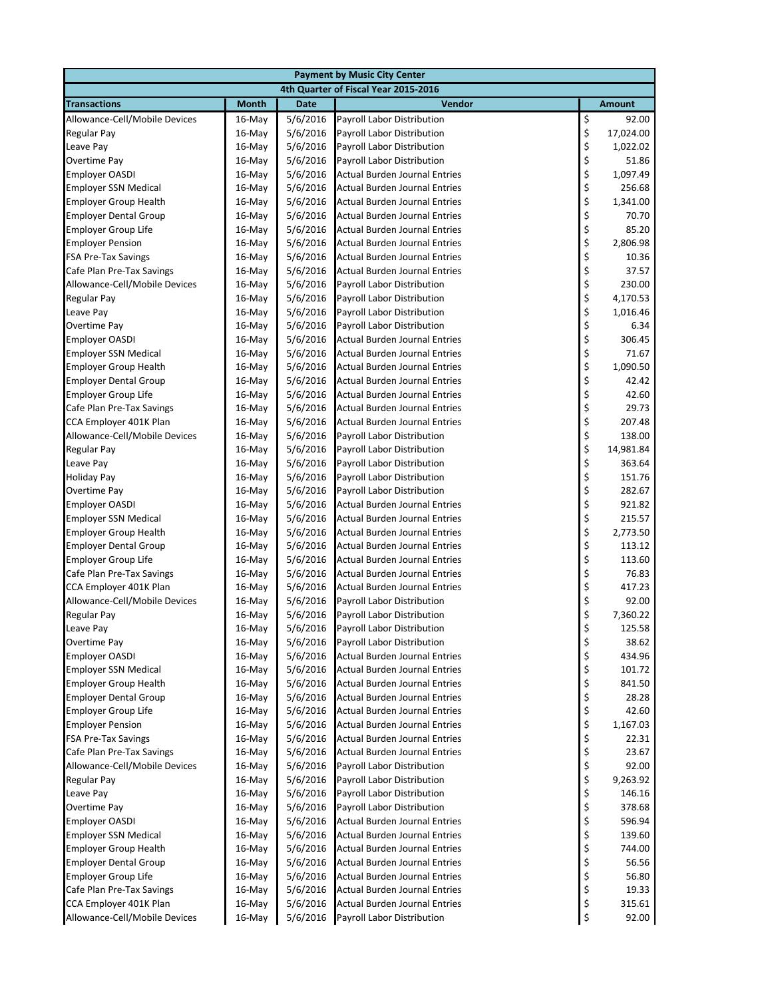| <b>Payment by Music City Center</b> |                                      |             |                                      |                                |               |  |  |
|-------------------------------------|--------------------------------------|-------------|--------------------------------------|--------------------------------|---------------|--|--|
|                                     | 4th Quarter of Fiscal Year 2015-2016 |             |                                      |                                |               |  |  |
| <b>Transactions</b>                 | <b>Month</b>                         | <b>Date</b> | Vendor                               |                                | <b>Amount</b> |  |  |
| Allowance-Cell/Mobile Devices       | $16$ -May                            | 5/6/2016    | Payroll Labor Distribution           | $\bar{\boldsymbol{\varsigma}}$ | 92.00         |  |  |
| Regular Pay                         | $16$ -May                            | 5/6/2016    | Payroll Labor Distribution           | \$                             | 17,024.00     |  |  |
| Leave Pay                           | 16-May                               | 5/6/2016    | Payroll Labor Distribution           | \$                             | 1,022.02      |  |  |
| Overtime Pay                        | $16$ -May                            | 5/6/2016    | Payroll Labor Distribution           | \$                             | 51.86         |  |  |
| <b>Employer OASDI</b>               | 16-May                               | 5/6/2016    | Actual Burden Journal Entries        | \$                             | 1,097.49      |  |  |
| <b>Employer SSN Medical</b>         | 16-May                               | 5/6/2016    | Actual Burden Journal Entries        | \$                             | 256.68        |  |  |
| <b>Employer Group Health</b>        | $16$ -May                            | 5/6/2016    | Actual Burden Journal Entries        | \$                             | 1,341.00      |  |  |
| <b>Employer Dental Group</b>        | 16-May                               | 5/6/2016    | Actual Burden Journal Entries        | \$                             | 70.70         |  |  |
| <b>Employer Group Life</b>          | 16-May                               | 5/6/2016    | Actual Burden Journal Entries        | \$                             | 85.20         |  |  |
| <b>Employer Pension</b>             | $16$ -May                            | 5/6/2016    | Actual Burden Journal Entries        | \$                             | 2,806.98      |  |  |
| <b>FSA Pre-Tax Savings</b>          | 16-May                               | 5/6/2016    | Actual Burden Journal Entries        | \$                             | 10.36         |  |  |
| Cafe Plan Pre-Tax Savings           | 16-May                               | 5/6/2016    | Actual Burden Journal Entries        | \$                             | 37.57         |  |  |
| Allowance-Cell/Mobile Devices       | 16-May                               | 5/6/2016    | Payroll Labor Distribution           | \$                             | 230.00        |  |  |
| Regular Pay                         | 16-May                               | 5/6/2016    | Payroll Labor Distribution           | \$                             | 4,170.53      |  |  |
| Leave Pay                           | 16-May                               | 5/6/2016    | Payroll Labor Distribution           | \$                             | 1,016.46      |  |  |
| Overtime Pay                        | $16$ -May                            | 5/6/2016    | Payroll Labor Distribution           | \$                             | 6.34          |  |  |
| <b>Employer OASDI</b>               | 16-May                               | 5/6/2016    | Actual Burden Journal Entries        | \$                             | 306.45        |  |  |
| <b>Employer SSN Medical</b>         | $16$ -May                            | 5/6/2016    | Actual Burden Journal Entries        | \$                             | 71.67         |  |  |
| <b>Employer Group Health</b>        | 16-May                               | 5/6/2016    | <b>Actual Burden Journal Entries</b> | \$                             | 1,090.50      |  |  |
| <b>Employer Dental Group</b>        | 16-May                               | 5/6/2016    | Actual Burden Journal Entries        | \$                             | 42.42         |  |  |
| <b>Employer Group Life</b>          | $16$ -May                            | 5/6/2016    | Actual Burden Journal Entries        | \$                             | 42.60         |  |  |
| Cafe Plan Pre-Tax Savings           | 16-May                               | 5/6/2016    | Actual Burden Journal Entries        | \$                             | 29.73         |  |  |
| CCA Employer 401K Plan              | 16-May                               | 5/6/2016    | <b>Actual Burden Journal Entries</b> | \$                             | 207.48        |  |  |
| Allowance-Cell/Mobile Devices       | 16-May                               | 5/6/2016    | Payroll Labor Distribution           |                                | 138.00        |  |  |
| Regular Pay                         | $16$ -May                            | 5/6/2016    | Payroll Labor Distribution           | \$<br>\$                       | 14,981.84     |  |  |
| Leave Pay                           | 16-May                               | 5/6/2016    | Payroll Labor Distribution           | \$                             | 363.64        |  |  |
| <b>Holiday Pay</b>                  | 16-May                               | 5/6/2016    | Payroll Labor Distribution           |                                | 151.76        |  |  |
| Overtime Pay                        | 16-May                               | 5/6/2016    | Payroll Labor Distribution           | \$<br>\$                       | 282.67        |  |  |
| <b>Employer OASDI</b>               | $16$ -May                            | 5/6/2016    | Actual Burden Journal Entries        | \$                             | 921.82        |  |  |
| <b>Employer SSN Medical</b>         | 16-May                               | 5/6/2016    | Actual Burden Journal Entries        | \$                             | 215.57        |  |  |
| <b>Employer Group Health</b>        | 16-May                               | 5/6/2016    | Actual Burden Journal Entries        | \$                             | 2,773.50      |  |  |
| <b>Employer Dental Group</b>        | $16$ -May                            | 5/6/2016    | Actual Burden Journal Entries        | \$                             | 113.12        |  |  |
| <b>Employer Group Life</b>          | 16-May                               | 5/6/2016    | Actual Burden Journal Entries        | \$                             | 113.60        |  |  |
| Cafe Plan Pre-Tax Savings           | 16-May                               | 5/6/2016    | Actual Burden Journal Entries        | \$                             | 76.83         |  |  |
| CCA Employer 401K Plan              | 16-May                               | 5/6/2016    | <b>Actual Burden Journal Entries</b> | \$                             | 417.23        |  |  |
| Allowance-Cell/Mobile Devices       | $16$ -May                            | 5/6/2016    | Payroll Labor Distribution           | \$                             | 92.00         |  |  |
| <b>Regular Pay</b>                  | $16$ -May                            | 5/6/2016    | Payroll Labor Distribution           | \$                             | 7,360.22      |  |  |
| Leave Pay                           | $16$ -May                            | 5/6/2016    | Payroll Labor Distribution           | \$                             | 125.58        |  |  |
| Overtime Pay                        | 16-May                               | 5/6/2016    | Payroll Labor Distribution           | \$                             | 38.62         |  |  |
| <b>Employer OASDI</b>               | 16-May                               | 5/6/2016    | <b>Actual Burden Journal Entries</b> | \$                             | 434.96        |  |  |
| <b>Employer SSN Medical</b>         | 16-May                               | 5/6/2016    | <b>Actual Burden Journal Entries</b> | \$                             | 101.72        |  |  |
| <b>Employer Group Health</b>        | 16-May                               | 5/6/2016    | <b>Actual Burden Journal Entries</b> | \$                             | 841.50        |  |  |
| <b>Employer Dental Group</b>        | 16-May                               | 5/6/2016    | <b>Actual Burden Journal Entries</b> | \$                             | 28.28         |  |  |
| <b>Employer Group Life</b>          | 16-May                               | 5/6/2016    | Actual Burden Journal Entries        | \$                             | 42.60         |  |  |
| <b>Employer Pension</b>             | 16-May                               | 5/6/2016    | Actual Burden Journal Entries        | \$                             | 1,167.03      |  |  |
| <b>FSA Pre-Tax Savings</b>          | 16-May                               | 5/6/2016    | Actual Burden Journal Entries        | \$                             | 22.31         |  |  |
| Cafe Plan Pre-Tax Savings           | 16-May                               | 5/6/2016    | Actual Burden Journal Entries        | \$                             | 23.67         |  |  |
| Allowance-Cell/Mobile Devices       | 16-May                               | 5/6/2016    | Payroll Labor Distribution           | \$                             | 92.00         |  |  |
| Regular Pay                         | 16-May                               | 5/6/2016    | Payroll Labor Distribution           | \$                             | 9,263.92      |  |  |
| Leave Pay                           | 16-May                               | 5/6/2016    | Payroll Labor Distribution           | \$                             | 146.16        |  |  |
| Overtime Pay                        | 16-May                               | 5/6/2016    | Payroll Labor Distribution           | \$                             | 378.68        |  |  |
| <b>Employer OASDI</b>               | 16-May                               | 5/6/2016    | Actual Burden Journal Entries        | \$                             | 596.94        |  |  |
| <b>Employer SSN Medical</b>         | 16-May                               | 5/6/2016    | Actual Burden Journal Entries        | \$                             | 139.60        |  |  |
| <b>Employer Group Health</b>        | 16-May                               | 5/6/2016    | Actual Burden Journal Entries        | \$                             | 744.00        |  |  |
| <b>Employer Dental Group</b>        | 16-May                               | 5/6/2016    | Actual Burden Journal Entries        | \$                             | 56.56         |  |  |
| <b>Employer Group Life</b>          | 16-May                               | 5/6/2016    | Actual Burden Journal Entries        | \$                             | 56.80         |  |  |
| Cafe Plan Pre-Tax Savings           | 16-May                               | 5/6/2016    | Actual Burden Journal Entries        | \$                             | 19.33         |  |  |
| CCA Employer 401K Plan              | 16-May                               | 5/6/2016    | <b>Actual Burden Journal Entries</b> | \$                             | 315.61        |  |  |
| Allowance-Cell/Mobile Devices       | 16-May                               | 5/6/2016    | Payroll Labor Distribution           | \$                             | 92.00         |  |  |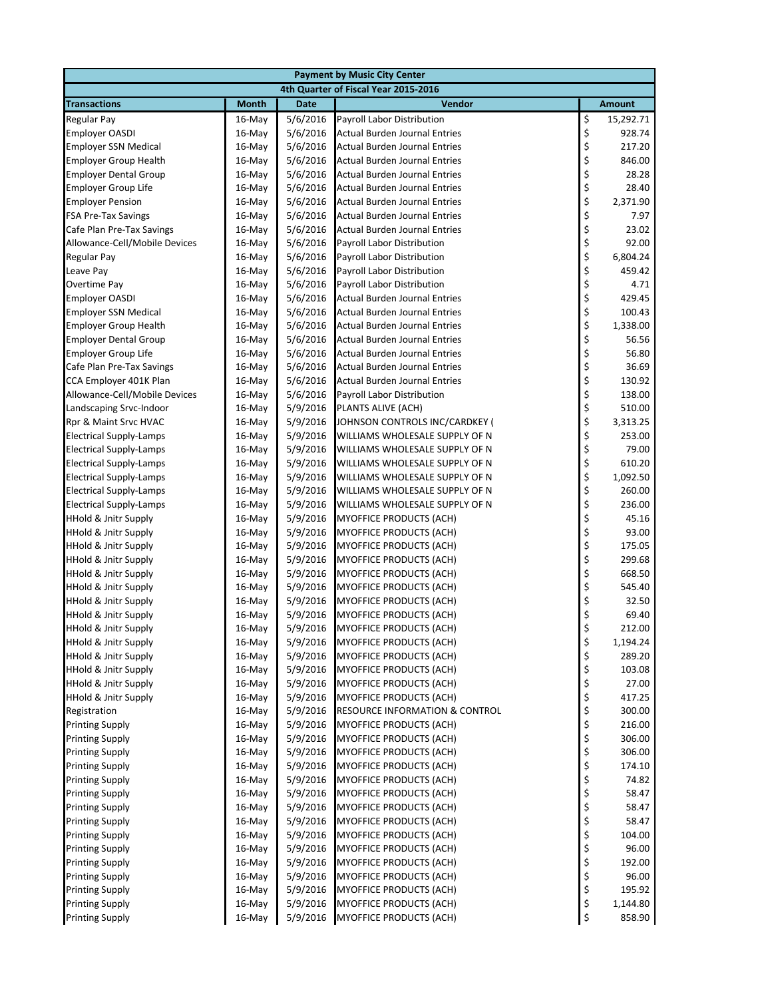| <b>Payment by Music City Center</b>                     |                  |                      |                                                                      |          |                  |  |  |
|---------------------------------------------------------|------------------|----------------------|----------------------------------------------------------------------|----------|------------------|--|--|
|                                                         |                  |                      | 4th Quarter of Fiscal Year 2015-2016                                 |          |                  |  |  |
| <b>Transactions</b>                                     | <b>Month</b>     | <b>Date</b>          | Vendor                                                               |          | <b>Amount</b>    |  |  |
| Regular Pay                                             | $16$ -May        | 5/6/2016             | Payroll Labor Distribution                                           | \$       | 15,292.71        |  |  |
| <b>Employer OASDI</b>                                   | 16-May           | 5/6/2016             | Actual Burden Journal Entries                                        | \$       | 928.74           |  |  |
| <b>Employer SSN Medical</b>                             | $16$ -May        | 5/6/2016             | Actual Burden Journal Entries                                        | \$       | 217.20           |  |  |
| <b>Employer Group Health</b>                            | $16$ -May        | 5/6/2016             | <b>Actual Burden Journal Entries</b>                                 | \$       | 846.00           |  |  |
| <b>Employer Dental Group</b>                            | 16-May           | 5/6/2016             | Actual Burden Journal Entries                                        | \$       | 28.28            |  |  |
| <b>Employer Group Life</b>                              | 16-May           | 5/6/2016             | <b>Actual Burden Journal Entries</b>                                 | \$       | 28.40            |  |  |
| <b>Employer Pension</b>                                 | $16$ -May        | 5/6/2016             | <b>Actual Burden Journal Entries</b>                                 | \$       | 2,371.90         |  |  |
| <b>FSA Pre-Tax Savings</b>                              | $16$ -May        | 5/6/2016             | Actual Burden Journal Entries                                        | \$       | 7.97             |  |  |
| Cafe Plan Pre-Tax Savings                               | 16-May           | 5/6/2016             | <b>Actual Burden Journal Entries</b>                                 | \$       | 23.02            |  |  |
| Allowance-Cell/Mobile Devices                           | $16$ -May        | 5/6/2016             | Payroll Labor Distribution                                           |          | 92.00            |  |  |
| <b>Regular Pay</b>                                      | 16-May           | 5/6/2016             | Payroll Labor Distribution                                           | \$\$\$   | 6,804.24         |  |  |
| Leave Pay                                               | $16$ -May        | 5/6/2016             | Payroll Labor Distribution                                           |          | 459.42           |  |  |
| Overtime Pay                                            | $16$ -May        | 5/6/2016             | Payroll Labor Distribution                                           | \$<br>\$ | 4.71             |  |  |
| <b>Employer OASDI</b>                                   | 16-May           | 5/6/2016             | Actual Burden Journal Entries                                        |          | 429.45           |  |  |
| <b>Employer SSN Medical</b>                             | $16$ -May        | 5/6/2016             | <b>Actual Burden Journal Entries</b>                                 | \$\$\$   | 100.43           |  |  |
| <b>Employer Group Health</b>                            | 16-May           | 5/6/2016             | Actual Burden Journal Entries                                        |          | 1,338.00         |  |  |
| <b>Employer Dental Group</b>                            | 16-May           | 5/6/2016             | <b>Actual Burden Journal Entries</b>                                 |          | 56.56            |  |  |
| <b>Employer Group Life</b>                              | $16$ -May        | 5/6/2016             | Actual Burden Journal Entries                                        | \$<br>\$ | 56.80            |  |  |
| Cafe Plan Pre-Tax Savings                               | $16$ -May        | 5/6/2016             | Actual Burden Journal Entries                                        |          | 36.69            |  |  |
| CCA Employer 401K Plan                                  | 16-May           | 5/6/2016             | <b>Actual Burden Journal Entries</b>                                 | \$       | 130.92           |  |  |
| Allowance-Cell/Mobile Devices                           | $16$ -May        | 5/6/2016             | Payroll Labor Distribution                                           | \$<br>\$ | 138.00           |  |  |
| Landscaping Srvc-Indoor                                 | 16-May           | 5/9/2016             | PLANTS ALIVE (ACH)                                                   |          | 510.00           |  |  |
| Rpr & Maint Srvc HVAC                                   | 16-May           | 5/9/2016             | JOHNSON CONTROLS INC/CARDKEY (                                       | \$       | 3,313.25         |  |  |
| <b>Electrical Supply-Lamps</b>                          | $16$ -May        | 5/9/2016             | WILLIAMS WHOLESALE SUPPLY OF N                                       | \$       | 253.00           |  |  |
| <b>Electrical Supply-Lamps</b>                          | $16$ -May        | 5/9/2016             | WILLIAMS WHOLESALE SUPPLY OF N                                       | \$       | 79.00            |  |  |
| <b>Electrical Supply-Lamps</b>                          | $16$ -May        | 5/9/2016             | WILLIAMS WHOLESALE SUPPLY OF N                                       | \$       | 610.20           |  |  |
| <b>Electrical Supply-Lamps</b>                          | 16-May           | 5/9/2016             | WILLIAMS WHOLESALE SUPPLY OF N                                       | \$       | 1,092.50         |  |  |
| <b>Electrical Supply-Lamps</b>                          | 16-May           | 5/9/2016             | WILLIAMS WHOLESALE SUPPLY OF N                                       | \$       | 260.00           |  |  |
| <b>Electrical Supply-Lamps</b>                          | $16$ -May        | 5/9/2016             | WILLIAMS WHOLESALE SUPPLY OF N                                       | \$       | 236.00           |  |  |
| HHold & Jnitr Supply                                    | 16-May           | 5/9/2016             | MYOFFICE PRODUCTS (ACH)                                              | \$       | 45.16            |  |  |
| <b>HHold &amp; Jnitr Supply</b>                         | 16-May           | 5/9/2016             | MYOFFICE PRODUCTS (ACH)                                              | \$       | 93.00            |  |  |
| <b>HHold &amp; Jnitr Supply</b>                         | $16$ -May        | 5/9/2016             | MYOFFICE PRODUCTS (ACH)                                              | \$       | 175.05           |  |  |
| <b>HHold &amp; Jnitr Supply</b>                         | 16-May           | 5/9/2016             | <b>MYOFFICE PRODUCTS (ACH)</b>                                       | \$       | 299.68           |  |  |
| <b>HHold &amp; Jnitr Supply</b>                         | 16-May           | 5/9/2016             | <b>MYOFFICE PRODUCTS (ACH)</b>                                       | \$       | 668.50           |  |  |
| HHold & Jnitr Supply                                    | $16$ -May        | 5/9/2016             | <b>MYOFFICE PRODUCTS (ACH)</b>                                       | \$       | 545.40           |  |  |
| <b>HHold &amp; Jnitr Supply</b>                         | $16$ -May        | 5/9/2016             | MYOFFICE PRODUCTS (ACH)                                              | \$       | 32.50            |  |  |
| <b>HHold &amp; Jnitr Supply</b>                         | 16-May           | 5/9/2016             | MYOFFICE PRODUCTS (ACH)                                              | \$       | 69.40            |  |  |
| <b>HHold &amp; Jnitr Supply</b>                         | $16$ -May        | 5/9/2016             | <b>MYOFFICE PRODUCTS (ACH)</b>                                       | \$       | 212.00           |  |  |
| <b>HHold &amp; Jnitr Supply</b>                         | 16-May           | 5/9/2016             | <b>MYOFFICE PRODUCTS (ACH)</b>                                       | \$       | 1,194.24         |  |  |
| <b>HHold &amp; Jnitr Supply</b>                         | 16-May           | 5/9/2016             | <b>MYOFFICE PRODUCTS (ACH)</b>                                       | \$       | 289.20           |  |  |
| <b>HHold &amp; Jnitr Supply</b>                         | 16-May           | 5/9/2016             | MYOFFICE PRODUCTS (ACH)                                              | \$<br>\$ | 103.08<br>27.00  |  |  |
| HHold & Jnitr Supply<br><b>HHold &amp; Jnitr Supply</b> | 16-May           | 5/9/2016             | MYOFFICE PRODUCTS (ACH)                                              |          |                  |  |  |
| Registration                                            | 16-May<br>16-May | 5/9/2016<br>5/9/2016 | MYOFFICE PRODUCTS (ACH)<br><b>RESOURCE INFORMATION &amp; CONTROL</b> | \$<br>\$ | 417.25<br>300.00 |  |  |
| <b>Printing Supply</b>                                  | 16-May           | 5/9/2016             | MYOFFICE PRODUCTS (ACH)                                              | \$       | 216.00           |  |  |
| <b>Printing Supply</b>                                  | 16-May           | 5/9/2016             | MYOFFICE PRODUCTS (ACH)                                              | \$       | 306.00           |  |  |
| <b>Printing Supply</b>                                  | 16-May           | 5/9/2016             | MYOFFICE PRODUCTS (ACH)                                              | \$       | 306.00           |  |  |
| <b>Printing Supply</b>                                  | 16-May           | 5/9/2016             | MYOFFICE PRODUCTS (ACH)                                              | \$       | 174.10           |  |  |
| <b>Printing Supply</b>                                  | 16-May           | 5/9/2016             | MYOFFICE PRODUCTS (ACH)                                              |          | 74.82            |  |  |
| <b>Printing Supply</b>                                  | 16-May           | 5/9/2016             | <b>MYOFFICE PRODUCTS (ACH)</b>                                       | \$<br>\$ | 58.47            |  |  |
| <b>Printing Supply</b>                                  | 16-May           | 5/9/2016             | MYOFFICE PRODUCTS (ACH)                                              | \$       | 58.47            |  |  |
| <b>Printing Supply</b>                                  | 16-May           | 5/9/2016             | MYOFFICE PRODUCTS (ACH)                                              | \$       | 58.47            |  |  |
| <b>Printing Supply</b>                                  | 16-May           | 5/9/2016             | MYOFFICE PRODUCTS (ACH)                                              | \$       | 104.00           |  |  |
| <b>Printing Supply</b>                                  | $16$ -May        | 5/9/2016             | MYOFFICE PRODUCTS (ACH)                                              | \$       | 96.00            |  |  |
| <b>Printing Supply</b>                                  | 16-May           | 5/9/2016             | MYOFFICE PRODUCTS (ACH)                                              | \$       | 192.00           |  |  |
| <b>Printing Supply</b>                                  | 16-May           | 5/9/2016             | MYOFFICE PRODUCTS (ACH)                                              | \$       | 96.00            |  |  |
| <b>Printing Supply</b>                                  | 16-May           | 5/9/2016             | <b>MYOFFICE PRODUCTS (ACH)</b>                                       | \$       | 195.92           |  |  |
| <b>Printing Supply</b>                                  | 16-May           | 5/9/2016             | MYOFFICE PRODUCTS (ACH)                                              | \$       | 1,144.80         |  |  |
| <b>Printing Supply</b>                                  | 16-May           | 5/9/2016             | MYOFFICE PRODUCTS (ACH)                                              | \$       | 858.90           |  |  |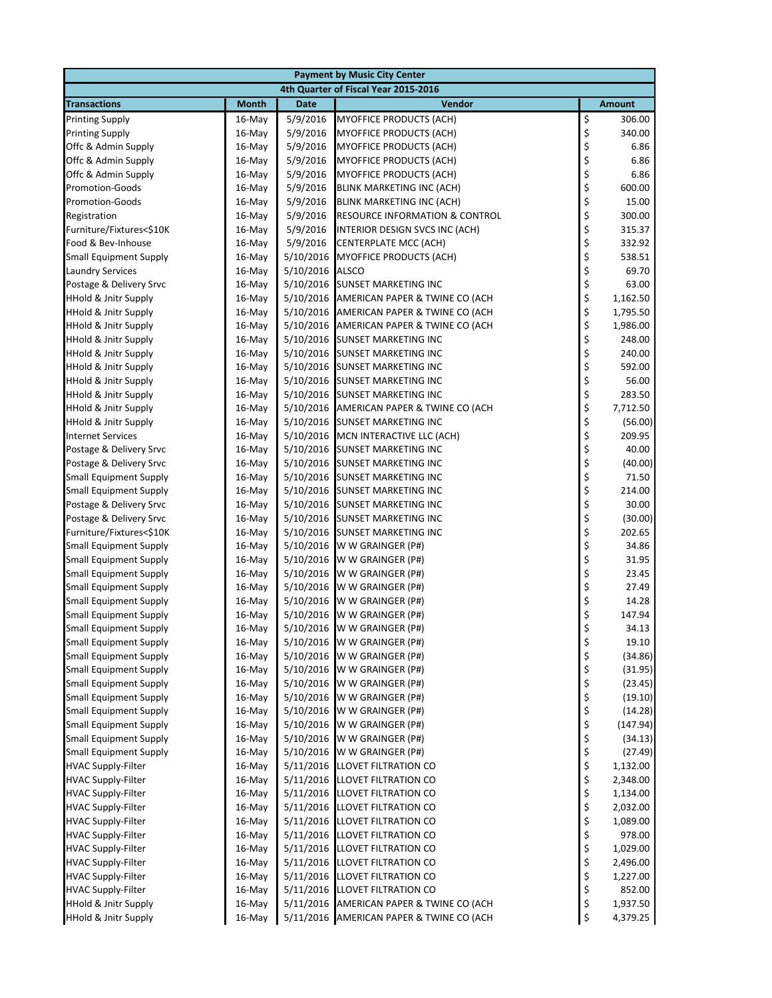| <b>Payment by Music City Center</b>                                |                  |                        |                                                                  |          |                      |  |  |
|--------------------------------------------------------------------|------------------|------------------------|------------------------------------------------------------------|----------|----------------------|--|--|
| 4th Quarter of Fiscal Year 2015-2016                               |                  |                        |                                                                  |          |                      |  |  |
| <b>Transactions</b>                                                | <b>Month</b>     | <b>Date</b>            | Vendor                                                           |          | <b>Amount</b>        |  |  |
| <b>Printing Supply</b>                                             | 16-May           | 5/9/2016               | <b>MYOFFICE PRODUCTS (ACH)</b>                                   | \$       | 306.00               |  |  |
| <b>Printing Supply</b>                                             | 16-May           | 5/9/2016               | <b>MYOFFICE PRODUCTS (ACH)</b>                                   | \$       | 340.00               |  |  |
| Offc & Admin Supply                                                | 16-May           | 5/9/2016               | MYOFFICE PRODUCTS (ACH)                                          | \$       | 6.86                 |  |  |
| Offc & Admin Supply                                                | $16$ -May        | 5/9/2016               | MYOFFICE PRODUCTS (ACH)                                          | \$       | 6.86                 |  |  |
| Offc & Admin Supply                                                | 16-May           | 5/9/2016               | <b>MYOFFICE PRODUCTS (ACH)</b>                                   | \$       | 6.86                 |  |  |
| <b>Promotion-Goods</b>                                             | 16-May           | 5/9/2016               | <b>BLINK MARKETING INC (ACH)</b>                                 | \$       | 600.00               |  |  |
| <b>Promotion-Goods</b>                                             | $16$ -May        | 5/9/2016               | BLINK MARKETING INC (ACH)                                        | \$       | 15.00                |  |  |
| Registration                                                       | 16-May           | 5/9/2016               | RESOURCE INFORMATION & CONTROL                                   | \$       | 300.00               |  |  |
| Furniture/Fixtures<\$10K                                           | 16-May           | 5/9/2016               | INTERIOR DESIGN SVCS INC (ACH)                                   | \$       | 315.37               |  |  |
| Food & Bev-Inhouse                                                 | 16-May           | 5/9/2016               | CENTERPLATE MCC (ACH)                                            | \$       | 332.92               |  |  |
| <b>Small Equipment Supply</b>                                      | 16-May           | 5/10/2016              | <b>MYOFFICE PRODUCTS (ACH)</b>                                   | \$       | 538.51<br>69.70      |  |  |
| <b>Laundry Services</b>                                            | 16-May           | 5/10/2016              | <b>ALSCO</b>                                                     | \$       |                      |  |  |
| Postage & Delivery Srvc                                            | 16-May           | 5/10/2016              | <b>SUNSET MARKETING INC</b>                                      | \$<br>\$ | 63.00                |  |  |
| <b>HHold &amp; Jnitr Supply</b>                                    | 16-May           | 5/10/2016              | AMERICAN PAPER & TWINE CO (ACH                                   | \$       | 1,162.50<br>1,795.50 |  |  |
| <b>HHold &amp; Jnitr Supply</b><br><b>HHold &amp; Jnitr Supply</b> | 16-May<br>16-May | 5/10/2016<br>5/10/2016 | AMERICAN PAPER & TWINE CO (ACH<br>AMERICAN PAPER & TWINE CO (ACH | \$       | 1,986.00             |  |  |
| <b>HHold &amp; Jnitr Supply</b>                                    | 16-May           | 5/10/2016              | <b>SUNSET MARKETING INC</b>                                      | \$       | 248.00               |  |  |
| <b>HHold &amp; Jnitr Supply</b>                                    | 16-May           | 5/10/2016              | <b>SUNSET MARKETING INC</b>                                      | \$       | 240.00               |  |  |
| <b>HHold &amp; Jnitr Supply</b>                                    | $16$ -May        | 5/10/2016              | <b>SUNSET MARKETING INC</b>                                      | \$       | 592.00               |  |  |
| <b>HHold &amp; Jnitr Supply</b>                                    | 16-May           | 5/10/2016              | <b>SUNSET MARKETING INC</b>                                      | \$       | 56.00                |  |  |
| <b>HHold &amp; Jnitr Supply</b>                                    | 16-May           | 5/10/2016              | <b>SUNSET MARKETING INC</b>                                      | \$       | 283.50               |  |  |
| <b>HHold &amp; Jnitr Supply</b>                                    | 16-May           | 5/10/2016              | AMERICAN PAPER & TWINE CO (ACH                                   | \$       | 7,712.50             |  |  |
| <b>HHold &amp; Jnitr Supply</b>                                    | 16-May           | 5/10/2016              | <b>SUNSET MARKETING INC</b>                                      | \$       | (56.00)              |  |  |
| <b>Internet Services</b>                                           | 16-May           | 5/10/2016              | MCN INTERACTIVE LLC (ACH)                                        | \$       | 209.95               |  |  |
| Postage & Delivery Srvc                                            | 16-May           | 5/10/2016              | <b>SUNSET MARKETING INC</b>                                      | \$       | 40.00                |  |  |
| Postage & Delivery Srvc                                            | 16-May           | 5/10/2016              | <b>SUNSET MARKETING INC</b>                                      | \$       | (40.00)              |  |  |
| <b>Small Equipment Supply</b>                                      | 16-May           | 5/10/2016              | <b>SUNSET MARKETING INC</b>                                      | \$       | 71.50                |  |  |
| <b>Small Equipment Supply</b>                                      | 16-May           | 5/10/2016              | <b>SUNSET MARKETING INC</b>                                      | \$       | 214.00               |  |  |
| Postage & Delivery Srvc                                            | $16$ -May        | 5/10/2016              | <b>SUNSET MARKETING INC</b>                                      | \$       | 30.00                |  |  |
| Postage & Delivery Srvc                                            | 16-May           | 5/10/2016              | <b>SUNSET MARKETING INC</b>                                      | \$       | (30.00)              |  |  |
| Furniture/Fixtures<\$10K                                           | 16-May           | 5/10/2016              | <b>SUNSET MARKETING INC</b>                                      | \$       | 202.65               |  |  |
| <b>Small Equipment Supply</b>                                      | 16-May           | 5/10/2016              | W W GRAINGER (P#)                                                | \$       | 34.86                |  |  |
| <b>Small Equipment Supply</b>                                      | 16-May           | 5/10/2016              | W W GRAINGER (P#)                                                | \$       | 31.95                |  |  |
| <b>Small Equipment Supply</b>                                      | 16-May           | 5/10/2016              | W W GRAINGER (P#)                                                | \$       | 23.45                |  |  |
| <b>Small Equipment Supply</b>                                      | 16-May           | 5/10/2016              | W W GRAINGER (P#)                                                | \$       | 27.49                |  |  |
| <b>Small Equipment Supply</b>                                      | 16-May           | 5/10/2016              | W W GRAINGER (P#)                                                | \$       | 14.28                |  |  |
| <b>Small Equipment Supply</b>                                      | $16$ -May        | 5/10/2016              | W W GRAINGER (P#)                                                | \$       | 147.94               |  |  |
| <b>Small Equipment Supply</b>                                      | 16-May           | 5/10/2016              | W W GRAINGER (P#)                                                | \$       | 34.13                |  |  |
| <b>Small Equipment Supply</b>                                      | 16-May           | 5/10/2016              | W W GRAINGER (P#)                                                | \$       | 19.10                |  |  |
| <b>Small Equipment Supply</b>                                      | 16-May           | 5/10/2016              | W W GRAINGER (P#)                                                | \$       | (34.86)              |  |  |
| <b>Small Equipment Supply</b>                                      | 16-May           | 5/10/2016              | W W GRAINGER (P#)                                                | \$       | (31.95)              |  |  |
| <b>Small Equipment Supply</b>                                      | 16-May           | 5/10/2016              | W W GRAINGER (P#)                                                | \$       | (23.45)              |  |  |
| <b>Small Equipment Supply</b>                                      | 16-May           | 5/10/2016              | W W GRAINGER (P#)                                                | \$       | (19.10)              |  |  |
| <b>Small Equipment Supply</b>                                      | 16-May           | 5/10/2016              | W W GRAINGER (P#)                                                | \$       | (14.28)              |  |  |
| <b>Small Equipment Supply</b>                                      | 16-May           | 5/10/2016              | W W GRAINGER (P#)                                                | \$       | (147.94)             |  |  |
| <b>Small Equipment Supply</b>                                      | 16-May           | 5/10/2016              | W W GRAINGER (P#)                                                | \$       | (34.13)              |  |  |
| <b>Small Equipment Supply</b>                                      | 16-May           | 5/10/2016              | W W GRAINGER (P#)                                                | \$       | (27.49)              |  |  |
| <b>HVAC Supply-Filter</b>                                          | 16-May           | 5/11/2016              | LLOVET FILTRATION CO                                             | \$       | 1,132.00             |  |  |
| <b>HVAC Supply-Filter</b><br><b>HVAC Supply-Filter</b>             | 16-May<br>16-May | 5/11/2016<br>5/11/2016 | LLOVET FILTRATION CO<br><b>LLOVET FILTRATION CO</b>              | \$<br>\$ | 2,348.00<br>1,134.00 |  |  |
| <b>HVAC Supply-Filter</b>                                          | 16-May           | 5/11/2016              | LLOVET FILTRATION CO                                             | \$       | 2,032.00             |  |  |
| <b>HVAC Supply-Filter</b>                                          | 16-May           | 5/11/2016              | LLOVET FILTRATION CO                                             | \$       | 1,089.00             |  |  |
| <b>HVAC Supply-Filter</b>                                          | 16-May           | 5/11/2016              | LLOVET FILTRATION CO                                             | \$       | 978.00               |  |  |
| <b>HVAC Supply-Filter</b>                                          | 16-May           | 5/11/2016              | LLOVET FILTRATION CO                                             | \$       | 1,029.00             |  |  |
| <b>HVAC Supply-Filter</b>                                          | 16-May           | 5/11/2016              | LLOVET FILTRATION CO                                             | \$       | 2,496.00             |  |  |
| <b>HVAC Supply-Filter</b>                                          | 16-May           | 5/11/2016              | LLOVET FILTRATION CO                                             | \$       | 1,227.00             |  |  |
| <b>HVAC Supply-Filter</b>                                          | 16-May           | 5/11/2016              | LLOVET FILTRATION CO                                             | \$       | 852.00               |  |  |
| <b>HHold &amp; Jnitr Supply</b>                                    | 16-May           | 5/11/2016              | AMERICAN PAPER & TWINE CO (ACH                                   | \$       | 1,937.50             |  |  |
| <b>HHold &amp; Jnitr Supply</b>                                    | 16-May           | 5/11/2016              | AMERICAN PAPER & TWINE CO (ACH                                   | \$       | 4,379.25             |  |  |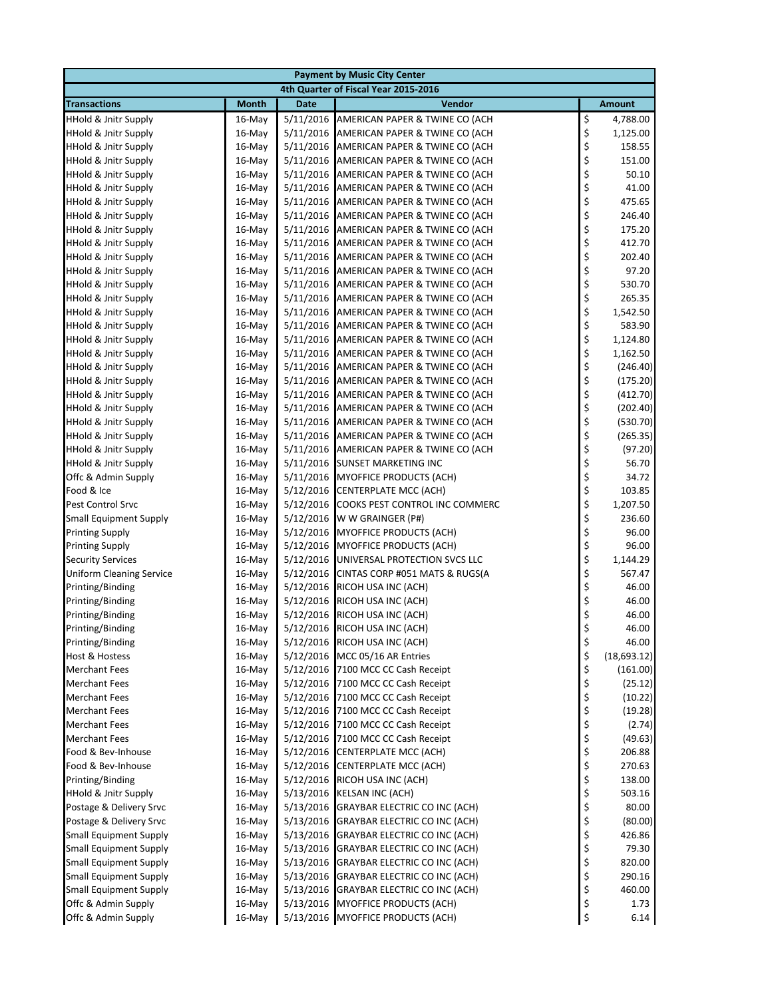|                                 | <b>Payment by Music City Center</b> |             |                                          |    |               |  |  |  |
|---------------------------------|-------------------------------------|-------------|------------------------------------------|----|---------------|--|--|--|
|                                 |                                     |             | 4th Quarter of Fiscal Year 2015-2016     |    |               |  |  |  |
| <b>Transactions</b>             | <b>Month</b>                        | <b>Date</b> | <b>Vendor</b>                            |    | <b>Amount</b> |  |  |  |
| <b>HHold &amp; Jnitr Supply</b> | $16$ -May                           | 5/11/2016   | AMERICAN PAPER & TWINE CO (ACH           | \$ | 4,788.00      |  |  |  |
| <b>HHold &amp; Jnitr Supply</b> | 16-May                              | 5/11/2016   | AMERICAN PAPER & TWINE CO (ACH           | \$ | 1,125.00      |  |  |  |
| <b>HHold &amp; Jnitr Supply</b> | $16$ -May                           | 5/11/2016   | AMERICAN PAPER & TWINE CO (ACH           | \$ | 158.55        |  |  |  |
| <b>HHold &amp; Jnitr Supply</b> | $16$ -May                           | 5/11/2016   | AMERICAN PAPER & TWINE CO (ACH           | \$ | 151.00        |  |  |  |
| <b>HHold &amp; Jnitr Supply</b> | $16$ -May                           | 5/11/2016   | AMERICAN PAPER & TWINE CO (ACH           | \$ | 50.10         |  |  |  |
| <b>HHold &amp; Jnitr Supply</b> | 16-May                              | 5/11/2016   | AMERICAN PAPER & TWINE CO (ACH           | \$ | 41.00         |  |  |  |
| <b>HHold &amp; Jnitr Supply</b> | $16$ -May                           | 5/11/2016   | AMERICAN PAPER & TWINE CO (ACH           | \$ | 475.65        |  |  |  |
| <b>HHold &amp; Jnitr Supply</b> | $16$ -May                           | 5/11/2016   | AMERICAN PAPER & TWINE CO (ACH           | \$ | 246.40        |  |  |  |
| <b>HHold &amp; Jnitr Supply</b> | 16-May                              | 5/11/2016   | AMERICAN PAPER & TWINE CO (ACH           | \$ | 175.20        |  |  |  |
| <b>HHold &amp; Jnitr Supply</b> | $16$ -May                           | 5/11/2016   | AMERICAN PAPER & TWINE CO (ACH           | \$ | 412.70        |  |  |  |
| <b>HHold &amp; Jnitr Supply</b> | 16-May                              | 5/11/2016   | AMERICAN PAPER & TWINE CO (ACH           | \$ | 202.40        |  |  |  |
| <b>HHold &amp; Jnitr Supply</b> | 16-May                              | 5/11/2016   | AMERICAN PAPER & TWINE CO (ACH           | \$ | 97.20         |  |  |  |
| <b>HHold &amp; Jnitr Supply</b> | $16$ -May                           | 5/11/2016   | AMERICAN PAPER & TWINE CO (ACH           | \$ | 530.70        |  |  |  |
| <b>HHold &amp; Jnitr Supply</b> | $16$ -May                           | 5/11/2016   | AMERICAN PAPER & TWINE CO (ACH           | \$ | 265.35        |  |  |  |
| <b>HHold &amp; Jnitr Supply</b> | $16$ -May                           | 5/11/2016   | AMERICAN PAPER & TWINE CO (ACH           | \$ | 1,542.50      |  |  |  |
| <b>HHold &amp; Jnitr Supply</b> | $16$ -May                           | 5/11/2016   | AMERICAN PAPER & TWINE CO (ACH           | \$ | 583.90        |  |  |  |
| <b>HHold &amp; Jnitr Supply</b> | 16-May                              |             | 5/11/2016 AMERICAN PAPER & TWINE CO (ACH | \$ | 1,124.80      |  |  |  |
| <b>HHold &amp; Jnitr Supply</b> | $16$ -May                           | 5/11/2016   | AMERICAN PAPER & TWINE CO (ACH           | \$ | 1,162.50      |  |  |  |
| <b>HHold &amp; Jnitr Supply</b> | $16$ -May                           | 5/11/2016   | AMERICAN PAPER & TWINE CO (ACH           | \$ | (246.40)      |  |  |  |
| <b>HHold &amp; Jnitr Supply</b> | 16-May                              | 5/11/2016   | AMERICAN PAPER & TWINE CO (ACH           | \$ | (175.20)      |  |  |  |
| <b>HHold &amp; Jnitr Supply</b> | $16$ -May                           | 5/11/2016   | AMERICAN PAPER & TWINE CO (ACH           | \$ | (412.70)      |  |  |  |
| <b>HHold &amp; Jnitr Supply</b> | 16-May                              | 5/11/2016   | AMERICAN PAPER & TWINE CO (ACH           | \$ | (202.40)      |  |  |  |
| <b>HHold &amp; Jnitr Supply</b> | 16-May                              | 5/11/2016   | AMERICAN PAPER & TWINE CO (ACH           | \$ | (530.70)      |  |  |  |
| <b>HHold &amp; Jnitr Supply</b> | $16$ -May                           | 5/11/2016   | AMERICAN PAPER & TWINE CO (ACH           | \$ | (265.35)      |  |  |  |
| <b>HHold &amp; Jnitr Supply</b> | $16$ -May                           | 5/11/2016   | AMERICAN PAPER & TWINE CO (ACH           | \$ | (97.20)       |  |  |  |
| <b>HHold &amp; Jnitr Supply</b> | $16$ -May                           | 5/11/2016   | <b>SUNSET MARKETING INC</b>              | \$ | 56.70         |  |  |  |
| Offc & Admin Supply             | $16$ -May                           |             | 5/11/2016 MYOFFICE PRODUCTS (ACH)        | \$ | 34.72         |  |  |  |
| Food & Ice                      | 16-May                              |             | 5/12/2016 CENTERPLATE MCC (ACH)          | \$ | 103.85        |  |  |  |
| <b>Pest Control Srvc</b>        | $16$ -May                           | 5/12/2016   | COOKS PEST CONTROL INC COMMERC           | \$ | 1,207.50      |  |  |  |
| <b>Small Equipment Supply</b>   | 16-May                              | 5/12/2016   | W W GRAINGER (P#)                        | \$ | 236.60        |  |  |  |
| <b>Printing Supply</b>          | 16-May                              | 5/12/2016   | <b>MYOFFICE PRODUCTS (ACH)</b>           | \$ | 96.00         |  |  |  |
| <b>Printing Supply</b>          | $16$ -May                           | 5/12/2016   | <b>MYOFFICE PRODUCTS (ACH)</b>           | \$ | 96.00         |  |  |  |
| <b>Security Services</b>        | $16$ -May                           | 5/12/2016   | UNIVERSAL PROTECTION SVCS LLC            | \$ | 1,144.29      |  |  |  |
| <b>Uniform Cleaning Service</b> | 16-May                              | 5/12/2016   | CINTAS CORP #051 MATS & RUGS(A           | \$ | 567.47        |  |  |  |
| Printing/Binding                | $16$ -May                           |             | 5/12/2016 RICOH USA INC (ACH)            | \$ | 46.00         |  |  |  |
| Printing/Binding                | $16$ -May                           |             | 5/12/2016 RICOH USA INC (ACH)            | \$ | 46.00         |  |  |  |
| Printing/Binding                | $16$ -May                           | 5/12/2016   | RICOH USA INC (ACH)                      | \$ | 46.00         |  |  |  |
| Printing/Binding                | $16$ -May                           |             | 5/12/2016 RICOH USA INC (ACH)            | \$ | 46.00         |  |  |  |
| Printing/Binding                | 16-May                              |             | 5/12/2016 RICOH USA INC (ACH)            | \$ | 46.00         |  |  |  |
| Host & Hostess                  | 16-May                              |             | 5/12/2016 MCC 05/16 AR Entries           | \$ | (18, 693.12)  |  |  |  |
| <b>Merchant Fees</b>            | 16-May                              |             | 5/12/2016 7100 MCC CC Cash Receipt       | \$ | (161.00)      |  |  |  |
| <b>Merchant Fees</b>            | $16$ -May                           | 5/12/2016   | 7100 MCC CC Cash Receipt                 | \$ | (25.12)       |  |  |  |
| <b>Merchant Fees</b>            | 16-May                              | 5/12/2016   | 7100 MCC CC Cash Receipt                 | \$ | (10.22)       |  |  |  |
| <b>Merchant Fees</b>            | 16-May                              | 5/12/2016   | 7100 MCC CC Cash Receipt                 | \$ | (19.28)       |  |  |  |
| <b>Merchant Fees</b>            | 16-May                              | 5/12/2016   | 7100 MCC CC Cash Receipt                 | \$ | (2.74)        |  |  |  |
| <b>Merchant Fees</b>            | $16$ -May                           | 5/12/2016   | 7100 MCC CC Cash Receipt                 | \$ | (49.63)       |  |  |  |
| Food & Bev-Inhouse              | 16-May                              | 5/12/2016   | CENTERPLATE MCC (ACH)                    | \$ | 206.88        |  |  |  |
| Food & Bev-Inhouse              | 16-May                              | 5/12/2016   | <b>CENTERPLATE MCC (ACH)</b>             | \$ | 270.63        |  |  |  |
| Printing/Binding                | $16$ -May                           | 5/12/2016   | RICOH USA INC (ACH)                      | \$ | 138.00        |  |  |  |
| <b>HHold &amp; Jnitr Supply</b> | 16-May                              |             | 5/13/2016 KELSAN INC (ACH)               | \$ | 503.16        |  |  |  |
| Postage & Delivery Srvc         | 16-May                              | 5/13/2016   | GRAYBAR ELECTRIC CO INC (ACH)            | \$ | 80.00         |  |  |  |
| Postage & Delivery Srvc         | 16-May                              |             | 5/13/2016 GRAYBAR ELECTRIC CO INC (ACH)  | \$ | (80.00)       |  |  |  |
| <b>Small Equipment Supply</b>   | $16$ -May                           | 5/13/2016   | GRAYBAR ELECTRIC CO INC (ACH)            | \$ | 426.86        |  |  |  |
| <b>Small Equipment Supply</b>   | $16$ -May                           | 5/13/2016   | GRAYBAR ELECTRIC CO INC (ACH)            | \$ | 79.30         |  |  |  |
| <b>Small Equipment Supply</b>   | 16-May                              |             | 5/13/2016 GRAYBAR ELECTRIC CO INC (ACH)  | \$ | 820.00        |  |  |  |
| <b>Small Equipment Supply</b>   | 16-May                              |             | 5/13/2016 GRAYBAR ELECTRIC CO INC (ACH)  | \$ | 290.16        |  |  |  |
| <b>Small Equipment Supply</b>   | 16-May                              |             | 5/13/2016 GRAYBAR ELECTRIC CO INC (ACH)  | \$ | 460.00        |  |  |  |
| Offc & Admin Supply             | 16-May                              |             | 5/13/2016 MYOFFICE PRODUCTS (ACH)        | \$ | 1.73          |  |  |  |
| Offc & Admin Supply             | 16-May                              |             | 5/13/2016 MYOFFICE PRODUCTS (ACH)        | \$ | 6.14          |  |  |  |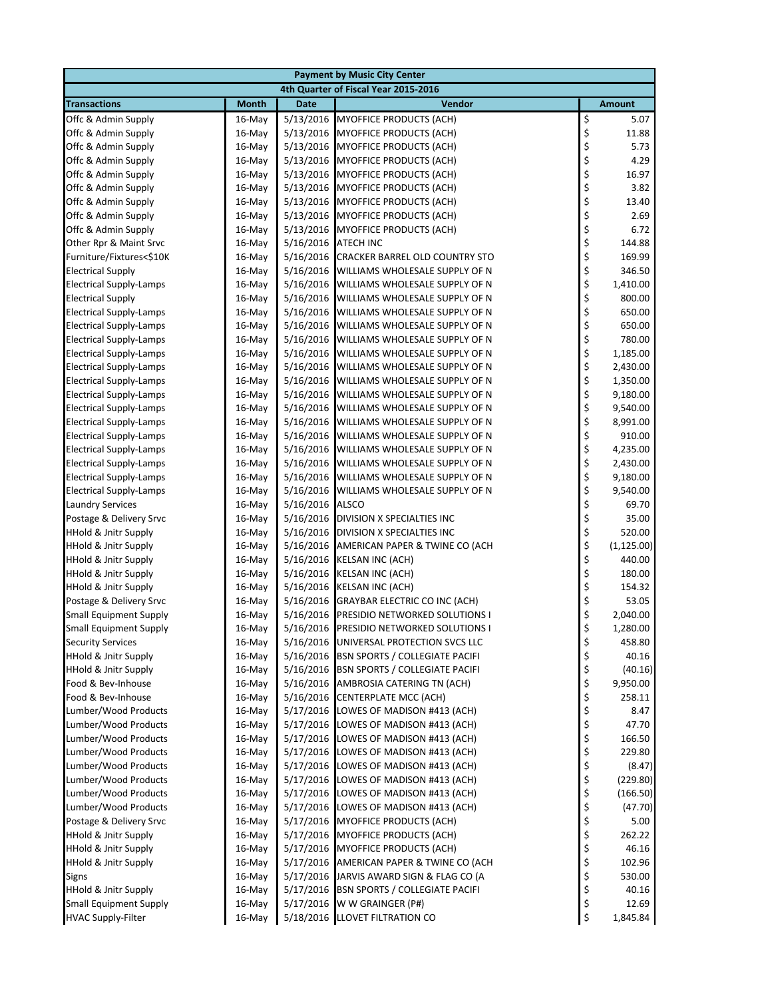| <b>Payment by Music City Center</b>                              |                  |                        |                                                                      |                |                      |  |
|------------------------------------------------------------------|------------------|------------------------|----------------------------------------------------------------------|----------------|----------------------|--|
|                                                                  |                  |                        | 4th Quarter of Fiscal Year 2015-2016                                 |                |                      |  |
| <b>Transactions</b>                                              | <b>Month</b>     | <b>Date</b>            | Vendor                                                               |                | <b>Amount</b>        |  |
| Offc & Admin Supply                                              | 16-May           |                        | 5/13/2016 MYOFFICE PRODUCTS (ACH)                                    |                | 5.07                 |  |
| Offc & Admin Supply                                              | 16-May           | 5/13/2016              | <b>MYOFFICE PRODUCTS (ACH)</b>                                       | \$<br>\$<br>\$ | 11.88                |  |
| Offc & Admin Supply                                              | 16-May           | 5/13/2016              | <b>MYOFFICE PRODUCTS (ACH)</b>                                       |                | 5.73                 |  |
| Offc & Admin Supply                                              | 16-May           |                        | 5/13/2016 MYOFFICE PRODUCTS (ACH)                                    | \$<br>\$       | 4.29                 |  |
| Offc & Admin Supply                                              | 16-May           |                        | 5/13/2016 MYOFFICE PRODUCTS (ACH)                                    |                | 16.97                |  |
| Offc & Admin Supply                                              | 16-May           |                        | 5/13/2016 MYOFFICE PRODUCTS (ACH)                                    | \$             | 3.82                 |  |
| Offc & Admin Supply                                              | $16$ -May        |                        | 5/13/2016 MYOFFICE PRODUCTS (ACH)                                    | \$<br>\$       | 13.40                |  |
| Offc & Admin Supply                                              | $16$ -May        | 5/13/2016              | MYOFFICE PRODUCTS (ACH)                                              |                | 2.69                 |  |
| Offc & Admin Supply                                              | 16-May           | 5/13/2016              | MYOFFICE PRODUCTS (ACH)                                              | \$<br>\$       | 6.72                 |  |
| Other Rpr & Maint Srvc                                           | 16-May           | 5/16/2016 ATECH INC    |                                                                      |                | 144.88               |  |
| Furniture/Fixtures<\$10K                                         | 16-May           | 5/16/2016              | CRACKER BARREL OLD COUNTRY STO                                       | \$\$\$\$       | 169.99               |  |
| <b>Electrical Supply</b>                                         | 16-May           | 5/16/2016              | WILLIAMS WHOLESALE SUPPLY OF N                                       |                | 346.50               |  |
| <b>Electrical Supply-Lamps</b><br><b>Electrical Supply</b>       | $16$ -May        | 5/16/2016<br>5/16/2016 | WILLIAMS WHOLESALE SUPPLY OF N<br>WILLIAMS WHOLESALE SUPPLY OF N     |                | 1,410.00<br>800.00   |  |
|                                                                  | 16-May           |                        |                                                                      | \$             |                      |  |
| <b>Electrical Supply-Lamps</b>                                   | 16-May<br>16-May | 5/16/2016<br>5/16/2016 | WILLIAMS WHOLESALE SUPPLY OF N<br>WILLIAMS WHOLESALE SUPPLY OF N     |                | 650.00<br>650.00     |  |
| <b>Electrical Supply-Lamps</b><br><b>Electrical Supply-Lamps</b> | 16-May           | 5/16/2016              | WILLIAMS WHOLESALE SUPPLY OF N                                       | \$<br>\$       | 780.00               |  |
| <b>Electrical Supply-Lamps</b>                                   | $16$ -May        | 5/16/2016              | WILLIAMS WHOLESALE SUPPLY OF N                                       |                | 1,185.00             |  |
| <b>Electrical Supply-Lamps</b>                                   | $16$ -May        | 5/16/2016              | WILLIAMS WHOLESALE SUPPLY OF N                                       | \$<br>\$       | 2,430.00             |  |
| <b>Electrical Supply-Lamps</b>                                   | $16$ -May        | 5/16/2016              | WILLIAMS WHOLESALE SUPPLY OF N                                       | \$             | 1,350.00             |  |
| <b>Electrical Supply-Lamps</b>                                   | 16-May           | 5/16/2016              | WILLIAMS WHOLESALE SUPPLY OF N                                       | \$             | 9,180.00             |  |
| <b>Electrical Supply-Lamps</b>                                   | 16-May           | 5/16/2016              | WILLIAMS WHOLESALE SUPPLY OF N                                       | \$             | 9,540.00             |  |
| <b>Electrical Supply-Lamps</b>                                   | $16$ -May        | 5/16/2016              | WILLIAMS WHOLESALE SUPPLY OF N                                       | \$             | 8,991.00             |  |
| <b>Electrical Supply-Lamps</b>                                   | $16$ -May        | 5/16/2016              | WILLIAMS WHOLESALE SUPPLY OF N                                       | \$             | 910.00               |  |
| <b>Electrical Supply-Lamps</b>                                   | 16-May           | 5/16/2016              | WILLIAMS WHOLESALE SUPPLY OF N                                       |                | 4,235.00             |  |
| <b>Electrical Supply-Lamps</b>                                   | $16$ -May        | 5/16/2016              | WILLIAMS WHOLESALE SUPPLY OF N                                       | \$<br>\$       | 2,430.00             |  |
| <b>Electrical Supply-Lamps</b>                                   | 16-May           | 5/16/2016              | WILLIAMS WHOLESALE SUPPLY OF N                                       | \$             | 9,180.00             |  |
| <b>Electrical Supply-Lamps</b>                                   | 16-May           | 5/16/2016              | WILLIAMS WHOLESALE SUPPLY OF N                                       | \$             | 9,540.00             |  |
| <b>Laundry Services</b>                                          | $16$ -May        | 5/16/2016              | <b>ALSCO</b>                                                         |                | 69.70                |  |
| Postage & Delivery Srvc                                          | $16$ -May        | 5/16/2016              | DIVISION X SPECIALTIES INC                                           | \$\$\$\$\$     | 35.00                |  |
| <b>HHold &amp; Jnitr Supply</b>                                  | 16-May           | 5/16/2016              | DIVISION X SPECIALTIES INC                                           |                | 520.00               |  |
| <b>HHold &amp; Jnitr Supply</b>                                  | 16-May           | 5/16/2016              | AMERICAN PAPER & TWINE CO (ACH                                       |                | (1, 125.00)          |  |
| <b>HHold &amp; Jnitr Supply</b>                                  | 16-May           |                        | 5/16/2016 KELSAN INC (ACH)                                           |                | 440.00               |  |
| <b>HHold &amp; Jnitr Supply</b>                                  | 16-May           |                        | 5/16/2016 KELSAN INC (ACH)                                           |                | 180.00               |  |
| <b>HHold &amp; Jnitr Supply</b>                                  | $16$ -May        | 5/16/2016              | <b>KELSAN INC (ACH)</b>                                              | \$\$\$         | 154.32               |  |
| Postage & Delivery Srvc                                          | 16-May           | 5/16/2016              | <b>GRAYBAR ELECTRIC CO INC (ACH)</b>                                 |                | 53.05                |  |
| <b>Small Equipment Supply</b>                                    | $16$ -May        | 5/16/2016              | PRESIDIO NETWORKED SOLUTIONS I                                       | \$             | 2,040.00             |  |
| <b>Small Equipment Supply</b>                                    | 16-May           |                        | 5/16/2016 PRESIDIO NETWORKED SOLUTIONS I                             | \$             | 1,280.00             |  |
| <b>Security Services</b>                                         | 16-May           | 5/16/2016              | UNIVERSAL PROTECTION SVCS LLC                                        | \$             | 458.80               |  |
| <b>HHold &amp; Jnitr Supply</b>                                  | 16-May           | 5/16/2016              | <b>BSN SPORTS / COLLEGIATE PACIFI</b>                                | \$             | 40.16                |  |
| <b>HHold &amp; Jnitr Supply</b>                                  | 16-May           |                        | 5/16/2016 BSN SPORTS / COLLEGIATE PACIFI                             | \$             | (40.16)              |  |
| Food & Bev-Inhouse                                               | 16-May           |                        | 5/16/2016 AMBROSIA CATERING TN (ACH)                                 | \$             | 9,950.00             |  |
| Food & Bev-Inhouse                                               | 16-May           |                        | 5/16/2016 CENTERPLATE MCC (ACH)                                      | \$             | 258.11               |  |
| Lumber/Wood Products                                             | 16-May           |                        | 5/17/2016 LOWES OF MADISON #413 (ACH)                                | \$             | 8.47                 |  |
| Lumber/Wood Products                                             | 16-May           |                        | 5/17/2016 LOWES OF MADISON #413 (ACH)                                | \$             | 47.70                |  |
| Lumber/Wood Products                                             | 16-May           |                        | 5/17/2016 LOWES OF MADISON #413 (ACH)                                | \$             | 166.50               |  |
| Lumber/Wood Products<br>Lumber/Wood Products                     | 16-May           | 5/17/2016              | LOWES OF MADISON #413 (ACH)                                          | \$             | 229.80               |  |
| Lumber/Wood Products                                             | 16-May           | 5/17/2016              | LOWES OF MADISON #413 (ACH)<br>5/17/2016 LOWES OF MADISON #413 (ACH) | \$             | (8.47)               |  |
| Lumber/Wood Products                                             | 16-May<br>16-May |                        | 5/17/2016 LOWES OF MADISON #413 (ACH)                                | \$<br>\$       | (229.80)<br>(166.50) |  |
| Lumber/Wood Products                                             | 16-May           |                        | 5/17/2016 LOWES OF MADISON #413 (ACH)                                | \$             | (47.70)              |  |
| Postage & Delivery Srvc                                          | 16-May           |                        | 5/17/2016 MYOFFICE PRODUCTS (ACH)                                    | \$             | 5.00                 |  |
| <b>HHold &amp; Jnitr Supply</b>                                  | 16-May           |                        | 5/17/2016 MYOFFICE PRODUCTS (ACH)                                    | \$             | 262.22               |  |
| <b>HHold &amp; Jnitr Supply</b>                                  | 16-May           |                        | 5/17/2016 MYOFFICE PRODUCTS (ACH)                                    | \$             | 46.16                |  |
| HHold & Jnitr Supply                                             | 16-May           |                        | 5/17/2016 AMERICAN PAPER & TWINE CO (ACH                             | \$             | 102.96               |  |
| <b>Signs</b>                                                     | 16-May           |                        | 5/17/2016 JARVIS AWARD SIGN & FLAG CO (A                             | \$             | 530.00               |  |
| <b>HHold &amp; Jnitr Supply</b>                                  | 16-May           |                        | 5/17/2016 BSN SPORTS / COLLEGIATE PACIFI                             | \$             | 40.16                |  |
| <b>Small Equipment Supply</b>                                    | 16-May           |                        | 5/17/2016 W W GRAINGER (P#)                                          | \$             | 12.69                |  |
| <b>HVAC Supply-Filter</b>                                        | 16-May           |                        | 5/18/2016 LLOVET FILTRATION CO                                       | \$             | 1,845.84             |  |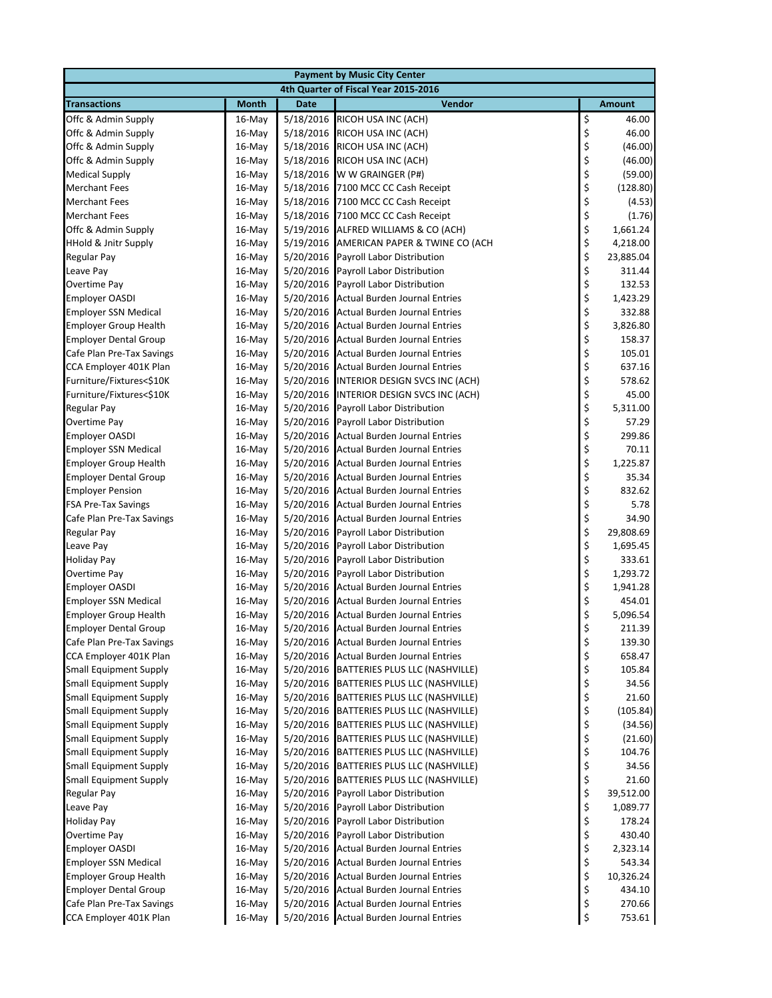| <b>Payment by Music City Center</b>                            |                  |                        |                                                                  |                  |                   |  |  |  |
|----------------------------------------------------------------|------------------|------------------------|------------------------------------------------------------------|------------------|-------------------|--|--|--|
| 4th Quarter of Fiscal Year 2015-2016                           |                  |                        |                                                                  |                  |                   |  |  |  |
| <b>Transactions</b>                                            | <b>Month</b>     | <b>Date</b>            | Vendor                                                           |                  | <b>Amount</b>     |  |  |  |
| Offc & Admin Supply                                            | 16-May           |                        | 5/18/2016 RICOH USA INC (ACH)                                    | \$               | 46.00             |  |  |  |
| Offc & Admin Supply                                            | 16-May           |                        | 5/18/2016 RICOH USA INC (ACH)                                    |                  | 46.00             |  |  |  |
| Offc & Admin Supply                                            | 16-May           | 5/18/2016              | RICOH USA INC (ACH)                                              | \$<br>\$         | (46.00)           |  |  |  |
| Offc & Admin Supply                                            | $16$ -May        | 5/18/2016              | RICOH USA INC (ACH)                                              | \$\$\$           | (46.00)           |  |  |  |
| <b>Medical Supply</b>                                          | 16-May           |                        | 5/18/2016 W W GRAINGER (P#)                                      |                  | (59.00)           |  |  |  |
| <b>Merchant Fees</b>                                           | 16-May           |                        | 5/18/2016 7100 MCC CC Cash Receipt                               |                  | (128.80)          |  |  |  |
| <b>Merchant Fees</b>                                           | $16$ -May        |                        | 5/18/2016 7100 MCC CC Cash Receipt                               | \$               | (4.53)            |  |  |  |
| <b>Merchant Fees</b>                                           | $16$ -May        |                        | 5/18/2016 7100 MCC CC Cash Receipt                               | \$               | (1.76)            |  |  |  |
| Offc & Admin Supply                                            | 16-May           |                        | 5/19/2016 ALFRED WILLIAMS & CO (ACH)                             | \$\$\$\$         | 1,661.24          |  |  |  |
| <b>HHold &amp; Jnitr Supply</b>                                | $16$ -May        |                        | 5/19/2016 AMERICAN PAPER & TWINE CO (ACH                         |                  | 4,218.00          |  |  |  |
| <b>Regular Pay</b>                                             | 16-May           |                        | 5/20/2016 Payroll Labor Distribution                             |                  | 23,885.04         |  |  |  |
| Leave Pay                                                      | $16$ -May        | 5/20/2016              | Payroll Labor Distribution                                       |                  | 311.44            |  |  |  |
| Overtime Pay                                                   | $16$ -May        | 5/20/2016              | Payroll Labor Distribution                                       |                  | 132.53            |  |  |  |
| <b>Employer OASDI</b>                                          | 16-May           |                        | 5/20/2016 Actual Burden Journal Entries                          |                  | 1,423.29          |  |  |  |
| <b>Employer SSN Medical</b>                                    | 16-May           |                        | 5/20/2016 Actual Burden Journal Entries                          |                  | 332.88            |  |  |  |
| <b>Employer Group Health</b>                                   | 16-May           |                        | 5/20/2016 Actual Burden Journal Entries                          |                  | 3,826.80          |  |  |  |
| <b>Employer Dental Group</b>                                   | 16-May           |                        | 5/20/2016 Actual Burden Journal Entries                          |                  | 158.37            |  |  |  |
| Cafe Plan Pre-Tax Savings                                      | $16$ -May        |                        | 5/20/2016 Actual Burden Journal Entries                          | \$\$\$\$\$\$     | 105.01            |  |  |  |
| CCA Employer 401K Plan                                         | $16$ -May        |                        | 5/20/2016 Actual Burden Journal Entries                          |                  | 637.16            |  |  |  |
| Furniture/Fixtures<\$10K                                       | 16-May           |                        | 5/20/2016 INTERIOR DESIGN SVCS INC (ACH)                         | \$               | 578.62            |  |  |  |
| Furniture/Fixtures<\$10K                                       | 16-May           |                        | 5/20/2016 INTERIOR DESIGN SVCS INC (ACH)                         | \$<br>\$         | 45.00             |  |  |  |
| <b>Regular Pay</b>                                             | 16-May           |                        | 5/20/2016 Payroll Labor Distribution                             |                  | 5,311.00          |  |  |  |
| Overtime Pay                                                   | 16-May           | 5/20/2016              | <b>Payroll Labor Distribution</b>                                | \$               | 57.29             |  |  |  |
| <b>Employer OASDI</b>                                          | $16$ -May        |                        | 5/20/2016 Actual Burden Journal Entries                          |                  | 299.86            |  |  |  |
| <b>Employer SSN Medical</b>                                    | $16$ -May        |                        | 5/20/2016 Actual Burden Journal Entries                          |                  | 70.11             |  |  |  |
| <b>Employer Group Health</b>                                   | 16-May           |                        | 5/20/2016 Actual Burden Journal Entries                          |                  | 1,225.87          |  |  |  |
| <b>Employer Dental Group</b>                                   | 16-May           |                        | 5/20/2016 Actual Burden Journal Entries                          |                  | 35.34             |  |  |  |
| <b>Employer Pension</b>                                        | 16-May           |                        | 5/20/2016 Actual Burden Journal Entries                          |                  | 832.62            |  |  |  |
| <b>FSA Pre-Tax Savings</b>                                     | $16$ -May        |                        | 5/20/2016 Actual Burden Journal Entries                          | \$\$\$\$\$\$\$\$ | 5.78              |  |  |  |
| Cafe Plan Pre-Tax Savings                                      | 16-May           |                        | 5/20/2016 Actual Burden Journal Entries                          |                  | 34.90             |  |  |  |
| Regular Pay                                                    | 16-May           | 5/20/2016              | Payroll Labor Distribution                                       |                  | 29,808.69         |  |  |  |
| Leave Pay                                                      | 16-May           | 5/20/2016              | Payroll Labor Distribution                                       | \$               | 1,695.45          |  |  |  |
| <b>Holiday Pay</b>                                             | 16-May           | 5/20/2016              | Payroll Labor Distribution                                       | \$               | 333.61            |  |  |  |
| Overtime Pay                                                   | 16-May           | 5/20/2016              | Payroll Labor Distribution                                       | \$               | 1,293.72          |  |  |  |
| <b>Employer OASDI</b>                                          | $16$ -May        |                        | 5/20/2016 Actual Burden Journal Entries                          | \$<br>\$         | 1,941.28          |  |  |  |
| <b>Employer SSN Medical</b>                                    | $16$ -May        |                        | 5/20/2016 Actual Burden Journal Entries                          |                  | 454.01            |  |  |  |
| <b>Employer Group Health</b>                                   | 16-May           |                        | 5/20/2016 Actual Burden Journal Entries                          | \$               | 5,096.54          |  |  |  |
| <b>Employer Dental Group</b>                                   | 16-May           |                        | 5/20/2016 Actual Burden Journal Entries                          | \$               | 211.39            |  |  |  |
| Cafe Plan Pre-Tax Savings                                      | 16-May           |                        | 5/20/2016 Actual Burden Journal Entries                          | \$<br>\$         | 139.30            |  |  |  |
| CCA Employer 401K Plan                                         | 16-May           | 5/20/2016              | <b>Actual Burden Journal Entries</b>                             |                  | 658.47            |  |  |  |
| <b>Small Equipment Supply</b>                                  | 16-May           |                        | 5/20/2016 BATTERIES PLUS LLC (NASHVILLE)                         | \$\$\$\$\$       | 105.84            |  |  |  |
| <b>Small Equipment Supply</b><br><b>Small Equipment Supply</b> | 16-May           | 5/20/2016              | BATTERIES PLUS LLC (NASHVILLE)                                   |                  | 34.56             |  |  |  |
|                                                                | 16-May           | 5/20/2016              | BATTERIES PLUS LLC (NASHVILLE)                                   |                  | 21.60<br>(105.84) |  |  |  |
| <b>Small Equipment Supply</b><br><b>Small Equipment Supply</b> | 16-May<br>16-May | 5/20/2016<br>5/20/2016 | BATTERIES PLUS LLC (NASHVILLE)<br>BATTERIES PLUS LLC (NASHVILLE) |                  | (34.56)           |  |  |  |
| <b>Small Equipment Supply</b>                                  | 16-May           | 5/20/2016              | BATTERIES PLUS LLC (NASHVILLE)                                   |                  | (21.60)           |  |  |  |
| <b>Small Equipment Supply</b>                                  | 16-May           | 5/20/2016              | BATTERIES PLUS LLC (NASHVILLE)                                   | \$<br>\$         | 104.76            |  |  |  |
| <b>Small Equipment Supply</b>                                  | 16-May           | 5/20/2016              | BATTERIES PLUS LLC (NASHVILLE)                                   |                  | 34.56             |  |  |  |
| <b>Small Equipment Supply</b>                                  | 16-May           | 5/20/2016              | BATTERIES PLUS LLC (NASHVILLE)                                   | \$\$\$\$         | 21.60             |  |  |  |
| <b>Regular Pay</b>                                             | 16-May           | 5/20/2016              | Payroll Labor Distribution                                       |                  | 39,512.00         |  |  |  |
| Leave Pay                                                      | 16-May           | 5/20/2016              | Payroll Labor Distribution                                       |                  | 1,089.77          |  |  |  |
| <b>Holiday Pay</b>                                             | 16-May           | 5/20/2016              | Payroll Labor Distribution                                       | \$               | 178.24            |  |  |  |
| Overtime Pay                                                   | 16-May           | 5/20/2016              | Payroll Labor Distribution                                       |                  | 430.40            |  |  |  |
| <b>Employer OASDI</b>                                          | 16-May           | 5/20/2016              | <b>Actual Burden Journal Entries</b>                             |                  | 2,323.14          |  |  |  |
| <b>Employer SSN Medical</b>                                    | 16-May           |                        | 5/20/2016 Actual Burden Journal Entries                          | \$\$\$\$         | 543.34            |  |  |  |
| <b>Employer Group Health</b>                                   | 16-May           |                        | 5/20/2016 Actual Burden Journal Entries                          |                  | 10,326.24         |  |  |  |
| <b>Employer Dental Group</b>                                   | 16-May           |                        | 5/20/2016 Actual Burden Journal Entries                          | \$               | 434.10            |  |  |  |
| Cafe Plan Pre-Tax Savings                                      | 16-May           |                        | 5/20/2016 Actual Burden Journal Entries                          | \$               | 270.66            |  |  |  |
| CCA Employer 401K Plan                                         | 16-May           |                        | 5/20/2016 Actual Burden Journal Entries                          | \$               | 753.61            |  |  |  |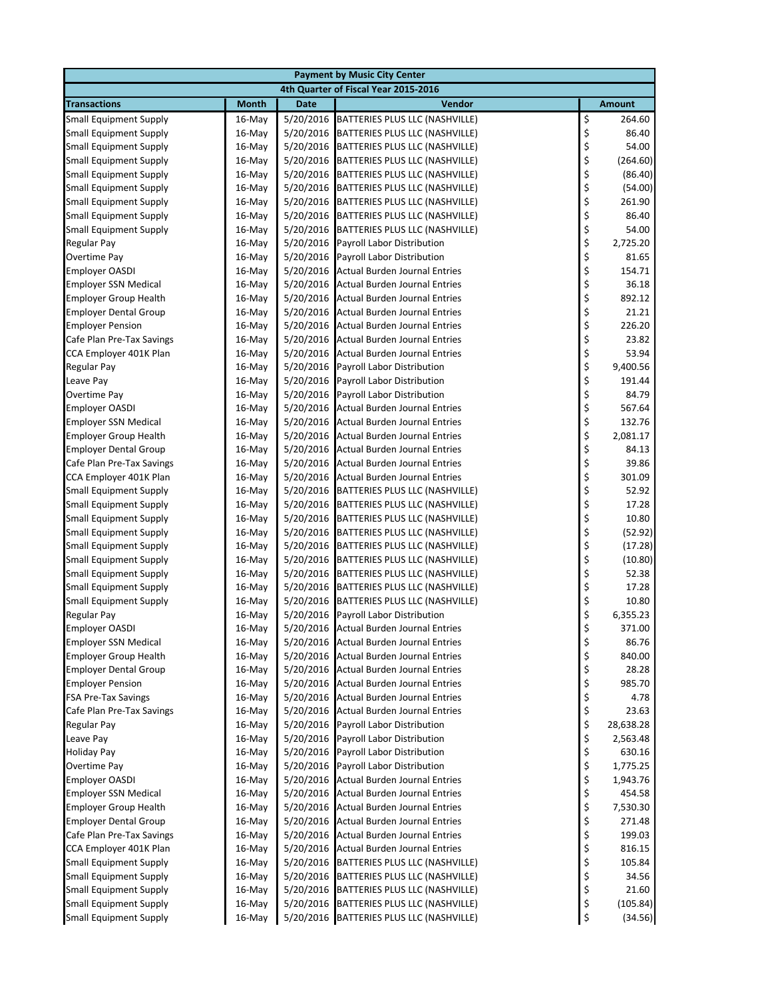| <b>Payment by Music City Center</b>                         |                     |                        |                                                                    |          |                      |  |  |
|-------------------------------------------------------------|---------------------|------------------------|--------------------------------------------------------------------|----------|----------------------|--|--|
| 4th Quarter of Fiscal Year 2015-2016                        |                     |                        |                                                                    |          |                      |  |  |
| <b>Transactions</b>                                         | <b>Month</b>        | <b>Date</b>            | <b>Vendor</b>                                                      |          | <b>Amount</b>        |  |  |
| <b>Small Equipment Supply</b>                               | $16$ -May           | 5/20/2016              | BATTERIES PLUS LLC (NASHVILLE)                                     | \$       | 264.60               |  |  |
| <b>Small Equipment Supply</b>                               | $16$ -May           | 5/20/2016              | BATTERIES PLUS LLC (NASHVILLE)                                     | \$       | 86.40                |  |  |
| <b>Small Equipment Supply</b>                               | $16$ -May           | 5/20/2016              | BATTERIES PLUS LLC (NASHVILLE)                                     | \$       | 54.00                |  |  |
| <b>Small Equipment Supply</b>                               | $16$ -May           | 5/20/2016              | BATTERIES PLUS LLC (NASHVILLE)                                     | \$       | (264.60)             |  |  |
| <b>Small Equipment Supply</b>                               | $16$ -May           | 5/20/2016              | BATTERIES PLUS LLC (NASHVILLE)                                     | \$       | (86.40)              |  |  |
| <b>Small Equipment Supply</b>                               | $16$ -May           | 5/20/2016              | BATTERIES PLUS LLC (NASHVILLE)                                     | \$       | (54.00)              |  |  |
| <b>Small Equipment Supply</b>                               | $16$ -May           | 5/20/2016              | BATTERIES PLUS LLC (NASHVILLE)                                     | \$       | 261.90               |  |  |
| <b>Small Equipment Supply</b>                               | $16$ -May           | 5/20/2016              | BATTERIES PLUS LLC (NASHVILLE)                                     | \$       | 86.40                |  |  |
| <b>Small Equipment Supply</b>                               | $16$ -May           | 5/20/2016              | BATTERIES PLUS LLC (NASHVILLE)                                     | \$       | 54.00                |  |  |
| Regular Pay                                                 | $16$ -May           | 5/20/2016              | Payroll Labor Distribution                                         | \$       | 2,725.20             |  |  |
| <b>Overtime Pay</b>                                         | $16$ -May           | 5/20/2016              | Payroll Labor Distribution                                         | \$       | 81.65                |  |  |
| <b>Employer OASDI</b>                                       | $16$ -May           | 5/20/2016              | <b>Actual Burden Journal Entries</b>                               | \$       | 154.71               |  |  |
| <b>Employer SSN Medical</b>                                 | $16$ -May           | 5/20/2016              | <b>Actual Burden Journal Entries</b>                               | \$       | 36.18                |  |  |
| <b>Employer Group Health</b>                                | $16$ -May           | 5/20/2016              | <b>Actual Burden Journal Entries</b>                               | \$       | 892.12               |  |  |
| <b>Employer Dental Group</b>                                | $16$ -May           | 5/20/2016              | <b>Actual Burden Journal Entries</b>                               | \$       | 21.21                |  |  |
| <b>Employer Pension</b>                                     | $16$ -May           |                        | 5/20/2016 Actual Burden Journal Entries                            | \$       | 226.20               |  |  |
| Cafe Plan Pre-Tax Savings                                   | $16$ -May           |                        | 5/20/2016 Actual Burden Journal Entries                            | \$       | 23.82                |  |  |
| CCA Employer 401K Plan                                      | $16$ -May           | 5/20/2016              | <b>Actual Burden Journal Entries</b>                               | \$       | 53.94                |  |  |
| <b>Regular Pay</b>                                          | $16$ -May           | 5/20/2016              | Payroll Labor Distribution                                         | \$       | 9,400.56             |  |  |
| Leave Pay                                                   | $16$ -May           | 5/20/2016              | Payroll Labor Distribution                                         | \$       | 191.44               |  |  |
| <b>Overtime Pay</b>                                         | $16$ -May           | 5/20/2016              | Payroll Labor Distribution                                         | \$       | 84.79                |  |  |
| <b>Employer OASDI</b>                                       | $16$ -May           | 5/20/2016              | Actual Burden Journal Entries                                      | \$       | 567.64               |  |  |
| <b>Employer SSN Medical</b>                                 | $16$ -May           | 5/20/2016              | <b>Actual Burden Journal Entries</b>                               | \$       | 132.76               |  |  |
| <b>Employer Group Health</b>                                | $16$ -May           | 5/20/2016              | Actual Burden Journal Entries                                      | \$       | 2,081.17             |  |  |
| <b>Employer Dental Group</b>                                | $16$ -May           | 5/20/2016              | <b>Actual Burden Journal Entries</b>                               | \$       | 84.13                |  |  |
| Cafe Plan Pre-Tax Savings                                   | $16$ -May           | 5/20/2016              | <b>Actual Burden Journal Entries</b>                               | \$       | 39.86                |  |  |
| CCA Employer 401K Plan                                      | $16$ -May           |                        | 5/20/2016 Actual Burden Journal Entries                            | \$       | 301.09               |  |  |
| <b>Small Equipment Supply</b>                               | $16$ -May           |                        | 5/20/2016 BATTERIES PLUS LLC (NASHVILLE)                           | \$       | 52.92                |  |  |
| <b>Small Equipment Supply</b>                               | $16$ -May           |                        | 5/20/2016 BATTERIES PLUS LLC (NASHVILLE)                           | \$       | 17.28                |  |  |
| <b>Small Equipment Supply</b>                               | $16$ -May           | 5/20/2016              | BATTERIES PLUS LLC (NASHVILLE)                                     | \$       | 10.80                |  |  |
| <b>Small Equipment Supply</b>                               | $16$ -May           | 5/20/2016              | BATTERIES PLUS LLC (NASHVILLE)                                     | \$       | (52.92)              |  |  |
| <b>Small Equipment Supply</b>                               | $16$ -May           | 5/20/2016              | BATTERIES PLUS LLC (NASHVILLE)                                     | \$       | (17.28)              |  |  |
| <b>Small Equipment Supply</b>                               | $16$ -May           | 5/20/2016              | BATTERIES PLUS LLC (NASHVILLE)                                     | \$       | (10.80)              |  |  |
| <b>Small Equipment Supply</b>                               | $16$ -May           | 5/20/2016              | BATTERIES PLUS LLC (NASHVILLE)                                     | \$       | 52.38                |  |  |
| <b>Small Equipment Supply</b>                               | $16$ -May           | 5/20/2016              | BATTERIES PLUS LLC (NASHVILLE)                                     | \$       | 17.28                |  |  |
| <b>Small Equipment Supply</b>                               | $16$ -May           | 5/20/2016              | BATTERIES PLUS LLC (NASHVILLE)                                     | \$       | 10.80                |  |  |
| Regular Pay                                                 | $16$ -May           | 5/20/2016              | Payroll Labor Distribution                                         | \$       | 6,355.23             |  |  |
| <b>Employer OASDI</b>                                       | $16$ -May           |                        | 5/20/2016 Actual Burden Journal Entries                            | \$       | 371.00               |  |  |
| <b>Employer SSN Medical</b>                                 | 16-May              | 5/20/2016              | <b>Actual Burden Journal Entries</b>                               | \$       | 86.76                |  |  |
| <b>Employer Group Health</b>                                | $16$ -May           | 5/20/2016              | <b>Actual Burden Journal Entries</b>                               | \$       | 840.00               |  |  |
| <b>Employer Dental Group</b>                                | 16-May              |                        | 5/20/2016 Actual Burden Journal Entries                            | \$       | 28.28                |  |  |
| <b>Employer Pension</b>                                     | 16-May              |                        | 5/20/2016 Actual Burden Journal Entries                            | \$       | 985.70               |  |  |
| <b>FSA Pre-Tax Savings</b>                                  | 16-May              | 5/20/2016              | <b>Actual Burden Journal Entries</b>                               | \$       | 4.78                 |  |  |
| Cafe Plan Pre-Tax Savings                                   | 16-May              |                        | 5/20/2016 Actual Burden Journal Entries                            | \$       | 23.63<br>28,638.28   |  |  |
| <b>Regular Pay</b>                                          | 16-May              | 5/20/2016              | Payroll Labor Distribution                                         | \$       | 2,563.48             |  |  |
| Leave Pay<br><b>Holiday Pay</b>                             | 16-May              | 5/20/2016<br>5/20/2016 | Payroll Labor Distribution                                         | \$       |                      |  |  |
| Overtime Pay                                                | 16-May              |                        | Payroll Labor Distribution                                         | \$<br>\$ | 630.16               |  |  |
|                                                             | $16$ -May           | 5/20/2016<br>5/20/2016 | Payroll Labor Distribution<br><b>Actual Burden Journal Entries</b> |          | 1,775.25<br>1,943.76 |  |  |
| <b>Employer OASDI</b>                                       | 16-May              |                        | 5/20/2016 Actual Burden Journal Entries                            | \$<br>\$ | 454.58               |  |  |
| <b>Employer SSN Medical</b><br><b>Employer Group Health</b> | 16-May<br>$16$ -May | 5/20/2016              | <b>Actual Burden Journal Entries</b>                               | \$       | 7,530.30             |  |  |
| <b>Employer Dental Group</b>                                |                     |                        | <b>Actual Burden Journal Entries</b>                               | \$       | 271.48               |  |  |
| Cafe Plan Pre-Tax Savings                                   | 16-May<br>16-May    | 5/20/2016              | 5/20/2016 Actual Burden Journal Entries                            | \$       | 199.03               |  |  |
| CCA Employer 401K Plan                                      | 16-May              | 5/20/2016              | <b>Actual Burden Journal Entries</b>                               | \$       | 816.15               |  |  |
| <b>Small Equipment Supply</b>                               | 16-May              |                        | 5/20/2016 BATTERIES PLUS LLC (NASHVILLE)                           | \$       | 105.84               |  |  |
| <b>Small Equipment Supply</b>                               | 16-May              |                        | 5/20/2016 BATTERIES PLUS LLC (NASHVILLE)                           | \$       | 34.56                |  |  |
| <b>Small Equipment Supply</b>                               | 16-May              |                        | 5/20/2016 BATTERIES PLUS LLC (NASHVILLE)                           | \$       | 21.60                |  |  |
| <b>Small Equipment Supply</b>                               | 16-May              |                        | 5/20/2016 BATTERIES PLUS LLC (NASHVILLE)                           | \$       | (105.84)             |  |  |
| <b>Small Equipment Supply</b>                               | 16-May              |                        | 5/20/2016 BATTERIES PLUS LLC (NASHVILLE)                           | \$       | (34.56)              |  |  |
|                                                             |                     |                        |                                                                    |          |                      |  |  |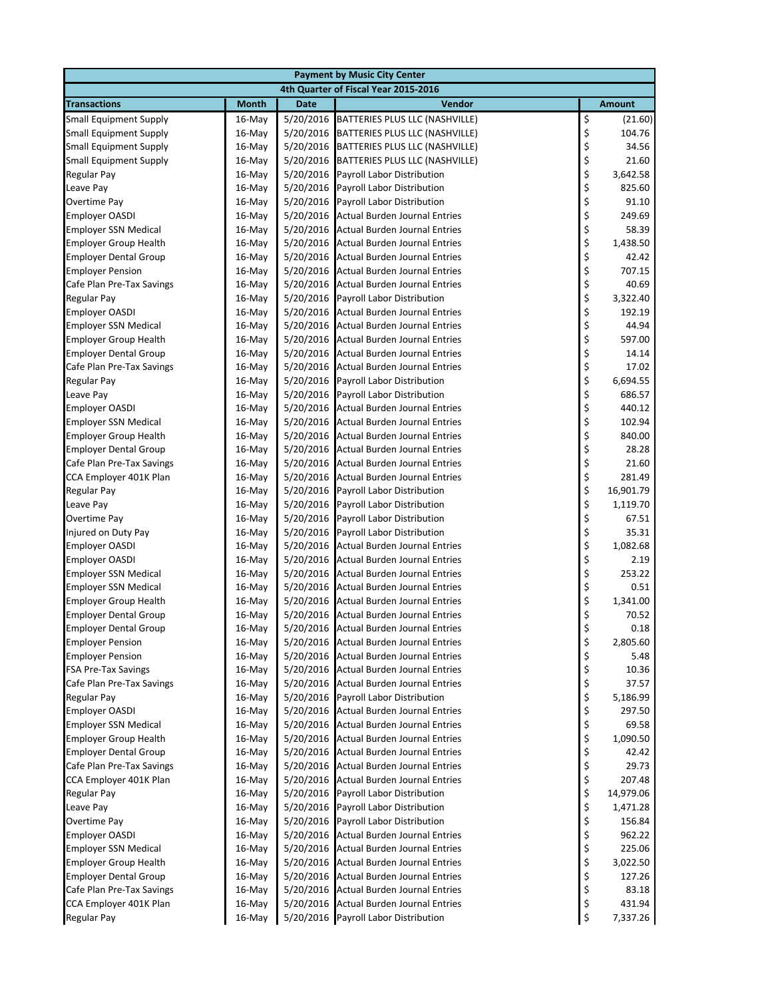| <b>Payment by Music City Center</b>         |                  |                        |                                                                              |                                |                 |  |  |
|---------------------------------------------|------------------|------------------------|------------------------------------------------------------------------------|--------------------------------|-----------------|--|--|
|                                             |                  |                        | 4th Quarter of Fiscal Year 2015-2016                                         |                                |                 |  |  |
| <b>Transactions</b>                         | <b>Month</b>     | <b>Date</b>            | Vendor                                                                       |                                | <b>Amount</b>   |  |  |
| <b>Small Equipment Supply</b>               | $16$ -May        | 5/20/2016              | BATTERIES PLUS LLC (NASHVILLE)                                               | $\boldsymbol{\dot{\varsigma}}$ | (21.60)         |  |  |
| <b>Small Equipment Supply</b>               | 16-May           | 5/20/2016              | BATTERIES PLUS LLC (NASHVILLE)                                               | \$                             | 104.76          |  |  |
| <b>Small Equipment Supply</b>               | $16$ -May        | 5/20/2016              | BATTERIES PLUS LLC (NASHVILLE)                                               | \$                             | 34.56           |  |  |
| <b>Small Equipment Supply</b>               | $16$ -May        | 5/20/2016              | BATTERIES PLUS LLC (NASHVILLE)                                               | \$                             | 21.60           |  |  |
| <b>Regular Pay</b>                          | $16$ -May        | 5/20/2016              | Payroll Labor Distribution                                                   | \$                             | 3,642.58        |  |  |
| Leave Pay                                   | 16-May           | 5/20/2016              | Payroll Labor Distribution                                                   | \$                             | 825.60          |  |  |
| Overtime Pay                                | 16-May           | 5/20/2016              | Payroll Labor Distribution                                                   | \$                             | 91.10           |  |  |
| <b>Employer OASDI</b>                       | $16$ -May        | 5/20/2016              | <b>Actual Burden Journal Entries</b>                                         | \$                             | 249.69          |  |  |
| <b>Employer SSN Medical</b>                 | 16-May           | 5/20/2016              | <b>Actual Burden Journal Entries</b>                                         | \$                             | 58.39           |  |  |
| <b>Employer Group Health</b>                | 16-May           | 5/20/2016              | <b>Actual Burden Journal Entries</b>                                         | \$                             | 1,438.50        |  |  |
| <b>Employer Dental Group</b>                | 16-May           | 5/20/2016              | <b>Actual Burden Journal Entries</b>                                         | \$                             | 42.42           |  |  |
| <b>Employer Pension</b>                     | 16-May           | 5/20/2016              | <b>Actual Burden Journal Entries</b>                                         | \$                             | 707.15          |  |  |
| Cafe Plan Pre-Tax Savings                   | 16-May           | 5/20/2016              | <b>Actual Burden Journal Entries</b>                                         | \$                             | 40.69           |  |  |
| <b>Regular Pay</b>                          | 16-May           | 5/20/2016              | Payroll Labor Distribution                                                   | \$                             | 3,322.40        |  |  |
| <b>Employer OASDI</b>                       | $16$ -May        | 5/20/2016              | <b>Actual Burden Journal Entries</b>                                         | \$                             | 192.19          |  |  |
| <b>Employer SSN Medical</b>                 | 16-May           | 5/20/2016              | <b>Actual Burden Journal Entries</b>                                         | \$                             | 44.94           |  |  |
| <b>Employer Group Health</b>                | 16-May           | 5/20/2016              | <b>Actual Burden Journal Entries</b>                                         | \$                             | 597.00          |  |  |
| <b>Employer Dental Group</b>                | 16-May           | 5/20/2016              | <b>Actual Burden Journal Entries</b>                                         | \$                             | 14.14           |  |  |
| Cafe Plan Pre-Tax Savings                   | 16-May           | 5/20/2016              | <b>Actual Burden Journal Entries</b>                                         | \$                             | 17.02           |  |  |
| <b>Regular Pay</b>                          | 16-May           | 5/20/2016              | Payroll Labor Distribution                                                   | \$                             | 6,694.55        |  |  |
| Leave Pay                                   | $16$ -May        | 5/20/2016              | Payroll Labor Distribution                                                   | \$                             | 686.57          |  |  |
| <b>Employer OASDI</b>                       | $16$ -May        | 5/20/2016              | <b>Actual Burden Journal Entries</b>                                         | \$                             | 440.12          |  |  |
| <b>Employer SSN Medical</b>                 | 16-May           | 5/20/2016              | <b>Actual Burden Journal Entries</b>                                         | \$                             | 102.94          |  |  |
| <b>Employer Group Health</b>                | $16$ -May        | 5/20/2016              | <b>Actual Burden Journal Entries</b>                                         | \$                             | 840.00          |  |  |
| <b>Employer Dental Group</b>                | $16$ -May        | 5/20/2016              | <b>Actual Burden Journal Entries</b>                                         | \$                             | 28.28           |  |  |
| Cafe Plan Pre-Tax Savings                   | $16$ -May        | 5/20/2016              | <b>Actual Burden Journal Entries</b>                                         | \$                             | 21.60           |  |  |
| CCA Employer 401K Plan                      | 16-May           | 5/20/2016              | <b>Actual Burden Journal Entries</b>                                         | \$                             | 281.49          |  |  |
| Regular Pay                                 | 16-May           | 5/20/2016              | Payroll Labor Distribution                                                   | \$                             | 16,901.79       |  |  |
| Leave Pay                                   | $16$ -May        | 5/20/2016              | Payroll Labor Distribution                                                   | \$                             | 1,119.70        |  |  |
| <b>Overtime Pay</b>                         | $16$ -May        | 5/20/2016              | Payroll Labor Distribution                                                   | \$                             | 67.51           |  |  |
| Injured on Duty Pay                         | 16-May           | 5/20/2016              | Payroll Labor Distribution                                                   | \$                             | 35.31           |  |  |
| <b>Employer OASDI</b>                       | $16$ -May        | 5/20/2016              | <b>Actual Burden Journal Entries</b>                                         | \$                             | 1,082.68        |  |  |
| <b>Employer OASDI</b>                       | $16$ -May        | 5/20/2016              | <b>Actual Burden Journal Entries</b>                                         | \$                             | 2.19            |  |  |
| <b>Employer SSN Medical</b>                 | 16-May           | 5/20/2016              | <b>Actual Burden Journal Entries</b>                                         | \$                             | 253.22          |  |  |
| <b>Employer SSN Medical</b>                 | $16$ -May        | 5/20/2016              | <b>Actual Burden Journal Entries</b>                                         | \$                             | 0.51            |  |  |
| <b>Employer Group Health</b>                | $16$ -May        | 5/20/2016              | <b>Actual Burden Journal Entries</b>                                         | \$                             | 1,341.00        |  |  |
| <b>Employer Dental Group</b>                | $16$ -May        | 5/20/2016              | <b>Actual Burden Journal Entries</b>                                         | \$                             | 70.52           |  |  |
| <b>Employer Dental Group</b>                | $16$ -May        |                        | 5/20/2016 Actual Burden Journal Entries                                      | \$                             | 0.18            |  |  |
| <b>Employer Pension</b>                     | 16-May           | 5/20/2016              | <b>Actual Burden Journal Entries</b>                                         | \$                             | 2,805.60        |  |  |
| <b>Employer Pension</b>                     | 16-May           | 5/20/2016              | <b>Actual Burden Journal Entries</b>                                         | \$                             | 5.48            |  |  |
| <b>FSA Pre-Tax Savings</b>                  | 16-May           | 5/20/2016              | <b>Actual Burden Journal Entries</b>                                         | \$                             | 10.36           |  |  |
| Cafe Plan Pre-Tax Savings                   | 16-May<br>16-May | 5/20/2016              | <b>Actual Burden Journal Entries</b><br>Payroll Labor Distribution           | \$                             | 37.57           |  |  |
| <b>Regular Pay</b><br><b>Employer OASDI</b> |                  | 5/20/2016              |                                                                              | \$                             | 5,186.99        |  |  |
| <b>Employer SSN Medical</b>                 | 16-May<br>16-May | 5/20/2016<br>5/20/2016 | <b>Actual Burden Journal Entries</b><br><b>Actual Burden Journal Entries</b> | \$<br>\$                       | 297.50<br>69.58 |  |  |
| <b>Employer Group Health</b>                | 16-May           | 5/20/2016              | <b>Actual Burden Journal Entries</b>                                         | \$                             | 1,090.50        |  |  |
| <b>Employer Dental Group</b>                | 16-May           | 5/20/2016              | <b>Actual Burden Journal Entries</b>                                         | \$                             | 42.42           |  |  |
| Cafe Plan Pre-Tax Savings                   | 16-May           | 5/20/2016              | <b>Actual Burden Journal Entries</b>                                         | \$                             | 29.73           |  |  |
| CCA Employer 401K Plan                      | 16-May           | 5/20/2016              | <b>Actual Burden Journal Entries</b>                                         | \$                             | 207.48          |  |  |
| Regular Pay                                 | 16-May           | 5/20/2016              | Payroll Labor Distribution                                                   | \$                             | 14,979.06       |  |  |
| Leave Pay                                   | 16-May           | 5/20/2016              | Payroll Labor Distribution                                                   | \$                             | 1,471.28        |  |  |
| Overtime Pay                                | 16-May           | 5/20/2016              | Payroll Labor Distribution                                                   | \$                             | 156.84          |  |  |
| <b>Employer OASDI</b>                       | 16-May           | 5/20/2016              | <b>Actual Burden Journal Entries</b>                                         | \$                             | 962.22          |  |  |
| <b>Employer SSN Medical</b>                 | 16-May           | 5/20/2016              | <b>Actual Burden Journal Entries</b>                                         | \$                             | 225.06          |  |  |
| <b>Employer Group Health</b>                | 16-May           | 5/20/2016              | <b>Actual Burden Journal Entries</b>                                         | \$                             | 3,022.50        |  |  |
| <b>Employer Dental Group</b>                | 16-May           | 5/20/2016              | <b>Actual Burden Journal Entries</b>                                         | \$                             | 127.26          |  |  |
| Cafe Plan Pre-Tax Savings                   | 16-May           | 5/20/2016              | <b>Actual Burden Journal Entries</b>                                         | \$                             | 83.18           |  |  |
| CCA Employer 401K Plan                      | 16-May           | 5/20/2016              | <b>Actual Burden Journal Entries</b>                                         | \$                             | 431.94          |  |  |
| <b>Regular Pay</b>                          | 16-May           |                        | 5/20/2016 Payroll Labor Distribution                                         | \$                             | 7,337.26        |  |  |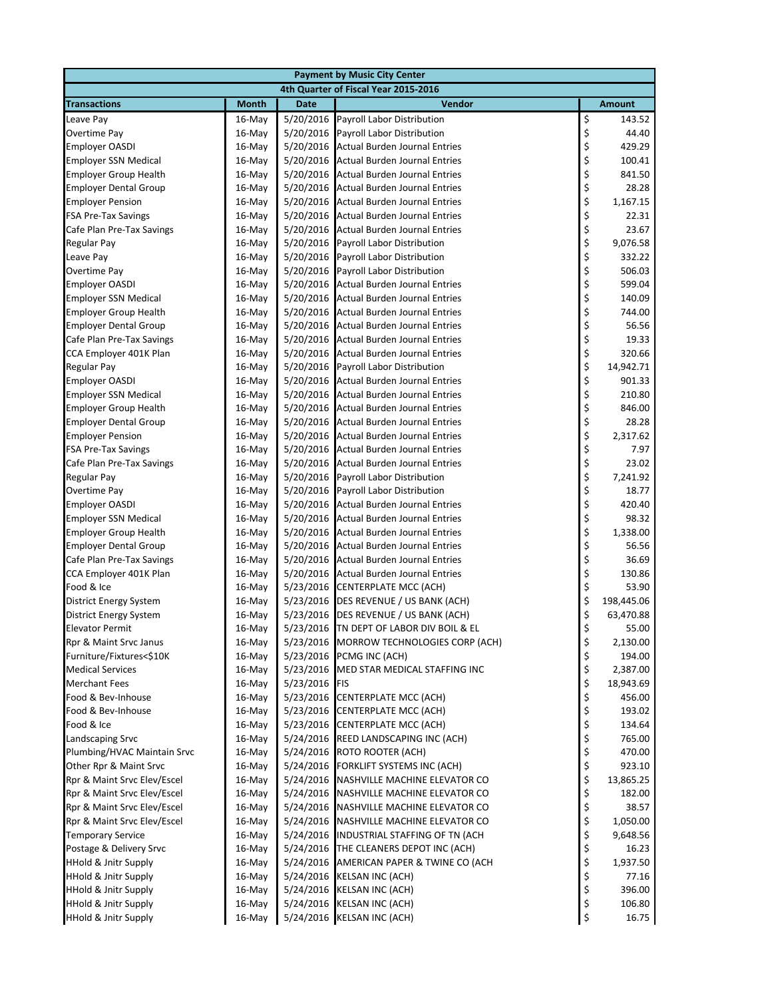| <b>Payment by Music City Center</b> |              |             |                                                          |          |               |  |  |
|-------------------------------------|--------------|-------------|----------------------------------------------------------|----------|---------------|--|--|
|                                     |              |             | 4th Quarter of Fiscal Year 2015-2016                     |          |               |  |  |
| <b>Transactions</b>                 | <b>Month</b> | <b>Date</b> | Vendor                                                   |          | <b>Amount</b> |  |  |
| Leave Pay                           | $16$ -May    | 5/20/2016   | Payroll Labor Distribution                               | \$       | 143.52        |  |  |
| Overtime Pay                        | $16$ -May    | 5/20/2016   | Payroll Labor Distribution                               | \$       | 44.40         |  |  |
| <b>Employer OASDI</b>               | $16$ -May    | 5/20/2016   | <b>Actual Burden Journal Entries</b>                     | \$       | 429.29        |  |  |
| <b>Employer SSN Medical</b>         | $16$ -May    | 5/20/2016   | <b>Actual Burden Journal Entries</b>                     | \$       | 100.41        |  |  |
| <b>Employer Group Health</b>        | $16$ -May    | 5/20/2016   | <b>Actual Burden Journal Entries</b>                     | \$       | 841.50        |  |  |
| <b>Employer Dental Group</b>        | 16-May       | 5/20/2016   | <b>Actual Burden Journal Entries</b>                     | \$       | 28.28         |  |  |
| <b>Employer Pension</b>             | $16$ -May    | 5/20/2016   | <b>Actual Burden Journal Entries</b>                     | \$       | 1,167.15      |  |  |
| <b>FSA Pre-Tax Savings</b>          | $16$ -May    | 5/20/2016   | <b>Actual Burden Journal Entries</b>                     | \$       | 22.31         |  |  |
| Cafe Plan Pre-Tax Savings           | $16$ -May    | 5/20/2016   | <b>Actual Burden Journal Entries</b>                     | \$       | 23.67         |  |  |
| Regular Pay                         | $16$ -May    | 5/20/2016   | Payroll Labor Distribution                               | \$       | 9,076.58      |  |  |
| Leave Pay                           | $16$ -May    | 5/20/2016   | Payroll Labor Distribution                               | \$       | 332.22        |  |  |
| Overtime Pay                        | $16$ -May    | 5/20/2016   | Payroll Labor Distribution                               | \$       | 506.03        |  |  |
| <b>Employer OASDI</b>               | $16$ -May    | 5/20/2016   | <b>Actual Burden Journal Entries</b>                     | \$       | 599.04        |  |  |
| <b>Employer SSN Medical</b>         | $16$ -May    | 5/20/2016   | <b>Actual Burden Journal Entries</b>                     | \$       | 140.09        |  |  |
| <b>Employer Group Health</b>        | $16$ -May    | 5/20/2016   | <b>Actual Burden Journal Entries</b>                     | \$       | 744.00        |  |  |
| <b>Employer Dental Group</b>        | $16$ -May    | 5/20/2016   | <b>Actual Burden Journal Entries</b>                     | \$       | 56.56         |  |  |
| Cafe Plan Pre-Tax Savings           | $16$ -May    | 5/20/2016   | <b>Actual Burden Journal Entries</b>                     | \$       | 19.33         |  |  |
| CCA Employer 401K Plan              | $16$ -May    | 5/20/2016   | <b>Actual Burden Journal Entries</b>                     | \$       | 320.66        |  |  |
| <b>Regular Pay</b>                  | $16$ -May    | 5/20/2016   | Payroll Labor Distribution                               | \$       | 14,942.71     |  |  |
| <b>Employer OASDI</b>               | $16$ -May    | 5/20/2016   | <b>Actual Burden Journal Entries</b>                     | \$       | 901.33        |  |  |
| <b>Employer SSN Medical</b>         | $16$ -May    | 5/20/2016   | <b>Actual Burden Journal Entries</b>                     | \$       | 210.80        |  |  |
| <b>Employer Group Health</b>        | $16$ -May    | 5/20/2016   | <b>Actual Burden Journal Entries</b>                     | \$       | 846.00        |  |  |
| <b>Employer Dental Group</b>        | $16$ -May    | 5/20/2016   | <b>Actual Burden Journal Entries</b>                     | \$       | 28.28         |  |  |
| <b>Employer Pension</b>             | $16$ -May    | 5/20/2016   | <b>Actual Burden Journal Entries</b>                     | \$       | 2,317.62      |  |  |
| <b>FSA Pre-Tax Savings</b>          | $16$ -May    | 5/20/2016   | <b>Actual Burden Journal Entries</b>                     | \$       | 7.97          |  |  |
| Cafe Plan Pre-Tax Savings           | $16$ -May    | 5/20/2016   | <b>Actual Burden Journal Entries</b>                     | \$       | 23.02         |  |  |
| <b>Regular Pay</b>                  | $16$ -May    | 5/20/2016   | Payroll Labor Distribution                               | \$       | 7,241.92      |  |  |
| Overtime Pay                        | $16$ -May    | 5/20/2016   | Payroll Labor Distribution                               | \$       | 18.77         |  |  |
| <b>Employer OASDI</b>               | $16$ -May    | 5/20/2016   | <b>Actual Burden Journal Entries</b>                     | \$       | 420.40        |  |  |
| <b>Employer SSN Medical</b>         | $16$ -May    | 5/20/2016   | <b>Actual Burden Journal Entries</b>                     | \$       | 98.32         |  |  |
| <b>Employer Group Health</b>        | 16-May       | 5/20/2016   | <b>Actual Burden Journal Entries</b>                     | \$       | 1,338.00      |  |  |
| <b>Employer Dental Group</b>        | $16$ -May    | 5/20/2016   | <b>Actual Burden Journal Entries</b>                     | \$       | 56.56         |  |  |
| Cafe Plan Pre-Tax Savings           | $16$ -May    | 5/20/2016   | <b>Actual Burden Journal Entries</b>                     | \$       | 36.69         |  |  |
| CCA Employer 401K Plan              | 16-May       | 5/20/2016   | <b>Actual Burden Journal Entries</b>                     | \$       | 130.86        |  |  |
| Food & Ice                          | $16$ -May    | 5/23/2016   | CENTERPLATE MCC (ACH)                                    | \$       | 53.90         |  |  |
| <b>District Energy System</b>       | $16$ -May    |             | 5/23/2016 DES REVENUE / US BANK (ACH)                    | \$       | 198,445.06    |  |  |
| <b>District Energy System</b>       | $16$ -May    | 5/23/2016   | DES REVENUE / US BANK (ACH)                              | \$       | 63,470.88     |  |  |
| <b>Elevator Permit</b>              | $16$ -May    |             | 5/23/2016 TN DEPT OF LABOR DIV BOIL & EL                 | \$       | 55.00         |  |  |
| Rpr & Maint Srvc Janus              | 16-May       |             | 5/23/2016 MORROW TECHNOLOGIES CORP (ACH)                 | \$       | 2,130.00      |  |  |
| Furniture/Fixtures<\$10K            | 16-May       |             | 5/23/2016 PCMG INC (ACH)                                 | \$       | 194.00        |  |  |
| <b>Medical Services</b>             | 16-May       | 5/23/2016   | MED STAR MEDICAL STAFFING INC                            | \$       | 2,387.00      |  |  |
| <b>Merchant Fees</b>                | 16-May       | 5/23/2016   | FIS                                                      | \$       | 18,943.69     |  |  |
| Food & Bev-Inhouse                  | $16$ -May    | 5/23/2016   | <b>CENTERPLATE MCC (ACH)</b>                             | \$       | 456.00        |  |  |
| Food & Bev-Inhouse                  | 16-May       | 5/23/2016   | <b>CENTERPLATE MCC (ACH)</b>                             | \$       | 193.02        |  |  |
| Food & Ice                          | 16-May       | 5/23/2016   | <b>CENTERPLATE MCC (ACH)</b>                             | \$       | 134.64        |  |  |
| Landscaping Srvc                    | 16-May       | 5/24/2016   | REED LANDSCAPING INC (ACH)                               | \$       | 765.00        |  |  |
| Plumbing/HVAC Maintain Srvc         | 16-May       | 5/24/2016   | ROTO ROOTER (ACH)                                        | \$       | 470.00        |  |  |
| Other Rpr & Maint Srvc              | 16-May       | 5/24/2016   | FORKLIFT SYSTEMS INC (ACH)                               | \$       | 923.10        |  |  |
| Rpr & Maint Srvc Elev/Escel         | 16-May       | 5/24/2016   | NASHVILLE MACHINE ELEVATOR CO                            | \$       | 13,865.25     |  |  |
| Rpr & Maint Srvc Elev/Escel         | 16-May       | 5/24/2016   | NASHVILLE MACHINE ELEVATOR CO                            | \$       | 182.00        |  |  |
| Rpr & Maint Srvc Elev/Escel         | 16-May       |             | 5/24/2016 NASHVILLE MACHINE ELEVATOR CO                  | \$       | 38.57         |  |  |
| Rpr & Maint Srvc Elev/Escel         | 16-May       | 5/24/2016   | NASHVILLE MACHINE ELEVATOR CO                            | \$       | 1,050.00      |  |  |
| <b>Temporary Service</b>            | 16-May       | 5/24/2016   | INDUSTRIAL STAFFING OF TN (ACH                           | \$       | 9,648.56      |  |  |
| Postage & Delivery Srvc             | $16$ -May    | 5/24/2016   | THE CLEANERS DEPOT INC (ACH)                             | \$<br>\$ | 16.23         |  |  |
| HHold & Jnitr Supply                | 16-May       |             | 5/24/2016 AMERICAN PAPER & TWINE CO (ACH                 | \$       | 1,937.50      |  |  |
| <b>HHold &amp; Jnitr Supply</b>     | 16-May       |             | 5/24/2016 KELSAN INC (ACH)<br>5/24/2016 KELSAN INC (ACH) |          | 77.16         |  |  |
| <b>HHold &amp; Jnitr Supply</b>     | 16-May       |             |                                                          | \$<br>\$ | 396.00        |  |  |
| <b>HHold &amp; Jnitr Supply</b>     | 16-May       |             | 5/24/2016 KELSAN INC (ACH)                               | \$       | 106.80        |  |  |
| <b>HHold &amp; Jnitr Supply</b>     | 16-May       |             | 5/24/2016 KELSAN INC (ACH)                               |          | 16.75         |  |  |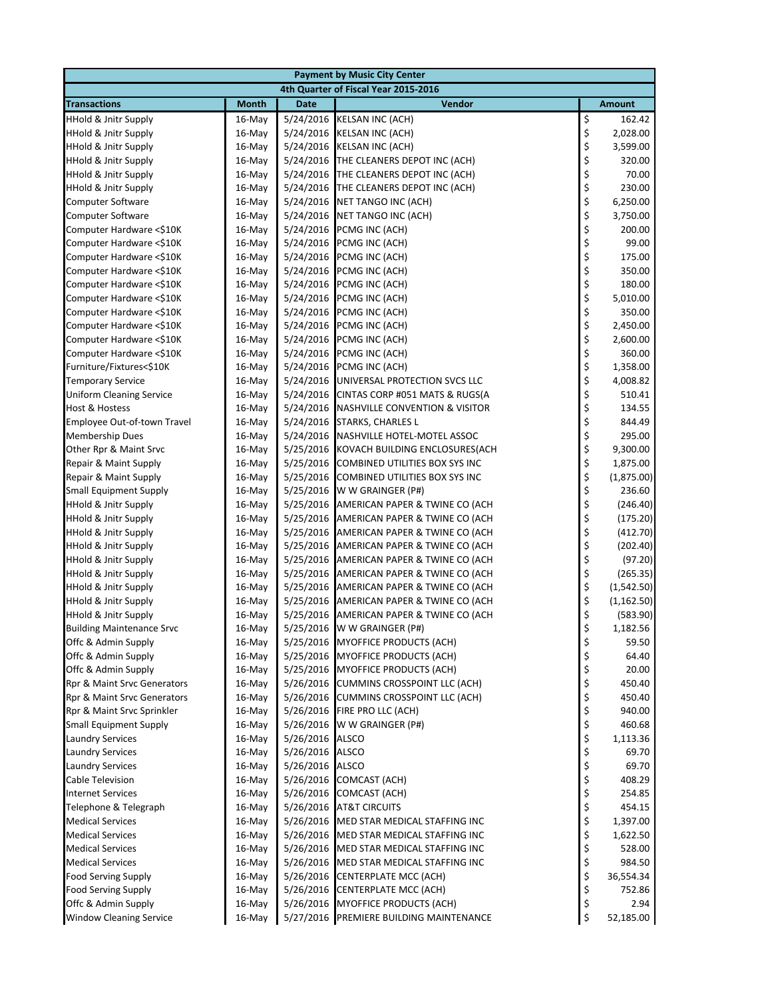| <b>Payment by Music City Center</b>                  |                  |                        |                                                           |          |                      |  |  |
|------------------------------------------------------|------------------|------------------------|-----------------------------------------------------------|----------|----------------------|--|--|
|                                                      |                  |                        | 4th Quarter of Fiscal Year 2015-2016                      |          |                      |  |  |
| <b>Transactions</b>                                  | <b>Month</b>     | <b>Date</b>            | <b>Vendor</b>                                             |          | <b>Amount</b>        |  |  |
| <b>HHold &amp; Jnitr Supply</b>                      | $16$ -May        | 5/24/2016              | <b>KELSAN INC (ACH)</b>                                   | \$       | 162.42               |  |  |
| <b>HHold &amp; Jnitr Supply</b>                      | $16$ -May        | 5/24/2016              | <b>KELSAN INC (ACH)</b>                                   | \$       | 2,028.00             |  |  |
| <b>HHold &amp; Jnitr Supply</b>                      | 16-May           | 5/24/2016              | <b>KELSAN INC (ACH)</b>                                   | \$       | 3,599.00             |  |  |
| <b>HHold &amp; Jnitr Supply</b>                      | $16$ -May        | 5/24/2016              | THE CLEANERS DEPOT INC (ACH)                              | \$       | 320.00               |  |  |
| <b>HHold &amp; Jnitr Supply</b>                      | 16-May           | 5/24/2016              | THE CLEANERS DEPOT INC (ACH)                              | \$       | 70.00                |  |  |
| <b>HHold &amp; Jnitr Supply</b>                      | 16-May           | 5/24/2016              | THE CLEANERS DEPOT INC (ACH)                              | \$       | 230.00               |  |  |
| <b>Computer Software</b>                             | 16-May           | 5/24/2016              | NET TANGO INC (ACH)                                       | \$       | 6,250.00             |  |  |
| <b>Computer Software</b>                             | $16$ -May        | 5/24/2016              | NET TANGO INC (ACH)                                       | \$       | 3,750.00             |  |  |
| Computer Hardware <\$10K                             | 16-May           | 5/24/2016              | PCMG INC (ACH)                                            | \$       | 200.00               |  |  |
| Computer Hardware <\$10K                             | 16-May           | 5/24/2016              | PCMG INC (ACH)                                            | \$<br>\$ | 99.00                |  |  |
| Computer Hardware <\$10K                             | 16-May           | 5/24/2016              | PCMG INC (ACH)                                            |          | 175.00               |  |  |
| Computer Hardware <\$10K                             | 16-May           | 5/24/2016              | PCMG INC (ACH)                                            | \$\$\$   | 350.00               |  |  |
| Computer Hardware <\$10K                             | 16-May           | 5/24/2016              | PCMG INC (ACH)                                            |          | 180.00               |  |  |
| Computer Hardware <\$10K                             | 16-May           | 5/24/2016              | PCMG INC (ACH)                                            | \$       | 5,010.00             |  |  |
| Computer Hardware <\$10K                             | $16$ -May        | 5/24/2016              | PCMG INC (ACH)<br>PCMG INC (ACH)                          |          | 350.00               |  |  |
| Computer Hardware <\$10K<br>Computer Hardware <\$10K | 16-May<br>16-May | 5/24/2016<br>5/24/2016 | PCMG INC (ACH)                                            | \$<br>\$ | 2,450.00<br>2,600.00 |  |  |
| Computer Hardware <\$10K                             | 16-May           | 5/24/2016              | PCMG INC (ACH)                                            | \$       | 360.00               |  |  |
| Furniture/Fixtures<\$10K                             | $16$ -May        | 5/24/2016              | PCMG INC (ACH)                                            | \$       | 1,358.00             |  |  |
| <b>Temporary Service</b>                             | 16-May           | 5/24/2016              | UNIVERSAL PROTECTION SVCS LLC                             | \$       | 4,008.82             |  |  |
| <b>Uniform Cleaning Service</b>                      | 16-May           | 5/24/2016              | CINTAS CORP #051 MATS & RUGS(A                            | \$       | 510.41               |  |  |
| Host & Hostess                                       | 16-May           | 5/24/2016              | <b>NASHVILLE CONVENTION &amp; VISITOR</b>                 | \$       | 134.55               |  |  |
| Employee Out-of-town Travel                          | $16$ -May        | 5/24/2016              | <b>STARKS, CHARLES L</b>                                  | \$       | 844.49               |  |  |
| <b>Membership Dues</b>                               | $16$ -May        | 5/24/2016              | NASHVILLE HOTEL-MOTEL ASSOC                               | \$       | 295.00               |  |  |
| Other Rpr & Maint Srvc                               | $16$ -May        | 5/25/2016              | KOVACH BUILDING ENCLOSURES(ACH                            | \$       | 9,300.00             |  |  |
| Repair & Maint Supply                                | $16$ -May        | 5/25/2016              | COMBINED UTILITIES BOX SYS INC                            | \$       | 1,875.00             |  |  |
| Repair & Maint Supply                                | 16-May           | 5/25/2016              | COMBINED UTILITIES BOX SYS INC                            | \$       | (1,875.00)           |  |  |
| <b>Small Equipment Supply</b>                        | 16-May           | 5/25/2016              | W W GRAINGER (P#)                                         | \$       | 236.60               |  |  |
| <b>HHold &amp; Jnitr Supply</b>                      | 16-May           | 5/25/2016              | AMERICAN PAPER & TWINE CO (ACH                            |          | (246.40)             |  |  |
| HHold & Jnitr Supply                                 | 16-May           | 5/25/2016              | AMERICAN PAPER & TWINE CO (ACH                            | \$<br>\$ | (175.20)             |  |  |
| <b>HHold &amp; Jnitr Supply</b>                      | 16-May           | 5/25/2016              | AMERICAN PAPER & TWINE CO (ACH                            | \$       | (412.70)             |  |  |
| <b>HHold &amp; Jnitr Supply</b>                      | $16$ -May        | 5/25/2016              | AMERICAN PAPER & TWINE CO (ACH                            | \$       | (202.40)             |  |  |
| <b>HHold &amp; Jnitr Supply</b>                      | 16-May           | 5/25/2016              | AMERICAN PAPER & TWINE CO (ACH                            | \$       | (97.20)              |  |  |
| <b>HHold &amp; Jnitr Supply</b>                      | 16-May           | 5/25/2016              | AMERICAN PAPER & TWINE CO (ACH                            | \$       | (265.35)             |  |  |
| <b>HHold &amp; Jnitr Supply</b>                      | 16-May           | 5/25/2016              | AMERICAN PAPER & TWINE CO (ACH                            | \$       | (1,542.50)           |  |  |
| <b>HHold &amp; Jnitr Supply</b>                      | 16-May           | 5/25/2016              | AMERICAN PAPER & TWINE CO (ACH                            | \$       | (1, 162.50)          |  |  |
| <b>HHold &amp; Jnitr Supply</b>                      | $16$ -May        | 5/25/2016              | AMERICAN PAPER & TWINE CO (ACH                            | \$       | (583.90)             |  |  |
| <b>Building Maintenance Srvc</b>                     | $16$ -May        | 5/25/2016              | W W GRAINGER (P#)                                         | \$       | 1,182.56             |  |  |
| Offc & Admin Supply                                  | 16-May           | 5/25/2016              | <b>MYOFFICE PRODUCTS (ACH)</b>                            | \$       | 59.50                |  |  |
| Offc & Admin Supply                                  | 16-May           | 5/25/2016              | MYOFFICE PRODUCTS (ACH)                                   | \$       | 64.40                |  |  |
| Offc & Admin Supply                                  | 16-May           | 5/25/2016              | <b>MYOFFICE PRODUCTS (ACH)</b>                            | \$       | 20.00                |  |  |
| Rpr & Maint Srvc Generators                          | 16-May           | 5/26/2016              | <b>CUMMINS CROSSPOINT LLC (ACH)</b>                       | \$       | 450.40               |  |  |
| Rpr & Maint Srvc Generators                          | 16-May           | 5/26/2016              | <b>CUMMINS CROSSPOINT LLC (ACH)</b>                       | \$       | 450.40               |  |  |
| Rpr & Maint Srvc Sprinkler                           | 16-May           | 5/26/2016              | FIRE PRO LLC (ACH)                                        | \$       | 940.00               |  |  |
| <b>Small Equipment Supply</b>                        | 16-May           | 5/26/2016              | W W GRAINGER (P#)                                         | \$       | 460.68               |  |  |
| <b>Laundry Services</b>                              | 16-May           | 5/26/2016              | ALSCO                                                     | \$       | 1,113.36             |  |  |
| <b>Laundry Services</b>                              | 16-May           | 5/26/2016              | <b>ALSCO</b>                                              | \$       | 69.70                |  |  |
| <b>Laundry Services</b>                              | $16$ -May        | 5/26/2016              | ALSCO                                                     | \$       | 69.70                |  |  |
| Cable Television                                     | 16-May           | 5/26/2016              | <b>COMCAST (ACH)</b>                                      | \$       | 408.29               |  |  |
| <b>Internet Services</b>                             | 16-May           | 5/26/2016              | <b>COMCAST (ACH)</b>                                      | \$       | 254.85<br>454.15     |  |  |
| Telephone & Telegraph<br><b>Medical Services</b>     | 16-May<br>16-May | 5/26/2016<br>5/26/2016 | <b>AT&amp;T CIRCUITS</b><br>MED STAR MEDICAL STAFFING INC | \$<br>\$ | 1,397.00             |  |  |
| <b>Medical Services</b>                              | 16-May           | 5/26/2016              | MED STAR MEDICAL STAFFING INC                             | \$       | 1,622.50             |  |  |
| <b>Medical Services</b>                              | 16-May           | 5/26/2016              | MED STAR MEDICAL STAFFING INC                             | \$       | 528.00               |  |  |
| <b>Medical Services</b>                              | 16-May           | 5/26/2016              | MED STAR MEDICAL STAFFING INC                             | \$       | 984.50               |  |  |
| <b>Food Serving Supply</b>                           | 16-May           | 5/26/2016              | <b>CENTERPLATE MCC (ACH)</b>                              | \$       | 36,554.34            |  |  |
| <b>Food Serving Supply</b>                           | 16-May           | 5/26/2016              | <b>CENTERPLATE MCC (ACH)</b>                              | \$       | 752.86               |  |  |
| Offc & Admin Supply                                  | 16-May           | 5/26/2016              | <b>MYOFFICE PRODUCTS (ACH)</b>                            | \$       | 2.94                 |  |  |
| <b>Window Cleaning Service</b>                       | 16-May           |                        | 5/27/2016 PREMIERE BUILDING MAINTENANCE                   | \$       | 52,185.00            |  |  |
|                                                      |                  |                        |                                                           |          |                      |  |  |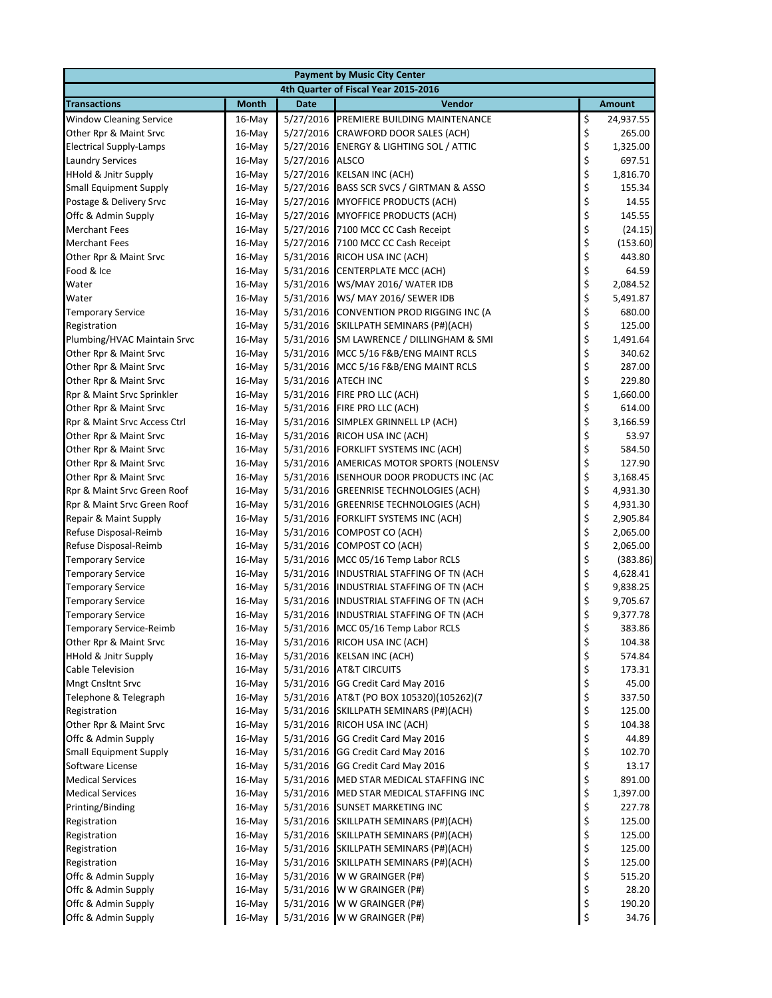| <b>Payment by Music City Center</b>               |                                      |                        |                                                           |          |                 |  |  |
|---------------------------------------------------|--------------------------------------|------------------------|-----------------------------------------------------------|----------|-----------------|--|--|
|                                                   | 4th Quarter of Fiscal Year 2015-2016 |                        |                                                           |          |                 |  |  |
| <b>Transactions</b>                               | <b>Month</b>                         | <b>Date</b>            | Vendor                                                    |          | <b>Amount</b>   |  |  |
| <b>Window Cleaning Service</b>                    | 16-May                               | 5/27/2016              | PREMIERE BUILDING MAINTENANCE                             | \$       | 24,937.55       |  |  |
| Other Rpr & Maint Srvc                            | 16-May                               | 5/27/2016              | CRAWFORD DOOR SALES (ACH)                                 | \$       | 265.00          |  |  |
| <b>Electrical Supply-Lamps</b>                    | $16$ -May                            | 5/27/2016              | <b>ENERGY &amp; LIGHTING SOL / ATTIC</b>                  | \$       | 1,325.00        |  |  |
| <b>Laundry Services</b>                           | 16-May                               | 5/27/2016              | <b>ALSCO</b>                                              | \$       | 697.51          |  |  |
| <b>HHold &amp; Jnitr Supply</b>                   | 16-May                               | 5/27/2016              | <b>KELSAN INC (ACH)</b>                                   | \$       | 1,816.70        |  |  |
| <b>Small Equipment Supply</b>                     | 16-May                               | 5/27/2016              | BASS SCR SVCS / GIRTMAN & ASSO                            | \$       | 155.34          |  |  |
| Postage & Delivery Srvc                           | 16-May                               | 5/27/2016              | MYOFFICE PRODUCTS (ACH)                                   | \$       | 14.55           |  |  |
| Offc & Admin Supply                               | 16-May                               | 5/27/2016              | <b>MYOFFICE PRODUCTS (ACH)</b>                            | \$       | 145.55          |  |  |
| <b>Merchant Fees</b>                              | 16-May                               | 5/27/2016              | 7100 MCC CC Cash Receipt                                  | \$       | (24.15)         |  |  |
| <b>Merchant Fees</b>                              | $16$ -May                            | 5/27/2016              | 7100 MCC CC Cash Receipt                                  | \$       | (153.60)        |  |  |
| Other Rpr & Maint Srvc                            | 16-May                               | 5/31/2016              | RICOH USA INC (ACH)                                       | \$       | 443.80          |  |  |
| Food & Ice                                        | 16-May                               | 5/31/2016              | <b>CENTERPLATE MCC (ACH)</b>                              | \$       | 64.59           |  |  |
| Water                                             | 16-May                               | 5/31/2016              | WS/MAY 2016/ WATER IDB                                    | \$       | 2,084.52        |  |  |
| Water                                             | $16$ -May                            | 5/31/2016              | WS/ MAY 2016/ SEWER IDB                                   | \$       | 5,491.87        |  |  |
| <b>Temporary Service</b>                          | 16-May                               | 5/31/2016              | CONVENTION PROD RIGGING INC (A                            | \$       | 680.00          |  |  |
| Registration                                      | $16$ -May                            | 5/31/2016              | SKILLPATH SEMINARS (P#)(ACH)                              | \$       | 125.00          |  |  |
| Plumbing/HVAC Maintain Srvc                       | 16-May                               | 5/31/2016              | SM LAWRENCE / DILLINGHAM & SMI                            | \$       | 1,491.64        |  |  |
| Other Rpr & Maint Srvc                            | 16-May                               | 5/31/2016              | MCC 5/16 F&B/ENG MAINT RCLS                               | \$       | 340.62          |  |  |
| Other Rpr & Maint Srvc                            | 16-May                               | 5/31/2016              | MCC 5/16 F&B/ENG MAINT RCLS                               | \$       | 287.00          |  |  |
| Other Rpr & Maint Srvc                            | 16-May                               | 5/31/2016              | <b>ATECH INC</b>                                          | \$       | 229.80          |  |  |
| Rpr & Maint Srvc Sprinkler                        | $16$ -May                            | 5/31/2016              | FIRE PRO LLC (ACH)                                        | \$       | 1,660.00        |  |  |
| Other Rpr & Maint Srvc                            | 16-May                               | 5/31/2016              | FIRE PRO LLC (ACH)                                        | \$       | 614.00          |  |  |
| Rpr & Maint Srvc Access Ctrl                      | 16-May                               | 5/31/2016              | SIMPLEX GRINNELL LP (ACH)                                 | \$       | 3,166.59        |  |  |
| Other Rpr & Maint Srvc                            | $16$ -May                            | 5/31/2016              | RICOH USA INC (ACH)                                       | \$       | 53.97           |  |  |
| Other Rpr & Maint Srvc                            | $16$ -May                            | 5/31/2016              | FORKLIFT SYSTEMS INC (ACH)                                | \$       | 584.50          |  |  |
| Other Rpr & Maint Srvc                            | 16-May                               | 5/31/2016              | AMERICAS MOTOR SPORTS (NOLENSV                            | \$       | 127.90          |  |  |
| Other Rpr & Maint Srvc                            | $16$ -May                            | 5/31/2016              | ISENHOUR DOOR PRODUCTS INC (AC                            | \$       | 3,168.45        |  |  |
| Rpr & Maint Srvc Green Roof                       | 16-May                               | 5/31/2016              | <b>GREENRISE TECHNOLOGIES (ACH)</b>                       | \$       | 4,931.30        |  |  |
| Rpr & Maint Srvc Green Roof                       | 16-May                               | 5/31/2016              | <b>GREENRISE TECHNOLOGIES (ACH)</b>                       | \$       | 4,931.30        |  |  |
| Repair & Maint Supply                             | 16-May                               | 5/31/2016              | FORKLIFT SYSTEMS INC (ACH)                                | \$       | 2,905.84        |  |  |
| Refuse Disposal-Reimb                             | 16-May                               | 5/31/2016              | COMPOST CO (ACH)                                          | \$       | 2,065.00        |  |  |
| Refuse Disposal-Reimb                             | 16-May                               | 5/31/2016              | COMPOST CO (ACH)                                          | \$       | 2,065.00        |  |  |
| <b>Temporary Service</b>                          | 16-May                               | 5/31/2016              | MCC 05/16 Temp Labor RCLS                                 | \$       | (383.86)        |  |  |
| <b>Temporary Service</b>                          | 16-May                               | 5/31/2016              | INDUSTRIAL STAFFING OF TN (ACH                            | \$       | 4,628.41        |  |  |
| <b>Temporary Service</b>                          | $16$ -May                            | 5/31/2016              | INDUSTRIAL STAFFING OF TN (ACH                            | \$       | 9,838.25        |  |  |
| <b>Temporary Service</b>                          | 16-May                               | 5/31/2016              | INDUSTRIAL STAFFING OF TN (ACH                            | \$       | 9,705.67        |  |  |
| <b>Temporary Service</b>                          | 16-May                               | 5/31/2016              | INDUSTRIAL STAFFING OF TN (ACH                            | \$       | 9,377.78        |  |  |
| <b>Temporary Service-Reimb</b>                    | $16$ -May                            |                        | 5/31/2016 MCC 05/16 Temp Labor RCLS                       | \$       | 383.86          |  |  |
| Other Rpr & Maint Srvc                            | 16-May                               | 5/31/2016              | RICOH USA INC (ACH)                                       | \$       | 104.38          |  |  |
| <b>HHold &amp; Jnitr Supply</b>                   | 16-May                               | 5/31/2016              | <b>KELSAN INC (ACH)</b>                                   | \$       | 574.84          |  |  |
| Cable Television                                  | 16-May                               | 5/31/2016              | <b>AT&amp;T CIRCUITS</b>                                  | \$<br>\$ | 173.31<br>45.00 |  |  |
| <b>Mngt Cnsltnt Srvc</b><br>Telephone & Telegraph | 16-May<br>16-May                     | 5/31/2016<br>5/31/2016 | GG Credit Card May 2016<br>AT&T (PO BOX 105320)(105262)(7 | \$       | 337.50          |  |  |
| Registration                                      | 16-May                               | 5/31/2016              | SKILLPATH SEMINARS (P#)(ACH)                              | \$       | 125.00          |  |  |
| Other Rpr & Maint Srvc                            | 16-May                               | 5/31/2016              | RICOH USA INC (ACH)                                       | \$       | 104.38          |  |  |
| Offc & Admin Supply                               | 16-May                               | 5/31/2016              | GG Credit Card May 2016                                   | \$       | 44.89           |  |  |
| <b>Small Equipment Supply</b>                     | 16-May                               | 5/31/2016              | GG Credit Card May 2016                                   | \$       | 102.70          |  |  |
| Software License                                  | 16-May                               | 5/31/2016              | GG Credit Card May 2016                                   | \$       | 13.17           |  |  |
| <b>Medical Services</b>                           | $16$ -May                            | 5/31/2016              | MED STAR MEDICAL STAFFING INC                             | \$       | 891.00          |  |  |
| <b>Medical Services</b>                           | 16-May                               | 5/31/2016              | MED STAR MEDICAL STAFFING INC                             | \$       | 1,397.00        |  |  |
| Printing/Binding                                  | 16-May                               | 5/31/2016              | <b>SUNSET MARKETING INC</b>                               | \$       | 227.78          |  |  |
| Registration                                      | 16-May                               | 5/31/2016              | SKILLPATH SEMINARS (P#)(ACH)                              | \$       | 125.00          |  |  |
| Registration                                      | 16-May                               | 5/31/2016              | SKILLPATH SEMINARS (P#)(ACH)                              | \$       | 125.00          |  |  |
| Registration                                      | 16-May                               | 5/31/2016              | SKILLPATH SEMINARS (P#)(ACH)                              | \$       | 125.00          |  |  |
| Registration                                      | 16-May                               | 5/31/2016              | SKILLPATH SEMINARS (P#)(ACH)                              | \$       | 125.00          |  |  |
| Offc & Admin Supply                               | 16-May                               | 5/31/2016              | W W GRAINGER (P#)                                         | \$       | 515.20          |  |  |
| Offc & Admin Supply                               | 16-May                               | 5/31/2016              | W W GRAINGER (P#)                                         | \$       | 28.20           |  |  |
| Offc & Admin Supply                               | 16-May                               | 5/31/2016              | W W GRAINGER (P#)                                         | \$       | 190.20          |  |  |
| Offc & Admin Supply                               | 16-May                               |                        | 5/31/2016 W W GRAINGER (P#)                               | \$       | 34.76           |  |  |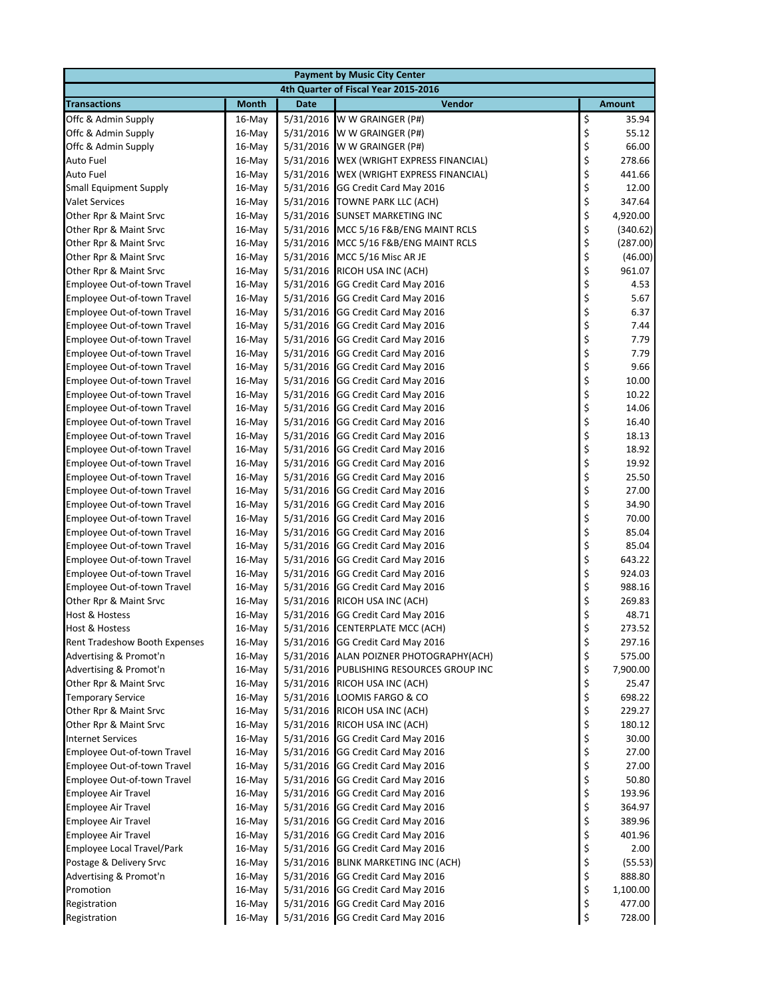| <b>Payment by Music City Center</b>              |                                      |                        |                                                         |          |                 |  |  |  |
|--------------------------------------------------|--------------------------------------|------------------------|---------------------------------------------------------|----------|-----------------|--|--|--|
|                                                  | 4th Quarter of Fiscal Year 2015-2016 |                        |                                                         |          |                 |  |  |  |
| <b>Transactions</b>                              | <b>Month</b>                         | <b>Date</b>            | Vendor                                                  |          | <b>Amount</b>   |  |  |  |
| Offc & Admin Supply                              | $16$ -May                            | 5/31/2016              | W W GRAINGER (P#)                                       | \$       | 35.94           |  |  |  |
| Offc & Admin Supply                              | $16$ -May                            | 5/31/2016              | W W GRAINGER (P#)                                       | \$       | 55.12           |  |  |  |
| Offc & Admin Supply                              | 16-May                               | 5/31/2016              | W W GRAINGER (P#)                                       | \$       | 66.00           |  |  |  |
| Auto Fuel                                        | 16-May                               | 5/31/2016              | WEX (WRIGHT EXPRESS FINANCIAL)                          | \$       | 278.66          |  |  |  |
| <b>Auto Fuel</b>                                 | 16-May                               | 5/31/2016              | WEX (WRIGHT EXPRESS FINANCIAL)                          | \$       | 441.66          |  |  |  |
| <b>Small Equipment Supply</b>                    | 16-May                               | 5/31/2016              | GG Credit Card May 2016                                 | \$       | 12.00           |  |  |  |
| <b>Valet Services</b>                            | 16-May                               | 5/31/2016              | TOWNE PARK LLC (ACH)                                    | \$       | 347.64          |  |  |  |
| Other Rpr & Maint Srvc                           | $16$ -May                            | 5/31/2016              | SUNSET MARKETING INC                                    | \$       | 4,920.00        |  |  |  |
| Other Rpr & Maint Srvc                           | 16-May                               | 5/31/2016              | MCC 5/16 F&B/ENG MAINT RCLS                             | \$       | (340.62)        |  |  |  |
| Other Rpr & Maint Srvc                           | 16-May                               | 5/31/2016              | MCC 5/16 F&B/ENG MAINT RCLS                             | \$       | (287.00)        |  |  |  |
| Other Rpr & Maint Srvc                           | 16-May                               | 5/31/2016              | MCC 5/16 Misc AR JE                                     | \$\$\$\$ | (46.00)         |  |  |  |
| Other Rpr & Maint Srvc                           | 16-May                               | 5/31/2016              | RICOH USA INC (ACH)                                     |          | 961.07          |  |  |  |
| Employee Out-of-town Travel                      | 16-May                               | 5/31/2016              | GG Credit Card May 2016                                 |          | 4.53            |  |  |  |
| Employee Out-of-town Travel                      | 16-May                               | 5/31/2016              | GG Credit Card May 2016                                 |          | 5.67            |  |  |  |
| Employee Out-of-town Travel                      | $16$ -May                            | 5/31/2016              | GG Credit Card May 2016                                 | \$<br>\$ | 6.37            |  |  |  |
| Employee Out-of-town Travel                      | 16-May                               | 5/31/2016              | GG Credit Card May 2016                                 |          | 7.44            |  |  |  |
| Employee Out-of-town Travel                      | 16-May                               | 5/31/2016              | GG Credit Card May 2016                                 | \$\$\$\$ | 7.79            |  |  |  |
| <b>Employee Out-of-town Travel</b>               | 16-May                               | 5/31/2016              | GG Credit Card May 2016                                 |          | 7.79            |  |  |  |
| Employee Out-of-town Travel                      | $16$ -May                            | 5/31/2016              | GG Credit Card May 2016                                 |          | 9.66            |  |  |  |
| Employee Out-of-town Travel                      | 16-May                               | 5/31/2016              | GG Credit Card May 2016                                 |          | 10.00           |  |  |  |
| Employee Out-of-town Travel                      | 16-May                               | 5/31/2016              | GG Credit Card May 2016                                 | \$       | 10.22           |  |  |  |
| Employee Out-of-town Travel                      | 16-May                               | 5/31/2016              | GG Credit Card May 2016                                 | \$<br>\$ | 14.06           |  |  |  |
| Employee Out-of-town Travel                      | 16-May                               | 5/31/2016              | GG Credit Card May 2016                                 |          | 16.40           |  |  |  |
| Employee Out-of-town Travel                      | 16-May                               | 5/31/2016              | GG Credit Card May 2016                                 | \$<br>\$ | 18.13           |  |  |  |
| Employee Out-of-town Travel                      | $16$ -May                            | 5/31/2016              | GG Credit Card May 2016                                 |          | 18.92           |  |  |  |
| Employee Out-of-town Travel                      | $16$ -May                            | 5/31/2016              | GG Credit Card May 2016                                 | \$       | 19.92           |  |  |  |
| Employee Out-of-town Travel                      | 16-May                               | 5/31/2016              | GG Credit Card May 2016                                 | \$       | 25.50           |  |  |  |
| Employee Out-of-town Travel                      | 16-May                               | 5/31/2016              | GG Credit Card May 2016                                 | \$       | 27.00           |  |  |  |
| Employee Out-of-town Travel                      | 16-May                               | 5/31/2016              | GG Credit Card May 2016                                 | \$       | 34.90           |  |  |  |
| Employee Out-of-town Travel                      | $16$ -May                            | 5/31/2016              | GG Credit Card May 2016                                 | \$       | 70.00           |  |  |  |
| Employee Out-of-town Travel                      | 16-May                               | 5/31/2016              | GG Credit Card May 2016                                 | \$       | 85.04           |  |  |  |
| Employee Out-of-town Travel                      | 16-May                               | 5/31/2016              | GG Credit Card May 2016                                 | \$       | 85.04           |  |  |  |
| Employee Out-of-town Travel                      | 16-May                               | 5/31/2016              | GG Credit Card May 2016                                 | \$       | 643.22          |  |  |  |
| Employee Out-of-town Travel                      | 16-May                               | 5/31/2016              | GG Credit Card May 2016                                 | \$       | 924.03          |  |  |  |
| Employee Out-of-town Travel                      | 16-May                               | 5/31/2016              | GG Credit Card May 2016                                 | \$       | 988.16          |  |  |  |
| Other Rpr & Maint Srvc                           | 16-May                               | 5/31/2016              | RICOH USA INC (ACH)                                     | \$<br>\$ | 269.83<br>48.71 |  |  |  |
| Host & Hostess<br>Host & Hostess                 | 16-May                               | 5/31/2016              | GG Credit Card May 2016                                 | \$       | 273.52          |  |  |  |
| Rent Tradeshow Booth Expenses                    | 16-May<br>16-May                     | 5/31/2016<br>5/31/2016 | <b>CENTERPLATE MCC (ACH)</b><br>GG Credit Card May 2016 |          | 297.16          |  |  |  |
|                                                  |                                      |                        | ALAN POIZNER PHOTOGRAPHY(ACH)                           | \$<br>\$ | 575.00          |  |  |  |
| Advertising & Promot'n<br>Advertising & Promot'n | 16-May<br>16-May                     | 5/31/2016<br>5/31/2016 | PUBLISHING RESOURCES GROUP INC                          | \$       | 7,900.00        |  |  |  |
| Other Rpr & Maint Srvc                           | 16-May                               | 5/31/2016              | RICOH USA INC (ACH)                                     | \$       | 25.47           |  |  |  |
| <b>Temporary Service</b>                         | 16-May                               | 5/31/2016              | LOOMIS FARGO & CO                                       | \$       | 698.22          |  |  |  |
| Other Rpr & Maint Srvc                           | 16-May                               | 5/31/2016              | RICOH USA INC (ACH)                                     | \$       | 229.27          |  |  |  |
| Other Rpr & Maint Srvc                           | 16-May                               | 5/31/2016              | RICOH USA INC (ACH)                                     | \$       | 180.12          |  |  |  |
| <b>Internet Services</b>                         | 16-May                               | 5/31/2016              | GG Credit Card May 2016                                 | \$       | 30.00           |  |  |  |
| Employee Out-of-town Travel                      | 16-May                               | 5/31/2016              | GG Credit Card May 2016                                 | \$       | 27.00           |  |  |  |
| Employee Out-of-town Travel                      | 16-May                               | 5/31/2016              | GG Credit Card May 2016                                 | \$       | 27.00           |  |  |  |
| Employee Out-of-town Travel                      | 16-May                               | 5/31/2016              | GG Credit Card May 2016                                 | \$       | 50.80           |  |  |  |
| <b>Employee Air Travel</b>                       | 16-May                               | 5/31/2016              | GG Credit Card May 2016                                 | \$       | 193.96          |  |  |  |
| <b>Employee Air Travel</b>                       | 16-May                               | 5/31/2016              | GG Credit Card May 2016                                 | \$       | 364.97          |  |  |  |
| <b>Employee Air Travel</b>                       | 16-May                               | 5/31/2016              | GG Credit Card May 2016                                 | \$       | 389.96          |  |  |  |
| <b>Employee Air Travel</b>                       | 16-May                               | 5/31/2016              | GG Credit Card May 2016                                 | \$       | 401.96          |  |  |  |
| Employee Local Travel/Park                       | 16-May                               | 5/31/2016              | GG Credit Card May 2016                                 | \$       | 2.00            |  |  |  |
| Postage & Delivery Srvc                          | 16-May                               | 5/31/2016              | BLINK MARKETING INC (ACH)                               | \$       | (55.53)         |  |  |  |
| Advertising & Promot'n                           | 16-May                               | 5/31/2016              | GG Credit Card May 2016                                 | \$       | 888.80          |  |  |  |
| Promotion                                        | 16-May                               | 5/31/2016              | GG Credit Card May 2016                                 | \$       | 1,100.00        |  |  |  |
| Registration                                     | 16-May                               | 5/31/2016              | GG Credit Card May 2016                                 | \$       | 477.00          |  |  |  |
| Registration                                     | 16-May                               |                        | 5/31/2016 GG Credit Card May 2016                       | \$       | 728.00          |  |  |  |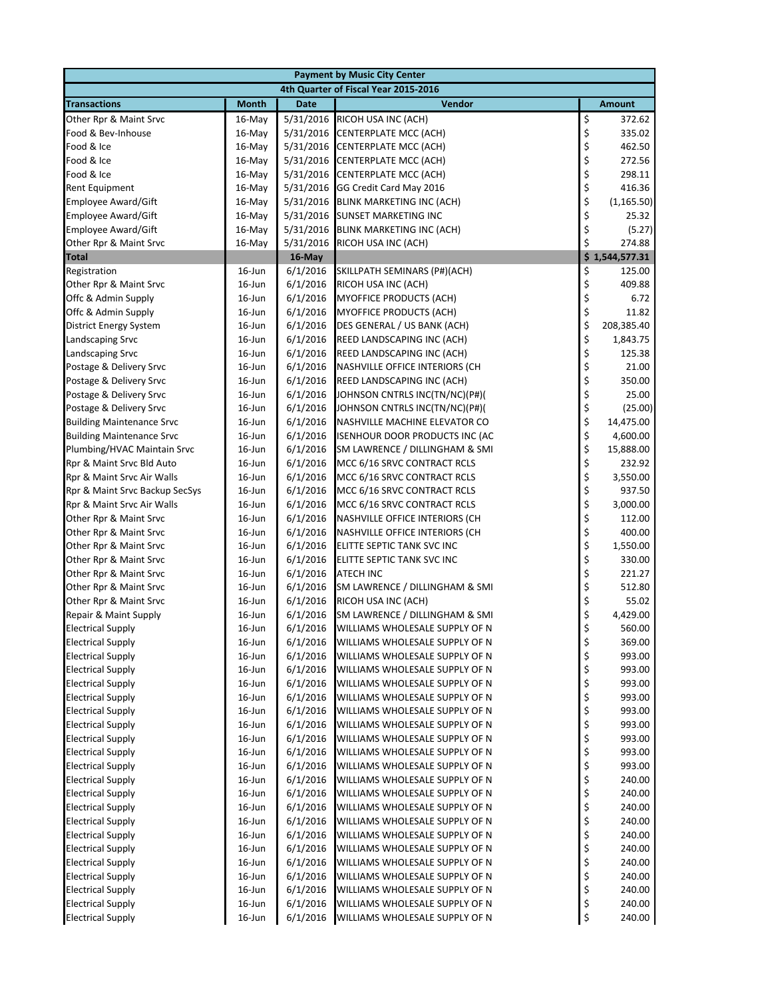| <b>Payment by Music City Center</b> |              |             |                                       |          |                |  |  |
|-------------------------------------|--------------|-------------|---------------------------------------|----------|----------------|--|--|
|                                     |              |             | 4th Quarter of Fiscal Year 2015-2016  |          |                |  |  |
| <b>Transactions</b>                 | <b>Month</b> | <b>Date</b> | Vendor                                |          | <b>Amount</b>  |  |  |
| Other Rpr & Maint Srvc              | $16$ -May    | 5/31/2016   | RICOH USA INC (ACH)                   | \$       | 372.62         |  |  |
| Food & Bev-Inhouse                  | 16-May       | 5/31/2016   | <b>CENTERPLATE MCC (ACH)</b>          | \$       | 335.02         |  |  |
| Food & Ice                          | 16-May       | 5/31/2016   | <b>CENTERPLATE MCC (ACH)</b>          | \$       | 462.50         |  |  |
| Food & Ice                          | $16$ -May    | 5/31/2016   | <b>CENTERPLATE MCC (ACH)</b>          | \$       | 272.56         |  |  |
| Food & Ice                          | 16-May       |             | 5/31/2016 CENTERPLATE MCC (ACH)       | \$       | 298.11         |  |  |
| Rent Equipment                      | 16-May       |             | 5/31/2016 GG Credit Card May 2016     | \$       | 416.36         |  |  |
| <b>Employee Award/Gift</b>          | $16$ -May    | 5/31/2016   | <b>BLINK MARKETING INC (ACH)</b>      | \$       | (1, 165.50)    |  |  |
| <b>Employee Award/Gift</b>          | 16-May       | 5/31/2016   | <b>SUNSET MARKETING INC</b>           | \$       | 25.32          |  |  |
| Employee Award/Gift                 | 16-May       | 5/31/2016   | <b>BLINK MARKETING INC (ACH)</b>      | \$       | (5.27)         |  |  |
| Other Rpr & Maint Srvc              | 16-May       | 5/31/2016   | RICOH USA INC (ACH)                   | \$       | 274.88         |  |  |
| <b>Total</b>                        |              | 16-May      |                                       |          | \$1,544,577.31 |  |  |
| Registration                        | $16$ -Jun    | 6/1/2016    | SKILLPATH SEMINARS (P#)(ACH)          | \$       | 125.00         |  |  |
| Other Rpr & Maint Srvc              | 16-Jun       | 6/1/2016    | RICOH USA INC (ACH)                   | \$       | 409.88         |  |  |
| Offc & Admin Supply                 | $16$ -Jun    | 6/1/2016    | <b>MYOFFICE PRODUCTS (ACH)</b>        | \$       | 6.72           |  |  |
| Offc & Admin Supply                 | $16$ -Jun    | 6/1/2016    | <b>MYOFFICE PRODUCTS (ACH)</b>        | \$       | 11.82          |  |  |
| District Energy System              | $16$ -Jun    | 6/1/2016    | DES GENERAL / US BANK (ACH)           | \$       | 208,385.40     |  |  |
| Landscaping Srvc                    | $16$ -Jun    | 6/1/2016    | REED LANDSCAPING INC (ACH)            | \$       | 1,843.75       |  |  |
| Landscaping Srvc                    | $16$ -Jun    | 6/1/2016    | REED LANDSCAPING INC (ACH)            | \$       | 125.38         |  |  |
| Postage & Delivery Srvc             | $16$ -Jun    | 6/1/2016    | NASHVILLE OFFICE INTERIORS (CH        | \$       | 21.00          |  |  |
| Postage & Delivery Srvc             | $16$ -Jun    | 6/1/2016    | REED LANDSCAPING INC (ACH)            | \$       | 350.00         |  |  |
| Postage & Delivery Srvc             | $16$ -Jun    | 6/1/2016    | JOHNSON CNTRLS INC(TN/NC)(P#)(        | \$       | 25.00          |  |  |
| Postage & Delivery Srvc             | 16-Jun       | 6/1/2016    | JOHNSON CNTRLS INC(TN/NC)(P#)(        | \$       | (25.00)        |  |  |
| <b>Building Maintenance Srvc</b>    | $16$ -Jun    | 6/1/2016    | NASHVILLE MACHINE ELEVATOR CO         | \$       | 14,475.00      |  |  |
| <b>Building Maintenance Srvc</b>    | $16$ -Jun    | 6/1/2016    | <b>ISENHOUR DOOR PRODUCTS INC (AC</b> | \$       | 4,600.00       |  |  |
| Plumbing/HVAC Maintain Srvc         | 16-Jun       | 6/1/2016    | SM LAWRENCE / DILLINGHAM & SMI        | \$       | 15,888.00      |  |  |
| Rpr & Maint Srvc Bld Auto           | $16$ -Jun    | 6/1/2016    | MCC 6/16 SRVC CONTRACT RCLS           | \$       | 232.92         |  |  |
| Rpr & Maint Srvc Air Walls          | $16$ -Jun    | 6/1/2016    | MCC 6/16 SRVC CONTRACT RCLS           | \$       | 3,550.00       |  |  |
| Rpr & Maint Srvc Backup SecSys      | $16$ -Jun    | 6/1/2016    | MCC 6/16 SRVC CONTRACT RCLS           | \$       | 937.50         |  |  |
| Rpr & Maint Srvc Air Walls          | $16$ -Jun    | 6/1/2016    | MCC 6/16 SRVC CONTRACT RCLS           | \$       | 3,000.00       |  |  |
| Other Rpr & Maint Srvc              | $16$ -Jun    | 6/1/2016    | NASHVILLE OFFICE INTERIORS (CH        | \$       | 112.00         |  |  |
| Other Rpr & Maint Srvc              | $16$ -Jun    | 6/1/2016    | NASHVILLE OFFICE INTERIORS (CH        | \$       | 400.00         |  |  |
| Other Rpr & Maint Srvc              | $16$ -Jun    | 6/1/2016    | ELITTE SEPTIC TANK SVC INC            | \$       | 1,550.00       |  |  |
| Other Rpr & Maint Srvc              | 16-Jun       | 6/1/2016    | ELITTE SEPTIC TANK SVC INC            | \$       | 330.00         |  |  |
| Other Rpr & Maint Srvc              | $16$ -Jun    | 6/1/2016    | <b>ATECH INC</b>                      | \$       | 221.27         |  |  |
| Other Rpr & Maint Srvc              | $16$ -Jun    | 6/1/2016    | SM LAWRENCE / DILLINGHAM & SMI        | \$       | 512.80         |  |  |
| Other Rpr & Maint Srvc              | $16$ -Jun    | 6/1/2016    | RICOH USA INC (ACH)                   | \$       | 55.02          |  |  |
| Repair & Maint Supply               | $16$ -Jun    | 6/1/2016    | SM LAWRENCE / DILLINGHAM & SMI        | \$       | 4,429.00       |  |  |
| <b>Electrical Supply</b>            | $16$ -Jun    | 6/1/2016    | WILLIAMS WHOLESALE SUPPLY OF N        | \$       | 560.00         |  |  |
| <b>Electrical Supply</b>            | 16-Jun       | 6/1/2016    | WILLIAMS WHOLESALE SUPPLY OF N        | \$       | 369.00         |  |  |
| <b>Electrical Supply</b>            | 16-Jun       | 6/1/2016    | WILLIAMS WHOLESALE SUPPLY OF N        | \$       | 993.00         |  |  |
| <b>Electrical Supply</b>            | 16-Jun       | 6/1/2016    | WILLIAMS WHOLESALE SUPPLY OF N        | \$       | 993.00         |  |  |
| <b>Electrical Supply</b>            | 16-Jun       | 6/1/2016    | WILLIAMS WHOLESALE SUPPLY OF N        | \$       | 993.00         |  |  |
| <b>Electrical Supply</b>            | 16-Jun       | 6/1/2016    | WILLIAMS WHOLESALE SUPPLY OF N        | \$       | 993.00         |  |  |
| <b>Electrical Supply</b>            | 16-Jun       | 6/1/2016    | WILLIAMS WHOLESALE SUPPLY OF N        | \$       | 993.00         |  |  |
| <b>Electrical Supply</b>            | 16-Jun       | 6/1/2016    | WILLIAMS WHOLESALE SUPPLY OF N        | \$       | 993.00         |  |  |
| <b>Electrical Supply</b>            | 16-Jun       | 6/1/2016    | WILLIAMS WHOLESALE SUPPLY OF N        | \$<br>\$ | 993.00         |  |  |
| <b>Electrical Supply</b>            | 16-Jun       | 6/1/2016    | WILLIAMS WHOLESALE SUPPLY OF N        |          | 993.00         |  |  |
| <b>Electrical Supply</b>            | $16$ -Jun    | 6/1/2016    | WILLIAMS WHOLESALE SUPPLY OF N        | \$       | 993.00         |  |  |
| <b>Electrical Supply</b>            | $16$ -Jun    | 6/1/2016    | WILLIAMS WHOLESALE SUPPLY OF N        | \$       | 240.00         |  |  |
| <b>Electrical Supply</b>            | 16-Jun       | 6/1/2016    | WILLIAMS WHOLESALE SUPPLY OF N        | \$       | 240.00         |  |  |
| <b>Electrical Supply</b>            | 16-Jun       | 6/1/2016    | WILLIAMS WHOLESALE SUPPLY OF N        | \$       | 240.00         |  |  |
| <b>Electrical Supply</b>            | 16-Jun       | 6/1/2016    | WILLIAMS WHOLESALE SUPPLY OF N        | \$       | 240.00         |  |  |
| <b>Electrical Supply</b>            | 16-Jun       | 6/1/2016    | WILLIAMS WHOLESALE SUPPLY OF N        | \$       | 240.00         |  |  |
| <b>Electrical Supply</b>            | 16-Jun       | 6/1/2016    | WILLIAMS WHOLESALE SUPPLY OF N        | \$       | 240.00         |  |  |
| <b>Electrical Supply</b>            | 16-Jun       | 6/1/2016    | WILLIAMS WHOLESALE SUPPLY OF N        | \$       | 240.00         |  |  |
| <b>Electrical Supply</b>            | 16-Jun       | 6/1/2016    | WILLIAMS WHOLESALE SUPPLY OF N        | \$       | 240.00         |  |  |
| <b>Electrical Supply</b>            | $16$ -Jun    | 6/1/2016    | WILLIAMS WHOLESALE SUPPLY OF N        | \$       | 240.00         |  |  |
| <b>Electrical Supply</b>            | 16-Jun       | 6/1/2016    | WILLIAMS WHOLESALE SUPPLY OF N        | \$       | 240.00         |  |  |
| <b>Electrical Supply</b>            | 16-Jun       | 6/1/2016    | WILLIAMS WHOLESALE SUPPLY OF N        | \$       | 240.00         |  |  |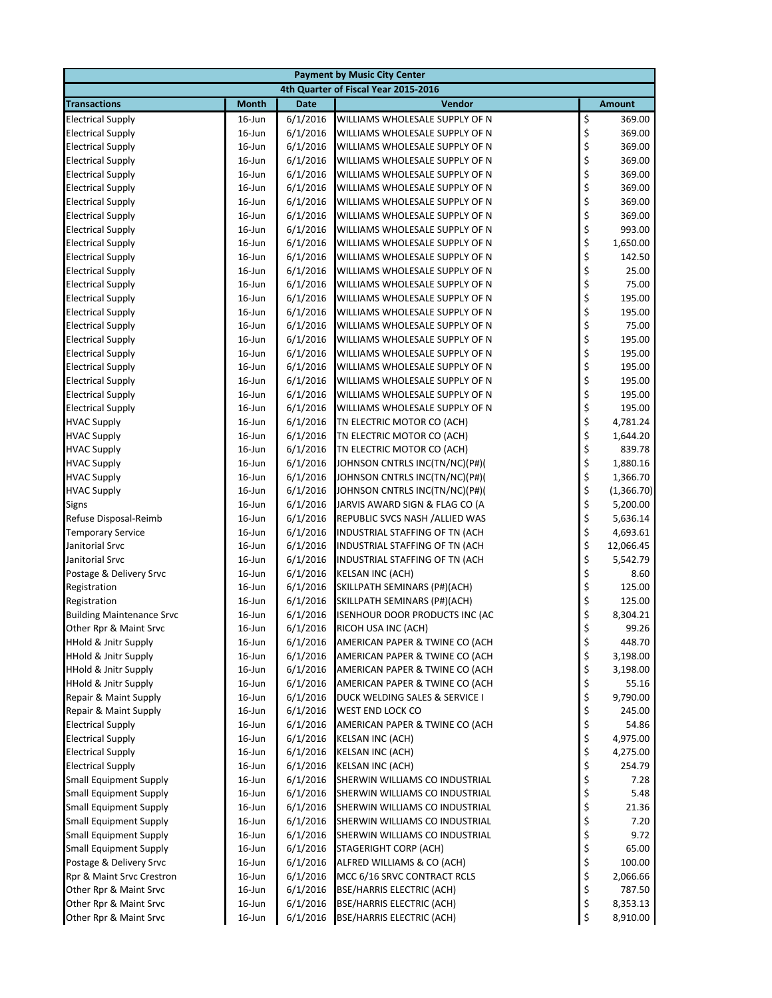| <b>Payment by Music City Center</b>                  |                                      |                      |                                                    |          |                      |  |  |
|------------------------------------------------------|--------------------------------------|----------------------|----------------------------------------------------|----------|----------------------|--|--|
|                                                      | 4th Quarter of Fiscal Year 2015-2016 |                      |                                                    |          |                      |  |  |
| <b>Transactions</b>                                  | <b>Month</b>                         | <b>Date</b>          | Vendor                                             |          | <b>Amount</b>        |  |  |
| <b>Electrical Supply</b>                             | $16$ -Jun                            | 6/1/2016             | WILLIAMS WHOLESALE SUPPLY OF N                     | \$       | 369.00               |  |  |
| <b>Electrical Supply</b>                             | 16-Jun                               | 6/1/2016             | WILLIAMS WHOLESALE SUPPLY OF N                     | \$       | 369.00               |  |  |
| <b>Electrical Supply</b>                             | 16-Jun                               | 6/1/2016             | WILLIAMS WHOLESALE SUPPLY OF N                     | \$       | 369.00               |  |  |
| <b>Electrical Supply</b>                             | 16-Jun                               | 6/1/2016             | WILLIAMS WHOLESALE SUPPLY OF N                     | \$       | 369.00               |  |  |
| <b>Electrical Supply</b>                             | 16-Jun                               | 6/1/2016             | WILLIAMS WHOLESALE SUPPLY OF N                     |          | 369.00               |  |  |
| <b>Electrical Supply</b>                             | $16$ -Jun                            | 6/1/2016             | WILLIAMS WHOLESALE SUPPLY OF N                     | \$<br>\$ | 369.00               |  |  |
| <b>Electrical Supply</b>                             | 16-Jun                               | 6/1/2016             | WILLIAMS WHOLESALE SUPPLY OF N                     | \$       | 369.00               |  |  |
| <b>Electrical Supply</b>                             | 16-Jun                               | 6/1/2016             | WILLIAMS WHOLESALE SUPPLY OF N                     | \$       | 369.00               |  |  |
| <b>Electrical Supply</b>                             | 16-Jun                               | 6/1/2016             | WILLIAMS WHOLESALE SUPPLY OF N                     | \$       | 993.00               |  |  |
| <b>Electrical Supply</b>                             | $16$ -Jun                            | 6/1/2016             | WILLIAMS WHOLESALE SUPPLY OF N                     | \$       | 1,650.00             |  |  |
| <b>Electrical Supply</b>                             | 16-Jun                               | 6/1/2016             | WILLIAMS WHOLESALE SUPPLY OF N                     | \$       | 142.50               |  |  |
| <b>Electrical Supply</b>                             | 16-Jun                               | 6/1/2016             | WILLIAMS WHOLESALE SUPPLY OF N                     | \$       | 25.00                |  |  |
| <b>Electrical Supply</b>                             | 16-Jun                               | 6/1/2016             | WILLIAMS WHOLESALE SUPPLY OF N                     | \$<br>\$ | 75.00                |  |  |
| <b>Electrical Supply</b>                             | 16-Jun                               | 6/1/2016             | WILLIAMS WHOLESALE SUPPLY OF N                     |          | 195.00               |  |  |
| <b>Electrical Supply</b>                             | 16-Jun                               | 6/1/2016             | WILLIAMS WHOLESALE SUPPLY OF N                     | \$       | 195.00               |  |  |
| <b>Electrical Supply</b>                             | 16-Jun                               | 6/1/2016             | WILLIAMS WHOLESALE SUPPLY OF N                     | \$\$\$   | 75.00                |  |  |
| <b>Electrical Supply</b>                             | 16-Jun                               | 6/1/2016             | WILLIAMS WHOLESALE SUPPLY OF N                     |          | 195.00               |  |  |
| <b>Electrical Supply</b>                             | 16-Jun                               | 6/1/2016             | WILLIAMS WHOLESALE SUPPLY OF N                     |          | 195.00               |  |  |
| <b>Electrical Supply</b>                             | 16-Jun                               | 6/1/2016             | WILLIAMS WHOLESALE SUPPLY OF N                     | \$       | 195.00               |  |  |
| <b>Electrical Supply</b>                             | 16-Jun                               | 6/1/2016             | WILLIAMS WHOLESALE SUPPLY OF N                     | \$       | 195.00               |  |  |
| <b>Electrical Supply</b>                             | 16-Jun                               | 6/1/2016             | WILLIAMS WHOLESALE SUPPLY OF N                     | \$       | 195.00               |  |  |
| <b>Electrical Supply</b>                             | 16-Jun                               | 6/1/2016             | WILLIAMS WHOLESALE SUPPLY OF N                     | \$<br>\$ | 195.00               |  |  |
| <b>HVAC Supply</b>                                   | 16-Jun                               | 6/1/2016             | TN ELECTRIC MOTOR CO (ACH)                         |          | 4,781.24             |  |  |
| <b>HVAC Supply</b>                                   | 16-Jun                               | 6/1/2016             | TN ELECTRIC MOTOR CO (ACH)                         | \$       | 1,644.20             |  |  |
| <b>HVAC Supply</b>                                   | 16-Jun                               | 6/1/2016             | TN ELECTRIC MOTOR CO (ACH)                         | \$\$\$\$ | 839.78               |  |  |
| <b>HVAC Supply</b>                                   | 16-Jun                               | 6/1/2016             | JOHNSON CNTRLS INC(TN/NC)(P#)(                     |          | 1,880.16             |  |  |
| <b>HVAC Supply</b>                                   | 16-Jun                               | 6/1/2016             | JOHNSON CNTRLS INC(TN/NC)(P#)(                     |          | 1,366.70             |  |  |
| <b>HVAC Supply</b>                                   | 16-Jun                               | 6/1/2016             | JOHNSON CNTRLS INC(TN/NC)(P#)(                     |          | (1,366.70)           |  |  |
| <b>Signs</b>                                         | 16-Jun                               | 6/1/2016             | JARVIS AWARD SIGN & FLAG CO (A                     | \$       | 5,200.00             |  |  |
| Refuse Disposal-Reimb                                | 16-Jun                               | 6/1/2016             | REPUBLIC SVCS NASH / ALLIED WAS                    | \$       | 5,636.14             |  |  |
| <b>Temporary Service</b>                             | 16-Jun                               | 6/1/2016             | INDUSTRIAL STAFFING OF TN (ACH                     | \$       | 4,693.61             |  |  |
| Janitorial Srvc                                      | 16-Jun                               | 6/1/2016             | INDUSTRIAL STAFFING OF TN (ACH                     | \$       | 12,066.45            |  |  |
| Janitorial Srvc                                      | 16-Jun                               | 6/1/2016             | INDUSTRIAL STAFFING OF TN (ACH                     | \$       | 5,542.79             |  |  |
| Postage & Delivery Srvc                              | 16-Jun                               | 6/1/2016             | <b>KELSAN INC (ACH)</b>                            | \$       | 8.60                 |  |  |
| Registration                                         | 16-Jun                               | 6/1/2016             | SKILLPATH SEMINARS (P#)(ACH)                       | \$       | 125.00               |  |  |
| Registration                                         | 16-Jun                               | 6/1/2016             | SKILLPATH SEMINARS (P#)(ACH)                       | \$       | 125.00               |  |  |
| <b>Building Maintenance Srvc</b>                     | 16-Jun                               | 6/1/2016             | <b>ISENHOUR DOOR PRODUCTS INC (AC</b>              | \$       | 8,304.21             |  |  |
| Other Rpr & Maint Srvc                               | $16$ -Jun                            | 6/1/2016             | RICOH USA INC (ACH)                                | \$       | 99.26                |  |  |
| HHold & Jnitr Supply                                 | 16-Jun                               | 6/1/2016             | AMERICAN PAPER & TWINE CO (ACH                     | \$       | 448.70               |  |  |
| <b>HHold &amp; Jnitr Supply</b>                      | 16-Jun                               | 6/1/2016             | AMERICAN PAPER & TWINE CO (ACH                     | \$       | 3,198.00             |  |  |
| <b>HHold &amp; Jnitr Supply</b>                      | $16$ -Jun                            | 6/1/2016             | AMERICAN PAPER & TWINE CO (ACH                     | \$       | 3,198.00             |  |  |
| <b>HHold &amp; Jnitr Supply</b>                      | $16$ -Jun                            | 6/1/2016             | AMERICAN PAPER & TWINE CO (ACH                     | \$       | 55.16                |  |  |
| Repair & Maint Supply                                | $16$ -Jun                            | 6/1/2016             | DUCK WELDING SALES & SERVICE I                     | \$       | 9,790.00             |  |  |
| Repair & Maint Supply                                | 16-Jun                               | 6/1/2016             | WEST END LOCK CO<br>AMERICAN PAPER & TWINE CO (ACH | \$       | 245.00               |  |  |
| <b>Electrical Supply</b><br><b>Electrical Supply</b> | 16-Jun                               | 6/1/2016             |                                                    | \$<br>\$ | 54.86                |  |  |
| <b>Electrical Supply</b>                             | $16$ -Jun<br>16-Jun                  | 6/1/2016<br>6/1/2016 | <b>KELSAN INC (ACH)</b><br>KELSAN INC (ACH)        | \$       | 4,975.00<br>4,275.00 |  |  |
| <b>Electrical Supply</b>                             | $16$ -Jun                            | 6/1/2016             | <b>KELSAN INC (ACH)</b>                            | \$       | 254.79               |  |  |
| <b>Small Equipment Supply</b>                        | $16$ -Jun                            | 6/1/2016             | SHERWIN WILLIAMS CO INDUSTRIAL                     | \$       | 7.28                 |  |  |
| <b>Small Equipment Supply</b>                        | 16-Jun                               | 6/1/2016             | SHERWIN WILLIAMS CO INDUSTRIAL                     | \$       | 5.48                 |  |  |
| <b>Small Equipment Supply</b>                        | $16$ -Jun                            | 6/1/2016             | SHERWIN WILLIAMS CO INDUSTRIAL                     | \$       | 21.36                |  |  |
| <b>Small Equipment Supply</b>                        | $16$ -Jun                            | 6/1/2016             | SHERWIN WILLIAMS CO INDUSTRIAL                     | \$       | 7.20                 |  |  |
| <b>Small Equipment Supply</b>                        | $16$ -Jun                            | 6/1/2016             | SHERWIN WILLIAMS CO INDUSTRIAL                     | \$       | 9.72                 |  |  |
| <b>Small Equipment Supply</b>                        | 16-Jun                               | 6/1/2016             | <b>STAGERIGHT CORP (ACH)</b>                       | \$       | 65.00                |  |  |
| Postage & Delivery Srvc                              | 16-Jun                               | 6/1/2016             | ALFRED WILLIAMS & CO (ACH)                         | \$       | 100.00               |  |  |
| Rpr & Maint Srvc Crestron                            | 16-Jun                               | 6/1/2016             | MCC 6/16 SRVC CONTRACT RCLS                        | \$       | 2,066.66             |  |  |
| Other Rpr & Maint Srvc                               | $16$ -Jun                            | 6/1/2016             | <b>BSE/HARRIS ELECTRIC (ACH)</b>                   | \$       | 787.50               |  |  |
| Other Rpr & Maint Srvc                               | $16$ -Jun                            | 6/1/2016             | <b>BSE/HARRIS ELECTRIC (ACH)</b>                   | \$       | 8,353.13             |  |  |
| Other Rpr & Maint Srvc                               | 16-Jun                               | 6/1/2016             | <b>BSE/HARRIS ELECTRIC (ACH)</b>                   | \$       | 8,910.00             |  |  |
|                                                      |                                      |                      |                                                    |          |                      |  |  |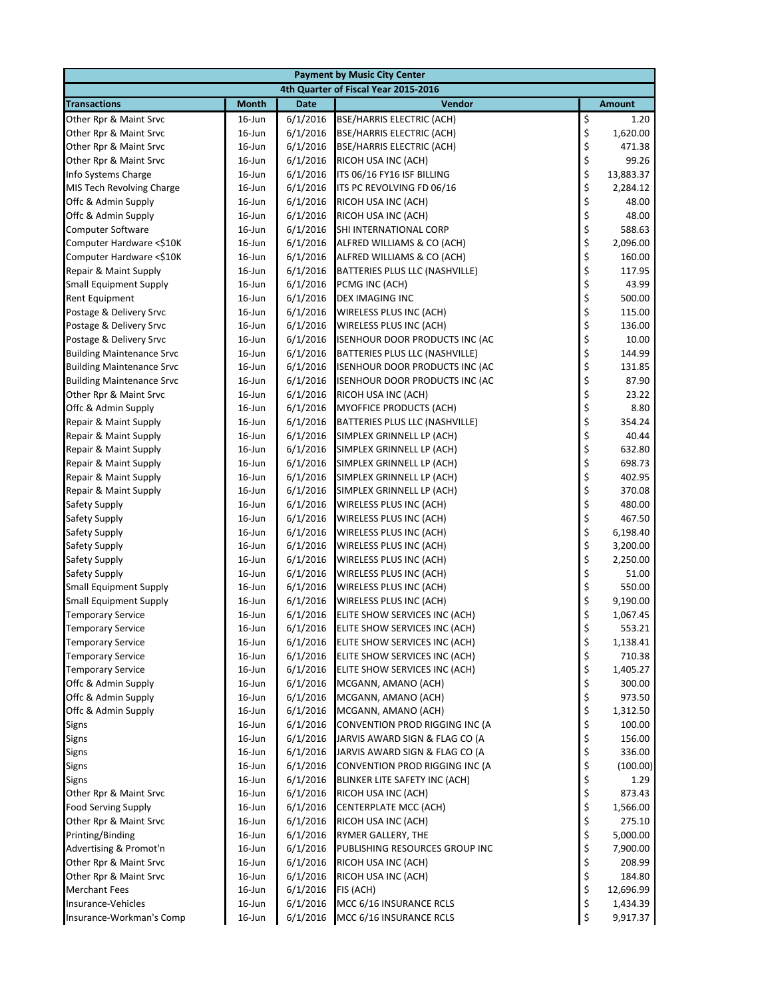| <b>Payment by Music City Center</b> |                  |                      |                                                                  |          |                |  |  |
|-------------------------------------|------------------|----------------------|------------------------------------------------------------------|----------|----------------|--|--|
|                                     |                  |                      | 4th Quarter of Fiscal Year 2015-2016                             |          |                |  |  |
| <b>Transactions</b>                 | <b>Month</b>     | <b>Date</b>          | Vendor                                                           |          | <b>Amount</b>  |  |  |
| Other Rpr & Maint Srvc              | $16$ -Jun        | 6/1/2016             | BSE/HARRIS ELECTRIC (ACH)                                        | \$       | 1.20           |  |  |
| Other Rpr & Maint Srvc              | $16$ -Jun        | 6/1/2016             | <b>BSE/HARRIS ELECTRIC (ACH)</b>                                 | \$       | 1,620.00       |  |  |
| Other Rpr & Maint Srvc              | $16$ -Jun        | 6/1/2016             | <b>BSE/HARRIS ELECTRIC (ACH)</b>                                 | \$       | 471.38         |  |  |
| Other Rpr & Maint Srvc              | $16$ -Jun        | 6/1/2016             | RICOH USA INC (ACH)                                              | \$       | 99.26          |  |  |
| Info Systems Charge                 | $16$ -Jun        | 6/1/2016             | ITS 06/16 FY16 ISF BILLING                                       | \$       | 13,883.37      |  |  |
| MIS Tech Revolving Charge           | $16$ -Jun        | 6/1/2016             | ITS PC REVOLVING FD 06/16                                        | \$       | 2,284.12       |  |  |
| Offc & Admin Supply                 | $16$ -Jun        | 6/1/2016             | RICOH USA INC (ACH)                                              | \$       | 48.00          |  |  |
| Offc & Admin Supply                 | 16-Jun           | 6/1/2016             | RICOH USA INC (ACH)                                              | \$       | 48.00          |  |  |
| <b>Computer Software</b>            | $16$ -Jun        | 6/1/2016             | SHI INTERNATIONAL CORP                                           | \$       | 588.63         |  |  |
| Computer Hardware <\$10K            | $16$ -Jun        | 6/1/2016             | ALFRED WILLIAMS & CO (ACH)                                       | \$       | 2,096.00       |  |  |
| Computer Hardware <\$10K            | $16$ -Jun        | 6/1/2016             | ALFRED WILLIAMS & CO (ACH)                                       | \$       | 160.00         |  |  |
| Repair & Maint Supply               | $16$ -Jun        | 6/1/2016             | BATTERIES PLUS LLC (NASHVILLE)                                   | \$       | 117.95         |  |  |
| <b>Small Equipment Supply</b>       | $16$ -Jun        | 6/1/2016             | PCMG INC (ACH)                                                   | \$       | 43.99          |  |  |
| Rent Equipment                      | $16$ -Jun        | 6/1/2016             | DEX IMAGING INC                                                  | \$       | 500.00         |  |  |
| Postage & Delivery Srvc             | $16$ -Jun        | 6/1/2016             | WIRELESS PLUS INC (ACH)                                          | \$       | 115.00         |  |  |
| Postage & Delivery Srvc             | $16$ -Jun        | 6/1/2016             | WIRELESS PLUS INC (ACH)                                          | \$       | 136.00         |  |  |
| Postage & Delivery Srvc             | $16$ -Jun        | 6/1/2016             | <b>ISENHOUR DOOR PRODUCTS INC (AC</b>                            | \$       | 10.00          |  |  |
| <b>Building Maintenance Srvc</b>    | $16$ -Jun        | 6/1/2016             | BATTERIES PLUS LLC (NASHVILLE)                                   | \$       | 144.99         |  |  |
| <b>Building Maintenance Srvc</b>    | $16$ -Jun        | 6/1/2016             | ISENHOUR DOOR PRODUCTS INC (AC                                   | \$       | 131.85         |  |  |
| <b>Building Maintenance Srvc</b>    | $16$ -Jun        | 6/1/2016             | ISENHOUR DOOR PRODUCTS INC (AC                                   | \$       | 87.90          |  |  |
| Other Rpr & Maint Srvc              | $16$ -Jun        | 6/1/2016             | RICOH USA INC (ACH)                                              | \$       | 23.22          |  |  |
| Offc & Admin Supply                 | $16$ -Jun        | 6/1/2016             | MYOFFICE PRODUCTS (ACH)                                          | \$       | 8.80           |  |  |
| Repair & Maint Supply               | $16$ -Jun        | 6/1/2016             | BATTERIES PLUS LLC (NASHVILLE)                                   | \$       | 354.24         |  |  |
| Repair & Maint Supply               | $16$ -Jun        | 6/1/2016             | SIMPLEX GRINNELL LP (ACH)                                        | \$       | 40.44          |  |  |
| Repair & Maint Supply               | $16$ -Jun        | 6/1/2016             | SIMPLEX GRINNELL LP (ACH)                                        | \$       | 632.80         |  |  |
| Repair & Maint Supply               | $16$ -Jun        | 6/1/2016             | SIMPLEX GRINNELL LP (ACH)                                        | \$       | 698.73         |  |  |
| Repair & Maint Supply               | $16$ -Jun        | 6/1/2016             | SIMPLEX GRINNELL LP (ACH)                                        | \$       | 402.95         |  |  |
| Repair & Maint Supply               | $16$ -Jun        | 6/1/2016             | SIMPLEX GRINNELL LP (ACH)                                        | \$       | 370.08         |  |  |
| Safety Supply                       | $16$ -Jun        | 6/1/2016             | WIRELESS PLUS INC (ACH)                                          | \$       | 480.00         |  |  |
| Safety Supply                       | $16$ -Jun        | 6/1/2016             | WIRELESS PLUS INC (ACH)                                          | \$       | 467.50         |  |  |
| Safety Supply                       | $16$ -Jun        | 6/1/2016             | WIRELESS PLUS INC (ACH)                                          | \$       | 6,198.40       |  |  |
| Safety Supply                       | 16-Jun           | 6/1/2016             | WIRELESS PLUS INC (ACH)                                          | \$       | 3,200.00       |  |  |
| Safety Supply                       | 16-Jun           | 6/1/2016             | WIRELESS PLUS INC (ACH)                                          | \$       | 2,250.00       |  |  |
| Safety Supply                       | $16$ -Jun        | 6/1/2016             | WIRELESS PLUS INC (ACH)                                          | \$       | 51.00          |  |  |
| <b>Small Equipment Supply</b>       | $16$ -Jun        | 6/1/2016             | WIRELESS PLUS INC (ACH)                                          | \$       | 550.00         |  |  |
| <b>Small Equipment Supply</b>       | $16$ -Jun        | 6/1/2016             | WIRELESS PLUS INC (ACH)                                          | \$       | 9,190.00       |  |  |
| <b>Temporary Service</b>            | $16$ -Jun        | 6/1/2016             | ELITE SHOW SERVICES INC (ACH)                                    | \$       | 1,067.45       |  |  |
| <b>Temporary Service</b>            | $16$ -Jun        | 6/1/2016             | ELITE SHOW SERVICES INC (ACH)                                    | \$       | 553.21         |  |  |
| <b>Temporary Service</b>            | 16-Jun           | 6/1/2016             | ELITE SHOW SERVICES INC (ACH)                                    | \$       | 1,138.41       |  |  |
| <b>Temporary Service</b>            | $16$ -Jun        | 6/1/2016             | ELITE SHOW SERVICES INC (ACH)                                    | \$       | 710.38         |  |  |
| <b>Temporary Service</b>            | 16-Jun           | 6/1/2016             | ELITE SHOW SERVICES INC (ACH)                                    | \$       | 1,405.27       |  |  |
| Offc & Admin Supply                 | 16-Jun           | 6/1/2016             | MCGANN, AMANO (ACH)                                              | \$       | 300.00         |  |  |
| Offc & Admin Supply                 | $16$ -Jun        | 6/1/2016             | MCGANN, AMANO (ACH)                                              | \$       | 973.50         |  |  |
| Offc & Admin Supply                 | 16-Jun           | 6/1/2016             | MCGANN, AMANO (ACH)<br>CONVENTION PROD RIGGING INC (A            | \$<br>\$ | 1,312.50       |  |  |
| Signs                               | 16-Jun<br>16-Jun | 6/1/2016<br>6/1/2016 |                                                                  | \$       | 100.00         |  |  |
| <b>Signs</b>                        |                  | 6/1/2016             | JARVIS AWARD SIGN & FLAG CO (A                                   | \$       | 156.00         |  |  |
| <b>Signs</b>                        | 16-Jun<br>16-Jun | 6/1/2016             | JARVIS AWARD SIGN & FLAG CO (A<br>CONVENTION PROD RIGGING INC (A | \$       | 336.00         |  |  |
| Signs                               | 16-Jun           | 6/1/2016             | BLINKER LITE SAFETY INC (ACH)                                    | \$       | (100.00)       |  |  |
| Signs<br>Other Rpr & Maint Srvc     | 16-Jun           | 6/1/2016             | RICOH USA INC (ACH)                                              | \$       | 1.29<br>873.43 |  |  |
| <b>Food Serving Supply</b>          | 16-Jun           | 6/1/2016             | CENTERPLATE MCC (ACH)                                            | \$       | 1,566.00       |  |  |
| Other Rpr & Maint Srvc              | 16-Jun           | 6/1/2016             | RICOH USA INC (ACH)                                              | \$       | 275.10         |  |  |
| Printing/Binding                    | 16-Jun           | 6/1/2016             | RYMER GALLERY, THE                                               | \$       | 5,000.00       |  |  |
| Advertising & Promot'n              | $16$ -Jun        | 6/1/2016             | PUBLISHING RESOURCES GROUP INC                                   | \$       | 7,900.00       |  |  |
| Other Rpr & Maint Srvc              | 16-Jun           | 6/1/2016             | RICOH USA INC (ACH)                                              | \$       | 208.99         |  |  |
| Other Rpr & Maint Srvc              | 16-Jun           | 6/1/2016             | RICOH USA INC (ACH)                                              | \$       | 184.80         |  |  |
| <b>Merchant Fees</b>                | $16$ -Jun        | 6/1/2016             | FIS (ACH)                                                        | \$       | 12,696.99      |  |  |
| Insurance-Vehicles                  | 16-Jun           | 6/1/2016             | MCC 6/16 INSURANCE RCLS                                          | \$       | 1,434.39       |  |  |
| Insurance-Workman's Comp            | 16-Jun           | 6/1/2016             | MCC 6/16 INSURANCE RCLS                                          | \$       | 9,917.37       |  |  |
|                                     |                  |                      |                                                                  |          |                |  |  |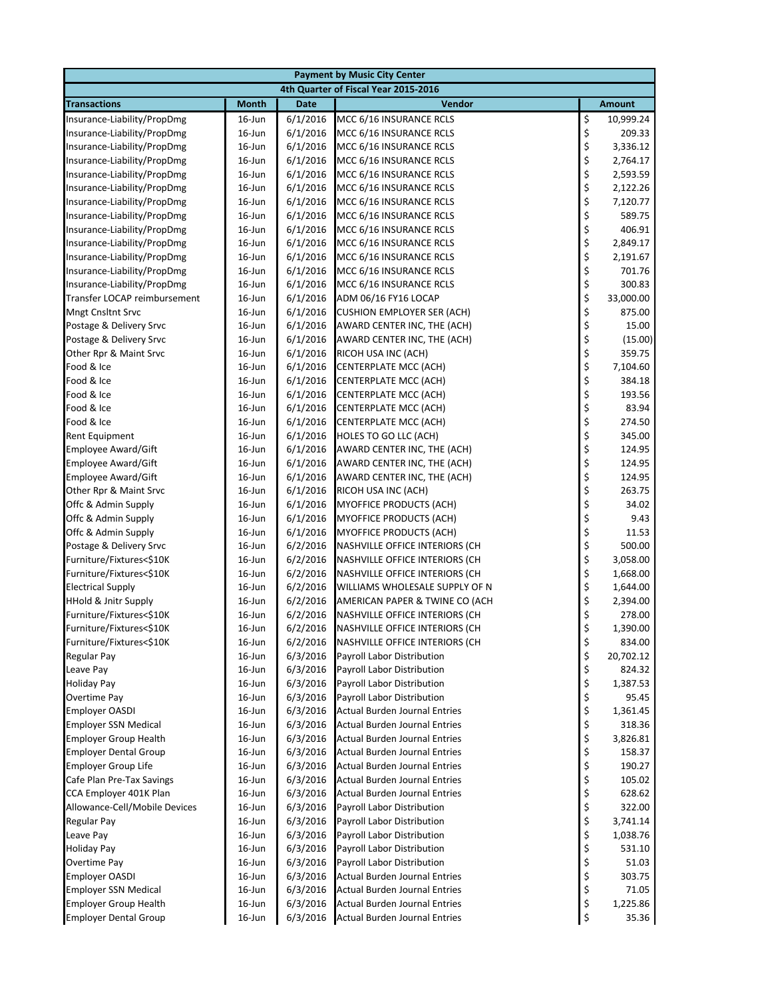| <b>Payment by Music City Center</b>          |                        |                      |                                                          |                                                                      |                    |  |  |
|----------------------------------------------|------------------------|----------------------|----------------------------------------------------------|----------------------------------------------------------------------|--------------------|--|--|
| 4th Quarter of Fiscal Year 2015-2016         |                        |                      |                                                          |                                                                      |                    |  |  |
| <b>Transactions</b>                          | <b>Month</b>           | <b>Date</b>          | Vendor                                                   |                                                                      | <b>Amount</b>      |  |  |
| Insurance-Liability/PropDmg                  | $16$ -Jun              | 6/1/2016             | MCC 6/16 INSURANCE RCLS                                  | \$                                                                   | 10,999.24          |  |  |
| Insurance-Liability/PropDmg                  | $16$ -Jun              | 6/1/2016             | MCC 6/16 INSURANCE RCLS                                  | \$                                                                   | 209.33             |  |  |
| Insurance-Liability/PropDmg                  | $16$ -Jun              | 6/1/2016             | MCC 6/16 INSURANCE RCLS                                  | \$                                                                   | 3,336.12           |  |  |
| Insurance-Liability/PropDmg                  | $16$ -Jun              | 6/1/2016             | MCC 6/16 INSURANCE RCLS                                  | \$<br>\$                                                             | 2,764.17           |  |  |
| Insurance-Liability/PropDmg                  | $16$ -Jun              | 6/1/2016             | MCC 6/16 INSURANCE RCLS                                  |                                                                      | 2,593.59           |  |  |
| Insurance-Liability/PropDmg                  | $16$ -Jun              | 6/1/2016             | MCC 6/16 INSURANCE RCLS                                  | $\begin{array}{c}\n\varsigma \\ \varsigma \\ \varsigma\n\end{array}$ | 2,122.26           |  |  |
| Insurance-Liability/PropDmg                  | $16$ -Jun              | 6/1/2016             | MCC 6/16 INSURANCE RCLS                                  |                                                                      | 7,120.77           |  |  |
| Insurance-Liability/PropDmg                  | 16-Jun                 | 6/1/2016             | MCC 6/16 INSURANCE RCLS                                  |                                                                      | 589.75             |  |  |
| Insurance-Liability/PropDmg                  | 16-Jun                 | 6/1/2016             | MCC 6/16 INSURANCE RCLS                                  | ぐうそう こうかい                                                            | 406.91             |  |  |
| Insurance-Liability/PropDmg                  | 16-Jun                 | 6/1/2016             | MCC 6/16 INSURANCE RCLS                                  |                                                                      | 2,849.17           |  |  |
| Insurance-Liability/PropDmg                  | $16$ -Jun              | 6/1/2016             | MCC 6/16 INSURANCE RCLS                                  |                                                                      | 2,191.67           |  |  |
| Insurance-Liability/PropDmg                  | $16$ -Jun              | 6/1/2016             | MCC 6/16 INSURANCE RCLS                                  |                                                                      | 701.76             |  |  |
| Insurance-Liability/PropDmg                  | $16$ -Jun              | 6/1/2016             | MCC 6/16 INSURANCE RCLS                                  |                                                                      | 300.83             |  |  |
| Transfer LOCAP reimbursement                 | $16$ -Jun              | 6/1/2016             | ADM 06/16 FY16 LOCAP                                     |                                                                      | 33,000.00          |  |  |
| <b>Mngt Cnsltnt Srvc</b>                     | $16$ -Jun              | 6/1/2016             | <b>CUSHION EMPLOYER SER (ACH)</b>                        |                                                                      | 875.00             |  |  |
| Postage & Delivery Srvc                      | 16-Jun                 | 6/1/2016             | AWARD CENTER INC, THE (ACH)                              |                                                                      | 15.00              |  |  |
| Postage & Delivery Srvc                      | $16$ -Jun              | 6/1/2016             | AWARD CENTER INC, THE (ACH)                              |                                                                      | (15.00)            |  |  |
| Other Rpr & Maint Srvc<br>Food & Ice         | $16$ -Jun<br>16-Jun    | 6/1/2016<br>6/1/2016 | RICOH USA INC (ACH)                                      |                                                                      | 359.75<br>7,104.60 |  |  |
| Food & Ice                                   | $16$ -Jun              | 6/1/2016             | CENTERPLATE MCC (ACH)<br>CENTERPLATE MCC (ACH)           |                                                                      | 384.18             |  |  |
| Food & Ice                                   | 16-Jun                 | 6/1/2016             | CENTERPLATE MCC (ACH)                                    |                                                                      | 193.56             |  |  |
| Food & Ice                                   | $16$ -Jun              | 6/1/2016             | <b>CENTERPLATE MCC (ACH)</b>                             |                                                                      | 83.94              |  |  |
| Food & Ice                                   | $16$ -Jun              | 6/1/2016             | <b>CENTERPLATE MCC (ACH)</b>                             |                                                                      | 274.50             |  |  |
| <b>Rent Equipment</b>                        | 16-Jun                 | 6/1/2016             | HOLES TO GO LLC (ACH)                                    |                                                                      | 345.00             |  |  |
| <b>Employee Award/Gift</b>                   | 16-Jun                 | 6/1/2016             | AWARD CENTER INC, THE (ACH)                              |                                                                      | 124.95             |  |  |
| <b>Employee Award/Gift</b>                   | $16$ -Jun              | 6/1/2016             | AWARD CENTER INC, THE (ACH)                              |                                                                      | 124.95             |  |  |
| <b>Employee Award/Gift</b>                   | 16-Jun                 | 6/1/2016             | AWARD CENTER INC, THE (ACH)                              |                                                                      | 124.95             |  |  |
| Other Rpr & Maint Srvc                       | 16-Jun                 | 6/1/2016             | RICOH USA INC (ACH)                                      |                                                                      | 263.75             |  |  |
| Offc & Admin Supply                          | $16$ -Jun              | 6/1/2016             | <b>MYOFFICE PRODUCTS (ACH)</b>                           | ぐうろうこう こうこう                                                          | 34.02              |  |  |
| Offc & Admin Supply                          | 16-Jun                 | 6/1/2016             | MYOFFICE PRODUCTS (ACH)                                  |                                                                      | 9.43               |  |  |
| Offc & Admin Supply                          | 16-Jun                 | 6/1/2016             | MYOFFICE PRODUCTS (ACH)                                  |                                                                      | 11.53              |  |  |
| Postage & Delivery Srvc                      | 16-Jun                 | 6/2/2016             | NASHVILLE OFFICE INTERIORS (CH                           |                                                                      | 500.00             |  |  |
| Furniture/Fixtures<\$10K                     | 16-Jun                 | 6/2/2016             | NASHVILLE OFFICE INTERIORS (CH                           | \$<br>\$                                                             | 3,058.00           |  |  |
| Furniture/Fixtures<\$10K                     | 16-Jun                 | 6/2/2016             | NASHVILLE OFFICE INTERIORS (CH                           | \$                                                                   | 1,668.00           |  |  |
| <b>Electrical Supply</b>                     | 16-Jun                 | 6/2/2016             | WILLIAMS WHOLESALE SUPPLY OF N                           | \$                                                                   | 1,644.00           |  |  |
| HHold & Jnitr Supply                         | $16$ -Jun              | 6/2/2016             | AMERICAN PAPER & TWINE CO (ACH                           | \$                                                                   | 2,394.00           |  |  |
| Furniture/Fixtures<\$10K                     | $16$ -Jun              | 6/2/2016             | NASHVILLE OFFICE INTERIORS (CH                           | \$                                                                   | 278.00             |  |  |
| Furniture/Fixtures<\$10K                     | $16$ -Jun              | 6/2/2016             | NASHVILLE OFFICE INTERIORS (CH                           | \$                                                                   | 1,390.00           |  |  |
| Furniture/Fixtures<\$10K                     | 16-Jun                 | 6/2/2016             | NASHVILLE OFFICE INTERIORS (CH                           | \$                                                                   | 834.00             |  |  |
| Regular Pay                                  | $16$ -Jun              | 6/3/2016             | <b>Payroll Labor Distribution</b>                        | \$                                                                   | 20,702.12          |  |  |
| Leave Pay                                    | 16-Jun                 | 6/3/2016             | Payroll Labor Distribution                               | \$                                                                   | 824.32             |  |  |
| <b>Holiday Pay</b>                           | $16$ -Jun              | 6/3/2016             | Payroll Labor Distribution                               | \$                                                                   | 1,387.53           |  |  |
| Overtime Pay                                 | $16$ -Jun              | 6/3/2016             | Payroll Labor Distribution                               | $\frac{1}{2}$                                                        | 95.45              |  |  |
| <b>Employer OASDI</b>                        | $16$ -Jun              | 6/3/2016             | <b>Actual Burden Journal Entries</b>                     |                                                                      | 1,361.45           |  |  |
| <b>Employer SSN Medical</b>                  | $16$ -Jun              | 6/3/2016             | <b>Actual Burden Journal Entries</b>                     | \$                                                                   | 318.36             |  |  |
| <b>Employer Group Health</b>                 | $16$ -Jun              | 6/3/2016             | <b>Actual Burden Journal Entries</b>                     | \$                                                                   | 3,826.81           |  |  |
| <b>Employer Dental Group</b>                 | 16-Jun                 | 6/3/2016             | <b>Actual Burden Journal Entries</b>                     | \$                                                                   | 158.37             |  |  |
| <b>Employer Group Life</b>                   | $16$ -Jun              | 6/3/2016             | <b>Actual Burden Journal Entries</b>                     | \$                                                                   | 190.27             |  |  |
| Cafe Plan Pre-Tax Savings                    | $16$ -Jun              | 6/3/2016             | <b>Actual Burden Journal Entries</b>                     | \$                                                                   | 105.02             |  |  |
| CCA Employer 401K Plan                       | $16$ -Jun              | 6/3/2016             | <b>Actual Burden Journal Entries</b>                     | \$                                                                   | 628.62             |  |  |
| Allowance-Cell/Mobile Devices<br>Regular Pay | $16$ -Jun<br>$16$ -Jun | 6/3/2016<br>6/3/2016 | Payroll Labor Distribution<br>Payroll Labor Distribution | \$<br>\$                                                             | 322.00<br>3,741.14 |  |  |
| Leave Pay                                    | $16$ -Jun              | 6/3/2016             | Payroll Labor Distribution                               | \$                                                                   | 1,038.76           |  |  |
| <b>Holiday Pay</b>                           | $16$ -Jun              | 6/3/2016             | Payroll Labor Distribution                               | \$                                                                   | 531.10             |  |  |
| Overtime Pay                                 | $16$ -Jun              | 6/3/2016             | Payroll Labor Distribution                               | \$                                                                   | 51.03              |  |  |
| <b>Employer OASDI</b>                        | $16$ -Jun              | 6/3/2016             | Actual Burden Journal Entries                            | \$                                                                   | 303.75             |  |  |
| <b>Employer SSN Medical</b>                  | $16$ -Jun              | 6/3/2016             | Actual Burden Journal Entries                            | \$                                                                   | 71.05              |  |  |
| <b>Employer Group Health</b>                 | $16$ -Jun              | 6/3/2016             | <b>Actual Burden Journal Entries</b>                     | \$                                                                   | 1,225.86           |  |  |
| <b>Employer Dental Group</b>                 | 16-Jun                 | 6/3/2016             | <b>Actual Burden Journal Entries</b>                     | \$                                                                   | 35.36              |  |  |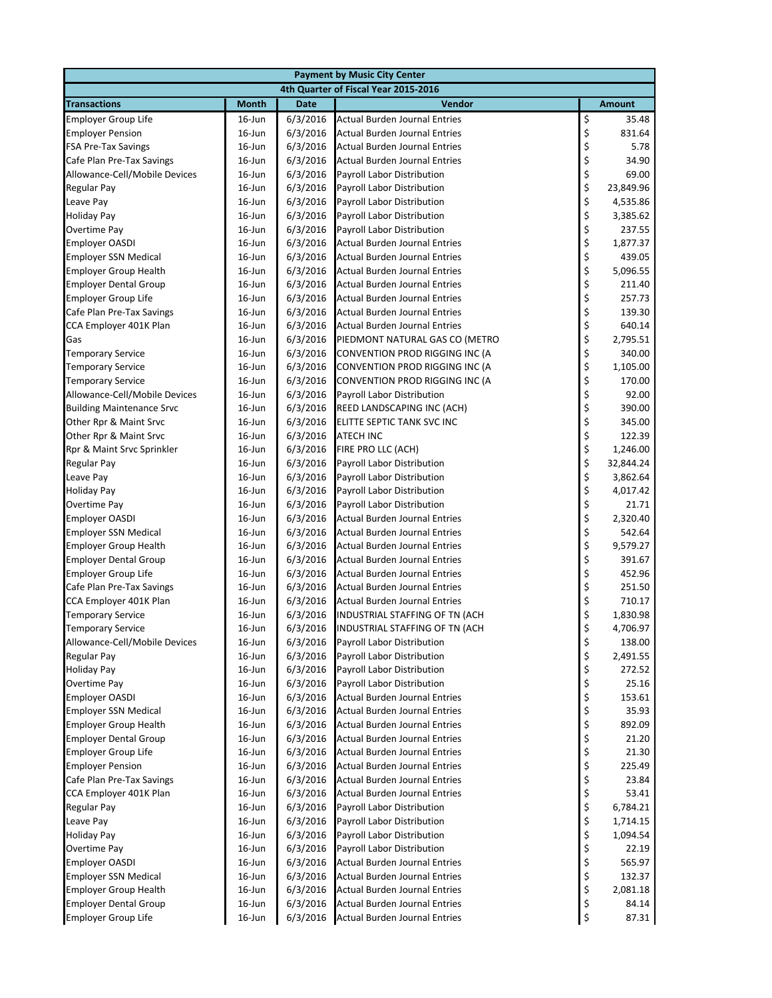| <b>Payment by Music City Center</b>                 |                                      |                      |                                                              |               |                      |  |  |
|-----------------------------------------------------|--------------------------------------|----------------------|--------------------------------------------------------------|---------------|----------------------|--|--|
|                                                     | 4th Quarter of Fiscal Year 2015-2016 |                      |                                                              |               |                      |  |  |
| <b>Transactions</b>                                 | <b>Month</b>                         | <b>Date</b>          | Vendor                                                       |               | <b>Amount</b>        |  |  |
| <b>Employer Group Life</b>                          | $16$ -Jun                            | 6/3/2016             | <b>Actual Burden Journal Entries</b>                         | \$            | 35.48                |  |  |
| <b>Employer Pension</b>                             | $16$ -Jun                            | 6/3/2016             | <b>Actual Burden Journal Entries</b>                         | \$            | 831.64               |  |  |
| <b>FSA Pre-Tax Savings</b>                          | $16$ -Jun                            | 6/3/2016             | <b>Actual Burden Journal Entries</b>                         | \$            | 5.78                 |  |  |
| Cafe Plan Pre-Tax Savings                           | $16$ -Jun                            | 6/3/2016             | <b>Actual Burden Journal Entries</b>                         | \$<br>\$      | 34.90                |  |  |
| Allowance-Cell/Mobile Devices                       | $16$ -Jun                            | 6/3/2016             | Payroll Labor Distribution                                   |               | 69.00                |  |  |
| <b>Regular Pay</b>                                  | $16$ -Jun                            | 6/3/2016             | Payroll Labor Distribution                                   | \$            | 23,849.96            |  |  |
| Leave Pay                                           | $16$ -Jun                            | 6/3/2016             | Payroll Labor Distribution                                   | \$            | 4,535.86             |  |  |
| <b>Holiday Pay</b>                                  | $16$ -Jun                            | 6/3/2016             | Payroll Labor Distribution                                   | \$            | 3,385.62             |  |  |
| Overtime Pay                                        | $16$ -Jun                            | 6/3/2016             | <b>Payroll Labor Distribution</b>                            | \$            | 237.55               |  |  |
| <b>Employer OASDI</b>                               | 16-Jun                               | 6/3/2016             | <b>Actual Burden Journal Entries</b>                         |               | 1,877.37             |  |  |
| <b>Employer SSN Medical</b>                         | $16$ -Jun                            | 6/3/2016             | <b>Actual Burden Journal Entries</b>                         | \$\$\$\$\$    | 439.05               |  |  |
| <b>Employer Group Health</b>                        | $16$ -Jun                            | 6/3/2016             | <b>Actual Burden Journal Entries</b>                         |               | 5,096.55             |  |  |
| <b>Employer Dental Group</b>                        | $16$ -Jun                            | 6/3/2016             | <b>Actual Burden Journal Entries</b>                         |               | 211.40               |  |  |
| <b>Employer Group Life</b>                          | $16$ -Jun                            | 6/3/2016             | <b>Actual Burden Journal Entries</b>                         |               | 257.73               |  |  |
| Cafe Plan Pre-Tax Savings                           | $16$ -Jun                            | 6/3/2016             | <b>Actual Burden Journal Entries</b>                         | \$            | 139.30               |  |  |
| CCA Employer 401K Plan                              | $16$ -Jun                            | 6/3/2016             | <b>Actual Burden Journal Entries</b>                         | \$            | 640.14               |  |  |
| Gas                                                 | $16$ -Jun                            | 6/3/2016             | PIEDMONT NATURAL GAS CO (METRO                               | \$            | 2,795.51             |  |  |
| <b>Temporary Service</b>                            | $16$ -Jun                            | 6/3/2016             | CONVENTION PROD RIGGING INC (A                               | \$            | 340.00               |  |  |
| <b>Temporary Service</b>                            | $16$ -Jun                            | 6/3/2016             | CONVENTION PROD RIGGING INC (A                               | \$            | 1,105.00             |  |  |
| <b>Temporary Service</b>                            | $16$ -Jun                            | 6/3/2016             | CONVENTION PROD RIGGING INC (A                               | \$            | 170.00               |  |  |
| Allowance-Cell/Mobile Devices                       | 16-Jun                               | 6/3/2016             | Payroll Labor Distribution                                   |               | 92.00                |  |  |
| <b>Building Maintenance Srvc</b>                    | $16$ -Jun                            | 6/3/2016             | REED LANDSCAPING INC (ACH)                                   | \$\$\$        | 390.00               |  |  |
| Other Rpr & Maint Srvc                              | $16$ -Jun                            | 6/3/2016             | ELITTE SEPTIC TANK SVC INC                                   |               | 345.00               |  |  |
| Other Rpr & Maint Srvc                              | $16$ -Jun                            | 6/3/2016             | <b>ATECH INC</b>                                             | \$\$\$        | 122.39               |  |  |
| Rpr & Maint Srvc Sprinkler                          | $16$ -Jun                            | 6/3/2016             | FIRE PRO LLC (ACH)                                           |               | 1,246.00             |  |  |
| <b>Regular Pay</b>                                  | $16$ -Jun                            | 6/3/2016             | Payroll Labor Distribution                                   |               | 32,844.24            |  |  |
| Leave Pay                                           | $16$ -Jun                            | 6/3/2016             | Payroll Labor Distribution                                   | $\frac{1}{2}$ | 3,862.64             |  |  |
| <b>Holiday Pay</b>                                  | $16$ -Jun                            | 6/3/2016             | Payroll Labor Distribution                                   |               | 4,017.42             |  |  |
| Overtime Pay                                        | $16$ -Jun                            | 6/3/2016             | Payroll Labor Distribution                                   | \$<br>\$      | 21.71                |  |  |
| <b>Employer OASDI</b>                               | $16$ -Jun                            | 6/3/2016             | Actual Burden Journal Entries                                |               | 2,320.40             |  |  |
| <b>Employer SSN Medical</b>                         | $16$ -Jun                            | 6/3/2016             | Actual Burden Journal Entries                                | \$            | 542.64               |  |  |
| <b>Employer Group Health</b>                        | $16$ -Jun                            | 6/3/2016             | Actual Burden Journal Entries                                | \$<br>\$      | 9,579.27             |  |  |
| <b>Employer Dental Group</b>                        | $16$ -Jun                            | 6/3/2016             | <b>Actual Burden Journal Entries</b>                         |               | 391.67               |  |  |
| <b>Employer Group Life</b>                          | $16$ -Jun                            | 6/3/2016             | <b>Actual Burden Journal Entries</b>                         | \$\$\$        | 452.96               |  |  |
| Cafe Plan Pre-Tax Savings                           | $16$ -Jun                            | 6/3/2016             | <b>Actual Burden Journal Entries</b>                         |               | 251.50               |  |  |
| CCA Employer 401K Plan                              | $16$ -Jun                            | 6/3/2016             | <b>Actual Burden Journal Entries</b>                         | \$            | 710.17               |  |  |
| <b>Temporary Service</b>                            | $16$ -Jun                            | 6/3/2016             | INDUSTRIAL STAFFING OF TN (ACH                               | \$            | 1,830.98<br>4,706.97 |  |  |
| <b>Temporary Service</b>                            | $16$ -Jun                            | 6/3/2016             | INDUSTRIAL STAFFING OF TN (ACH<br>Payroll Labor Distribution |               |                      |  |  |
| Allowance-Cell/Mobile Devices<br><b>Regular Pay</b> | 16-Jun                               | 6/3/2016<br>6/3/2016 | <b>Payroll Labor Distribution</b>                            | \$<br>\$      | 138.00<br>2,491.55   |  |  |
| <b>Holiday Pay</b>                                  | $16$ -Jun<br>16-Jun                  | 6/3/2016             | <b>Payroll Labor Distribution</b>                            | \$            | 272.52               |  |  |
| Overtime Pay                                        | $16$ -Jun                            | 6/3/2016             | Payroll Labor Distribution                                   | \$            | 25.16                |  |  |
| <b>Employer OASDI</b>                               | $16$ -Jun                            | 6/3/2016             | Actual Burden Journal Entries                                |               | 153.61               |  |  |
| <b>Employer SSN Medical</b>                         | $16$ -Jun                            | 6/3/2016             | <b>Actual Burden Journal Entries</b>                         | \$<br>\$      | 35.93                |  |  |
| <b>Employer Group Health</b>                        | $16$ -Jun                            | 6/3/2016             | <b>Actual Burden Journal Entries</b>                         | \$            | 892.09               |  |  |
| <b>Employer Dental Group</b>                        | $16$ -Jun                            | 6/3/2016             | <b>Actual Burden Journal Entries</b>                         | \$            | 21.20                |  |  |
| <b>Employer Group Life</b>                          | $16$ -Jun                            | 6/3/2016             | <b>Actual Burden Journal Entries</b>                         | \$            | 21.30                |  |  |
| <b>Employer Pension</b>                             | $16$ -Jun                            | 6/3/2016             | <b>Actual Burden Journal Entries</b>                         | \$            | 225.49               |  |  |
| Cafe Plan Pre-Tax Savings                           | $16$ -Jun                            | 6/3/2016             | <b>Actual Burden Journal Entries</b>                         |               | 23.84                |  |  |
| CCA Employer 401K Plan                              | $16$ -Jun                            | 6/3/2016             | <b>Actual Burden Journal Entries</b>                         | \$\$\$        | 53.41                |  |  |
| <b>Regular Pay</b>                                  | $16$ -Jun                            | 6/3/2016             | Payroll Labor Distribution                                   |               | 6,784.21             |  |  |
| Leave Pay                                           | 16-Jun                               | 6/3/2016             | Payroll Labor Distribution                                   | \$            | 1,714.15             |  |  |
| <b>Holiday Pay</b>                                  | $16$ -Jun                            | 6/3/2016             | Payroll Labor Distribution                                   | \$            | 1,094.54             |  |  |
| Overtime Pay                                        | $16$ -Jun                            | 6/3/2016             | Payroll Labor Distribution                                   |               | 22.19                |  |  |
| <b>Employer OASDI</b>                               | $16$ -Jun                            | 6/3/2016             | <b>Actual Burden Journal Entries</b>                         | $\frac{1}{2}$ | 565.97               |  |  |
| <b>Employer SSN Medical</b>                         | $16$ -Jun                            | 6/3/2016             | <b>Actual Burden Journal Entries</b>                         | \$            | 132.37               |  |  |
| <b>Employer Group Health</b>                        | $16$ -Jun                            | 6/3/2016             | Actual Burden Journal Entries                                | \$            | 2,081.18             |  |  |
| <b>Employer Dental Group</b>                        | $16$ -Jun                            | 6/3/2016             | <b>Actual Burden Journal Entries</b>                         | \$            | 84.14                |  |  |
| <b>Employer Group Life</b>                          | 16-Jun                               | 6/3/2016             | <b>Actual Burden Journal Entries</b>                         | \$            | 87.31                |  |  |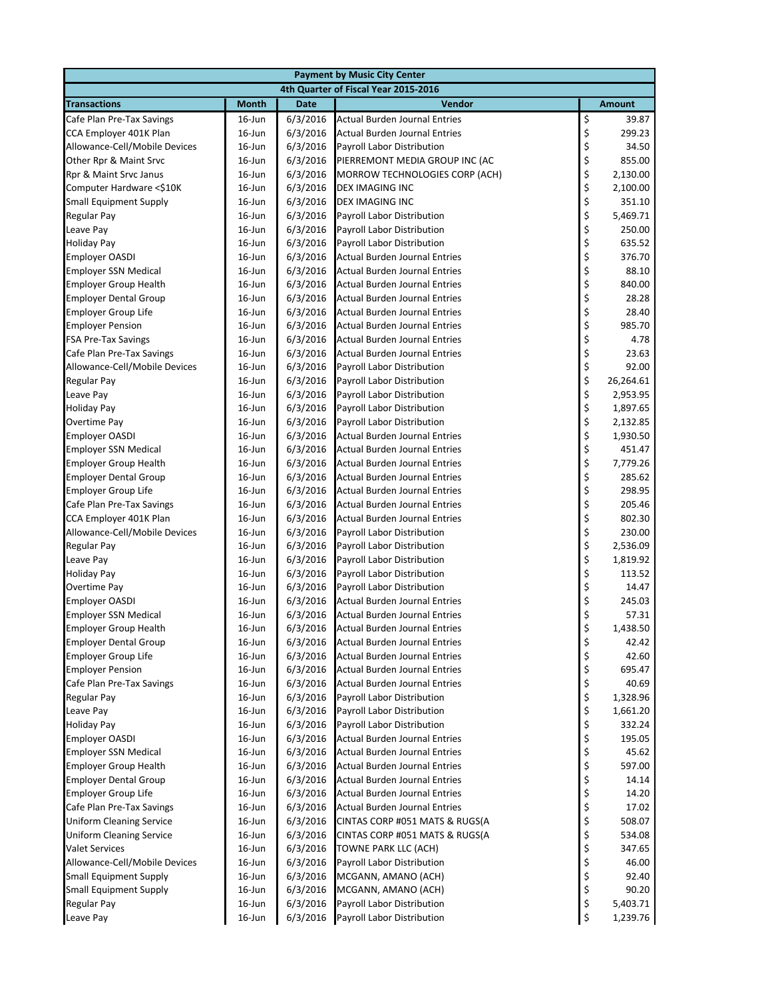| <b>Payment by Music City Center</b>                     |                                      |                      |                                                                              |          |                  |  |  |
|---------------------------------------------------------|--------------------------------------|----------------------|------------------------------------------------------------------------------|----------|------------------|--|--|
|                                                         | 4th Quarter of Fiscal Year 2015-2016 |                      |                                                                              |          |                  |  |  |
| <b>Transactions</b>                                     | <b>Month</b>                         | <b>Date</b>          | Vendor                                                                       |          | <b>Amount</b>    |  |  |
| Cafe Plan Pre-Tax Savings                               | $16$ -Jun                            | 6/3/2016             | <b>Actual Burden Journal Entries</b>                                         | \$       | 39.87            |  |  |
| CCA Employer 401K Plan                                  | 16-Jun                               | 6/3/2016             | Actual Burden Journal Entries                                                | \$       | 299.23           |  |  |
| Allowance-Cell/Mobile Devices                           | $16$ -Jun                            | 6/3/2016             | Payroll Labor Distribution                                                   | \$       | 34.50            |  |  |
| Other Rpr & Maint Srvc                                  | $16$ -Jun                            | 6/3/2016             | PIERREMONT MEDIA GROUP INC (AC                                               | \$       | 855.00           |  |  |
| Rpr & Maint Srvc Janus                                  | $16$ -Jun                            | 6/3/2016             | MORROW TECHNOLOGIES CORP (ACH)                                               | \$       | 2,130.00         |  |  |
| Computer Hardware <\$10K                                | $16$ -Jun                            | 6/3/2016             | DEX IMAGING INC                                                              | \$       | 2,100.00         |  |  |
| <b>Small Equipment Supply</b>                           | $16$ -Jun                            | 6/3/2016             | DEX IMAGING INC                                                              | \$       | 351.10           |  |  |
| <b>Regular Pay</b>                                      | $16$ -Jun                            | 6/3/2016             | Payroll Labor Distribution                                                   | \$       | 5,469.71         |  |  |
| Leave Pay                                               | $16$ -Jun                            | 6/3/2016             | Payroll Labor Distribution                                                   | \$       | 250.00           |  |  |
| <b>Holiday Pay</b>                                      | $16$ -Jun                            | 6/3/2016             | Payroll Labor Distribution                                                   | \$       | 635.52           |  |  |
| <b>Employer OASDI</b>                                   | $16$ -Jun                            | 6/3/2016             | Actual Burden Journal Entries                                                | \$       | 376.70           |  |  |
| <b>Employer SSN Medical</b>                             | $16$ -Jun                            | 6/3/2016             | Actual Burden Journal Entries                                                | \$       | 88.10            |  |  |
| <b>Employer Group Health</b>                            | $16$ -Jun                            | 6/3/2016             | <b>Actual Burden Journal Entries</b>                                         | \$       | 840.00           |  |  |
| <b>Employer Dental Group</b>                            | $16$ -Jun                            | 6/3/2016             | <b>Actual Burden Journal Entries</b>                                         | \$       | 28.28            |  |  |
| <b>Employer Group Life</b>                              | $16$ -Jun                            | 6/3/2016             | <b>Actual Burden Journal Entries</b>                                         | \$       | 28.40            |  |  |
| <b>Employer Pension</b>                                 | $16$ -Jun                            | 6/3/2016             | <b>Actual Burden Journal Entries</b>                                         | \$       | 985.70           |  |  |
| <b>FSA Pre-Tax Savings</b>                              | $16$ -Jun                            | 6/3/2016             | <b>Actual Burden Journal Entries</b>                                         | \$       | 4.78             |  |  |
| Cafe Plan Pre-Tax Savings                               | $16$ -Jun                            | 6/3/2016             | Actual Burden Journal Entries                                                | \$       | 23.63            |  |  |
| Allowance-Cell/Mobile Devices                           | $16$ -Jun                            | 6/3/2016             | Payroll Labor Distribution                                                   | \$       | 92.00            |  |  |
| <b>Regular Pay</b>                                      | $16$ -Jun                            | 6/3/2016             | Payroll Labor Distribution                                                   | \$       | 26,264.61        |  |  |
| Leave Pay                                               | $16$ -Jun                            | 6/3/2016             | Payroll Labor Distribution                                                   | \$       | 2,953.95         |  |  |
| <b>Holiday Pay</b>                                      | $16$ -Jun                            | 6/3/2016             | Payroll Labor Distribution                                                   | \$       | 1,897.65         |  |  |
| Overtime Pay                                            | $16$ -Jun                            | 6/3/2016             | Payroll Labor Distribution                                                   | \$       | 2,132.85         |  |  |
| <b>Employer OASDI</b>                                   | 16-Jun                               | 6/3/2016             | <b>Actual Burden Journal Entries</b>                                         | \$       | 1,930.50         |  |  |
| <b>Employer SSN Medical</b>                             | $16$ -Jun                            | 6/3/2016             | <b>Actual Burden Journal Entries</b>                                         | \$       | 451.47           |  |  |
| <b>Employer Group Health</b>                            | $16$ -Jun                            | 6/3/2016             | Actual Burden Journal Entries                                                | \$       | 7,779.26         |  |  |
| <b>Employer Dental Group</b>                            | $16$ -Jun                            | 6/3/2016<br>6/3/2016 | <b>Actual Burden Journal Entries</b><br><b>Actual Burden Journal Entries</b> | \$       | 285.62<br>298.95 |  |  |
| <b>Employer Group Life</b><br>Cafe Plan Pre-Tax Savings | $16$ -Jun<br>$16$ -Jun               | 6/3/2016             | Actual Burden Journal Entries                                                | \$<br>\$ | 205.46           |  |  |
| CCA Employer 401K Plan                                  | $16$ -Jun                            | 6/3/2016             | Actual Burden Journal Entries                                                | \$       | 802.30           |  |  |
| Allowance-Cell/Mobile Devices                           | $16$ -Jun                            | 6/3/2016             | Payroll Labor Distribution                                                   | \$       | 230.00           |  |  |
| <b>Regular Pay</b>                                      | $16$ -Jun                            | 6/3/2016             | Payroll Labor Distribution                                                   | \$       | 2,536.09         |  |  |
| Leave Pay                                               | $16$ -Jun                            | 6/3/2016             | Payroll Labor Distribution                                                   | \$       | 1,819.92         |  |  |
| <b>Holiday Pay</b>                                      | $16$ -Jun                            | 6/3/2016             | Payroll Labor Distribution                                                   | \$       | 113.52           |  |  |
| <b>Overtime Pay</b>                                     | $16$ -Jun                            | 6/3/2016             | Payroll Labor Distribution                                                   | \$       | 14.47            |  |  |
| <b>Employer OASDI</b>                                   | $16$ -Jun                            | 6/3/2016             | Actual Burden Journal Entries                                                | \$       | 245.03           |  |  |
| <b>Employer SSN Medical</b>                             | $16$ -Jun                            | 6/3/2016             | <b>Actual Burden Journal Entries</b>                                         | \$       | 57.31            |  |  |
| <b>Employer Group Health</b>                            | $16$ -Jun                            | 6/3/2016             | <b>Actual Burden Journal Entries</b>                                         | \$       | 1,438.50         |  |  |
| <b>Employer Dental Group</b>                            | $16$ -Jun                            | 6/3/2016             | <b>Actual Burden Journal Entries</b>                                         | \$       | 42.42            |  |  |
| <b>Employer Group Life</b>                              | $16$ -Jun                            | 6/3/2016             | <b>Actual Burden Journal Entries</b>                                         | \$       | 42.60            |  |  |
| <b>Employer Pension</b>                                 | $16$ -Jun                            | 6/3/2016             | <b>Actual Burden Journal Entries</b>                                         | \$       | 695.47           |  |  |
| Cafe Plan Pre-Tax Savings                               | $16$ -Jun                            | 6/3/2016             | <b>Actual Burden Journal Entries</b>                                         | \$       | 40.69            |  |  |
| Regular Pay                                             | $16$ -Jun                            | 6/3/2016             | Payroll Labor Distribution                                                   | \$       | 1,328.96         |  |  |
| Leave Pay                                               | $16$ -Jun                            | 6/3/2016             | Payroll Labor Distribution                                                   | \$       | 1,661.20         |  |  |
| <b>Holiday Pay</b>                                      | $16$ -Jun                            | 6/3/2016             | Payroll Labor Distribution                                                   | \$       | 332.24           |  |  |
| <b>Employer OASDI</b>                                   | $16$ -Jun                            | 6/3/2016             | Actual Burden Journal Entries                                                | \$       | 195.05           |  |  |
| <b>Employer SSN Medical</b>                             | $16$ -Jun                            | 6/3/2016             | Actual Burden Journal Entries                                                | \$       | 45.62            |  |  |
| <b>Employer Group Health</b>                            | 16-Jun                               | 6/3/2016             | <b>Actual Burden Journal Entries</b>                                         | \$       | 597.00           |  |  |
| <b>Employer Dental Group</b>                            | $16$ -Jun                            | 6/3/2016             | <b>Actual Burden Journal Entries</b>                                         | \$       | 14.14            |  |  |
| <b>Employer Group Life</b>                              | $16$ -Jun                            | 6/3/2016             | <b>Actual Burden Journal Entries</b>                                         | \$       | 14.20            |  |  |
| Cafe Plan Pre-Tax Savings                               | $16$ -Jun                            | 6/3/2016             | Actual Burden Journal Entries                                                | \$       | 17.02            |  |  |
| <b>Uniform Cleaning Service</b>                         | $16$ -Jun                            | 6/3/2016             | CINTAS CORP #051 MATS & RUGS(A                                               | \$       | 508.07           |  |  |
| <b>Uniform Cleaning Service</b>                         | $16$ -Jun                            | 6/3/2016             | CINTAS CORP #051 MATS & RUGS(A                                               | \$       | 534.08           |  |  |
| <b>Valet Services</b>                                   | 16-Jun                               | 6/3/2016             | TOWNE PARK LLC (ACH)                                                         | \$       | 347.65           |  |  |
| Allowance-Cell/Mobile Devices                           | 16-Jun                               | 6/3/2016             | Payroll Labor Distribution                                                   | \$       | 46.00            |  |  |
| <b>Small Equipment Supply</b>                           | 16-Jun                               | 6/3/2016             | MCGANN, AMANO (ACH)                                                          | \$       | 92.40            |  |  |
| <b>Small Equipment Supply</b>                           | 16-Jun                               | 6/3/2016             | MCGANN, AMANO (ACH)                                                          | \$       | 90.20            |  |  |
| <b>Regular Pay</b>                                      | $16$ -Jun                            | 6/3/2016             | Payroll Labor Distribution                                                   | \$       | 5,403.71         |  |  |
| Leave Pay                                               | 16-Jun                               | 6/3/2016             | Payroll Labor Distribution                                                   | \$       | 1,239.76         |  |  |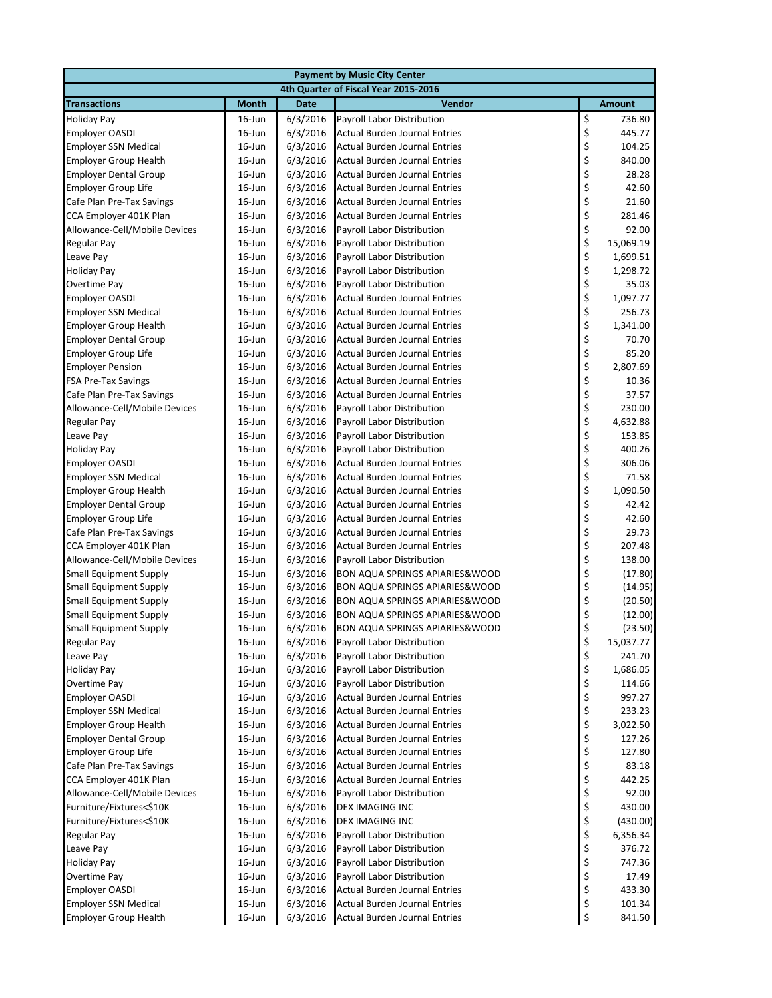| <b>Payment by Music City Center</b>                          |                                      |                      |                                                                       |          |                    |  |  |
|--------------------------------------------------------------|--------------------------------------|----------------------|-----------------------------------------------------------------------|----------|--------------------|--|--|
|                                                              | 4th Quarter of Fiscal Year 2015-2016 |                      |                                                                       |          |                    |  |  |
| <b>Transactions</b>                                          | <b>Month</b>                         | <b>Date</b>          | Vendor                                                                |          | <b>Amount</b>      |  |  |
| <b>Holiday Pay</b>                                           | $16$ -Jun                            | 6/3/2016             | Payroll Labor Distribution                                            | \$       | 736.80             |  |  |
| <b>Employer OASDI</b>                                        | 16-Jun                               | 6/3/2016             | Actual Burden Journal Entries                                         | \$       | 445.77             |  |  |
| <b>Employer SSN Medical</b>                                  | 16-Jun                               | 6/3/2016             | <b>Actual Burden Journal Entries</b>                                  | \$       | 104.25             |  |  |
| <b>Employer Group Health</b>                                 | $16$ -Jun                            | 6/3/2016             | Actual Burden Journal Entries                                         | \$       | 840.00             |  |  |
| <b>Employer Dental Group</b>                                 | $16$ -Jun                            | 6/3/2016             | <b>Actual Burden Journal Entries</b>                                  | \$       | 28.28              |  |  |
| <b>Employer Group Life</b>                                   | 16-Jun                               | 6/3/2016             | <b>Actual Burden Journal Entries</b>                                  | \$       | 42.60              |  |  |
| Cafe Plan Pre-Tax Savings                                    | $16$ -Jun                            | 6/3/2016             | Actual Burden Journal Entries                                         | \$<br>\$ | 21.60              |  |  |
| CCA Employer 401K Plan                                       | 16-Jun                               | 6/3/2016             | <b>Actual Burden Journal Entries</b>                                  |          | 281.46             |  |  |
| Allowance-Cell/Mobile Devices                                | 16-Jun                               | 6/3/2016             | <b>Payroll Labor Distribution</b>                                     | \$       | 92.00              |  |  |
| Regular Pay                                                  | $16$ -Jun                            | 6/3/2016             | Payroll Labor Distribution                                            | \$<br>\$ | 15,069.19          |  |  |
| Leave Pay                                                    | $16$ -Jun                            | 6/3/2016             | Payroll Labor Distribution                                            |          | 1,699.51           |  |  |
| <b>Holiday Pay</b>                                           | 16-Jun                               | 6/3/2016             | Payroll Labor Distribution                                            | \$\$\$   | 1,298.72           |  |  |
| Overtime Pay                                                 | 16-Jun                               | 6/3/2016             | Payroll Labor Distribution                                            |          | 35.03              |  |  |
| <b>Employer OASDI</b>                                        | 16-Jun                               | 6/3/2016             | Actual Burden Journal Entries                                         |          | 1,097.77           |  |  |
| <b>Employer SSN Medical</b>                                  | 16-Jun                               | 6/3/2016             | <b>Actual Burden Journal Entries</b>                                  | \$       | 256.73             |  |  |
| <b>Employer Group Health</b>                                 | 16-Jun                               | 6/3/2016             | <b>Actual Burden Journal Entries</b>                                  | \$       | 1,341.00           |  |  |
| <b>Employer Dental Group</b>                                 | $16$ -Jun                            | 6/3/2016             | <b>Actual Burden Journal Entries</b>                                  | \$       | 70.70              |  |  |
| <b>Employer Group Life</b>                                   | $16$ -Jun                            | 6/3/2016             | Actual Burden Journal Entries                                         | \$<br>\$ | 85.20              |  |  |
| <b>Employer Pension</b>                                      | 16-Jun                               | 6/3/2016             | <b>Actual Burden Journal Entries</b>                                  |          | 2,807.69           |  |  |
| <b>FSA Pre-Tax Savings</b>                                   | 16-Jun                               | 6/3/2016             | Actual Burden Journal Entries                                         | \$       | 10.36              |  |  |
| Cafe Plan Pre-Tax Savings                                    | 16-Jun                               | 6/3/2016             | Actual Burden Journal Entries                                         |          | 37.57              |  |  |
| Allowance-Cell/Mobile Devices                                | $16$ -Jun                            | 6/3/2016             | Payroll Labor Distribution                                            | \$\$\$   | 230.00             |  |  |
| <b>Regular Pay</b>                                           | $16$ -Jun                            | 6/3/2016             | Payroll Labor Distribution                                            |          | 4,632.88           |  |  |
| Leave Pay                                                    | $16$ -Jun                            | 6/3/2016             | Payroll Labor Distribution                                            | \$<br>\$ | 153.85             |  |  |
| <b>Holiday Pay</b>                                           | 16-Jun                               | 6/3/2016             | Payroll Labor Distribution                                            |          | 400.26             |  |  |
| <b>Employer OASDI</b>                                        | $16$ -Jun                            | 6/3/2016             | Actual Burden Journal Entries                                         | \$       | 306.06             |  |  |
| <b>Employer SSN Medical</b>                                  | 16-Jun                               | 6/3/2016             | <b>Actual Burden Journal Entries</b>                                  | \$<br>\$ | 71.58              |  |  |
| <b>Employer Group Health</b>                                 | $16$ -Jun                            | 6/3/2016             | <b>Actual Burden Journal Entries</b>                                  |          | 1,090.50           |  |  |
| <b>Employer Dental Group</b>                                 | $16$ -Jun                            | 6/3/2016             | Actual Burden Journal Entries                                         | \$<br>\$ | 42.42              |  |  |
| <b>Employer Group Life</b>                                   | 16-Jun                               | 6/3/2016             | Actual Burden Journal Entries                                         |          | 42.60              |  |  |
| Cafe Plan Pre-Tax Savings                                    | 16-Jun                               | 6/3/2016             | Actual Burden Journal Entries                                         | \$       | 29.73              |  |  |
| CCA Employer 401K Plan                                       | 16-Jun                               | 6/3/2016             | Actual Burden Journal Entries                                         | \$<br>\$ | 207.48             |  |  |
| Allowance-Cell/Mobile Devices                                | $16$ -Jun                            | 6/3/2016             | Payroll Labor Distribution                                            |          | 138.00             |  |  |
| <b>Small Equipment Supply</b>                                | 16-Jun                               | 6/3/2016             | <b>BON AQUA SPRINGS APIARIES&amp;WOOD</b>                             | \$       | (17.80)            |  |  |
| <b>Small Equipment Supply</b>                                | 16-Jun                               | 6/3/2016             | BON AQUA SPRINGS APIARIES&WOOD                                        | \$       | (14.95)            |  |  |
| <b>Small Equipment Supply</b>                                | $16$ -Jun                            | 6/3/2016             | BON AQUA SPRINGS APIARIES&WOOD                                        | \$       | (20.50)            |  |  |
| <b>Small Equipment Supply</b>                                | $16$ -Jun                            | 6/3/2016             | BON AQUA SPRINGS APIARIES&WOOD                                        | \$       | (12.00)            |  |  |
| <b>Small Equipment Supply</b>                                | $16$ -Jun                            | 6/3/2016             | <b>BON AQUA SPRINGS APIARIES&amp;WOOD</b>                             | \$       | (23.50)            |  |  |
| <b>Regular Pay</b>                                           | $16$ -Jun                            | 6/3/2016             | Payroll Labor Distribution                                            | \$       | 15,037.77          |  |  |
| Leave Pay                                                    | $16$ -Jun                            | 6/3/2016             | Payroll Labor Distribution                                            | \$       | 241.70             |  |  |
| <b>Holiday Pay</b>                                           | 16-Jun                               | 6/3/2016             | Payroll Labor Distribution                                            | \$       | 1,686.05           |  |  |
| Overtime Pay                                                 | 16-Jun                               | 6/3/2016             | Payroll Labor Distribution                                            | \$       | 114.66             |  |  |
| <b>Employer OASDI</b><br><b>Employer SSN Medical</b>         | $16$ -Jun                            | 6/3/2016             | Actual Burden Journal Entries                                         | \$<br>\$ | 997.27             |  |  |
|                                                              | $16$ -Jun                            | 6/3/2016             | Actual Burden Journal Entries<br><b>Actual Burden Journal Entries</b> | \$       | 233.23             |  |  |
| <b>Employer Group Health</b><br><b>Employer Dental Group</b> | $16$ -Jun<br>$16$ -Jun               | 6/3/2016<br>6/3/2016 | Actual Burden Journal Entries                                         | \$       | 3,022.50<br>127.26 |  |  |
| <b>Employer Group Life</b>                                   | 16-Jun                               | 6/3/2016             | Actual Burden Journal Entries                                         | \$       | 127.80             |  |  |
| Cafe Plan Pre-Tax Savings                                    | $16$ -Jun                            | 6/3/2016             | <b>Actual Burden Journal Entries</b>                                  | \$       | 83.18              |  |  |
| CCA Employer 401K Plan                                       | 16-Jun                               | 6/3/2016             | <b>Actual Burden Journal Entries</b>                                  | \$       | 442.25             |  |  |
| Allowance-Cell/Mobile Devices                                | $16$ -Jun                            | 6/3/2016             | Payroll Labor Distribution                                            | \$       | 92.00              |  |  |
| Furniture/Fixtures<\$10K                                     | $16$ -Jun                            | 6/3/2016             | DEX IMAGING INC                                                       | \$       | 430.00             |  |  |
| Furniture/Fixtures<\$10K                                     | 16-Jun                               | 6/3/2016             | DEX IMAGING INC                                                       | \$       | (430.00)           |  |  |
| <b>Regular Pay</b>                                           | $16$ -Jun                            | 6/3/2016             | Payroll Labor Distribution                                            | \$       | 6,356.34           |  |  |
| Leave Pay                                                    | $16$ -Jun                            | 6/3/2016             | Payroll Labor Distribution                                            | \$       | 376.72             |  |  |
| <b>Holiday Pay</b>                                           | $16$ -Jun                            | 6/3/2016             | Payroll Labor Distribution                                            | \$       | 747.36             |  |  |
| Overtime Pay                                                 | $16$ -Jun                            | 6/3/2016             | Payroll Labor Distribution                                            | \$       | 17.49              |  |  |
| <b>Employer OASDI</b>                                        | $16$ -Jun                            | 6/3/2016             | Actual Burden Journal Entries                                         | \$       | 433.30             |  |  |
| <b>Employer SSN Medical</b>                                  | $16$ -Jun                            | 6/3/2016             | <b>Actual Burden Journal Entries</b>                                  | \$       | 101.34             |  |  |
| <b>Employer Group Health</b>                                 | 16-Jun                               | 6/3/2016             | <b>Actual Burden Journal Entries</b>                                  | \$       | 841.50             |  |  |
|                                                              |                                      |                      |                                                                       |          |                    |  |  |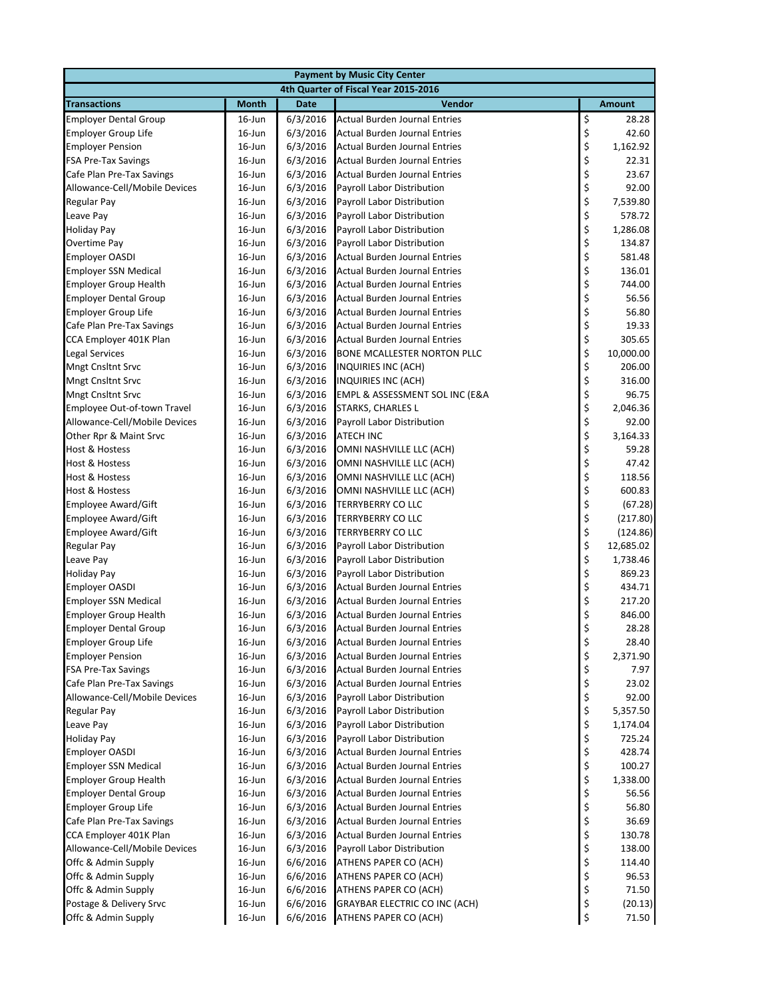| <b>Payment by Music City Center</b>                        |                                      |                      |                                                          |            |                   |  |  |
|------------------------------------------------------------|--------------------------------------|----------------------|----------------------------------------------------------|------------|-------------------|--|--|
|                                                            | 4th Quarter of Fiscal Year 2015-2016 |                      |                                                          |            |                   |  |  |
| <b>Transactions</b>                                        | <b>Month</b>                         | <b>Date</b>          | Vendor                                                   |            | <b>Amount</b>     |  |  |
| <b>Employer Dental Group</b>                               | $16$ -Jun                            | 6/3/2016             | <b>Actual Burden Journal Entries</b>                     |            | 28.28             |  |  |
| <b>Employer Group Life</b>                                 | 16-Jun                               | 6/3/2016             | <b>Actual Burden Journal Entries</b>                     | \$<br>\$   | 42.60             |  |  |
| <b>Employer Pension</b>                                    | 16-Jun                               | 6/3/2016             | <b>Actual Burden Journal Entries</b>                     | \$         | 1,162.92          |  |  |
| <b>FSA Pre-Tax Savings</b>                                 | $16$ -Jun                            | 6/3/2016             | <b>Actual Burden Journal Entries</b>                     | \$         | 22.31             |  |  |
| Cafe Plan Pre-Tax Savings                                  | $16$ -Jun                            | 6/3/2016             | <b>Actual Burden Journal Entries</b>                     | \$         | 23.67             |  |  |
| Allowance-Cell/Mobile Devices                              | $16$ -Jun                            | 6/3/2016             | Payroll Labor Distribution                               | \$         | 92.00             |  |  |
| Regular Pay                                                | $16$ -Jun                            | 6/3/2016             | Payroll Labor Distribution                               | \$<br>\$   | 7,539.80          |  |  |
| Leave Pay                                                  | 16-Jun                               | 6/3/2016             | Payroll Labor Distribution                               |            | 578.72            |  |  |
| <b>Holiday Pay</b>                                         | 16-Jun                               | 6/3/2016             | Payroll Labor Distribution                               | \$         | 1,286.08          |  |  |
| Overtime Pay                                               | 16-Jun                               | 6/3/2016             | Payroll Labor Distribution                               |            | 134.87            |  |  |
| <b>Employer OASDI</b>                                      | $16$ -Jun                            | 6/3/2016             | Actual Burden Journal Entries                            | \$\$\$\$\$ | 581.48            |  |  |
| <b>Employer SSN Medical</b>                                | 16-Jun                               | 6/3/2016             | Actual Burden Journal Entries                            |            | 136.01            |  |  |
| <b>Employer Group Health</b>                               | 16-Jun                               | 6/3/2016             | <b>Actual Burden Journal Entries</b>                     |            | 744.00            |  |  |
| <b>Employer Dental Group</b>                               | $16$ -Jun                            | 6/3/2016             | <b>Actual Burden Journal Entries</b>                     |            | 56.56             |  |  |
| <b>Employer Group Life</b>                                 | 16-Jun                               | 6/3/2016             | <b>Actual Burden Journal Entries</b>                     | \$         | 56.80             |  |  |
| Cafe Plan Pre-Tax Savings                                  | 16-Jun                               | 6/3/2016             | <b>Actual Burden Journal Entries</b>                     | \$\$\$\$   | 19.33             |  |  |
| CCA Employer 401K Plan                                     | $16$ -Jun                            | 6/3/2016             | <b>Actual Burden Journal Entries</b>                     |            | 305.65            |  |  |
| <b>Legal Services</b>                                      | $16$ -Jun                            | 6/3/2016             | <b>BONE MCALLESTER NORTON PLLC</b>                       |            | 10,000.00         |  |  |
| <b>Mngt Cnsltnt Srvc</b>                                   | 16-Jun                               | 6/3/2016             | INQUIRIES INC (ACH)                                      |            | 206.00            |  |  |
| <b>Mngt Cnsltnt Srvc</b>                                   | 16-Jun                               | 6/3/2016             | INQUIRIES INC (ACH)                                      | \$         | 316.00            |  |  |
| <b>Mngt Cnsltnt Srvc</b>                                   | 16-Jun                               | 6/3/2016             | EMPL & ASSESSMENT SOL INC (E&A                           | \$         | 96.75             |  |  |
| Employee Out-of-town Travel                                | $16$ -Jun                            | 6/3/2016             | STARKS, CHARLES L                                        | \$<br>\$   | 2,046.36          |  |  |
| Allowance-Cell/Mobile Devices                              | $16$ -Jun                            | 6/3/2016             | Payroll Labor Distribution                               |            | 92.00             |  |  |
| Other Rpr & Maint Srvc                                     | 16-Jun                               | 6/3/2016             | <b>ATECH INC</b>                                         | \$\$\$     | 3,164.33          |  |  |
| <b>Host &amp; Hostess</b>                                  | 16-Jun                               | 6/3/2016             | OMNI NASHVILLE LLC (ACH)                                 |            | 59.28             |  |  |
| <b>Host &amp; Hostess</b>                                  | $16$ -Jun                            | 6/3/2016             | OMNI NASHVILLE LLC (ACH)                                 |            | 47.42             |  |  |
| <b>Host &amp; Hostess</b>                                  | 16-Jun                               | 6/3/2016             | OMNI NASHVILLE LLC (ACH)                                 | \$<br>\$   | 118.56            |  |  |
| Host & Hostess                                             | $16$ -Jun                            | 6/3/2016             | OMNI NASHVILLE LLC (ACH)                                 |            | 600.83            |  |  |
| Employee Award/Gift                                        | $16$ -Jun                            | 6/3/2016             | TERRYBERRY CO LLC                                        | \$<br>\$   | (67.28)           |  |  |
| <b>Employee Award/Gift</b>                                 | 16-Jun                               | 6/3/2016             | TERRYBERRY CO LLC                                        |            | (217.80)          |  |  |
| <b>Employee Award/Gift</b>                                 | 16-Jun                               | 6/3/2016             | TERRYBERRY CO LLC                                        | \$\$\$     | (124.86)          |  |  |
| <b>Regular Pay</b>                                         | $16$ -Jun                            | 6/3/2016             | Payroll Labor Distribution                               |            | 12,685.02         |  |  |
| Leave Pay                                                  | 16-Jun                               | 6/3/2016             | Payroll Labor Distribution                               |            | 1,738.46          |  |  |
| <b>Holiday Pay</b>                                         | 16-Jun                               | 6/3/2016             | Payroll Labor Distribution                               | \$         | 869.23            |  |  |
| <b>Employer OASDI</b>                                      | 16-Jun                               | 6/3/2016             | <b>Actual Burden Journal Entries</b>                     | \$<br>\$   | 434.71            |  |  |
| <b>Employer SSN Medical</b>                                | $16$ -Jun                            | 6/3/2016             | Actual Burden Journal Entries                            |            | 217.20            |  |  |
| <b>Employer Group Health</b>                               | $16$ -Jun                            | 6/3/2016             | <b>Actual Burden Journal Entries</b>                     | \$         | 846.00            |  |  |
| <b>Employer Dental Group</b>                               | $16$ -Jun                            | 6/3/2016             | <b>Actual Burden Journal Entries</b>                     | \$         | 28.28             |  |  |
| <b>Employer Group Life</b>                                 | 16-Jun                               | 6/3/2016             | <b>Actual Burden Journal Entries</b>                     | \$         | 28.40             |  |  |
| <b>Employer Pension</b>                                    | $16$ -Jun                            | 6/3/2016             | Actual Burden Journal Entries                            | \$         | 2,371.90          |  |  |
| <b>FSA Pre-Tax Savings</b>                                 | $16$ -Jun                            | 6/3/2016             | <b>Actual Burden Journal Entries</b>                     | \$         | 7.97              |  |  |
| Cafe Plan Pre-Tax Savings<br>Allowance-Cell/Mobile Devices | 16-Jun                               | 6/3/2016             | <b>Actual Burden Journal Entries</b>                     | \$         | 23.02             |  |  |
| Regular Pay                                                | $16$ -Jun<br>16-Jun                  | 6/3/2016<br>6/3/2016 | Payroll Labor Distribution<br>Payroll Labor Distribution | \$<br>\$   | 92.00<br>5,357.50 |  |  |
| Leave Pay                                                  | $16$ -Jun                            | 6/3/2016             | Payroll Labor Distribution                               | \$         | 1,174.04          |  |  |
| <b>Holiday Pay</b>                                         | $16$ -Jun                            | 6/3/2016             | Payroll Labor Distribution                               | \$         | 725.24            |  |  |
| <b>Employer OASDI</b>                                      | 16-Jun                               | 6/3/2016             | Actual Burden Journal Entries                            | \$         | 428.74            |  |  |
| <b>Employer SSN Medical</b>                                | $16$ -Jun                            | 6/3/2016             | Actual Burden Journal Entries                            | \$         | 100.27            |  |  |
| <b>Employer Group Health</b>                               | $16$ -Jun                            | 6/3/2016             | <b>Actual Burden Journal Entries</b>                     | \$         | 1,338.00          |  |  |
| <b>Employer Dental Group</b>                               | $16$ -Jun                            | 6/3/2016             | <b>Actual Burden Journal Entries</b>                     | \$         | 56.56             |  |  |
| Employer Group Life                                        | $16$ -Jun                            | 6/3/2016             | Actual Burden Journal Entries                            | \$         | 56.80             |  |  |
| Cafe Plan Pre-Tax Savings                                  | $16$ -Jun                            | 6/3/2016             | Actual Burden Journal Entries                            | \$         | 36.69             |  |  |
| CCA Employer 401K Plan                                     | 16-Jun                               | 6/3/2016             | Actual Burden Journal Entries                            | \$         | 130.78            |  |  |
| Allowance-Cell/Mobile Devices                              | $16$ -Jun                            | 6/3/2016             | Payroll Labor Distribution                               | \$         | 138.00            |  |  |
| Offc & Admin Supply                                        | $16$ -Jun                            | 6/6/2016             | ATHENS PAPER CO (ACH)                                    | \$         | 114.40            |  |  |
| Offc & Admin Supply                                        | $16$ -Jun                            | 6/6/2016             | ATHENS PAPER CO (ACH)                                    | \$         | 96.53             |  |  |
| Offc & Admin Supply                                        | $16$ -Jun                            | 6/6/2016             | ATHENS PAPER CO (ACH)                                    | \$         | 71.50             |  |  |
| Postage & Delivery Srvc                                    | $16$ -Jun                            | 6/6/2016             | <b>GRAYBAR ELECTRIC CO INC (ACH)</b>                     | \$         | (20.13)           |  |  |
| Offc & Admin Supply                                        | 16-Jun                               | 6/6/2016             | ATHENS PAPER CO (ACH)                                    | \$         | 71.50             |  |  |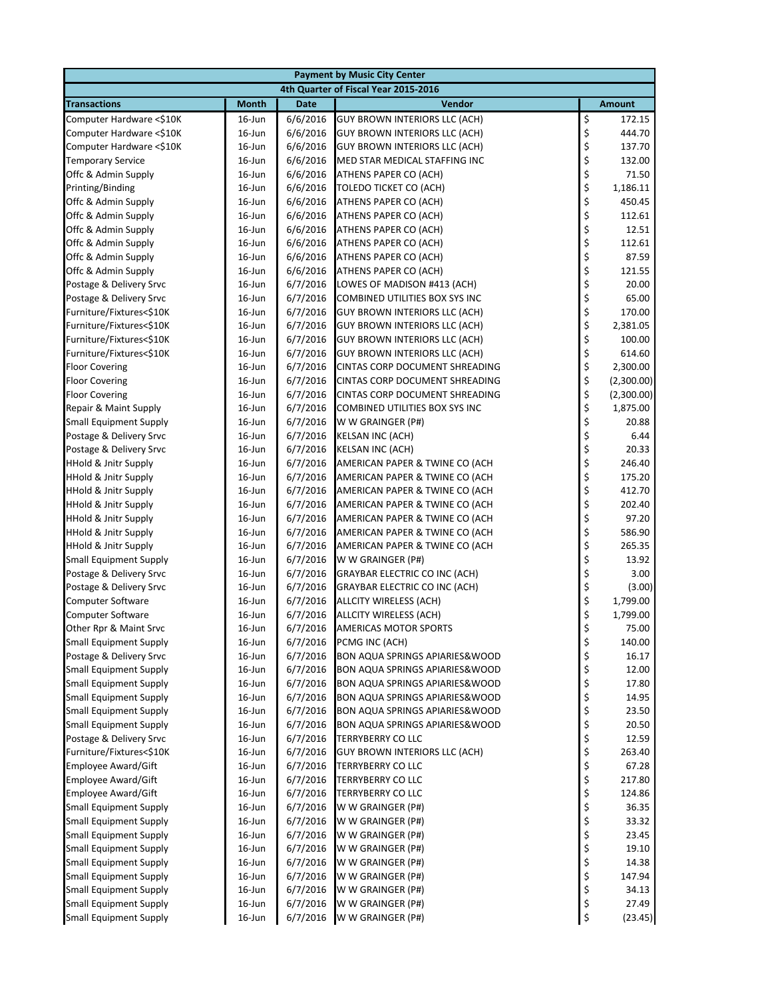| 4th Quarter of Fiscal Year 2015-2016<br><b>Month</b><br><b>Date</b><br>Vendor<br><b>Amount</b><br>\$<br>6/6/2016<br>$16$ -Jun<br><b>GUY BROWN INTERIORS LLC (ACH)</b><br>172.15<br>\$<br>16-Jun<br>6/6/2016<br>444.70<br><b>GUY BROWN INTERIORS LLC (ACH)</b><br>\$<br>6/6/2016<br>137.70<br>$16$ -Jun<br>GUY BROWN INTERIORS LLC (ACH)<br>\$<br>132.00<br>$16$ -Jun<br>6/6/2016<br>MED STAR MEDICAL STAFFING INC<br>\$<br>16-Jun<br>6/6/2016<br>71.50<br>ATHENS PAPER CO (ACH)<br>\$<br>6/6/2016<br>1,186.11<br>$16$ -Jun<br>TOLEDO TICKET CO (ACH)<br>\$<br>450.45<br>$16$ -Jun<br>6/6/2016<br>ATHENS PAPER CO (ACH)<br>\$<br>16-Jun<br>6/6/2016<br>112.61<br>ATHENS PAPER CO (ACH)<br>\$<br>16-Jun<br>6/6/2016<br>12.51<br>ATHENS PAPER CO (ACH)<br>\$<br>16-Jun<br>112.61<br>6/6/2016<br>ATHENS PAPER CO (ACH)<br>\$<br>16-Jun<br>6/6/2016<br>87.59<br>ATHENS PAPER CO (ACH)<br>\$<br>16-Jun<br>6/6/2016<br>ATHENS PAPER CO (ACH)<br>121.55<br>\$<br>20.00<br>16-Jun<br>6/7/2016<br>LOWES OF MADISON #413 (ACH)<br>\$<br>6/7/2016<br>65.00<br>$16$ -Jun<br>COMBINED UTILITIES BOX SYS INC<br>\$<br>6/7/2016<br><b>GUY BROWN INTERIORS LLC (ACH)</b><br>170.00<br>$16$ -Jun<br>\$<br>6/7/2016<br>2,381.05<br>$16$ -Jun<br><b>GUY BROWN INTERIORS LLC (ACH)</b><br>\$<br>6/7/2016<br>100.00<br>16-Jun<br><b>GUY BROWN INTERIORS LLC (ACH)</b><br>\$<br>614.60<br>$16$ -Jun<br>6/7/2016<br><b>GUY BROWN INTERIORS LLC (ACH)</b><br>\$<br>16-Jun<br>6/7/2016<br>2,300.00<br>CINTAS CORP DOCUMENT SHREADING<br>\$<br>16-Jun<br>6/7/2016<br>(2,300.00)<br>CINTAS CORP DOCUMENT SHREADING<br>\$<br>$16$ -Jun<br>6/7/2016<br>CINTAS CORP DOCUMENT SHREADING<br>(2,300.00)<br>\$<br>16-Jun<br>1,875.00<br>6/7/2016<br>COMBINED UTILITIES BOX SYS INC<br>\$<br>16-Jun<br>20.88<br>6/7/2016<br>W W GRAINGER (P#)<br>\$<br>6/7/2016<br>6.44<br>$16$ -Jun<br><b>KELSAN INC (ACH)</b><br>\$<br>Postage & Delivery Srvc<br>16-Jun<br>6/7/2016<br>20.33<br><b>KELSAN INC (ACH)</b><br>\$<br>6/7/2016<br>AMERICAN PAPER & TWINE CO (ACH<br>246.40<br>$16$ -Jun<br>\$<br>175.20<br>$16$ -Jun<br>6/7/2016<br>AMERICAN PAPER & TWINE CO (ACH<br>\$<br>412.70<br><b>HHold &amp; Jnitr Supply</b><br>$16$ -Jun<br>6/7/2016<br>AMERICAN PAPER & TWINE CO (ACH<br>\$<br>202.40<br>$16$ -Jun<br>6/7/2016<br>AMERICAN PAPER & TWINE CO (ACH<br>\$<br>97.20<br>16-Jun<br>6/7/2016<br>HHold & Jnitr Supply<br>AMERICAN PAPER & TWINE CO (ACH<br>\$<br>6/7/2016<br>586.90<br>HHold & Jnitr Supply<br>$16$ -Jun<br>AMERICAN PAPER & TWINE CO (ACH<br>\$<br>16-Jun<br>265.35<br><b>HHold &amp; Jnitr Supply</b><br>6/7/2016<br>AMERICAN PAPER & TWINE CO (ACH<br>\$<br>16-Jun<br>6/7/2016<br>13.92<br><b>Small Equipment Supply</b><br>W W GRAINGER (P#)<br>\$<br>16-Jun<br>6/7/2016<br>3.00<br>Postage & Delivery Srvc<br><b>GRAYBAR ELECTRIC CO INC (ACH)</b><br>\$<br>6/7/2016<br>Postage & Delivery Srvc<br>$16$ -Jun<br><b>GRAYBAR ELECTRIC CO INC (ACH)</b><br>(3.00)<br>\$<br>$16$ -Jun<br>6/7/2016<br>1,799.00<br><b>Computer Software</b><br>ALLCITY WIRELESS (ACH)<br>\$<br><b>Computer Software</b><br>6/7/2016<br>ALLCITY WIRELESS (ACH)<br>1,799.00<br>$16$ -Jun<br>\$<br>75.00<br>Other Rpr & Maint Srvc<br>$16$ -Jun<br>6/7/2016<br><b>AMERICAS MOTOR SPORTS</b><br>\$<br><b>Small Equipment Supply</b><br>16-Jun<br>6/7/2016<br>PCMG INC (ACH)<br>140.00<br>\$<br>Postage & Delivery Srvc<br>6/7/2016<br>16.17<br>$16$ -Jun<br><b>BON AQUA SPRINGS APIARIES&amp;WOOD</b><br>\$<br><b>Small Equipment Supply</b><br>6/7/2016<br>12.00<br>16-Jun<br><b>BON AQUA SPRINGS APIARIES&amp;WOOD</b><br>\$<br>Small Equipment Supply<br>6/7/2016<br>17.80<br>16-Jun<br><b>BON AQUA SPRINGS APIARIES&amp;WOOD</b><br>\$<br><b>Small Equipment Supply</b><br>$16$ -Jun<br>6/7/2016<br><b>BON AQUA SPRINGS APIARIES&amp;WOOD</b><br>14.95<br>\$<br><b>Small Equipment Supply</b><br>16-Jun<br>6/7/2016<br>23.50<br><b>BON AQUA SPRINGS APIARIES&amp;WOOD</b><br>\$<br>6/7/2016<br>20.50<br><b>Small Equipment Supply</b><br>16-Jun<br><b>BON AQUA SPRINGS APIARIES&amp;WOOD</b><br>\$<br>12.59<br>Postage & Delivery Srvc<br>16-Jun<br>6/7/2016<br>TERRYBERRY CO LLC<br>\$<br>Furniture/Fixtures<\$10K<br>6/7/2016<br>263.40<br>16-Jun<br><b>GUY BROWN INTERIORS LLC (ACH)</b><br>\$<br>67.28<br><b>Employee Award/Gift</b><br>$16$ -Jun<br>6/7/2016<br><b>TERRYBERRY CO LLC</b><br>\$<br><b>Employee Award/Gift</b><br>6/7/2016<br>$16$ -Jun<br>TERRYBERRY CO LLC<br>217.80<br>\$<br><b>Employee Award/Gift</b><br>16-Jun<br>6/7/2016<br>124.86<br><b>TERRYBERRY CO LLC</b><br>\$<br>6/7/2016<br>36.35<br><b>Small Equipment Supply</b><br>$16$ -Jun<br>W W GRAINGER (P#)<br>\$<br>6/7/2016<br>33.32<br><b>Small Equipment Supply</b><br>16-Jun<br>W W GRAINGER (P#)<br>\$<br>6/7/2016<br><b>Small Equipment Supply</b><br>16-Jun<br>W W GRAINGER (P#)<br>23.45<br>\$<br><b>Small Equipment Supply</b><br>$16$ -Jun<br>6/7/2016<br>W W GRAINGER (P#)<br>19.10<br>\$<br><b>Small Equipment Supply</b><br>16-Jun<br>6/7/2016<br>W W GRAINGER (P#)<br>14.38<br>\$<br>147.94<br><b>Small Equipment Supply</b><br>16-Jun<br>6/7/2016<br>W W GRAINGER (P#)<br>\$<br>34.13<br><b>Small Equipment Supply</b><br>$16$ -Jun<br>6/7/2016<br>W W GRAINGER (P#)<br>\$<br><b>Small Equipment Supply</b><br>16-Jun<br>6/7/2016<br>W W GRAINGER (P#)<br>27.49 | <b>Payment by Music City Center</b> |        |          |                   |    |         |  |  |
|-------------------------------------------------------------------------------------------------------------------------------------------------------------------------------------------------------------------------------------------------------------------------------------------------------------------------------------------------------------------------------------------------------------------------------------------------------------------------------------------------------------------------------------------------------------------------------------------------------------------------------------------------------------------------------------------------------------------------------------------------------------------------------------------------------------------------------------------------------------------------------------------------------------------------------------------------------------------------------------------------------------------------------------------------------------------------------------------------------------------------------------------------------------------------------------------------------------------------------------------------------------------------------------------------------------------------------------------------------------------------------------------------------------------------------------------------------------------------------------------------------------------------------------------------------------------------------------------------------------------------------------------------------------------------------------------------------------------------------------------------------------------------------------------------------------------------------------------------------------------------------------------------------------------------------------------------------------------------------------------------------------------------------------------------------------------------------------------------------------------------------------------------------------------------------------------------------------------------------------------------------------------------------------------------------------------------------------------------------------------------------------------------------------------------------------------------------------------------------------------------------------------------------------------------------------------------------------------------------------------------------------------------------------------------------------------------------------------------------------------------------------------------------------------------------------------------------------------------------------------------------------------------------------------------------------------------------------------------------------------------------------------------------------------------------------------------------------------------------------------------------------------------------------------------------------------------------------------------------------------------------------------------------------------------------------------------------------------------------------------------------------------------------------------------------------------------------------------------------------------------------------------------------------------------------------------------------------------------------------------------------------------------------------------------------------------------------------------------------------------------------------------------------------------------------------------------------------------------------------------------------------------------------------------------------------------------------------------------------------------------------------------------------------------------------------------------------------------------------------------------------------------------------------------------------------------------------------------------------------------------------------------------------------------------------------------------------------------------------------------------------------------------------------------------------------------------------------------------------------------------------------------------------------------------------------------------------------------------------------------------------------------------------------------------------------------------------------------------------------------------------------------------------------------------------------------------------------------------------------------------------------------------------------------------------------------------------------------------------------------------------------------------------------------------------------------------------------------------------------------------------------------------------------------------------------------------------------------------------------------------------------------------------------------------------------------------|-------------------------------------|--------|----------|-------------------|----|---------|--|--|
|                                                                                                                                                                                                                                                                                                                                                                                                                                                                                                                                                                                                                                                                                                                                                                                                                                                                                                                                                                                                                                                                                                                                                                                                                                                                                                                                                                                                                                                                                                                                                                                                                                                                                                                                                                                                                                                                                                                                                                                                                                                                                                                                                                                                                                                                                                                                                                                                                                                                                                                                                                                                                                                                                                                                                                                                                                                                                                                                                                                                                                                                                                                                                                                                                                                                                                                                                                                                                                                                                                                                                                                                                                                                                                                                                                                                                                                                                                                                                                                                                                                                                                                                                                                                                                                                                                                                                                                                                                                                                                                                                                                                                                                                                                                                                                                                                                                                                                                                                                                                                                                                                                                                                                                                                                                                                                                         |                                     |        |          |                   |    |         |  |  |
|                                                                                                                                                                                                                                                                                                                                                                                                                                                                                                                                                                                                                                                                                                                                                                                                                                                                                                                                                                                                                                                                                                                                                                                                                                                                                                                                                                                                                                                                                                                                                                                                                                                                                                                                                                                                                                                                                                                                                                                                                                                                                                                                                                                                                                                                                                                                                                                                                                                                                                                                                                                                                                                                                                                                                                                                                                                                                                                                                                                                                                                                                                                                                                                                                                                                                                                                                                                                                                                                                                                                                                                                                                                                                                                                                                                                                                                                                                                                                                                                                                                                                                                                                                                                                                                                                                                                                                                                                                                                                                                                                                                                                                                                                                                                                                                                                                                                                                                                                                                                                                                                                                                                                                                                                                                                                                                         | <b>Transactions</b>                 |        |          |                   |    |         |  |  |
|                                                                                                                                                                                                                                                                                                                                                                                                                                                                                                                                                                                                                                                                                                                                                                                                                                                                                                                                                                                                                                                                                                                                                                                                                                                                                                                                                                                                                                                                                                                                                                                                                                                                                                                                                                                                                                                                                                                                                                                                                                                                                                                                                                                                                                                                                                                                                                                                                                                                                                                                                                                                                                                                                                                                                                                                                                                                                                                                                                                                                                                                                                                                                                                                                                                                                                                                                                                                                                                                                                                                                                                                                                                                                                                                                                                                                                                                                                                                                                                                                                                                                                                                                                                                                                                                                                                                                                                                                                                                                                                                                                                                                                                                                                                                                                                                                                                                                                                                                                                                                                                                                                                                                                                                                                                                                                                         | Computer Hardware <\$10K            |        |          |                   |    |         |  |  |
|                                                                                                                                                                                                                                                                                                                                                                                                                                                                                                                                                                                                                                                                                                                                                                                                                                                                                                                                                                                                                                                                                                                                                                                                                                                                                                                                                                                                                                                                                                                                                                                                                                                                                                                                                                                                                                                                                                                                                                                                                                                                                                                                                                                                                                                                                                                                                                                                                                                                                                                                                                                                                                                                                                                                                                                                                                                                                                                                                                                                                                                                                                                                                                                                                                                                                                                                                                                                                                                                                                                                                                                                                                                                                                                                                                                                                                                                                                                                                                                                                                                                                                                                                                                                                                                                                                                                                                                                                                                                                                                                                                                                                                                                                                                                                                                                                                                                                                                                                                                                                                                                                                                                                                                                                                                                                                                         | Computer Hardware <\$10K            |        |          |                   |    |         |  |  |
|                                                                                                                                                                                                                                                                                                                                                                                                                                                                                                                                                                                                                                                                                                                                                                                                                                                                                                                                                                                                                                                                                                                                                                                                                                                                                                                                                                                                                                                                                                                                                                                                                                                                                                                                                                                                                                                                                                                                                                                                                                                                                                                                                                                                                                                                                                                                                                                                                                                                                                                                                                                                                                                                                                                                                                                                                                                                                                                                                                                                                                                                                                                                                                                                                                                                                                                                                                                                                                                                                                                                                                                                                                                                                                                                                                                                                                                                                                                                                                                                                                                                                                                                                                                                                                                                                                                                                                                                                                                                                                                                                                                                                                                                                                                                                                                                                                                                                                                                                                                                                                                                                                                                                                                                                                                                                                                         | Computer Hardware <\$10K            |        |          |                   |    |         |  |  |
|                                                                                                                                                                                                                                                                                                                                                                                                                                                                                                                                                                                                                                                                                                                                                                                                                                                                                                                                                                                                                                                                                                                                                                                                                                                                                                                                                                                                                                                                                                                                                                                                                                                                                                                                                                                                                                                                                                                                                                                                                                                                                                                                                                                                                                                                                                                                                                                                                                                                                                                                                                                                                                                                                                                                                                                                                                                                                                                                                                                                                                                                                                                                                                                                                                                                                                                                                                                                                                                                                                                                                                                                                                                                                                                                                                                                                                                                                                                                                                                                                                                                                                                                                                                                                                                                                                                                                                                                                                                                                                                                                                                                                                                                                                                                                                                                                                                                                                                                                                                                                                                                                                                                                                                                                                                                                                                         | <b>Temporary Service</b>            |        |          |                   |    |         |  |  |
|                                                                                                                                                                                                                                                                                                                                                                                                                                                                                                                                                                                                                                                                                                                                                                                                                                                                                                                                                                                                                                                                                                                                                                                                                                                                                                                                                                                                                                                                                                                                                                                                                                                                                                                                                                                                                                                                                                                                                                                                                                                                                                                                                                                                                                                                                                                                                                                                                                                                                                                                                                                                                                                                                                                                                                                                                                                                                                                                                                                                                                                                                                                                                                                                                                                                                                                                                                                                                                                                                                                                                                                                                                                                                                                                                                                                                                                                                                                                                                                                                                                                                                                                                                                                                                                                                                                                                                                                                                                                                                                                                                                                                                                                                                                                                                                                                                                                                                                                                                                                                                                                                                                                                                                                                                                                                                                         | Offc & Admin Supply                 |        |          |                   |    |         |  |  |
|                                                                                                                                                                                                                                                                                                                                                                                                                                                                                                                                                                                                                                                                                                                                                                                                                                                                                                                                                                                                                                                                                                                                                                                                                                                                                                                                                                                                                                                                                                                                                                                                                                                                                                                                                                                                                                                                                                                                                                                                                                                                                                                                                                                                                                                                                                                                                                                                                                                                                                                                                                                                                                                                                                                                                                                                                                                                                                                                                                                                                                                                                                                                                                                                                                                                                                                                                                                                                                                                                                                                                                                                                                                                                                                                                                                                                                                                                                                                                                                                                                                                                                                                                                                                                                                                                                                                                                                                                                                                                                                                                                                                                                                                                                                                                                                                                                                                                                                                                                                                                                                                                                                                                                                                                                                                                                                         | Printing/Binding                    |        |          |                   |    |         |  |  |
|                                                                                                                                                                                                                                                                                                                                                                                                                                                                                                                                                                                                                                                                                                                                                                                                                                                                                                                                                                                                                                                                                                                                                                                                                                                                                                                                                                                                                                                                                                                                                                                                                                                                                                                                                                                                                                                                                                                                                                                                                                                                                                                                                                                                                                                                                                                                                                                                                                                                                                                                                                                                                                                                                                                                                                                                                                                                                                                                                                                                                                                                                                                                                                                                                                                                                                                                                                                                                                                                                                                                                                                                                                                                                                                                                                                                                                                                                                                                                                                                                                                                                                                                                                                                                                                                                                                                                                                                                                                                                                                                                                                                                                                                                                                                                                                                                                                                                                                                                                                                                                                                                                                                                                                                                                                                                                                         | Offc & Admin Supply                 |        |          |                   |    |         |  |  |
|                                                                                                                                                                                                                                                                                                                                                                                                                                                                                                                                                                                                                                                                                                                                                                                                                                                                                                                                                                                                                                                                                                                                                                                                                                                                                                                                                                                                                                                                                                                                                                                                                                                                                                                                                                                                                                                                                                                                                                                                                                                                                                                                                                                                                                                                                                                                                                                                                                                                                                                                                                                                                                                                                                                                                                                                                                                                                                                                                                                                                                                                                                                                                                                                                                                                                                                                                                                                                                                                                                                                                                                                                                                                                                                                                                                                                                                                                                                                                                                                                                                                                                                                                                                                                                                                                                                                                                                                                                                                                                                                                                                                                                                                                                                                                                                                                                                                                                                                                                                                                                                                                                                                                                                                                                                                                                                         | Offc & Admin Supply                 |        |          |                   |    |         |  |  |
|                                                                                                                                                                                                                                                                                                                                                                                                                                                                                                                                                                                                                                                                                                                                                                                                                                                                                                                                                                                                                                                                                                                                                                                                                                                                                                                                                                                                                                                                                                                                                                                                                                                                                                                                                                                                                                                                                                                                                                                                                                                                                                                                                                                                                                                                                                                                                                                                                                                                                                                                                                                                                                                                                                                                                                                                                                                                                                                                                                                                                                                                                                                                                                                                                                                                                                                                                                                                                                                                                                                                                                                                                                                                                                                                                                                                                                                                                                                                                                                                                                                                                                                                                                                                                                                                                                                                                                                                                                                                                                                                                                                                                                                                                                                                                                                                                                                                                                                                                                                                                                                                                                                                                                                                                                                                                                                         | Offc & Admin Supply                 |        |          |                   |    |         |  |  |
|                                                                                                                                                                                                                                                                                                                                                                                                                                                                                                                                                                                                                                                                                                                                                                                                                                                                                                                                                                                                                                                                                                                                                                                                                                                                                                                                                                                                                                                                                                                                                                                                                                                                                                                                                                                                                                                                                                                                                                                                                                                                                                                                                                                                                                                                                                                                                                                                                                                                                                                                                                                                                                                                                                                                                                                                                                                                                                                                                                                                                                                                                                                                                                                                                                                                                                                                                                                                                                                                                                                                                                                                                                                                                                                                                                                                                                                                                                                                                                                                                                                                                                                                                                                                                                                                                                                                                                                                                                                                                                                                                                                                                                                                                                                                                                                                                                                                                                                                                                                                                                                                                                                                                                                                                                                                                                                         | Offc & Admin Supply                 |        |          |                   |    |         |  |  |
|                                                                                                                                                                                                                                                                                                                                                                                                                                                                                                                                                                                                                                                                                                                                                                                                                                                                                                                                                                                                                                                                                                                                                                                                                                                                                                                                                                                                                                                                                                                                                                                                                                                                                                                                                                                                                                                                                                                                                                                                                                                                                                                                                                                                                                                                                                                                                                                                                                                                                                                                                                                                                                                                                                                                                                                                                                                                                                                                                                                                                                                                                                                                                                                                                                                                                                                                                                                                                                                                                                                                                                                                                                                                                                                                                                                                                                                                                                                                                                                                                                                                                                                                                                                                                                                                                                                                                                                                                                                                                                                                                                                                                                                                                                                                                                                                                                                                                                                                                                                                                                                                                                                                                                                                                                                                                                                         | Offc & Admin Supply                 |        |          |                   |    |         |  |  |
|                                                                                                                                                                                                                                                                                                                                                                                                                                                                                                                                                                                                                                                                                                                                                                                                                                                                                                                                                                                                                                                                                                                                                                                                                                                                                                                                                                                                                                                                                                                                                                                                                                                                                                                                                                                                                                                                                                                                                                                                                                                                                                                                                                                                                                                                                                                                                                                                                                                                                                                                                                                                                                                                                                                                                                                                                                                                                                                                                                                                                                                                                                                                                                                                                                                                                                                                                                                                                                                                                                                                                                                                                                                                                                                                                                                                                                                                                                                                                                                                                                                                                                                                                                                                                                                                                                                                                                                                                                                                                                                                                                                                                                                                                                                                                                                                                                                                                                                                                                                                                                                                                                                                                                                                                                                                                                                         | Offc & Admin Supply                 |        |          |                   |    |         |  |  |
|                                                                                                                                                                                                                                                                                                                                                                                                                                                                                                                                                                                                                                                                                                                                                                                                                                                                                                                                                                                                                                                                                                                                                                                                                                                                                                                                                                                                                                                                                                                                                                                                                                                                                                                                                                                                                                                                                                                                                                                                                                                                                                                                                                                                                                                                                                                                                                                                                                                                                                                                                                                                                                                                                                                                                                                                                                                                                                                                                                                                                                                                                                                                                                                                                                                                                                                                                                                                                                                                                                                                                                                                                                                                                                                                                                                                                                                                                                                                                                                                                                                                                                                                                                                                                                                                                                                                                                                                                                                                                                                                                                                                                                                                                                                                                                                                                                                                                                                                                                                                                                                                                                                                                                                                                                                                                                                         | Postage & Delivery Srvc             |        |          |                   |    |         |  |  |
|                                                                                                                                                                                                                                                                                                                                                                                                                                                                                                                                                                                                                                                                                                                                                                                                                                                                                                                                                                                                                                                                                                                                                                                                                                                                                                                                                                                                                                                                                                                                                                                                                                                                                                                                                                                                                                                                                                                                                                                                                                                                                                                                                                                                                                                                                                                                                                                                                                                                                                                                                                                                                                                                                                                                                                                                                                                                                                                                                                                                                                                                                                                                                                                                                                                                                                                                                                                                                                                                                                                                                                                                                                                                                                                                                                                                                                                                                                                                                                                                                                                                                                                                                                                                                                                                                                                                                                                                                                                                                                                                                                                                                                                                                                                                                                                                                                                                                                                                                                                                                                                                                                                                                                                                                                                                                                                         | Postage & Delivery Srvc             |        |          |                   |    |         |  |  |
|                                                                                                                                                                                                                                                                                                                                                                                                                                                                                                                                                                                                                                                                                                                                                                                                                                                                                                                                                                                                                                                                                                                                                                                                                                                                                                                                                                                                                                                                                                                                                                                                                                                                                                                                                                                                                                                                                                                                                                                                                                                                                                                                                                                                                                                                                                                                                                                                                                                                                                                                                                                                                                                                                                                                                                                                                                                                                                                                                                                                                                                                                                                                                                                                                                                                                                                                                                                                                                                                                                                                                                                                                                                                                                                                                                                                                                                                                                                                                                                                                                                                                                                                                                                                                                                                                                                                                                                                                                                                                                                                                                                                                                                                                                                                                                                                                                                                                                                                                                                                                                                                                                                                                                                                                                                                                                                         | Furniture/Fixtures<\$10K            |        |          |                   |    |         |  |  |
|                                                                                                                                                                                                                                                                                                                                                                                                                                                                                                                                                                                                                                                                                                                                                                                                                                                                                                                                                                                                                                                                                                                                                                                                                                                                                                                                                                                                                                                                                                                                                                                                                                                                                                                                                                                                                                                                                                                                                                                                                                                                                                                                                                                                                                                                                                                                                                                                                                                                                                                                                                                                                                                                                                                                                                                                                                                                                                                                                                                                                                                                                                                                                                                                                                                                                                                                                                                                                                                                                                                                                                                                                                                                                                                                                                                                                                                                                                                                                                                                                                                                                                                                                                                                                                                                                                                                                                                                                                                                                                                                                                                                                                                                                                                                                                                                                                                                                                                                                                                                                                                                                                                                                                                                                                                                                                                         | Furniture/Fixtures<\$10K            |        |          |                   |    |         |  |  |
|                                                                                                                                                                                                                                                                                                                                                                                                                                                                                                                                                                                                                                                                                                                                                                                                                                                                                                                                                                                                                                                                                                                                                                                                                                                                                                                                                                                                                                                                                                                                                                                                                                                                                                                                                                                                                                                                                                                                                                                                                                                                                                                                                                                                                                                                                                                                                                                                                                                                                                                                                                                                                                                                                                                                                                                                                                                                                                                                                                                                                                                                                                                                                                                                                                                                                                                                                                                                                                                                                                                                                                                                                                                                                                                                                                                                                                                                                                                                                                                                                                                                                                                                                                                                                                                                                                                                                                                                                                                                                                                                                                                                                                                                                                                                                                                                                                                                                                                                                                                                                                                                                                                                                                                                                                                                                                                         | Furniture/Fixtures<\$10K            |        |          |                   |    |         |  |  |
|                                                                                                                                                                                                                                                                                                                                                                                                                                                                                                                                                                                                                                                                                                                                                                                                                                                                                                                                                                                                                                                                                                                                                                                                                                                                                                                                                                                                                                                                                                                                                                                                                                                                                                                                                                                                                                                                                                                                                                                                                                                                                                                                                                                                                                                                                                                                                                                                                                                                                                                                                                                                                                                                                                                                                                                                                                                                                                                                                                                                                                                                                                                                                                                                                                                                                                                                                                                                                                                                                                                                                                                                                                                                                                                                                                                                                                                                                                                                                                                                                                                                                                                                                                                                                                                                                                                                                                                                                                                                                                                                                                                                                                                                                                                                                                                                                                                                                                                                                                                                                                                                                                                                                                                                                                                                                                                         | Furniture/Fixtures<\$10K            |        |          |                   |    |         |  |  |
|                                                                                                                                                                                                                                                                                                                                                                                                                                                                                                                                                                                                                                                                                                                                                                                                                                                                                                                                                                                                                                                                                                                                                                                                                                                                                                                                                                                                                                                                                                                                                                                                                                                                                                                                                                                                                                                                                                                                                                                                                                                                                                                                                                                                                                                                                                                                                                                                                                                                                                                                                                                                                                                                                                                                                                                                                                                                                                                                                                                                                                                                                                                                                                                                                                                                                                                                                                                                                                                                                                                                                                                                                                                                                                                                                                                                                                                                                                                                                                                                                                                                                                                                                                                                                                                                                                                                                                                                                                                                                                                                                                                                                                                                                                                                                                                                                                                                                                                                                                                                                                                                                                                                                                                                                                                                                                                         | <b>Floor Covering</b>               |        |          |                   |    |         |  |  |
|                                                                                                                                                                                                                                                                                                                                                                                                                                                                                                                                                                                                                                                                                                                                                                                                                                                                                                                                                                                                                                                                                                                                                                                                                                                                                                                                                                                                                                                                                                                                                                                                                                                                                                                                                                                                                                                                                                                                                                                                                                                                                                                                                                                                                                                                                                                                                                                                                                                                                                                                                                                                                                                                                                                                                                                                                                                                                                                                                                                                                                                                                                                                                                                                                                                                                                                                                                                                                                                                                                                                                                                                                                                                                                                                                                                                                                                                                                                                                                                                                                                                                                                                                                                                                                                                                                                                                                                                                                                                                                                                                                                                                                                                                                                                                                                                                                                                                                                                                                                                                                                                                                                                                                                                                                                                                                                         | <b>Floor Covering</b>               |        |          |                   |    |         |  |  |
|                                                                                                                                                                                                                                                                                                                                                                                                                                                                                                                                                                                                                                                                                                                                                                                                                                                                                                                                                                                                                                                                                                                                                                                                                                                                                                                                                                                                                                                                                                                                                                                                                                                                                                                                                                                                                                                                                                                                                                                                                                                                                                                                                                                                                                                                                                                                                                                                                                                                                                                                                                                                                                                                                                                                                                                                                                                                                                                                                                                                                                                                                                                                                                                                                                                                                                                                                                                                                                                                                                                                                                                                                                                                                                                                                                                                                                                                                                                                                                                                                                                                                                                                                                                                                                                                                                                                                                                                                                                                                                                                                                                                                                                                                                                                                                                                                                                                                                                                                                                                                                                                                                                                                                                                                                                                                                                         | <b>Floor Covering</b>               |        |          |                   |    |         |  |  |
|                                                                                                                                                                                                                                                                                                                                                                                                                                                                                                                                                                                                                                                                                                                                                                                                                                                                                                                                                                                                                                                                                                                                                                                                                                                                                                                                                                                                                                                                                                                                                                                                                                                                                                                                                                                                                                                                                                                                                                                                                                                                                                                                                                                                                                                                                                                                                                                                                                                                                                                                                                                                                                                                                                                                                                                                                                                                                                                                                                                                                                                                                                                                                                                                                                                                                                                                                                                                                                                                                                                                                                                                                                                                                                                                                                                                                                                                                                                                                                                                                                                                                                                                                                                                                                                                                                                                                                                                                                                                                                                                                                                                                                                                                                                                                                                                                                                                                                                                                                                                                                                                                                                                                                                                                                                                                                                         | Repair & Maint Supply               |        |          |                   |    |         |  |  |
|                                                                                                                                                                                                                                                                                                                                                                                                                                                                                                                                                                                                                                                                                                                                                                                                                                                                                                                                                                                                                                                                                                                                                                                                                                                                                                                                                                                                                                                                                                                                                                                                                                                                                                                                                                                                                                                                                                                                                                                                                                                                                                                                                                                                                                                                                                                                                                                                                                                                                                                                                                                                                                                                                                                                                                                                                                                                                                                                                                                                                                                                                                                                                                                                                                                                                                                                                                                                                                                                                                                                                                                                                                                                                                                                                                                                                                                                                                                                                                                                                                                                                                                                                                                                                                                                                                                                                                                                                                                                                                                                                                                                                                                                                                                                                                                                                                                                                                                                                                                                                                                                                                                                                                                                                                                                                                                         | <b>Small Equipment Supply</b>       |        |          |                   |    |         |  |  |
|                                                                                                                                                                                                                                                                                                                                                                                                                                                                                                                                                                                                                                                                                                                                                                                                                                                                                                                                                                                                                                                                                                                                                                                                                                                                                                                                                                                                                                                                                                                                                                                                                                                                                                                                                                                                                                                                                                                                                                                                                                                                                                                                                                                                                                                                                                                                                                                                                                                                                                                                                                                                                                                                                                                                                                                                                                                                                                                                                                                                                                                                                                                                                                                                                                                                                                                                                                                                                                                                                                                                                                                                                                                                                                                                                                                                                                                                                                                                                                                                                                                                                                                                                                                                                                                                                                                                                                                                                                                                                                                                                                                                                                                                                                                                                                                                                                                                                                                                                                                                                                                                                                                                                                                                                                                                                                                         | Postage & Delivery Srvc             |        |          |                   |    |         |  |  |
|                                                                                                                                                                                                                                                                                                                                                                                                                                                                                                                                                                                                                                                                                                                                                                                                                                                                                                                                                                                                                                                                                                                                                                                                                                                                                                                                                                                                                                                                                                                                                                                                                                                                                                                                                                                                                                                                                                                                                                                                                                                                                                                                                                                                                                                                                                                                                                                                                                                                                                                                                                                                                                                                                                                                                                                                                                                                                                                                                                                                                                                                                                                                                                                                                                                                                                                                                                                                                                                                                                                                                                                                                                                                                                                                                                                                                                                                                                                                                                                                                                                                                                                                                                                                                                                                                                                                                                                                                                                                                                                                                                                                                                                                                                                                                                                                                                                                                                                                                                                                                                                                                                                                                                                                                                                                                                                         |                                     |        |          |                   |    |         |  |  |
|                                                                                                                                                                                                                                                                                                                                                                                                                                                                                                                                                                                                                                                                                                                                                                                                                                                                                                                                                                                                                                                                                                                                                                                                                                                                                                                                                                                                                                                                                                                                                                                                                                                                                                                                                                                                                                                                                                                                                                                                                                                                                                                                                                                                                                                                                                                                                                                                                                                                                                                                                                                                                                                                                                                                                                                                                                                                                                                                                                                                                                                                                                                                                                                                                                                                                                                                                                                                                                                                                                                                                                                                                                                                                                                                                                                                                                                                                                                                                                                                                                                                                                                                                                                                                                                                                                                                                                                                                                                                                                                                                                                                                                                                                                                                                                                                                                                                                                                                                                                                                                                                                                                                                                                                                                                                                                                         | <b>HHold &amp; Jnitr Supply</b>     |        |          |                   |    |         |  |  |
|                                                                                                                                                                                                                                                                                                                                                                                                                                                                                                                                                                                                                                                                                                                                                                                                                                                                                                                                                                                                                                                                                                                                                                                                                                                                                                                                                                                                                                                                                                                                                                                                                                                                                                                                                                                                                                                                                                                                                                                                                                                                                                                                                                                                                                                                                                                                                                                                                                                                                                                                                                                                                                                                                                                                                                                                                                                                                                                                                                                                                                                                                                                                                                                                                                                                                                                                                                                                                                                                                                                                                                                                                                                                                                                                                                                                                                                                                                                                                                                                                                                                                                                                                                                                                                                                                                                                                                                                                                                                                                                                                                                                                                                                                                                                                                                                                                                                                                                                                                                                                                                                                                                                                                                                                                                                                                                         | <b>HHold &amp; Jnitr Supply</b>     |        |          |                   |    |         |  |  |
|                                                                                                                                                                                                                                                                                                                                                                                                                                                                                                                                                                                                                                                                                                                                                                                                                                                                                                                                                                                                                                                                                                                                                                                                                                                                                                                                                                                                                                                                                                                                                                                                                                                                                                                                                                                                                                                                                                                                                                                                                                                                                                                                                                                                                                                                                                                                                                                                                                                                                                                                                                                                                                                                                                                                                                                                                                                                                                                                                                                                                                                                                                                                                                                                                                                                                                                                                                                                                                                                                                                                                                                                                                                                                                                                                                                                                                                                                                                                                                                                                                                                                                                                                                                                                                                                                                                                                                                                                                                                                                                                                                                                                                                                                                                                                                                                                                                                                                                                                                                                                                                                                                                                                                                                                                                                                                                         |                                     |        |          |                   |    |         |  |  |
|                                                                                                                                                                                                                                                                                                                                                                                                                                                                                                                                                                                                                                                                                                                                                                                                                                                                                                                                                                                                                                                                                                                                                                                                                                                                                                                                                                                                                                                                                                                                                                                                                                                                                                                                                                                                                                                                                                                                                                                                                                                                                                                                                                                                                                                                                                                                                                                                                                                                                                                                                                                                                                                                                                                                                                                                                                                                                                                                                                                                                                                                                                                                                                                                                                                                                                                                                                                                                                                                                                                                                                                                                                                                                                                                                                                                                                                                                                                                                                                                                                                                                                                                                                                                                                                                                                                                                                                                                                                                                                                                                                                                                                                                                                                                                                                                                                                                                                                                                                                                                                                                                                                                                                                                                                                                                                                         | <b>HHold &amp; Jnitr Supply</b>     |        |          |                   |    |         |  |  |
|                                                                                                                                                                                                                                                                                                                                                                                                                                                                                                                                                                                                                                                                                                                                                                                                                                                                                                                                                                                                                                                                                                                                                                                                                                                                                                                                                                                                                                                                                                                                                                                                                                                                                                                                                                                                                                                                                                                                                                                                                                                                                                                                                                                                                                                                                                                                                                                                                                                                                                                                                                                                                                                                                                                                                                                                                                                                                                                                                                                                                                                                                                                                                                                                                                                                                                                                                                                                                                                                                                                                                                                                                                                                                                                                                                                                                                                                                                                                                                                                                                                                                                                                                                                                                                                                                                                                                                                                                                                                                                                                                                                                                                                                                                                                                                                                                                                                                                                                                                                                                                                                                                                                                                                                                                                                                                                         |                                     |        |          |                   |    |         |  |  |
|                                                                                                                                                                                                                                                                                                                                                                                                                                                                                                                                                                                                                                                                                                                                                                                                                                                                                                                                                                                                                                                                                                                                                                                                                                                                                                                                                                                                                                                                                                                                                                                                                                                                                                                                                                                                                                                                                                                                                                                                                                                                                                                                                                                                                                                                                                                                                                                                                                                                                                                                                                                                                                                                                                                                                                                                                                                                                                                                                                                                                                                                                                                                                                                                                                                                                                                                                                                                                                                                                                                                                                                                                                                                                                                                                                                                                                                                                                                                                                                                                                                                                                                                                                                                                                                                                                                                                                                                                                                                                                                                                                                                                                                                                                                                                                                                                                                                                                                                                                                                                                                                                                                                                                                                                                                                                                                         |                                     |        |          |                   |    |         |  |  |
|                                                                                                                                                                                                                                                                                                                                                                                                                                                                                                                                                                                                                                                                                                                                                                                                                                                                                                                                                                                                                                                                                                                                                                                                                                                                                                                                                                                                                                                                                                                                                                                                                                                                                                                                                                                                                                                                                                                                                                                                                                                                                                                                                                                                                                                                                                                                                                                                                                                                                                                                                                                                                                                                                                                                                                                                                                                                                                                                                                                                                                                                                                                                                                                                                                                                                                                                                                                                                                                                                                                                                                                                                                                                                                                                                                                                                                                                                                                                                                                                                                                                                                                                                                                                                                                                                                                                                                                                                                                                                                                                                                                                                                                                                                                                                                                                                                                                                                                                                                                                                                                                                                                                                                                                                                                                                                                         |                                     |        |          |                   |    |         |  |  |
|                                                                                                                                                                                                                                                                                                                                                                                                                                                                                                                                                                                                                                                                                                                                                                                                                                                                                                                                                                                                                                                                                                                                                                                                                                                                                                                                                                                                                                                                                                                                                                                                                                                                                                                                                                                                                                                                                                                                                                                                                                                                                                                                                                                                                                                                                                                                                                                                                                                                                                                                                                                                                                                                                                                                                                                                                                                                                                                                                                                                                                                                                                                                                                                                                                                                                                                                                                                                                                                                                                                                                                                                                                                                                                                                                                                                                                                                                                                                                                                                                                                                                                                                                                                                                                                                                                                                                                                                                                                                                                                                                                                                                                                                                                                                                                                                                                                                                                                                                                                                                                                                                                                                                                                                                                                                                                                         |                                     |        |          |                   |    |         |  |  |
|                                                                                                                                                                                                                                                                                                                                                                                                                                                                                                                                                                                                                                                                                                                                                                                                                                                                                                                                                                                                                                                                                                                                                                                                                                                                                                                                                                                                                                                                                                                                                                                                                                                                                                                                                                                                                                                                                                                                                                                                                                                                                                                                                                                                                                                                                                                                                                                                                                                                                                                                                                                                                                                                                                                                                                                                                                                                                                                                                                                                                                                                                                                                                                                                                                                                                                                                                                                                                                                                                                                                                                                                                                                                                                                                                                                                                                                                                                                                                                                                                                                                                                                                                                                                                                                                                                                                                                                                                                                                                                                                                                                                                                                                                                                                                                                                                                                                                                                                                                                                                                                                                                                                                                                                                                                                                                                         |                                     |        |          |                   |    |         |  |  |
|                                                                                                                                                                                                                                                                                                                                                                                                                                                                                                                                                                                                                                                                                                                                                                                                                                                                                                                                                                                                                                                                                                                                                                                                                                                                                                                                                                                                                                                                                                                                                                                                                                                                                                                                                                                                                                                                                                                                                                                                                                                                                                                                                                                                                                                                                                                                                                                                                                                                                                                                                                                                                                                                                                                                                                                                                                                                                                                                                                                                                                                                                                                                                                                                                                                                                                                                                                                                                                                                                                                                                                                                                                                                                                                                                                                                                                                                                                                                                                                                                                                                                                                                                                                                                                                                                                                                                                                                                                                                                                                                                                                                                                                                                                                                                                                                                                                                                                                                                                                                                                                                                                                                                                                                                                                                                                                         |                                     |        |          |                   |    |         |  |  |
|                                                                                                                                                                                                                                                                                                                                                                                                                                                                                                                                                                                                                                                                                                                                                                                                                                                                                                                                                                                                                                                                                                                                                                                                                                                                                                                                                                                                                                                                                                                                                                                                                                                                                                                                                                                                                                                                                                                                                                                                                                                                                                                                                                                                                                                                                                                                                                                                                                                                                                                                                                                                                                                                                                                                                                                                                                                                                                                                                                                                                                                                                                                                                                                                                                                                                                                                                                                                                                                                                                                                                                                                                                                                                                                                                                                                                                                                                                                                                                                                                                                                                                                                                                                                                                                                                                                                                                                                                                                                                                                                                                                                                                                                                                                                                                                                                                                                                                                                                                                                                                                                                                                                                                                                                                                                                                                         |                                     |        |          |                   |    |         |  |  |
|                                                                                                                                                                                                                                                                                                                                                                                                                                                                                                                                                                                                                                                                                                                                                                                                                                                                                                                                                                                                                                                                                                                                                                                                                                                                                                                                                                                                                                                                                                                                                                                                                                                                                                                                                                                                                                                                                                                                                                                                                                                                                                                                                                                                                                                                                                                                                                                                                                                                                                                                                                                                                                                                                                                                                                                                                                                                                                                                                                                                                                                                                                                                                                                                                                                                                                                                                                                                                                                                                                                                                                                                                                                                                                                                                                                                                                                                                                                                                                                                                                                                                                                                                                                                                                                                                                                                                                                                                                                                                                                                                                                                                                                                                                                                                                                                                                                                                                                                                                                                                                                                                                                                                                                                                                                                                                                         |                                     |        |          |                   |    |         |  |  |
|                                                                                                                                                                                                                                                                                                                                                                                                                                                                                                                                                                                                                                                                                                                                                                                                                                                                                                                                                                                                                                                                                                                                                                                                                                                                                                                                                                                                                                                                                                                                                                                                                                                                                                                                                                                                                                                                                                                                                                                                                                                                                                                                                                                                                                                                                                                                                                                                                                                                                                                                                                                                                                                                                                                                                                                                                                                                                                                                                                                                                                                                                                                                                                                                                                                                                                                                                                                                                                                                                                                                                                                                                                                                                                                                                                                                                                                                                                                                                                                                                                                                                                                                                                                                                                                                                                                                                                                                                                                                                                                                                                                                                                                                                                                                                                                                                                                                                                                                                                                                                                                                                                                                                                                                                                                                                                                         |                                     |        |          |                   |    |         |  |  |
|                                                                                                                                                                                                                                                                                                                                                                                                                                                                                                                                                                                                                                                                                                                                                                                                                                                                                                                                                                                                                                                                                                                                                                                                                                                                                                                                                                                                                                                                                                                                                                                                                                                                                                                                                                                                                                                                                                                                                                                                                                                                                                                                                                                                                                                                                                                                                                                                                                                                                                                                                                                                                                                                                                                                                                                                                                                                                                                                                                                                                                                                                                                                                                                                                                                                                                                                                                                                                                                                                                                                                                                                                                                                                                                                                                                                                                                                                                                                                                                                                                                                                                                                                                                                                                                                                                                                                                                                                                                                                                                                                                                                                                                                                                                                                                                                                                                                                                                                                                                                                                                                                                                                                                                                                                                                                                                         |                                     |        |          |                   |    |         |  |  |
|                                                                                                                                                                                                                                                                                                                                                                                                                                                                                                                                                                                                                                                                                                                                                                                                                                                                                                                                                                                                                                                                                                                                                                                                                                                                                                                                                                                                                                                                                                                                                                                                                                                                                                                                                                                                                                                                                                                                                                                                                                                                                                                                                                                                                                                                                                                                                                                                                                                                                                                                                                                                                                                                                                                                                                                                                                                                                                                                                                                                                                                                                                                                                                                                                                                                                                                                                                                                                                                                                                                                                                                                                                                                                                                                                                                                                                                                                                                                                                                                                                                                                                                                                                                                                                                                                                                                                                                                                                                                                                                                                                                                                                                                                                                                                                                                                                                                                                                                                                                                                                                                                                                                                                                                                                                                                                                         |                                     |        |          |                   |    |         |  |  |
|                                                                                                                                                                                                                                                                                                                                                                                                                                                                                                                                                                                                                                                                                                                                                                                                                                                                                                                                                                                                                                                                                                                                                                                                                                                                                                                                                                                                                                                                                                                                                                                                                                                                                                                                                                                                                                                                                                                                                                                                                                                                                                                                                                                                                                                                                                                                                                                                                                                                                                                                                                                                                                                                                                                                                                                                                                                                                                                                                                                                                                                                                                                                                                                                                                                                                                                                                                                                                                                                                                                                                                                                                                                                                                                                                                                                                                                                                                                                                                                                                                                                                                                                                                                                                                                                                                                                                                                                                                                                                                                                                                                                                                                                                                                                                                                                                                                                                                                                                                                                                                                                                                                                                                                                                                                                                                                         |                                     |        |          |                   |    |         |  |  |
|                                                                                                                                                                                                                                                                                                                                                                                                                                                                                                                                                                                                                                                                                                                                                                                                                                                                                                                                                                                                                                                                                                                                                                                                                                                                                                                                                                                                                                                                                                                                                                                                                                                                                                                                                                                                                                                                                                                                                                                                                                                                                                                                                                                                                                                                                                                                                                                                                                                                                                                                                                                                                                                                                                                                                                                                                                                                                                                                                                                                                                                                                                                                                                                                                                                                                                                                                                                                                                                                                                                                                                                                                                                                                                                                                                                                                                                                                                                                                                                                                                                                                                                                                                                                                                                                                                                                                                                                                                                                                                                                                                                                                                                                                                                                                                                                                                                                                                                                                                                                                                                                                                                                                                                                                                                                                                                         |                                     |        |          |                   |    |         |  |  |
|                                                                                                                                                                                                                                                                                                                                                                                                                                                                                                                                                                                                                                                                                                                                                                                                                                                                                                                                                                                                                                                                                                                                                                                                                                                                                                                                                                                                                                                                                                                                                                                                                                                                                                                                                                                                                                                                                                                                                                                                                                                                                                                                                                                                                                                                                                                                                                                                                                                                                                                                                                                                                                                                                                                                                                                                                                                                                                                                                                                                                                                                                                                                                                                                                                                                                                                                                                                                                                                                                                                                                                                                                                                                                                                                                                                                                                                                                                                                                                                                                                                                                                                                                                                                                                                                                                                                                                                                                                                                                                                                                                                                                                                                                                                                                                                                                                                                                                                                                                                                                                                                                                                                                                                                                                                                                                                         |                                     |        |          |                   |    |         |  |  |
|                                                                                                                                                                                                                                                                                                                                                                                                                                                                                                                                                                                                                                                                                                                                                                                                                                                                                                                                                                                                                                                                                                                                                                                                                                                                                                                                                                                                                                                                                                                                                                                                                                                                                                                                                                                                                                                                                                                                                                                                                                                                                                                                                                                                                                                                                                                                                                                                                                                                                                                                                                                                                                                                                                                                                                                                                                                                                                                                                                                                                                                                                                                                                                                                                                                                                                                                                                                                                                                                                                                                                                                                                                                                                                                                                                                                                                                                                                                                                                                                                                                                                                                                                                                                                                                                                                                                                                                                                                                                                                                                                                                                                                                                                                                                                                                                                                                                                                                                                                                                                                                                                                                                                                                                                                                                                                                         |                                     |        |          |                   |    |         |  |  |
|                                                                                                                                                                                                                                                                                                                                                                                                                                                                                                                                                                                                                                                                                                                                                                                                                                                                                                                                                                                                                                                                                                                                                                                                                                                                                                                                                                                                                                                                                                                                                                                                                                                                                                                                                                                                                                                                                                                                                                                                                                                                                                                                                                                                                                                                                                                                                                                                                                                                                                                                                                                                                                                                                                                                                                                                                                                                                                                                                                                                                                                                                                                                                                                                                                                                                                                                                                                                                                                                                                                                                                                                                                                                                                                                                                                                                                                                                                                                                                                                                                                                                                                                                                                                                                                                                                                                                                                                                                                                                                                                                                                                                                                                                                                                                                                                                                                                                                                                                                                                                                                                                                                                                                                                                                                                                                                         |                                     |        |          |                   |    |         |  |  |
|                                                                                                                                                                                                                                                                                                                                                                                                                                                                                                                                                                                                                                                                                                                                                                                                                                                                                                                                                                                                                                                                                                                                                                                                                                                                                                                                                                                                                                                                                                                                                                                                                                                                                                                                                                                                                                                                                                                                                                                                                                                                                                                                                                                                                                                                                                                                                                                                                                                                                                                                                                                                                                                                                                                                                                                                                                                                                                                                                                                                                                                                                                                                                                                                                                                                                                                                                                                                                                                                                                                                                                                                                                                                                                                                                                                                                                                                                                                                                                                                                                                                                                                                                                                                                                                                                                                                                                                                                                                                                                                                                                                                                                                                                                                                                                                                                                                                                                                                                                                                                                                                                                                                                                                                                                                                                                                         |                                     |        |          |                   |    |         |  |  |
|                                                                                                                                                                                                                                                                                                                                                                                                                                                                                                                                                                                                                                                                                                                                                                                                                                                                                                                                                                                                                                                                                                                                                                                                                                                                                                                                                                                                                                                                                                                                                                                                                                                                                                                                                                                                                                                                                                                                                                                                                                                                                                                                                                                                                                                                                                                                                                                                                                                                                                                                                                                                                                                                                                                                                                                                                                                                                                                                                                                                                                                                                                                                                                                                                                                                                                                                                                                                                                                                                                                                                                                                                                                                                                                                                                                                                                                                                                                                                                                                                                                                                                                                                                                                                                                                                                                                                                                                                                                                                                                                                                                                                                                                                                                                                                                                                                                                                                                                                                                                                                                                                                                                                                                                                                                                                                                         |                                     |        |          |                   |    |         |  |  |
|                                                                                                                                                                                                                                                                                                                                                                                                                                                                                                                                                                                                                                                                                                                                                                                                                                                                                                                                                                                                                                                                                                                                                                                                                                                                                                                                                                                                                                                                                                                                                                                                                                                                                                                                                                                                                                                                                                                                                                                                                                                                                                                                                                                                                                                                                                                                                                                                                                                                                                                                                                                                                                                                                                                                                                                                                                                                                                                                                                                                                                                                                                                                                                                                                                                                                                                                                                                                                                                                                                                                                                                                                                                                                                                                                                                                                                                                                                                                                                                                                                                                                                                                                                                                                                                                                                                                                                                                                                                                                                                                                                                                                                                                                                                                                                                                                                                                                                                                                                                                                                                                                                                                                                                                                                                                                                                         |                                     |        |          |                   |    |         |  |  |
|                                                                                                                                                                                                                                                                                                                                                                                                                                                                                                                                                                                                                                                                                                                                                                                                                                                                                                                                                                                                                                                                                                                                                                                                                                                                                                                                                                                                                                                                                                                                                                                                                                                                                                                                                                                                                                                                                                                                                                                                                                                                                                                                                                                                                                                                                                                                                                                                                                                                                                                                                                                                                                                                                                                                                                                                                                                                                                                                                                                                                                                                                                                                                                                                                                                                                                                                                                                                                                                                                                                                                                                                                                                                                                                                                                                                                                                                                                                                                                                                                                                                                                                                                                                                                                                                                                                                                                                                                                                                                                                                                                                                                                                                                                                                                                                                                                                                                                                                                                                                                                                                                                                                                                                                                                                                                                                         |                                     |        |          |                   |    |         |  |  |
|                                                                                                                                                                                                                                                                                                                                                                                                                                                                                                                                                                                                                                                                                                                                                                                                                                                                                                                                                                                                                                                                                                                                                                                                                                                                                                                                                                                                                                                                                                                                                                                                                                                                                                                                                                                                                                                                                                                                                                                                                                                                                                                                                                                                                                                                                                                                                                                                                                                                                                                                                                                                                                                                                                                                                                                                                                                                                                                                                                                                                                                                                                                                                                                                                                                                                                                                                                                                                                                                                                                                                                                                                                                                                                                                                                                                                                                                                                                                                                                                                                                                                                                                                                                                                                                                                                                                                                                                                                                                                                                                                                                                                                                                                                                                                                                                                                                                                                                                                                                                                                                                                                                                                                                                                                                                                                                         |                                     |        |          |                   |    |         |  |  |
|                                                                                                                                                                                                                                                                                                                                                                                                                                                                                                                                                                                                                                                                                                                                                                                                                                                                                                                                                                                                                                                                                                                                                                                                                                                                                                                                                                                                                                                                                                                                                                                                                                                                                                                                                                                                                                                                                                                                                                                                                                                                                                                                                                                                                                                                                                                                                                                                                                                                                                                                                                                                                                                                                                                                                                                                                                                                                                                                                                                                                                                                                                                                                                                                                                                                                                                                                                                                                                                                                                                                                                                                                                                                                                                                                                                                                                                                                                                                                                                                                                                                                                                                                                                                                                                                                                                                                                                                                                                                                                                                                                                                                                                                                                                                                                                                                                                                                                                                                                                                                                                                                                                                                                                                                                                                                                                         |                                     |        |          |                   |    |         |  |  |
|                                                                                                                                                                                                                                                                                                                                                                                                                                                                                                                                                                                                                                                                                                                                                                                                                                                                                                                                                                                                                                                                                                                                                                                                                                                                                                                                                                                                                                                                                                                                                                                                                                                                                                                                                                                                                                                                                                                                                                                                                                                                                                                                                                                                                                                                                                                                                                                                                                                                                                                                                                                                                                                                                                                                                                                                                                                                                                                                                                                                                                                                                                                                                                                                                                                                                                                                                                                                                                                                                                                                                                                                                                                                                                                                                                                                                                                                                                                                                                                                                                                                                                                                                                                                                                                                                                                                                                                                                                                                                                                                                                                                                                                                                                                                                                                                                                                                                                                                                                                                                                                                                                                                                                                                                                                                                                                         |                                     |        |          |                   |    |         |  |  |
|                                                                                                                                                                                                                                                                                                                                                                                                                                                                                                                                                                                                                                                                                                                                                                                                                                                                                                                                                                                                                                                                                                                                                                                                                                                                                                                                                                                                                                                                                                                                                                                                                                                                                                                                                                                                                                                                                                                                                                                                                                                                                                                                                                                                                                                                                                                                                                                                                                                                                                                                                                                                                                                                                                                                                                                                                                                                                                                                                                                                                                                                                                                                                                                                                                                                                                                                                                                                                                                                                                                                                                                                                                                                                                                                                                                                                                                                                                                                                                                                                                                                                                                                                                                                                                                                                                                                                                                                                                                                                                                                                                                                                                                                                                                                                                                                                                                                                                                                                                                                                                                                                                                                                                                                                                                                                                                         |                                     |        |          |                   |    |         |  |  |
|                                                                                                                                                                                                                                                                                                                                                                                                                                                                                                                                                                                                                                                                                                                                                                                                                                                                                                                                                                                                                                                                                                                                                                                                                                                                                                                                                                                                                                                                                                                                                                                                                                                                                                                                                                                                                                                                                                                                                                                                                                                                                                                                                                                                                                                                                                                                                                                                                                                                                                                                                                                                                                                                                                                                                                                                                                                                                                                                                                                                                                                                                                                                                                                                                                                                                                                                                                                                                                                                                                                                                                                                                                                                                                                                                                                                                                                                                                                                                                                                                                                                                                                                                                                                                                                                                                                                                                                                                                                                                                                                                                                                                                                                                                                                                                                                                                                                                                                                                                                                                                                                                                                                                                                                                                                                                                                         |                                     |        |          |                   |    |         |  |  |
|                                                                                                                                                                                                                                                                                                                                                                                                                                                                                                                                                                                                                                                                                                                                                                                                                                                                                                                                                                                                                                                                                                                                                                                                                                                                                                                                                                                                                                                                                                                                                                                                                                                                                                                                                                                                                                                                                                                                                                                                                                                                                                                                                                                                                                                                                                                                                                                                                                                                                                                                                                                                                                                                                                                                                                                                                                                                                                                                                                                                                                                                                                                                                                                                                                                                                                                                                                                                                                                                                                                                                                                                                                                                                                                                                                                                                                                                                                                                                                                                                                                                                                                                                                                                                                                                                                                                                                                                                                                                                                                                                                                                                                                                                                                                                                                                                                                                                                                                                                                                                                                                                                                                                                                                                                                                                                                         |                                     |        |          |                   |    |         |  |  |
|                                                                                                                                                                                                                                                                                                                                                                                                                                                                                                                                                                                                                                                                                                                                                                                                                                                                                                                                                                                                                                                                                                                                                                                                                                                                                                                                                                                                                                                                                                                                                                                                                                                                                                                                                                                                                                                                                                                                                                                                                                                                                                                                                                                                                                                                                                                                                                                                                                                                                                                                                                                                                                                                                                                                                                                                                                                                                                                                                                                                                                                                                                                                                                                                                                                                                                                                                                                                                                                                                                                                                                                                                                                                                                                                                                                                                                                                                                                                                                                                                                                                                                                                                                                                                                                                                                                                                                                                                                                                                                                                                                                                                                                                                                                                                                                                                                                                                                                                                                                                                                                                                                                                                                                                                                                                                                                         |                                     |        |          |                   |    |         |  |  |
|                                                                                                                                                                                                                                                                                                                                                                                                                                                                                                                                                                                                                                                                                                                                                                                                                                                                                                                                                                                                                                                                                                                                                                                                                                                                                                                                                                                                                                                                                                                                                                                                                                                                                                                                                                                                                                                                                                                                                                                                                                                                                                                                                                                                                                                                                                                                                                                                                                                                                                                                                                                                                                                                                                                                                                                                                                                                                                                                                                                                                                                                                                                                                                                                                                                                                                                                                                                                                                                                                                                                                                                                                                                                                                                                                                                                                                                                                                                                                                                                                                                                                                                                                                                                                                                                                                                                                                                                                                                                                                                                                                                                                                                                                                                                                                                                                                                                                                                                                                                                                                                                                                                                                                                                                                                                                                                         |                                     |        |          |                   |    |         |  |  |
|                                                                                                                                                                                                                                                                                                                                                                                                                                                                                                                                                                                                                                                                                                                                                                                                                                                                                                                                                                                                                                                                                                                                                                                                                                                                                                                                                                                                                                                                                                                                                                                                                                                                                                                                                                                                                                                                                                                                                                                                                                                                                                                                                                                                                                                                                                                                                                                                                                                                                                                                                                                                                                                                                                                                                                                                                                                                                                                                                                                                                                                                                                                                                                                                                                                                                                                                                                                                                                                                                                                                                                                                                                                                                                                                                                                                                                                                                                                                                                                                                                                                                                                                                                                                                                                                                                                                                                                                                                                                                                                                                                                                                                                                                                                                                                                                                                                                                                                                                                                                                                                                                                                                                                                                                                                                                                                         | <b>Small Equipment Supply</b>       | 16-Jun | 6/7/2016 | W W GRAINGER (P#) | \$ | (23.45) |  |  |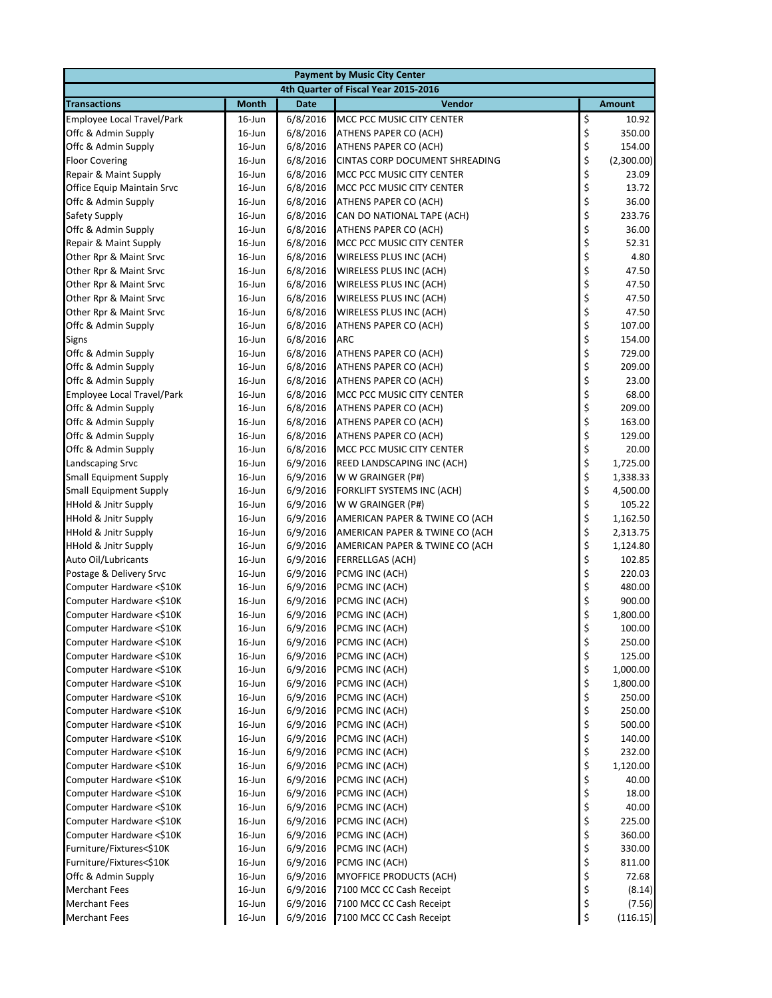| <b>Payment by Music City Center</b>                 |                                      |                      |                                  |          |                  |  |  |
|-----------------------------------------------------|--------------------------------------|----------------------|----------------------------------|----------|------------------|--|--|
|                                                     | 4th Quarter of Fiscal Year 2015-2016 |                      |                                  |          |                  |  |  |
| <b>Transactions</b>                                 | <b>Month</b>                         | <b>Date</b>          | <b>Vendor</b>                    |          | <b>Amount</b>    |  |  |
| Employee Local Travel/Park                          | $16$ -Jun                            | 6/8/2016             | MCC PCC MUSIC CITY CENTER        | \$       | 10.92            |  |  |
| Offc & Admin Supply                                 | 16-Jun                               | 6/8/2016             | ATHENS PAPER CO (ACH)            | \$       | 350.00           |  |  |
| Offc & Admin Supply                                 | $16$ -Jun                            | 6/8/2016             | ATHENS PAPER CO (ACH)            | \$       | 154.00           |  |  |
| <b>Floor Covering</b>                               | $16$ -Jun                            | 6/8/2016             | CINTAS CORP DOCUMENT SHREADING   | \$       | (2,300.00)       |  |  |
| Repair & Maint Supply                               | $16$ -Jun                            | 6/8/2016             | MCC PCC MUSIC CITY CENTER        | \$       | 23.09            |  |  |
| Office Equip Maintain Srvc                          | $16$ -Jun                            | 6/8/2016             | MCC PCC MUSIC CITY CENTER        | \$       | 13.72            |  |  |
| Offc & Admin Supply                                 | $16$ -Jun                            | 6/8/2016             | ATHENS PAPER CO (ACH)            | \$       | 36.00            |  |  |
| Safety Supply                                       | 16-Jun                               | 6/8/2016             | CAN DO NATIONAL TAPE (ACH)       | \$       | 233.76           |  |  |
| Offc & Admin Supply                                 | $16$ -Jun                            | 6/8/2016             | ATHENS PAPER CO (ACH)            | \$       | 36.00            |  |  |
| Repair & Maint Supply                               | 16-Jun                               | 6/8/2016             | MCC PCC MUSIC CITY CENTER        | \$       | 52.31            |  |  |
| Other Rpr & Maint Srvc                              | $16$ -Jun                            | 6/8/2016             | WIRELESS PLUS INC (ACH)          | \$       | 4.80             |  |  |
| Other Rpr & Maint Srvc                              | 16-Jun                               | 6/8/2016             | WIRELESS PLUS INC (ACH)          | \$<br>\$ | 47.50            |  |  |
| Other Rpr & Maint Srvc                              | 16-Jun                               | 6/8/2016             | WIRELESS PLUS INC (ACH)          |          | 47.50            |  |  |
| Other Rpr & Maint Srvc                              | $16$ -Jun                            | 6/8/2016             | WIRELESS PLUS INC (ACH)          | \$       | 47.50            |  |  |
| Other Rpr & Maint Srvc                              | $16$ -Jun                            | 6/8/2016             | WIRELESS PLUS INC (ACH)          | \$       | 47.50            |  |  |
| Offc & Admin Supply                                 | 16-Jun                               | 6/8/2016             | ATHENS PAPER CO (ACH)            | \$       | 107.00           |  |  |
| Signs                                               | $16$ -Jun                            | 6/8/2016             | ARC                              | \$       | 154.00           |  |  |
| Offc & Admin Supply                                 | 16-Jun                               | 6/8/2016             | ATHENS PAPER CO (ACH)            | \$       | 729.00           |  |  |
| Offc & Admin Supply                                 | 16-Jun                               | 6/8/2016             | ATHENS PAPER CO (ACH)            | \$       | 209.00           |  |  |
| Offc & Admin Supply                                 | 16-Jun                               | 6/8/2016             | ATHENS PAPER CO (ACH)            | \$       | 23.00            |  |  |
| Employee Local Travel/Park                          | 16-Jun                               | 6/8/2016             | MCC PCC MUSIC CITY CENTER        | \$       | 68.00            |  |  |
| Offc & Admin Supply                                 | $16$ -Jun                            | 6/8/2016             | ATHENS PAPER CO (ACH)            | \$       | 209.00           |  |  |
| Offc & Admin Supply                                 | $16$ -Jun                            | 6/8/2016             | ATHENS PAPER CO (ACH)            | \$       | 163.00           |  |  |
| Offc & Admin Supply                                 | $16$ -Jun                            | 6/8/2016             | ATHENS PAPER CO (ACH)            | \$       | 129.00           |  |  |
| Offc & Admin Supply                                 | $16$ -Jun                            | 6/8/2016             | MCC PCC MUSIC CITY CENTER        | \$       | 20.00            |  |  |
| Landscaping Srvc                                    | 16-Jun                               | 6/9/2016             | REED LANDSCAPING INC (ACH)       | \$       | 1,725.00         |  |  |
| <b>Small Equipment Supply</b>                       | 16-Jun                               | 6/9/2016             | W W GRAINGER (P#)                | \$       | 1,338.33         |  |  |
| Small Equipment Supply                              | $16$ -Jun                            | 6/9/2016             | FORKLIFT SYSTEMS INC (ACH)       | \$       | 4,500.00         |  |  |
| <b>HHold &amp; Jnitr Supply</b>                     | 16-Jun                               | 6/9/2016             | W W GRAINGER (P#)                | \$       | 105.22           |  |  |
| <b>HHold &amp; Jnitr Supply</b>                     | 16-Jun                               | 6/9/2016             | AMERICAN PAPER & TWINE CO (ACH   | \$       | 1,162.50         |  |  |
| <b>HHold &amp; Jnitr Supply</b>                     | 16-Jun                               | 6/9/2016             | AMERICAN PAPER & TWINE CO (ACH   | \$       | 2,313.75         |  |  |
| <b>HHold &amp; Jnitr Supply</b>                     | 16-Jun                               | 6/9/2016             | AMERICAN PAPER & TWINE CO (ACH   | \$       | 1,124.80         |  |  |
| Auto Oil/Lubricants                                 | 16-Jun                               | 6/9/2016             | <b>FERRELLGAS (ACH)</b>          | \$       | 102.85           |  |  |
| Postage & Delivery Srvc<br>Computer Hardware <\$10K | 16-Jun                               | 6/9/2016             | PCMG INC (ACH)                   | \$<br>\$ | 220.03           |  |  |
| Computer Hardware <\$10K                            | 16-Jun<br>$16$ -Jun                  | 6/9/2016<br>6/9/2016 | PCMG INC (ACH)                   | \$       | 480.00<br>900.00 |  |  |
| Computer Hardware <\$10K                            | 16-Jun                               | 6/9/2016             | PCMG INC (ACH)<br>PCMG INC (ACH) |          | 1,800.00         |  |  |
| Computer Hardware <\$10K                            | 16-Jun                               | 6/9/2016             | PCMG INC (ACH)                   | \$<br>\$ | 100.00           |  |  |
| Computer Hardware <\$10K                            | 16-Jun                               | 6/9/2016             | PCMG INC (ACH)                   | \$       | 250.00           |  |  |
| Computer Hardware <\$10K                            | $16$ -Jun                            | 6/9/2016             | PCMG INC (ACH)                   | \$       | 125.00           |  |  |
| Computer Hardware <\$10K                            | $16$ -Jun                            | 6/9/2016             | PCMG INC (ACH)                   | \$       | 1,000.00         |  |  |
| Computer Hardware <\$10K                            | $16$ -Jun                            | 6/9/2016             | PCMG INC (ACH)                   | \$       | 1,800.00         |  |  |
| Computer Hardware <\$10K                            | 16-Jun                               | 6/9/2016             | PCMG INC (ACH)                   | \$       | 250.00           |  |  |
| Computer Hardware <\$10K                            | 16-Jun                               | 6/9/2016             | PCMG INC (ACH)                   | \$       | 250.00           |  |  |
| Computer Hardware <\$10K                            | $16$ -Jun                            | 6/9/2016             | PCMG INC (ACH)                   | \$       | 500.00           |  |  |
| Computer Hardware <\$10K                            | 16-Jun                               | 6/9/2016             | PCMG INC (ACH)                   | \$       | 140.00           |  |  |
| Computer Hardware <\$10K                            | 16-Jun                               | 6/9/2016             | PCMG INC (ACH)                   | \$       | 232.00           |  |  |
| Computer Hardware <\$10K                            | $16$ -Jun                            | 6/9/2016             | PCMG INC (ACH)                   | \$       | 1,120.00         |  |  |
| Computer Hardware <\$10K                            | 16-Jun                               | 6/9/2016             | PCMG INC (ACH)                   | \$       | 40.00            |  |  |
| Computer Hardware <\$10K                            | 16-Jun                               | 6/9/2016             | PCMG INC (ACH)                   | \$       | 18.00            |  |  |
| Computer Hardware <\$10K                            | $16$ -Jun                            | 6/9/2016             | PCMG INC (ACH)                   | \$       | 40.00            |  |  |
| Computer Hardware <\$10K                            | $16$ -Jun                            | 6/9/2016             | PCMG INC (ACH)                   | \$       | 225.00           |  |  |
| Computer Hardware <\$10K                            | 16-Jun                               | 6/9/2016             | PCMG INC (ACH)                   | \$       | 360.00           |  |  |
| Furniture/Fixtures<\$10K                            | 16-Jun                               | 6/9/2016             | PCMG INC (ACH)                   | \$       | 330.00           |  |  |
| Furniture/Fixtures<\$10K                            | 16-Jun                               | 6/9/2016             | PCMG INC (ACH)                   | \$       | 811.00           |  |  |
| Offc & Admin Supply                                 | 16-Jun                               | 6/9/2016             | <b>MYOFFICE PRODUCTS (ACH)</b>   | \$       | 72.68            |  |  |
| <b>Merchant Fees</b>                                | $16$ -Jun                            | 6/9/2016             | 7100 MCC CC Cash Receipt         | \$       | (8.14)           |  |  |
| <b>Merchant Fees</b>                                | $16$ -Jun                            | 6/9/2016             | 7100 MCC CC Cash Receipt         | \$       | (7.56)           |  |  |
| <b>Merchant Fees</b>                                | 16-Jun                               | 6/9/2016             | 7100 MCC CC Cash Receipt         | \$       | (116.15)         |  |  |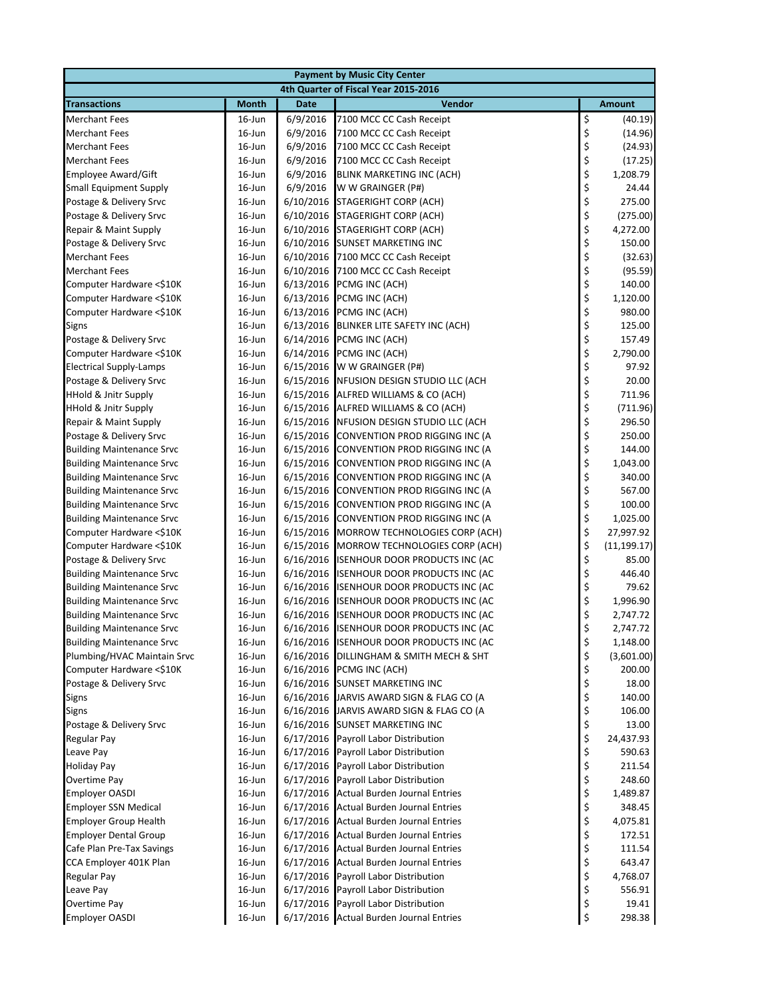| <b>Payment by Music City Center</b>     |                        |             |                                                                            |                                                         |                  |  |
|-----------------------------------------|------------------------|-------------|----------------------------------------------------------------------------|---------------------------------------------------------|------------------|--|
|                                         |                        |             | 4th Quarter of Fiscal Year 2015-2016                                       |                                                         |                  |  |
| <b>Transactions</b>                     | <b>Month</b>           | <b>Date</b> | Vendor                                                                     |                                                         | <b>Amount</b>    |  |
| <b>Merchant Fees</b>                    | $16$ -Jun              | 6/9/2016    | 7100 MCC CC Cash Receipt                                                   | \$                                                      | (40.19)          |  |
| <b>Merchant Fees</b>                    | $16$ -Jun              | 6/9/2016    | 7100 MCC CC Cash Receipt                                                   | \$                                                      | (14.96)          |  |
| <b>Merchant Fees</b>                    | $16$ -Jun              | 6/9/2016    | 7100 MCC CC Cash Receipt                                                   | \$                                                      | (24.93)          |  |
| <b>Merchant Fees</b>                    | $16$ -Jun              | 6/9/2016    | 7100 MCC CC Cash Receipt                                                   |                                                         | (17.25)          |  |
| <b>Employee Award/Gift</b>              | $16$ -Jun              | 6/9/2016    | <b>BLINK MARKETING INC (ACH)</b>                                           | \$\$\$                                                  | 1,208.79         |  |
| <b>Small Equipment Supply</b>           | $16$ -Jun              | 6/9/2016    | W W GRAINGER (P#)                                                          |                                                         | 24.44            |  |
| Postage & Delivery Srvc                 | $16$ -Jun              | 6/10/2016   | <b>STAGERIGHT CORP (ACH)</b>                                               | \$<br>\$                                                | 275.00           |  |
| Postage & Delivery Srvc                 | $16$ -Jun              |             | 6/10/2016 STAGERIGHT CORP (ACH)                                            |                                                         | (275.00)         |  |
| Repair & Maint Supply                   | 16-Jun                 |             | 6/10/2016 STAGERIGHT CORP (ACH)                                            | \$\$\$\$\$\$                                            | 4,272.00         |  |
| Postage & Delivery Srvc                 | $16$ -Jun              |             | 6/10/2016 SUNSET MARKETING INC                                             |                                                         | 150.00           |  |
| <b>Merchant Fees</b>                    | $16$ -Jun              |             | 6/10/2016 7100 MCC CC Cash Receipt                                         |                                                         | (32.63)          |  |
| <b>Merchant Fees</b>                    | $16$ -Jun              |             | 6/10/2016 7100 MCC CC Cash Receipt                                         |                                                         | (95.59)          |  |
| Computer Hardware <\$10K                | $16$ -Jun              |             | 6/13/2016 PCMG INC (ACH)                                                   |                                                         | 140.00           |  |
| Computer Hardware <\$10K                | $16$ -Jun              | 6/13/2016   | PCMG INC (ACH)                                                             |                                                         | 1,120.00         |  |
| Computer Hardware <\$10K                | $16$ -Jun              |             | 6/13/2016 PCMG INC (ACH)                                                   | \$                                                      | 980.00           |  |
| Signs                                   | $16$ -Jun              |             | 6/13/2016 BLINKER LITE SAFETY INC (ACH)                                    | \$<br>\$                                                | 125.00           |  |
| Postage & Delivery Srvc                 | $16$ -Jun              |             | 6/14/2016 PCMG INC (ACH)                                                   |                                                         | 157.49           |  |
| Computer Hardware <\$10K                | $16$ -Jun              | 6/14/2016   | PCMG INC (ACH)                                                             | \$<br>\$                                                | 2,790.00         |  |
| <b>Electrical Supply-Lamps</b>          | $16$ -Jun              | 6/15/2016   | W W GRAINGER (P#)                                                          |                                                         | 97.92            |  |
| Postage & Delivery Srvc                 | $16$ -Jun              |             | 6/15/2016 NFUSION DESIGN STUDIO LLC (ACH                                   |                                                         | 20.00            |  |
| <b>HHold &amp; Jnitr Supply</b>         | 16-Jun                 |             | 6/15/2016 ALFRED WILLIAMS & CO (ACH)                                       | \$\$\$\$                                                | 711.96           |  |
| <b>HHold &amp; Jnitr Supply</b>         | $16$ -Jun              |             | 6/15/2016 ALFRED WILLIAMS & CO (ACH)                                       |                                                         | (711.96)         |  |
| Repair & Maint Supply                   | $16$ -Jun              |             | 6/15/2016 NFUSION DESIGN STUDIO LLC (ACH                                   |                                                         | 296.50           |  |
| Postage & Delivery Srvc                 | 16-Jun                 | 6/15/2016   | CONVENTION PROD RIGGING INC (A                                             |                                                         | 250.00           |  |
| <b>Building Maintenance Srvc</b>        | $16$ -Jun              | 6/15/2016   | CONVENTION PROD RIGGING INC (A                                             | \$\$\$                                                  | 144.00           |  |
| <b>Building Maintenance Srvc</b>        | $16$ -Jun              | 6/15/2016   | CONVENTION PROD RIGGING INC (A                                             |                                                         | 1,043.00         |  |
| <b>Building Maintenance Srvc</b>        | $16$ -Jun              |             | 6/15/2016 CONVENTION PROD RIGGING INC (A                                   | \$                                                      | 340.00           |  |
| <b>Building Maintenance Srvc</b>        | $16$ -Jun              |             | 6/15/2016 CONVENTION PROD RIGGING INC (A                                   | \$                                                      | 567.00           |  |
| <b>Building Maintenance Srvc</b>        | $16$ -Jun              | 6/15/2016   | CONVENTION PROD RIGGING INC (A                                             | \$                                                      | 100.00           |  |
| <b>Building Maintenance Srvc</b>        | $16$ -Jun              | 6/15/2016   | CONVENTION PROD RIGGING INC (A                                             | \$                                                      | 1,025.00         |  |
| Computer Hardware <\$10K                | $16$ -Jun              | 6/15/2016   | MORROW TECHNOLOGIES CORP (ACH)                                             | \$                                                      | 27,997.92        |  |
| Computer Hardware <\$10K                | $16$ -Jun              | 6/15/2016   | MORROW TECHNOLOGIES CORP (ACH)                                             | $\begin{array}{c} \texttt{S} \\ \texttt{S} \end{array}$ | (11, 199.17)     |  |
| Postage & Delivery Srvc                 | $16$ -Jun              |             | 6/16/2016 ISENHOUR DOOR PRODUCTS INC (AC                                   |                                                         | 85.00            |  |
| <b>Building Maintenance Srvc</b>        | $16$ -Jun              |             | 6/16/2016 ISENHOUR DOOR PRODUCTS INC (AC                                   | \$                                                      | 446.40           |  |
| <b>Building Maintenance Srvc</b>        | 16-Jun                 | 6/16/2016   | <b>ISENHOUR DOOR PRODUCTS INC (AC</b>                                      | \$                                                      | 79.62            |  |
| <b>Building Maintenance Srvc</b>        | $16$ -Jun              | 6/16/2016   | <b>ISENHOUR DOOR PRODUCTS INC (AC</b>                                      | \$                                                      | 1,996.90         |  |
| <b>Building Maintenance Srvc</b>        | $16$ -Jun              | 6/16/2016   | <b>ISENHOUR DOOR PRODUCTS INC (AC</b>                                      | \$                                                      | 2,747.72         |  |
| <b>Building Maintenance Srvc</b>        | $16$ -Jun              |             | 6/16/2016 ISENHOUR DOOR PRODUCTS INC (AC                                   | \$                                                      | 2,747.72         |  |
| <b>Building Maintenance Srvc</b>        | 16-Jun                 |             | 6/16/2016 ISENHOUR DOOR PRODUCTS INC (AC                                   | \$                                                      | 1,148.00         |  |
| Plumbing/HVAC Maintain Srvc             | $16$ -Jun              |             | 6/16/2016 DILLINGHAM & SMITH MECH & SHT                                    | \$                                                      | (3,601.00)       |  |
| Computer Hardware <\$10K                | 16-Jun                 |             | 6/16/2016 PCMG INC (ACH)                                                   | \$                                                      | 200.00           |  |
| Postage & Delivery Srvc                 | $16$ -Jun              |             | 6/16/2016 SUNSET MARKETING INC<br>6/16/2016 JARVIS AWARD SIGN & FLAG CO (A | \$                                                      | 18.00            |  |
| Signs                                   | $16$ -Jun<br>$16$ -Jun |             | 6/16/2016 JARVIS AWARD SIGN & FLAG CO (A                                   | \$<br>\$                                                | 140.00<br>106.00 |  |
| <b>Signs</b><br>Postage & Delivery Srvc | $16$ -Jun              |             | 6/16/2016 SUNSET MARKETING INC                                             |                                                         | 13.00            |  |
| <b>Regular Pay</b>                      | $16$ -Jun              |             | 6/17/2016 Payroll Labor Distribution                                       | \$<br>\$                                                | 24,437.93        |  |
| Leave Pay                               | $16$ -Jun              |             | 6/17/2016 Payroll Labor Distribution                                       | \$                                                      | 590.63           |  |
| <b>Holiday Pay</b>                      | $16$ -Jun              |             | 6/17/2016 Payroll Labor Distribution                                       | \$                                                      | 211.54           |  |
| Overtime Pay                            | 16-Jun                 |             | 6/17/2016 Payroll Labor Distribution                                       |                                                         | 248.60           |  |
| <b>Employer OASDI</b>                   | $16$ -Jun              |             | 6/17/2016 Actual Burden Journal Entries                                    | $\frac{1}{2}$                                           | 1,489.87         |  |
| <b>Employer SSN Medical</b>             | $16$ -Jun              |             | 6/17/2016 Actual Burden Journal Entries                                    | \$                                                      | 348.45           |  |
| <b>Employer Group Health</b>            | $16$ -Jun              |             | 6/17/2016 Actual Burden Journal Entries                                    | \$                                                      | 4,075.81         |  |
| <b>Employer Dental Group</b>            | $16$ -Jun              |             | 6/17/2016 Actual Burden Journal Entries                                    | \$                                                      | 172.51           |  |
| Cafe Plan Pre-Tax Savings               | $16$ -Jun              |             | 6/17/2016 Actual Burden Journal Entries                                    |                                                         | 111.54           |  |
| CCA Employer 401K Plan                  | $16$ -Jun              |             | 6/17/2016 Actual Burden Journal Entries                                    | \$<br>\$                                                | 643.47           |  |
| Regular Pay                             | $16$ -Jun              |             | 6/17/2016 Payroll Labor Distribution                                       | \$                                                      | 4,768.07         |  |
| Leave Pay                               | $16$ -Jun              | 6/17/2016   | Payroll Labor Distribution                                                 | \$                                                      | 556.91           |  |
| Overtime Pay                            | $16$ -Jun              | 6/17/2016   | Payroll Labor Distribution                                                 | \$                                                      | 19.41            |  |
| <b>Employer OASDI</b>                   | $16$ -Jun              |             | 6/17/2016 Actual Burden Journal Entries                                    | \$                                                      | 298.38           |  |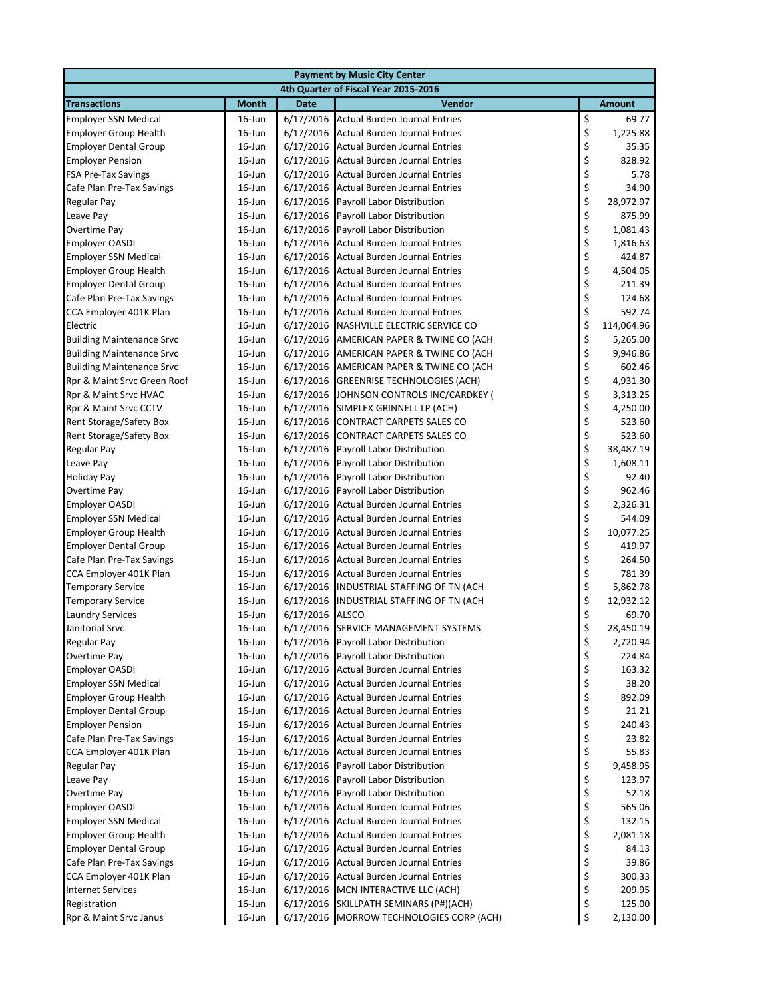| <b>Payment by Music City Center</b>                     |                        |                 |                                                                                    |                                       |                 |  |
|---------------------------------------------------------|------------------------|-----------------|------------------------------------------------------------------------------------|---------------------------------------|-----------------|--|
|                                                         |                        |                 | 4th Quarter of Fiscal Year 2015-2016                                               |                                       |                 |  |
| <b>Transactions</b>                                     | <b>Month</b>           | <b>Date</b>     | Vendor                                                                             |                                       | <b>Amount</b>   |  |
| <b>Employer SSN Medical</b>                             | $16$ -Jun              |                 | 6/17/2016 Actual Burden Journal Entries                                            |                                       | 69.77           |  |
| <b>Employer Group Health</b>                            | $16$ -Jun              |                 | 6/17/2016 Actual Burden Journal Entries                                            | \$\$\$                                | 1,225.88        |  |
| <b>Employer Dental Group</b>                            | $16$ -Jun              |                 | 6/17/2016 Actual Burden Journal Entries                                            |                                       | 35.35           |  |
| <b>Employer Pension</b>                                 | $16$ -Jun              |                 | 6/17/2016 Actual Burden Journal Entries                                            | \$<br>\$                              | 828.92          |  |
| <b>FSA Pre-Tax Savings</b>                              | $16$ -Jun              |                 | 6/17/2016 Actual Burden Journal Entries                                            |                                       | 5.78            |  |
| Cafe Plan Pre-Tax Savings                               | $16$ -Jun              |                 | 6/17/2016 Actual Burden Journal Entries                                            | \$\$\$                                | 34.90           |  |
| <b>Regular Pay</b>                                      | $16$ -Jun              |                 | 6/17/2016 Payroll Labor Distribution                                               |                                       | 28,972.97       |  |
| Leave Pay                                               | $16$ -Jun              | 6/17/2016       | Payroll Labor Distribution                                                         |                                       | 875.99          |  |
| <b>Overtime Pay</b>                                     | $16$ -Jun              |                 | 6/17/2016 Payroll Labor Distribution                                               | \$\$\$\$\$\$                          | 1,081.43        |  |
| <b>Employer OASDI</b>                                   | $16$ -Jun              |                 | 6/17/2016 Actual Burden Journal Entries                                            |                                       | 1,816.63        |  |
| <b>Employer SSN Medical</b>                             | $16$ -Jun              |                 | 6/17/2016 Actual Burden Journal Entries                                            |                                       | 424.87          |  |
| <b>Employer Group Health</b>                            | $16$ -Jun              |                 | 6/17/2016 Actual Burden Journal Entries                                            |                                       | 4,504.05        |  |
| <b>Employer Dental Group</b>                            | $16$ -Jun              |                 | 6/17/2016 Actual Burden Journal Entries                                            |                                       | 211.39          |  |
| Cafe Plan Pre-Tax Savings                               | $16$ -Jun              |                 | 6/17/2016 Actual Burden Journal Entries                                            |                                       | 124.68          |  |
| CCA Employer 401K Plan                                  | $16$ -Jun              |                 | 6/17/2016 Actual Burden Journal Entries                                            | \$                                    | 592.74          |  |
| Electric                                                | $16$ -Jun              |                 | 6/17/2016 NASHVILLE ELECTRIC SERVICE CO                                            | $\begin{array}{c} 5 \\ 5 \end{array}$ | 114,064.96      |  |
| <b>Building Maintenance Srvc</b>                        | $16$ -Jun              |                 | 6/17/2016 AMERICAN PAPER & TWINE CO (ACH                                           |                                       | 5,265.00        |  |
| <b>Building Maintenance Srvc</b>                        | $16$ -Jun              |                 | 6/17/2016 AMERICAN PAPER & TWINE CO (ACH                                           | \$<br>\$                              | 9,946.86        |  |
| <b>Building Maintenance Srvc</b>                        | $16$ -Jun              |                 | 6/17/2016 AMERICAN PAPER & TWINE CO (ACH                                           |                                       | 602.46          |  |
| Rpr & Maint Srvc Green Roof                             | $16$ -Jun              |                 | 6/17/2016 GREENRISE TECHNOLOGIES (ACH)                                             | \$                                    | 4,931.30        |  |
| Rpr & Maint Srvc HVAC                                   | $16$ -Jun              |                 | 6/17/2016 JOHNSON CONTROLS INC/CARDKEY (                                           |                                       | 3,313.25        |  |
| Rpr & Maint Srvc CCTV                                   | $16$ -Jun              |                 | 6/17/2016 SIMPLEX GRINNELL LP (ACH)                                                | \$\$\$                                | 4,250.00        |  |
| Rent Storage/Safety Box                                 | $16$ -Jun              |                 | 6/17/2016 CONTRACT CARPETS SALES CO                                                |                                       | 523.60          |  |
| Rent Storage/Safety Box                                 | $16$ -Jun              | 6/17/2016       | <b>CONTRACT CARPETS SALES CO</b>                                                   |                                       | 523.60          |  |
| <b>Regular Pay</b>                                      | $16$ -Jun              | 6/17/2016       | Payroll Labor Distribution                                                         | \$\$\$                                | 38,487.19       |  |
| Leave Pay                                               | $16$ -Jun              | 6/17/2016       | Payroll Labor Distribution                                                         |                                       | 1,608.11        |  |
| <b>Holiday Pay</b>                                      | 16-Jun                 |                 | 6/17/2016 Payroll Labor Distribution                                               | \$<br>\$                              | 92.40           |  |
| <b>Overtime Pay</b>                                     | $16$ -Jun              |                 | 6/17/2016 Payroll Labor Distribution                                               |                                       | 962.46          |  |
| <b>Employer OASDI</b>                                   | $16$ -Jun              |                 | 6/17/2016 Actual Burden Journal Entries                                            | ぐぐぐぐぐ                                 | 2,326.31        |  |
| <b>Employer SSN Medical</b>                             | $16$ -Jun              |                 | 6/17/2016 Actual Burden Journal Entries                                            |                                       | 544.09          |  |
| <b>Employer Group Health</b>                            | $16$ -Jun              |                 | 6/17/2016 Actual Burden Journal Entries                                            |                                       | 10,077.25       |  |
| <b>Employer Dental Group</b>                            | $16$ -Jun              |                 | 6/17/2016 Actual Burden Journal Entries                                            |                                       | 419.97          |  |
| Cafe Plan Pre-Tax Savings                               | $16$ -Jun              |                 | 6/17/2016 Actual Burden Journal Entries                                            |                                       | 264.50          |  |
| CCA Employer 401K Plan                                  | $16$ -Jun              |                 | 6/17/2016 Actual Burden Journal Entries                                            |                                       | 781.39          |  |
| <b>Temporary Service</b>                                | $16$ -Jun              |                 | 6/17/2016 INDUSTRIAL STAFFING OF TN (ACH                                           |                                       | 5,862.78        |  |
| <b>Temporary Service</b>                                | $16$ -Jun              |                 | 6/17/2016 INDUSTRIAL STAFFING OF TN (ACH                                           |                                       | 12,932.12       |  |
| <b>Laundry Services</b>                                 | $16$ -Jun              | 6/17/2016 ALSCO |                                                                                    |                                       | 69.70           |  |
| Janitorial Srvc                                         | 16-Jun                 |                 | 6/17/2016 SERVICE MANAGEMENT SYSTEMS                                               | \$                                    | 28,450.19       |  |
| <b>Regular Pay</b>                                      | 16-Jun                 |                 | 6/17/2016 Payroll Labor Distribution                                               | \$                                    | 2,720.94        |  |
| <b>Overtime Pay</b>                                     | $16$ -Jun              | 6/17/2016       | Payroll Labor Distribution                                                         | \$                                    | 224.84          |  |
| <b>Employer OASDI</b>                                   | $16$ -Jun              |                 | 6/17/2016 Actual Burden Journal Entries                                            |                                       | 163.32          |  |
| <b>Employer SSN Medical</b>                             | $16$ -Jun              |                 | 6/17/2016 Actual Burden Journal Entries                                            | \$\$\$\$                              | 38.20           |  |
| <b>Employer Group Health</b>                            | $16$ -Jun<br>$16$ -Jun |                 | 6/17/2016 Actual Burden Journal Entries                                            |                                       | 892.09          |  |
| <b>Employer Dental Group</b><br><b>Employer Pension</b> |                        |                 | 6/17/2016 Actual Burden Journal Entries<br>6/17/2016 Actual Burden Journal Entries | \$                                    | 21.21<br>240.43 |  |
| Cafe Plan Pre-Tax Savings                               | $16$ -Jun<br>$16$ -Jun |                 | 6/17/2016 Actual Burden Journal Entries                                            |                                       | 23.82           |  |
| CCA Employer 401K Plan                                  | $16$ -Jun              |                 | 6/17/2016 Actual Burden Journal Entries                                            | \$\$\$                                | 55.83           |  |
|                                                         | $16$ -Jun              |                 | 6/17/2016 Payroll Labor Distribution                                               |                                       | 9,458.95        |  |
| Regular Pay<br>Leave Pay                                | 16-Jun                 |                 | 6/17/2016 Payroll Labor Distribution                                               |                                       | 123.97          |  |
| Overtime Pay                                            | $16$ -Jun              |                 | 6/17/2016 Payroll Labor Distribution                                               |                                       | 52.18           |  |
| <b>Employer OASDI</b>                                   | $16$ -Jun              |                 | 6/17/2016 Actual Burden Journal Entries                                            | \$\$\$                                | 565.06          |  |
| <b>Employer SSN Medical</b>                             | $16$ -Jun              |                 | 6/17/2016 Actual Burden Journal Entries                                            |                                       | 132.15          |  |
| <b>Employer Group Health</b>                            | $16$ -Jun              |                 | 6/17/2016 Actual Burden Journal Entries                                            | \$\$\$                                | 2,081.18        |  |
| <b>Employer Dental Group</b>                            | 16-Jun                 |                 | 6/17/2016 Actual Burden Journal Entries                                            |                                       | 84.13           |  |
| Cafe Plan Pre-Tax Savings                               | $16$ -Jun              |                 | 6/17/2016 Actual Burden Journal Entries                                            | \$                                    | 39.86           |  |
| CCA Employer 401K Plan                                  | $16$ -Jun              |                 | 6/17/2016 Actual Burden Journal Entries                                            | \$                                    | 300.33          |  |
| <b>Internet Services</b>                                | $16$ -Jun              |                 | 6/17/2016 MCN INTERACTIVE LLC (ACH)                                                | \$                                    | 209.95          |  |
| Registration                                            | $16$ -Jun              |                 | 6/17/2016 SKILLPATH SEMINARS (P#)(ACH)                                             | \$                                    | 125.00          |  |
| Rpr & Maint Srvc Janus                                  | $16$ -Jun              |                 | 6/17/2016 MORROW TECHNOLOGIES CORP (ACH)                                           | \$                                    | 2,130.00        |  |
|                                                         |                        |                 |                                                                                    |                                       |                 |  |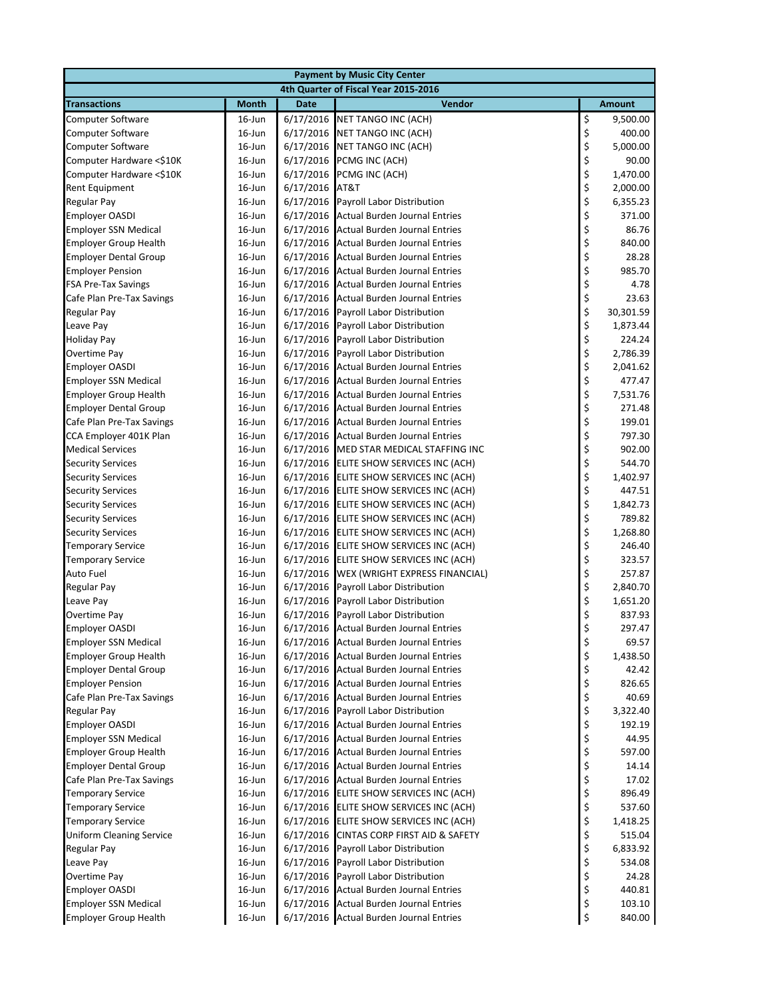| <b>Payment by Music City Center</b>                  |                  |                        |                                                                    |                                                         |                 |  |  |
|------------------------------------------------------|------------------|------------------------|--------------------------------------------------------------------|---------------------------------------------------------|-----------------|--|--|
|                                                      |                  |                        | 4th Quarter of Fiscal Year 2015-2016                               |                                                         |                 |  |  |
| <b>Transactions</b>                                  | <b>Month</b>     | <b>Date</b>            | Vendor                                                             |                                                         | <b>Amount</b>   |  |  |
| <b>Computer Software</b>                             | $16$ -Jun        | 6/17/2016              | <b>NET TANGO INC (ACH)</b>                                         | \$                                                      | 9,500.00        |  |  |
| <b>Computer Software</b>                             | 16-Jun           | 6/17/2016              | NET TANGO INC (ACH)                                                |                                                         | 400.00          |  |  |
| <b>Computer Software</b>                             | $16$ -Jun        | 6/17/2016              | NET TANGO INC (ACH)                                                | \$\$\$\$\$                                              | 5,000.00        |  |  |
| Computer Hardware <\$10K                             | $16$ -Jun        | 6/17/2016              | PCMG INC (ACH)                                                     |                                                         | 90.00           |  |  |
| Computer Hardware <\$10K                             | 16-Jun           | 6/17/2016              | PCMG INC (ACH)                                                     |                                                         | 1,470.00        |  |  |
| Rent Equipment                                       | $16$ -Jun        | 6/17/2016              | AT&T                                                               |                                                         | 2,000.00        |  |  |
| Regular Pay                                          | $16$ -Jun        | 6/17/2016              | <b>Payroll Labor Distribution</b>                                  | \$                                                      | 6,355.23        |  |  |
| <b>Employer OASDI</b>                                | 16-Jun           | 6/17/2016              | <b>Actual Burden Journal Entries</b>                               | \$                                                      | 371.00          |  |  |
| <b>Employer SSN Medical</b>                          | 16-Jun           | 6/17/2016              | <b>Actual Burden Journal Entries</b>                               | \$                                                      | 86.76           |  |  |
| <b>Employer Group Health</b>                         | $16$ -Jun        | 6/17/2016              | <b>Actual Burden Journal Entries</b>                               |                                                         | 840.00          |  |  |
| <b>Employer Dental Group</b>                         | 16-Jun           | 6/17/2016              | <b>Actual Burden Journal Entries</b>                               | \$\$\$                                                  | 28.28           |  |  |
| <b>Employer Pension</b>                              | 16-Jun           | 6/17/2016              | <b>Actual Burden Journal Entries</b>                               |                                                         | 985.70          |  |  |
| <b>FSA Pre-Tax Savings</b>                           | 16-Jun           | 6/17/2016              | Actual Burden Journal Entries                                      |                                                         | 4.78            |  |  |
| Cafe Plan Pre-Tax Savings                            | 16-Jun           | 6/17/2016              | <b>Actual Burden Journal Entries</b>                               |                                                         | 23.63           |  |  |
| <b>Regular Pay</b>                                   | 16-Jun           | 6/17/2016              | Payroll Labor Distribution                                         |                                                         | 30,301.59       |  |  |
| Leave Pay                                            | $16$ -Jun        | 6/17/2016              | Payroll Labor Distribution                                         | \$\$\$\$\$\$                                            | 1,873.44        |  |  |
| <b>Holiday Pay</b>                                   | $16$ -Jun        | 6/17/2016              | Payroll Labor Distribution                                         |                                                         | 224.24          |  |  |
| <b>Overtime Pay</b>                                  | $16$ -Jun        | 6/17/2016              | Payroll Labor Distribution                                         |                                                         | 2,786.39        |  |  |
| <b>Employer OASDI</b>                                | 16-Jun           | 6/17/2016              | <b>Actual Burden Journal Entries</b>                               |                                                         | 2,041.62        |  |  |
| <b>Employer SSN Medical</b>                          | 16-Jun           | 6/17/2016              | <b>Actual Burden Journal Entries</b>                               |                                                         | 477.47          |  |  |
| <b>Employer Group Health</b>                         | 16-Jun           | 6/17/2016              | <b>Actual Burden Journal Entries</b>                               |                                                         | 7,531.76        |  |  |
| <b>Employer Dental Group</b>                         | 16-Jun           | 6/17/2016              | <b>Actual Burden Journal Entries</b>                               | \$\$\$\$\$\$\$                                          | 271.48          |  |  |
| Cafe Plan Pre-Tax Savings                            | 16-Jun           | 6/17/2016              | <b>Actual Burden Journal Entries</b>                               |                                                         | 199.01          |  |  |
| CCA Employer 401K Plan                               | 16-Jun           | 6/17/2016              | <b>Actual Burden Journal Entries</b>                               |                                                         | 797.30          |  |  |
| <b>Medical Services</b>                              | 16-Jun           | 6/17/2016              | MED STAR MEDICAL STAFFING INC                                      |                                                         | 902.00          |  |  |
| <b>Security Services</b>                             | 16-Jun           | 6/17/2016              | ELITE SHOW SERVICES INC (ACH)                                      | \$\$\$                                                  | 544.70          |  |  |
| <b>Security Services</b>                             | 16-Jun           | 6/17/2016              | ELITE SHOW SERVICES INC (ACH)                                      |                                                         | 1,402.97        |  |  |
| <b>Security Services</b>                             | $16$ -Jun        | 6/17/2016              | ELITE SHOW SERVICES INC (ACH)                                      |                                                         | 447.51          |  |  |
| <b>Security Services</b>                             | 16-Jun           | 6/17/2016              | ELITE SHOW SERVICES INC (ACH)                                      | \$                                                      | 1,842.73        |  |  |
| <b>Security Services</b>                             | 16-Jun           | 6/17/2016              | ELITE SHOW SERVICES INC (ACH)                                      | \$                                                      | 789.82          |  |  |
| <b>Security Services</b>                             | 16-Jun           | 6/17/2016              | ELITE SHOW SERVICES INC (ACH)                                      | \$                                                      | 1,268.80        |  |  |
| <b>Temporary Service</b>                             | 16-Jun           | 6/17/2016              | ELITE SHOW SERVICES INC (ACH)                                      | \$                                                      | 246.40          |  |  |
| <b>Temporary Service</b>                             | 16-Jun           | 6/17/2016              | ELITE SHOW SERVICES INC (ACH)                                      | \$\$\$                                                  | 323.57          |  |  |
| Auto Fuel                                            | 16-Jun           | 6/17/2016              | WEX (WRIGHT EXPRESS FINANCIAL)                                     |                                                         | 257.87          |  |  |
| Regular Pay                                          | 16-Jun           | 6/17/2016              | Payroll Labor Distribution                                         |                                                         | 2,840.70        |  |  |
| Leave Pay                                            | 16-Jun           | 6/17/2016              | Payroll Labor Distribution                                         | \$                                                      | 1,651.20        |  |  |
| <b>Overtime Pay</b>                                  | 16-Jun           | 6/17/2016              | Payroll Labor Distribution                                         | \$                                                      | 837.93          |  |  |
| <b>Employer OASDI</b>                                | $16$ -Jun        |                        | 6/17/2016 Actual Burden Journal Entries                            | \$                                                      | 297.47          |  |  |
| <b>Employer SSN Medical</b>                          | 16-Jun           | 6/17/2016              | Actual Burden Journal Entries                                      | $\begin{array}{c} \texttt{S} \\ \texttt{S} \end{array}$ | 69.57           |  |  |
| <b>Employer Group Health</b>                         | 16-Jun           | 6/17/2016              | <b>Actual Burden Journal Entries</b>                               |                                                         | 1,438.50        |  |  |
| <b>Employer Dental Group</b>                         | 16-Jun           | 6/17/2016              | <b>Actual Burden Journal Entries</b>                               | \$                                                      | 42.42           |  |  |
| <b>Employer Pension</b>                              | $16$ -Jun        | 6/17/2016              | <b>Actual Burden Journal Entries</b>                               | \$                                                      | 826.65          |  |  |
| Cafe Plan Pre-Tax Savings                            | $16$ -Jun        | 6/17/2016              | <b>Actual Burden Journal Entries</b>                               | \$                                                      | 40.69           |  |  |
| <b>Regular Pay</b>                                   | 16-Jun<br>16-Jun | 6/17/2016<br>6/17/2016 | Payroll Labor Distribution<br><b>Actual Burden Journal Entries</b> | \$<br>\$                                                | 3,322.40        |  |  |
| <b>Employer OASDI</b><br><b>Employer SSN Medical</b> | $16$ -Jun        | 6/17/2016              | <b>Actual Burden Journal Entries</b>                               | \$                                                      | 192.19<br>44.95 |  |  |
| <b>Employer Group Health</b>                         | $16$ -Jun        | 6/17/2016              | <b>Actual Burden Journal Entries</b>                               | \$                                                      | 597.00          |  |  |
| <b>Employer Dental Group</b>                         | $16$ -Jun        | 6/17/2016              | Actual Burden Journal Entries                                      | \$                                                      | 14.14           |  |  |
| Cafe Plan Pre-Tax Savings                            | 16-Jun           | 6/17/2016              | <b>Actual Burden Journal Entries</b>                               | \$                                                      | 17.02           |  |  |
| <b>Temporary Service</b>                             | 16-Jun           | 6/17/2016              | ELITE SHOW SERVICES INC (ACH)                                      | \$                                                      | 896.49          |  |  |
| <b>Temporary Service</b>                             | 16-Jun           | 6/17/2016              | ELITE SHOW SERVICES INC (ACH)                                      | \$                                                      | 537.60          |  |  |
| <b>Temporary Service</b>                             | 16-Jun           | 6/17/2016              | ELITE SHOW SERVICES INC (ACH)                                      | \$                                                      | 1,418.25        |  |  |
| <b>Uniform Cleaning Service</b>                      | $16$ -Jun        | 6/17/2016              | CINTAS CORP FIRST AID & SAFETY                                     | \$                                                      | 515.04          |  |  |
| Regular Pay                                          | $16$ -Jun        | 6/17/2016              | Payroll Labor Distribution                                         | \$                                                      | 6,833.92        |  |  |
| Leave Pay                                            | 16-Jun           | 6/17/2016              | Payroll Labor Distribution                                         | \$                                                      | 534.08          |  |  |
| Overtime Pay                                         | $16$ -Jun        | 6/17/2016              | Payroll Labor Distribution                                         | \$                                                      | 24.28           |  |  |
| <b>Employer OASDI</b>                                | $16$ -Jun        | 6/17/2016              | <b>Actual Burden Journal Entries</b>                               | \$                                                      | 440.81          |  |  |
| <b>Employer SSN Medical</b>                          | 16-Jun           | 6/17/2016              | <b>Actual Burden Journal Entries</b>                               | \$                                                      | 103.10          |  |  |
| <b>Employer Group Health</b>                         | 16-Jun           | 6/17/2016              | <b>Actual Burden Journal Entries</b>                               | \$                                                      | 840.00          |  |  |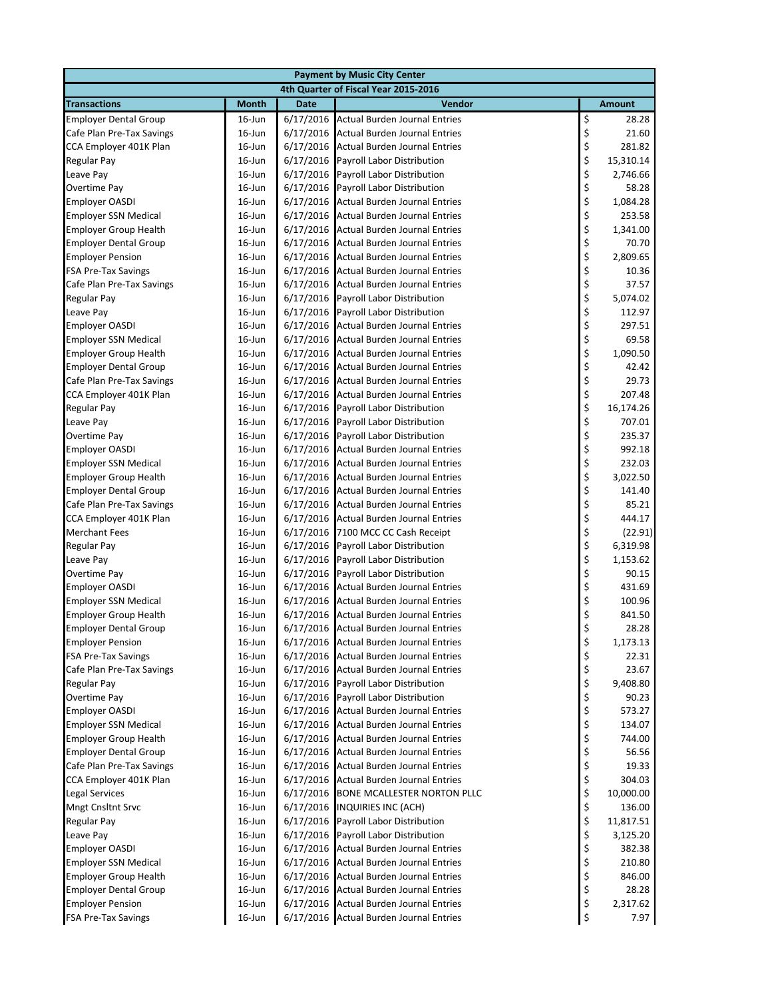| <b>Payment by Music City Center</b>                         |                        |                        |                                                                              |                                                                      |                     |  |  |
|-------------------------------------------------------------|------------------------|------------------------|------------------------------------------------------------------------------|----------------------------------------------------------------------|---------------------|--|--|
| 4th Quarter of Fiscal Year 2015-2016                        |                        |                        |                                                                              |                                                                      |                     |  |  |
| <b>Transactions</b>                                         | <b>Month</b>           | <b>Date</b>            | Vendor                                                                       |                                                                      | <b>Amount</b>       |  |  |
| <b>Employer Dental Group</b>                                | $16$ -Jun              | 6/17/2016              | <b>Actual Burden Journal Entries</b>                                         |                                                                      | 28.28               |  |  |
| Cafe Plan Pre-Tax Savings                                   | 16-Jun                 | 6/17/2016              | <b>Actual Burden Journal Entries</b>                                         | \$<br>\$                                                             | 21.60               |  |  |
| CCA Employer 401K Plan                                      | 16-Jun                 | 6/17/2016              | <b>Actual Burden Journal Entries</b>                                         |                                                                      | 281.82              |  |  |
| Regular Pay                                                 | $16$ -Jun              | 6/17/2016              | Payroll Labor Distribution                                                   | \$\$\$\$                                                             | 15,310.14           |  |  |
| Leave Pay                                                   | 16-Jun                 | 6/17/2016              | Payroll Labor Distribution                                                   |                                                                      | 2,746.66            |  |  |
| <b>Overtime Pay</b>                                         | 16-Jun                 | 6/17/2016              | Payroll Labor Distribution                                                   |                                                                      | 58.28               |  |  |
| <b>Employer OASDI</b>                                       | 16-Jun                 | 6/17/2016              | <b>Actual Burden Journal Entries</b>                                         | \$<br>\$                                                             | 1,084.28            |  |  |
| <b>Employer SSN Medical</b>                                 | 16-Jun                 | 6/17/2016              | <b>Actual Burden Journal Entries</b>                                         |                                                                      | 253.58              |  |  |
| <b>Employer Group Health</b>                                | 16-Jun                 | 6/17/2016              | <b>Actual Burden Journal Entries</b>                                         | \$\$\$\$\$\$                                                         | 1,341.00            |  |  |
| <b>Employer Dental Group</b>                                | 16-Jun                 | 6/17/2016              | <b>Actual Burden Journal Entries</b>                                         |                                                                      | 70.70               |  |  |
| <b>Employer Pension</b>                                     | 16-Jun                 | 6/17/2016              | <b>Actual Burden Journal Entries</b>                                         |                                                                      | 2,809.65            |  |  |
| <b>FSA Pre-Tax Savings</b>                                  | 16-Jun                 | 6/17/2016              | <b>Actual Burden Journal Entries</b>                                         |                                                                      | 10.36               |  |  |
| Cafe Plan Pre-Tax Savings                                   | 16-Jun                 | 6/17/2016              | Actual Burden Journal Entries                                                |                                                                      | 37.57               |  |  |
| <b>Regular Pay</b>                                          | 16-Jun                 | 6/17/2016              | Payroll Labor Distribution                                                   |                                                                      | 5,074.02            |  |  |
| Leave Pay                                                   | 16-Jun                 | 6/17/2016              | Payroll Labor Distribution                                                   | \$                                                                   | 112.97              |  |  |
| <b>Employer OASDI</b>                                       | 16-Jun                 | 6/17/2016              | <b>Actual Burden Journal Entries</b>                                         | \$\$\$\$                                                             | 297.51              |  |  |
| <b>Employer SSN Medical</b>                                 | 16-Jun                 | 6/17/2016              | <b>Actual Burden Journal Entries</b>                                         |                                                                      | 69.58               |  |  |
| <b>Employer Group Health</b>                                | $16$ -Jun              | 6/17/2016              | Actual Burden Journal Entries                                                |                                                                      | 1,090.50            |  |  |
| <b>Employer Dental Group</b>                                | 16-Jun                 | 6/17/2016              | <b>Actual Burden Journal Entries</b>                                         |                                                                      | 42.42               |  |  |
| Cafe Plan Pre-Tax Savings                                   | 16-Jun                 | 6/17/2016              | <b>Actual Burden Journal Entries</b>                                         |                                                                      | 29.73               |  |  |
| CCA Employer 401K Plan                                      | 16-Jun                 | 6/17/2016              | <b>Actual Burden Journal Entries</b>                                         | \$\$\$\$                                                             | 207.48              |  |  |
| <b>Regular Pay</b>                                          | 16-Jun                 | 6/17/2016              | Payroll Labor Distribution                                                   |                                                                      | 16,174.26           |  |  |
| Leave Pay                                                   | 16-Jun                 | 6/17/2016              | Payroll Labor Distribution                                                   |                                                                      | 707.01              |  |  |
| <b>Overtime Pay</b>                                         | 16-Jun                 | 6/17/2016              | Payroll Labor Distribution                                                   | \$\$\$\$\$                                                           | 235.37              |  |  |
| <b>Employer OASDI</b>                                       | 16-Jun                 | 6/17/2016              | <b>Actual Burden Journal Entries</b>                                         |                                                                      | 992.18              |  |  |
| <b>Employer SSN Medical</b>                                 | 16-Jun                 | 6/17/2016              | <b>Actual Burden Journal Entries</b>                                         |                                                                      | 232.03              |  |  |
| <b>Employer Group Health</b>                                | 16-Jun                 | 6/17/2016              | <b>Actual Burden Journal Entries</b>                                         |                                                                      | 3,022.50            |  |  |
| <b>Employer Dental Group</b>                                | $16$ -Jun              | 6/17/2016              | <b>Actual Burden Journal Entries</b>                                         |                                                                      | 141.40              |  |  |
| Cafe Plan Pre-Tax Savings                                   | $16$ -Jun              | 6/17/2016              | <b>Actual Burden Journal Entries</b>                                         | \$<br>\$                                                             | 85.21               |  |  |
| CCA Employer 401K Plan                                      | 16-Jun                 | 6/17/2016              | <b>Actual Burden Journal Entries</b>                                         |                                                                      | 444.17              |  |  |
| <b>Merchant Fees</b>                                        | 16-Jun                 | 6/17/2016              | 7100 MCC CC Cash Receipt                                                     | \$\$\$                                                               | (22.91)             |  |  |
| Regular Pay                                                 | 16-Jun                 | 6/17/2016              | Payroll Labor Distribution                                                   |                                                                      | 6,319.98            |  |  |
| Leave Pay                                                   | 16-Jun                 | 6/17/2016              | <b>Payroll Labor Distribution</b>                                            |                                                                      | 1,153.62            |  |  |
| <b>Overtime Pay</b>                                         | 16-Jun                 | 6/17/2016              | Payroll Labor Distribution                                                   |                                                                      | 90.15               |  |  |
| Employer OASDI                                              | 16-Jun                 | 6/17/2016              | <b>Actual Burden Journal Entries</b>                                         | $\begin{array}{c}\n\varsigma \\ \varsigma \\ \varsigma\n\end{array}$ | 431.69              |  |  |
| <b>Employer SSN Medical</b>                                 | 16-Jun                 | 6/17/2016              | <b>Actual Burden Journal Entries</b>                                         |                                                                      | 100.96              |  |  |
| <b>Employer Group Health</b>                                | 16-Jun                 | 6/17/2016              | <b>Actual Burden Journal Entries</b>                                         | \$                                                                   | 841.50              |  |  |
| <b>Employer Dental Group</b>                                | $16$ -Jun              |                        | 6/17/2016 Actual Burden Journal Entries                                      | \$                                                                   | 28.28               |  |  |
| <b>Employer Pension</b>                                     | 16-Jun                 | 6/17/2016              | <b>Actual Burden Journal Entries</b>                                         | \$                                                                   | 1,173.13            |  |  |
| <b>FSA Pre-Tax Savings</b>                                  | $16$ -Jun              | 6/17/2016              | <b>Actual Burden Journal Entries</b>                                         | \$                                                                   | 22.31               |  |  |
| Cafe Plan Pre-Tax Savings                                   | 16-Jun                 | 6/17/2016              | <b>Actual Burden Journal Entries</b>                                         | \$<br>\$                                                             | 23.67               |  |  |
| <b>Regular Pay</b>                                          | 16-Jun                 | 6/17/2016              | Payroll Labor Distribution                                                   |                                                                      | 9,408.80            |  |  |
| Overtime Pay                                                | $16$ -Jun              | 6/17/2016              | Payroll Labor Distribution<br><b>Actual Burden Journal Entries</b>           | \$                                                                   | 90.23               |  |  |
| <b>Employer OASDI</b>                                       | $16$ -Jun              | 6/17/2016              |                                                                              | \$                                                                   | 573.27              |  |  |
| <b>Employer SSN Medical</b><br><b>Employer Group Health</b> | 16-Jun                 | 6/17/2016<br>6/17/2016 | <b>Actual Burden Journal Entries</b>                                         | \$<br>\$                                                             | 134.07<br>744.00    |  |  |
|                                                             | $16$ -Jun              |                        | <b>Actual Burden Journal Entries</b>                                         | \$                                                                   | 56.56               |  |  |
| <b>Employer Dental Group</b><br>Cafe Plan Pre-Tax Savings   | 16-Jun<br>$16$ -Jun    | 6/17/2016<br>6/17/2016 | <b>Actual Burden Journal Entries</b><br><b>Actual Burden Journal Entries</b> | \$                                                                   | 19.33               |  |  |
| CCA Employer 401K Plan                                      | 16-Jun                 |                        | <b>Actual Burden Journal Entries</b>                                         |                                                                      |                     |  |  |
| <b>Legal Services</b>                                       |                        | 6/17/2016<br>6/17/2016 | <b>BONE MCALLESTER NORTON PLLC</b>                                           |                                                                      | 304.03              |  |  |
| Mngt Cnsltnt Srvc                                           | $16$ -Jun<br>$16$ -Jun | 6/17/2016              | <b>INQUIRIES INC (ACH)</b>                                                   | \$\$\$                                                               | 10,000.00<br>136.00 |  |  |
| Regular Pay                                                 | 16-Jun                 | 6/17/2016              | Payroll Labor Distribution                                                   |                                                                      | 11,817.51           |  |  |
| Leave Pay                                                   | $16$ -Jun              | 6/17/2016              | Payroll Labor Distribution                                                   | \$<br>\$                                                             | 3,125.20            |  |  |
| <b>Employer OASDI</b>                                       | $16$ -Jun              | 6/17/2016              | <b>Actual Burden Journal Entries</b>                                         | \$                                                                   | 382.38              |  |  |
| <b>Employer SSN Medical</b>                                 | $16$ -Jun              | 6/17/2016              | <b>Actual Burden Journal Entries</b>                                         | \$                                                                   | 210.80              |  |  |
| <b>Employer Group Health</b>                                | $16$ -Jun              | 6/17/2016              | <b>Actual Burden Journal Entries</b>                                         | \$                                                                   | 846.00              |  |  |
| <b>Employer Dental Group</b>                                | $16$ -Jun              | 6/17/2016              | Actual Burden Journal Entries                                                | \$                                                                   | 28.28               |  |  |
| <b>Employer Pension</b>                                     | $16$ -Jun              | 6/17/2016              | <b>Actual Burden Journal Entries</b>                                         | \$                                                                   | 2,317.62            |  |  |
| FSA Pre-Tax Savings                                         | $16$ -Jun              | 6/17/2016              | <b>Actual Burden Journal Entries</b>                                         | \$                                                                   | 7.97                |  |  |
|                                                             |                        |                        |                                                                              |                                                                      |                     |  |  |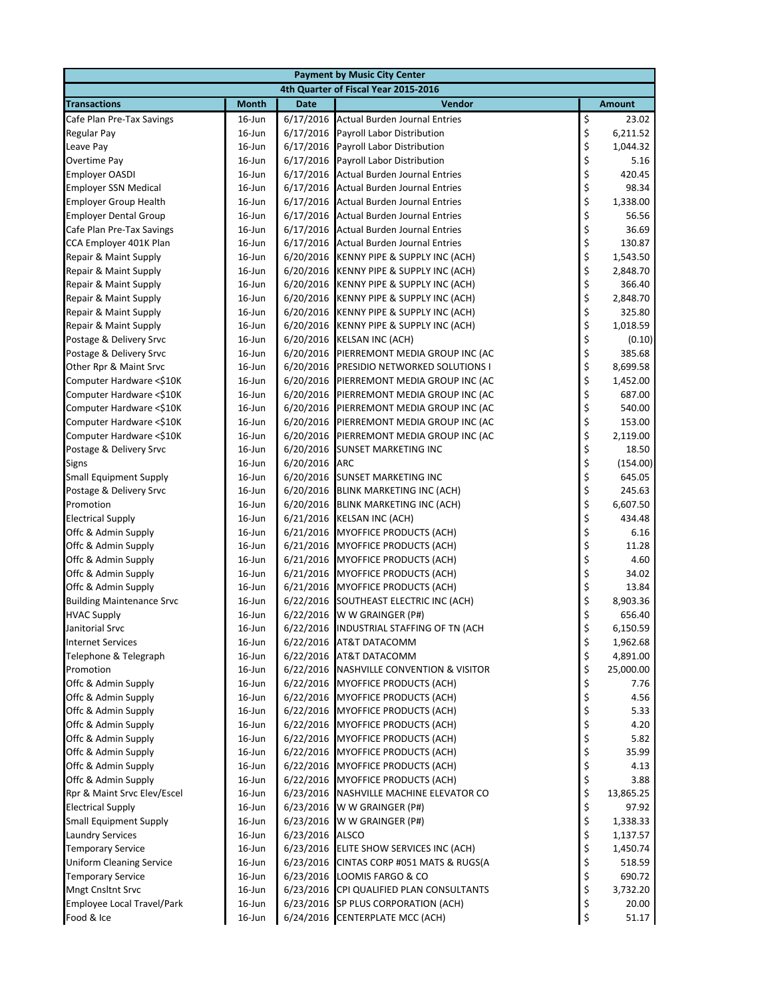|                                            | <b>Payment by Music City Center</b>  |             |                                                                        |          |               |  |  |
|--------------------------------------------|--------------------------------------|-------------|------------------------------------------------------------------------|----------|---------------|--|--|
|                                            | 4th Quarter of Fiscal Year 2015-2016 |             |                                                                        |          |               |  |  |
| <b>Transactions</b>                        | <b>Month</b>                         | <b>Date</b> | Vendor                                                                 |          | <b>Amount</b> |  |  |
| Cafe Plan Pre-Tax Savings                  | $16$ -Jun                            | 6/17/2016   | <b>Actual Burden Journal Entries</b>                                   | \$       | 23.02         |  |  |
| Regular Pay                                | 16-Jun                               | 6/17/2016   | Payroll Labor Distribution                                             | \$       | 6,211.52      |  |  |
| Leave Pay                                  | $16$ -Jun                            | 6/17/2016   | Payroll Labor Distribution                                             | \$       | 1,044.32      |  |  |
| Overtime Pay                               | $16$ -Jun                            | 6/17/2016   | Payroll Labor Distribution                                             | \$       | 5.16          |  |  |
| <b>Employer OASDI</b>                      | $16$ -Jun                            | 6/17/2016   | <b>Actual Burden Journal Entries</b>                                   | \$       | 420.45        |  |  |
| <b>Employer SSN Medical</b>                | $16$ -Jun                            | 6/17/2016   | <b>Actual Burden Journal Entries</b>                                   | \$       | 98.34         |  |  |
| <b>Employer Group Health</b>               | $16$ -Jun                            | 6/17/2016   | <b>Actual Burden Journal Entries</b>                                   | \$       | 1,338.00      |  |  |
| <b>Employer Dental Group</b>               | $16$ -Jun                            | 6/17/2016   | <b>Actual Burden Journal Entries</b>                                   | \$       | 56.56         |  |  |
| Cafe Plan Pre-Tax Savings                  | $16$ -Jun                            | 6/17/2016   | <b>Actual Burden Journal Entries</b>                                   | \$       | 36.69         |  |  |
| CCA Employer 401K Plan                     | 16-Jun                               |             | 6/17/2016 Actual Burden Journal Entries                                | \$       | 130.87        |  |  |
| Repair & Maint Supply                      | $16$ -Jun                            |             | 6/20/2016 KENNY PIPE & SUPPLY INC (ACH)                                | \$       | 1,543.50      |  |  |
| Repair & Maint Supply                      | $16$ -Jun                            |             | 6/20/2016 KENNY PIPE & SUPPLY INC (ACH)                                | \$       | 2,848.70      |  |  |
| Repair & Maint Supply                      | $16$ -Jun                            |             | 6/20/2016 KENNY PIPE & SUPPLY INC (ACH)                                | \$       | 366.40        |  |  |
| Repair & Maint Supply                      | $16$ -Jun                            | 6/20/2016   | KENNY PIPE & SUPPLY INC (ACH)                                          | \$       | 2,848.70      |  |  |
| Repair & Maint Supply                      | $16$ -Jun                            | 6/20/2016   | KENNY PIPE & SUPPLY INC (ACH)                                          | \$       | 325.80        |  |  |
| Repair & Maint Supply                      | 16-Jun                               |             | 6/20/2016 KENNY PIPE & SUPPLY INC (ACH)                                | \$       | 1,018.59      |  |  |
| Postage & Delivery Srvc                    | $16$ -Jun                            | 6/20/2016   | <b>KELSAN INC (ACH)</b>                                                | \$       | (0.10)        |  |  |
| Postage & Delivery Srvc                    | $16$ -Jun                            | 6/20/2016   | PIERREMONT MEDIA GROUP INC (AC                                         | \$       | 385.68        |  |  |
| Other Rpr & Maint Srvc                     | $16$ -Jun                            | 6/20/2016   | PRESIDIO NETWORKED SOLUTIONS I                                         | \$       | 8,699.58      |  |  |
| Computer Hardware <\$10K                   | $16$ -Jun                            | 6/20/2016   | PIERREMONT MEDIA GROUP INC (AC                                         | \$       | 1,452.00      |  |  |
| Computer Hardware <\$10K                   | 16-Jun                               | 6/20/2016   | PIERREMONT MEDIA GROUP INC (AC                                         | \$       | 687.00        |  |  |
| Computer Hardware <\$10K                   | $16$ -Jun                            | 6/20/2016   | PIERREMONT MEDIA GROUP INC (AC                                         | \$       | 540.00        |  |  |
| Computer Hardware <\$10K                   | $16$ -Jun                            | 6/20/2016   | PIERREMONT MEDIA GROUP INC (AC                                         | \$       | 153.00        |  |  |
| Computer Hardware <\$10K                   | $16$ -Jun                            | 6/20/2016   | PIERREMONT MEDIA GROUP INC (AC                                         | \$       | 2,119.00      |  |  |
| Postage & Delivery Srvc                    | 16-Jun                               | 6/20/2016   | SUNSET MARKETING INC                                                   | \$       | 18.50         |  |  |
| Signs                                      | $16$ -Jun                            | 6/20/2016   | ARC                                                                    | \$       | (154.00)      |  |  |
| <b>Small Equipment Supply</b>              | 16-Jun                               |             | 6/20/2016 SUNSET MARKETING INC                                         | \$       | 645.05        |  |  |
| Postage & Delivery Srvc                    | $16$ -Jun                            |             | 6/20/2016 BLINK MARKETING INC (ACH)                                    | \$       | 245.63        |  |  |
| Promotion                                  | $16$ -Jun                            |             | 6/20/2016 BLINK MARKETING INC (ACH)                                    | \$       | 6,607.50      |  |  |
| <b>Electrical Supply</b>                   | $16$ -Jun                            | 6/21/2016   | KELSAN INC (ACH)                                                       | \$       | 434.48        |  |  |
| Offc & Admin Supply                        | $16$ -Jun                            | 6/21/2016   | MYOFFICE PRODUCTS (ACH)                                                | \$       | 6.16          |  |  |
| Offc & Admin Supply                        | 16-Jun                               | 6/21/2016   | MYOFFICE PRODUCTS (ACH)                                                | \$       | 11.28         |  |  |
| Offc & Admin Supply                        | 16-Jun                               |             | 6/21/2016 MYOFFICE PRODUCTS (ACH)                                      | \$       | 4.60          |  |  |
| Offc & Admin Supply                        | $16$ -Jun                            |             | 6/21/2016 MYOFFICE PRODUCTS (ACH)                                      | \$       | 34.02         |  |  |
| Offc & Admin Supply                        | 16-Jun                               | 6/21/2016   | MYOFFICE PRODUCTS (ACH)                                                | \$       | 13.84         |  |  |
| <b>Building Maintenance Srvc</b>           | $16$ -Jun                            | 6/22/2016   | SOUTHEAST ELECTRIC INC (ACH)                                           | \$       | 8,903.36      |  |  |
| <b>HVAC Supply</b>                         | $16$ -Jun                            | 6/22/2016   | W W GRAINGER (P#)                                                      | \$       | 656.40        |  |  |
| Janitorial Srvc                            | $16$ -Jun                            |             | 6/22/2016 INDUSTRIAL STAFFING OF TN (ACH                               | \$       | 6,150.59      |  |  |
| <b>Internet Services</b>                   | 16-Jun                               |             | 6/22/2016 AT&T DATACOMM                                                | \$       | 1,962.68      |  |  |
| Telephone & Telegraph                      | $16$ -Jun                            |             | 6/22/2016 AT&T DATACOMM                                                | \$       | 4,891.00      |  |  |
| Promotion                                  | 16-Jun                               |             | 6/22/2016 NASHVILLE CONVENTION & VISITOR                               | \$       | 25,000.00     |  |  |
| Offc & Admin Supply                        | $16$ -Jun                            |             | 6/22/2016 MYOFFICE PRODUCTS (ACH)                                      | \$       | 7.76          |  |  |
| Offc & Admin Supply<br>Offc & Admin Supply | $16$ -Jun                            |             | 6/22/2016 MYOFFICE PRODUCTS (ACH)                                      | \$       | 4.56<br>5.33  |  |  |
| Offc & Admin Supply                        | $16$ -Jun                            |             | 6/22/2016 MYOFFICE PRODUCTS (ACH)<br>6/22/2016 MYOFFICE PRODUCTS (ACH) | \$       |               |  |  |
| Offc & Admin Supply                        | $16$ -Jun<br>16-Jun                  |             | 6/22/2016 MYOFFICE PRODUCTS (ACH)                                      | \$<br>\$ | 4.20<br>5.82  |  |  |
| Offc & Admin Supply                        | 16-Jun                               |             | 6/22/2016 MYOFFICE PRODUCTS (ACH)                                      | \$       | 35.99         |  |  |
| Offc & Admin Supply                        | $16$ -Jun                            |             | 6/22/2016 MYOFFICE PRODUCTS (ACH)                                      | \$       | 4.13          |  |  |
| Offc & Admin Supply                        | $16$ -Jun                            |             | 6/22/2016 MYOFFICE PRODUCTS (ACH)                                      | \$       | 3.88          |  |  |
| Rpr & Maint Srvc Elev/Escel                | 16-Jun                               |             | 6/23/2016 NASHVILLE MACHINE ELEVATOR CO                                | \$       | 13,865.25     |  |  |
| <b>Electrical Supply</b>                   | $16$ -Jun                            |             | 6/23/2016 W W GRAINGER (P#)                                            | \$       | 97.92         |  |  |
| <b>Small Equipment Supply</b>              | $16$ -Jun                            | 6/23/2016   | W W GRAINGER (P#)                                                      | \$       | 1,338.33      |  |  |
| <b>Laundry Services</b>                    | $16$ -Jun                            | 6/23/2016   | <b>ALSCO</b>                                                           | \$       | 1,137.57      |  |  |
| <b>Temporary Service</b>                   | $16$ -Jun                            |             | 6/23/2016 ELITE SHOW SERVICES INC (ACH)                                | \$       | 1,450.74      |  |  |
| <b>Uniform Cleaning Service</b>            | 16-Jun                               |             | 6/23/2016 CINTAS CORP #051 MATS & RUGS(A                               | \$       | 518.59        |  |  |
| <b>Temporary Service</b>                   | $16$ -Jun                            |             | 6/23/2016 LOOMIS FARGO & CO                                            | \$       | 690.72        |  |  |
| <b>Mngt Cnsltnt Srvc</b>                   | $16$ -Jun                            |             | 6/23/2016 CPI QUALIFIED PLAN CONSULTANTS                               | \$       | 3,732.20      |  |  |
| Employee Local Travel/Park                 | $16$ -Jun                            |             | 6/23/2016 SP PLUS CORPORATION (ACH)                                    | \$       | 20.00         |  |  |
| Food & Ice                                 | 16-Jun                               |             | 6/24/2016 CENTERPLATE MCC (ACH)                                        | \$       | 51.17         |  |  |
|                                            |                                      |             |                                                                        |          |               |  |  |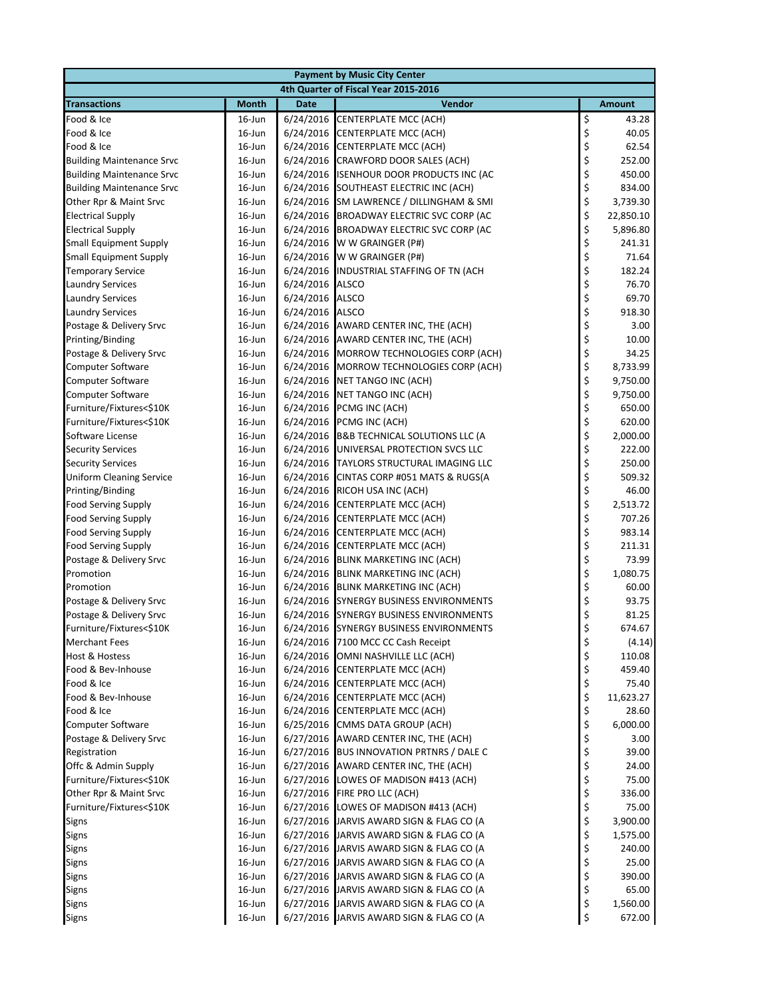| <b>Payment by Music City Center</b>  |              |             |                                           |    |               |  |
|--------------------------------------|--------------|-------------|-------------------------------------------|----|---------------|--|
| 4th Quarter of Fiscal Year 2015-2016 |              |             |                                           |    |               |  |
| <b>Transactions</b>                  | <b>Month</b> | <b>Date</b> | Vendor                                    |    | <b>Amount</b> |  |
| Food & Ice                           | $16$ -Jun    | 6/24/2016   | <b>CENTERPLATE MCC (ACH)</b>              | \$ | 43.28         |  |
| Food & Ice                           | $16$ -Jun    | 6/24/2016   | CENTERPLATE MCC (ACH)                     | \$ | 40.05         |  |
| Food & Ice                           | $16$ -Jun    | 6/24/2016   | CENTERPLATE MCC (ACH)                     | \$ | 62.54         |  |
| <b>Building Maintenance Srvc</b>     | $16$ -Jun    | 6/24/2016   | <b>CRAWFORD DOOR SALES (ACH)</b>          | \$ | 252.00        |  |
| <b>Building Maintenance Srvc</b>     | $16$ -Jun    | 6/24/2016   | ISENHOUR DOOR PRODUCTS INC (AC            | \$ | 450.00        |  |
| <b>Building Maintenance Srvc</b>     | $16$ -Jun    | 6/24/2016   | SOUTHEAST ELECTRIC INC (ACH)              | \$ | 834.00        |  |
| Other Rpr & Maint Srvc               | $16$ -Jun    | 6/24/2016   | SM LAWRENCE / DILLINGHAM & SMI            | \$ | 3,739.30      |  |
| <b>Electrical Supply</b>             | $16$ -Jun    | 6/24/2016   | <b>BROADWAY ELECTRIC SVC CORP (AC</b>     | \$ | 22,850.10     |  |
| <b>Electrical Supply</b>             | $16$ -Jun    | 6/24/2016   | BROADWAY ELECTRIC SVC CORP (AC            | \$ | 5,896.80      |  |
| <b>Small Equipment Supply</b>        | $16$ -Jun    | 6/24/2016   | W W GRAINGER (P#)                         | \$ | 241.31        |  |
| <b>Small Equipment Supply</b>        | $16$ -Jun    | 6/24/2016   | W W GRAINGER (P#)                         | \$ | 71.64         |  |
| <b>Temporary Service</b>             | $16$ -Jun    | 6/24/2016   | INDUSTRIAL STAFFING OF TN (ACH            | \$ | 182.24        |  |
| <b>Laundry Services</b>              | $16$ -Jun    | 6/24/2016   | <b>ALSCO</b>                              | \$ | 76.70         |  |
| <b>Laundry Services</b>              | 16-Jun       | 6/24/2016   | <b>ALSCO</b>                              | \$ | 69.70         |  |
| <b>Laundry Services</b>              | $16$ -Jun    | 6/24/2016   | <b>ALSCO</b>                              | \$ | 918.30        |  |
| Postage & Delivery Srvc              | $16$ -Jun    | 6/24/2016   | AWARD CENTER INC, THE (ACH)               | \$ | 3.00          |  |
| Printing/Binding                     | $16$ -Jun    | 6/24/2016   | AWARD CENTER INC, THE (ACH)               | \$ | 10.00         |  |
| Postage & Delivery Srvc              | $16$ -Jun    | 6/24/2016   | MORROW TECHNOLOGIES CORP (ACH)            | \$ | 34.25         |  |
| <b>Computer Software</b>             | $16$ -Jun    | 6/24/2016   | <b>MORROW TECHNOLOGIES CORP (ACH)</b>     | \$ | 8,733.99      |  |
| <b>Computer Software</b>             | 16-Jun       | 6/24/2016   | <b>NET TANGO INC (ACH)</b>                | \$ | 9,750.00      |  |
| <b>Computer Software</b>             | $16$ -Jun    | 6/24/2016   | <b>NET TANGO INC (ACH)</b>                | \$ | 9,750.00      |  |
| Furniture/Fixtures<\$10K             | $16$ -Jun    | 6/24/2016   | PCMG INC (ACH)                            | \$ | 650.00        |  |
| Furniture/Fixtures<\$10K             | $16$ -Jun    | 6/24/2016   | PCMG INC (ACH)                            | \$ | 620.00        |  |
| Software License                     | $16$ -Jun    | 6/24/2016   | <b>B&amp;B TECHNICAL SOLUTIONS LLC (A</b> | \$ | 2,000.00      |  |
| <b>Security Services</b>             | $16$ -Jun    | 6/24/2016   | UNIVERSAL PROTECTION SVCS LLC             | \$ | 222.00        |  |
| <b>Security Services</b>             | $16$ -Jun    | 6/24/2016   | TAYLORS STRUCTURAL IMAGING LLC            | \$ | 250.00        |  |
| <b>Uniform Cleaning Service</b>      | $16$ -Jun    | 6/24/2016   | CINTAS CORP #051 MATS & RUGS(A            | \$ | 509.32        |  |
| Printing/Binding                     | $16$ -Jun    | 6/24/2016   | RICOH USA INC (ACH)                       | \$ | 46.00         |  |
| <b>Food Serving Supply</b>           | $16$ -Jun    | 6/24/2016   | CENTERPLATE MCC (ACH)                     | \$ | 2,513.72      |  |
| <b>Food Serving Supply</b>           | $16$ -Jun    | 6/24/2016   | <b>CENTERPLATE MCC (ACH)</b>              | \$ | 707.26        |  |
| <b>Food Serving Supply</b>           | 16-Jun       | 6/24/2016   | CENTERPLATE MCC (ACH)                     | \$ | 983.14        |  |
| <b>Food Serving Supply</b>           | $16$ -Jun    | 6/24/2016   | <b>CENTERPLATE MCC (ACH)</b>              | \$ | 211.31        |  |
| Postage & Delivery Srvc              | 16-Jun       | 6/24/2016   | <b>BLINK MARKETING INC (ACH)</b>          | \$ | 73.99         |  |
| Promotion                            | $16$ -Jun    | 6/24/2016   | <b>BLINK MARKETING INC (ACH)</b>          | \$ | 1,080.75      |  |
| Promotion                            | 16-Jun       | 6/24/2016   | <b>BLINK MARKETING INC (ACH)</b>          | \$ | 60.00         |  |
| Postage & Delivery Srvc              | $16$ -Jun    | 6/24/2016   | <b>SYNERGY BUSINESS ENVIRONMENTS</b>      | \$ | 93.75         |  |
| Postage & Delivery Srvc              | $16$ -Jun    | 6/24/2016   | <b>SYNERGY BUSINESS ENVIRONMENTS</b>      | \$ | 81.25         |  |
| Furniture/Fixtures<\$10K             | $16$ -Jun    |             | 6/24/2016 SYNERGY BUSINESS ENVIRONMENTS   | \$ | 674.67        |  |
| <b>Merchant Fees</b>                 | 16-Jun       |             | 6/24/2016 7100 MCC CC Cash Receipt        | \$ | (4.14)        |  |
| <b>Host &amp; Hostess</b>            | 16-Jun       | 6/24/2016   | OMNI NASHVILLE LLC (ACH)                  | \$ | 110.08        |  |
| Food & Bev-Inhouse                   | 16-Jun       | 6/24/2016   | <b>CENTERPLATE MCC (ACH)</b>              | \$ | 459.40        |  |
| Food & Ice                           | $16$ -Jun    | 6/24/2016   | <b>CENTERPLATE MCC (ACH)</b>              | \$ | 75.40         |  |
| Food & Bev-Inhouse                   | $16$ -Jun    | 6/24/2016   | <b>CENTERPLATE MCC (ACH)</b>              | \$ | 11,623.27     |  |
| Food & Ice                           | $16$ -Jun    | 6/24/2016   | <b>CENTERPLATE MCC (ACH)</b>              | \$ | 28.60         |  |
| <b>Computer Software</b>             | $16$ -Jun    | 6/25/2016   | CMMS DATA GROUP (ACH)                     | \$ | 6,000.00      |  |
| Postage & Delivery Srvc              | 16-Jun       | 6/27/2016   | AWARD CENTER INC, THE (ACH)               | \$ | 3.00          |  |
| Registration                         | $16$ -Jun    | 6/27/2016   | <b>BUS INNOVATION PRTNRS / DALE C</b>     | \$ | 39.00         |  |
| Offc & Admin Supply                  | $16$ -Jun    | 6/27/2016   | AWARD CENTER INC, THE (ACH)               | \$ | 24.00         |  |
| Furniture/Fixtures<\$10K             | $16$ -Jun    | 6/27/2016   | LOWES OF MADISON #413 (ACH)               | \$ | 75.00         |  |
| Other Rpr & Maint Srvc               | $16$ -Jun    | 6/27/2016   | FIRE PRO LLC (ACH)                        | \$ | 336.00        |  |
| Furniture/Fixtures<\$10K             | 16-Jun       | 6/27/2016   | LOWES OF MADISON #413 (ACH)               | \$ | 75.00         |  |
| Signs                                | 16-Jun       | 6/27/2016   | JARVIS AWARD SIGN & FLAG CO (A            | \$ | 3,900.00      |  |
| Signs                                | $16$ -Jun    | 6/27/2016   | JARVIS AWARD SIGN & FLAG CO (A            | \$ | 1,575.00      |  |
| Signs                                | $16$ -Jun    | 6/27/2016   | JARVIS AWARD SIGN & FLAG CO (A            | \$ | 240.00        |  |
| Signs                                | 16-Jun       | 6/27/2016   | JARVIS AWARD SIGN & FLAG CO (A            | \$ | 25.00         |  |
| Signs                                | $16$ -Jun    | 6/27/2016   | JARVIS AWARD SIGN & FLAG CO (A            | \$ | 390.00        |  |
| <b>Signs</b>                         | $16$ -Jun    | 6/27/2016   | JARVIS AWARD SIGN & FLAG CO (A            | \$ | 65.00         |  |
| Signs                                | 16-Jun       |             | 6/27/2016 JARVIS AWARD SIGN & FLAG CO (A  | \$ | 1,560.00      |  |
| Signs                                | 16-Jun       |             | 6/27/2016 JARVIS AWARD SIGN & FLAG CO (A  | \$ | 672.00        |  |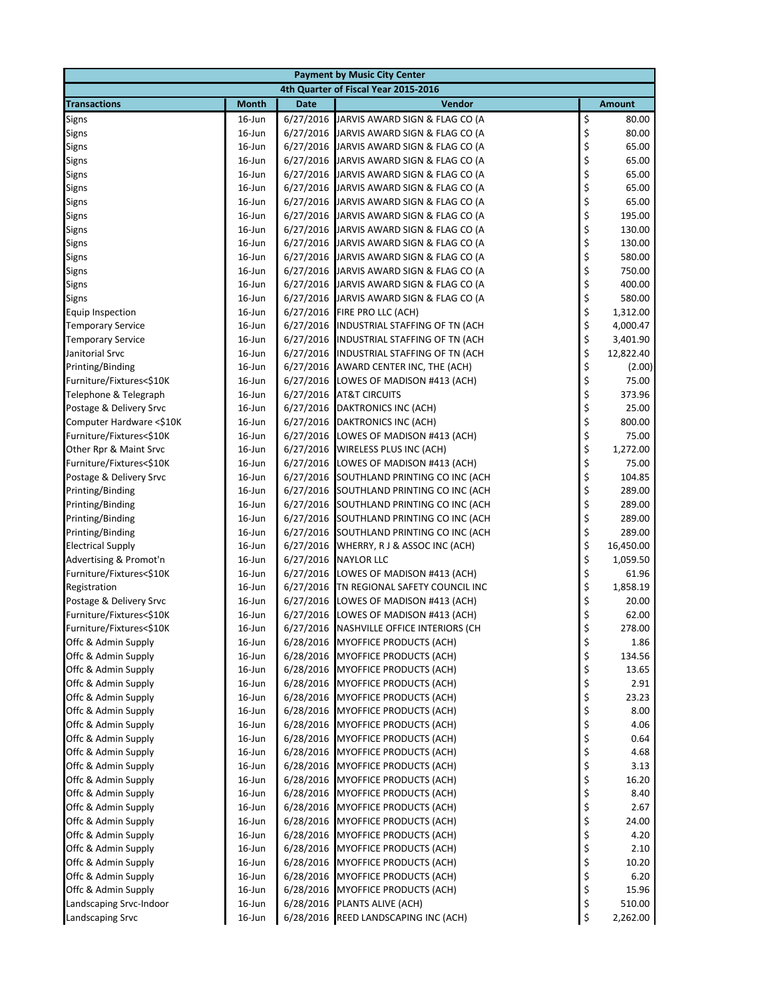| <b>Payment by Music City Center</b>         |                     |                        |                                                                                      |          |                      |  |
|---------------------------------------------|---------------------|------------------------|--------------------------------------------------------------------------------------|----------|----------------------|--|
|                                             |                     |                        | 4th Quarter of Fiscal Year 2015-2016                                                 |          |                      |  |
| <b>Transactions</b>                         | <b>Month</b>        | <b>Date</b>            | Vendor                                                                               |          | <b>Amount</b>        |  |
| Signs                                       | 16-Jun              | 6/27/2016              | JARVIS AWARD SIGN & FLAG CO (A                                                       | \$       | 80.00                |  |
| <b>Signs</b>                                | 16-Jun              |                        | 6/27/2016 JARVIS AWARD SIGN & FLAG CO (A                                             | \$       | 80.00                |  |
| Signs                                       | 16-Jun              |                        | 6/27/2016 JARVIS AWARD SIGN & FLAG CO (A                                             | \$       | 65.00                |  |
| Signs                                       | 16-Jun              |                        | 6/27/2016 JARVIS AWARD SIGN & FLAG CO (A                                             | \$       | 65.00                |  |
| Signs                                       | 16-Jun              |                        | 6/27/2016 JARVIS AWARD SIGN & FLAG CO (A                                             | \$       | 65.00                |  |
| Signs                                       | $16$ -Jun           |                        | 6/27/2016 JARVIS AWARD SIGN & FLAG CO (A                                             | \$       | 65.00                |  |
| Signs                                       | 16-Jun              |                        | 6/27/2016 JARVIS AWARD SIGN & FLAG CO (A                                             | \$       | 65.00                |  |
| Signs                                       | 16-Jun              |                        | 6/27/2016 JARVIS AWARD SIGN & FLAG CO (A                                             | \$       | 195.00               |  |
| Signs                                       | 16-Jun              |                        | 6/27/2016 JARVIS AWARD SIGN & FLAG CO (A                                             | \$       | 130.00               |  |
| Signs                                       | 16-Jun              |                        | 6/27/2016 JARVIS AWARD SIGN & FLAG CO (A                                             | \$       | 130.00               |  |
| <b>Signs</b>                                | 16-Jun              |                        | 6/27/2016 JARVIS AWARD SIGN & FLAG CO (A                                             | \$       | 580.00               |  |
| Signs                                       | 16-Jun              |                        | 6/27/2016 JARVIS AWARD SIGN & FLAG CO (A                                             | \$       | 750.00               |  |
| Signs                                       | 16-Jun              |                        | 6/27/2016 JARVIS AWARD SIGN & FLAG CO (A                                             | \$       | 400.00               |  |
| Signs                                       | $16$ -Jun           |                        | 6/27/2016 JARVIS AWARD SIGN & FLAG CO (A                                             | \$       | 580.00               |  |
| Equip Inspection                            | 16-Jun              |                        | 6/27/2016 FIRE PRO LLC (ACH)                                                         | \$       | 1,312.00             |  |
| <b>Temporary Service</b>                    | $16$ -Jun           |                        | 6/27/2016 INDUSTRIAL STAFFING OF TN (ACH<br>6/27/2016 INDUSTRIAL STAFFING OF TN (ACH | \$<br>\$ | 4,000.47<br>3,401.90 |  |
| <b>Temporary Service</b><br>Janitorial Srvc | $16$ -Jun<br>16-Jun |                        | 6/27/2016 INDUSTRIAL STAFFING OF TN (ACH                                             | \$       | 12,822.40            |  |
| Printing/Binding                            | 16-Jun              |                        | 6/27/2016 AWARD CENTER INC, THE (ACH)                                                | \$       | (2.00)               |  |
| Furniture/Fixtures<\$10K                    | 16-Jun              | 6/27/2016              | LOWES OF MADISON #413 (ACH)                                                          | \$       | 75.00                |  |
| Telephone & Telegraph                       | 16-Jun              | 6/27/2016              | <b>AT&amp;T CIRCUITS</b>                                                             | \$       | 373.96               |  |
| Postage & Delivery Srvc                     | 16-Jun              | 6/27/2016              | DAKTRONICS INC (ACH)                                                                 | \$       | 25.00                |  |
| Computer Hardware <\$10K                    | 16-Jun              |                        | 6/27/2016 DAKTRONICS INC (ACH)                                                       | \$       | 800.00               |  |
| Furniture/Fixtures<\$10K                    | 16-Jun              |                        | 6/27/2016 LOWES OF MADISON #413 (ACH)                                                | \$       | 75.00                |  |
| Other Rpr & Maint Srvc                      | 16-Jun              | 6/27/2016              | WIRELESS PLUS INC (ACH)                                                              | \$       | 1,272.00             |  |
| Furniture/Fixtures<\$10K                    | $16$ -Jun           | 6/27/2016              | LOWES OF MADISON #413 (ACH)                                                          | \$       | 75.00                |  |
| Postage & Delivery Srvc                     | $16$ -Jun           |                        | 6/27/2016 SOUTHLAND PRINTING CO INC (ACH                                             | \$       | 104.85               |  |
| Printing/Binding                            | 16-Jun              |                        | 6/27/2016 SOUTHLAND PRINTING CO INC (ACH                                             | \$       | 289.00               |  |
| Printing/Binding                            | 16-Jun              |                        | 6/27/2016 SOUTHLAND PRINTING CO INC (ACH                                             | \$       | 289.00               |  |
| Printing/Binding                            | 16-Jun              |                        | 6/27/2016 SOUTHLAND PRINTING CO INC (ACH                                             | \$       | 289.00               |  |
| Printing/Binding                            | 16-Jun              |                        | 6/27/2016 SOUTHLAND PRINTING CO INC (ACH                                             | \$       | 289.00               |  |
| <b>Electrical Supply</b>                    | 16-Jun              | 6/27/2016              | WHERRY, R J & ASSOC INC (ACH)                                                        | \$       | 16,450.00            |  |
| Advertising & Promot'n                      | 16-Jun              | 6/27/2016              | <b>NAYLOR LLC</b>                                                                    | \$       | 1,059.50             |  |
| Furniture/Fixtures<\$10K                    | 16-Jun              |                        | 6/27/2016 LOWES OF MADISON #413 (ACH)                                                | \$       | 61.96                |  |
| Registration                                | 16-Jun              |                        | 6/27/2016 TN REGIONAL SAFETY COUNCIL INC                                             | \$       | 1,858.19             |  |
| Postage & Delivery Srvc                     | 16-Jun              |                        | 6/27/2016 LOWES OF MADISON #413 (ACH)                                                | \$       | 20.00                |  |
| Furniture/Fixtures<\$10K                    | $16$ -Jun           |                        | 6/27/2016 LOWES OF MADISON #413 (ACH)                                                | \$       | 62.00                |  |
| Furniture/Fixtures<\$10K                    | $16$ -Jun           |                        | 6/27/2016 NASHVILLE OFFICE INTERIORS (CH                                             | \$       | 278.00               |  |
| Offc & Admin Supply                         | 16-Jun              |                        | 6/28/2016 MYOFFICE PRODUCTS (ACH)                                                    | \$       | 1.86                 |  |
| Offc & Admin Supply                         | 16-Jun              | 6/28/2016              | <b>MYOFFICE PRODUCTS (ACH)</b>                                                       | \$       | 134.56               |  |
| Offc & Admin Supply                         | $16$ -Jun           | 6/28/2016              | MYOFFICE PRODUCTS (ACH)                                                              | \$       | 13.65                |  |
| Offc & Admin Supply                         | $16$ -Jun           | 6/28/2016              | <b>MYOFFICE PRODUCTS (ACH)</b>                                                       | \$       | 2.91                 |  |
| Offc & Admin Supply                         | $16$ -Jun           | 6/28/2016              | <b>MYOFFICE PRODUCTS (ACH)</b>                                                       | \$       | 23.23                |  |
| Offc & Admin Supply                         | 16-Jun              | 6/28/2016              | <b>MYOFFICE PRODUCTS (ACH)</b>                                                       | \$       | 8.00                 |  |
| Offc & Admin Supply                         | 16-Jun              | 6/28/2016              | <b>MYOFFICE PRODUCTS (ACH)</b>                                                       | \$       | 4.06                 |  |
| Offc & Admin Supply                         | $16$ -Jun           | 6/28/2016              | <b>MYOFFICE PRODUCTS (ACH)</b>                                                       | \$       | 0.64                 |  |
| Offc & Admin Supply                         | 16-Jun              | 6/28/2016              | <b>MYOFFICE PRODUCTS (ACH)</b>                                                       | \$       | 4.68                 |  |
| Offc & Admin Supply                         | $16$ -Jun           | 6/28/2016              | MYOFFICE PRODUCTS (ACH)                                                              | \$       | 3.13                 |  |
| Offc & Admin Supply<br>Offc & Admin Supply  | $16$ -Jun<br>16-Jun | 6/28/2016<br>6/28/2016 | <b>MYOFFICE PRODUCTS (ACH)</b><br><b>MYOFFICE PRODUCTS (ACH)</b>                     | \$<br>\$ | 16.20<br>8.40        |  |
| Offc & Admin Supply                         | 16-Jun              | 6/28/2016              | <b>MYOFFICE PRODUCTS (ACH)</b>                                                       | \$       | 2.67                 |  |
| Offc & Admin Supply                         | $16$ -Jun           | 6/28/2016              | <b>MYOFFICE PRODUCTS (ACH)</b>                                                       | \$       | 24.00                |  |
| Offc & Admin Supply                         | $16$ -Jun           | 6/28/2016              | <b>MYOFFICE PRODUCTS (ACH)</b>                                                       | \$       | 4.20                 |  |
| Offc & Admin Supply                         | $16$ -Jun           | 6/28/2016              | <b>MYOFFICE PRODUCTS (ACH)</b>                                                       | \$       | 2.10                 |  |
| Offc & Admin Supply                         | 16-Jun              | 6/28/2016              | <b>MYOFFICE PRODUCTS (ACH)</b>                                                       | \$       | 10.20                |  |
| Offc & Admin Supply                         | 16-Jun              | 6/28/2016              | <b>MYOFFICE PRODUCTS (ACH)</b>                                                       | \$       | 6.20                 |  |
| Offc & Admin Supply                         | $16$ -Jun           |                        | 6/28/2016 MYOFFICE PRODUCTS (ACH)                                                    | \$       | 15.96                |  |
| Landscaping Srvc-Indoor                     | 16-Jun              | 6/28/2016              | PLANTS ALIVE (ACH)                                                                   | \$       | 510.00               |  |
| Landscaping Srvc                            | 16-Jun              |                        | 6/28/2016 REED LANDSCAPING INC (ACH)                                                 | \$       | 2,262.00             |  |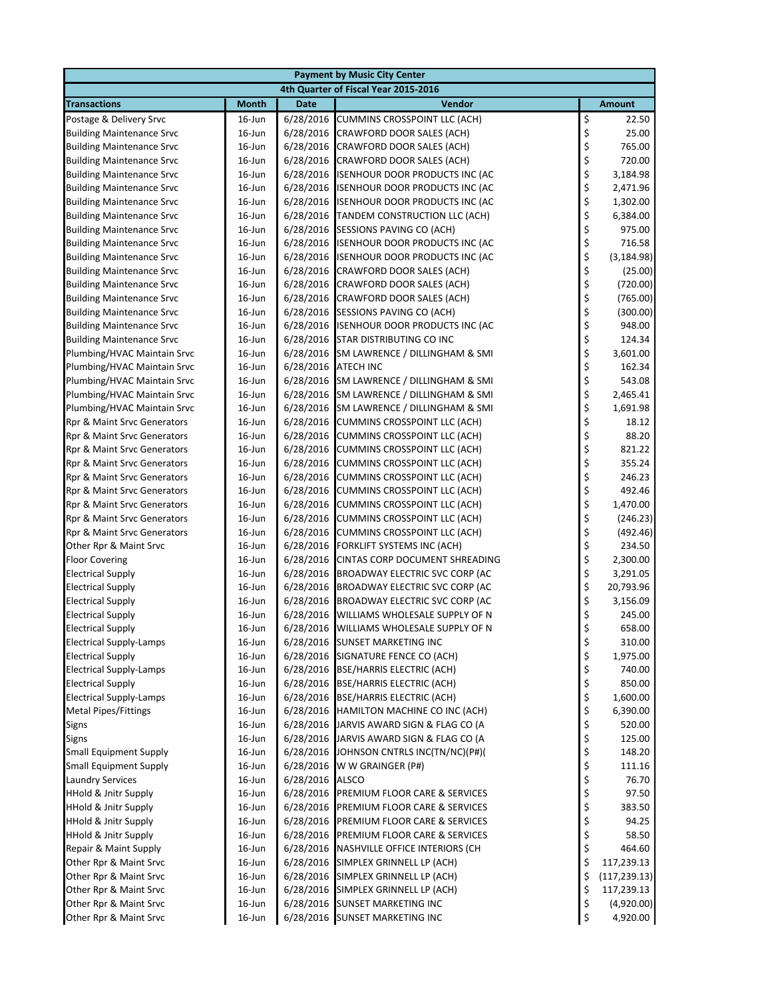|                                                               |                                      |             | <b>Payment by Music City Center</b>                                            |          |                      |  |  |
|---------------------------------------------------------------|--------------------------------------|-------------|--------------------------------------------------------------------------------|----------|----------------------|--|--|
|                                                               | 4th Quarter of Fiscal Year 2015-2016 |             |                                                                                |          |                      |  |  |
| <b>Transactions</b>                                           | <b>Month</b>                         | <b>Date</b> | <b>Vendor</b>                                                                  |          | <b>Amount</b>        |  |  |
| Postage & Delivery Srvc                                       | $16$ -Jun                            | 6/28/2016   | <b>CUMMINS CROSSPOINT LLC (ACH)</b>                                            | \$       | 22.50                |  |  |
| <b>Building Maintenance Srvc</b>                              | 16-Jun                               | 6/28/2016   | CRAWFORD DOOR SALES (ACH)                                                      | \$       | 25.00                |  |  |
| <b>Building Maintenance Srvc</b>                              | $16$ -Jun                            | 6/28/2016   | CRAWFORD DOOR SALES (ACH)                                                      | \$       | 765.00               |  |  |
| <b>Building Maintenance Srvc</b>                              | $16$ -Jun                            | 6/28/2016   | CRAWFORD DOOR SALES (ACH)                                                      | \$       | 720.00               |  |  |
| <b>Building Maintenance Srvc</b>                              | $16$ -Jun                            | 6/28/2016   | <b>ISENHOUR DOOR PRODUCTS INC (AC</b>                                          | \$       | 3,184.98             |  |  |
| <b>Building Maintenance Srvc</b>                              | $16$ -Jun                            | 6/28/2016   | <b>ISENHOUR DOOR PRODUCTS INC (AC</b>                                          | \$       | 2,471.96             |  |  |
| <b>Building Maintenance Srvc</b>                              | $16$ -Jun                            |             | 6/28/2016 ISENHOUR DOOR PRODUCTS INC (AC                                       | \$       | 1,302.00             |  |  |
| <b>Building Maintenance Srvc</b>                              | $16$ -Jun                            | 6/28/2016   | TANDEM CONSTRUCTION LLC (ACH)                                                  | \$       | 6,384.00             |  |  |
| <b>Building Maintenance Srvc</b>                              | $16$ -Jun                            | 6/28/2016   | SESSIONS PAVING CO (ACH)                                                       | \$       | 975.00               |  |  |
| <b>Building Maintenance Srvc</b>                              | $16$ -Jun                            | 6/28/2016   | <b>ISENHOUR DOOR PRODUCTS INC (AC</b>                                          | \$       | 716.58               |  |  |
| <b>Building Maintenance Srvc</b>                              | $16$ -Jun                            |             | 6/28/2016 ISENHOUR DOOR PRODUCTS INC (AC                                       | \$       | (3, 184.98)          |  |  |
| <b>Building Maintenance Srvc</b>                              | $16$ -Jun                            | 6/28/2016   | CRAWFORD DOOR SALES (ACH)                                                      | \$       | (25.00)              |  |  |
| <b>Building Maintenance Srvc</b>                              | 16-Jun                               | 6/28/2016   | CRAWFORD DOOR SALES (ACH)                                                      | \$       | (720.00)             |  |  |
| <b>Building Maintenance Srvc</b>                              | $16$ -Jun                            | 6/28/2016   | CRAWFORD DOOR SALES (ACH)                                                      | \$       | (765.00)             |  |  |
| <b>Building Maintenance Srvc</b>                              | $16$ -Jun                            | 6/28/2016   | SESSIONS PAVING CO (ACH)                                                       | \$       | (300.00)             |  |  |
| <b>Building Maintenance Srvc</b>                              | 16-Jun                               |             | 6/28/2016 ISENHOUR DOOR PRODUCTS INC (AC                                       | \$       | 948.00               |  |  |
| <b>Building Maintenance Srvc</b>                              | $16$ -Jun                            |             | 6/28/2016 STAR DISTRIBUTING CO INC                                             | \$       | 124.34               |  |  |
| Plumbing/HVAC Maintain Srvc                                   | $16$ -Jun                            | 6/28/2016   | SM LAWRENCE / DILLINGHAM & SMI                                                 | \$       | 3,601.00             |  |  |
| Plumbing/HVAC Maintain Srvc                                   | $16$ -Jun                            | 6/28/2016   | <b>ATECH INC</b>                                                               | \$       | 162.34               |  |  |
| Plumbing/HVAC Maintain Srvc                                   | $16$ -Jun                            | 6/28/2016   | SM LAWRENCE / DILLINGHAM & SMI                                                 | \$       | 543.08               |  |  |
| Plumbing/HVAC Maintain Srvc                                   | $16$ -Jun                            | 6/28/2016   | SM LAWRENCE / DILLINGHAM & SMI                                                 | \$       | 2,465.41             |  |  |
| Plumbing/HVAC Maintain Srvc                                   | 16-Jun                               |             | 6/28/2016 SM LAWRENCE / DILLINGHAM & SMI                                       | \$       | 1,691.98             |  |  |
| Rpr & Maint Srvc Generators                                   | $16$ -Jun                            | 6/28/2016   | <b>CUMMINS CROSSPOINT LLC (ACH)</b>                                            | \$       | 18.12                |  |  |
| Rpr & Maint Srvc Generators                                   | 16-Jun                               | 6/28/2016   | <b>CUMMINS CROSSPOINT LLC (ACH)</b>                                            | \$       | 88.20                |  |  |
| Rpr & Maint Srvc Generators                                   | $16$ -Jun                            | 6/28/2016   | <b>CUMMINS CROSSPOINT LLC (ACH)</b>                                            | \$       | 821.22               |  |  |
| Rpr & Maint Srvc Generators                                   | $16$ -Jun                            | 6/28/2016   | <b>CUMMINS CROSSPOINT LLC (ACH)</b>                                            | \$       | 355.24               |  |  |
| Rpr & Maint Srvc Generators                                   | $16$ -Jun                            | 6/28/2016   | <b>CUMMINS CROSSPOINT LLC (ACH)</b>                                            | \$       | 246.23               |  |  |
| Rpr & Maint Srvc Generators                                   | $16$ -Jun                            | 6/28/2016   | <b>CUMMINS CROSSPOINT LLC (ACH)</b>                                            | \$       | 492.46               |  |  |
| Rpr & Maint Srvc Generators                                   | $16$ -Jun                            | 6/28/2016   | <b>CUMMINS CROSSPOINT LLC (ACH)</b>                                            | \$       | 1,470.00             |  |  |
| Rpr & Maint Srvc Generators                                   | $16$ -Jun                            | 6/28/2016   | CUMMINS CROSSPOINT LLC (ACH)                                                   | \$       | (246.23)             |  |  |
| Rpr & Maint Srvc Generators                                   | $16$ -Jun                            | 6/28/2016   | <b>CUMMINS CROSSPOINT LLC (ACH)</b>                                            | \$       | (492.46)             |  |  |
| Other Rpr & Maint Srvc                                        | $16$ -Jun                            | 6/28/2016   | FORKLIFT SYSTEMS INC (ACH)                                                     | \$       | 234.50               |  |  |
| <b>Floor Covering</b>                                         | $16$ -Jun                            | 6/28/2016   | CINTAS CORP DOCUMENT SHREADING                                                 | \$       | 2,300.00             |  |  |
| <b>Electrical Supply</b>                                      | 16-Jun                               | 6/28/2016   | <b>BROADWAY ELECTRIC SVC CORP (AC</b>                                          | \$       | 3,291.05             |  |  |
| <b>Electrical Supply</b>                                      | 16-Jun                               |             | 6/28/2016 BROADWAY ELECTRIC SVC CORP (AC                                       | \$       | 20,793.96            |  |  |
| <b>Electrical Supply</b>                                      | $16$ -Jun                            | 6/28/2016   | <b>BROADWAY ELECTRIC SVC CORP (AC</b>                                          | \$       | 3,156.09             |  |  |
| <b>Electrical Supply</b>                                      | $16$ -Jun                            | 6/28/2016   | WILLIAMS WHOLESALE SUPPLY OF N                                                 | \$       | 245.00               |  |  |
| <b>Electrical Supply</b>                                      | 16-Jun                               |             | 6/28/2016 WILLIAMS WHOLESALE SUPPLY OF N                                       | \$       | 658.00               |  |  |
| <b>Electrical Supply-Lamps</b>                                | 16-Jun                               |             | 6/28/2016 SUNSET MARKETING INC                                                 | \$       | 310.00               |  |  |
| <b>Electrical Supply</b>                                      | $16$ -Jun                            |             | 6/28/2016 SIGNATURE FENCE CO (ACH)                                             | \$       | 1,975.00             |  |  |
| <b>Electrical Supply-Lamps</b><br><b>Electrical Supply</b>    | 16-Jun                               |             | 6/28/2016 BSE/HARRIS ELECTRIC (ACH)<br>6/28/2016 BSE/HARRIS ELECTRIC (ACH)     | \$       | 740.00<br>850.00     |  |  |
|                                                               | $16$ -Jun                            |             |                                                                                | \$       |                      |  |  |
| <b>Electrical Supply-Lamps</b><br><b>Metal Pipes/Fittings</b> | $16$ -Jun<br>$16$ -Jun               |             | 6/28/2016 BSE/HARRIS ELECTRIC (ACH)<br>6/28/2016 HAMILTON MACHINE CO INC (ACH) | \$<br>\$ | 1,600.00<br>6,390.00 |  |  |
|                                                               | 16-Jun                               |             | 6/28/2016 JARVIS AWARD SIGN & FLAG CO (A                                       | \$       | 520.00               |  |  |
| Signs<br><b>Signs</b>                                         | $16$ -Jun                            |             | 6/28/2016 JARVIS AWARD SIGN & FLAG CO (A                                       | \$       | 125.00               |  |  |
| <b>Small Equipment Supply</b>                                 | 16-Jun                               | 6/28/2016   | JOHNSON CNTRLS INC(TN/NC)(P#)(                                                 | \$       | 148.20               |  |  |
| <b>Small Equipment Supply</b>                                 | $16$ -Jun                            | 6/28/2016   | W W GRAINGER (P#)                                                              | \$       | 111.16               |  |  |
| <b>Laundry Services</b>                                       | 16-Jun                               | 6/28/2016   | <b>ALSCO</b>                                                                   | \$       | 76.70                |  |  |
| HHold & Jnitr Supply                                          | $16$ -Jun                            | 6/28/2016   | PREMIUM FLOOR CARE & SERVICES                                                  | \$       | 97.50                |  |  |
| <b>HHold &amp; Jnitr Supply</b>                               | $16$ -Jun                            |             | 6/28/2016 PREMIUM FLOOR CARE & SERVICES                                        | \$       | 383.50               |  |  |
| <b>HHold &amp; Jnitr Supply</b>                               | 16-Jun                               | 6/28/2016   | PREMIUM FLOOR CARE & SERVICES                                                  | \$       | 94.25                |  |  |
| <b>HHold &amp; Jnitr Supply</b>                               | $16$ -Jun                            |             | 6/28/2016 PREMIUM FLOOR CARE & SERVICES                                        | \$       | 58.50                |  |  |
| Repair & Maint Supply                                         | $16$ -Jun                            |             | 6/28/2016 NASHVILLE OFFICE INTERIORS (CH                                       | \$       | 464.60               |  |  |
| Other Rpr & Maint Srvc                                        | $16$ -Jun                            |             | 6/28/2016 SIMPLEX GRINNELL LP (ACH)                                            | \$       | 117,239.13           |  |  |
| Other Rpr & Maint Srvc                                        | $16$ -Jun                            |             | 6/28/2016 SIMPLEX GRINNELL LP (ACH)                                            | \$       | (117, 239.13)        |  |  |
| Other Rpr & Maint Srvc                                        | $16$ -Jun                            |             | 6/28/2016 SIMPLEX GRINNELL LP (ACH)                                            | \$       | 117,239.13           |  |  |
| Other Rpr & Maint Srvc                                        | $16$ -Jun                            |             | 6/28/2016 SUNSET MARKETING INC                                                 | \$       | (4,920.00)           |  |  |
| Other Rpr & Maint Srvc                                        | 16-Jun                               |             | 6/28/2016 SUNSET MARKETING INC                                                 | \$       | 4,920.00             |  |  |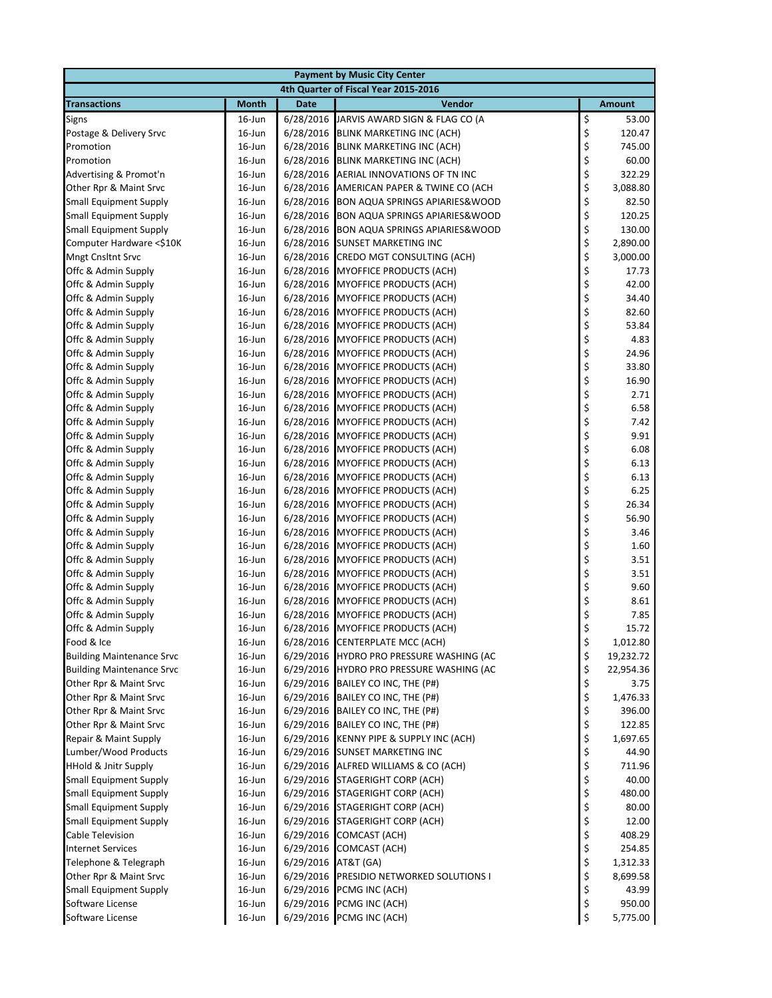|                                                 | <b>Payment by Music City Center</b> |                     |                                                                              |          |                    |  |  |
|-------------------------------------------------|-------------------------------------|---------------------|------------------------------------------------------------------------------|----------|--------------------|--|--|
|                                                 |                                     |                     | 4th Quarter of Fiscal Year 2015-2016                                         |          |                    |  |  |
| <b>Transactions</b>                             | <b>Month</b>                        | <b>Date</b>         | Vendor                                                                       |          | <b>Amount</b>      |  |  |
| Signs                                           | $16$ -Jun                           | 6/28/2016           | JARVIS AWARD SIGN & FLAG CO (A                                               | \$       | 53.00              |  |  |
| Postage & Delivery Srvc                         | $16$ -Jun                           | 6/28/2016           | <b>BLINK MARKETING INC (ACH)</b>                                             | \$       | 120.47             |  |  |
| Promotion                                       | $16$ -Jun                           | 6/28/2016           | BLINK MARKETING INC (ACH)                                                    | \$       | 745.00             |  |  |
| Promotion                                       | $16$ -Jun                           | 6/28/2016           | BLINK MARKETING INC (ACH)                                                    | \$       | 60.00              |  |  |
| Advertising & Promot'n                          | $16$ -Jun                           | 6/28/2016           | AERIAL INNOVATIONS OF TN INC                                                 | \$       | 322.29             |  |  |
| Other Rpr & Maint Srvc                          | $16$ -Jun                           | 6/28/2016           | AMERICAN PAPER & TWINE CO (ACH                                               | \$       | 3,088.80           |  |  |
| <b>Small Equipment Supply</b>                   | $16$ -Jun                           | 6/28/2016           | <b>BON AQUA SPRINGS APIARIES&amp;WOOD</b>                                    | \$       | 82.50              |  |  |
| <b>Small Equipment Supply</b>                   | $16$ -Jun                           | 6/28/2016           | <b>BON AQUA SPRINGS APIARIES&amp;WOOD</b>                                    | \$       | 120.25             |  |  |
| <b>Small Equipment Supply</b>                   | $16$ -Jun                           | 6/28/2016           | <b>BON AQUA SPRINGS APIARIES&amp;WOOD</b>                                    | \$       | 130.00             |  |  |
| Computer Hardware <\$10K                        | 16-Jun                              | 6/28/2016           | <b>SUNSET MARKETING INC</b>                                                  | \$       | 2,890.00           |  |  |
| <b>Mngt Cnsltnt Srvc</b>                        | $16$ -Jun                           | 6/28/2016           | CREDO MGT CONSULTING (ACH)                                                   | \$       | 3,000.00           |  |  |
| Offc & Admin Supply                             | $16$ -Jun                           | 6/28/2016           | <b>MYOFFICE PRODUCTS (ACH)</b>                                               | \$<br>\$ | 17.73              |  |  |
| Offc & Admin Supply                             | 16-Jun                              | 6/28/2016           | <b>MYOFFICE PRODUCTS (ACH)</b>                                               |          | 42.00              |  |  |
| Offc & Admin Supply                             | $16$ -Jun                           | 6/28/2016           | <b>MYOFFICE PRODUCTS (ACH)</b>                                               | \$       | 34.40              |  |  |
| Offc & Admin Supply                             | $16$ -Jun                           | 6/28/2016           | <b>MYOFFICE PRODUCTS (ACH)</b><br>6/28/2016 MYOFFICE PRODUCTS (ACH)          | \$<br>\$ | 82.60<br>53.84     |  |  |
| Offc & Admin Supply<br>Offc & Admin Supply      | $16$ -Jun<br>$16$ -Jun              |                     | 6/28/2016 MYOFFICE PRODUCTS (ACH)                                            | \$       | 4.83               |  |  |
| Offc & Admin Supply                             | $16$ -Jun                           | 6/28/2016           | <b>MYOFFICE PRODUCTS (ACH)</b>                                               | \$       | 24.96              |  |  |
| Offc & Admin Supply                             | $16$ -Jun                           | 6/28/2016           | <b>MYOFFICE PRODUCTS (ACH)</b>                                               | \$       | 33.80              |  |  |
| Offc & Admin Supply                             | $16$ -Jun                           | 6/28/2016           | MYOFFICE PRODUCTS (ACH)                                                      | \$       | 16.90              |  |  |
| Offc & Admin Supply                             | $16$ -Jun                           | 6/28/2016           | <b>MYOFFICE PRODUCTS (ACH)</b>                                               | \$       | 2.71               |  |  |
| Offc & Admin Supply                             | $16$ -Jun                           |                     | 6/28/2016 MYOFFICE PRODUCTS (ACH)                                            | \$       | 6.58               |  |  |
| Offc & Admin Supply                             | $16$ -Jun                           | 6/28/2016           | <b>MYOFFICE PRODUCTS (ACH)</b>                                               | \$       | 7.42               |  |  |
| Offc & Admin Supply                             | 16-Jun                              | 6/28/2016           | MYOFFICE PRODUCTS (ACH)                                                      | \$       | 9.91               |  |  |
| Offc & Admin Supply                             | $16$ -Jun                           | 6/28/2016           | <b>MYOFFICE PRODUCTS (ACH)</b>                                               | \$       | 6.08               |  |  |
| Offc & Admin Supply                             | $16$ -Jun                           | 6/28/2016           | <b>MYOFFICE PRODUCTS (ACH)</b>                                               | \$       | 6.13               |  |  |
| Offc & Admin Supply                             | $16$ -Jun                           |                     | 6/28/2016 MYOFFICE PRODUCTS (ACH)                                            | \$       | 6.13               |  |  |
| Offc & Admin Supply                             | $16$ -Jun                           | 6/28/2016           | <b>MYOFFICE PRODUCTS (ACH)</b>                                               | \$       | 6.25               |  |  |
| Offc & Admin Supply                             | $16$ -Jun                           | 6/28/2016           | <b>MYOFFICE PRODUCTS (ACH)</b>                                               | \$       | 26.34              |  |  |
| Offc & Admin Supply                             | $16$ -Jun                           | 6/28/2016           | <b>MYOFFICE PRODUCTS (ACH)</b>                                               | \$       | 56.90              |  |  |
| Offc & Admin Supply                             | $16$ -Jun                           | 6/28/2016           | MYOFFICE PRODUCTS (ACH)                                                      | \$       | 3.46               |  |  |
| Offc & Admin Supply                             | $16$ -Jun                           | 6/28/2016           | <b>MYOFFICE PRODUCTS (ACH)</b>                                               | \$       | 1.60               |  |  |
| Offc & Admin Supply                             | 16-Jun                              | 6/28/2016           | <b>MYOFFICE PRODUCTS (ACH)</b>                                               | \$       | 3.51               |  |  |
| Offc & Admin Supply                             | $16$ -Jun                           | 6/28/2016           | <b>MYOFFICE PRODUCTS (ACH)</b>                                               | \$       | 3.51               |  |  |
| Offc & Admin Supply                             | $16$ -Jun                           | 6/28/2016           | <b>MYOFFICE PRODUCTS (ACH)</b>                                               | \$       | 9.60               |  |  |
| Offc & Admin Supply                             | $16$ -Jun                           | 6/28/2016           | <b>MYOFFICE PRODUCTS (ACH)</b>                                               | \$       | 8.61               |  |  |
| Offc & Admin Supply                             | $16$ -Jun                           | 6/28/2016           | <b>MYOFFICE PRODUCTS (ACH)</b>                                               | \$       | 7.85               |  |  |
| Offc & Admin Supply                             | $16$ -Jun                           |                     | 6/28/2016 MYOFFICE PRODUCTS (ACH)                                            | \$       | 15.72              |  |  |
| Food & Ice                                      | 16-Jun                              |                     | 6/28/2016 CENTERPLATE MCC (ACH)                                              | \$       | 1,012.80           |  |  |
| <b>Building Maintenance Srvc</b>                | $16$ -Jun                           | 6/29/2016           | <b>HYDRO PRO PRESSURE WASHING (AC</b>                                        | \$       | 19,232.72          |  |  |
| <b>Building Maintenance Srvc</b>                | 16-Jun                              |                     | 6/29/2016 HYDRO PRO PRESSURE WASHING (AC                                     | \$       | 22,954.36          |  |  |
| Other Rpr & Maint Srvc                          | 16-Jun                              | 6/29/2016           | BAILEY CO INC, THE (P#)                                                      | \$       | 3.75               |  |  |
| Other Rpr & Maint Srvc                          | 16-Jun                              |                     | 6/29/2016 BAILEY CO INC, THE (P#)                                            | \$       | 1,476.33           |  |  |
| Other Rpr & Maint Srvc                          | 16-Jun                              |                     | 6/29/2016 BAILEY CO INC, THE (P#)                                            | \$       | 396.00             |  |  |
| Other Rpr & Maint Srvc<br>Repair & Maint Supply | 16-Jun<br>16-Jun                    |                     | 6/29/2016 BAILEY CO INC, THE (P#)<br>6/29/2016 KENNY PIPE & SUPPLY INC (ACH) | \$<br>\$ | 122.85<br>1,697.65 |  |  |
| Lumber/Wood Products                            | 16-Jun                              |                     | 6/29/2016 SUNSET MARKETING INC                                               | \$       | 44.90              |  |  |
| HHold & Jnitr Supply                            | 16-Jun                              |                     | 6/29/2016 ALFRED WILLIAMS & CO (ACH)                                         | \$       | 711.96             |  |  |
| <b>Small Equipment Supply</b>                   | 16-Jun                              |                     | 6/29/2016 STAGERIGHT CORP (ACH)                                              | \$       | 40.00              |  |  |
| <b>Small Equipment Supply</b>                   | 16-Jun                              |                     | 6/29/2016 STAGERIGHT CORP (ACH)                                              | \$       | 480.00             |  |  |
| <b>Small Equipment Supply</b>                   | $16$ -Jun                           |                     | 6/29/2016 STAGERIGHT CORP (ACH)                                              | \$       | 80.00              |  |  |
| <b>Small Equipment Supply</b>                   | 16-Jun                              |                     | 6/29/2016 STAGERIGHT CORP (ACH)                                              | \$       | 12.00              |  |  |
| Cable Television                                | 16-Jun                              | 6/29/2016           | COMCAST (ACH)                                                                | \$       | 408.29             |  |  |
| <b>Internet Services</b>                        | 16-Jun                              |                     | 6/29/2016 COMCAST (ACH)                                                      | \$       | 254.85             |  |  |
| Telephone & Telegraph                           | 16-Jun                              | 6/29/2016 AT&T (GA) |                                                                              | \$       | 1,312.33           |  |  |
| Other Rpr & Maint Srvc                          | 16-Jun                              |                     | 6/29/2016 PRESIDIO NETWORKED SOLUTIONS I                                     | \$       | 8,699.58           |  |  |
| <b>Small Equipment Supply</b>                   | 16-Jun                              | 6/29/2016           | PCMG INC (ACH)                                                               | \$       | 43.99              |  |  |
| Software License                                | $16$ -Jun                           | 6/29/2016           | PCMG INC (ACH)                                                               | \$       | 950.00             |  |  |
| Software License                                | 16-Jun                              |                     | 6/29/2016 PCMG INC (ACH)                                                     | \$       | 5,775.00           |  |  |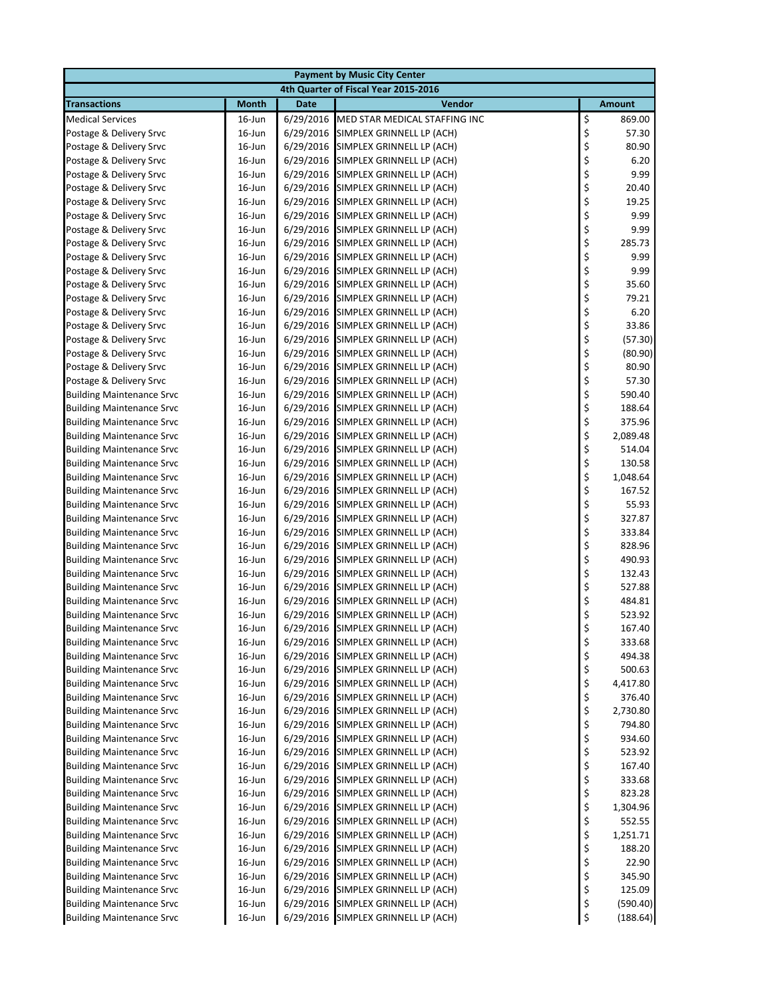|                                                                      |                        |                        | <b>Payment by Music City Center</b>                    |          |                    |  |
|----------------------------------------------------------------------|------------------------|------------------------|--------------------------------------------------------|----------|--------------------|--|
| 4th Quarter of Fiscal Year 2015-2016                                 |                        |                        |                                                        |          |                    |  |
| <b>Transactions</b>                                                  | <b>Month</b>           | Date                   | <b>Vendor</b>                                          |          | <b>Amount</b>      |  |
| <b>Medical Services</b>                                              | $16$ -Jun              | 6/29/2016              | MED STAR MEDICAL STAFFING INC                          | \$       | 869.00             |  |
| Postage & Delivery Srvc                                              | 16-Jun                 | 6/29/2016              | SIMPLEX GRINNELL LP (ACH)                              | \$       | 57.30              |  |
| Postage & Delivery Srvc                                              | $16$ -Jun              | 6/29/2016              | SIMPLEX GRINNELL LP (ACH)                              | \$       | 80.90              |  |
| Postage & Delivery Srvc                                              | 16-Jun                 | 6/29/2016              | SIMPLEX GRINNELL LP (ACH)                              | \$       | 6.20               |  |
| Postage & Delivery Srvc                                              | $16$ -Jun              | 6/29/2016              | SIMPLEX GRINNELL LP (ACH)                              | \$       | 9.99               |  |
| Postage & Delivery Srvc                                              | $16$ -Jun              | 6/29/2016              | SIMPLEX GRINNELL LP (ACH)                              | \$       | 20.40              |  |
| Postage & Delivery Srvc                                              | $16$ -Jun              | 6/29/2016              | SIMPLEX GRINNELL LP (ACH)                              | \$       | 19.25              |  |
| Postage & Delivery Srvc                                              | 16-Jun                 | 6/29/2016              | SIMPLEX GRINNELL LP (ACH)                              | \$       | 9.99               |  |
| Postage & Delivery Srvc                                              | 16-Jun                 | 6/29/2016              | SIMPLEX GRINNELL LP (ACH)                              | \$       | 9.99               |  |
| Postage & Delivery Srvc                                              | 16-Jun                 | 6/29/2016              | SIMPLEX GRINNELL LP (ACH)                              | \$       | 285.73             |  |
| Postage & Delivery Srvc                                              | $16$ -Jun              | 6/29/2016              | SIMPLEX GRINNELL LP (ACH)                              | \$       | 9.99               |  |
| Postage & Delivery Srvc                                              | $16$ -Jun              | 6/29/2016              | SIMPLEX GRINNELL LP (ACH)                              | \$       | 9.99               |  |
| Postage & Delivery Srvc                                              | 16-Jun                 | 6/29/2016              | SIMPLEX GRINNELL LP (ACH)                              | \$       | 35.60              |  |
| Postage & Delivery Srvc                                              | $16$ -Jun              | 6/29/2016              | SIMPLEX GRINNELL LP (ACH)                              | \$       | 79.21              |  |
| Postage & Delivery Srvc                                              | $16$ -Jun              | 6/29/2016              | SIMPLEX GRINNELL LP (ACH)                              | \$       | 6.20               |  |
| Postage & Delivery Srvc                                              | $16$ -Jun              | 6/29/2016<br>6/29/2016 | SIMPLEX GRINNELL LP (ACH)                              | \$       | 33.86              |  |
| Postage & Delivery Srvc<br>Postage & Delivery Srvc                   | $16$ -Jun<br>$16$ -Jun | 6/29/2016              | SIMPLEX GRINNELL LP (ACH)<br>SIMPLEX GRINNELL LP (ACH) | \$<br>\$ | (57.30)<br>(80.90) |  |
| Postage & Delivery Srvc                                              | $16$ -Jun              | 6/29/2016              | SIMPLEX GRINNELL LP (ACH)                              | \$       | 80.90              |  |
| Postage & Delivery Srvc                                              | 16-Jun                 | 6/29/2016              | SIMPLEX GRINNELL LP (ACH)                              | \$       | 57.30              |  |
| <b>Building Maintenance Srvc</b>                                     | $16$ -Jun              | 6/29/2016              | SIMPLEX GRINNELL LP (ACH)                              | \$       | 590.40             |  |
| <b>Building Maintenance Srvc</b>                                     | $16$ -Jun              | 6/29/2016              | SIMPLEX GRINNELL LP (ACH)                              | \$       | 188.64             |  |
| <b>Building Maintenance Srvc</b>                                     | 16-Jun                 | 6/29/2016              | SIMPLEX GRINNELL LP (ACH)                              | \$       | 375.96             |  |
| <b>Building Maintenance Srvc</b>                                     | $16$ -Jun              | 6/29/2016              | SIMPLEX GRINNELL LP (ACH)                              | \$       | 2,089.48           |  |
| <b>Building Maintenance Srvc</b>                                     | $16$ -Jun              | 6/29/2016              | SIMPLEX GRINNELL LP (ACH)                              | \$       | 514.04             |  |
| <b>Building Maintenance Srvc</b>                                     | $16$ -Jun              | 6/29/2016              | SIMPLEX GRINNELL LP (ACH)                              | \$       | 130.58             |  |
| <b>Building Maintenance Srvc</b>                                     | $16$ -Jun              | 6/29/2016              | SIMPLEX GRINNELL LP (ACH)                              | \$       | 1,048.64           |  |
| <b>Building Maintenance Srvc</b>                                     | $16$ -Jun              | 6/29/2016              | SIMPLEX GRINNELL LP (ACH)                              | \$       | 167.52             |  |
| <b>Building Maintenance Srvc</b>                                     | $16$ -Jun              | 6/29/2016              | SIMPLEX GRINNELL LP (ACH)                              | \$       | 55.93              |  |
| <b>Building Maintenance Srvc</b>                                     | $16$ -Jun              | 6/29/2016              | SIMPLEX GRINNELL LP (ACH)                              | \$       | 327.87             |  |
| <b>Building Maintenance Srvc</b>                                     | $16$ -Jun              | 6/29/2016              | SIMPLEX GRINNELL LP (ACH)                              | \$       | 333.84             |  |
| <b>Building Maintenance Srvc</b>                                     | $16$ -Jun              | 6/29/2016              | SIMPLEX GRINNELL LP (ACH)                              | \$       | 828.96             |  |
| <b>Building Maintenance Srvc</b>                                     | $16$ -Jun              | 6/29/2016              | SIMPLEX GRINNELL LP (ACH)                              | \$       | 490.93             |  |
| <b>Building Maintenance Srvc</b>                                     | 16-Jun                 | 6/29/2016              | SIMPLEX GRINNELL LP (ACH)                              | \$       | 132.43             |  |
| <b>Building Maintenance Srvc</b>                                     | 16-Jun                 | 6/29/2016              | SIMPLEX GRINNELL LP (ACH)                              | \$       | 527.88             |  |
| <b>Building Maintenance Srvc</b>                                     | $16$ -Jun              | 6/29/2016              | SIMPLEX GRINNELL LP (ACH)                              | \$       | 484.81             |  |
| <b>Building Maintenance Srvc</b>                                     | 16-Jun                 | 6/29/2016              | SIMPLEX GRINNELL LP (ACH)                              | \$       | 523.92             |  |
| <b>Building Maintenance Srvc</b>                                     | 16-Jun                 |                        | 6/29/2016 SIMPLEX GRINNELL LP (ACH)                    | \$       | 167.40             |  |
| <b>Building Maintenance Srvc</b>                                     | 16-Jun                 | 6/29/2016              | SIMPLEX GRINNELL LP (ACH)                              | \$       | 333.68             |  |
| <b>Building Maintenance Srvc</b>                                     | $16$ -Jun              | 6/29/2016              | SIMPLEX GRINNELL LP (ACH)                              | \$       | 494.38             |  |
| <b>Building Maintenance Srvc</b>                                     | 16-Jun                 | 6/29/2016              | SIMPLEX GRINNELL LP (ACH)                              | \$       | 500.63             |  |
| <b>Building Maintenance Srvc</b>                                     | 16-Jun                 | 6/29/2016              | SIMPLEX GRINNELL LP (ACH)                              | \$       | 4,417.80           |  |
| <b>Building Maintenance Srvc</b>                                     | 16-Jun                 | 6/29/2016              | SIMPLEX GRINNELL LP (ACH)                              | \$       | 376.40             |  |
| <b>Building Maintenance Srvc</b>                                     | 16-Jun                 | 6/29/2016              | SIMPLEX GRINNELL LP (ACH)                              | \$       | 2,730.80           |  |
| <b>Building Maintenance Srvc</b>                                     | $16$ -Jun              | 6/29/2016              | SIMPLEX GRINNELL LP (ACH)                              | \$       | 794.80             |  |
| <b>Building Maintenance Srvc</b>                                     | 16-Jun                 | 6/29/2016<br>6/29/2016 | SIMPLEX GRINNELL LP (ACH)                              | \$<br>\$ | 934.60             |  |
| <b>Building Maintenance Srvc</b><br><b>Building Maintenance Srvc</b> | 16-Jun<br>16-Jun       | 6/29/2016              | SIMPLEX GRINNELL LP (ACH)<br>SIMPLEX GRINNELL LP (ACH) | \$       | 523.92<br>167.40   |  |
| <b>Building Maintenance Srvc</b>                                     | 16-Jun                 | 6/29/2016              | SIMPLEX GRINNELL LP (ACH)                              | \$       | 333.68             |  |
| <b>Building Maintenance Srvc</b>                                     | 16-Jun                 | 6/29/2016              | SIMPLEX GRINNELL LP (ACH)                              | \$       | 823.28             |  |
| <b>Building Maintenance Srvc</b>                                     | $16$ -Jun              | 6/29/2016              | SIMPLEX GRINNELL LP (ACH)                              | \$       | 1,304.96           |  |
| <b>Building Maintenance Srvc</b>                                     | 16-Jun                 | 6/29/2016              | SIMPLEX GRINNELL LP (ACH)                              | \$       | 552.55             |  |
| <b>Building Maintenance Srvc</b>                                     | 16-Jun                 | 6/29/2016              | SIMPLEX GRINNELL LP (ACH)                              | \$       | 1,251.71           |  |
| <b>Building Maintenance Srvc</b>                                     | 16-Jun                 | 6/29/2016              | SIMPLEX GRINNELL LP (ACH)                              | \$       | 188.20             |  |
| <b>Building Maintenance Srvc</b>                                     | 16-Jun                 | 6/29/2016              | SIMPLEX GRINNELL LP (ACH)                              | \$       | 22.90              |  |
| <b>Building Maintenance Srvc</b>                                     | 16-Jun                 | 6/29/2016              | SIMPLEX GRINNELL LP (ACH)                              | \$       | 345.90             |  |
| <b>Building Maintenance Srvc</b>                                     | $16$ -Jun              | 6/29/2016              | SIMPLEX GRINNELL LP (ACH)                              | \$       | 125.09             |  |
| <b>Building Maintenance Srvc</b>                                     | $16$ -Jun              | 6/29/2016              | SIMPLEX GRINNELL LP (ACH)                              | \$       | (590.40)           |  |
| <b>Building Maintenance Srvc</b>                                     | 16-Jun                 |                        | 6/29/2016 SIMPLEX GRINNELL LP (ACH)                    | \$       | (188.64)           |  |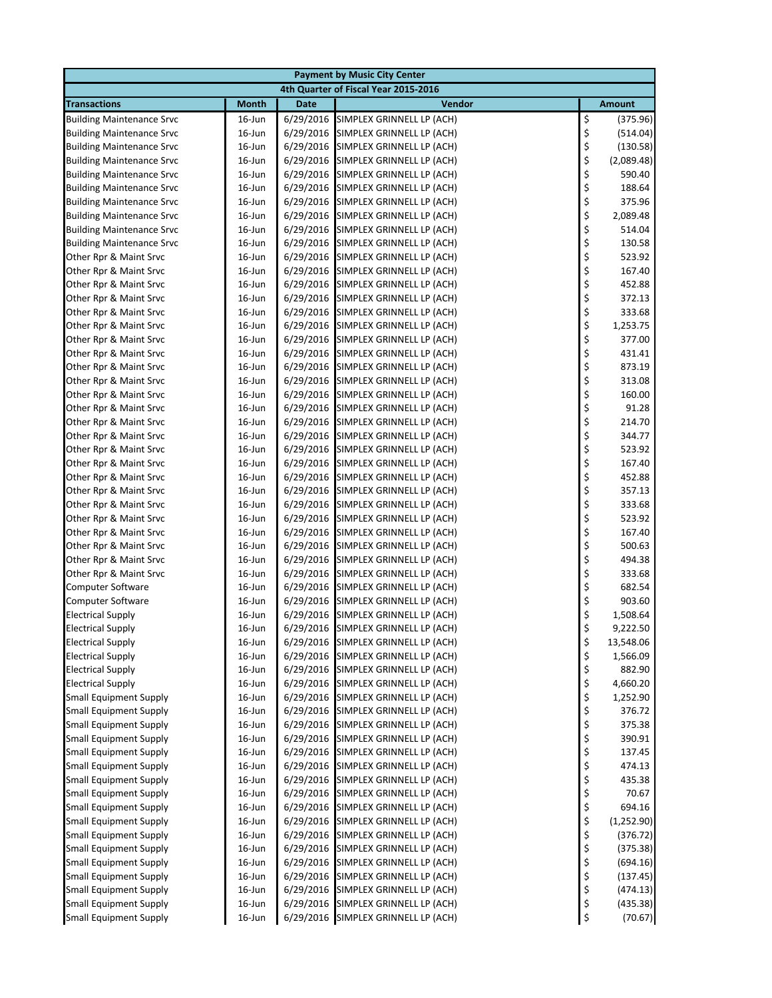|                                                                |                  |                        | <b>Payment by Music City Center</b>                    |          |                      |
|----------------------------------------------------------------|------------------|------------------------|--------------------------------------------------------|----------|----------------------|
|                                                                |                  |                        | 4th Quarter of Fiscal Year 2015-2016                   |          |                      |
| <b>Transactions</b>                                            | <b>Month</b>     | Date                   | Vendor                                                 |          | <b>Amount</b>        |
| <b>Building Maintenance Srvc</b>                               | $16$ -Jun        | 6/29/2016              | SIMPLEX GRINNELL LP (ACH)                              | \$       | (375.96)             |
| <b>Building Maintenance Srvc</b>                               | 16-Jun           | 6/29/2016              | SIMPLEX GRINNELL LP (ACH)                              | \$       | (514.04)             |
| <b>Building Maintenance Srvc</b>                               | $16$ -Jun        | 6/29/2016              | SIMPLEX GRINNELL LP (ACH)                              | \$       | (130.58)             |
| <b>Building Maintenance Srvc</b>                               | $16$ -Jun        | 6/29/2016              | SIMPLEX GRINNELL LP (ACH)                              | \$       | (2,089.48)           |
| <b>Building Maintenance Srvc</b>                               | $16$ -Jun        | 6/29/2016              | SIMPLEX GRINNELL LP (ACH)                              | \$       | 590.40               |
| <b>Building Maintenance Srvc</b>                               | $16$ -Jun        |                        | 6/29/2016 SIMPLEX GRINNELL LP (ACH)                    | \$       | 188.64               |
| <b>Building Maintenance Srvc</b>                               | $16$ -Jun        | 6/29/2016              | SIMPLEX GRINNELL LP (ACH)                              | \$       | 375.96               |
| <b>Building Maintenance Srvc</b>                               | $16$ -Jun        | 6/29/2016              | SIMPLEX GRINNELL LP (ACH)                              | \$       | 2,089.48             |
| <b>Building Maintenance Srvc</b>                               | $16$ -Jun        | 6/29/2016              | SIMPLEX GRINNELL LP (ACH)                              | \$       | 514.04               |
| <b>Building Maintenance Srvc</b>                               | $16$ -Jun        | 6/29/2016              | SIMPLEX GRINNELL LP (ACH)                              | \$       | 130.58               |
| Other Rpr & Maint Srvc                                         | $16$ -Jun        |                        | 6/29/2016 SIMPLEX GRINNELL LP (ACH)                    | \$       | 523.92               |
| Other Rpr & Maint Srvc                                         | $16$ -Jun        | 6/29/2016              | SIMPLEX GRINNELL LP (ACH)                              | \$       | 167.40               |
| Other Rpr & Maint Srvc                                         | 16-Jun           | 6/29/2016              | SIMPLEX GRINNELL LP (ACH)                              | \$       | 452.88               |
| Other Rpr & Maint Srvc                                         | $16$ -Jun        | 6/29/2016              | SIMPLEX GRINNELL LP (ACH)                              | \$       | 372.13               |
| Other Rpr & Maint Srvc                                         | $16$ -Jun        | 6/29/2016              | SIMPLEX GRINNELL LP (ACH)                              | \$       | 333.68               |
| Other Rpr & Maint Srvc                                         | $16$ -Jun        |                        | 6/29/2016 SIMPLEX GRINNELL LP (ACH)                    | \$       | 1,253.75             |
| Other Rpr & Maint Srvc                                         | $16$ -Jun        |                        | 6/29/2016 SIMPLEX GRINNELL LP (ACH)                    | \$       | 377.00               |
| Other Rpr & Maint Srvc                                         | $16$ -Jun        | 6/29/2016              | SIMPLEX GRINNELL LP (ACH)                              | \$       | 431.41               |
| Other Rpr & Maint Srvc                                         | $16$ -Jun        | 6/29/2016              | SIMPLEX GRINNELL LP (ACH)                              | \$       | 873.19               |
| Other Rpr & Maint Srvc                                         | 16-Jun           | 6/29/2016              | SIMPLEX GRINNELL LP (ACH)                              | \$       | 313.08               |
| Other Rpr & Maint Srvc                                         | $16$ -Jun        | 6/29/2016              | SIMPLEX GRINNELL LP (ACH)                              | \$       | 160.00               |
| Other Rpr & Maint Srvc                                         | $16$ -Jun        |                        | 6/29/2016 SIMPLEX GRINNELL LP (ACH)                    | \$       | 91.28                |
| Other Rpr & Maint Srvc                                         | $16$ -Jun        | 6/29/2016              | SIMPLEX GRINNELL LP (ACH)                              | \$       | 214.70               |
| Other Rpr & Maint Srvc                                         | 16-Jun           | 6/29/2016              | SIMPLEX GRINNELL LP (ACH)                              | \$       | 344.77               |
| Other Rpr & Maint Srvc                                         | $16$ -Jun        | 6/29/2016              | SIMPLEX GRINNELL LP (ACH)                              | \$       | 523.92               |
| Other Rpr & Maint Srvc                                         | $16$ -Jun        | 6/29/2016              | SIMPLEX GRINNELL LP (ACH)                              | \$       | 167.40               |
| Other Rpr & Maint Srvc                                         | $16$ -Jun        | 6/29/2016              | SIMPLEX GRINNELL LP (ACH)                              | \$       | 452.88               |
| Other Rpr & Maint Srvc                                         | $16$ -Jun        |                        | 6/29/2016 SIMPLEX GRINNELL LP (ACH)                    | \$       | 357.13               |
| Other Rpr & Maint Srvc                                         | $16$ -Jun        | 6/29/2016              | SIMPLEX GRINNELL LP (ACH)                              | \$       | 333.68               |
| Other Rpr & Maint Srvc                                         | $16$ -Jun        | 6/29/2016              | SIMPLEX GRINNELL LP (ACH)                              | \$       | 523.92               |
| Other Rpr & Maint Srvc                                         | 16-Jun           | 6/29/2016              | SIMPLEX GRINNELL LP (ACH)                              | \$       | 167.40               |
| Other Rpr & Maint Srvc                                         | $16$ -Jun        | 6/29/2016              | SIMPLEX GRINNELL LP (ACH)                              | \$       | 500.63               |
| Other Rpr & Maint Srvc                                         | $16$ -Jun        | 6/29/2016              | SIMPLEX GRINNELL LP (ACH)                              | \$       | 494.38               |
| Other Rpr & Maint Srvc                                         | 16-Jun           | 6/29/2016              | SIMPLEX GRINNELL LP (ACH)                              | \$       | 333.68               |
| Computer Software                                              | 16-Jun           | 6/29/2016              | SIMPLEX GRINNELL LP (ACH)                              | \$       | 682.54               |
| <b>Computer Software</b>                                       | $16$ -Jun        | 6/29/2016              | SIMPLEX GRINNELL LP (ACH)                              | \$       | 903.60               |
| <b>Electrical Supply</b>                                       | $16$ -Jun        | 6/29/2016              | SIMPLEX GRINNELL LP (ACH)                              | \$       | 1,508.64             |
| <b>Electrical Supply</b>                                       | 16-Jun           |                        | 6/29/2016 SIMPLEX GRINNELL LP (ACH)                    | \$       | 9,222.50             |
| <b>Electrical Supply</b>                                       | 16-Jun           | 6/29/2016              | SIMPLEX GRINNELL LP (ACH)                              | \$       | 13,548.06            |
| <b>Electrical Supply</b>                                       | $16$ -Jun        | 6/29/2016              | SIMPLEX GRINNELL LP (ACH)<br>SIMPLEX GRINNELL LP (ACH) | \$       | 1,566.09             |
| <b>Electrical Supply</b><br><b>Electrical Supply</b>           | 16-Jun           | 6/29/2016              | SIMPLEX GRINNELL LP (ACH)                              | \$       | 882.90               |
|                                                                | $16$ -Jun        | 6/29/2016              | SIMPLEX GRINNELL LP (ACH)                              | \$       | 4,660.20<br>1,252.90 |
| <b>Small Equipment Supply</b><br><b>Small Equipment Supply</b> | 16-Jun<br>16-Jun | 6/29/2016<br>6/29/2016 | SIMPLEX GRINNELL LP (ACH)                              | \$<br>\$ | 376.72               |
| <b>Small Equipment Supply</b>                                  | 16-Jun           | 6/29/2016              | SIMPLEX GRINNELL LP (ACH)                              |          | 375.38               |
| <b>Small Equipment Supply</b>                                  | 16-Jun           | 6/29/2016              | SIMPLEX GRINNELL LP (ACH)                              | \$<br>\$ | 390.91               |
| <b>Small Equipment Supply</b>                                  | 16-Jun           | 6/29/2016              | SIMPLEX GRINNELL LP (ACH)                              | \$       | 137.45               |
| <b>Small Equipment Supply</b>                                  | $16$ -Jun        | 6/29/2016              | SIMPLEX GRINNELL LP (ACH)                              | \$       | 474.13               |
| <b>Small Equipment Supply</b>                                  | 16-Jun           | 6/29/2016              | SIMPLEX GRINNELL LP (ACH)                              | \$       | 435.38               |
| <b>Small Equipment Supply</b>                                  | 16-Jun           | 6/29/2016              | SIMPLEX GRINNELL LP (ACH)                              | \$       | 70.67                |
| <b>Small Equipment Supply</b>                                  | $16$ -Jun        | 6/29/2016              | SIMPLEX GRINNELL LP (ACH)                              | \$       | 694.16               |
| <b>Small Equipment Supply</b>                                  | 16-Jun           | 6/29/2016              | SIMPLEX GRINNELL LP (ACH)                              | \$       | (1,252.90)           |
| <b>Small Equipment Supply</b>                                  | 16-Jun           | 6/29/2016              | SIMPLEX GRINNELL LP (ACH)                              | \$       | (376.72)             |
| <b>Small Equipment Supply</b>                                  | 16-Jun           | 6/29/2016              | SIMPLEX GRINNELL LP (ACH)                              | \$       | (375.38)             |
| <b>Small Equipment Supply</b>                                  | 16-Jun           | 6/29/2016              | SIMPLEX GRINNELL LP (ACH)                              | \$       | (694.16)             |
| <b>Small Equipment Supply</b>                                  | 16-Jun           | 6/29/2016              | SIMPLEX GRINNELL LP (ACH)                              | \$       | (137.45)             |
| <b>Small Equipment Supply</b>                                  | $16$ -Jun        | 6/29/2016              | SIMPLEX GRINNELL LP (ACH)                              | \$       | (474.13)             |
| <b>Small Equipment Supply</b>                                  | 16-Jun           | 6/29/2016              | SIMPLEX GRINNELL LP (ACH)                              | \$       | (435.38)             |
| <b>Small Equipment Supply</b>                                  | 16-Jun           |                        | 6/29/2016 SIMPLEX GRINNELL LP (ACH)                    | \$       | (70.67)              |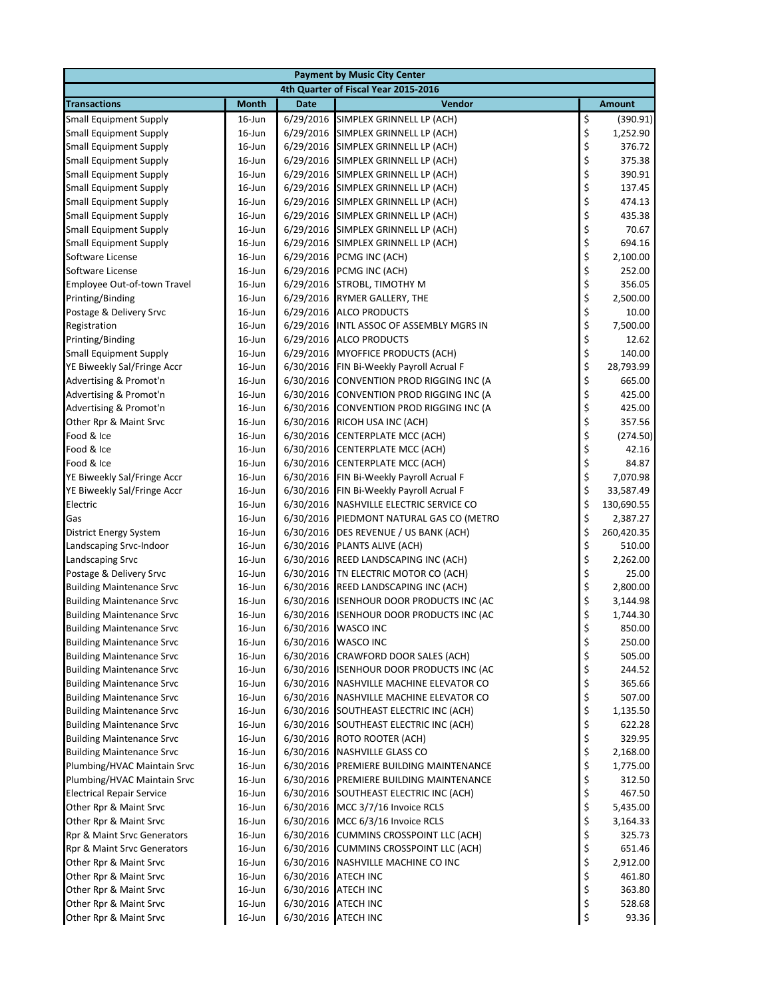| <b>Payment by Music City Center</b>                                  |                        |             |                                                             |          |                    |  |
|----------------------------------------------------------------------|------------------------|-------------|-------------------------------------------------------------|----------|--------------------|--|
|                                                                      |                        |             | 4th Quarter of Fiscal Year 2015-2016                        |          |                    |  |
| <b>Transactions</b>                                                  | <b>Month</b>           | <b>Date</b> | Vendor                                                      |          | <b>Amount</b>      |  |
| <b>Small Equipment Supply</b>                                        | $16$ -Jun              |             | 6/29/2016 SIMPLEX GRINNELL LP (ACH)                         | \$       | (390.91)           |  |
| <b>Small Equipment Supply</b>                                        | 16-Jun                 |             | 6/29/2016 SIMPLEX GRINNELL LP (ACH)                         | \$       | 1,252.90           |  |
| <b>Small Equipment Supply</b>                                        | 16-Jun                 |             | 6/29/2016 SIMPLEX GRINNELL LP (ACH)                         | \$       | 376.72             |  |
| <b>Small Equipment Supply</b>                                        | $16$ -Jun              |             | 6/29/2016 SIMPLEX GRINNELL LP (ACH)                         | \$       | 375.38             |  |
| <b>Small Equipment Supply</b>                                        | $16$ -Jun              |             | 6/29/2016 SIMPLEX GRINNELL LP (ACH)                         | \$       | 390.91             |  |
| <b>Small Equipment Supply</b>                                        | $16$ -Jun              |             | 6/29/2016 SIMPLEX GRINNELL LP (ACH)                         | \$       | 137.45             |  |
| <b>Small Equipment Supply</b>                                        | $16$ -Jun              |             | 6/29/2016 SIMPLEX GRINNELL LP (ACH)                         | \$       | 474.13             |  |
| <b>Small Equipment Supply</b>                                        | 16-Jun                 |             | 6/29/2016 SIMPLEX GRINNELL LP (ACH)                         | \$       | 435.38             |  |
| <b>Small Equipment Supply</b>                                        | 16-Jun                 |             | 6/29/2016 SIMPLEX GRINNELL LP (ACH)                         | \$       | 70.67              |  |
| <b>Small Equipment Supply</b>                                        | $16$ -Jun              |             | 6/29/2016 SIMPLEX GRINNELL LP (ACH)                         | \$       | 694.16             |  |
| Software License                                                     | 16-Jun                 |             | 6/29/2016 PCMG INC (ACH)                                    | \$       | 2,100.00           |  |
| Software License                                                     | 16-Jun                 |             | 6/29/2016 PCMG INC (ACH)                                    | \$       | 252.00             |  |
| Employee Out-of-town Travel<br>Printing/Binding                      | 16-Jun<br>16-Jun       |             | 6/29/2016 STROBL, TIMOTHY M<br>6/29/2016 RYMER GALLERY, THE | \$<br>\$ | 356.05<br>2,500.00 |  |
| Postage & Delivery Srvc                                              | $16$ -Jun              |             | 6/29/2016 ALCO PRODUCTS                                     | \$       | 10.00              |  |
| Registration                                                         | $16$ -Jun              |             | 6/29/2016 INTL ASSOC OF ASSEMBLY MGRS IN                    | \$       | 7,500.00           |  |
| Printing/Binding                                                     | $16$ -Jun              |             | 6/29/2016 ALCO PRODUCTS                                     | \$       | 12.62              |  |
| <b>Small Equipment Supply</b>                                        | 16-Jun                 |             | 6/29/2016 MYOFFICE PRODUCTS (ACH)                           | \$       | 140.00             |  |
| YE Biweekly Sal/Fringe Accr                                          | 16-Jun                 |             | 6/30/2016 FIN Bi-Weekly Payroll Acrual F                    | \$       | 28,793.99          |  |
| Advertising & Promot'n                                               | 16-Jun                 |             | 6/30/2016 CONVENTION PROD RIGGING INC (A                    | \$       | 665.00             |  |
| Advertising & Promot'n                                               | 16-Jun                 | 6/30/2016   | CONVENTION PROD RIGGING INC (A                              | \$       | 425.00             |  |
| Advertising & Promot'n                                               | 16-Jun                 |             | 6/30/2016 CONVENTION PROD RIGGING INC (A                    | \$       | 425.00             |  |
| Other Rpr & Maint Srvc                                               | 16-Jun                 |             | 6/30/2016 RICOH USA INC (ACH)                               | \$       | 357.56             |  |
| Food & Ice                                                           | 16-Jun                 |             | 6/30/2016 CENTERPLATE MCC (ACH)                             | \$       | (274.50)           |  |
| Food & Ice                                                           | 16-Jun                 |             | 6/30/2016 CENTERPLATE MCC (ACH)                             | \$       | 42.16              |  |
| Food & Ice                                                           | 16-Jun                 |             | 6/30/2016 CENTERPLATE MCC (ACH)                             | \$       | 84.87              |  |
| YE Biweekly Sal/Fringe Accr                                          | $16$ -Jun              |             | 6/30/2016 FIN Bi-Weekly Payroll Acrual F                    | \$       | 7,070.98           |  |
| YE Biweekly Sal/Fringe Accr                                          | $16$ -Jun              |             | 6/30/2016 FIN Bi-Weekly Payroll Acrual F                    | \$       | 33,587.49          |  |
| Electric                                                             | 16-Jun                 |             | 6/30/2016 NASHVILLE ELECTRIC SERVICE CO                     | \$       | 130,690.55         |  |
| Gas                                                                  | 16-Jun                 |             | 6/30/2016 PIEDMONT NATURAL GAS CO (METRO                    | \$       | 2,387.27           |  |
| District Energy System                                               | $16$ -Jun              |             | 6/30/2016 DES REVENUE / US BANK (ACH)                       | \$       | 260,420.35         |  |
| Landscaping Srvc-Indoor                                              | $16$ -Jun              | 6/30/2016   | PLANTS ALIVE (ACH)                                          | \$       | 510.00             |  |
| Landscaping Srvc                                                     | 16-Jun                 |             | 6/30/2016 REED LANDSCAPING INC (ACH)                        | \$       | 2,262.00           |  |
| Postage & Delivery Srvc                                              | 16-Jun                 |             | 6/30/2016 TN ELECTRIC MOTOR CO (ACH)                        | \$       | 25.00              |  |
| <b>Building Maintenance Srvc</b>                                     | 16-Jun                 |             | 6/30/2016 REED LANDSCAPING INC (ACH)                        | \$       | 2,800.00           |  |
| <b>Building Maintenance Srvc</b>                                     | 16-Jun                 |             | 6/30/2016 ISENHOUR DOOR PRODUCTS INC (AC                    | \$       | 3,144.98           |  |
| <b>Building Maintenance Srvc</b>                                     | $16$ -Jun              |             | 6/30/2016 ISENHOUR DOOR PRODUCTS INC (AC                    | \$       | 1,744.30           |  |
| <b>Building Maintenance Srvc</b>                                     | $16$ -Jun              |             | 6/30/2016 WASCO INC                                         | \$       | 850.00             |  |
| <b>Building Maintenance Srvc</b>                                     | 16-Jun                 |             | 6/30/2016 WASCO INC<br>6/30/2016 CRAWFORD DOOR SALES (ACH)  | \$       | 250.00<br>505.00   |  |
| <b>Building Maintenance Srvc</b>                                     | 16-Jun                 |             | 6/30/2016 ISENHOUR DOOR PRODUCTS INC (AC                    | \$       | 244.52             |  |
| <b>Building Maintenance Srvc</b><br><b>Building Maintenance Srvc</b> | $16$ -Jun<br>$16$ -Jun |             | 6/30/2016 NASHVILLE MACHINE ELEVATOR CO                     | \$<br>\$ | 365.66             |  |
| <b>Building Maintenance Srvc</b>                                     | $16$ -Jun              |             | 6/30/2016 NASHVILLE MACHINE ELEVATOR CO                     | \$       | 507.00             |  |
| <b>Building Maintenance Srvc</b>                                     | $16$ -Jun              |             | 6/30/2016 SOUTHEAST ELECTRIC INC (ACH)                      | \$       | 1,135.50           |  |
| <b>Building Maintenance Srvc</b>                                     | $16$ -Jun              |             | 6/30/2016 SOUTHEAST ELECTRIC INC (ACH)                      | \$       | 622.28             |  |
| <b>Building Maintenance Srvc</b>                                     | $16$ -Jun              |             | 6/30/2016 ROTO ROOTER (ACH)                                 | \$       | 329.95             |  |
| <b>Building Maintenance Srvc</b>                                     | 16-Jun                 |             | 6/30/2016 NASHVILLE GLASS CO                                | \$       | 2,168.00           |  |
| Plumbing/HVAC Maintain Srvc                                          | $16$ -Jun              |             | 6/30/2016 PREMIERE BUILDING MAINTENANCE                     | \$       | 1,775.00           |  |
| Plumbing/HVAC Maintain Srvc                                          | $16$ -Jun              |             | 6/30/2016 PREMIERE BUILDING MAINTENANCE                     | \$       | 312.50             |  |
| <b>Electrical Repair Service</b>                                     | 16-Jun                 |             | 6/30/2016 SOUTHEAST ELECTRIC INC (ACH)                      | \$       | 467.50             |  |
| Other Rpr & Maint Srvc                                               | 16-Jun                 |             | 6/30/2016 MCC 3/7/16 Invoice RCLS                           | \$       | 5,435.00           |  |
| Other Rpr & Maint Srvc                                               | $16$ -Jun              |             | 6/30/2016 MCC 6/3/16 Invoice RCLS                           | \$       | 3,164.33           |  |
| Rpr & Maint Srvc Generators                                          | $16$ -Jun              |             | 6/30/2016 CUMMINS CROSSPOINT LLC (ACH)                      | \$       | 325.73             |  |
| Rpr & Maint Srvc Generators                                          | $16$ -Jun              |             | 6/30/2016 CUMMINS CROSSPOINT LLC (ACH)                      | \$       | 651.46             |  |
| Other Rpr & Maint Srvc                                               | $16$ -Jun              |             | 6/30/2016 NASHVILLE MACHINE CO INC                          | \$       | 2,912.00           |  |
| Other Rpr & Maint Srvc                                               | 16-Jun                 |             | 6/30/2016 ATECH INC                                         | \$       | 461.80             |  |
| Other Rpr & Maint Srvc                                               | $16$ -Jun              |             | 6/30/2016 ATECH INC                                         | \$       | 363.80             |  |
| Other Rpr & Maint Srvc                                               | $16$ -Jun              |             | 6/30/2016 ATECH INC                                         | \$       | 528.68             |  |
| Other Rpr & Maint Srvc                                               | 16-Jun                 |             | 6/30/2016 ATECH INC                                         | \$       | 93.36              |  |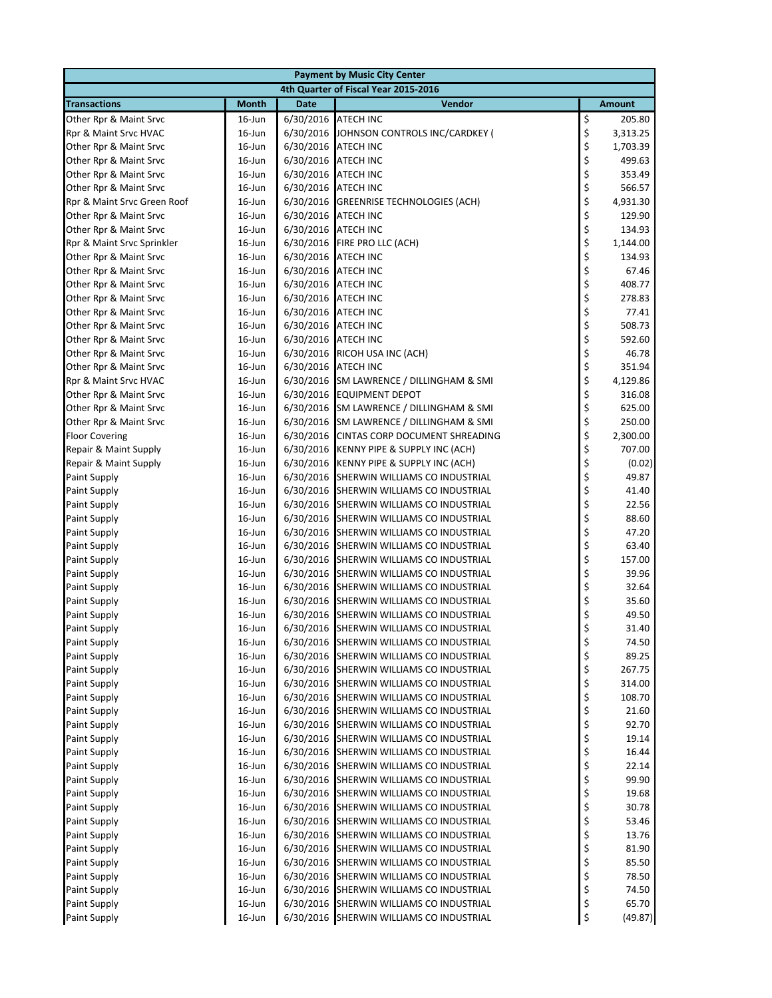|                                            |                        |             | <b>Payment by Music City Center</b>                                                  |          |                  |  |
|--------------------------------------------|------------------------|-------------|--------------------------------------------------------------------------------------|----------|------------------|--|
| 4th Quarter of Fiscal Year 2015-2016       |                        |             |                                                                                      |          |                  |  |
| <b>Transactions</b>                        | <b>Month</b>           | <b>Date</b> | Vendor                                                                               |          | <b>Amount</b>    |  |
| Other Rpr & Maint Srvc                     | $16$ -Jun              |             | 6/30/2016 ATECH INC                                                                  | \$       | 205.80           |  |
| Rpr & Maint Srvc HVAC                      | $16$ -Jun              |             | 6/30/2016 JOHNSON CONTROLS INC/CARDKEY (                                             | \$       | 3,313.25         |  |
| Other Rpr & Maint Srvc                     | $16$ -Jun              |             | 6/30/2016 ATECH INC                                                                  | \$       | 1,703.39         |  |
| Other Rpr & Maint Srvc                     | $16$ -Jun              |             | 6/30/2016 ATECH INC                                                                  | \$       | 499.63           |  |
| Other Rpr & Maint Srvc                     | $16$ -Jun              |             | 6/30/2016 ATECH INC                                                                  | \$       | 353.49           |  |
| Other Rpr & Maint Srvc                     | $16$ -Jun              |             | 6/30/2016 ATECH INC                                                                  | \$       | 566.57           |  |
| Rpr & Maint Srvc Green Roof                | $16$ -Jun              |             | 6/30/2016 GREENRISE TECHNOLOGIES (ACH)                                               | \$       | 4,931.30         |  |
| Other Rpr & Maint Srvc                     | $16$ -Jun              |             | 6/30/2016 ATECH INC                                                                  | \$       | 129.90           |  |
| Other Rpr & Maint Srvc                     | $16$ -Jun              |             | 6/30/2016 ATECH INC                                                                  | \$<br>\$ | 134.93           |  |
| Rpr & Maint Srvc Sprinkler                 | $16$ -Jun              |             | 6/30/2016 FIRE PRO LLC (ACH)                                                         |          | 1,144.00         |  |
| Other Rpr & Maint Srvc                     | $16$ -Jun              |             | 6/30/2016 ATECH INC                                                                  | \$\$\$\$ | 134.93           |  |
| Other Rpr & Maint Srvc                     | $16$ -Jun              |             | 6/30/2016 ATECH INC                                                                  |          | 67.46            |  |
| Other Rpr & Maint Srvc                     | $16$ -Jun              |             | 6/30/2016 ATECH INC                                                                  |          | 408.77           |  |
| Other Rpr & Maint Srvc                     | $16$ -Jun              |             | 6/30/2016 ATECH INC                                                                  |          | 278.83           |  |
| Other Rpr & Maint Srvc                     | $16$ -Jun              |             | 6/30/2016 ATECH INC                                                                  | \$       | 77.41            |  |
| Other Rpr & Maint Srvc                     | $16$ -Jun              |             | 6/30/2016 ATECH INC                                                                  | \$       | 508.73           |  |
| Other Rpr & Maint Srvc                     | $16$ -Jun              |             | 6/30/2016 ATECH INC                                                                  | \$       | 592.60           |  |
| Other Rpr & Maint Srvc                     | $16$ -Jun              |             | 6/30/2016 RICOH USA INC (ACH)                                                        | \$<br>\$ | 46.78            |  |
| Other Rpr & Maint Srvc                     | $16$ -Jun              |             | 6/30/2016 ATECH INC                                                                  |          | 351.94           |  |
| Rpr & Maint Srvc HVAC                      | $16$ -Jun              |             | 6/30/2016 SM LAWRENCE / DILLINGHAM & SMI                                             | \$       | 4,129.86         |  |
| Other Rpr & Maint Srvc                     | 16-Jun                 |             | 6/30/2016 EQUIPMENT DEPOT                                                            | \$       | 316.08           |  |
| Other Rpr & Maint Srvc                     | $16$ -Jun              |             | 6/30/2016 SM LAWRENCE / DILLINGHAM & SMI                                             | \$       | 625.00           |  |
| Other Rpr & Maint Srvc                     | $16$ -Jun              |             | 6/30/2016 SM LAWRENCE / DILLINGHAM & SMI                                             | \$       | 250.00           |  |
| <b>Floor Covering</b>                      | $16$ -Jun              |             | 6/30/2016 CINTAS CORP DOCUMENT SHREADING                                             | \$       | 2,300.00         |  |
| Repair & Maint Supply                      | $16$ -Jun              |             | 6/30/2016 KENNY PIPE & SUPPLY INC (ACH)                                              | \$       | 707.00           |  |
| Repair & Maint Supply                      | $16$ -Jun              |             | 6/30/2016 KENNY PIPE & SUPPLY INC (ACH)                                              | \$       | (0.02)           |  |
| Paint Supply                               | $16$ -Jun              |             | 6/30/2016 SHERWIN WILLIAMS CO INDUSTRIAL                                             | \$       | 49.87            |  |
| Paint Supply                               | $16$ -Jun              |             | 6/30/2016 SHERWIN WILLIAMS CO INDUSTRIAL                                             | \$       | 41.40            |  |
| Paint Supply                               | $16$ -Jun              |             | 6/30/2016 SHERWIN WILLIAMS CO INDUSTRIAL                                             | \$       | 22.56            |  |
| <b>Paint Supply</b>                        | $16$ -Jun              |             | 6/30/2016 SHERWIN WILLIAMS CO INDUSTRIAL                                             | \$       | 88.60            |  |
| <b>Paint Supply</b>                        | $16$ -Jun              |             | 6/30/2016 SHERWIN WILLIAMS CO INDUSTRIAL                                             | \$       | 47.20            |  |
| Paint Supply                               | $16$ -Jun              |             | 6/30/2016 SHERWIN WILLIAMS CO INDUSTRIAL                                             | \$       | 63.40            |  |
| Paint Supply                               | 16-Jun                 |             | 6/30/2016 SHERWIN WILLIAMS CO INDUSTRIAL                                             | \$       | 157.00           |  |
| Paint Supply                               | $16$ -Jun              |             | 6/30/2016 SHERWIN WILLIAMS CO INDUSTRIAL                                             | \$       | 39.96            |  |
| <b>Paint Supply</b>                        | 16-Jun                 |             | 6/30/2016 SHERWIN WILLIAMS CO INDUSTRIAL                                             | \$       | 32.64            |  |
| <b>Paint Supply</b>                        | $16$ -Jun              |             | 6/30/2016 SHERWIN WILLIAMS CO INDUSTRIAL                                             | \$       | 35.60            |  |
| <b>Paint Supply</b>                        | $16$ -Jun              |             | 6/30/2016 SHERWIN WILLIAMS CO INDUSTRIAL                                             | \$       | 49.50            |  |
| Paint Supply                               | $16$ -Jun              |             | 6/30/2016 SHERWIN WILLIAMS CO INDUSTRIAL                                             | \$       | 31.40            |  |
| Paint Supply                               | 16-Jun                 |             | 6/30/2016 SHERWIN WILLIAMS CO INDUSTRIAL                                             | \$       | 74.50            |  |
| Paint Supply                               | $16$ -Jun              |             | 6/30/2016 SHERWIN WILLIAMS CO INDUSTRIAL                                             | \$       | 89.25            |  |
| Paint Supply                               | 16-Jun                 |             | 6/30/2016 SHERWIN WILLIAMS CO INDUSTRIAL<br>6/30/2016 SHERWIN WILLIAMS CO INDUSTRIAL | \$       | 267.75           |  |
| <b>Paint Supply</b>                        | $16$ -Jun              |             |                                                                                      | \$       | 314.00<br>108.70 |  |
| <b>Paint Supply</b><br><b>Paint Supply</b> | $16$ -Jun<br>$16$ -Jun |             | 6/30/2016 SHERWIN WILLIAMS CO INDUSTRIAL<br>6/30/2016 SHERWIN WILLIAMS CO INDUSTRIAL | \$<br>\$ | 21.60            |  |
| <b>Paint Supply</b>                        | $16$ -Jun              |             | 6/30/2016 SHERWIN WILLIAMS CO INDUSTRIAL                                             | \$       | 92.70            |  |
| <b>Paint Supply</b>                        | $16$ -Jun              |             | 6/30/2016 SHERWIN WILLIAMS CO INDUSTRIAL                                             | \$       | 19.14            |  |
| <b>Paint Supply</b>                        | $16$ -Jun              |             | 6/30/2016 SHERWIN WILLIAMS CO INDUSTRIAL                                             | \$       | 16.44            |  |
| <b>Paint Supply</b>                        | $16$ -Jun              |             | 6/30/2016 SHERWIN WILLIAMS CO INDUSTRIAL                                             | \$       | 22.14            |  |
| Paint Supply                               | $16$ -Jun              |             | 6/30/2016 SHERWIN WILLIAMS CO INDUSTRIAL                                             |          | 99.90            |  |
| Paint Supply                               | $16$ -Jun              |             | 6/30/2016 SHERWIN WILLIAMS CO INDUSTRIAL                                             | \$<br>\$ | 19.68            |  |
| <b>Paint Supply</b>                        | $16$ -Jun              |             | 6/30/2016 SHERWIN WILLIAMS CO INDUSTRIAL                                             | \$       | 30.78            |  |
| <b>Paint Supply</b>                        | 16-Jun                 |             | 6/30/2016 SHERWIN WILLIAMS CO INDUSTRIAL                                             | \$       | 53.46            |  |
| <b>Paint Supply</b>                        | $16$ -Jun              |             | 6/30/2016 SHERWIN WILLIAMS CO INDUSTRIAL                                             | \$       | 13.76            |  |
| <b>Paint Supply</b>                        | $16$ -Jun              |             | 6/30/2016 SHERWIN WILLIAMS CO INDUSTRIAL                                             |          | 81.90            |  |
| <b>Paint Supply</b>                        | $16$ -Jun              |             | 6/30/2016 SHERWIN WILLIAMS CO INDUSTRIAL                                             | \$<br>\$ | 85.50            |  |
| Paint Supply                               | $16$ -Jun              |             | 6/30/2016 SHERWIN WILLIAMS CO INDUSTRIAL                                             | \$       | 78.50            |  |
| <b>Paint Supply</b>                        | $16$ -Jun              |             | 6/30/2016 SHERWIN WILLIAMS CO INDUSTRIAL                                             | \$       | 74.50            |  |
| Paint Supply                               | $16$ -Jun              |             | 6/30/2016 SHERWIN WILLIAMS CO INDUSTRIAL                                             | \$       | 65.70            |  |
| Paint Supply                               | 16-Jun                 |             | 6/30/2016 SHERWIN WILLIAMS CO INDUSTRIAL                                             | \$       | (49.87)          |  |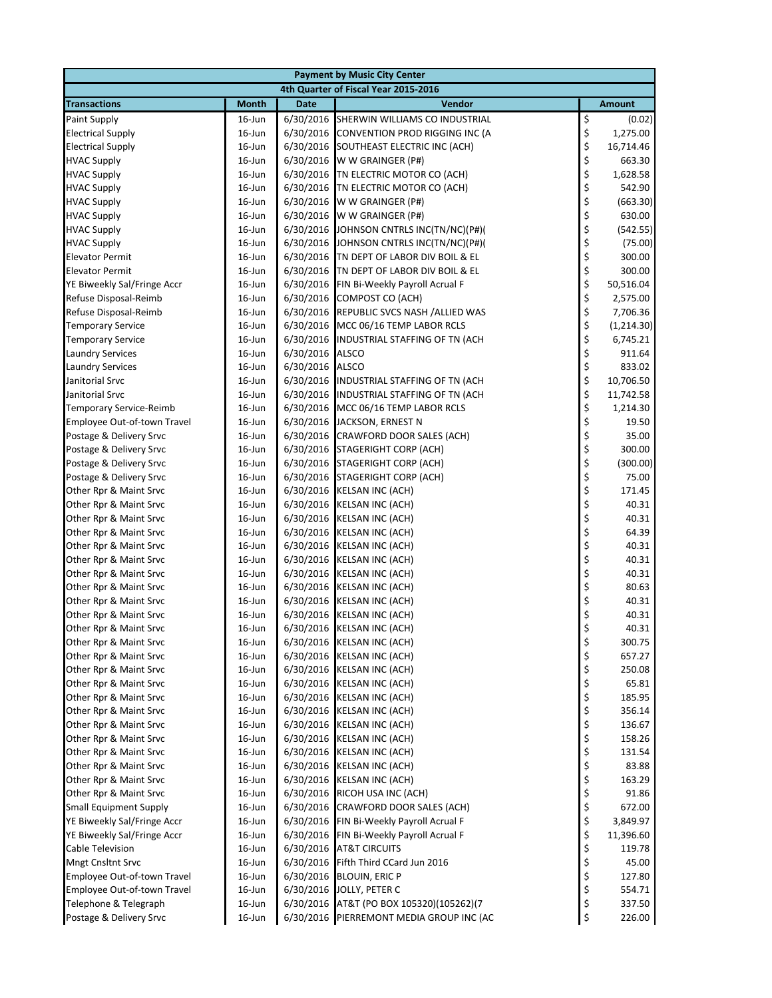| <b>Payment by Music City Center</b>                     |                        |                 |                                                                                 |                                                         |                    |
|---------------------------------------------------------|------------------------|-----------------|---------------------------------------------------------------------------------|---------------------------------------------------------|--------------------|
|                                                         |                        |                 | 4th Quarter of Fiscal Year 2015-2016                                            |                                                         |                    |
| <b>Transactions</b>                                     | <b>Month</b>           | <b>Date</b>     | Vendor                                                                          |                                                         | <b>Amount</b>      |
| Paint Supply                                            | $16$ -Jun              |                 | 6/30/2016 SHERWIN WILLIAMS CO INDUSTRIAL                                        | \$                                                      | (0.02)             |
| <b>Electrical Supply</b>                                | $16$ -Jun              |                 | 6/30/2016 CONVENTION PROD RIGGING INC (A                                        | \$                                                      | 1,275.00           |
| <b>Electrical Supply</b>                                | $16$ -Jun              |                 | 6/30/2016 SOUTHEAST ELECTRIC INC (ACH)                                          | \$                                                      | 16,714.46          |
| <b>HVAC Supply</b>                                      | $16$ -Jun              |                 | 6/30/2016 W W GRAINGER (P#)                                                     | \$                                                      | 663.30             |
| <b>HVAC Supply</b>                                      | $16$ -Jun              |                 | 6/30/2016 TN ELECTRIC MOTOR CO (ACH)                                            | \$\$\$                                                  | 1,628.58           |
| <b>HVAC Supply</b>                                      | $16$ -Jun              |                 | 6/30/2016   TN ELECTRIC MOTOR CO (ACH)                                          |                                                         | 542.90             |
| <b>HVAC Supply</b>                                      | $16$ -Jun              |                 | 6/30/2016 W W GRAINGER (P#)                                                     |                                                         | (663.30)           |
| <b>HVAC Supply</b>                                      | $16$ -Jun              |                 | 6/30/2016 W W GRAINGER (P#)                                                     | \$<br>\$                                                | 630.00             |
| <b>HVAC Supply</b>                                      | $16$ -Jun              |                 | 6/30/2016 JOHNSON CNTRLS INC(TN/NC)(P#)(                                        |                                                         | (542.55)           |
| <b>HVAC Supply</b>                                      | $16$ -Jun              |                 | 6/30/2016 JOHNSON CNTRLS INC(TN/NC)(P#)(                                        | \$                                                      | (75.00)            |
| <b>Elevator Permit</b>                                  | 16-Jun                 |                 | 6/30/2016 TN DEPT OF LABOR DIV BOIL & EL                                        | \$<br>\$                                                | 300.00             |
| <b>Elevator Permit</b>                                  | $16$ -Jun              |                 | 6/30/2016 TN DEPT OF LABOR DIV BOIL & EL                                        |                                                         | 300.00             |
| YE Biweekly Sal/Fringe Accr                             | $16$ -Jun              |                 | 6/30/2016 FIN Bi-Weekly Payroll Acrual F                                        | \$<br>\$                                                | 50,516.04          |
| Refuse Disposal-Reimb                                   | $16$ -Jun              |                 | 6/30/2016 COMPOST CO (ACH)                                                      |                                                         | 2,575.00           |
| Refuse Disposal-Reimb                                   | $16$ -Jun              |                 | 6/30/2016 REPUBLIC SVCS NASH /ALLIED WAS                                        | \$                                                      | 7,706.36           |
| <b>Temporary Service</b>                                | $16$ -Jun              |                 | 6/30/2016 MCC 06/16 TEMP LABOR RCLS<br>6/30/2016 INDUSTRIAL STAFFING OF TN (ACH | \$<br>\$                                                | (1,214.30)         |
| <b>Temporary Service</b><br><b>Laundry Services</b>     | $16$ -Jun<br>$16$ -Jun | 6/30/2016 ALSCO |                                                                                 |                                                         | 6,745.21<br>911.64 |
| <b>Laundry Services</b>                                 | $16$ -Jun              | 6/30/2016 ALSCO |                                                                                 |                                                         | 833.02             |
| Janitorial Srvc                                         | $16$ -Jun              |                 | 6/30/2016 INDUSTRIAL STAFFING OF TN (ACH                                        | \$\$\$\$\$                                              | 10,706.50          |
| Janitorial Srvc                                         | $16$ -Jun              |                 | 6/30/2016 INDUSTRIAL STAFFING OF TN (ACH                                        |                                                         | 11,742.58          |
| Temporary Service-Reimb                                 | 16-Jun                 |                 | 6/30/2016 MCC 06/16 TEMP LABOR RCLS                                             |                                                         | 1,214.30           |
| Employee Out-of-town Travel                             | $16$ -Jun              |                 | 6/30/2016 JACKSON, ERNEST N                                                     | \$                                                      | 19.50              |
| Postage & Delivery Srvc                                 | $16$ -Jun              |                 | 6/30/2016 CRAWFORD DOOR SALES (ACH)                                             |                                                         | 35.00              |
| Postage & Delivery Srvc                                 | $16$ -Jun              |                 | 6/30/2016 STAGERIGHT CORP (ACH)                                                 | \$\$\$\$\$                                              | 300.00             |
| Postage & Delivery Srvc                                 | $16$ -Jun              |                 | 6/30/2016 STAGERIGHT CORP (ACH)                                                 |                                                         | (300.00)           |
| Postage & Delivery Srvc                                 | $16$ -Jun              |                 | 6/30/2016 STAGERIGHT CORP (ACH)                                                 |                                                         | 75.00              |
| Other Rpr & Maint Srvc                                  | $16$ -Jun              |                 | 6/30/2016 KELSAN INC (ACH)                                                      |                                                         | 171.45             |
| Other Rpr & Maint Srvc                                  | $16$ -Jun              |                 | 6/30/2016 KELSAN INC (ACH)                                                      |                                                         | 40.31              |
| Other Rpr & Maint Srvc                                  | $16$ -Jun              |                 | 6/30/2016 KELSAN INC (ACH)                                                      | \$\$\$                                                  | 40.31              |
| Other Rpr & Maint Srvc                                  | $16$ -Jun              |                 | 6/30/2016 KELSAN INC (ACH)                                                      |                                                         | 64.39              |
| Other Rpr & Maint Srvc                                  | $16$ -Jun              |                 | 6/30/2016 KELSAN INC (ACH)                                                      |                                                         | 40.31              |
| Other Rpr & Maint Srvc                                  | $16$ -Jun              |                 | 6/30/2016 KELSAN INC (ACH)                                                      | \$\$\$\$                                                | 40.31              |
| Other Rpr & Maint Srvc                                  | $16$ -Jun              |                 | 6/30/2016 KELSAN INC (ACH)                                                      |                                                         | 40.31              |
| Other Rpr & Maint Srvc                                  | $16$ -Jun              |                 | 6/30/2016 KELSAN INC (ACH)                                                      |                                                         | 80.63              |
| Other Rpr & Maint Srvc                                  | $16$ -Jun              |                 | 6/30/2016 KELSAN INC (ACH)                                                      | \$                                                      | 40.31              |
| Other Rpr & Maint Srvc                                  | $16$ -Jun              |                 | 6/30/2016 KELSAN INC (ACH)                                                      | \$                                                      | 40.31              |
| Other Rpr & Maint Srvc                                  | $16$ -Jun              |                 | 6/30/2016 KELSAN INC (ACH)                                                      | \$                                                      | 40.31              |
| Other Rpr & Maint Srvc                                  | 16-Jun                 |                 | 6/30/2016 KELSAN INC (ACH)                                                      | \$                                                      | 300.75             |
| Other Rpr & Maint Srvc                                  | 16-Jun                 |                 | 6/30/2016 KELSAN INC (ACH)                                                      | \$                                                      | 657.27             |
| Other Rpr & Maint Srvc                                  | $16$ -Jun              |                 | 6/30/2016 KELSAN INC (ACH)                                                      | \$<br>\$                                                | 250.08             |
| Other Rpr & Maint Srvc                                  | $16$ -Jun              |                 | 6/30/2016 KELSAN INC (ACH)                                                      |                                                         | 65.81              |
| Other Rpr & Maint Srvc                                  | $16$ -Jun              |                 | 6/30/2016 KELSAN INC (ACH)                                                      | \$\$\$                                                  | 185.95             |
| Other Rpr & Maint Srvc                                  | 16-Jun                 |                 | 6/30/2016 KELSAN INC (ACH)                                                      |                                                         | 356.14             |
| Other Rpr & Maint Srvc                                  | 16-Jun                 |                 | 6/30/2016 KELSAN INC (ACH)                                                      |                                                         | 136.67             |
| Other Rpr & Maint Srvc                                  | $16$ -Jun              |                 | 6/30/2016 KELSAN INC (ACH)                                                      | \$                                                      | 158.26             |
| Other Rpr & Maint Srvc                                  | 16-Jun                 |                 | 6/30/2016 KELSAN INC (ACH)                                                      | \$                                                      | 131.54             |
| Other Rpr & Maint Srvc                                  | 16-Jun                 | 6/30/2016       | <b>KELSAN INC (ACH)</b>                                                         | \$                                                      | 83.88              |
| Other Rpr & Maint Srvc                                  | $16$ -Jun              | 6/30/2016       | <b>KELSAN INC (ACH)</b>                                                         | \$                                                      | 163.29             |
| Other Rpr & Maint Srvc                                  | 16-Jun                 |                 | 6/30/2016 RICOH USA INC (ACH)                                                   | \$<br>\$                                                | 91.86              |
| <b>Small Equipment Supply</b>                           | 16-Jun                 |                 | 6/30/2016 CRAWFORD DOOR SALES (ACH)                                             |                                                         | 672.00             |
| YE Biweekly Sal/Fringe Accr                             | 16-Jun                 |                 | 6/30/2016 FIN Bi-Weekly Payroll Acrual F                                        | \$<br>\$                                                | 3,849.97           |
| YE Biweekly Sal/Fringe Accr                             | 16-Jun                 | 6/30/2016       | FIN Bi-Weekly Payroll Acrual F                                                  |                                                         | 11,396.60          |
| Cable Television                                        | 16-Jun                 |                 | 6/30/2016 AT&T CIRCUITS                                                         | \$                                                      | 119.78             |
| <b>Mngt Cnsltnt Srvc</b><br>Employee Out-of-town Travel | 16-Jun<br>16-Jun       |                 | 6/30/2016 Fifth Third CCard Jun 2016<br>6/30/2016 BLOUIN, ERIC P                | $\begin{array}{c} \texttt{S} \\ \texttt{S} \end{array}$ | 45.00<br>127.80    |
| Employee Out-of-town Travel                             | 16-Jun                 |                 | 6/30/2016 JOLLY, PETER C                                                        | \$                                                      | 554.71             |
| Telephone & Telegraph                                   | 16-Jun                 |                 | 6/30/2016 AT&T (PO BOX 105320)(105262)(7                                        | \$                                                      | 337.50             |
| Postage & Delivery Srvc                                 | 16-Jun                 |                 | 6/30/2016 PIERREMONT MEDIA GROUP INC (AC                                        | \$                                                      | 226.00             |
|                                                         |                        |                 |                                                                                 |                                                         |                    |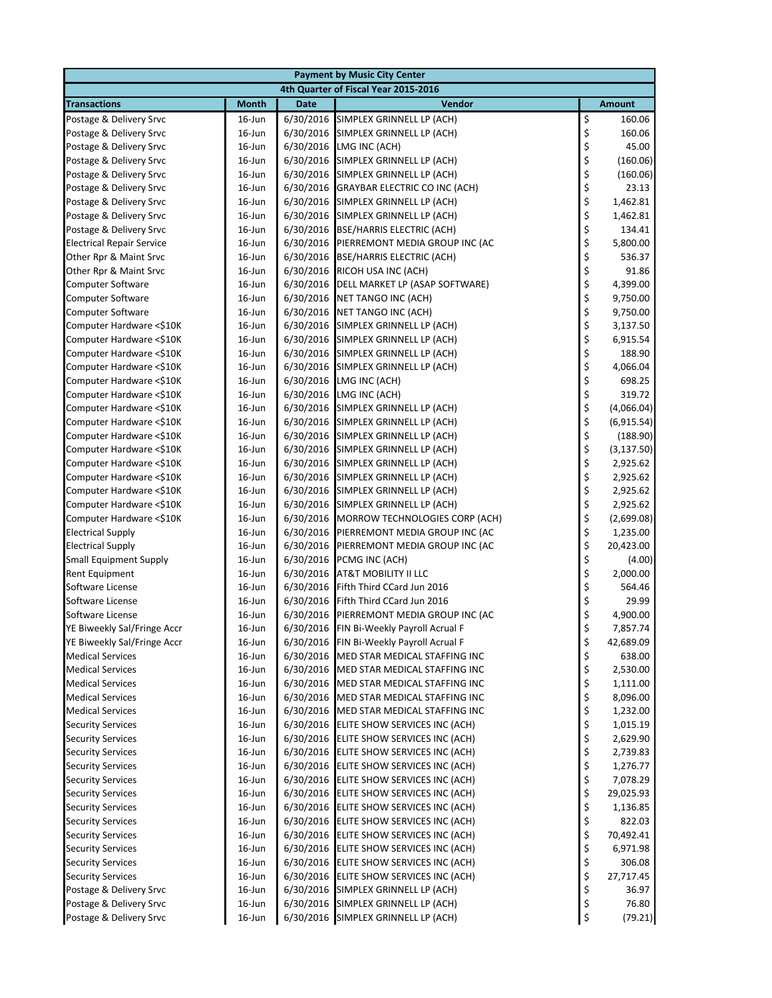|                                                 |                                      |             | <b>Payment by Music City Center</b>                          |            |                      |  |  |
|-------------------------------------------------|--------------------------------------|-------------|--------------------------------------------------------------|------------|----------------------|--|--|
|                                                 | 4th Quarter of Fiscal Year 2015-2016 |             |                                                              |            |                      |  |  |
| <b>Transactions</b>                             | <b>Month</b>                         | <b>Date</b> | Vendor                                                       |            | <b>Amount</b>        |  |  |
| Postage & Delivery Srvc                         | $16$ -Jun                            |             | 6/30/2016 SIMPLEX GRINNELL LP (ACH)                          | \$         | 160.06               |  |  |
| Postage & Delivery Srvc                         | $16$ -Jun                            |             | 6/30/2016 SIMPLEX GRINNELL LP (ACH)                          | \$         | 160.06               |  |  |
| Postage & Delivery Srvc                         | $16$ -Jun                            | 6/30/2016   | LMG INC (ACH)                                                | \$         | 45.00                |  |  |
| Postage & Delivery Srvc                         | $16$ -Jun                            |             | 6/30/2016 SIMPLEX GRINNELL LP (ACH)                          | \$<br>\$   | (160.06)             |  |  |
| Postage & Delivery Srvc                         | $16$ -Jun                            |             | 6/30/2016 SIMPLEX GRINNELL LP (ACH)                          |            | (160.06)             |  |  |
| Postage & Delivery Srvc                         | $16$ -Jun                            |             | 6/30/2016 GRAYBAR ELECTRIC CO INC (ACH)                      | \$         | 23.13                |  |  |
| Postage & Delivery Srvc                         | $16$ -Jun                            |             | 6/30/2016 SIMPLEX GRINNELL LP (ACH)                          | \$         | 1,462.81             |  |  |
| Postage & Delivery Srvc                         | 16-Jun                               |             | 6/30/2016 SIMPLEX GRINNELL LP (ACH)                          | \$         | 1,462.81             |  |  |
| Postage & Delivery Srvc                         | 16-Jun                               |             | 6/30/2016 BSE/HARRIS ELECTRIC (ACH)                          | \$         | 134.41               |  |  |
| <b>Electrical Repair Service</b>                | 16-Jun                               |             | 6/30/2016 PIERREMONT MEDIA GROUP INC (AC                     | \$\$\$\$\$ | 5,800.00             |  |  |
| Other Rpr & Maint Srvc                          | $16$ -Jun                            |             | 6/30/2016 BSE/HARRIS ELECTRIC (ACH)                          |            | 536.37               |  |  |
| Other Rpr & Maint Srvc                          | $16$ -Jun                            |             | 6/30/2016 RICOH USA INC (ACH)                                |            | 91.86                |  |  |
| <b>Computer Software</b>                        | $16$ -Jun                            | 6/30/2016   | DELL MARKET LP (ASAP SOFTWARE)                               |            | 4,399.00             |  |  |
| <b>Computer Software</b>                        | 16-Jun                               | 6/30/2016   | NET TANGO INC (ACH)                                          |            | 9,750.00             |  |  |
| <b>Computer Software</b>                        | $16$ -Jun                            |             | 6/30/2016 NET TANGO INC (ACH)                                | \$         | 9,750.00             |  |  |
| Computer Hardware <\$10K                        | 16-Jun                               |             | 6/30/2016 SIMPLEX GRINNELL LP (ACH)                          | \$         | 3,137.50             |  |  |
| Computer Hardware <\$10K                        | $16$ -Jun                            |             | 6/30/2016 SIMPLEX GRINNELL LP (ACH)                          | \$         | 6,915.54             |  |  |
| Computer Hardware <\$10K                        | $16$ -Jun                            |             | 6/30/2016 SIMPLEX GRINNELL LP (ACH)                          | \$<br>\$   | 188.90               |  |  |
| Computer Hardware <\$10K                        | $16$ -Jun                            |             | 6/30/2016 SIMPLEX GRINNELL LP (ACH)                          |            | 4,066.04             |  |  |
| Computer Hardware <\$10K                        | $16$ -Jun                            |             | 6/30/2016 LMG INC (ACH)                                      |            | 698.25               |  |  |
| Computer Hardware <\$10K                        | 16-Jun                               |             | 6/30/2016 LMG INC (ACH)                                      |            | 319.72               |  |  |
| Computer Hardware <\$10K                        | $16$ -Jun                            |             | 6/30/2016 SIMPLEX GRINNELL LP (ACH)                          | \$\$\$\$   | (4,066.04)           |  |  |
| Computer Hardware <\$10K                        | $16$ -Jun                            |             | 6/30/2016 SIMPLEX GRINNELL LP (ACH)                          |            | (6,915.54)           |  |  |
| Computer Hardware <\$10K                        | 16-Jun                               |             | 6/30/2016 SIMPLEX GRINNELL LP (ACH)                          |            | (188.90)             |  |  |
| Computer Hardware <\$10K                        | 16-Jun                               |             | 6/30/2016 SIMPLEX GRINNELL LP (ACH)                          |            | (3, 137.50)          |  |  |
| Computer Hardware <\$10K                        | $16$ -Jun                            |             | 6/30/2016 SIMPLEX GRINNELL LP (ACH)                          |            | 2,925.62             |  |  |
| Computer Hardware <\$10K                        | 16-Jun                               |             | 6/30/2016 SIMPLEX GRINNELL LP (ACH)                          | \$\$\$\$\$ | 2,925.62             |  |  |
| Computer Hardware <\$10K                        | $16$ -Jun                            |             | 6/30/2016 SIMPLEX GRINNELL LP (ACH)                          |            | 2,925.62             |  |  |
| Computer Hardware <\$10K                        | $16$ -Jun                            |             | 6/30/2016 SIMPLEX GRINNELL LP (ACH)                          | \$         | 2,925.62             |  |  |
| Computer Hardware <\$10K                        | 16-Jun                               |             | 6/30/2016 MORROW TECHNOLOGIES CORP (ACH)                     | \$         | (2,699.08)           |  |  |
| <b>Electrical Supply</b>                        | $16$ -Jun                            | 6/30/2016   | PIERREMONT MEDIA GROUP INC (AC                               | \$         | 1,235.00             |  |  |
| <b>Electrical Supply</b>                        | 16-Jun                               | 6/30/2016   | PIERREMONT MEDIA GROUP INC (AC                               | \$<br>\$   | 20,423.00            |  |  |
| <b>Small Equipment Supply</b>                   | 16-Jun                               |             | 6/30/2016 PCMG INC (ACH)                                     |            | (4.00)               |  |  |
| Rent Equipment                                  | $16$ -Jun                            |             | 6/30/2016 AT&T MOBILITY II LLC                               | \$         | 2,000.00             |  |  |
| Software License                                | 16-Jun                               |             | 6/30/2016 Fifth Third CCard Jun 2016                         | \$<br>\$   | 564.46               |  |  |
| Software License                                | 16-Jun<br>$16$ -Jun                  | 6/30/2016   | Fifth Third CCard Jun 2016<br>PIERREMONT MEDIA GROUP INC (AC | \$         | 29.99                |  |  |
| Software License<br>YE Biweekly Sal/Fringe Accr | $16$ -Jun                            | 6/30/2016   | 6/30/2016 FIN Bi-Weekly Payroll Acrual F                     | \$         | 4,900.00<br>7,857.74 |  |  |
| YE Biweekly Sal/Fringe Accr                     | 16-Jun                               |             | 6/30/2016 FIN Bi-Weekly Payroll Acrual F                     |            | 42,689.09            |  |  |
| <b>Medical Services</b>                         |                                      |             | 6/30/2016 MED STAR MEDICAL STAFFING INC                      | \$<br>\$   | 638.00               |  |  |
| <b>Medical Services</b>                         | $16$ -Jun<br>16-Jun                  |             | 6/30/2016 MED STAR MEDICAL STAFFING INC                      |            | 2,530.00             |  |  |
| <b>Medical Services</b>                         | $16$ -Jun                            |             | 6/30/2016 MED STAR MEDICAL STAFFING INC                      |            | 1,111.00             |  |  |
| <b>Medical Services</b>                         | 16-Jun                               |             | 6/30/2016 MED STAR MEDICAL STAFFING INC                      | \$\$\$\$   | 8,096.00             |  |  |
| <b>Medical Services</b>                         | 16-Jun                               |             | 6/30/2016 MED STAR MEDICAL STAFFING INC                      |            | 1,232.00             |  |  |
| <b>Security Services</b>                        | $16$ -Jun                            |             | 6/30/2016 ELITE SHOW SERVICES INC (ACH)                      | \$         | 1,015.19             |  |  |
| <b>Security Services</b>                        | 16-Jun                               |             | 6/30/2016 ELITE SHOW SERVICES INC (ACH)                      |            | 2,629.90             |  |  |
| <b>Security Services</b>                        | 16-Jun                               |             | 6/30/2016 ELITE SHOW SERVICES INC (ACH)                      | \$\$\$     | 2,739.83             |  |  |
| <b>Security Services</b>                        | $16$ -Jun                            |             | 6/30/2016 ELITE SHOW SERVICES INC (ACH)                      |            | 1,276.77             |  |  |
| <b>Security Services</b>                        | 16-Jun                               |             | 6/30/2016 ELITE SHOW SERVICES INC (ACH)                      |            | 7,078.29             |  |  |
| <b>Security Services</b>                        | 16-Jun                               |             | 6/30/2016 ELITE SHOW SERVICES INC (ACH)                      |            | 29,025.93            |  |  |
| <b>Security Services</b>                        | $16$ -Jun                            |             | 6/30/2016 ELITE SHOW SERVICES INC (ACH)                      | \$\$\$     | 1,136.85             |  |  |
| <b>Security Services</b>                        | 16-Jun                               |             | 6/30/2016 ELITE SHOW SERVICES INC (ACH)                      |            | 822.03               |  |  |
| <b>Security Services</b>                        | 16-Jun                               |             | 6/30/2016 ELITE SHOW SERVICES INC (ACH)                      | \$\$\$\$\$ | 70,492.41            |  |  |
| <b>Security Services</b>                        | 16-Jun                               |             | 6/30/2016 ELITE SHOW SERVICES INC (ACH)                      |            | 6,971.98             |  |  |
| <b>Security Services</b>                        | 16-Jun                               |             | 6/30/2016 ELITE SHOW SERVICES INC (ACH)                      |            | 306.08               |  |  |
| <b>Security Services</b>                        | 16-Jun                               |             | 6/30/2016 ELITE SHOW SERVICES INC (ACH)                      |            | 27,717.45            |  |  |
| Postage & Delivery Srvc                         | $16$ -Jun                            |             | 6/30/2016 SIMPLEX GRINNELL LP (ACH)                          | \$         | 36.97                |  |  |
| Postage & Delivery Srvc                         | $16$ -Jun                            |             | 6/30/2016 SIMPLEX GRINNELL LP (ACH)                          | \$         | 76.80                |  |  |
| Postage & Delivery Srvc                         | 16-Jun                               |             | 6/30/2016 SIMPLEX GRINNELL LP (ACH)                          | \$         | (79.21)              |  |  |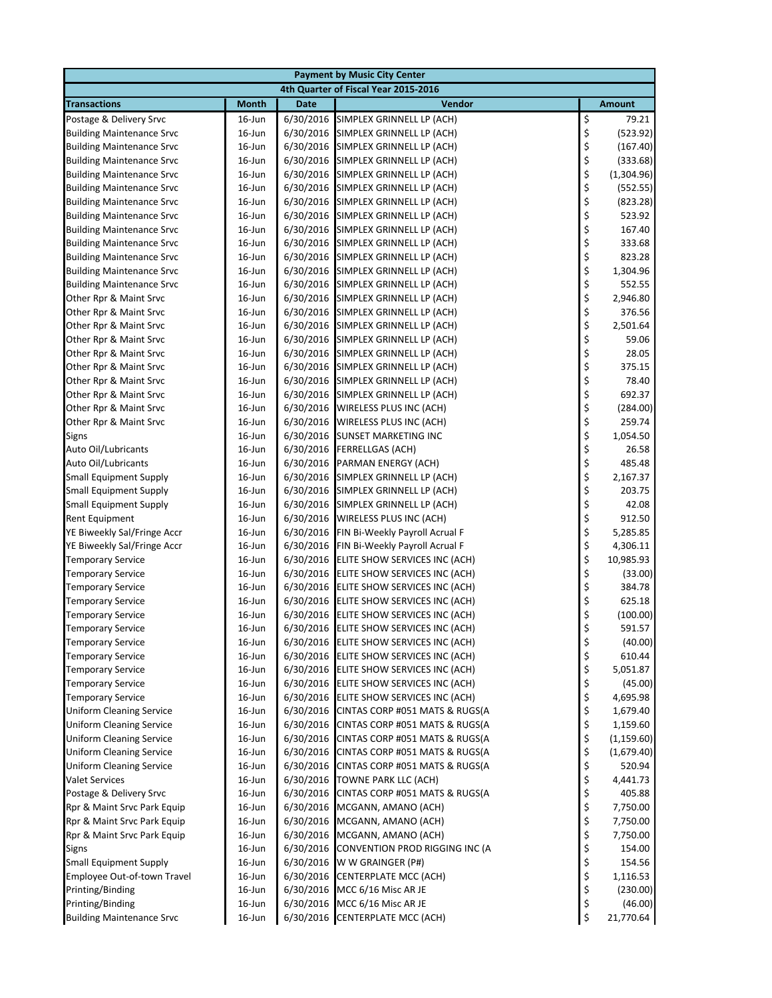|                                                             |                                      |                        | <b>Payment by Music City Center</b>                              |                                            |                      |  |
|-------------------------------------------------------------|--------------------------------------|------------------------|------------------------------------------------------------------|--------------------------------------------|----------------------|--|
|                                                             | 4th Quarter of Fiscal Year 2015-2016 |                        |                                                                  |                                            |                      |  |
| <b>Transactions</b>                                         | <b>Month</b>                         | <b>Date</b>            | Vendor                                                           |                                            | <b>Amount</b>        |  |
| Postage & Delivery Srvc                                     | $16$ -Jun                            | 6/30/2016              | SIMPLEX GRINNELL LP (ACH)                                        | \$                                         | 79.21                |  |
| <b>Building Maintenance Srvc</b>                            | $16$ -Jun                            | 6/30/2016              | SIMPLEX GRINNELL LP (ACH)                                        | \$                                         | (523.92)             |  |
| <b>Building Maintenance Srvc</b>                            | 16-Jun                               | 6/30/2016              | SIMPLEX GRINNELL LP (ACH)                                        | \$                                         | (167.40)             |  |
| <b>Building Maintenance Srvc</b>                            | $16$ -Jun                            | 6/30/2016              | SIMPLEX GRINNELL LP (ACH)                                        | \$\$\$                                     | (333.68)             |  |
| <b>Building Maintenance Srvc</b>                            | $16$ -Jun                            | 6/30/2016              | SIMPLEX GRINNELL LP (ACH)                                        |                                            | (1,304.96)           |  |
| <b>Building Maintenance Srvc</b>                            | $16$ -Jun                            | 6/30/2016              | SIMPLEX GRINNELL LP (ACH)                                        |                                            | (552.55)             |  |
| <b>Building Maintenance Srvc</b>                            | $16$ -Jun                            | 6/30/2016              | SIMPLEX GRINNELL LP (ACH)                                        | \$<br>\$                                   | (823.28)             |  |
| <b>Building Maintenance Srvc</b>                            | $16$ -Jun                            | 6/30/2016              | SIMPLEX GRINNELL LP (ACH)                                        |                                            | 523.92               |  |
| <b>Building Maintenance Srvc</b>                            | 16-Jun                               | 6/30/2016              | SIMPLEX GRINNELL LP (ACH)                                        | \$                                         | 167.40               |  |
| <b>Building Maintenance Srvc</b>                            | 16-Jun                               | 6/30/2016              | SIMPLEX GRINNELL LP (ACH)                                        | \$\$\$\$\$                                 | 333.68               |  |
| <b>Building Maintenance Srvc</b>                            | $16$ -Jun                            | 6/30/2016              | SIMPLEX GRINNELL LP (ACH)                                        |                                            | 823.28               |  |
| <b>Building Maintenance Srvc</b>                            | $16$ -Jun                            | 6/30/2016              | SIMPLEX GRINNELL LP (ACH)                                        |                                            | 1,304.96             |  |
| <b>Building Maintenance Srvc</b>                            | 16-Jun                               | 6/30/2016              | SIMPLEX GRINNELL LP (ACH)                                        |                                            | 552.55               |  |
| Other Rpr & Maint Srvc                                      | $16$ -Jun                            | 6/30/2016              | SIMPLEX GRINNELL LP (ACH)                                        |                                            | 2,946.80             |  |
| Other Rpr & Maint Srvc                                      | $16$ -Jun                            | 6/30/2016              | SIMPLEX GRINNELL LP (ACH)                                        | $\begin{array}{c} 5 \\ 5 \\ 5 \end{array}$ | 376.56               |  |
| Other Rpr & Maint Srvc                                      | 16-Jun                               | 6/30/2016              | SIMPLEX GRINNELL LP (ACH)                                        |                                            | 2,501.64             |  |
| Other Rpr & Maint Srvc                                      | $16$ -Jun                            | 6/30/2016              | SIMPLEX GRINNELL LP (ACH)                                        |                                            | 59.06                |  |
| Other Rpr & Maint Srvc                                      | $16$ -Jun                            | 6/30/2016              | SIMPLEX GRINNELL LP (ACH)                                        | \$\$\$                                     | 28.05                |  |
| Other Rpr & Maint Srvc                                      | 16-Jun                               | 6/30/2016              | SIMPLEX GRINNELL LP (ACH)                                        |                                            | 375.15               |  |
| Other Rpr & Maint Srvc                                      | 16-Jun                               | 6/30/2016              | SIMPLEX GRINNELL LP (ACH)                                        |                                            | 78.40                |  |
| Other Rpr & Maint Srvc                                      | 16-Jun                               | 6/30/2016              | SIMPLEX GRINNELL LP (ACH)                                        |                                            | 692.37               |  |
| Other Rpr & Maint Srvc                                      | $16$ -Jun                            | 6/30/2016              | WIRELESS PLUS INC (ACH)                                          | \$\$\$                                     | (284.00)             |  |
| Other Rpr & Maint Srvc                                      | $16$ -Jun                            | 6/30/2016              | WIRELESS PLUS INC (ACH)                                          |                                            | 259.74               |  |
| Signs                                                       | 16-Jun                               | 6/30/2016              | <b>SUNSET MARKETING INC</b>                                      |                                            | 1,054.50             |  |
| Auto Oil/Lubricants                                         | $16$ -Jun                            | 6/30/2016              | <b>FERRELLGAS (ACH)</b>                                          |                                            | 26.58                |  |
| Auto Oil/Lubricants                                         | $16$ -Jun                            | 6/30/2016              | PARMAN ENERGY (ACH)                                              |                                            | 485.48               |  |
| <b>Small Equipment Supply</b>                               | 16-Jun                               | 6/30/2016              | SIMPLEX GRINNELL LP (ACH)                                        | \$\$\$\$\$                                 | 2,167.37             |  |
| <b>Small Equipment Supply</b>                               | $16$ -Jun                            | 6/30/2016              | SIMPLEX GRINNELL LP (ACH)                                        |                                            | 203.75               |  |
| <b>Small Equipment Supply</b>                               | $16$ -Jun                            | 6/30/2016              | SIMPLEX GRINNELL LP (ACH)                                        | \$<br>\$                                   | 42.08                |  |
| Rent Equipment                                              | $16$ -Jun                            | 6/30/2016              | WIRELESS PLUS INC (ACH)                                          |                                            | 912.50               |  |
| YE Biweekly Sal/Fringe Accr                                 | 16-Jun                               | 6/30/2016              | FIN Bi-Weekly Payroll Acrual F                                   | \$                                         | 5,285.85             |  |
| YE Biweekly Sal/Fringe Accr                                 | 16-Jun                               | 6/30/2016              | FIN Bi-Weekly Payroll Acrual F                                   | \$<br>\$                                   | 4,306.11             |  |
| <b>Temporary Service</b>                                    | 16-Jun                               | 6/30/2016              | ELITE SHOW SERVICES INC (ACH)                                    |                                            | 10,985.93            |  |
| <b>Temporary Service</b>                                    | 16-Jun                               | 6/30/2016              | ELITE SHOW SERVICES INC (ACH)                                    | \$                                         | (33.00)              |  |
| <b>Temporary Service</b>                                    | 16-Jun                               | 6/30/2016              | ELITE SHOW SERVICES INC (ACH)                                    | \$<br>\$                                   | 384.78               |  |
| <b>Temporary Service</b>                                    | $16$ -Jun                            | 6/30/2016              | ELITE SHOW SERVICES INC (ACH)                                    |                                            | 625.18               |  |
| <b>Temporary Service</b>                                    | $16$ -Jun                            | 6/30/2016              | ELITE SHOW SERVICES INC (ACH)                                    | \$                                         | (100.00)             |  |
| <b>Temporary Service</b>                                    | $16$ -Jun                            | 6/30/2016              | ELITE SHOW SERVICES INC (ACH)                                    | \$                                         | 591.57               |  |
| <b>Temporary Service</b>                                    | 16-Jun                               | 6/30/2016              | ELITE SHOW SERVICES INC (ACH)                                    | \$                                         | (40.00)              |  |
| <b>Temporary Service</b>                                    | $16$ -Jun                            | 6/30/2016              | ELITE SHOW SERVICES INC (ACH)                                    | \$                                         | 610.44               |  |
| <b>Temporary Service</b>                                    | 16-Jun                               | 6/30/2016              | ELITE SHOW SERVICES INC (ACH)                                    | \$                                         | 5,051.87             |  |
| <b>Temporary Service</b>                                    | 16-Jun                               | 6/30/2016              | ELITE SHOW SERVICES INC (ACH)                                    | \$                                         | (45.00)              |  |
| <b>Temporary Service</b><br><b>Uniform Cleaning Service</b> | $16$ -Jun                            | 6/30/2016              | ELITE SHOW SERVICES INC (ACH)                                    | \$<br>\$                                   | 4,695.98             |  |
| <b>Uniform Cleaning Service</b>                             | $16$ -Jun<br>$16$ -Jun               | 6/30/2016<br>6/30/2016 | CINTAS CORP #051 MATS & RUGS(A<br>CINTAS CORP #051 MATS & RUGS(A | \$                                         | 1,679.40<br>1,159.60 |  |
| <b>Uniform Cleaning Service</b>                             | 16-Jun                               | 6/30/2016              | CINTAS CORP #051 MATS & RUGS(A                                   | \$                                         | (1, 159.60)          |  |
| <b>Uniform Cleaning Service</b>                             | 16-Jun                               | 6/30/2016              | CINTAS CORP #051 MATS & RUGS(A                                   | \$                                         | (1,679.40)           |  |
| <b>Uniform Cleaning Service</b>                             | $16$ -Jun                            | 6/30/2016              | CINTAS CORP #051 MATS & RUGS(A                                   | \$                                         | 520.94               |  |
| <b>Valet Services</b>                                       | 16-Jun                               | 6/30/2016              | TOWNE PARK LLC (ACH)                                             | \$                                         | 4,441.73             |  |
| Postage & Delivery Srvc                                     | 16-Jun                               | 6/30/2016              | CINTAS CORP #051 MATS & RUGS(A                                   | \$                                         | 405.88               |  |
| Rpr & Maint Srvc Park Equip                                 | $16$ -Jun                            | 6/30/2016              | MCGANN, AMANO (ACH)                                              |                                            | 7,750.00             |  |
| Rpr & Maint Srvc Park Equip                                 | 16-Jun                               | 6/30/2016              | MCGANN, AMANO (ACH)                                              | \$<br>\$                                   | 7,750.00             |  |
| Rpr & Maint Srvc Park Equip                                 | $16$ -Jun                            | 6/30/2016              | MCGANN, AMANO (ACH)                                              | \$                                         | 7,750.00             |  |
| <b>Signs</b>                                                | $16$ -Jun                            | 6/30/2016              | CONVENTION PROD RIGGING INC (A                                   | \$                                         | 154.00               |  |
| <b>Small Equipment Supply</b>                               | $16$ -Jun                            | 6/30/2016              | W W GRAINGER (P#)                                                | \$                                         | 154.56               |  |
| Employee Out-of-town Travel                                 | $16$ -Jun                            | 6/30/2016              | CENTERPLATE MCC (ACH)                                            | \$                                         | 1,116.53             |  |
| Printing/Binding                                            | $16$ -Jun                            | 6/30/2016              | MCC 6/16 Misc AR JE                                              | \$                                         | (230.00)             |  |
| Printing/Binding                                            | $16$ -Jun                            | 6/30/2016              | MCC 6/16 Misc AR JE                                              | \$                                         | (46.00)              |  |
| <b>Building Maintenance Srvc</b>                            | 16-Jun                               |                        | 6/30/2016 CENTERPLATE MCC (ACH)                                  | \$                                         | 21,770.64            |  |
|                                                             |                                      |                        |                                                                  |                                            |                      |  |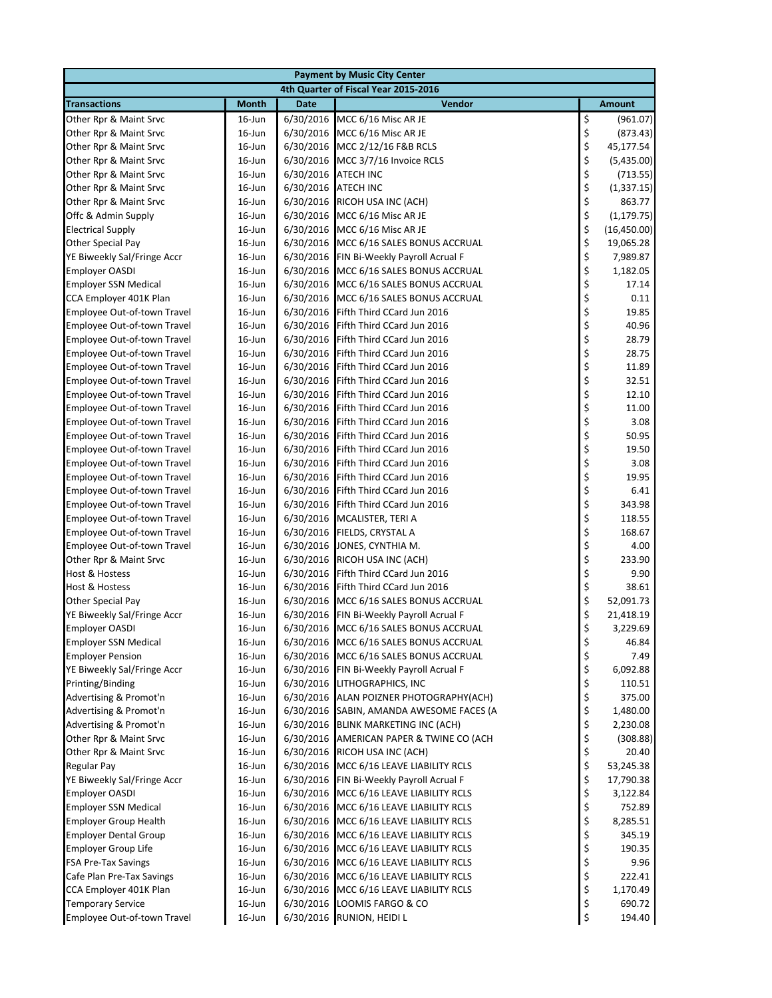|                              |              |             | <b>Payment by Music City Center</b>      |                 |               |
|------------------------------|--------------|-------------|------------------------------------------|-----------------|---------------|
|                              |              |             | 4th Quarter of Fiscal Year 2015-2016     |                 |               |
| <b>Transactions</b>          | <b>Month</b> | <b>Date</b> | Vendor                                   |                 | <b>Amount</b> |
| Other Rpr & Maint Srvc       | $16$ -Jun    |             | 6/30/2016 MCC 6/16 Misc AR JE            | \$              | (961.07)      |
| Other Rpr & Maint Srvc       | $16$ -Jun    |             | 6/30/2016 MCC 6/16 Misc AR JE            |                 | (873.43)      |
| Other Rpr & Maint Srvc       | $16$ -Jun    |             | 6/30/2016 MCC 2/12/16 F&B RCLS           | \$\$\$\$\$      | 45,177.54     |
| Other Rpr & Maint Srvc       | $16$ -Jun    |             | 6/30/2016 MCC 3/7/16 Invoice RCLS        |                 | (5,435.00)    |
| Other Rpr & Maint Srvc       | $16$ -Jun    |             | 6/30/2016 ATECH INC                      |                 | (713.55)      |
| Other Rpr & Maint Srvc       | $16$ -Jun    |             | 6/30/2016 ATECH INC                      |                 | (1,337.15)    |
| Other Rpr & Maint Srvc       | $16$ -Jun    |             | 6/30/2016 RICOH USA INC (ACH)            |                 | 863.77        |
| Offc & Admin Supply          | $16$ -Jun    |             | 6/30/2016 MCC 6/16 Misc AR JE            |                 | (1, 179.75)   |
| <b>Electrical Supply</b>     | $16$ -Jun    |             | 6/30/2016 MCC 6/16 Misc AR JE            | \$\$\$\$\$\$    | (16, 450.00)  |
| Other Special Pay            | $16$ -Jun    |             | 6/30/2016 MCC 6/16 SALES BONUS ACCRUAL   |                 | 19,065.28     |
| YE Biweekly Sal/Fringe Accr  | $16$ -Jun    |             | 6/30/2016 FIN Bi-Weekly Payroll Acrual F |                 | 7,989.87      |
| <b>Employer OASDI</b>        | $16$ -Jun    |             | 6/30/2016 MCC 6/16 SALES BONUS ACCRUAL   |                 | 1,182.05      |
| <b>Employer SSN Medical</b>  | $16$ -Jun    |             | 6/30/2016 MCC 6/16 SALES BONUS ACCRUAL   |                 | 17.14         |
| CCA Employer 401K Plan       | $16$ -Jun    |             | 6/30/2016 MCC 6/16 SALES BONUS ACCRUAL   |                 | 0.11          |
| Employee Out-of-town Travel  | $16$ -Jun    | 6/30/2016   | Fifth Third CCard Jun 2016               |                 | 19.85         |
| Employee Out-of-town Travel  | $16$ -Jun    |             | 6/30/2016 Fifth Third CCard Jun 2016     |                 | 40.96         |
| Employee Out-of-town Travel  | $16$ -Jun    |             | 6/30/2016 Fifth Third CCard Jun 2016     |                 | 28.79         |
| Employee Out-of-town Travel  | $16$ -Jun    |             | 6/30/2016 Fifth Third CCard Jun 2016     |                 | 28.75         |
| Employee Out-of-town Travel  | $16$ -Jun    | 6/30/2016   | Fifth Third CCard Jun 2016               |                 | 11.89         |
| Employee Out-of-town Travel  | $16$ -Jun    | 6/30/2016   | Fifth Third CCard Jun 2016               |                 | 32.51         |
| Employee Out-of-town Travel  | $16$ -Jun    |             | 6/30/2016 Fifth Third CCard Jun 2016     |                 | 12.10         |
| Employee Out-of-town Travel  | 16-Jun       |             | 6/30/2016 Fifth Third CCard Jun 2016     |                 | 11.00         |
| Employee Out-of-town Travel  | $16$ -Jun    |             | 6/30/2016 Fifth Third CCard Jun 2016     |                 | 3.08          |
| Employee Out-of-town Travel  | $16$ -Jun    | 6/30/2016   | Fifth Third CCard Jun 2016               |                 | 50.95         |
| Employee Out-of-town Travel  | $16$ -Jun    | 6/30/2016   | Fifth Third CCard Jun 2016               |                 | 19.50         |
| Employee Out-of-town Travel  | $16$ -Jun    | 6/30/2016   | Fifth Third CCard Jun 2016               |                 | 3.08          |
| Employee Out-of-town Travel  | $16$ -Jun    |             | 6/30/2016 Fifth Third CCard Jun 2016     |                 | 19.95         |
| Employee Out-of-town Travel  | $16$ -Jun    |             | 6/30/2016 Fifth Third CCard Jun 2016     |                 | 6.41          |
| Employee Out-of-town Travel  | $16$ -Jun    |             | 6/30/2016 Fifth Third CCard Jun 2016     | やそうそうそうそうそうそうそう | 343.98        |
| Employee Out-of-town Travel  | 16-Jun       |             | 6/30/2016 MCALISTER, TERI A              |                 | 118.55        |
| Employee Out-of-town Travel  | $16$ -Jun    | 6/30/2016   | FIELDS, CRYSTAL A                        |                 | 168.67        |
| Employee Out-of-town Travel  | $16$ -Jun    |             | 6/30/2016 JONES, CYNTHIA M.              | \$              | 4.00          |
| Other Rpr & Maint Srvc       | 16-Jun       |             | 6/30/2016 RICOH USA INC (ACH)            | \$<br>\$        | 233.90        |
| Host & Hostess               | $16$ -Jun    |             | 6/30/2016 Fifth Third CCard Jun 2016     |                 | 9.90          |
| Host & Hostess               | $16$ -Jun    |             | 6/30/2016 Fifth Third CCard Jun 2016     | \$<br>\$        | 38.61         |
| Other Special Pay            | $16$ -Jun    |             | 6/30/2016 MCC 6/16 SALES BONUS ACCRUAL   |                 | 52,091.73     |
| YE Biweekly Sal/Fringe Accr  | $16$ -Jun    |             | 6/30/2016 FIN Bi-Weekly Payroll Acrual F | \$              | 21,418.19     |
| <b>Employer OASDI</b>        | $16$ -Jun    |             | 6/30/2016 MCC 6/16 SALES BONUS ACCRUAL   | \$              | 3,229.69      |
| <b>Employer SSN Medical</b>  | 16-Jun       |             | 6/30/2016 MCC 6/16 SALES BONUS ACCRUAL   | \$              | 46.84         |
| <b>Employer Pension</b>      | $16$ -Jun    |             | 6/30/2016 MCC 6/16 SALES BONUS ACCRUAL   | \$              | 7.49          |
| YE Biweekly Sal/Fringe Accr  | 16-Jun       |             | 6/30/2016 FIN Bi-Weekly Payroll Acrual F | \$              | 6,092.88      |
| Printing/Binding             | $16$ -Jun    |             | 6/30/2016 LITHOGRAPHICS, INC             | \$              | 110.51        |
| Advertising & Promot'n       | $16$ -Jun    |             | 6/30/2016 ALAN POIZNER PHOTOGRAPHY(ACH)  | \$              | 375.00        |
| Advertising & Promot'n       | $16$ -Jun    |             | 6/30/2016 SABIN, AMANDA AWESOME FACES (A | \$<br>\$        | 1,480.00      |
| Advertising & Promot'n       | 16-Jun       |             | 6/30/2016 BLINK MARKETING INC (ACH)      |                 | 2,230.08      |
| Other Rpr & Maint Srvc       | $16$ -Jun    |             | 6/30/2016 AMERICAN PAPER & TWINE CO (ACH | \$<br>\$        | (308.88)      |
| Other Rpr & Maint Srvc       | $16$ -Jun    |             | 6/30/2016 RICOH USA INC (ACH)            |                 | 20.40         |
| <b>Regular Pay</b>           | $16$ -Jun    |             | 6/30/2016 MCC 6/16 LEAVE LIABILITY RCLS  | \$\$\$          | 53,245.38     |
| YE Biweekly Sal/Fringe Accr  | $16$ -Jun    |             | 6/30/2016 FIN Bi-Weekly Payroll Acrual F |                 | 17,790.38     |
| <b>Employer OASDI</b>        | $16$ -Jun    |             | 6/30/2016 MCC 6/16 LEAVE LIABILITY RCLS  |                 | 3,122.84      |
| <b>Employer SSN Medical</b>  | $16$ -Jun    |             | 6/30/2016 MCC 6/16 LEAVE LIABILITY RCLS  | \$              | 752.89        |
| <b>Employer Group Health</b> | $16$ -Jun    |             | 6/30/2016 MCC 6/16 LEAVE LIABILITY RCLS  | \$              | 8,285.51      |
| <b>Employer Dental Group</b> | 16-Jun       |             | 6/30/2016 MCC 6/16 LEAVE LIABILITY RCLS  | \$              | 345.19        |
| <b>Employer Group Life</b>   | $16$ -Jun    |             | 6/30/2016 MCC 6/16 LEAVE LIABILITY RCLS  | \$              | 190.35        |
| <b>FSA Pre-Tax Savings</b>   | 16-Jun       |             | 6/30/2016 MCC 6/16 LEAVE LIABILITY RCLS  | \$<br>\$        | 9.96          |
| Cafe Plan Pre-Tax Savings    | 16-Jun       |             | 6/30/2016 MCC 6/16 LEAVE LIABILITY RCLS  |                 | 222.41        |
| CCA Employer 401K Plan       | $16$ -Jun    |             | 6/30/2016 MCC 6/16 LEAVE LIABILITY RCLS  | \$              | 1,170.49      |
| <b>Temporary Service</b>     | $16$ -Jun    |             | 6/30/2016 LOOMIS FARGO & CO              | \$              | 690.72        |
| Employee Out-of-town Travel  | 16-Jun       |             | 6/30/2016 RUNION, HEIDI L                | \$              | 194.40        |